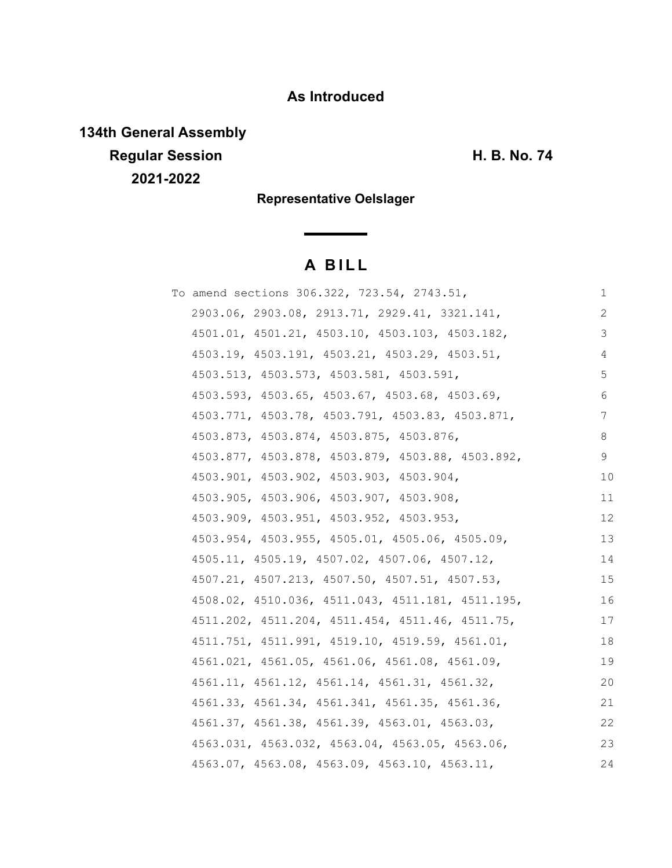## **As Introduced**

**134th General Assembly Regular Session H. B. No. 74 2021-2022**

**Representative Oelslager**

# **A B I L L**

| To amend sections 306.322, 723.54, 2743.51,      | 1  |
|--------------------------------------------------|----|
| 2903.06, 2903.08, 2913.71, 2929.41, 3321.141,    | 2  |
| 4501.01, 4501.21, 4503.10, 4503.103, 4503.182,   | 3  |
| 4503.19, 4503.191, 4503.21, 4503.29, 4503.51,    | 4  |
| 4503.513, 4503.573, 4503.581, 4503.591,          | 5  |
| 4503.593, 4503.65, 4503.67, 4503.68, 4503.69,    | 6  |
| 4503.771, 4503.78, 4503.791, 4503.83, 4503.871,  | 7  |
| 4503.873, 4503.874, 4503.875, 4503.876,          | 8  |
| 4503.877, 4503.878, 4503.879, 4503.88, 4503.892, | 9  |
| 4503.901, 4503.902, 4503.903, 4503.904,          | 10 |
| 4503.905, 4503.906, 4503.907, 4503.908,          | 11 |
| 4503.909, 4503.951, 4503.952, 4503.953,          | 12 |
| 4503.954, 4503.955, 4505.01, 4505.06, 4505.09,   | 13 |
| 4505.11, 4505.19, 4507.02, 4507.06, 4507.12,     | 14 |
| 4507.21, 4507.213, 4507.50, 4507.51, 4507.53,    | 15 |
| 4508.02, 4510.036, 4511.043, 4511.181, 4511.195, | 16 |
| 4511.202, 4511.204, 4511.454, 4511.46, 4511.75,  | 17 |
| 4511.751, 4511.991, 4519.10, 4519.59, 4561.01,   | 18 |
| 4561.021, 4561.05, 4561.06, 4561.08, 4561.09,    | 19 |
| 4561.11, 4561.12, 4561.14, 4561.31, 4561.32,     | 20 |
| 4561.33, 4561.34, 4561.341, 4561.35, 4561.36,    | 21 |
| 4561.37, 4561.38, 4561.39, 4563.01, 4563.03,     | 22 |
| 4563.031, 4563.032, 4563.04, 4563.05, 4563.06,   | 23 |
| 4563.07, 4563.08, 4563.09, 4563.10, 4563.11,     | 24 |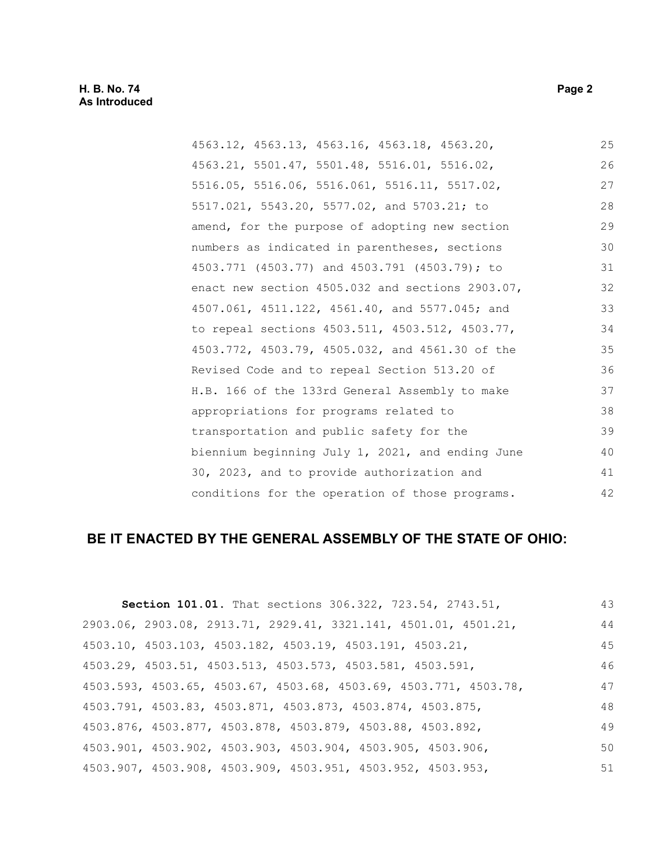### **H. B. No. 74 Page 2 As Introduced**

| 4563.12, 4563.13, 4563.16, 4563.18, 4563.20,     | 25 |
|--------------------------------------------------|----|
| 4563.21, 5501.47, 5501.48, 5516.01, 5516.02,     | 26 |
| 5516.05, 5516.06, 5516.061, 5516.11, 5517.02,    | 27 |
| 5517.021, 5543.20, 5577.02, and 5703.21; to      | 28 |
| amend, for the purpose of adopting new section   | 29 |
| numbers as indicated in parentheses, sections    | 30 |
| 4503.771 (4503.77) and 4503.791 (4503.79); to    | 31 |
| enact new section 4505.032 and sections 2903.07, | 32 |
| 4507.061, 4511.122, 4561.40, and 5577.045; and   | 33 |
| to repeal sections 4503.511, 4503.512, 4503.77,  | 34 |
| 4503.772, 4503.79, 4505.032, and 4561.30 of the  | 35 |
| Revised Code and to repeal Section 513.20 of     | 36 |
| H.B. 166 of the 133rd General Assembly to make   | 37 |
| appropriations for programs related to           | 38 |
| transportation and public safety for the         | 39 |
| biennium beginning July 1, 2021, and ending June | 40 |
| 30, 2023, and to provide authorization and       | 41 |
| conditions for the operation of those programs.  | 42 |

## **BE IT ENACTED BY THE GENERAL ASSEMBLY OF THE STATE OF OHIO:**

| <b>Section 101.01.</b> That sections 306.322, 723.54, 2743.51,   | 43  |
|------------------------------------------------------------------|-----|
| 2903.06, 2903.08, 2913.71, 2929.41, 3321.141, 4501.01, 4501.21,  | 44  |
| 4503.10, 4503.103, 4503.182, 4503.19, 4503.191, 4503.21,         | 45  |
| 4503.29, 4503.51, 4503.513, 4503.573, 4503.581, 4503.591,        | 46  |
| 4503.593, 4503.65, 4503.67, 4503.68, 4503.69, 4503.771, 4503.78, | 47  |
| 4503.791, 4503.83, 4503.871, 4503.873, 4503.874, 4503.875,       | 48  |
| 4503.876, 4503.877, 4503.878, 4503.879, 4503.88, 4503.892,       | 49  |
| 4503.901, 4503.902, 4503.903, 4503.904, 4503.905, 4503.906,      | 50  |
| 4503.907, 4503.908, 4503.909, 4503.951, 4503.952, 4503.953,      | .51 |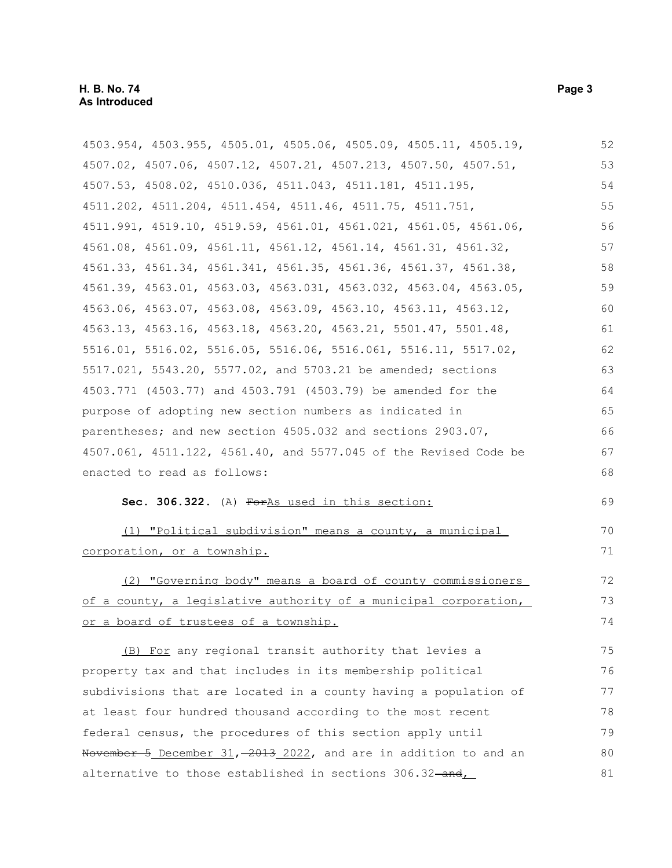| 4503.954, 4503.955, 4505.01, 4505.06, 4505.09, 4505.11, 4505.19,                                                               | 52       |
|--------------------------------------------------------------------------------------------------------------------------------|----------|
| 4507.02, 4507.06, 4507.12, 4507.21, 4507.213, 4507.50, 4507.51,                                                                | 53       |
| 4507.53, 4508.02, 4510.036, 4511.043, 4511.181, 4511.195,                                                                      | 54       |
| 4511.202, 4511.204, 4511.454, 4511.46, 4511.75, 4511.751,                                                                      | 55       |
| 4511.991, 4519.10, 4519.59, 4561.01, 4561.021, 4561.05, 4561.06,                                                               | 56       |
| 4561.08, 4561.09, 4561.11, 4561.12, 4561.14, 4561.31, 4561.32,                                                                 | 57       |
| 4561.33, 4561.34, 4561.341, 4561.35, 4561.36, 4561.37, 4561.38,                                                                | 58       |
| 4561.39, 4563.01, 4563.03, 4563.031, 4563.032, 4563.04, 4563.05,                                                               | 59       |
| 4563.06, 4563.07, 4563.08, 4563.09, 4563.10, 4563.11, 4563.12,                                                                 | 60       |
| 4563.13, 4563.16, 4563.18, 4563.20, 4563.21, 5501.47, 5501.48,                                                                 | 61       |
| 5516.01, 5516.02, 5516.05, 5516.06, 5516.061, 5516.11, 5517.02,                                                                | 62       |
| 5517.021, 5543.20, 5577.02, and 5703.21 be amended; sections                                                                   | 63       |
| 4503.771 (4503.77) and 4503.791 (4503.79) be amended for the                                                                   | 64       |
| purpose of adopting new section numbers as indicated in                                                                        | 65       |
| parentheses; and new section $4505.032$ and sections $2903.07$ ,                                                               | 66       |
| 4507.061, 4511.122, 4561.40, and 5577.045 of the Revised Code be                                                               | 67       |
| enacted to read as follows:                                                                                                    | 68       |
| Sec. 306.322. (A) ForAs used in this section:                                                                                  | 69       |
| (1) "Political subdivision" means a county, a municipal                                                                        | 70       |
| corporation, or a township.                                                                                                    | 71       |
| (2) "Governing body" means a board of county commissioners                                                                     | 72       |
| of a county, a legislative authority of a municipal corporation,                                                               | 73       |
| or a board of trustees of a township.                                                                                          | 74       |
|                                                                                                                                | 75       |
| (B) For any regional transit authority that levies a                                                                           |          |
| property tax and that includes in its membership political<br>subdivisions that are located in a county having a population of | 76<br>77 |
|                                                                                                                                |          |
| at least four hundred thousand according to the most recent                                                                    | 78<br>79 |
| federal census, the procedures of this section apply until                                                                     |          |
| November 5_December 31,-2013_2022, and are in addition to and an                                                               | 80       |
| alternative to those established in sections 306.32 <del>-and</del> __                                                         | 81       |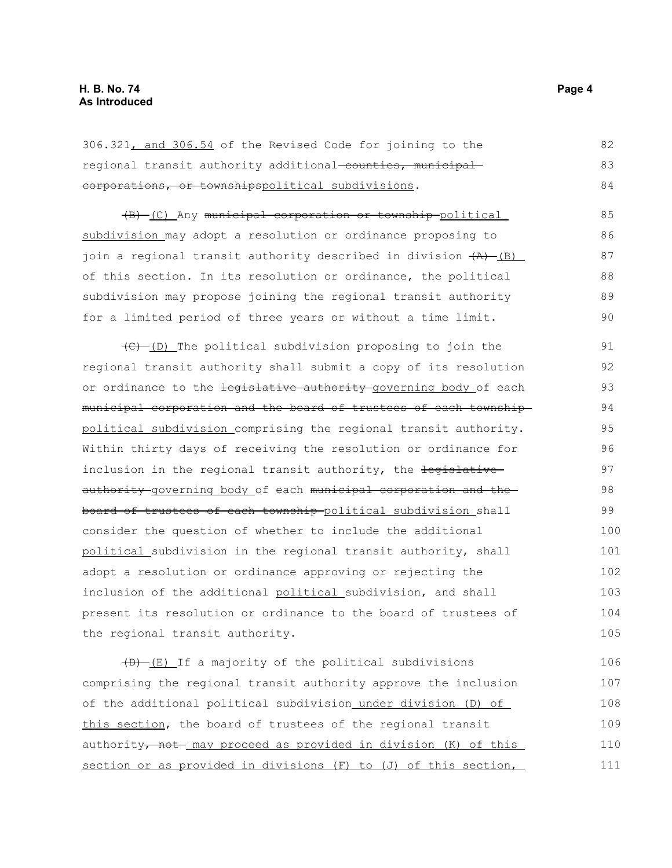| 306.321, and 306.54 of the Revised Code for joining to the              | 82 |
|-------------------------------------------------------------------------|----|
| regional transit authority additional <del>-counties, municipal</del> - | 83 |
| corporations, or townshipspolitical subdivisions.                       | 84 |

(B) (C) Any municipal corporation or township political subdivision may adopt a resolution or ordinance proposing to join a regional transit authority described in division  $(A) - (B)$ of this section. In its resolution or ordinance, the political subdivision may propose joining the regional transit authority for a limited period of three years or without a time limit. 85 86 87 88 89  $90$ 

 $\left(\frac{C}{C}\right)$  (D) The political subdivision proposing to join the regional transit authority shall submit a copy of its resolution or ordinance to the legislative authority governing body of each municipal corporation and the board of trustees of each township political subdivision comprising the regional transit authority. Within thirty days of receiving the resolution or ordinance for inclusion in the regional transit authority, the legislative authority governing body of each municipal corporation and theboard of trustees of each township political subdivision shall consider the question of whether to include the additional political subdivision in the regional transit authority, shall adopt a resolution or ordinance approving or rejecting the inclusion of the additional political subdivision, and shall present its resolution or ordinance to the board of trustees of the regional transit authority. 91 92 93 94 95 96 97 98 99 100 101 102 103 104 105

 $(D)$  (E) If a majority of the political subdivisions comprising the regional transit authority approve the inclusion of the additional political subdivision under division (D) of this section, the board of trustees of the regional transit authority, not may proceed as provided in division (K) of this section or as provided in divisions (F) to (J) of this section, 106 107 108 109 110 111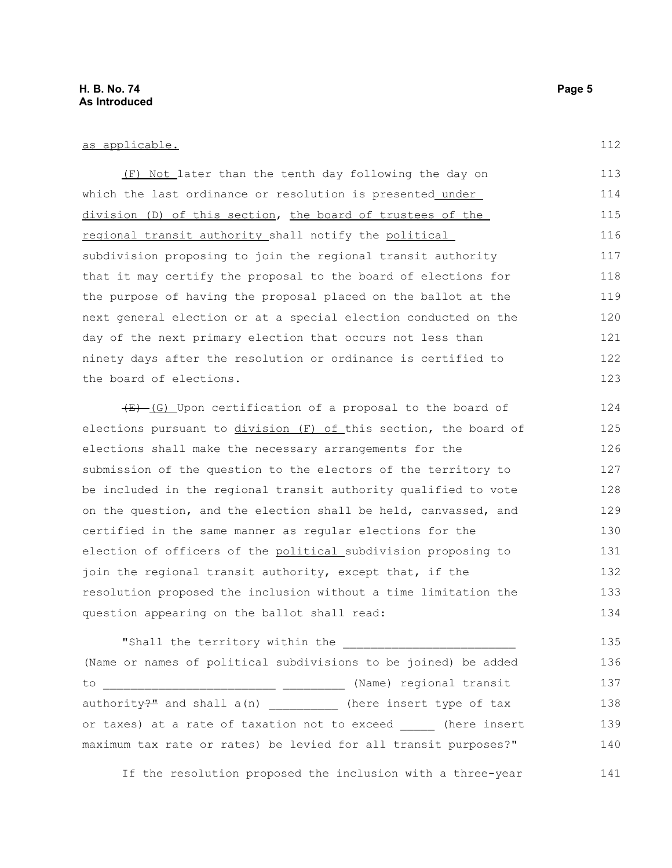#### as applicable.

(F) Not later than the tenth day following the day on which the last ordinance or resolution is presented under division (D) of this section, the board of trustees of the regional transit authority shall notify the political subdivision proposing to join the regional transit authority that it may certify the proposal to the board of elections for the purpose of having the proposal placed on the ballot at the next general election or at a special election conducted on the day of the next primary election that occurs not less than ninety days after the resolution or ordinance is certified to the board of elections. 113 114 115 116 117 118 119 120 121 122 123

 $(E)$  (G) Upon certification of a proposal to the board of elections pursuant to division (F) of this section, the board of elections shall make the necessary arrangements for the submission of the question to the electors of the territory to be included in the regional transit authority qualified to vote on the question, and the election shall be held, canvassed, and certified in the same manner as regular elections for the election of officers of the political subdivision proposing to join the regional transit authority, except that, if the resolution proposed the inclusion without a time limitation the question appearing on the ballot shall read: 124 125 126 127 128 129 130 131 132 133 134

"Shall the territory within the (Name or names of political subdivisions to be joined) be added to \_\_\_\_\_\_\_\_\_\_\_\_\_\_\_\_\_\_\_\_\_\_\_\_\_ \_\_\_\_\_\_\_\_\_ (Name) regional transit authority?" and shall a(n) \_\_\_\_\_\_\_\_\_\_ (here insert type of tax or taxes) at a rate of taxation not to exceed (here insert maximum tax rate or rates) be levied for all transit purposes?" 135 136 137 138 139 140

If the resolution proposed the inclusion with a three-year 141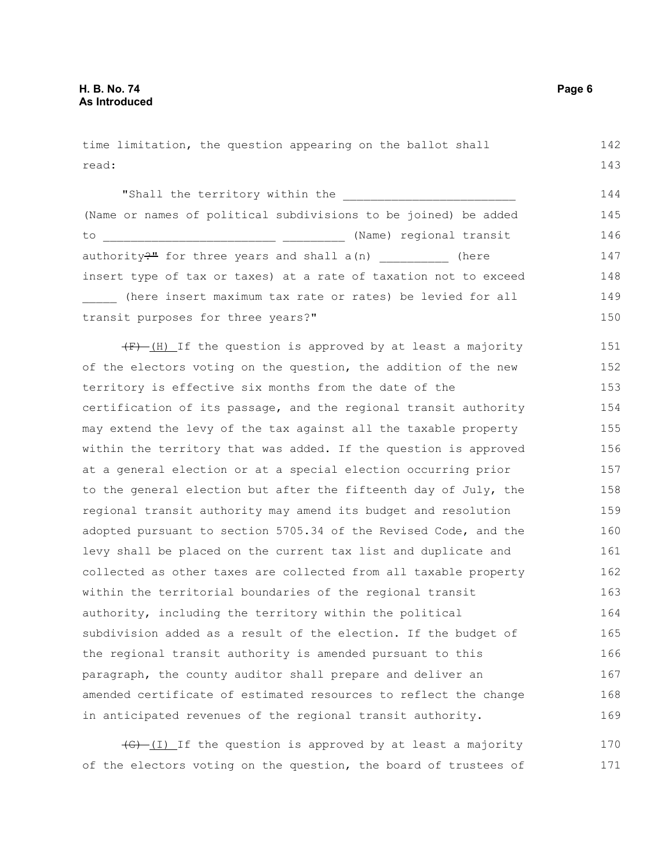time limitation, the question appearing on the ballot shall read: "Shall the territory within the (Name or names of political subdivisions to be joined) be added to \_\_\_\_\_\_\_\_\_\_\_\_\_\_\_\_\_\_\_\_\_\_\_\_\_ \_\_\_\_\_\_\_\_\_ (Name) regional transit authority?" for three years and shall  $a(n)$  (here insert type of tax or taxes) at a rate of taxation not to exceed (here insert maximum tax rate or rates) be levied for all transit purposes for three years?"  $(F)$   $(H)$  If the question is approved by at least a majority 142 143 144 145 146 147 148 149 150 151

of the electors voting on the question, the addition of the new territory is effective six months from the date of the certification of its passage, and the regional transit authority may extend the levy of the tax against all the taxable property within the territory that was added. If the question is approved at a general election or at a special election occurring prior to the general election but after the fifteenth day of July, the regional transit authority may amend its budget and resolution adopted pursuant to section 5705.34 of the Revised Code, and the levy shall be placed on the current tax list and duplicate and collected as other taxes are collected from all taxable property within the territorial boundaries of the regional transit authority, including the territory within the political subdivision added as a result of the election. If the budget of the regional transit authority is amended pursuant to this paragraph, the county auditor shall prepare and deliver an amended certificate of estimated resources to reflect the change in anticipated revenues of the regional transit authority. 152 153 154 155 156 157 158 159 160 161 162 163 164 165 166 167 168 169

 $\overline{(G)$  (I) If the question is approved by at least a majority of the electors voting on the question, the board of trustees of 170 171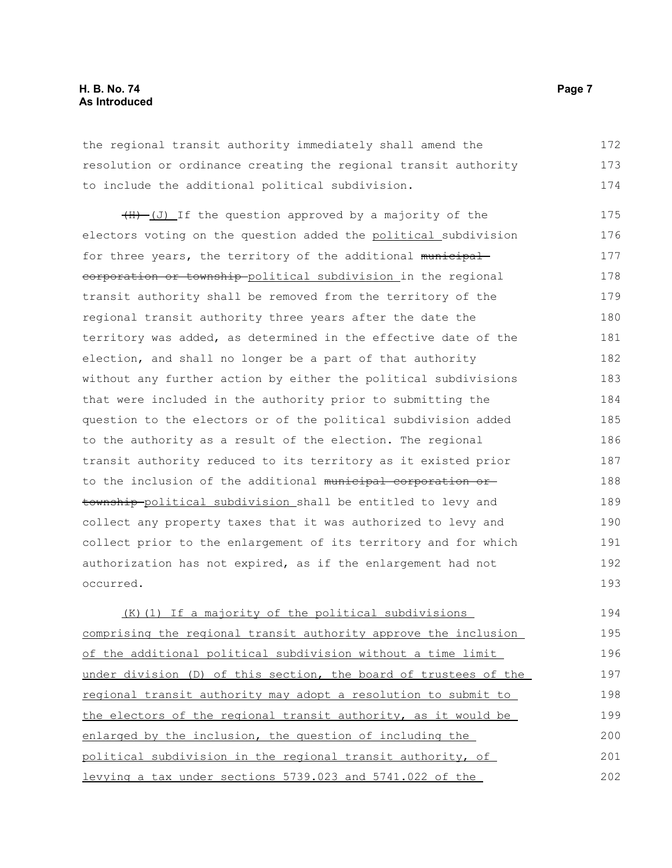#### **H. B. No. 74 Page 7 As Introduced**

the regional transit authority immediately shall amend the resolution or ordinance creating the regional transit authority to include the additional political subdivision. 172 173 174

 $(H)$  (J) If the question approved by a majority of the electors voting on the question added the political subdivision for three years, the territory of the additional municipalcorporation or township political subdivision in the regional transit authority shall be removed from the territory of the regional transit authority three years after the date the territory was added, as determined in the effective date of the election, and shall no longer be a part of that authority without any further action by either the political subdivisions that were included in the authority prior to submitting the question to the electors or of the political subdivision added to the authority as a result of the election. The regional transit authority reduced to its territory as it existed prior to the inclusion of the additional municipal corporation or township political subdivision shall be entitled to levy and collect any property taxes that it was authorized to levy and collect prior to the enlargement of its territory and for which authorization has not expired, as if the enlargement had not occurred. 175 176 177 178 179 180 181 182 183 184 185 186 187 188 189 190 191 192 193

(K)(1) If a majority of the political subdivisions comprising the regional transit authority approve the inclusion of the additional political subdivision without a time limit under division (D) of this section, the board of trustees of the regional transit authority may adopt a resolution to submit to the electors of the regional transit authority, as it would be enlarged by the inclusion, the question of including the political subdivision in the regional transit authority, of levying a tax under sections 5739.023 and 5741.022 of the 194 195 196 197 198 199 200 201 202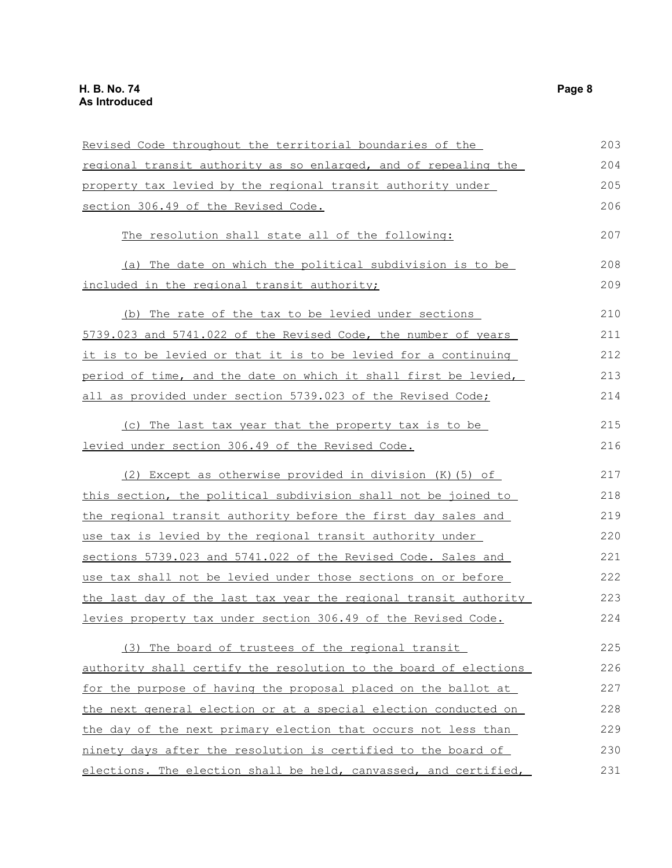| Revised Code throughout the territorial boundaries of the              | 203 |
|------------------------------------------------------------------------|-----|
| <u>regional transit authority as so enlarged, and of repealing the</u> | 204 |
| property tax levied by the regional transit authority under            | 205 |
| section 306.49 of the Revised Code.                                    | 206 |
| The resolution shall state all of the following:                       | 207 |
| (a) The date on which the political subdivision is to be               | 208 |
| included in the regional transit authority;                            | 209 |
| (b) The rate of the tax to be levied under sections                    | 210 |
| 5739.023 and 5741.022 of the Revised Code, the number of years         | 211 |
| <u>it is to be levied or that it is to be levied for a continuing</u>  | 212 |
| period of time, and the date on which it shall first be levied,        | 213 |
| all as provided under section 5739.023 of the Revised Code;            | 214 |
| (c) The last tax year that the property tax is to be                   | 215 |
| <u>levied under section 306.49 of the Revised Code.</u>                | 216 |
| <u>(2) Except as otherwise provided in division (K)(5) of</u>          | 217 |
| this section, the political subdivision shall not be joined to         | 218 |
| the regional transit authority before the first day sales and          | 219 |
| use tax is levied by the regional transit authority under              | 220 |
| sections 5739.023 and 5741.022 of the Revised Code. Sales and          | 221 |
| use tax shall not be levied under those sections on or before          | 222 |
| the last day of the last tax year the regional transit authority       | 223 |
| levies property tax under section 306.49 of the Revised Code.          | 224 |
| (3) The board of trustees of the regional transit                      | 225 |
| authority shall certify the resolution to the board of elections       | 226 |
| for the purpose of having the proposal placed on the ballot at         | 227 |
| the next general election or at a special election conducted on        | 228 |
| the day of the next primary election that occurs not less than         | 229 |
| ninety days after the resolution is certified to the board of          | 230 |
| elections. The election shall be held, canvassed, and certified,       | 231 |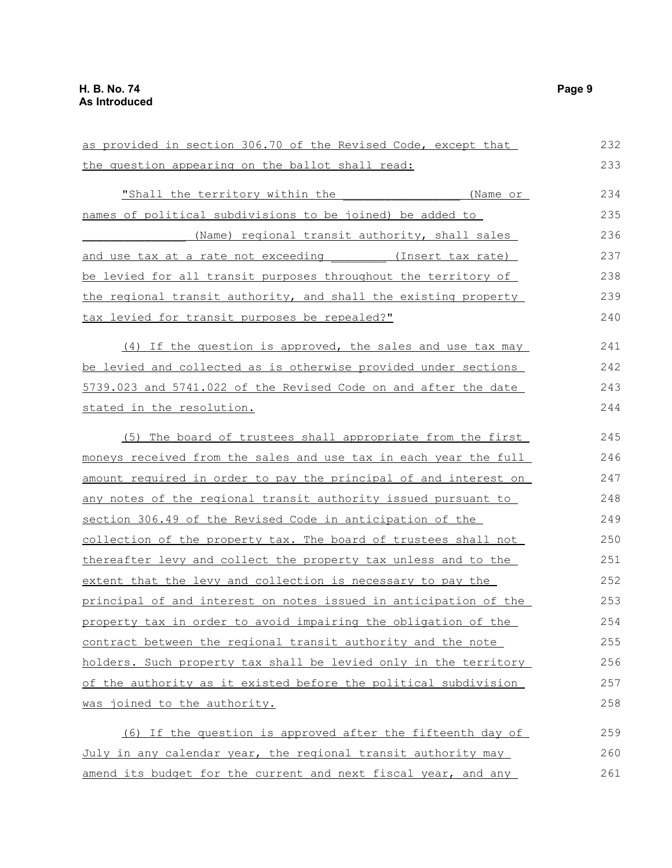| as provided in section 306.70 of the Revised Code, except that          | 232 |
|-------------------------------------------------------------------------|-----|
| the question appearing on the ballot shall read:                        | 233 |
| "Shall the territory within the<br>(Name or                             | 234 |
| names of political subdivisions to be joined) be added to               | 235 |
| (Name) regional transit authority, shall sales                          | 236 |
| and use tax at a rate not exceeding (Insert tax rate)                   | 237 |
| be levied for all transit purposes throughout the territory of          | 238 |
| the regional transit authority, and shall the existing property         | 239 |
| tax levied for transit purposes be repealed?"                           | 240 |
| (4) If the question is approved, the sales and use tax may              | 241 |
| be levied and collected as is otherwise provided under sections         | 242 |
| 5739.023 and 5741.022 of the Revised Code on and after the date         | 243 |
| stated in the resolution.                                               | 244 |
| (5) The board of trustees shall appropriate from the first              | 245 |
| moneys received from the sales and use tax in each year the full        | 246 |
| <u>amount required in order to pay the principal of and interest on</u> | 247 |
| any notes of the regional transit authority issued pursuant to          | 248 |
| section 306.49 of the Revised Code in anticipation of the               | 249 |
| collection of the property tax. The board of trustees shall not         | 250 |
| thereafter levy and collect the property tax unless and to the          | 251 |
| extent that the levy and collection is necessary to pay the             | 252 |
| principal of and interest on notes issued in anticipation of the        | 253 |
| property tax in order to avoid impairing the obligation of the          | 254 |
| contract between the regional transit authority and the note            | 255 |
| holders. Such property tax shall be levied only in the territory        | 256 |
| of the authority as it existed before the political subdivision         | 257 |
| was joined to the authority.                                            | 258 |
| (6) If the question is approved after the fifteenth day of              | 259 |
| July in any calendar year, the regional transit authority may           | 260 |
| amend its budget for the current and next fiscal year, and any          | 261 |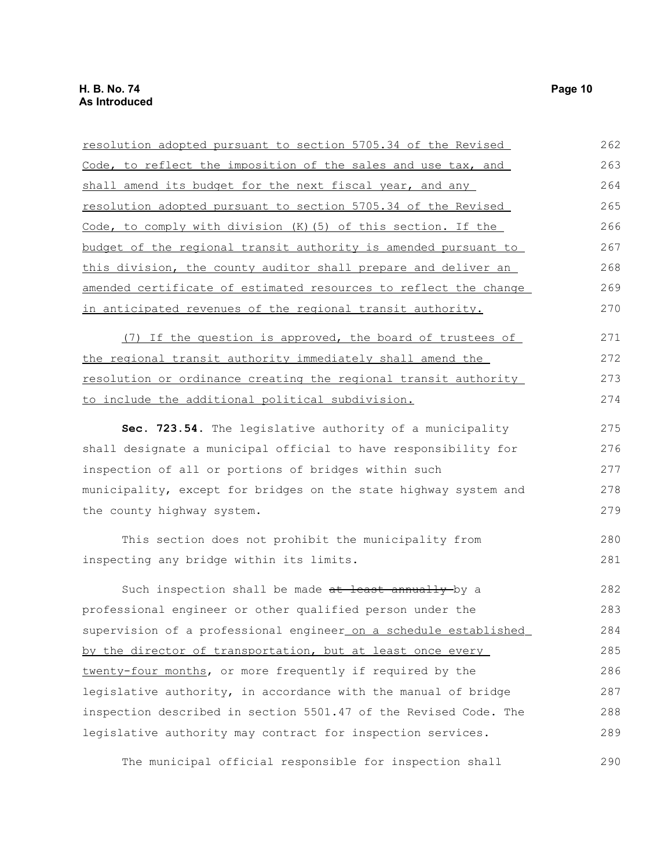| resolution adopted pursuant to section 5705.34 of the Revised    | 262 |
|------------------------------------------------------------------|-----|
| Code, to reflect the imposition of the sales and use tax, and    | 263 |
| shall amend its budget for the next fiscal year, and any         | 264 |
| resolution adopted pursuant to section 5705.34 of the Revised    | 265 |
| Code, to comply with division (K) (5) of this section. If the    | 266 |
| budget of the regional transit authority is amended pursuant to  | 267 |
| this division, the county auditor shall prepare and deliver an   | 268 |
| amended certificate of estimated resources to reflect the change | 269 |
| in anticipated revenues of the regional transit authority.       | 270 |
| (7) If the question is approved, the board of trustees of        | 271 |
| the regional transit authority immediately shall amend the       | 272 |
| resolution or ordinance creating the regional transit authority  | 273 |
| to include the additional political subdivision.                 | 274 |
| Sec. 723.54. The legislative authority of a municipality         | 275 |
| shall designate a municipal official to have responsibility for  | 276 |
| inspection of all or portions of bridges within such             | 277 |
| municipality, except for bridges on the state highway system and | 278 |
| the county highway system.                                       | 279 |
| This section does not prohibit the municipality from             | 280 |
| inspecting any bridge within its limits.                         | 281 |
| Such inspection shall be made at least annually by a             | 282 |
| professional engineer or other qualified person under the        | 283 |
| supervision of a professional engineer on a schedule established | 284 |
| by the director of transportation, but at least once every       | 285 |
| twenty-four months, or more frequently if required by the        | 286 |
| legislative authority, in accordance with the manual of bridge   | 287 |
| inspection described in section 5501.47 of the Revised Code. The | 288 |
| legislative authority may contract for inspection services.      | 289 |
| The municipal official responsible for inspection shall          | 290 |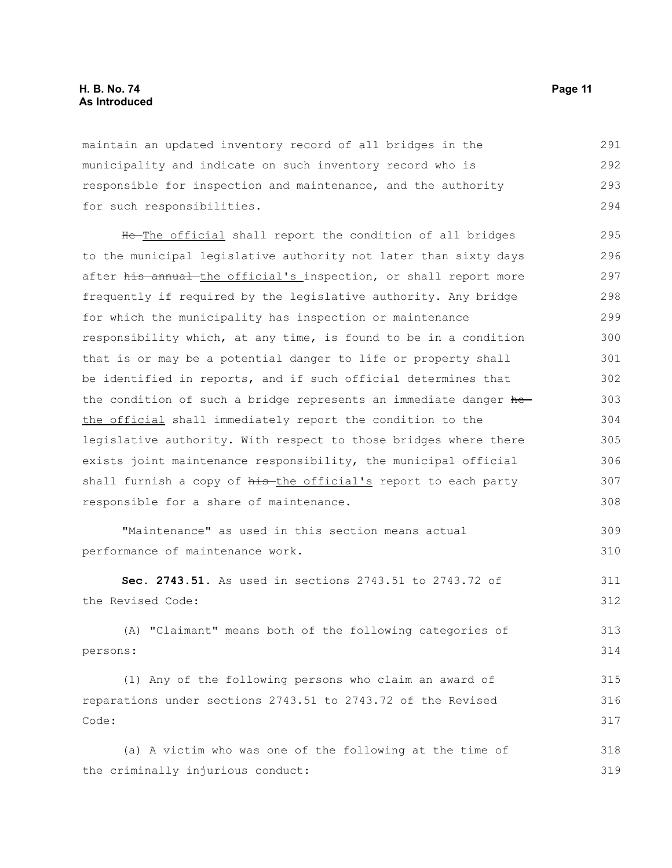#### **H. B. No. 74 Page 11 As Introduced**

maintain an updated inventory record of all bridges in the municipality and indicate on such inventory record who is responsible for inspection and maintenance, and the authority for such responsibilities. 291 292 293 294

He-The official shall report the condition of all bridges to the municipal legislative authority not later than sixty days after his annual the official's inspection, or shall report more frequently if required by the legislative authority. Any bridge for which the municipality has inspection or maintenance responsibility which, at any time, is found to be in a condition that is or may be a potential danger to life or property shall be identified in reports, and if such official determines that the condition of such a bridge represents an immediate danger hethe official shall immediately report the condition to the legislative authority. With respect to those bridges where there exists joint maintenance responsibility, the municipal official shall furnish a copy of his-the official's report to each party responsible for a share of maintenance. 295 296 297 298 299 300 301 302 303 304 305 306 307 308

"Maintenance" as used in this section means actual performance of maintenance work.

**Sec. 2743.51.** As used in sections 2743.51 to 2743.72 of the Revised Code: 311 312

(A) "Claimant" means both of the following categories of persons: 313 314

(1) Any of the following persons who claim an award of reparations under sections 2743.51 to 2743.72 of the Revised Code: 315 316 317

(a) A victim who was one of the following at the time of the criminally injurious conduct: 318 319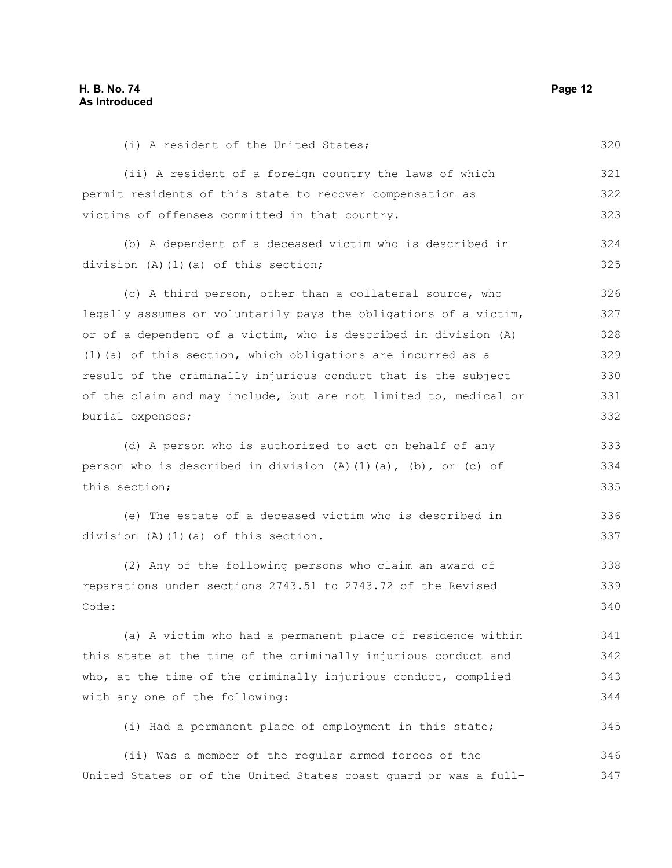(i) A resident of the United States; (ii) A resident of a foreign country the laws of which permit residents of this state to recover compensation as victims of offenses committed in that country. (b) A dependent of a deceased victim who is described in division (A)(1)(a) of this section; (c) A third person, other than a collateral source, who legally assumes or voluntarily pays the obligations of a victim, or of a dependent of a victim, who is described in division (A) (1)(a) of this section, which obligations are incurred as a result of the criminally injurious conduct that is the subject of the claim and may include, but are not limited to, medical or burial expenses; (d) A person who is authorized to act on behalf of any person who is described in division  $(A)$   $(1)$   $(a)$ ,  $(b)$ , or  $(c)$  of this section; (e) The estate of a deceased victim who is described in division (A)(1)(a) of this section. (2) Any of the following persons who claim an award of reparations under sections 2743.51 to 2743.72 of the Revised Code: (a) A victim who had a permanent place of residence within this state at the time of the criminally injurious conduct and who, at the time of the criminally injurious conduct, complied with any one of the following: (i) Had a permanent place of employment in this state; (ii) Was a member of the regular armed forces of the United States or of the United States coast guard or was a full-320 321 322 323 324 325 326 327 328 329 330 331 332 333 334 335 336 337 338 339 340 341 342 343 344 345 346 347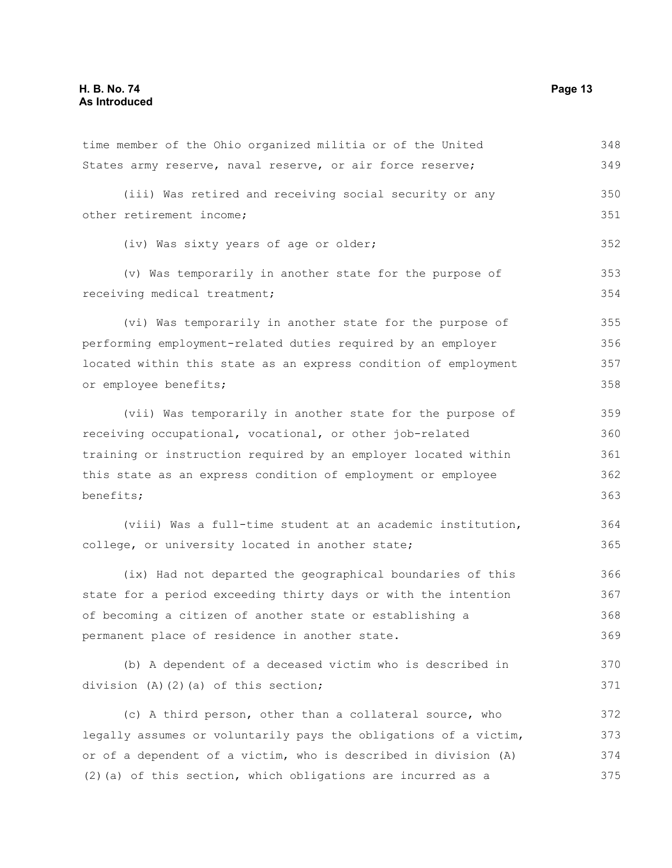| time member of the Ohio organized militia or of the United       | 348 |
|------------------------------------------------------------------|-----|
| States army reserve, naval reserve, or air force reserve;        | 349 |
| (iii) Was retired and receiving social security or any           | 350 |
| other retirement income;                                         | 351 |
| (iv) Was sixty years of age or older;                            | 352 |
| (v) Was temporarily in another state for the purpose of          | 353 |
| receiving medical treatment;                                     | 354 |
| (vi) Was temporarily in another state for the purpose of         | 355 |
| performing employment-related duties required by an employer     | 356 |
| located within this state as an express condition of employment  | 357 |
| or employee benefits;                                            | 358 |
| (vii) Was temporarily in another state for the purpose of        | 359 |
| receiving occupational, vocational, or other job-related         | 360 |
| training or instruction required by an employer located within   | 361 |
| this state as an express condition of employment or employee     | 362 |
| benefits;                                                        | 363 |
| (viii) Was a full-time student at an academic institution,       | 364 |
| college, or university located in another state;                 | 365 |
| (ix) Had not departed the geographical boundaries of this        | 366 |
| state for a period exceeding thirty days or with the intention   | 367 |
| of becoming a citizen of another state or establishing a         | 368 |
| permanent place of residence in another state.                   | 369 |
| (b) A dependent of a deceased victim who is described in         | 370 |
| division (A)(2)(a) of this section;                              | 371 |
| (c) A third person, other than a collateral source, who          | 372 |
| legally assumes or voluntarily pays the obligations of a victim, | 373 |
| or of a dependent of a victim, who is described in division (A)  | 374 |
| (2) (a) of this section, which obligations are incurred as a     | 375 |
|                                                                  |     |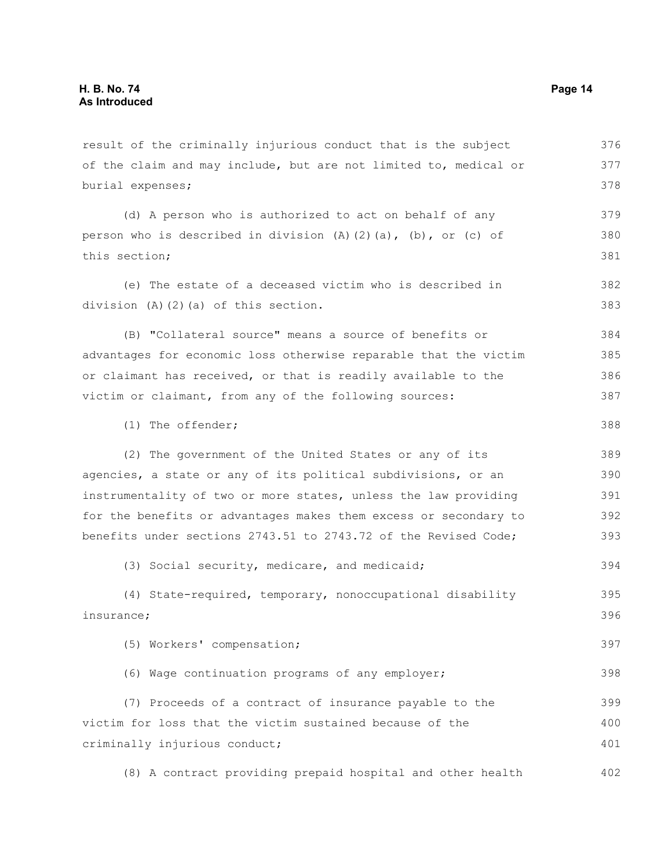result of the criminally injurious conduct that is the subject of the claim and may include, but are not limited to, medical or burial expenses; (d) A person who is authorized to act on behalf of any person who is described in division  $(A)$   $(2)$   $(a)$ ,  $(b)$ , or  $(c)$  of this section; (e) The estate of a deceased victim who is described in division (A)(2)(a) of this section. (B) "Collateral source" means a source of benefits or advantages for economic loss otherwise reparable that the victim or claimant has received, or that is readily available to the victim or claimant, from any of the following sources: (1) The offender; (2) The government of the United States or any of its agencies, a state or any of its political subdivisions, or an instrumentality of two or more states, unless the law providing for the benefits or advantages makes them excess or secondary to benefits under sections 2743.51 to 2743.72 of the Revised Code; (3) Social security, medicare, and medicaid; (4) State-required, temporary, nonoccupational disability insurance; (5) Workers' compensation; (6) Wage continuation programs of any employer; (7) Proceeds of a contract of insurance payable to the victim for loss that the victim sustained because of the criminally injurious conduct; 376 377 378 379 380 381 382 383 384 385 386 387 388 389 390 391 392 393 394 395 396 397 398 399 400 401

(8) A contract providing prepaid hospital and other health 402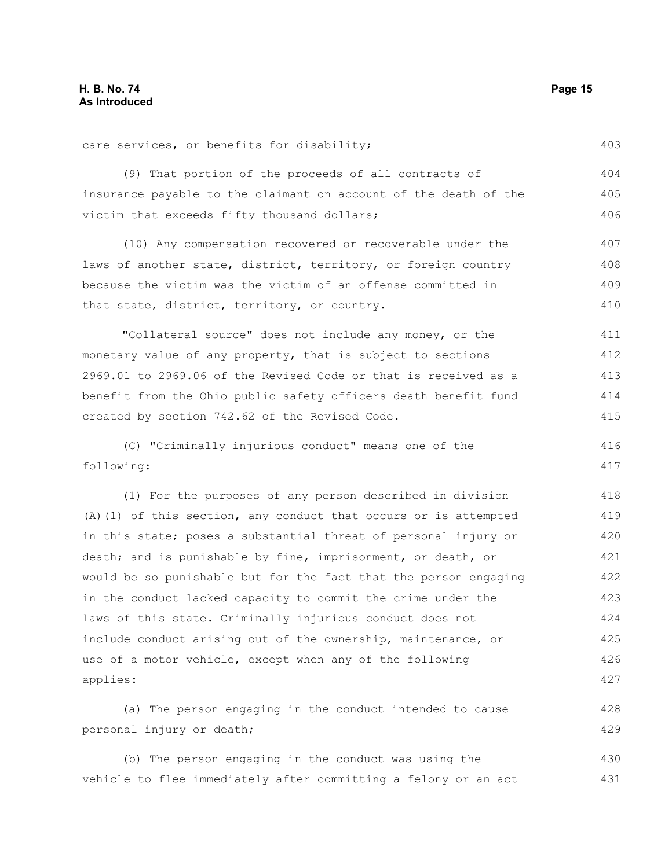| care services, or benefits for disability;                       | 403 |
|------------------------------------------------------------------|-----|
| (9) That portion of the proceeds of all contracts of             | 404 |
| insurance payable to the claimant on account of the death of the | 405 |
| victim that exceeds fifty thousand dollars;                      | 406 |
| (10) Any compensation recovered or recoverable under the         | 407 |
| laws of another state, district, territory, or foreign country   | 408 |
| because the victim was the victim of an offense committed in     | 409 |
| that state, district, territory, or country.                     | 410 |
| "Collateral source" does not include any money, or the           | 411 |
| monetary value of any property, that is subject to sections      | 412 |
| 2969.01 to 2969.06 of the Revised Code or that is received as a  | 413 |
| benefit from the Ohio public safety officers death benefit fund  | 414 |
| created by section 742.62 of the Revised Code.                   | 415 |
| (C) "Criminally injurious conduct" means one of the              | 416 |
| following:                                                       | 417 |
| (1) For the purposes of any person described in division         | 418 |
| (A) (1) of this section, any conduct that occurs or is attempted | 419 |
| in this state; poses a substantial threat of personal injury or  | 420 |
| death; and is punishable by fine, imprisonment, or death, or     | 421 |
| would be so punishable but for the fact that the person engaging | 422 |
| in the conduct lacked capacity to commit the crime under the     | 423 |
| laws of this state. Criminally injurious conduct does not        | 424 |
| include conduct arising out of the ownership, maintenance, or    | 425 |
| use of a motor vehicle, except when any of the following         | 426 |
| applies:                                                         | 427 |
| (a) The person engaging in the conduct intended to cause         | 428 |
| personal injury or death;                                        | 429 |

(b) The person engaging in the conduct was using the vehicle to flee immediately after committing a felony or an act 430 431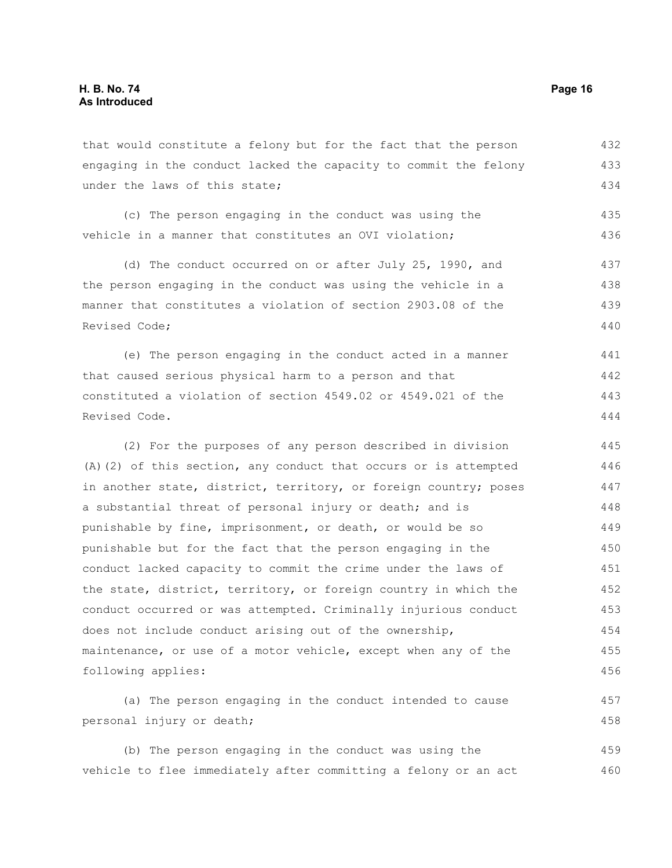that would constitute a felony but for the fact that the person engaging in the conduct lacked the capacity to commit the felony under the laws of this state; 432 433 434

(c) The person engaging in the conduct was using the vehicle in a manner that constitutes an OVI violation; 435 436

(d) The conduct occurred on or after July 25, 1990, and the person engaging in the conduct was using the vehicle in a manner that constitutes a violation of section 2903.08 of the Revised Code; 437 438 439 440

(e) The person engaging in the conduct acted in a manner that caused serious physical harm to a person and that constituted a violation of section 4549.02 or 4549.021 of the Revised Code. 441 442 443 444

(2) For the purposes of any person described in division (A)(2) of this section, any conduct that occurs or is attempted in another state, district, territory, or foreign country; poses a substantial threat of personal injury or death; and is punishable by fine, imprisonment, or death, or would be so punishable but for the fact that the person engaging in the conduct lacked capacity to commit the crime under the laws of the state, district, territory, or foreign country in which the conduct occurred or was attempted. Criminally injurious conduct does not include conduct arising out of the ownership, maintenance, or use of a motor vehicle, except when any of the following applies: 445 446 447 448 449 450 451 452 453 454 455 456

(a) The person engaging in the conduct intended to cause personal injury or death; 457 458

(b) The person engaging in the conduct was using the vehicle to flee immediately after committing a felony or an act 459 460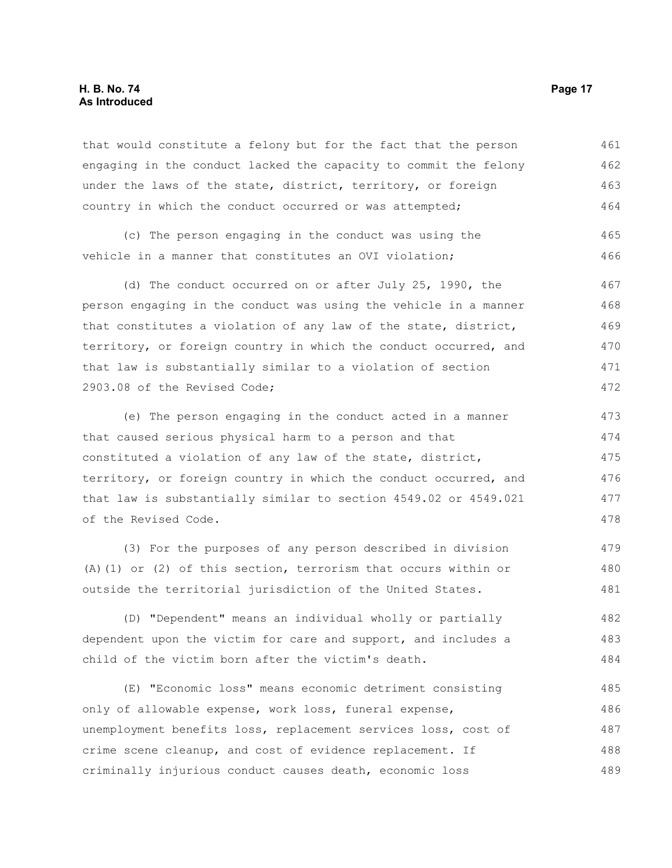#### **H. B. No. 74 Page 17 As Introduced**

that would constitute a felony but for the fact that the person engaging in the conduct lacked the capacity to commit the felony under the laws of the state, district, territory, or foreign country in which the conduct occurred or was attempted; 461 462 463 464

(c) The person engaging in the conduct was using the vehicle in a manner that constitutes an OVI violation; 465 466

(d) The conduct occurred on or after July 25, 1990, the person engaging in the conduct was using the vehicle in a manner that constitutes a violation of any law of the state, district, territory, or foreign country in which the conduct occurred, and that law is substantially similar to a violation of section 2903.08 of the Revised Code; 467 468 469 470 471 472

(e) The person engaging in the conduct acted in a manner that caused serious physical harm to a person and that constituted a violation of any law of the state, district, territory, or foreign country in which the conduct occurred, and that law is substantially similar to section 4549.02 or 4549.021 of the Revised Code.

(3) For the purposes of any person described in division (A)(1) or (2) of this section, terrorism that occurs within or outside the territorial jurisdiction of the United States. 479 480 481

(D) "Dependent" means an individual wholly or partially dependent upon the victim for care and support, and includes a child of the victim born after the victim's death. 482 483 484

(E) "Economic loss" means economic detriment consisting only of allowable expense, work loss, funeral expense, unemployment benefits loss, replacement services loss, cost of crime scene cleanup, and cost of evidence replacement. If criminally injurious conduct causes death, economic loss 485 486 487 488 489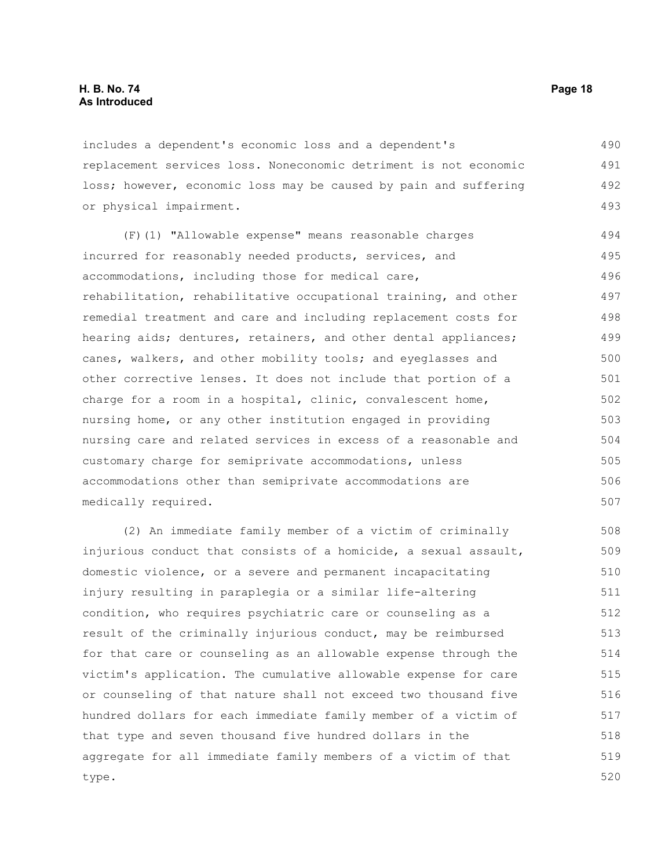#### **H. B. No. 74 Page 18 As Introduced**

includes a dependent's economic loss and a dependent's replacement services loss. Noneconomic detriment is not economic loss; however, economic loss may be caused by pain and suffering or physical impairment. 490 491 492 493

(F)(1) "Allowable expense" means reasonable charges incurred for reasonably needed products, services, and accommodations, including those for medical care, rehabilitation, rehabilitative occupational training, and other remedial treatment and care and including replacement costs for hearing aids; dentures, retainers, and other dental appliances; canes, walkers, and other mobility tools; and eyeglasses and other corrective lenses. It does not include that portion of a charge for a room in a hospital, clinic, convalescent home, nursing home, or any other institution engaged in providing nursing care and related services in excess of a reasonable and customary charge for semiprivate accommodations, unless accommodations other than semiprivate accommodations are medically required. 494 495 496 497 498 499 500 501 502 503 504 505 506 507

(2) An immediate family member of a victim of criminally injurious conduct that consists of a homicide, a sexual assault, domestic violence, or a severe and permanent incapacitating injury resulting in paraplegia or a similar life-altering condition, who requires psychiatric care or counseling as a result of the criminally injurious conduct, may be reimbursed for that care or counseling as an allowable expense through the victim's application. The cumulative allowable expense for care or counseling of that nature shall not exceed two thousand five hundred dollars for each immediate family member of a victim of that type and seven thousand five hundred dollars in the aggregate for all immediate family members of a victim of that type. 508 509 510 511 512 513 514 515 516 517 518 519 520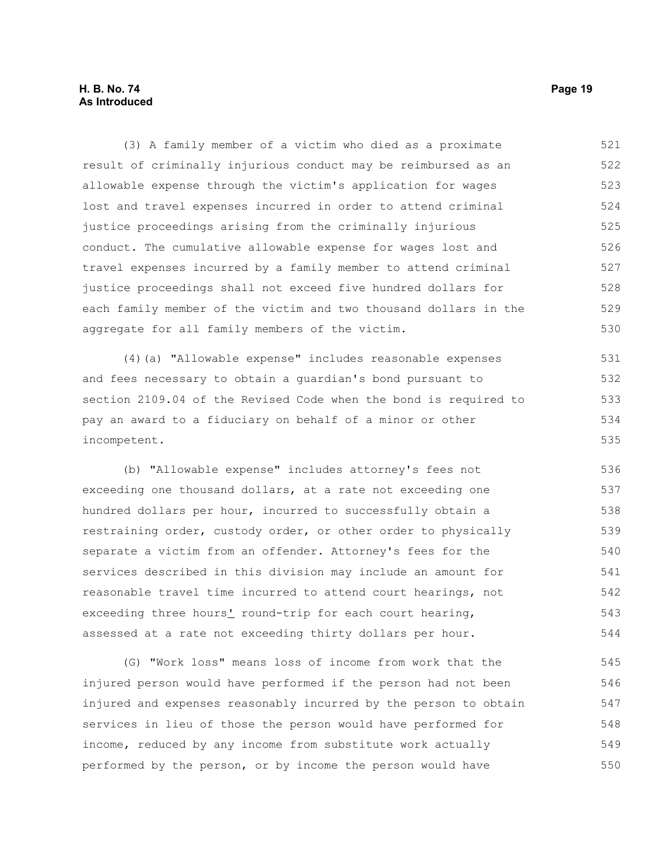#### **H. B. No. 74 Page 19 As Introduced**

(3) A family member of a victim who died as a proximate result of criminally injurious conduct may be reimbursed as an allowable expense through the victim's application for wages lost and travel expenses incurred in order to attend criminal justice proceedings arising from the criminally injurious conduct. The cumulative allowable expense for wages lost and travel expenses incurred by a family member to attend criminal justice proceedings shall not exceed five hundred dollars for each family member of the victim and two thousand dollars in the aggregate for all family members of the victim. 521 522 523 524 525 526 527 528 529 530

(4)(a) "Allowable expense" includes reasonable expenses and fees necessary to obtain a guardian's bond pursuant to section 2109.04 of the Revised Code when the bond is required to pay an award to a fiduciary on behalf of a minor or other incompetent. 531 532 533 534 535

(b) "Allowable expense" includes attorney's fees not exceeding one thousand dollars, at a rate not exceeding one hundred dollars per hour, incurred to successfully obtain a restraining order, custody order, or other order to physically separate a victim from an offender. Attorney's fees for the services described in this division may include an amount for reasonable travel time incurred to attend court hearings, not exceeding three hours' round-trip for each court hearing, assessed at a rate not exceeding thirty dollars per hour. 536 537 538 539 540 541 542 543 544

(G) "Work loss" means loss of income from work that the injured person would have performed if the person had not been injured and expenses reasonably incurred by the person to obtain services in lieu of those the person would have performed for income, reduced by any income from substitute work actually performed by the person, or by income the person would have 545 546 547 548 549 550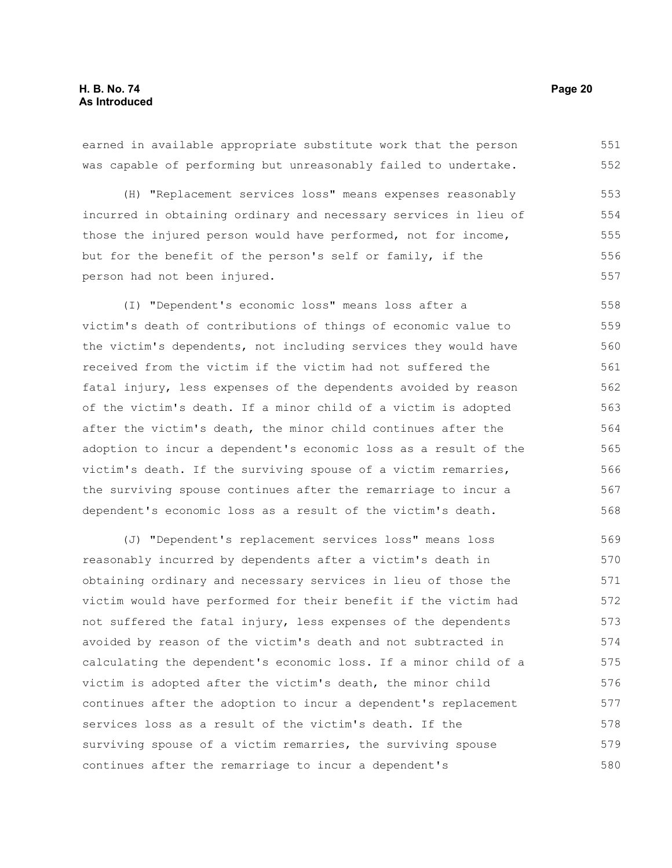earned in available appropriate substitute work that the person was capable of performing but unreasonably failed to undertake. 551 552

(H) "Replacement services loss" means expenses reasonably incurred in obtaining ordinary and necessary services in lieu of those the injured person would have performed, not for income, but for the benefit of the person's self or family, if the person had not been injured. 553 554 555 556 557

(I) "Dependent's economic loss" means loss after a victim's death of contributions of things of economic value to the victim's dependents, not including services they would have received from the victim if the victim had not suffered the fatal injury, less expenses of the dependents avoided by reason of the victim's death. If a minor child of a victim is adopted after the victim's death, the minor child continues after the adoption to incur a dependent's economic loss as a result of the victim's death. If the surviving spouse of a victim remarries, the surviving spouse continues after the remarriage to incur a dependent's economic loss as a result of the victim's death. 558 559 560 561 562 563 564 565 566 567 568

(J) "Dependent's replacement services loss" means loss reasonably incurred by dependents after a victim's death in obtaining ordinary and necessary services in lieu of those the victim would have performed for their benefit if the victim had not suffered the fatal injury, less expenses of the dependents avoided by reason of the victim's death and not subtracted in calculating the dependent's economic loss. If a minor child of a victim is adopted after the victim's death, the minor child continues after the adoption to incur a dependent's replacement services loss as a result of the victim's death. If the surviving spouse of a victim remarries, the surviving spouse continues after the remarriage to incur a dependent's 569 570 571 572 573 574 575 576 577 578 579 580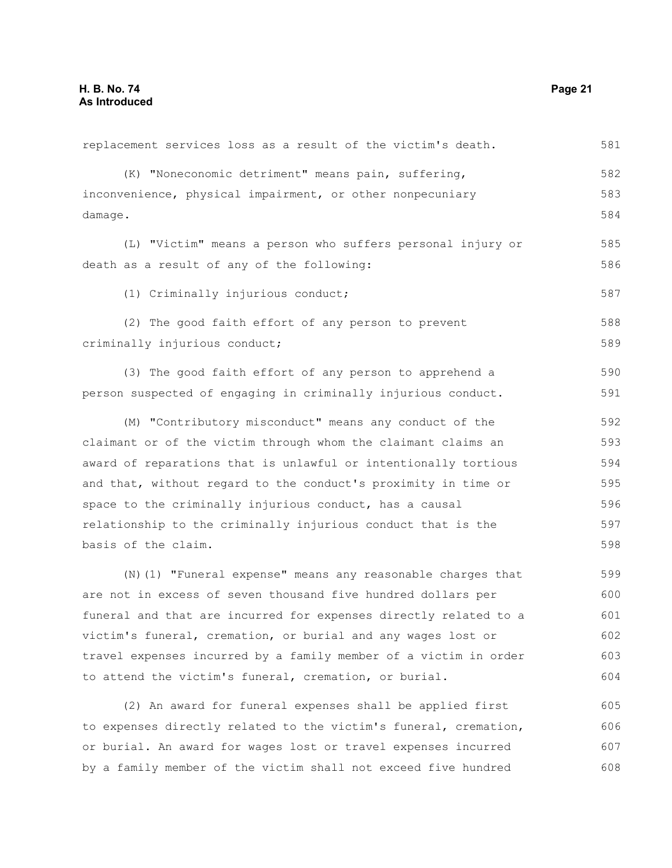| replacement services loss as a result of the victim's death.     | 581 |
|------------------------------------------------------------------|-----|
| (K) "Noneconomic detriment" means pain, suffering,               | 582 |
| inconvenience, physical impairment, or other nonpecuniary        | 583 |
| damage.                                                          | 584 |
| (L) "Victim" means a person who suffers personal injury or       | 585 |
| death as a result of any of the following:                       | 586 |
|                                                                  |     |
| (1) Criminally injurious conduct;                                | 587 |
| (2) The good faith effort of any person to prevent               | 588 |
| criminally injurious conduct;                                    | 589 |
| (3) The good faith effort of any person to apprehend a           | 590 |
| person suspected of engaging in criminally injurious conduct.    | 591 |
| (M) "Contributory misconduct" means any conduct of the           | 592 |
| claimant or of the victim through whom the claimant claims an    | 593 |
| award of reparations that is unlawful or intentionally tortious  | 594 |
| and that, without regard to the conduct's proximity in time or   | 595 |
| space to the criminally injurious conduct, has a causal          | 596 |
| relationship to the criminally injurious conduct that is the     | 597 |
| basis of the claim.                                              | 598 |
| (N) (1) "Funeral expense" means any reasonable charges that      | 599 |
| are not in excess of seven thousand five hundred dollars per     | 600 |
| funeral and that are incurred for expenses directly related to a | 601 |
| victim's funeral, cremation, or burial and any wages lost or     | 602 |
| travel expenses incurred by a family member of a victim in order | 603 |
| to attend the victim's funeral, cremation, or burial.            | 604 |
| (2) An award for funeral expenses shall be applied first         | 605 |
| to expenses directly related to the victim's funeral, cremation, | 606 |
| or burial. An award for wages lost or travel expenses incurred   | 607 |
| by a family member of the victim shall not exceed five hundred   | 608 |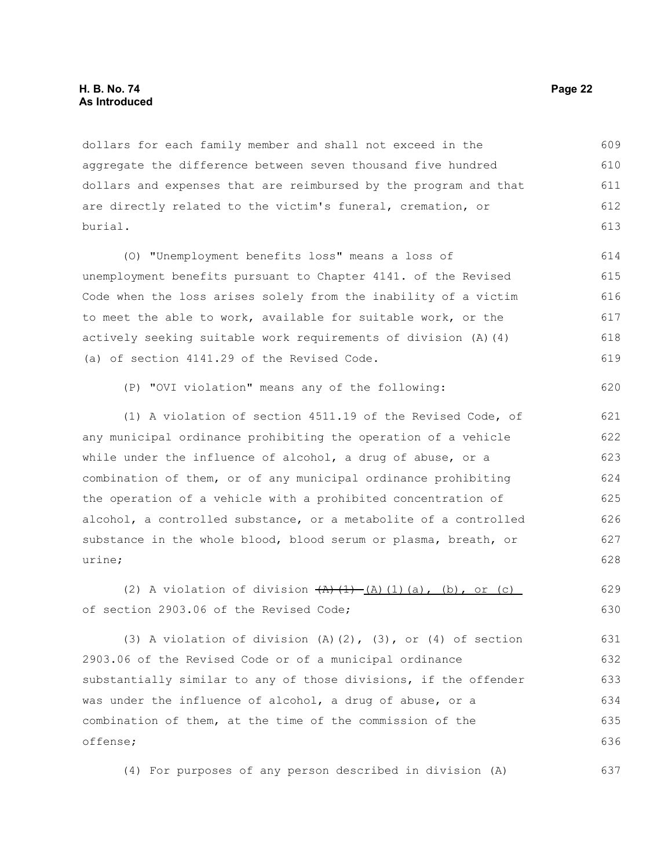dollars for each family member and shall not exceed in the aggregate the difference between seven thousand five hundred dollars and expenses that are reimbursed by the program and that are directly related to the victim's funeral, cremation, or burial. 609 610 611 612 613

(O) "Unemployment benefits loss" means a loss of unemployment benefits pursuant to Chapter 4141. of the Revised Code when the loss arises solely from the inability of a victim to meet the able to work, available for suitable work, or the actively seeking suitable work requirements of division (A)(4) (a) of section 4141.29 of the Revised Code. 614 615 616 617 618 619

(P) "OVI violation" means any of the following:

(1) A violation of section 4511.19 of the Revised Code, of any municipal ordinance prohibiting the operation of a vehicle while under the influence of alcohol, a drug of abuse, or a combination of them, or of any municipal ordinance prohibiting the operation of a vehicle with a prohibited concentration of alcohol, a controlled substance, or a metabolite of a controlled substance in the whole blood, blood serum or plasma, breath, or urine; 621 622 623 624 625 626 627 628

(2) A violation of division  $(A)$   $(1)$   $(A)$   $(1)$   $(a)$ ,  $(b)$ , or  $(c)$ of section 2903.06 of the Revised Code; 629 630

(3) A violation of division  $(A)$   $(2)$ ,  $(3)$ , or  $(4)$  of section 2903.06 of the Revised Code or of a municipal ordinance substantially similar to any of those divisions, if the offender was under the influence of alcohol, a drug of abuse, or a combination of them, at the time of the commission of the offense; 631 632 633 634 635 636

(4) For purposes of any person described in division (A) 637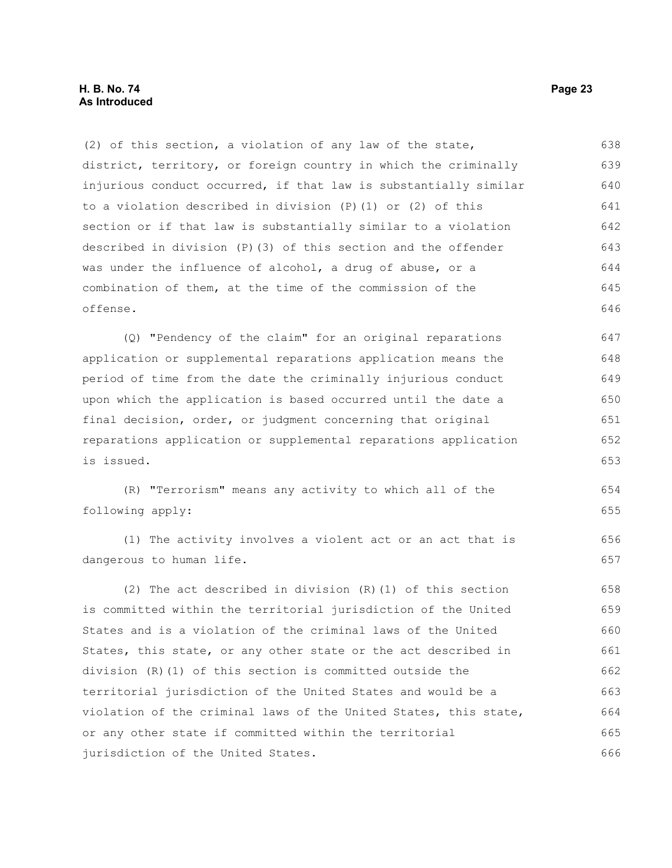#### **H. B. No. 74 Page 23 As Introduced**

(2) of this section, a violation of any law of the state, district, territory, or foreign country in which the criminally injurious conduct occurred, if that law is substantially similar to a violation described in division (P)(1) or (2) of this section or if that law is substantially similar to a violation described in division (P)(3) of this section and the offender was under the influence of alcohol, a drug of abuse, or a combination of them, at the time of the commission of the offense. 638 639 640 641 642 643 644 645 646

(Q) "Pendency of the claim" for an original reparations application or supplemental reparations application means the period of time from the date the criminally injurious conduct upon which the application is based occurred until the date a final decision, order, or judgment concerning that original reparations application or supplemental reparations application is issued. 647 648 649 650 651 652 653

(R) "Terrorism" means any activity to which all of the following apply:

(1) The activity involves a violent act or an act that is dangerous to human life.

(2) The act described in division (R)(1) of this section is committed within the territorial jurisdiction of the United States and is a violation of the criminal laws of the United States, this state, or any other state or the act described in division (R)(1) of this section is committed outside the territorial jurisdiction of the United States and would be a violation of the criminal laws of the United States, this state, or any other state if committed within the territorial jurisdiction of the United States. 658 659 660 661 662 663 664 665 666

654 655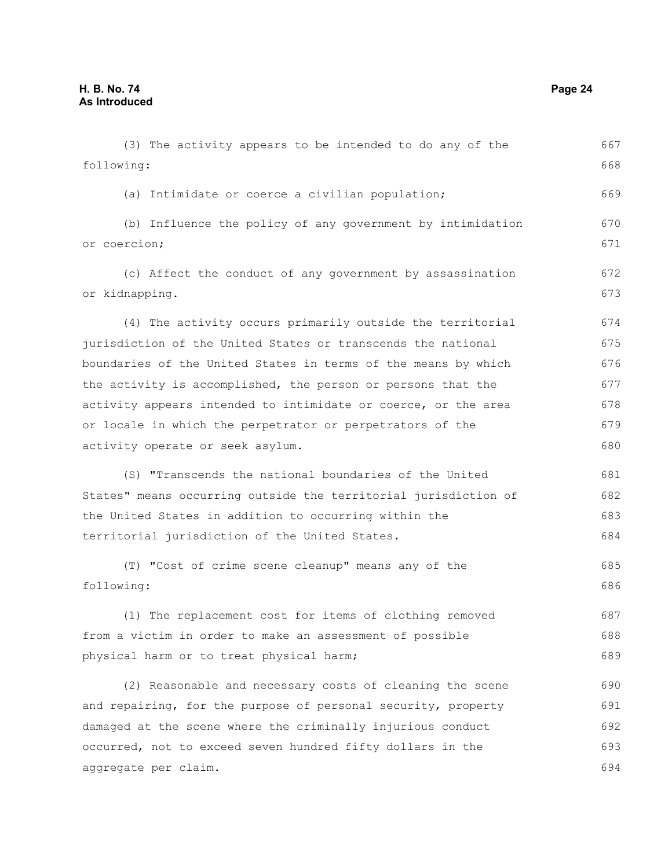(3) The activity appears to be intended to do any of the following: (a) Intimidate or coerce a civilian population; (b) Influence the policy of any government by intimidation or coercion; (c) Affect the conduct of any government by assassination or kidnapping. (4) The activity occurs primarily outside the territorial jurisdiction of the United States or transcends the national boundaries of the United States in terms of the means by which the activity is accomplished, the person or persons that the activity appears intended to intimidate or coerce, or the area or locale in which the perpetrator or perpetrators of the activity operate or seek asylum. (S) "Transcends the national boundaries of the United States" means occurring outside the territorial jurisdiction of the United States in addition to occurring within the territorial jurisdiction of the United States. (T) "Cost of crime scene cleanup" means any of the following: (1) The replacement cost for items of clothing removed from a victim in order to make an assessment of possible physical harm or to treat physical harm; (2) Reasonable and necessary costs of cleaning the scene and repairing, for the purpose of personal security, property damaged at the scene where the criminally injurious conduct occurred, not to exceed seven hundred fifty dollars in the aggregate per claim. 667 668 669 670 671 672 673 674 675 676 677 678 679 680 681 682 683 684 685 686 687 688 689 690 691 692 693 694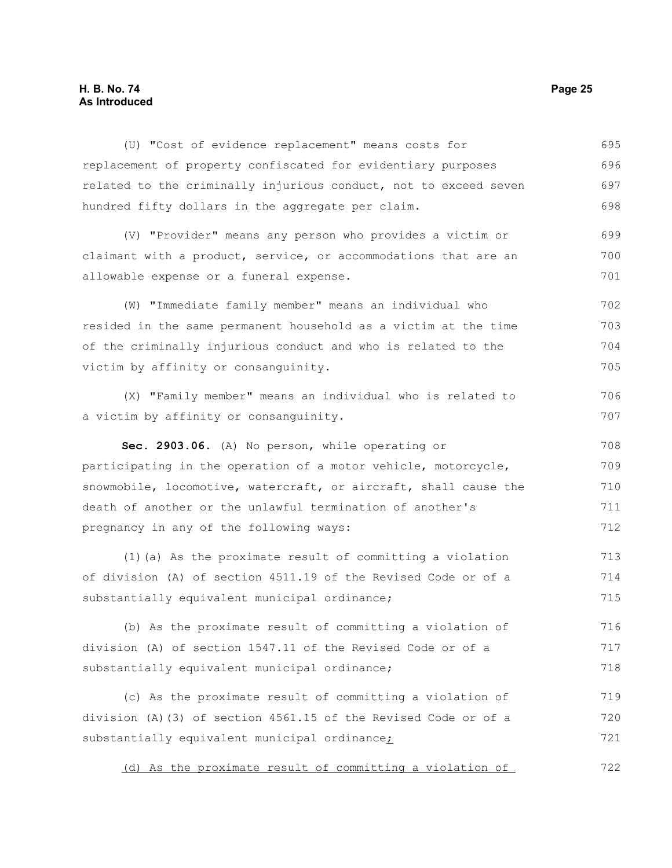#### **H. B. No. 74 Page 25 As Introduced**

(U) "Cost of evidence replacement" means costs for replacement of property confiscated for evidentiary purposes related to the criminally injurious conduct, not to exceed seven hundred fifty dollars in the aggregate per claim. (V) "Provider" means any person who provides a victim or claimant with a product, service, or accommodations that are an allowable expense or a funeral expense. (W) "Immediate family member" means an individual who resided in the same permanent household as a victim at the time of the criminally injurious conduct and who is related to the victim by affinity or consanguinity. (X) "Family member" means an individual who is related to a victim by affinity or consanguinity. **Sec. 2903.06.** (A) No person, while operating or participating in the operation of a motor vehicle, motorcycle, snowmobile, locomotive, watercraft, or aircraft, shall cause the death of another or the unlawful termination of another's pregnancy in any of the following ways: (1)(a) As the proximate result of committing a violation of division (A) of section 4511.19 of the Revised Code or of a substantially equivalent municipal ordinance; (b) As the proximate result of committing a violation of division (A) of section 1547.11 of the Revised Code or of a substantially equivalent municipal ordinance; (c) As the proximate result of committing a violation of division (A)(3) of section 4561.15 of the Revised Code or of a substantially equivalent municipal ordinance; (d) As the proximate result of committing a violation of 695 696 697 698 699 700 701 702 703 704 705 706 707 708 709 710 711 712 713 714 715 716 717 718 719 720 721 722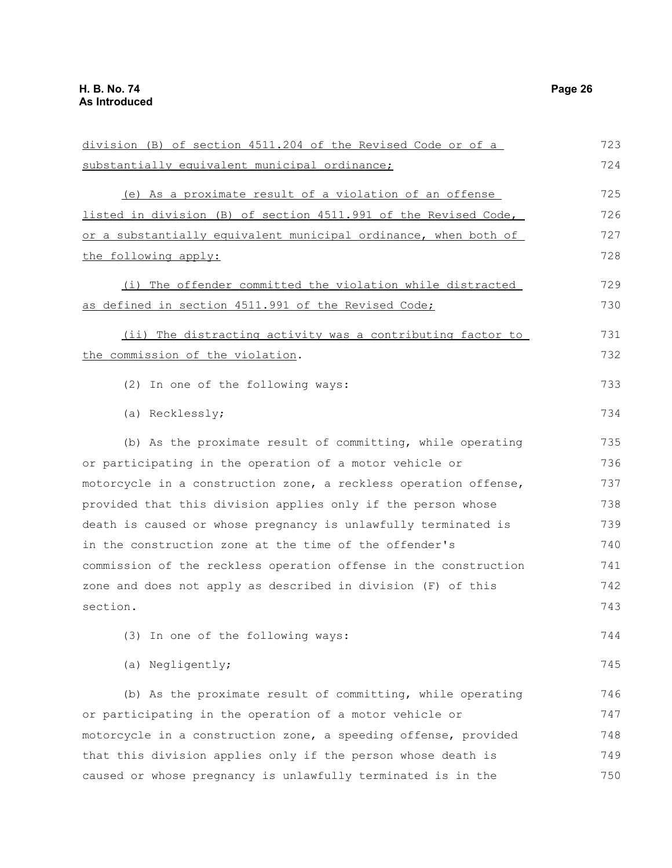| division (B) of section 4511.204 of the Revised Code or of a     | 723 |
|------------------------------------------------------------------|-----|
| substantially equivalent municipal ordinance;                    | 724 |
| (e) As a proximate result of a violation of an offense           | 725 |
| listed in division (B) of section 4511.991 of the Revised Code,  | 726 |
| or a substantially equivalent municipal ordinance, when both of  | 727 |
| the following apply:                                             | 728 |
| (i) The offender committed the violation while distracted        | 729 |
| as defined in section 4511.991 of the Revised Code;              | 730 |
| (ii) The distracting activity was a contributing factor to       | 731 |
| the commission of the violation.                                 | 732 |
| (2) In one of the following ways:                                | 733 |
| (a) Recklessly;                                                  | 734 |
| (b) As the proximate result of committing, while operating       | 735 |
| or participating in the operation of a motor vehicle or          | 736 |
| motorcycle in a construction zone, a reckless operation offense, | 737 |
| provided that this division applies only if the person whose     | 738 |
| death is caused or whose pregnancy is unlawfully terminated is   | 739 |
| in the construction zone at the time of the offender's           | 740 |
| commission of the reckless operation offense in the construction | 741 |
| zone and does not apply as described in division (F) of this     | 742 |
| section.                                                         | 743 |
| (3) In one of the following ways:                                | 744 |
| (a) Negligently;                                                 | 745 |
| (b) As the proximate result of committing, while operating       | 746 |
| or participating in the operation of a motor vehicle or          | 747 |
| motorcycle in a construction zone, a speeding offense, provided  | 748 |
| that this division applies only if the person whose death is     | 749 |
| caused or whose pregnancy is unlawfully terminated is in the     | 750 |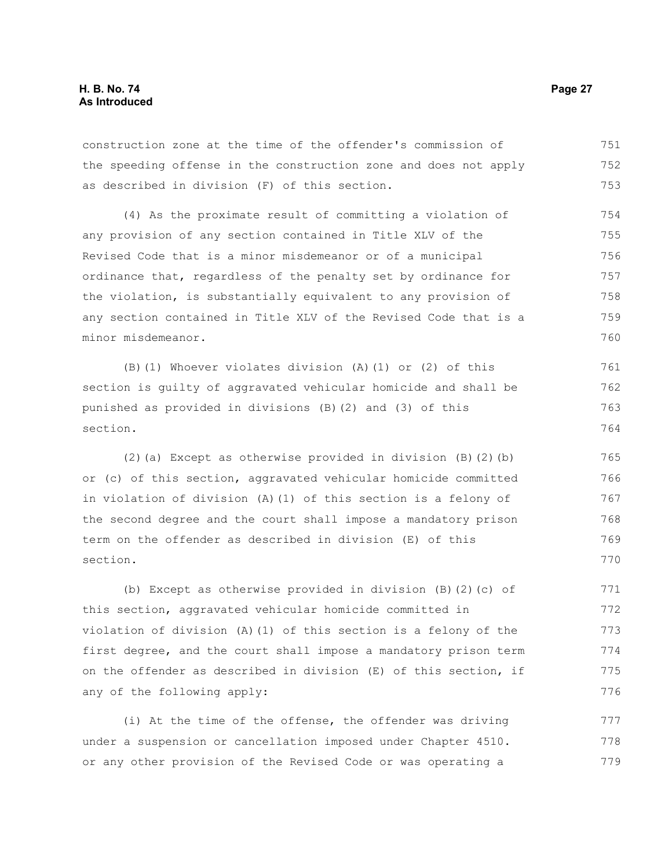construction zone at the time of the offender's commission of the speeding offense in the construction zone and does not apply as described in division (F) of this section. 751 752 753

(4) As the proximate result of committing a violation of any provision of any section contained in Title XLV of the Revised Code that is a minor misdemeanor or of a municipal ordinance that, regardless of the penalty set by ordinance for the violation, is substantially equivalent to any provision of any section contained in Title XLV of the Revised Code that is a minor misdemeanor. 754 755 756 757 758 759 760

(B)(1) Whoever violates division (A)(1) or (2) of this section is guilty of aggravated vehicular homicide and shall be punished as provided in divisions (B)(2) and (3) of this section. 761 762 763 764

(2)(a) Except as otherwise provided in division (B)(2)(b) or (c) of this section, aggravated vehicular homicide committed in violation of division (A)(1) of this section is a felony of the second degree and the court shall impose a mandatory prison term on the offender as described in division (E) of this section.

(b) Except as otherwise provided in division (B)(2)(c) of this section, aggravated vehicular homicide committed in violation of division (A)(1) of this section is a felony of the first degree, and the court shall impose a mandatory prison term on the offender as described in division  $(E)$  of this section, if any of the following apply: 771 772 773 774 775 776

(i) At the time of the offense, the offender was driving under a suspension or cancellation imposed under Chapter 4510. or any other provision of the Revised Code or was operating a 777 778 779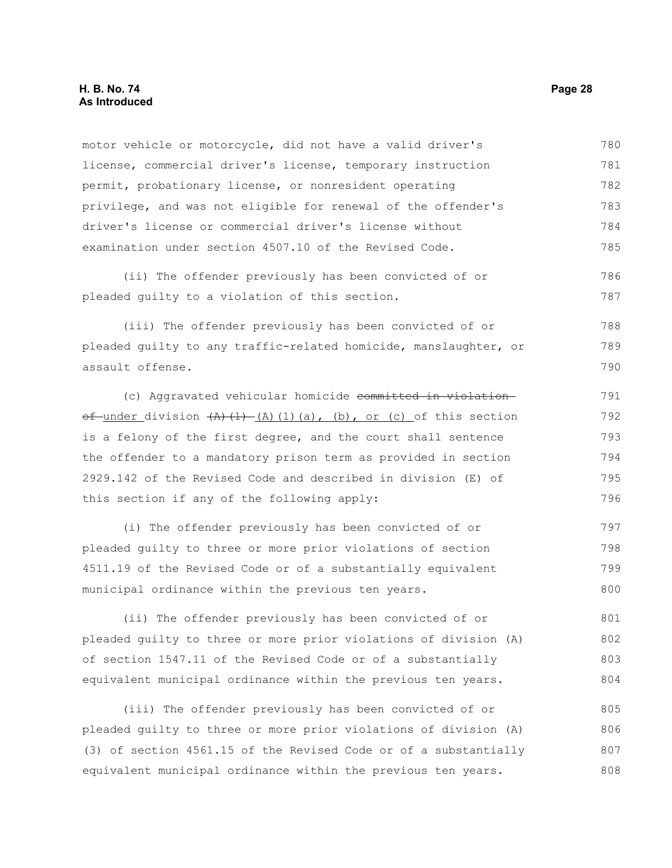#### **H. B. No. 74 Page 28 As Introduced**

motor vehicle or motorcycle, did not have a valid driver's license, commercial driver's license, temporary instruction permit, probationary license, or nonresident operating privilege, and was not eligible for renewal of the offender's driver's license or commercial driver's license without examination under section 4507.10 of the Revised Code. 780 781 782 783 784 785

(ii) The offender previously has been convicted of or pleaded guilty to a violation of this section. 786 787

(iii) The offender previously has been convicted of or pleaded guilty to any traffic-related homicide, manslaughter, or assault offense.

(c) Aggravated vehicular homicide committed in violation  $ef$ -under division  $(A)$   $(1)$   $(A)$   $(1)$   $(a)$ ,  $(b)$ , or  $(c)$  of this section is a felony of the first degree, and the court shall sentence the offender to a mandatory prison term as provided in section 2929.142 of the Revised Code and described in division (E) of this section if any of the following apply:

(i) The offender previously has been convicted of or pleaded guilty to three or more prior violations of section 4511.19 of the Revised Code or of a substantially equivalent municipal ordinance within the previous ten years. 797 798 799 800

(ii) The offender previously has been convicted of or pleaded guilty to three or more prior violations of division (A) of section 1547.11 of the Revised Code or of a substantially equivalent municipal ordinance within the previous ten years. 801 802 803 804

(iii) The offender previously has been convicted of or pleaded guilty to three or more prior violations of division (A) (3) of section 4561.15 of the Revised Code or of a substantially equivalent municipal ordinance within the previous ten years. 805 806 807 808

788 789 790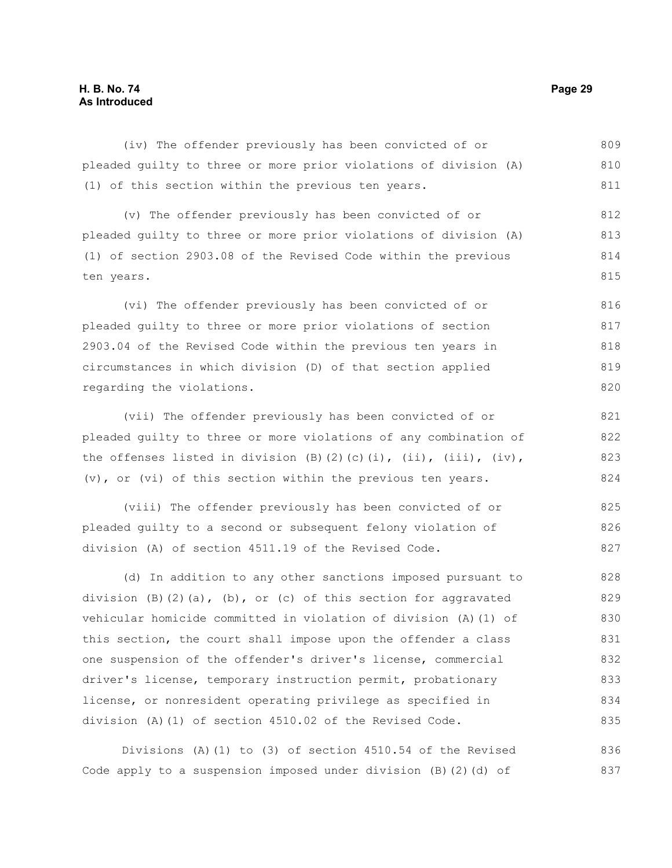#### **H. B. No. 74 Page 29 As Introduced**

(iv) The offender previously has been convicted of or pleaded guilty to three or more prior violations of division (A) (1) of this section within the previous ten years. 809 810 811

(v) The offender previously has been convicted of or pleaded guilty to three or more prior violations of division (A) (1) of section 2903.08 of the Revised Code within the previous ten years. 812 813 814 815

(vi) The offender previously has been convicted of or pleaded guilty to three or more prior violations of section 2903.04 of the Revised Code within the previous ten years in circumstances in which division (D) of that section applied regarding the violations. 816 817 818 819 820

(vii) The offender previously has been convicted of or pleaded guilty to three or more violations of any combination of the offenses listed in division  $(B)$   $(2)$   $(c)$   $(i)$ ,  $(ii)$ ,  $(iii)$ ,  $(iv)$ , (v), or (vi) of this section within the previous ten years. 821 822 823 824

(viii) The offender previously has been convicted of or pleaded guilty to a second or subsequent felony violation of division (A) of section 4511.19 of the Revised Code. 825 826 827

(d) In addition to any other sanctions imposed pursuant to division  $(B)$   $(2)$   $(a)$ ,  $(b)$ , or  $(c)$  of this section for aggravated vehicular homicide committed in violation of division (A)(1) of this section, the court shall impose upon the offender a class one suspension of the offender's driver's license, commercial driver's license, temporary instruction permit, probationary license, or nonresident operating privilege as specified in division (A)(1) of section 4510.02 of the Revised Code. 828 829 830 831 832 833 834 835

Divisions (A)(1) to (3) of section 4510.54 of the Revised Code apply to a suspension imposed under division (B)(2)(d) of 836 837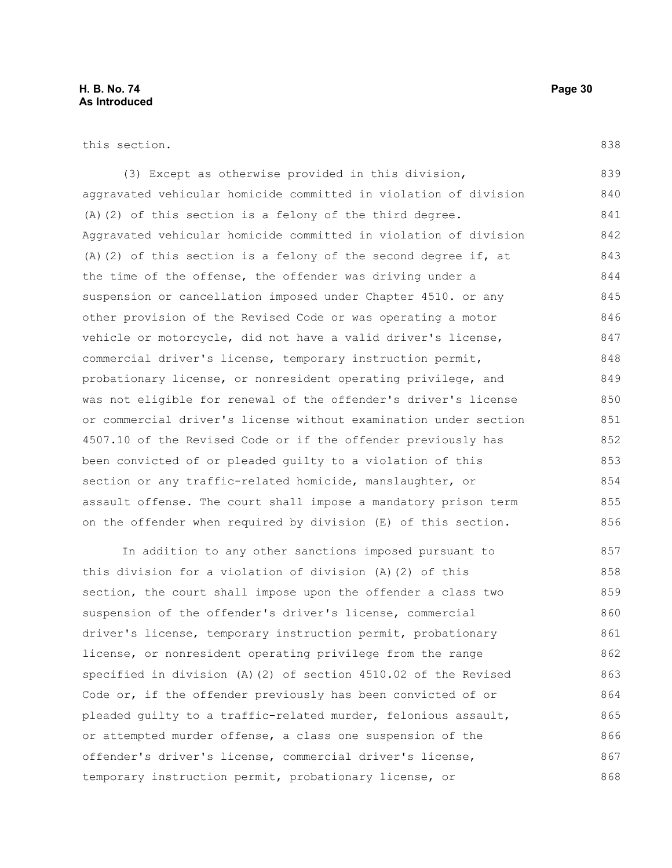this section.

838

(3) Except as otherwise provided in this division, aggravated vehicular homicide committed in violation of division (A)(2) of this section is a felony of the third degree. Aggravated vehicular homicide committed in violation of division (A)(2) of this section is a felony of the second degree if, at the time of the offense, the offender was driving under a suspension or cancellation imposed under Chapter 4510. or any other provision of the Revised Code or was operating a motor vehicle or motorcycle, did not have a valid driver's license, commercial driver's license, temporary instruction permit, probationary license, or nonresident operating privilege, and was not eligible for renewal of the offender's driver's license or commercial driver's license without examination under section 4507.10 of the Revised Code or if the offender previously has been convicted of or pleaded guilty to a violation of this section or any traffic-related homicide, manslaughter, or assault offense. The court shall impose a mandatory prison term on the offender when required by division (E) of this section. 839 840 841 842 843 844 845 846 847 848 849 850 851 852 853 854 855 856

In addition to any other sanctions imposed pursuant to this division for a violation of division (A)(2) of this section, the court shall impose upon the offender a class two suspension of the offender's driver's license, commercial driver's license, temporary instruction permit, probationary license, or nonresident operating privilege from the range specified in division (A)(2) of section 4510.02 of the Revised Code or, if the offender previously has been convicted of or pleaded guilty to a traffic-related murder, felonious assault, or attempted murder offense, a class one suspension of the offender's driver's license, commercial driver's license, temporary instruction permit, probationary license, or 857 858 859 860 861 862 863 864 865 866 867 868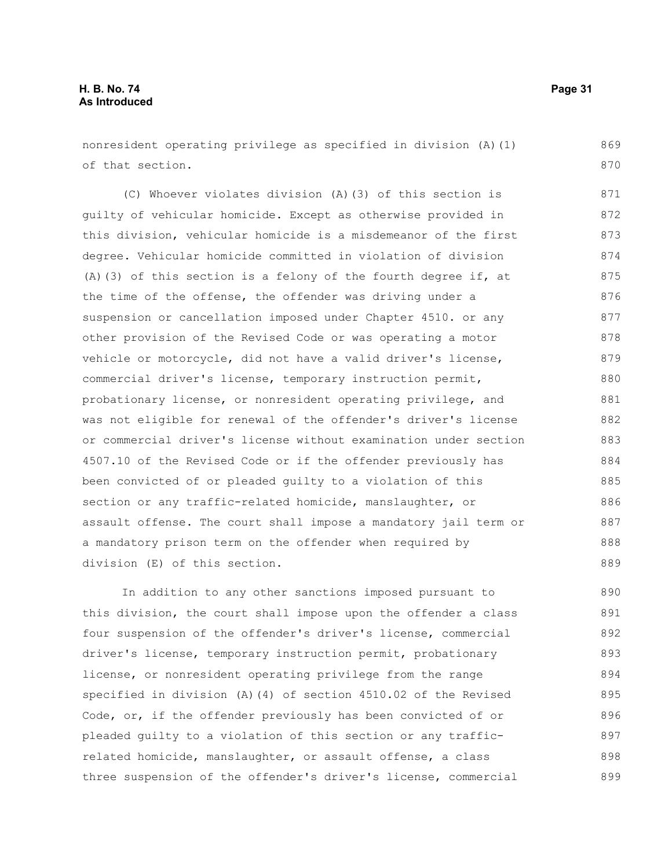nonresident operating privilege as specified in division (A)(1) of that section. 869 870

(C) Whoever violates division (A)(3) of this section is guilty of vehicular homicide. Except as otherwise provided in this division, vehicular homicide is a misdemeanor of the first degree. Vehicular homicide committed in violation of division (A)(3) of this section is a felony of the fourth degree if, at the time of the offense, the offender was driving under a suspension or cancellation imposed under Chapter 4510. or any other provision of the Revised Code or was operating a motor vehicle or motorcycle, did not have a valid driver's license, commercial driver's license, temporary instruction permit, probationary license, or nonresident operating privilege, and was not eligible for renewal of the offender's driver's license or commercial driver's license without examination under section 4507.10 of the Revised Code or if the offender previously has been convicted of or pleaded guilty to a violation of this section or any traffic-related homicide, manslaughter, or assault offense. The court shall impose a mandatory jail term or a mandatory prison term on the offender when required by division (E) of this section. 871 872 873 874 875 876 877 878 879 880 881 882 883 884 885 886 887 888 889

In addition to any other sanctions imposed pursuant to this division, the court shall impose upon the offender a class four suspension of the offender's driver's license, commercial driver's license, temporary instruction permit, probationary license, or nonresident operating privilege from the range specified in division (A)(4) of section 4510.02 of the Revised Code, or, if the offender previously has been convicted of or pleaded guilty to a violation of this section or any trafficrelated homicide, manslaughter, or assault offense, a class three suspension of the offender's driver's license, commercial 890 891 892 893 894 895 896 897 898 899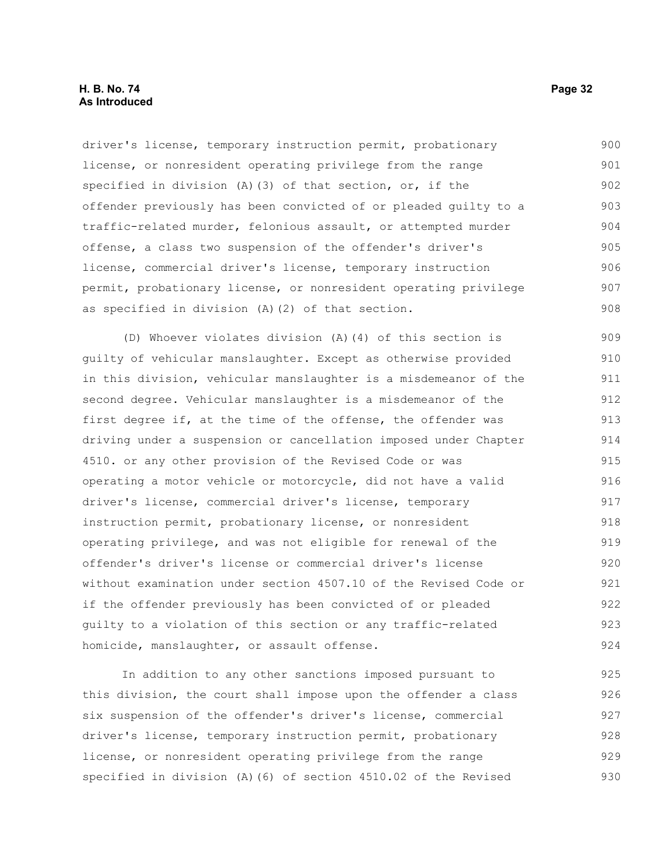driver's license, temporary instruction permit, probationary license, or nonresident operating privilege from the range specified in division (A)(3) of that section, or, if the offender previously has been convicted of or pleaded guilty to a traffic-related murder, felonious assault, or attempted murder offense, a class two suspension of the offender's driver's license, commercial driver's license, temporary instruction permit, probationary license, or nonresident operating privilege as specified in division (A)(2) of that section. 900 901 902 903 904 905 906 907 908

(D) Whoever violates division (A)(4) of this section is guilty of vehicular manslaughter. Except as otherwise provided in this division, vehicular manslaughter is a misdemeanor of the second degree. Vehicular manslaughter is a misdemeanor of the first degree if, at the time of the offense, the offender was driving under a suspension or cancellation imposed under Chapter 4510. or any other provision of the Revised Code or was operating a motor vehicle or motorcycle, did not have a valid driver's license, commercial driver's license, temporary instruction permit, probationary license, or nonresident operating privilege, and was not eligible for renewal of the offender's driver's license or commercial driver's license without examination under section 4507.10 of the Revised Code or if the offender previously has been convicted of or pleaded guilty to a violation of this section or any traffic-related homicide, manslaughter, or assault offense. 909 910 911 912 913 914 915 916 917 918 919 920 921 922 923 924

In addition to any other sanctions imposed pursuant to this division, the court shall impose upon the offender a class six suspension of the offender's driver's license, commercial driver's license, temporary instruction permit, probationary license, or nonresident operating privilege from the range specified in division (A)(6) of section 4510.02 of the Revised 925 926 927 928 929 930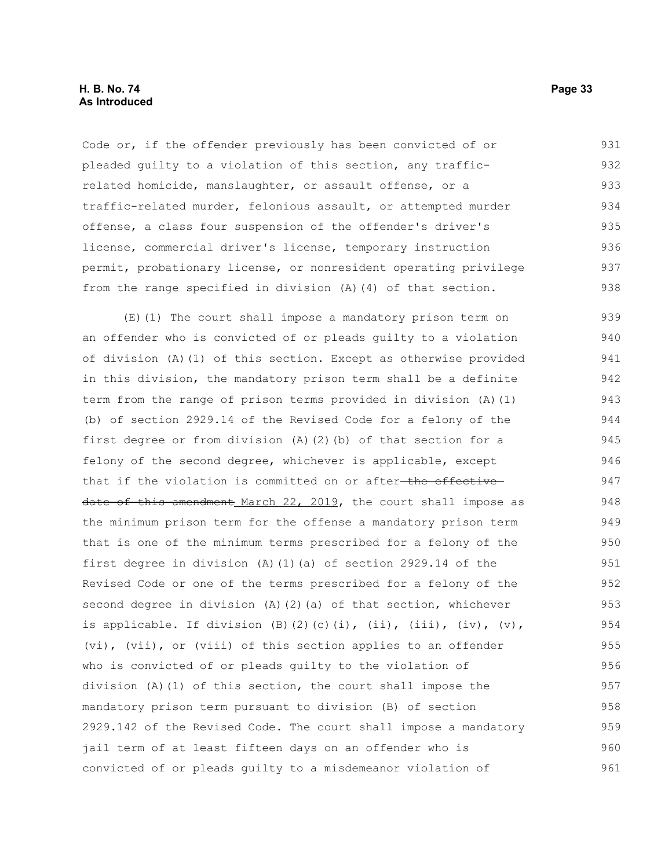Code or, if the offender previously has been convicted of or pleaded guilty to a violation of this section, any trafficrelated homicide, manslaughter, or assault offense, or a traffic-related murder, felonious assault, or attempted murder offense, a class four suspension of the offender's driver's license, commercial driver's license, temporary instruction permit, probationary license, or nonresident operating privilege from the range specified in division (A)(4) of that section. 931 932 933 934 935 936 937 938

(E)(1) The court shall impose a mandatory prison term on an offender who is convicted of or pleads guilty to a violation of division (A)(1) of this section. Except as otherwise provided in this division, the mandatory prison term shall be a definite term from the range of prison terms provided in division (A)(1) (b) of section 2929.14 of the Revised Code for a felony of the first degree or from division (A)(2)(b) of that section for a felony of the second degree, whichever is applicable, except that if the violation is committed on or after-the effective date of this amendment March 22, 2019, the court shall impose as the minimum prison term for the offense a mandatory prison term that is one of the minimum terms prescribed for a felony of the first degree in division  $(A)$   $(1)$   $(a)$  of section 2929.14 of the Revised Code or one of the terms prescribed for a felony of the second degree in division (A)(2)(a) of that section, whichever is applicable. If division  $(B)$   $(2)$   $(c)$   $(i)$ ,  $(ii)$ ,  $(iii)$ ,  $(iv)$ ,  $(v)$ , (vi), (vii), or (viii) of this section applies to an offender who is convicted of or pleads guilty to the violation of division (A)(1) of this section, the court shall impose the mandatory prison term pursuant to division (B) of section 2929.142 of the Revised Code. The court shall impose a mandatory jail term of at least fifteen days on an offender who is convicted of or pleads guilty to a misdemeanor violation of 939 940 941 942 943 944 945 946 947 948 949 950 951 952 953 954 955 956 957 958 959 960 961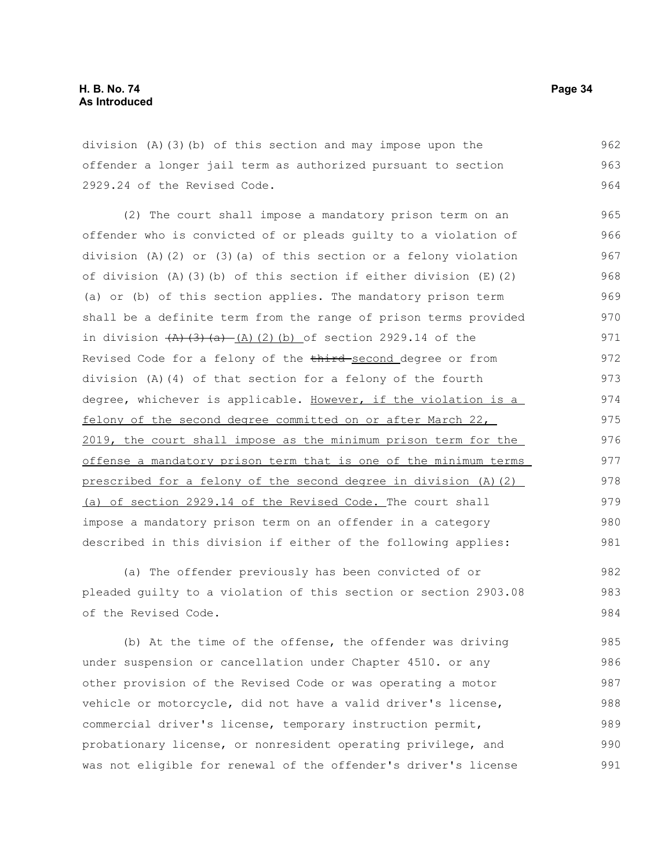division (A)(3)(b) of this section and may impose upon the offender a longer jail term as authorized pursuant to section 2929.24 of the Revised Code. 962 963 964

(2) The court shall impose a mandatory prison term on an offender who is convicted of or pleads guilty to a violation of division (A)(2) or (3)(a) of this section or a felony violation of division (A)(3)(b) of this section if either division  $(E)(2)$ (a) or (b) of this section applies. The mandatory prison term shall be a definite term from the range of prison terms provided in division  $(A)$   $(3)$   $(a)$   $(A)$   $(2)$   $(b)$  of section 2929.14 of the Revised Code for a felony of the third-second degree or from division (A)(4) of that section for a felony of the fourth degree, whichever is applicable. However, if the violation is a felony of the second degree committed on or after March 22, 2019, the court shall impose as the minimum prison term for the offense a mandatory prison term that is one of the minimum terms prescribed for a felony of the second degree in division (A)(2) (a) of section 2929.14 of the Revised Code. The court shall impose a mandatory prison term on an offender in a category described in this division if either of the following applies: 965 966 967 968 969 970 971 972 973 974 975 976 977 978 979 980 981

(a) The offender previously has been convicted of or pleaded guilty to a violation of this section or section 2903.08 of the Revised Code. 982 983 984

(b) At the time of the offense, the offender was driving under suspension or cancellation under Chapter 4510. or any other provision of the Revised Code or was operating a motor vehicle or motorcycle, did not have a valid driver's license, commercial driver's license, temporary instruction permit, probationary license, or nonresident operating privilege, and was not eligible for renewal of the offender's driver's license 985 986 987 988 989 990 991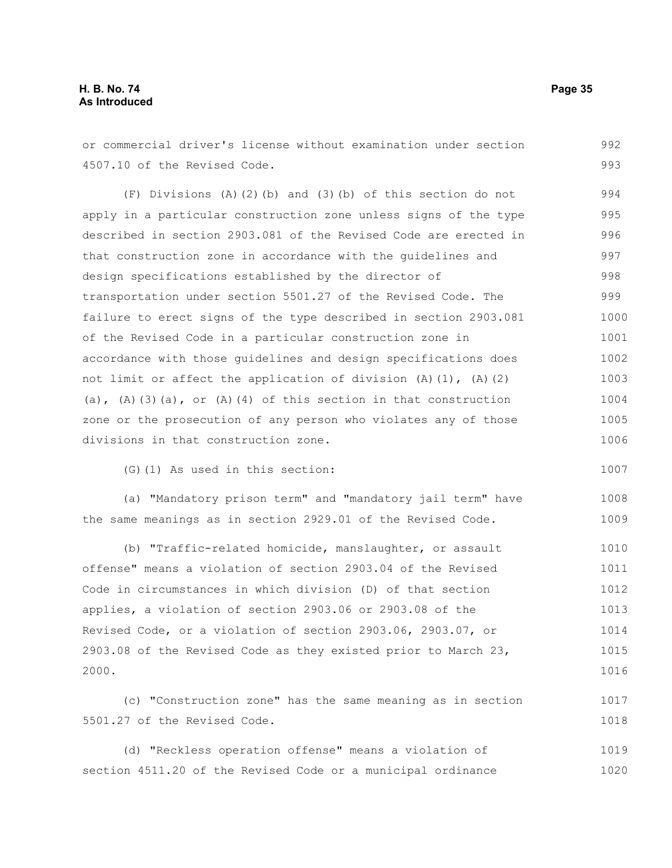#### **H. B. No. 74 Page 35 As Introduced**

or commercial driver's license without examination under section 4507.10 of the Revised Code. (F) Divisions (A)(2)(b) and (3)(b) of this section do not apply in a particular construction zone unless signs of the type described in section 2903.081 of the Revised Code are erected in that construction zone in accordance with the guidelines and design specifications established by the director of transportation under section 5501.27 of the Revised Code. The failure to erect signs of the type described in section 2903.081 of the Revised Code in a particular construction zone in accordance with those guidelines and design specifications does not limit or affect the application of division  $(A)$   $(1)$ ,  $(A)$   $(2)$ (a),  $(A)$ (3)(a), or  $(A)$ (4) of this section in that construction zone or the prosecution of any person who violates any of those divisions in that construction zone. (G)(1) As used in this section: (a) "Mandatory prison term" and "mandatory jail term" have the same meanings as in section 2929.01 of the Revised Code. (b) "Traffic-related homicide, manslaughter, or assault offense" means a violation of section 2903.04 of the Revised Code in circumstances in which division (D) of that section applies, a violation of section 2903.06 or 2903.08 of the Revised Code, or a violation of section 2903.06, 2903.07, or 2903.08 of the Revised Code as they existed prior to March 23, 2000. (c) "Construction zone" has the same meaning as in section 5501.27 of the Revised Code. (d) "Reckless operation offense" means a violation of 992 993 994 995 996 997 998 999 1000 1001 1002 1003 1004 1005 1006 1007 1008 1009 1010 1011 1012 1013 1014 1015 1016 1017 1018 1019

section 4511.20 of the Revised Code or a municipal ordinance 1020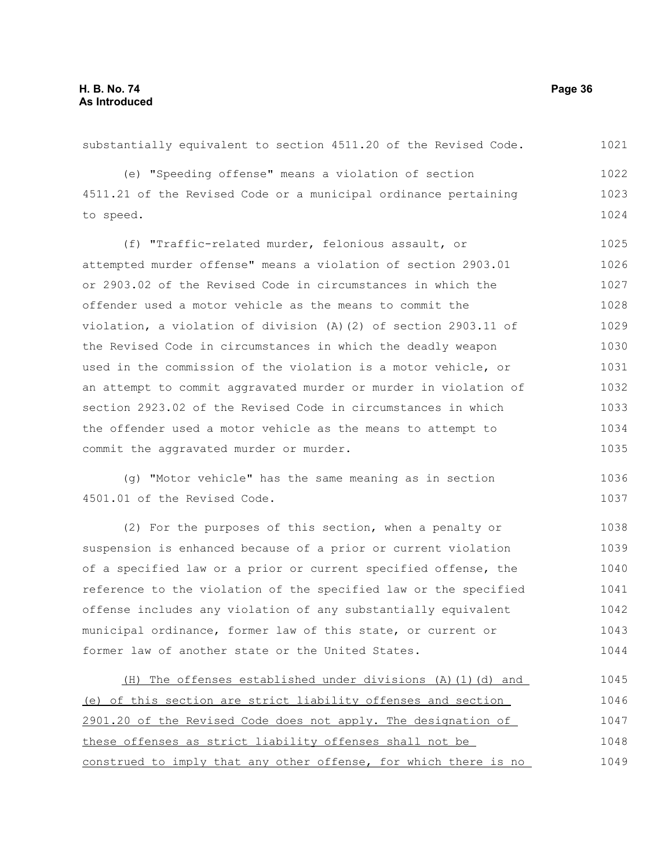| substantially equivalent to section 4511.20 of the Revised Code.   | 1021 |
|--------------------------------------------------------------------|------|
| (e) "Speeding offense" means a violation of section                | 1022 |
| 4511.21 of the Revised Code or a municipal ordinance pertaining    | 1023 |
| to speed.                                                          | 1024 |
| (f) "Traffic-related murder, felonious assault, or                 | 1025 |
| attempted murder offense" means a violation of section 2903.01     | 1026 |
| or 2903.02 of the Revised Code in circumstances in which the       | 1027 |
| offender used a motor vehicle as the means to commit the           | 1028 |
| violation, a violation of division $(A)$ (2) of section 2903.11 of | 1029 |
| the Revised Code in circumstances in which the deadly weapon       | 1030 |
| used in the commission of the violation is a motor vehicle, or     | 1031 |
| an attempt to commit aggravated murder or murder in violation of   | 1032 |
| section 2923.02 of the Revised Code in circumstances in which      | 1033 |
| the offender used a motor vehicle as the means to attempt to       | 1034 |
| commit the aggravated murder or murder.                            | 1035 |
| (g) "Motor vehicle" has the same meaning as in section             | 1036 |
| 4501.01 of the Revised Code.                                       | 1037 |
| (2) For the purposes of this section, when a penalty or            | 1038 |
| suspension is enhanced because of a prior or current violation     | 1039 |
| of a specified law or a prior or current specified offense, the    | 1040 |
| reference to the violation of the specified law or the specified   | 1041 |
| offense includes any violation of any substantially equivalent     | 1042 |
| municipal ordinance, former law of this state, or current or       | 1043 |
| former law of another state or the United States.                  | 1044 |
| (H) The offenses established under divisions (A) $(1)$ $(d)$ and   | 1045 |
| (e) of this section are strict liability offenses and section      | 1046 |
| 2901.20 of the Revised Code does not apply. The designation of     | 1047 |

construed to imply that any other offense, for which there is no 1049

these offenses as strict liability offenses shall not be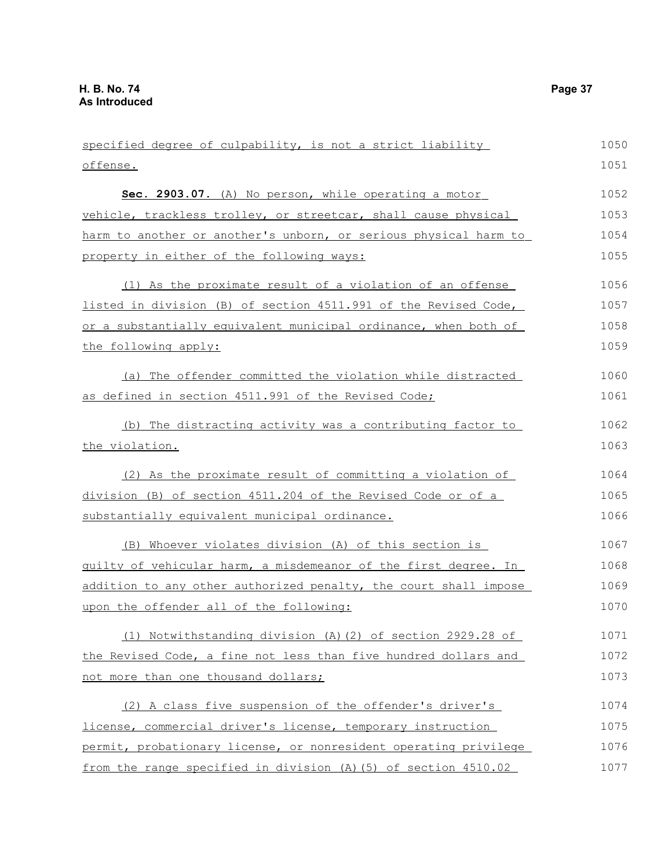offense.

specified degree of culpability, is not a strict liability **Sec. 2903.07.** (A) No person, while operating a motor vehicle, trackless trolley, or streetcar, shall cause physical harm to another or another's unborn, or serious physical harm to property in either of the following ways: (1) As the proximate result of a violation of an offense listed in division (B) of section 4511.991 of the Revised Code, or a substantially equivalent municipal ordinance, when both of the following apply: (a) The offender committed the violation while distracted as defined in section 4511.991 of the Revised Code; (b) The distracting activity was a contributing factor to the violation. (2) As the proximate result of committing a violation of division (B) of section 4511.204 of the Revised Code or of a substantially equivalent municipal ordinance. (B) Whoever violates division (A) of this section is guilty of vehicular harm, a misdemeanor of the first degree. In addition to any other authorized penalty, the court shall impose upon the offender all of the following: (1) Notwithstanding division (A)(2) of section 2929.28 of the Revised Code, a fine not less than five hundred dollars and not more than one thousand dollars; (2) A class five suspension of the offender's driver's 1050 1051 1052 1053 1054 1055 1056 1057 1058 1059 1060 1061 1062 1063 1064 1065 1066 1067 1068 1069 1070 1071 1072 1073 1074

license, commercial driver's license, temporary instruction permit, probationary license, or nonresident operating privilege from the range specified in division (A)(5) of section 4510.02 1075 1076 1077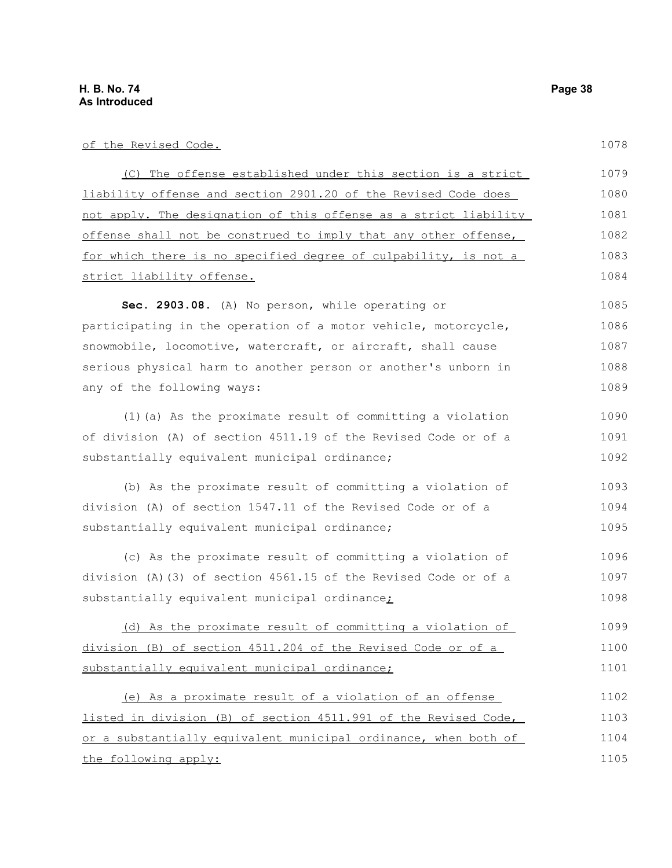| of the Revised Code.                                             | 1078 |
|------------------------------------------------------------------|------|
| (C) The offense established under this section is a strict       | 1079 |
| liability offense and section 2901.20 of the Revised Code does   | 1080 |
| not apply. The designation of this offense as a strict liability | 1081 |
| offense shall not be construed to imply that any other offense,  | 1082 |
| for which there is no specified degree of culpability, is not a  | 1083 |
| strict liability offense.                                        | 1084 |
| Sec. 2903.08. (A) No person, while operating or                  | 1085 |
| participating in the operation of a motor vehicle, motorcycle,   | 1086 |
| snowmobile, locomotive, watercraft, or aircraft, shall cause     | 1087 |
| serious physical harm to another person or another's unborn in   | 1088 |
| any of the following ways:                                       | 1089 |
| (1) (a) As the proximate result of committing a violation        | 1090 |
| of division (A) of section 4511.19 of the Revised Code or of a   | 1091 |
| substantially equivalent municipal ordinance;                    | 1092 |
| (b) As the proximate result of committing a violation of         | 1093 |
| division (A) of section 1547.11 of the Revised Code or of a      | 1094 |
| substantially equivalent municipal ordinance;                    | 1095 |
| (c) As the proximate result of committing a violation of         | 1096 |
| division (A)(3) of section 4561.15 of the Revised Code or of a   | 1097 |
| substantially equivalent municipal ordinance;                    | 1098 |
| (d) As the proximate result of committing a violation of         | 1099 |
| division (B) of section 4511.204 of the Revised Code or of a     | 1100 |
| substantially equivalent municipal ordinance;                    | 1101 |
| (e) As a proximate result of a violation of an offense           | 1102 |
| listed in division (B) of section 4511.991 of the Revised Code,  | 1103 |
| or a substantially equivalent municipal ordinance, when both of  | 1104 |
| the following apply:                                             | 1105 |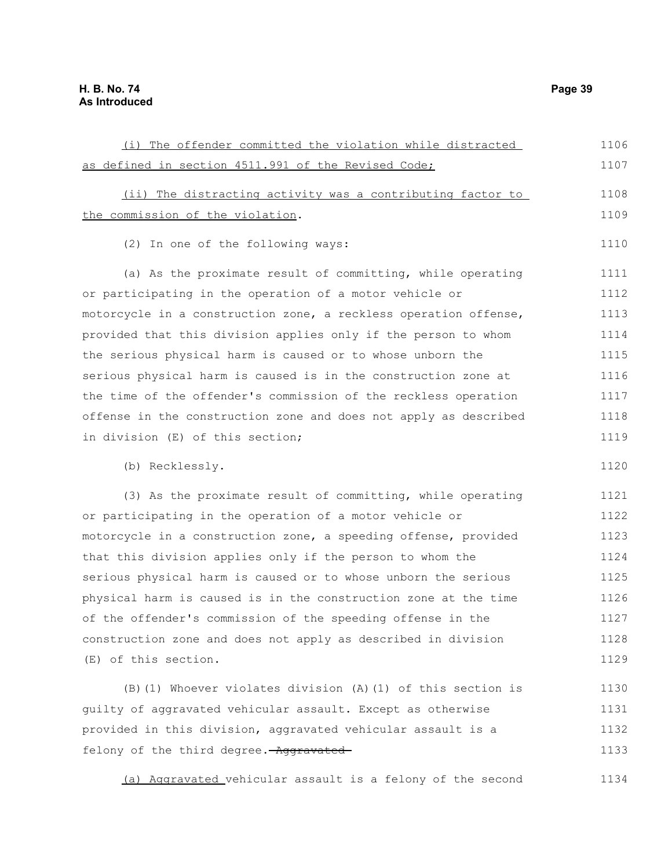| (i) The offender committed the violation while distracted        | 1106 |
|------------------------------------------------------------------|------|
| as defined in section 4511.991 of the Revised Code;              | 1107 |
| (ii) The distracting activity was a contributing factor to       | 1108 |
| the commission of the violation.                                 | 1109 |
| (2) In one of the following ways:                                | 1110 |
| (a) As the proximate result of committing, while operating       | 1111 |
| or participating in the operation of a motor vehicle or          | 1112 |
| motorcycle in a construction zone, a reckless operation offense, | 1113 |
| provided that this division applies only if the person to whom   | 1114 |
| the serious physical harm is caused or to whose unborn the       | 1115 |
| serious physical harm is caused is in the construction zone at   | 1116 |
| the time of the offender's commission of the reckless operation  | 1117 |
| offense in the construction zone and does not apply as described | 1118 |
| in division (E) of this section;                                 | 1119 |
|                                                                  |      |
| (b) Recklessly.                                                  | 1120 |
| (3) As the proximate result of committing, while operating       | 1121 |
| or participating in the operation of a motor vehicle or          | 1122 |
| motorcycle in a construction zone, a speeding offense, provided  | 1123 |
| that this division applies only if the person to whom the        | 1124 |
| serious physical harm is caused or to whose unborn the serious   | 1125 |
| physical harm is caused is in the construction zone at the time  | 1126 |
| of the offender's commission of the speeding offense in the      | 1127 |
| construction zone and does not apply as described in division    | 1128 |
| (E) of this section.                                             | 1129 |
| (B) (1) Whoever violates division (A) (1) of this section is     | 1130 |
| quilty of aggravated vehicular assault. Except as otherwise      | 1131 |
| provided in this division, aggravated vehicular assault is a     | 1132 |

(a) Aggravated vehicular assault is a felony of the second 1134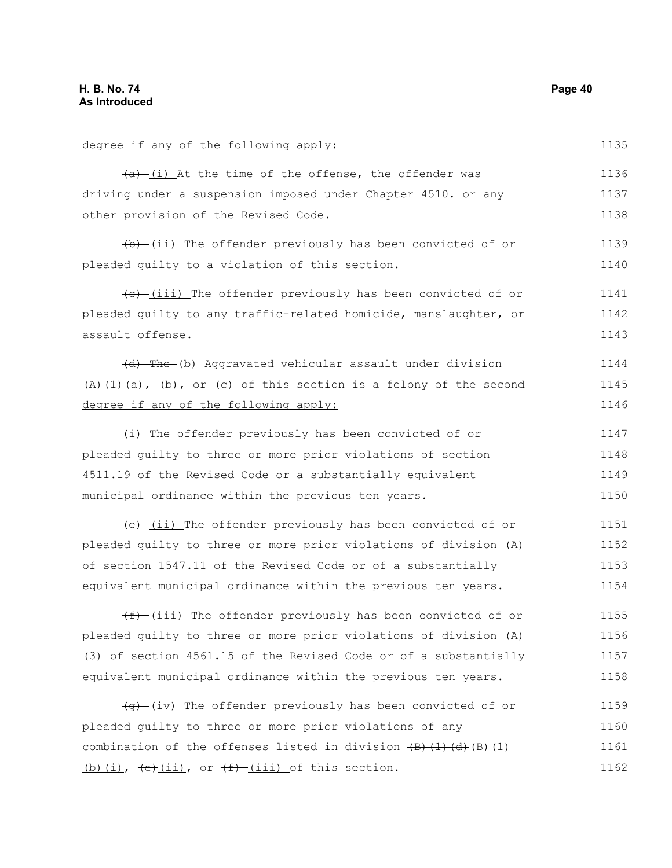| degree if any of the following apply:                                               | 1135 |
|-------------------------------------------------------------------------------------|------|
| $\frac{a}{b}$ (i) At the time of the offense, the offender was                      | 1136 |
| driving under a suspension imposed under Chapter 4510. or any                       | 1137 |
| other provision of the Revised Code.                                                | 1138 |
| $\left(\frac{b}{c}\right)$ (ii) The offender previously has been convicted of or    | 1139 |
| pleaded quilty to a violation of this section.                                      | 1140 |
| (e) (iii) The offender previously has been convicted of or                          | 1141 |
| pleaded quilty to any traffic-related homicide, manslaughter, or                    | 1142 |
| assault offense.                                                                    | 1143 |
| (d) The (b) Aggravated vehicular assault under division                             | 1144 |
| $(A)$ (1) (a), (b), or (c) of this section is a felony of the second                | 1145 |
| degree if any of the following apply:                                               | 1146 |
| (i) The offender previously has been convicted of or                                | 1147 |
| pleaded guilty to three or more prior violations of section                         | 1148 |
| 4511.19 of the Revised Code or a substantially equivalent                           | 1149 |
| municipal ordinance within the previous ten years.                                  | 1150 |
| (e) (ii) The offender previously has been convicted of or                           | 1151 |
| pleaded quilty to three or more prior violations of division (A)                    | 1152 |
| of section 1547.11 of the Revised Code or of a substantially                        | 1153 |
| equivalent municipal ordinance within the previous ten years.                       | 1154 |
| (iii) The offender previously has been convicted of or                              | 1155 |
| pleaded quilty to three or more prior violations of division (A)                    | 1156 |
| (3) of section 4561.15 of the Revised Code or of a substantially                    | 1157 |
| equivalent municipal ordinance within the previous ten years.                       | 1158 |
| (g) (iv) The offender previously has been convicted of or                           | 1159 |
| pleaded quilty to three or more prior violations of any                             | 1160 |
| combination of the offenses listed in division $(B)$ $(1)$ $(d)$ $(B)$ $(1)$        | 1161 |
| (b)(i), $\left(\frac{e}{i}\right)$ , or $\left(\frac{f}{f}\right)$ of this section. | 1162 |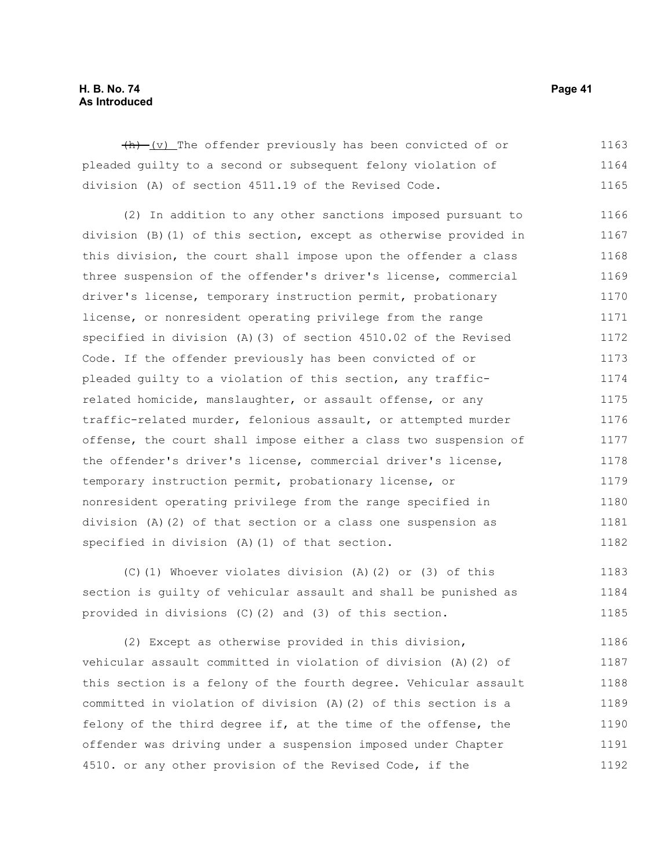# **H. B. No. 74 Page 41 As Introduced**

 $+h$   $(v)$  The offender previously has been convicted of or pleaded guilty to a second or subsequent felony violation of division (A) of section 4511.19 of the Revised Code. 1163 1164 1165

(2) In addition to any other sanctions imposed pursuant to division (B)(1) of this section, except as otherwise provided in this division, the court shall impose upon the offender a class three suspension of the offender's driver's license, commercial driver's license, temporary instruction permit, probationary license, or nonresident operating privilege from the range specified in division (A)(3) of section 4510.02 of the Revised Code. If the offender previously has been convicted of or pleaded guilty to a violation of this section, any trafficrelated homicide, manslaughter, or assault offense, or any traffic-related murder, felonious assault, or attempted murder offense, the court shall impose either a class two suspension of the offender's driver's license, commercial driver's license, temporary instruction permit, probationary license, or nonresident operating privilege from the range specified in division (A)(2) of that section or a class one suspension as specified in division (A)(1) of that section. 1166 1167 1168 1169 1170 1171 1172 1173 1174 1175 1176 1177 1178 1179 1180 1181 1182

(C)(1) Whoever violates division (A)(2) or (3) of this section is guilty of vehicular assault and shall be punished as provided in divisions (C)(2) and (3) of this section. 1183 1184 1185

(2) Except as otherwise provided in this division, vehicular assault committed in violation of division (A)(2) of this section is a felony of the fourth degree. Vehicular assault committed in violation of division (A)(2) of this section is a felony of the third degree if, at the time of the offense, the offender was driving under a suspension imposed under Chapter 4510. or any other provision of the Revised Code, if the 1186 1187 1188 1189 1190 1191 1192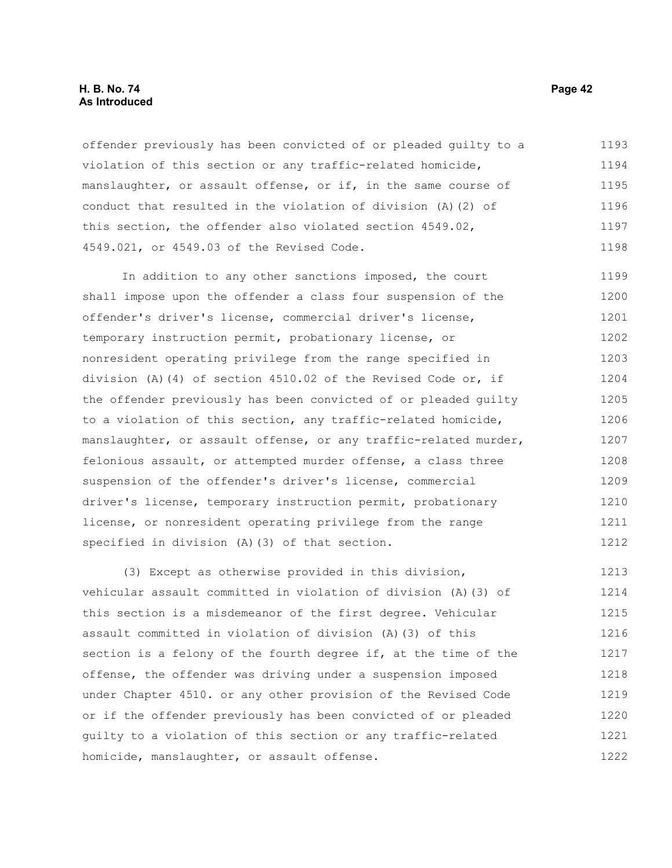### **H. B. No. 74 Page 42 As Introduced**

offender previously has been convicted of or pleaded guilty to a violation of this section or any traffic-related homicide, manslaughter, or assault offense, or if, in the same course of conduct that resulted in the violation of division (A)(2) of this section, the offender also violated section 4549.02, 4549.021, or 4549.03 of the Revised Code. 1193 1194 1195 1196 1197 1198

In addition to any other sanctions imposed, the court shall impose upon the offender a class four suspension of the offender's driver's license, commercial driver's license, temporary instruction permit, probationary license, or nonresident operating privilege from the range specified in division (A)(4) of section 4510.02 of the Revised Code or, if the offender previously has been convicted of or pleaded guilty to a violation of this section, any traffic-related homicide, manslaughter, or assault offense, or any traffic-related murder, felonious assault, or attempted murder offense, a class three suspension of the offender's driver's license, commercial driver's license, temporary instruction permit, probationary license, or nonresident operating privilege from the range specified in division (A)(3) of that section. 1199 1200 1201 1202 1203 1204 1205 1206 1207 1208 1209 1210 1211 1212

(3) Except as otherwise provided in this division, vehicular assault committed in violation of division (A)(3) of this section is a misdemeanor of the first degree. Vehicular assault committed in violation of division (A)(3) of this section is a felony of the fourth degree if, at the time of the offense, the offender was driving under a suspension imposed under Chapter 4510. or any other provision of the Revised Code or if the offender previously has been convicted of or pleaded guilty to a violation of this section or any traffic-related homicide, manslaughter, or assault offense. 1213 1214 1215 1216 1217 1218 1219 1220 1221 1222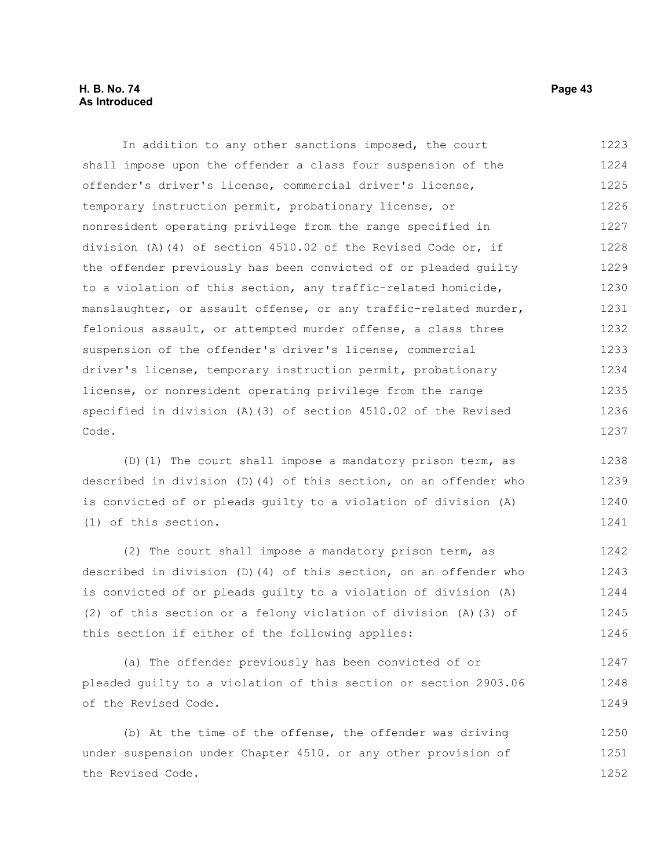## **H. B. No. 74 Page 43 As Introduced**

In addition to any other sanctions imposed, the court shall impose upon the offender a class four suspension of the offender's driver's license, commercial driver's license, temporary instruction permit, probationary license, or nonresident operating privilege from the range specified in division (A)(4) of section 4510.02 of the Revised Code or, if the offender previously has been convicted of or pleaded guilty to a violation of this section, any traffic-related homicide, manslaughter, or assault offense, or any traffic-related murder, felonious assault, or attempted murder offense, a class three suspension of the offender's driver's license, commercial driver's license, temporary instruction permit, probationary license, or nonresident operating privilege from the range specified in division (A)(3) of section 4510.02 of the Revised Code. 1223 1224 1225 1226 1227 1228 1229 1230 1231 1232 1233 1234 1235 1236 1237

(D)(1) The court shall impose a mandatory prison term, as described in division (D)(4) of this section, on an offender who is convicted of or pleads guilty to a violation of division (A) (1) of this section. 1238 1239 1240 1241

(2) The court shall impose a mandatory prison term, as described in division (D)(4) of this section, on an offender who is convicted of or pleads guilty to a violation of division (A) (2) of this section or a felony violation of division (A)(3) of this section if either of the following applies: 1242 1243 1244 1245 1246

(a) The offender previously has been convicted of or pleaded guilty to a violation of this section or section 2903.06 of the Revised Code. 1247 1248 1249

(b) At the time of the offense, the offender was driving under suspension under Chapter 4510. or any other provision of the Revised Code. 1250 1251 1252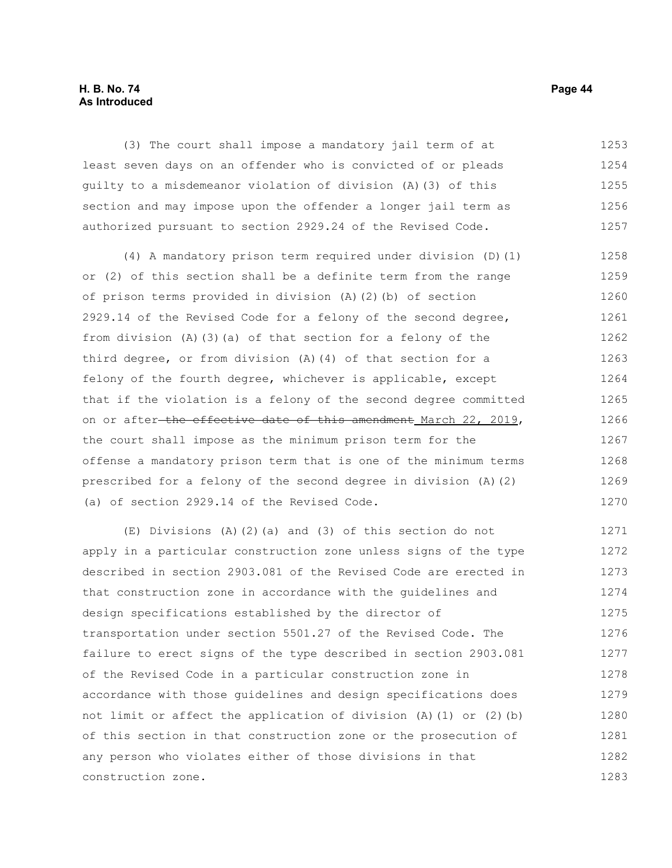# **H. B. No. 74 Page 44 As Introduced**

(3) The court shall impose a mandatory jail term of at least seven days on an offender who is convicted of or pleads guilty to a misdemeanor violation of division (A)(3) of this section and may impose upon the offender a longer jail term as authorized pursuant to section 2929.24 of the Revised Code. 1253 1254 1255 1256 1257

(4) A mandatory prison term required under division (D)(1) or (2) of this section shall be a definite term from the range of prison terms provided in division (A)(2)(b) of section 2929.14 of the Revised Code for a felony of the second degree, from division (A)(3)(a) of that section for a felony of the third degree, or from division (A)(4) of that section for a felony of the fourth degree, whichever is applicable, except that if the violation is a felony of the second degree committed on or after-the effective date of this amendment March 22, 2019, the court shall impose as the minimum prison term for the offense a mandatory prison term that is one of the minimum terms prescribed for a felony of the second degree in division (A)(2) (a) of section 2929.14 of the Revised Code. 1258 1259 1260 1261 1262 1263 1264 1265 1266 1267 1268 1269 1270

(E) Divisions (A)(2)(a) and (3) of this section do not apply in a particular construction zone unless signs of the type described in section 2903.081 of the Revised Code are erected in that construction zone in accordance with the guidelines and design specifications established by the director of transportation under section 5501.27 of the Revised Code. The failure to erect signs of the type described in section 2903.081 of the Revised Code in a particular construction zone in accordance with those guidelines and design specifications does not limit or affect the application of division (A)(1) or (2)(b) of this section in that construction zone or the prosecution of any person who violates either of those divisions in that construction zone. 1271 1272 1273 1274 1275 1276 1277 1278 1279 1280 1281 1282 1283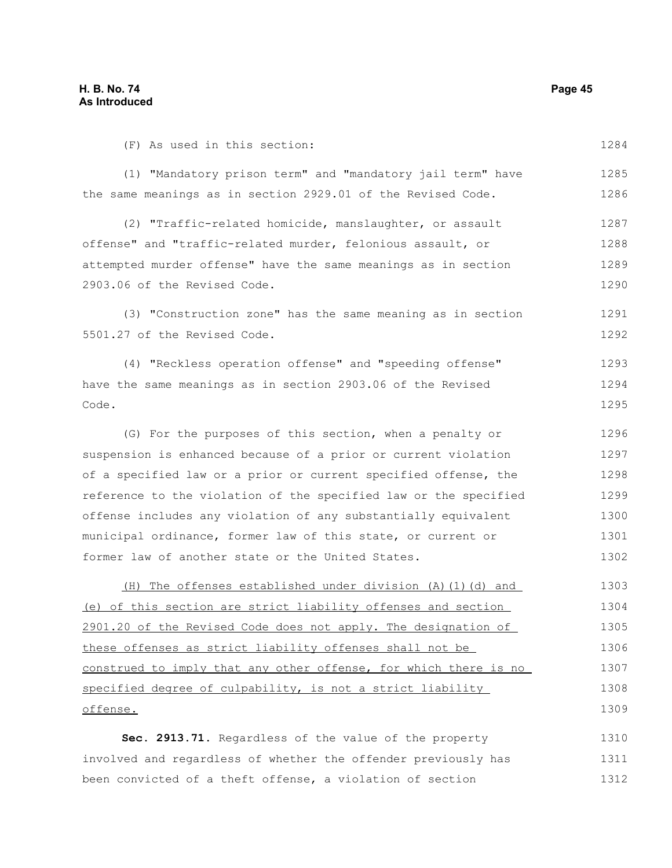(F) As used in this section:

1284

(1) "Mandatory prison term" and "mandatory jail term" have the same meanings as in section 2929.01 of the Revised Code. 1285 1286

(2) "Traffic-related homicide, manslaughter, or assault offense" and "traffic-related murder, felonious assault, or attempted murder offense" have the same meanings as in section 2903.06 of the Revised Code. 1287 1288 1289 1290

(3) "Construction zone" has the same meaning as in section 5501.27 of the Revised Code. 1291 1292

(4) "Reckless operation offense" and "speeding offense" have the same meanings as in section 2903.06 of the Revised Code. 1293 1294 1295

(G) For the purposes of this section, when a penalty or suspension is enhanced because of a prior or current violation of a specified law or a prior or current specified offense, the reference to the violation of the specified law or the specified offense includes any violation of any substantially equivalent municipal ordinance, former law of this state, or current or former law of another state or the United States. 1296 1297 1298 1299 1300 1301 1302

(H) The offenses established under division (A)(1)(d) and (e) of this section are strict liability offenses and section 2901.20 of the Revised Code does not apply. The designation of these offenses as strict liability offenses shall not be construed to imply that any other offense, for which there is no specified degree of culpability, is not a strict liability offense. 1303 1304 1305 1306 1307 1308 1309

**Sec. 2913.71.** Regardless of the value of the property involved and regardless of whether the offender previously has been convicted of a theft offense, a violation of section 1310 1311 1312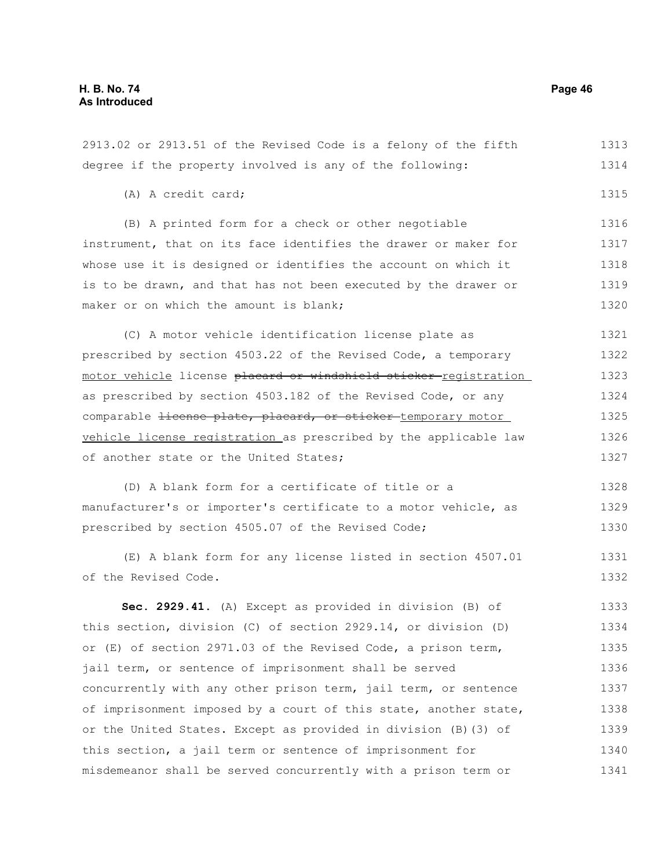2913.02 or 2913.51 of the Revised Code is a felony of the fifth degree if the property involved is any of the following: (A) A credit card; (B) A printed form for a check or other negotiable instrument, that on its face identifies the drawer or maker for whose use it is designed or identifies the account on which it is to be drawn, and that has not been executed by the drawer or maker or on which the amount is blank; (C) A motor vehicle identification license plate as prescribed by section 4503.22 of the Revised Code, a temporary motor vehicle license placard or windshield sticker-registration as prescribed by section 4503.182 of the Revised Code, or any comparable <del>license plate, placard, or sticker temporary motor</del> vehicle license registration as prescribed by the applicable law of another state or the United States; (D) A blank form for a certificate of title or a manufacturer's or importer's certificate to a motor vehicle, as prescribed by section 4505.07 of the Revised Code; (E) A blank form for any license listed in section 4507.01 of the Revised Code. **Sec. 2929.41.** (A) Except as provided in division (B) of this section, division (C) of section 2929.14, or division (D) or (E) of section 2971.03 of the Revised Code, a prison term, jail term, or sentence of imprisonment shall be served concurrently with any other prison term, jail term, or sentence of imprisonment imposed by a court of this state, another state, or the United States. Except as provided in division (B)(3) of this section, a jail term or sentence of imprisonment for 1313 1314 1315 1316 1317 1318 1319 1320 1321 1322 1323 1324 1325 1326 1327 1328 1329 1330 1331 1332 1333 1334 1335 1336 1337 1338 1339 1340

misdemeanor shall be served concurrently with a prison term or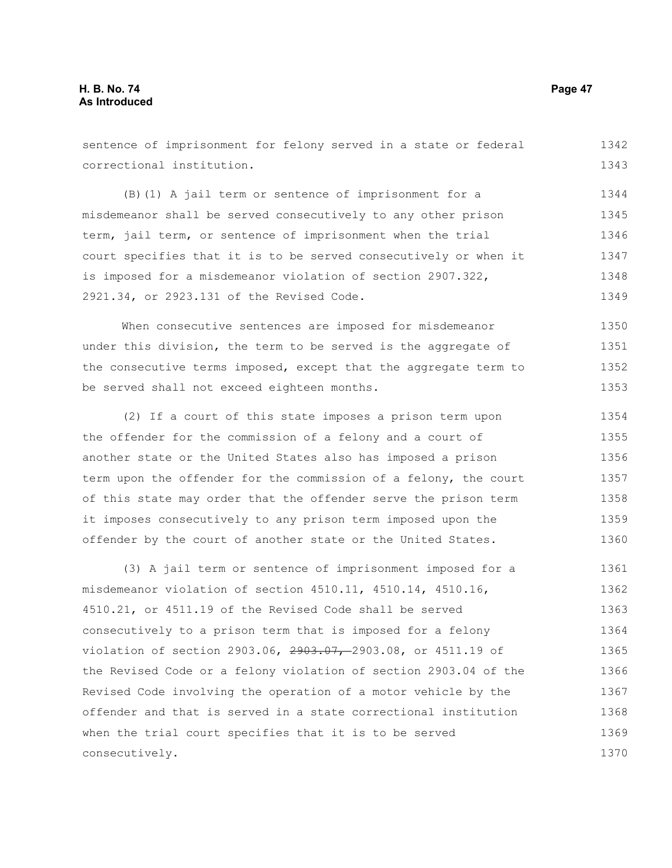sentence of imprisonment for felony served in a state or federal correctional institution. (B)(1) A jail term or sentence of imprisonment for a misdemeanor shall be served consecutively to any other prison term, jail term, or sentence of imprisonment when the trial court specifies that it is to be served consecutively or when it is imposed for a misdemeanor violation of section 2907.322, 2921.34, or 2923.131 of the Revised Code. When consecutive sentences are imposed for misdemeanor under this division, the term to be served is the aggregate of the consecutive terms imposed, except that the aggregate term to be served shall not exceed eighteen months. (2) If a court of this state imposes a prison term upon the offender for the commission of a felony and a court of another state or the United States also has imposed a prison term upon the offender for the commission of a felony, the court of this state may order that the offender serve the prison term it imposes consecutively to any prison term imposed upon the offender by the court of another state or the United States. (3) A jail term or sentence of imprisonment imposed for a misdemeanor violation of section 4510.11, 4510.14, 4510.16, 4510.21, or 4511.19 of the Revised Code shall be served consecutively to a prison term that is imposed for a felony violation of section 2903.06, 2903.07, 2903.08, or 4511.19 of the Revised Code or a felony violation of section 2903.04 of the Revised Code involving the operation of a motor vehicle by the offender and that is served in a state correctional institution when the trial court specifies that it is to be served consecutively. 1342 1343 1344 1345 1346 1347 1348 1349 1350 1351 1352 1353 1354 1355 1356 1357 1358 1359 1360 1361 1362 1363 1364 1365 1366 1367 1368 1369 1370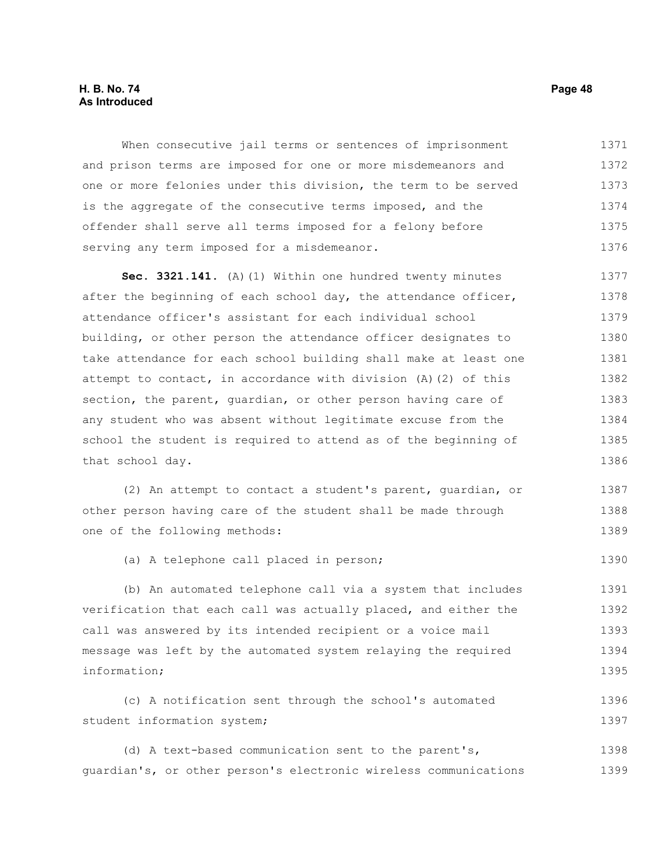# **H. B. No. 74 Page 48 As Introduced**

When consecutive jail terms or sentences of imprisonment and prison terms are imposed for one or more misdemeanors and one or more felonies under this division, the term to be served is the aggregate of the consecutive terms imposed, and the offender shall serve all terms imposed for a felony before serving any term imposed for a misdemeanor. 1371 1372 1373 1374 1375 1376

**Sec. 3321.141.** (A)(1) Within one hundred twenty minutes after the beginning of each school day, the attendance officer, attendance officer's assistant for each individual school building, or other person the attendance officer designates to take attendance for each school building shall make at least one attempt to contact, in accordance with division (A)(2) of this section, the parent, guardian, or other person having care of any student who was absent without legitimate excuse from the school the student is required to attend as of the beginning of that school day. 1377 1378 1379 1380 1381 1382 1383 1384 1385 1386

(2) An attempt to contact a student's parent, guardian, or other person having care of the student shall be made through one of the following methods: 1387 1388 1389

(a) A telephone call placed in person;

(b) An automated telephone call via a system that includes verification that each call was actually placed, and either the call was answered by its intended recipient or a voice mail message was left by the automated system relaying the required information; 1391 1392 1393 1394 1395

(c) A notification sent through the school's automated student information system; 1396 1397

(d) A text-based communication sent to the parent's, guardian's, or other person's electronic wireless communications 1398 1399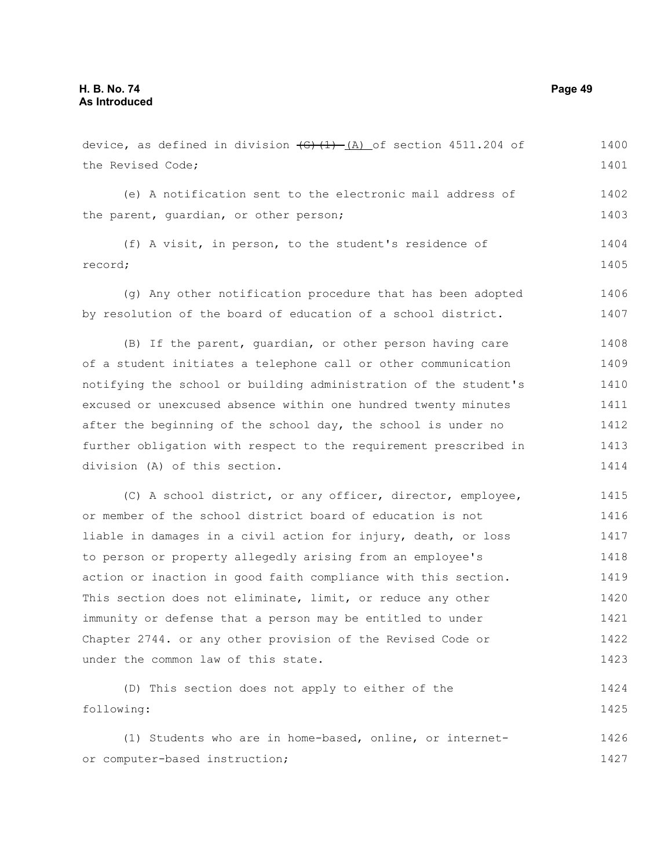or computer-based instruction;

device, as defined in division  $\left(\frac{1}{2}\right)$  (A) of section 4511.204 of the Revised Code; (e) A notification sent to the electronic mail address of the parent, guardian, or other person; (f) A visit, in person, to the student's residence of record; (g) Any other notification procedure that has been adopted by resolution of the board of education of a school district. (B) If the parent, guardian, or other person having care of a student initiates a telephone call or other communication notifying the school or building administration of the student's excused or unexcused absence within one hundred twenty minutes after the beginning of the school day, the school is under no further obligation with respect to the requirement prescribed in division (A) of this section. (C) A school district, or any officer, director, employee, or member of the school district board of education is not liable in damages in a civil action for injury, death, or loss to person or property allegedly arising from an employee's action or inaction in good faith compliance with this section. This section does not eliminate, limit, or reduce any other immunity or defense that a person may be entitled to under Chapter 2744. or any other provision of the Revised Code or under the common law of this state. (D) This section does not apply to either of the following: (1) Students who are in home-based, online, or internet-1401 1402 1403 1404 1405 1406 1407 1408 1409 1410 1411 1412 1413 1414 1415 1416 1417 1418 1419 1420 1421 1422 1423 1424 1425 1426

1400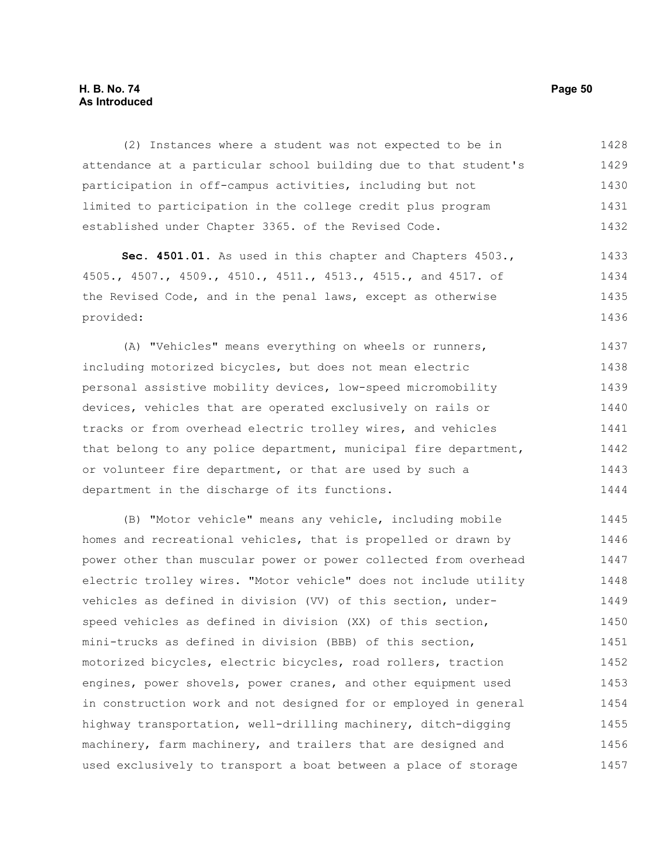# **H. B. No. 74 Page 50 As Introduced**

(2) Instances where a student was not expected to be in attendance at a particular school building due to that student's participation in off-campus activities, including but not limited to participation in the college credit plus program established under Chapter 3365. of the Revised Code. 1428 1429 1430 1431 1432

**Sec. 4501.01.** As used in this chapter and Chapters 4503., 4505., 4507., 4509., 4510., 4511., 4513., 4515., and 4517. of the Revised Code, and in the penal laws, except as otherwise provided: 1433 1434 1435 1436

(A) "Vehicles" means everything on wheels or runners, including motorized bicycles, but does not mean electric personal assistive mobility devices, low-speed micromobility devices, vehicles that are operated exclusively on rails or tracks or from overhead electric trolley wires, and vehicles that belong to any police department, municipal fire department, or volunteer fire department, or that are used by such a department in the discharge of its functions. 1437 1438 1439 1440 1441 1442 1443 1444

(B) "Motor vehicle" means any vehicle, including mobile homes and recreational vehicles, that is propelled or drawn by power other than muscular power or power collected from overhead electric trolley wires. "Motor vehicle" does not include utility vehicles as defined in division (VV) of this section, underspeed vehicles as defined in division (XX) of this section, mini-trucks as defined in division (BBB) of this section, motorized bicycles, electric bicycles, road rollers, traction engines, power shovels, power cranes, and other equipment used in construction work and not designed for or employed in general highway transportation, well-drilling machinery, ditch-digging machinery, farm machinery, and trailers that are designed and used exclusively to transport a boat between a place of storage 1445 1446 1447 1448 1449 1450 1451 1452 1453 1454 1455 1456 1457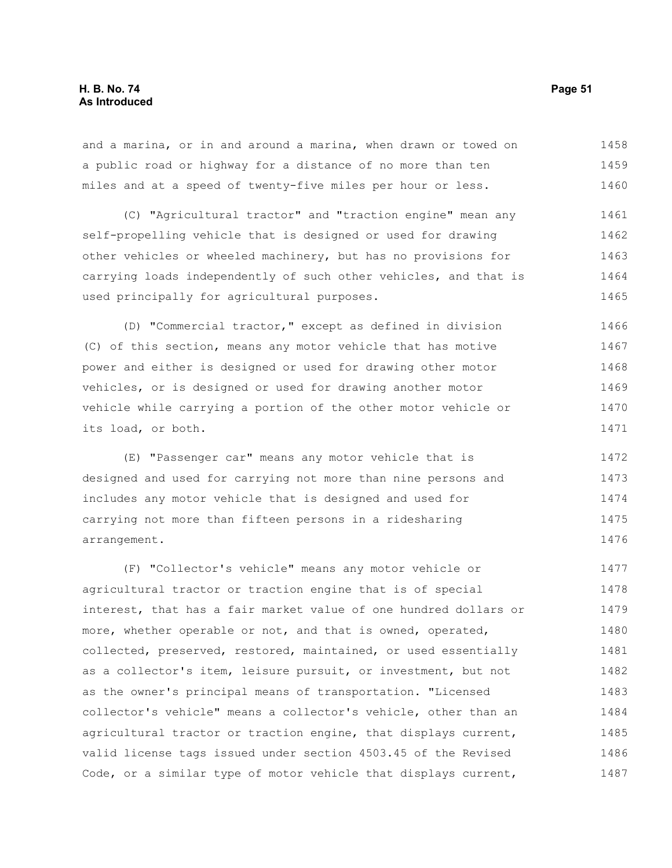and a marina, or in and around a marina, when drawn or towed on a public road or highway for a distance of no more than ten miles and at a speed of twenty-five miles per hour or less. 1458 1459 1460

(C) "Agricultural tractor" and "traction engine" mean any self-propelling vehicle that is designed or used for drawing other vehicles or wheeled machinery, but has no provisions for carrying loads independently of such other vehicles, and that is used principally for agricultural purposes. 1461 1462 1463 1464 1465

(D) "Commercial tractor," except as defined in division (C) of this section, means any motor vehicle that has motive power and either is designed or used for drawing other motor vehicles, or is designed or used for drawing another motor vehicle while carrying a portion of the other motor vehicle or its load, or both. 1466 1467 1468 1469 1470 1471

(E) "Passenger car" means any motor vehicle that is designed and used for carrying not more than nine persons and includes any motor vehicle that is designed and used for carrying not more than fifteen persons in a ridesharing arrangement. 1472 1473 1474 1475 1476

(F) "Collector's vehicle" means any motor vehicle or agricultural tractor or traction engine that is of special interest, that has a fair market value of one hundred dollars or more, whether operable or not, and that is owned, operated, collected, preserved, restored, maintained, or used essentially as a collector's item, leisure pursuit, or investment, but not as the owner's principal means of transportation. "Licensed collector's vehicle" means a collector's vehicle, other than an agricultural tractor or traction engine, that displays current, valid license tags issued under section 4503.45 of the Revised Code, or a similar type of motor vehicle that displays current, 1477 1478 1479 1480 1481 1482 1483 1484 1485 1486 1487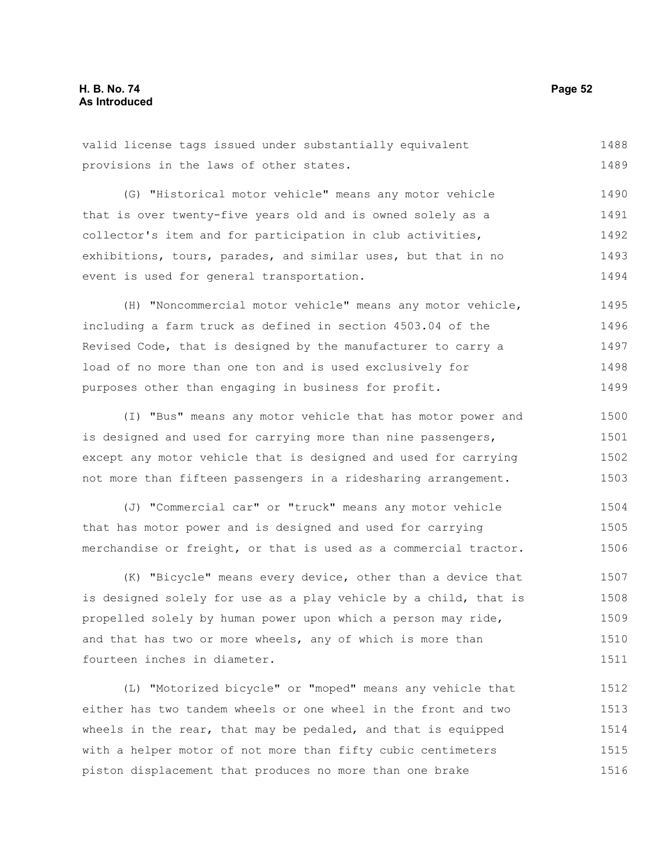valid license tags issued under substantially equivalent provisions in the laws of other states. 1488 1489

(G) "Historical motor vehicle" means any motor vehicle that is over twenty-five years old and is owned solely as a collector's item and for participation in club activities, exhibitions, tours, parades, and similar uses, but that in no event is used for general transportation. 1490 1491 1492 1493 1494

(H) "Noncommercial motor vehicle" means any motor vehicle, including a farm truck as defined in section 4503.04 of the Revised Code, that is designed by the manufacturer to carry a load of no more than one ton and is used exclusively for purposes other than engaging in business for profit. 1495 1496 1497 1498 1499

(I) "Bus" means any motor vehicle that has motor power and is designed and used for carrying more than nine passengers, except any motor vehicle that is designed and used for carrying not more than fifteen passengers in a ridesharing arrangement. 1500 1501 1502 1503

(J) "Commercial car" or "truck" means any motor vehicle that has motor power and is designed and used for carrying merchandise or freight, or that is used as a commercial tractor. 1504 1505 1506

(K) "Bicycle" means every device, other than a device that is designed solely for use as a play vehicle by a child, that is propelled solely by human power upon which a person may ride, and that has two or more wheels, any of which is more than fourteen inches in diameter. 1507 1508 1509 1510 1511

(L) "Motorized bicycle" or "moped" means any vehicle that either has two tandem wheels or one wheel in the front and two wheels in the rear, that may be pedaled, and that is equipped with a helper motor of not more than fifty cubic centimeters piston displacement that produces no more than one brake 1512 1513 1514 1515 1516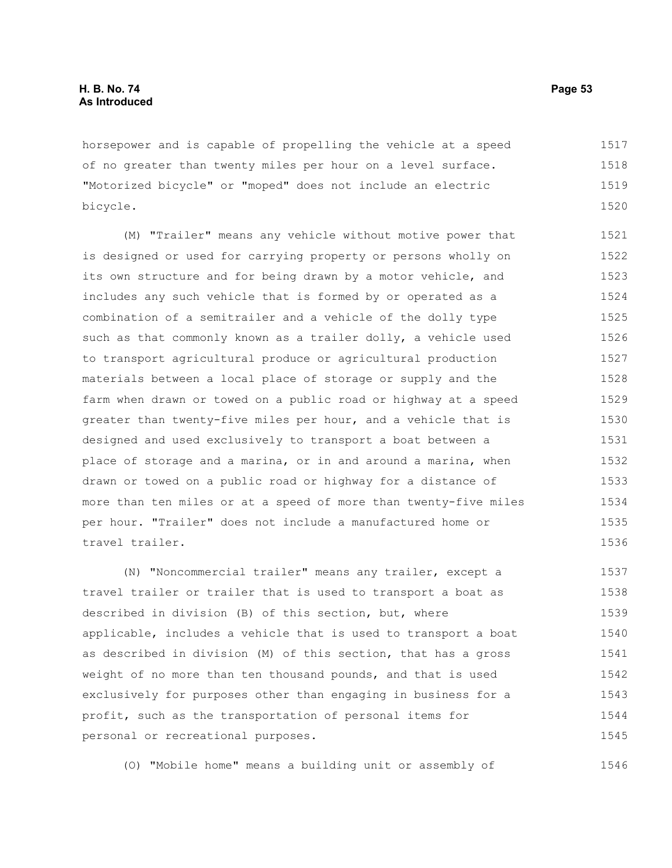horsepower and is capable of propelling the vehicle at a speed of no greater than twenty miles per hour on a level surface. "Motorized bicycle" or "moped" does not include an electric bicycle. 1517 1518 1519 1520

(M) "Trailer" means any vehicle without motive power that is designed or used for carrying property or persons wholly on its own structure and for being drawn by a motor vehicle, and includes any such vehicle that is formed by or operated as a combination of a semitrailer and a vehicle of the dolly type such as that commonly known as a trailer dolly, a vehicle used to transport agricultural produce or agricultural production materials between a local place of storage or supply and the farm when drawn or towed on a public road or highway at a speed greater than twenty-five miles per hour, and a vehicle that is designed and used exclusively to transport a boat between a place of storage and a marina, or in and around a marina, when drawn or towed on a public road or highway for a distance of more than ten miles or at a speed of more than twenty-five miles per hour. "Trailer" does not include a manufactured home or travel trailer. 1521 1522 1523 1524 1525 1526 1527 1528 1529 1530 1531 1532 1533 1534 1535 1536

(N) "Noncommercial trailer" means any trailer, except a travel trailer or trailer that is used to transport a boat as described in division (B) of this section, but, where applicable, includes a vehicle that is used to transport a boat as described in division (M) of this section, that has a gross weight of no more than ten thousand pounds, and that is used exclusively for purposes other than engaging in business for a profit, such as the transportation of personal items for personal or recreational purposes. 1537 1538 1539 1540 1541 1542 1543 1544 1545

(O) "Mobile home" means a building unit or assembly of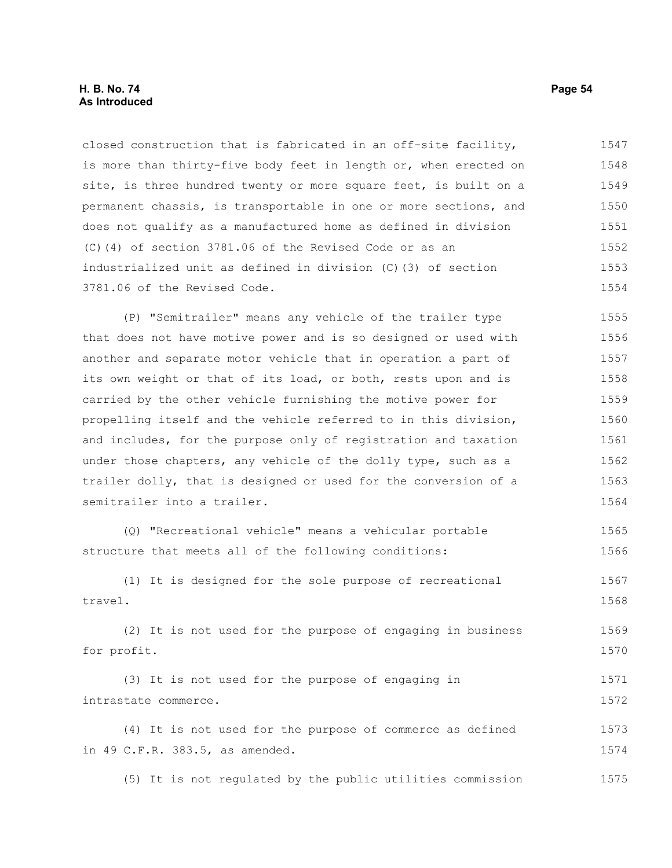# **H. B. No. 74 Page 54 As Introduced**

closed construction that is fabricated in an off-site facility, is more than thirty-five body feet in length or, when erected on site, is three hundred twenty or more square feet, is built on a permanent chassis, is transportable in one or more sections, and does not qualify as a manufactured home as defined in division (C)(4) of section 3781.06 of the Revised Code or as an industrialized unit as defined in division (C)(3) of section 3781.06 of the Revised Code. 1547 1548 1549 1550 1551 1552 1553 1554

(P) "Semitrailer" means any vehicle of the trailer type that does not have motive power and is so designed or used with another and separate motor vehicle that in operation a part of its own weight or that of its load, or both, rests upon and is carried by the other vehicle furnishing the motive power for propelling itself and the vehicle referred to in this division, and includes, for the purpose only of registration and taxation under those chapters, any vehicle of the dolly type, such as a trailer dolly, that is designed or used for the conversion of a semitrailer into a trailer. 1555 1556 1557 1558 1559 1560 1561 1562 1563 1564

```
(Q) "Recreational vehicle" means a vehicular portable
structure that meets all of the following conditions:
                                                                           1565
                                                                           1566
```
(1) It is designed for the sole purpose of recreational travel. 1567 1568

(2) It is not used for the purpose of engaging in business for profit. 1569 1570

(3) It is not used for the purpose of engaging in intrastate commerce. 1571 1572

(4) It is not used for the purpose of commerce as defined in 49 C.F.R. 383.5, as amended. 1573 1574

(5) It is not regulated by the public utilities commission 1575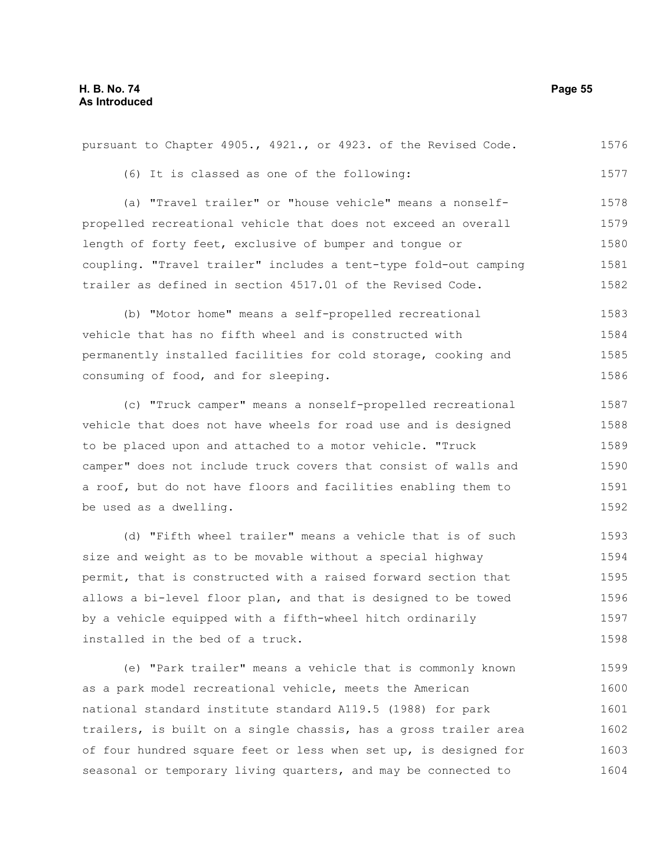(6) It is classed as one of the following: (a) "Travel trailer" or "house vehicle" means a nonselfpropelled recreational vehicle that does not exceed an overall length of forty feet, exclusive of bumper and tongue or coupling. "Travel trailer" includes a tent-type fold-out camping trailer as defined in section 4517.01 of the Revised Code. (b) "Motor home" means a self-propelled recreational vehicle that has no fifth wheel and is constructed with permanently installed facilities for cold storage, cooking and consuming of food, and for sleeping. (c) "Truck camper" means a nonself-propelled recreational vehicle that does not have wheels for road use and is designed to be placed upon and attached to a motor vehicle. "Truck camper" does not include truck covers that consist of walls and a roof, but do not have floors and facilities enabling them to be used as a dwelling. (d) "Fifth wheel trailer" means a vehicle that is of such size and weight as to be movable without a special highway 1577 1578 1579 1580 1581 1582 1583 1584 1585 1586 1587 1588 1589 1590 1591 1592 1593 1594

pursuant to Chapter 4905., 4921., or 4923. of the Revised Code.

permit, that is constructed with a raised forward section that allows a bi-level floor plan, and that is designed to be towed by a vehicle equipped with a fifth-wheel hitch ordinarily installed in the bed of a truck. 1595 1596 1597 1598

(e) "Park trailer" means a vehicle that is commonly known as a park model recreational vehicle, meets the American national standard institute standard A119.5 (1988) for park trailers, is built on a single chassis, has a gross trailer area of four hundred square feet or less when set up, is designed for seasonal or temporary living quarters, and may be connected to 1599 1600 1601 1602 1603 1604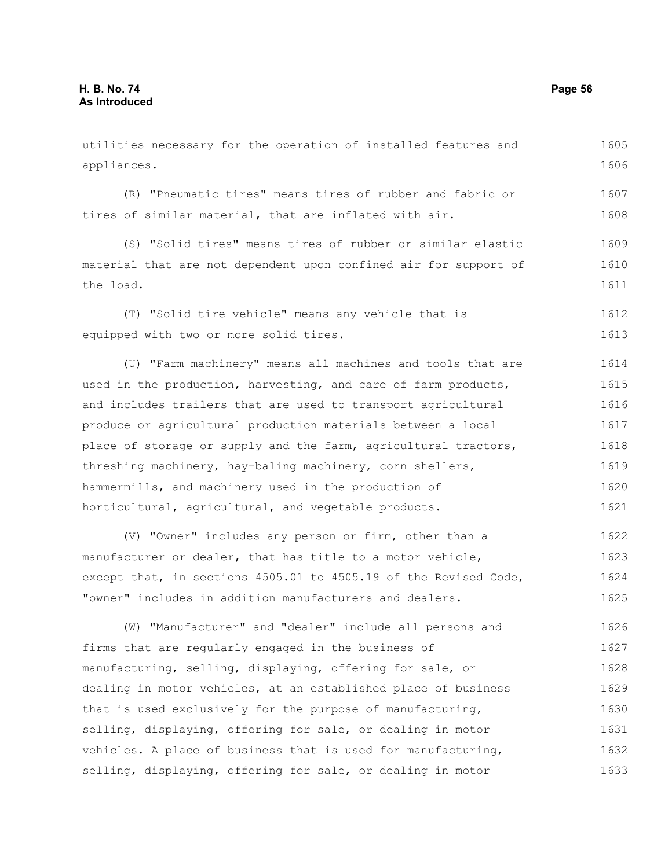appliances. (R) "Pneumatic tires" means tires of rubber and fabric or tires of similar material, that are inflated with air. (S) "Solid tires" means tires of rubber or similar elastic material that are not dependent upon confined air for support of the load. (T) "Solid tire vehicle" means any vehicle that is equipped with two or more solid tires. (U) "Farm machinery" means all machines and tools that are used in the production, harvesting, and care of farm products, and includes trailers that are used to transport agricultural produce or agricultural production materials between a local place of storage or supply and the farm, agricultural tractors, threshing machinery, hay-baling machinery, corn shellers, hammermills, and machinery used in the production of horticultural, agricultural, and vegetable products. (V) "Owner" includes any person or firm, other than a manufacturer or dealer, that has title to a motor vehicle, except that, in sections 4505.01 to 4505.19 of the Revised Code, "owner" includes in addition manufacturers and dealers. (W) "Manufacturer" and "dealer" include all persons and firms that are regularly engaged in the business of manufacturing, selling, displaying, offering for sale, or dealing in motor vehicles, at an established place of business 1606 1607 1608 1609 1610 1611 1612 1613 1614 1615 1616 1617 1618 1619 1620 1621 1622 1623 1624 1625 1626 1627 1628 1629

utilities necessary for the operation of installed features and

that is used exclusively for the purpose of manufacturing, selling, displaying, offering for sale, or dealing in motor vehicles. A place of business that is used for manufacturing, selling, displaying, offering for sale, or dealing in motor 1630 1631 1632 1633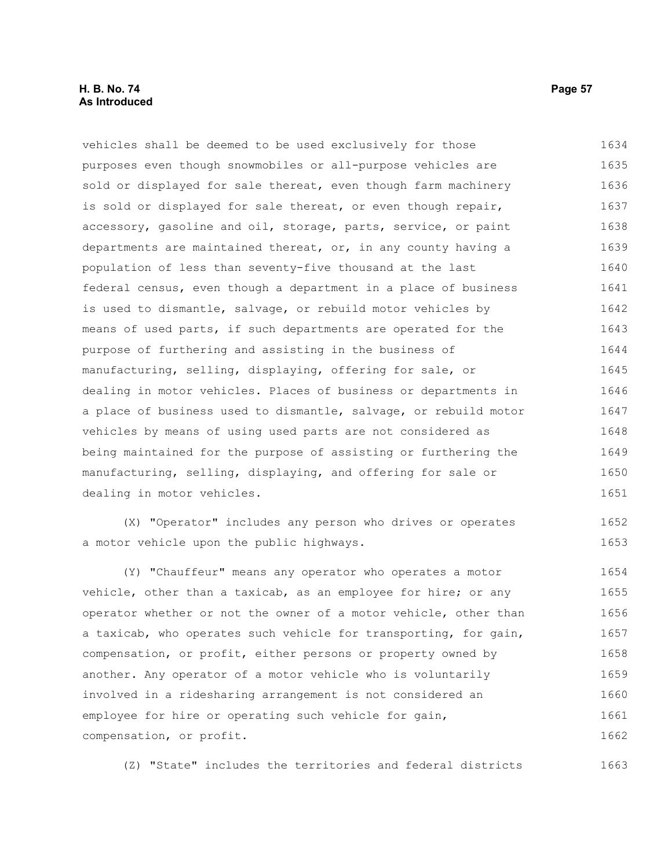# **H. B. No. 74 Page 57 As Introduced**

vehicles shall be deemed to be used exclusively for those purposes even though snowmobiles or all-purpose vehicles are sold or displayed for sale thereat, even though farm machinery is sold or displayed for sale thereat, or even though repair, accessory, gasoline and oil, storage, parts, service, or paint departments are maintained thereat, or, in any county having a population of less than seventy-five thousand at the last federal census, even though a department in a place of business is used to dismantle, salvage, or rebuild motor vehicles by means of used parts, if such departments are operated for the purpose of furthering and assisting in the business of manufacturing, selling, displaying, offering for sale, or dealing in motor vehicles. Places of business or departments in a place of business used to dismantle, salvage, or rebuild motor vehicles by means of using used parts are not considered as being maintained for the purpose of assisting or furthering the manufacturing, selling, displaying, and offering for sale or dealing in motor vehicles. 1634 1635 1636 1637 1638 1639 1640 1641 1642 1643 1644 1645 1646 1647 1648 1649 1650 1651

(X) "Operator" includes any person who drives or operates a motor vehicle upon the public highways. 1652 1653

(Y) "Chauffeur" means any operator who operates a motor vehicle, other than a taxicab, as an employee for hire; or any operator whether or not the owner of a motor vehicle, other than a taxicab, who operates such vehicle for transporting, for gain, compensation, or profit, either persons or property owned by another. Any operator of a motor vehicle who is voluntarily involved in a ridesharing arrangement is not considered an employee for hire or operating such vehicle for gain, compensation, or profit. 1654 1655 1656 1657 1658 1659 1660 1661 1662

(Z) "State" includes the territories and federal districts 1663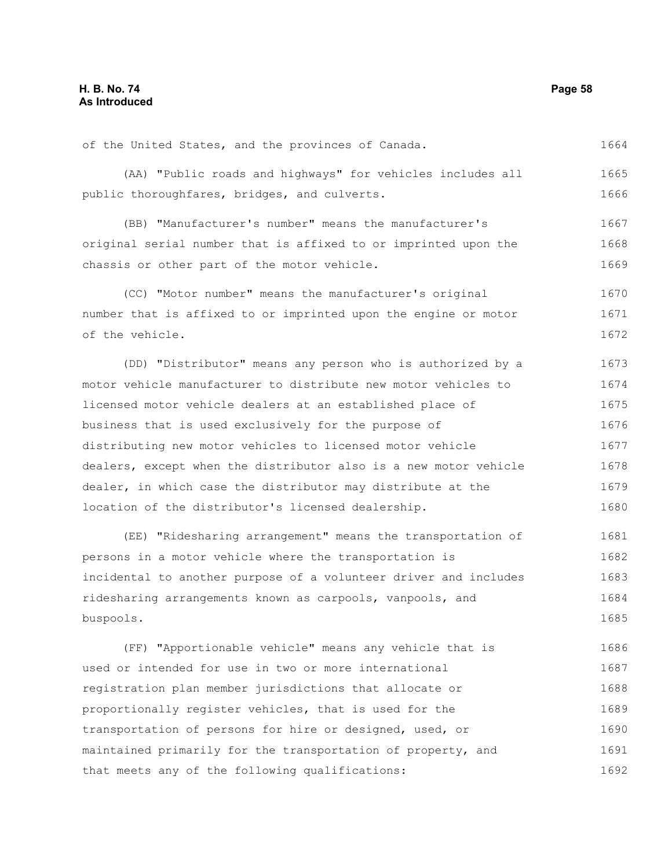of the United States, and the provinces of Canada. 1664

(AA) "Public roads and highways" for vehicles includes all public thoroughfares, bridges, and culverts. 1665 1666

(BB) "Manufacturer's number" means the manufacturer's original serial number that is affixed to or imprinted upon the chassis or other part of the motor vehicle. 1667 1668 1669

(CC) "Motor number" means the manufacturer's original number that is affixed to or imprinted upon the engine or motor of the vehicle. 1670 1671 1672

(DD) "Distributor" means any person who is authorized by a motor vehicle manufacturer to distribute new motor vehicles to licensed motor vehicle dealers at an established place of business that is used exclusively for the purpose of distributing new motor vehicles to licensed motor vehicle dealers, except when the distributor also is a new motor vehicle dealer, in which case the distributor may distribute at the location of the distributor's licensed dealership. 1673 1674 1675 1676 1677 1678 1679 1680

(EE) "Ridesharing arrangement" means the transportation of persons in a motor vehicle where the transportation is incidental to another purpose of a volunteer driver and includes ridesharing arrangements known as carpools, vanpools, and buspools. 1681 1682 1683 1684 1685

(FF) "Apportionable vehicle" means any vehicle that is used or intended for use in two or more international registration plan member jurisdictions that allocate or proportionally register vehicles, that is used for the transportation of persons for hire or designed, used, or maintained primarily for the transportation of property, and that meets any of the following qualifications: 1686 1687 1688 1689 1690 1691 1692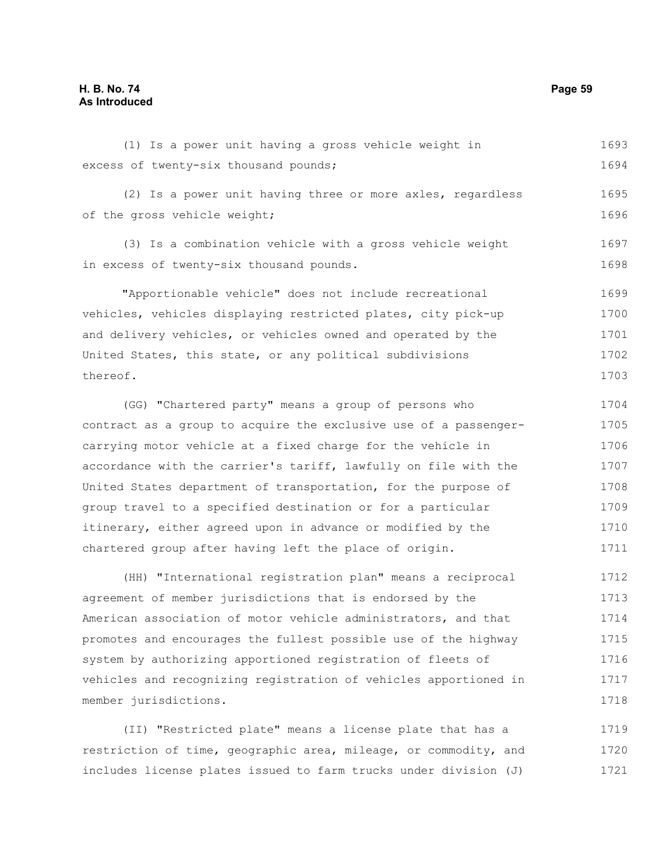# **H. B. No. 74 Page 59 As Introduced**

(1) Is a power unit having a gross vehicle weight in excess of twenty-six thousand pounds; (2) Is a power unit having three or more axles, regardless of the gross vehicle weight; (3) Is a combination vehicle with a gross vehicle weight in excess of twenty-six thousand pounds. "Apportionable vehicle" does not include recreational vehicles, vehicles displaying restricted plates, city pick-up and delivery vehicles, or vehicles owned and operated by the United States, this state, or any political subdivisions thereof. (GG) "Chartered party" means a group of persons who contract as a group to acquire the exclusive use of a passengercarrying motor vehicle at a fixed charge for the vehicle in accordance with the carrier's tariff, lawfully on file with the United States department of transportation, for the purpose of group travel to a specified destination or for a particular itinerary, either agreed upon in advance or modified by the chartered group after having left the place of origin. (HH) "International registration plan" means a reciprocal agreement of member jurisdictions that is endorsed by the American association of motor vehicle administrators, and that promotes and encourages the fullest possible use of the highway system by authorizing apportioned registration of fleets of vehicles and recognizing registration of vehicles apportioned in member jurisdictions. (II) "Restricted plate" means a license plate that has a 1693 1694 1695 1696 1697 1698 1699 1700 1701 1702 1703 1704 1705 1706 1707 1708 1709 1710 1711 1712 1713 1714 1715 1716 1717 1718 1719

restriction of time, geographic area, mileage, or commodity, and includes license plates issued to farm trucks under division (J) 1720 1721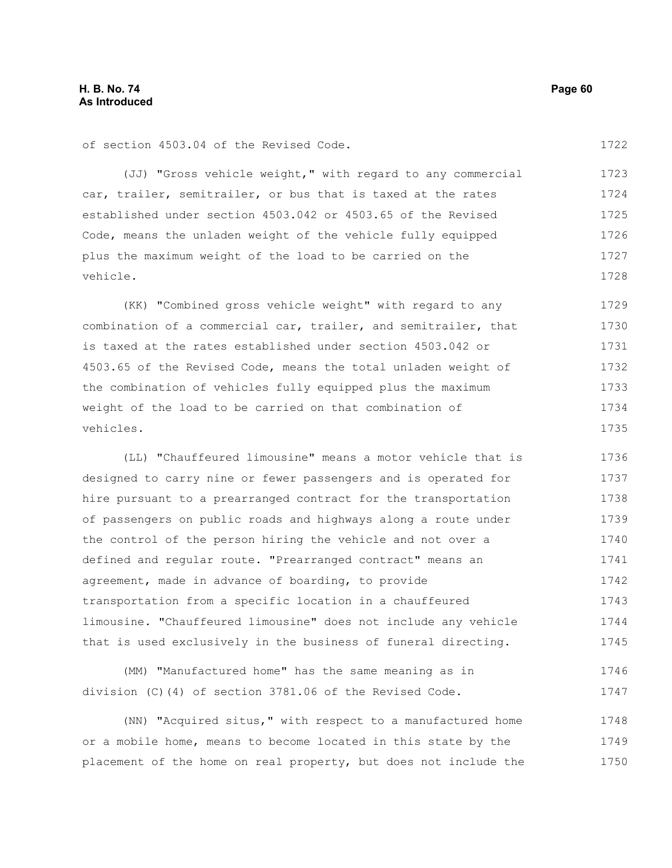vehicle.

of section 4503.04 of the Revised Code. (JJ) "Gross vehicle weight," with regard to any commercial car, trailer, semitrailer, or bus that is taxed at the rates established under section 4503.042 or 4503.65 of the Revised Code, means the unladen weight of the vehicle fully equipped plus the maximum weight of the load to be carried on the 1722 1723 1724 1725 1726

(KK) "Combined gross vehicle weight" with regard to any combination of a commercial car, trailer, and semitrailer, that is taxed at the rates established under section 4503.042 or 4503.65 of the Revised Code, means the total unladen weight of the combination of vehicles fully equipped plus the maximum weight of the load to be carried on that combination of vehicles. 1729 1730 1731 1732 1733 1734 1735

(LL) "Chauffeured limousine" means a motor vehicle that is designed to carry nine or fewer passengers and is operated for hire pursuant to a prearranged contract for the transportation of passengers on public roads and highways along a route under the control of the person hiring the vehicle and not over a defined and regular route. "Prearranged contract" means an agreement, made in advance of boarding, to provide transportation from a specific location in a chauffeured limousine. "Chauffeured limousine" does not include any vehicle that is used exclusively in the business of funeral directing. 1736 1737 1738 1739 1740 1741 1742 1743 1744 1745

(MM) "Manufactured home" has the same meaning as in division (C)(4) of section 3781.06 of the Revised Code. 1746 1747

(NN) "Acquired situs," with respect to a manufactured home or a mobile home, means to become located in this state by the placement of the home on real property, but does not include the 1748 1749 1750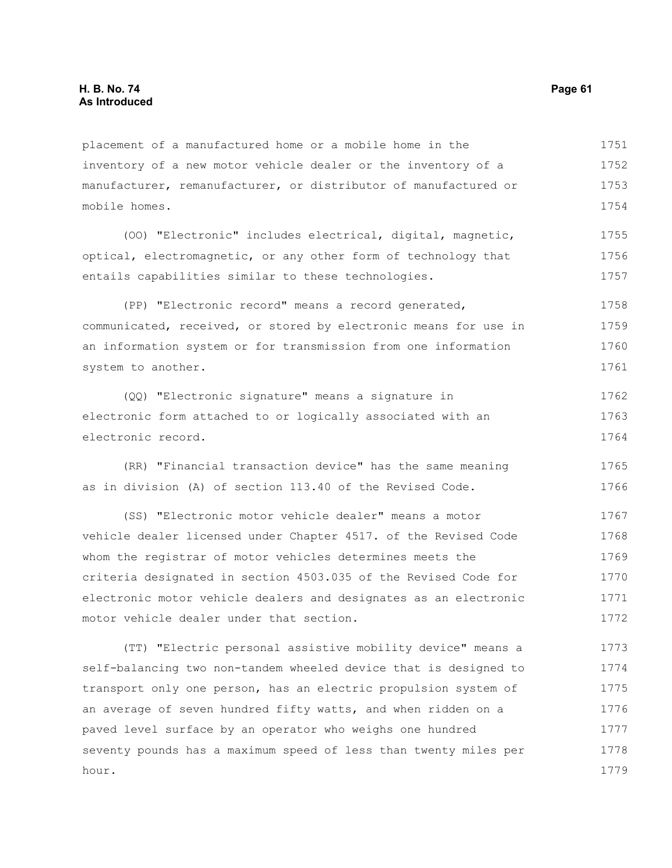placement of a manufactured home or a mobile home in the inventory of a new motor vehicle dealer or the inventory of a manufacturer, remanufacturer, or distributor of manufactured or mobile homes. 1751 1752 1753 1754

(OO) "Electronic" includes electrical, digital, magnetic, optical, electromagnetic, or any other form of technology that entails capabilities similar to these technologies. 1755 1756 1757

(PP) "Electronic record" means a record generated, communicated, received, or stored by electronic means for use in an information system or for transmission from one information system to another. 1758 1759 1760 1761

(QQ) "Electronic signature" means a signature in electronic form attached to or logically associated with an electronic record. 1762 1763 1764

(RR) "Financial transaction device" has the same meaning as in division (A) of section 113.40 of the Revised Code. 1765 1766

(SS) "Electronic motor vehicle dealer" means a motor vehicle dealer licensed under Chapter 4517. of the Revised Code whom the registrar of motor vehicles determines meets the criteria designated in section 4503.035 of the Revised Code for electronic motor vehicle dealers and designates as an electronic motor vehicle dealer under that section. 1767 1768 1769 1770 1771 1772

(TT) "Electric personal assistive mobility device" means a self-balancing two non-tandem wheeled device that is designed to transport only one person, has an electric propulsion system of an average of seven hundred fifty watts, and when ridden on a paved level surface by an operator who weighs one hundred seventy pounds has a maximum speed of less than twenty miles per hour. 1773 1774 1775 1776 1777 1778 1779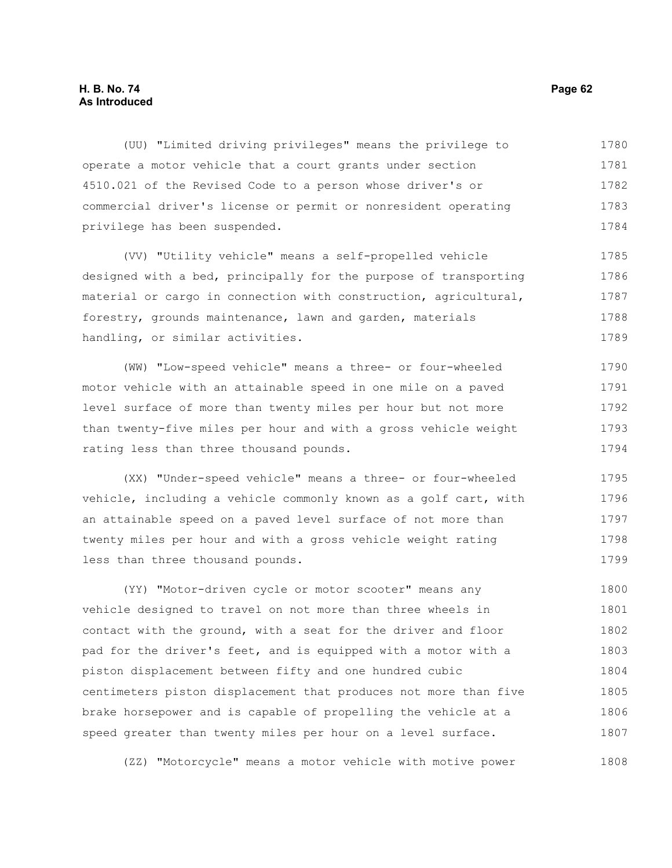# **H. B. No. 74 Page 62 As Introduced**

(UU) "Limited driving privileges" means the privilege to operate a motor vehicle that a court grants under section 4510.021 of the Revised Code to a person whose driver's or commercial driver's license or permit or nonresident operating privilege has been suspended. 1780 1781 1782 1783 1784

(VV) "Utility vehicle" means a self-propelled vehicle designed with a bed, principally for the purpose of transporting material or cargo in connection with construction, agricultural, forestry, grounds maintenance, lawn and garden, materials handling, or similar activities. 1785 1786 1787 1788 1789

(WW) "Low-speed vehicle" means a three- or four-wheeled motor vehicle with an attainable speed in one mile on a paved level surface of more than twenty miles per hour but not more than twenty-five miles per hour and with a gross vehicle weight rating less than three thousand pounds. 1790 1791 1792 1793 1794

(XX) "Under-speed vehicle" means a three- or four-wheeled vehicle, including a vehicle commonly known as a golf cart, with an attainable speed on a paved level surface of not more than twenty miles per hour and with a gross vehicle weight rating less than three thousand pounds. 1795 1796 1797 1798 1799

(YY) "Motor-driven cycle or motor scooter" means any vehicle designed to travel on not more than three wheels in contact with the ground, with a seat for the driver and floor pad for the driver's feet, and is equipped with a motor with a piston displacement between fifty and one hundred cubic centimeters piston displacement that produces not more than five brake horsepower and is capable of propelling the vehicle at a speed greater than twenty miles per hour on a level surface. 1800 1801 1802 1803 1804 1805 1806 1807

(ZZ) "Motorcycle" means a motor vehicle with motive power 1808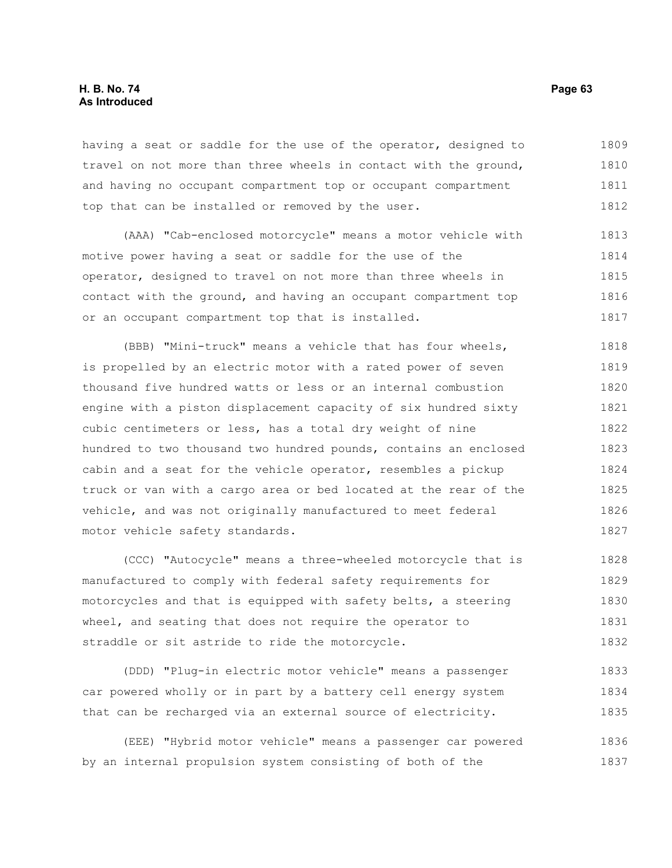## **H. B. No. 74 Page 63 As Introduced**

having a seat or saddle for the use of the operator, designed to travel on not more than three wheels in contact with the ground, and having no occupant compartment top or occupant compartment top that can be installed or removed by the user. 1809 1810 1811 1812

(AAA) "Cab-enclosed motorcycle" means a motor vehicle with motive power having a seat or saddle for the use of the operator, designed to travel on not more than three wheels in contact with the ground, and having an occupant compartment top or an occupant compartment top that is installed. 1813 1814 1815 1816 1817

(BBB) "Mini-truck" means a vehicle that has four wheels, is propelled by an electric motor with a rated power of seven thousand five hundred watts or less or an internal combustion engine with a piston displacement capacity of six hundred sixty cubic centimeters or less, has a total dry weight of nine hundred to two thousand two hundred pounds, contains an enclosed cabin and a seat for the vehicle operator, resembles a pickup truck or van with a cargo area or bed located at the rear of the vehicle, and was not originally manufactured to meet federal motor vehicle safety standards. 1818 1819 1820 1821 1822 1823 1824 1825 1826 1827

(CCC) "Autocycle" means a three-wheeled motorcycle that is manufactured to comply with federal safety requirements for motorcycles and that is equipped with safety belts, a steering wheel, and seating that does not require the operator to straddle or sit astride to ride the motorcycle. 1828 1829 1830 1831 1832

(DDD) "Plug-in electric motor vehicle" means a passenger car powered wholly or in part by a battery cell energy system that can be recharged via an external source of electricity. 1833 1834 1835

(EEE) "Hybrid motor vehicle" means a passenger car powered by an internal propulsion system consisting of both of the 1836 1837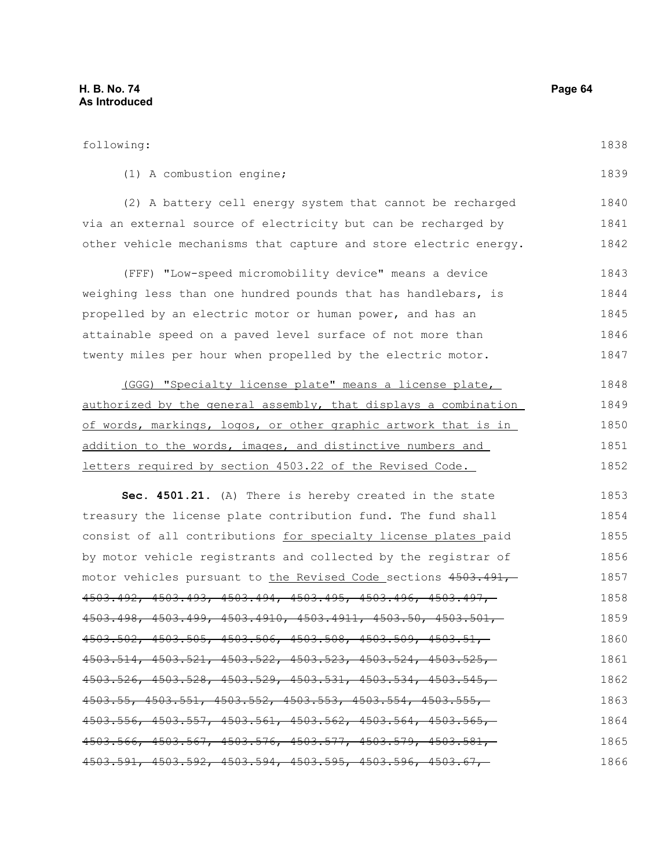following: (1) A combustion engine; (2) A battery cell energy system that cannot be recharged via an external source of electricity but can be recharged by other vehicle mechanisms that capture and store electric energy. (FFF) "Low-speed micromobility device" means a device weighing less than one hundred pounds that has handlebars, is propelled by an electric motor or human power, and has an attainable speed on a paved level surface of not more than twenty miles per hour when propelled by the electric motor. (GGG) "Specialty license plate" means a license plate, authorized by the general assembly, that displays a combination of words, markings, logos, or other graphic artwork that is in addition to the words, images, and distinctive numbers and letters required by section 4503.22 of the Revised Code. **Sec. 4501.21.** (A) There is hereby created in the state treasury the license plate contribution fund. The fund shall consist of all contributions for specialty license plates paid by motor vehicle registrants and collected by the registrar of 1838 1839 1840 1841 1842 1843 1844 1845 1846 1847 1848 1849 1850 1851 1852 1853 1854 1855 1856

| motor vehicles pursuant to the Revised Code sections 4503.491,                | 1857 |
|-------------------------------------------------------------------------------|------|
| $4503.492, 4503.493, 4503.494, 4503.495, 4503.496, 4503.497,$                 | 1858 |
| $4503.498, 4503.499, 4503.4910, 4503.4911, 4503.50, 4503.501,$                | 1859 |
| $4503.502$ , $4503.505$ , $4503.506$ , $4503.508$ , $4503.509$ , $4503.51$ ,  | 1860 |
| $4503.514$ , $4503.521$ , $4503.522$ , $4503.523$ , $4503.524$ , $4503.525$ , | 1861 |
| $4503.526$ , $4503.528$ , $4503.529$ , $4503.531$ , $4503.534$ , $4503.545$ , | 1862 |
| $4503.55$ , $4503.551$ , $4503.552$ , $4503.553$ , $4503.554$ , $4503.555$ ,  | 1863 |
| $4503.556$ , $4503.557$ , $4503.561$ , $4503.562$ , $4503.564$ , $4503.565$ , | 1864 |
| $4503.566$ , $4503.567$ , $4503.576$ , $4503.577$ , $4503.579$ , $4503.581$ , | 1865 |
| $4503.591, 4503.592, 4503.594, 4503.595, 4503.596, 4503.67,$                  | 1866 |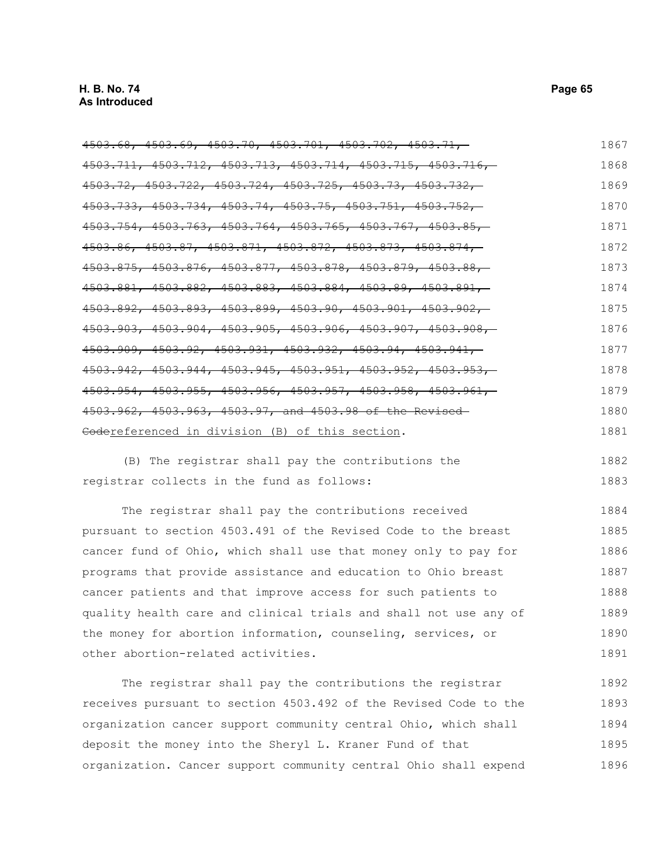| $4503.68$ , $4503.69$ , $4503.70$ , $4503.701$ , $4503.702$ , $4503.71$ ,    | 1867 |
|------------------------------------------------------------------------------|------|
| $4503.711, 4503.712, 4503.713, 4503.714, 4503.715, 4503.716,$                | 1868 |
| $4503.72$ , $4503.722$ , $4503.724$ , $4503.725$ , $4503.73$ , $4503.732$ ,  | 1869 |
| $4503.733, 4503.734, 4503.74, 4503.75, 4503.751, 4503.752,$                  | 1870 |
| $4503.754$ , $4503.763$ , $4503.764$ , $4503.765$ , $4503.767$ , $4503.85$ , | 1871 |
| $4503.86, 4503.87, 4503.871, 4503.872, 4503.873, 4503.874,$                  | 1872 |
| $4503.875$ , $4503.876$ , $4503.877$ , $4503.878$ , $4503.879$ , $4503.88$ , | 1873 |
| $4503.881, 4503.882, 4503.883, 4503.884, 4503.89, 4503.891, -$               | 1874 |
| $4503.892, 4503.893, 4503.899, 4503.90, 4503.901, 4503.902,$                 | 1875 |
| $4503.903, 4503.904, 4503.905, 4503.906, 4503.907, 4503.908,$                | 1876 |
| $4503.909, 4503.92, 4503.931, 4503.932, 4503.94, 4503.941, -$                | 1877 |
| $4503.942, 4503.944, 4503.945, 4503.951, 4503.952, 4503.953, -$              | 1878 |
| $4503.954, 4503.955, 4503.956, 4503.957, 4503.958, 4503.961,$                | 1879 |
| 4503.962, 4503.963, 4503.97, and 4503.98 of the Revised                      | 1880 |
| Codereferenced in division (B) of this section.                              | 1881 |
| (B) The registrar shall pay the contributions the                            | 1882 |
| registrar collects in the fund as follows:                                   | 1883 |
| The registrar shall pay the contributions received                           | 1884 |
| pursuant to section 4503.491 of the Revised Code to the breast               | 1885 |
| cancer fund of Ohio, which shall use that money only to pay for              | 1886 |
| programs that provide assistance and education to Ohio breast                | 1887 |
| cancer patients and that improve access for such patients to                 | 1888 |
| quality health care and clinical trials and shall not use any of             | 1889 |
| the money for abortion information, counseling, services, or                 | 1890 |
| other abortion-related activities.                                           | 1891 |

The registrar shall pay the contributions the registrar receives pursuant to section 4503.492 of the Revised Code to the organization cancer support community central Ohio, which shall deposit the money into the Sheryl L. Kraner Fund of that organization. Cancer support community central Ohio shall expend 1892 1893 1894 1895 1896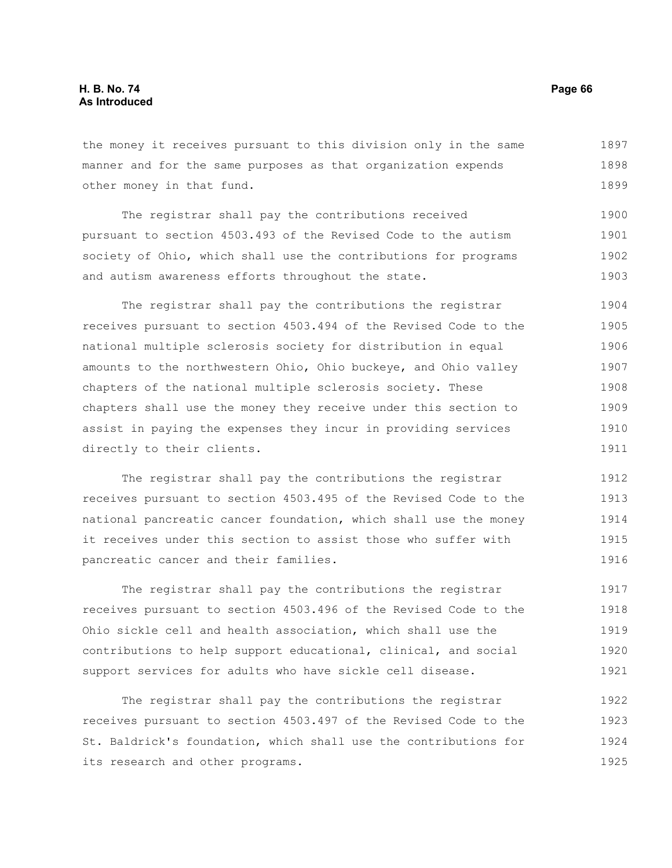the money it receives pursuant to this division only in the same manner and for the same purposes as that organization expends other money in that fund. 1897 1898 1899

The registrar shall pay the contributions received pursuant to section 4503.493 of the Revised Code to the autism society of Ohio, which shall use the contributions for programs and autism awareness efforts throughout the state. 1900 1901 1902 1903

The registrar shall pay the contributions the registrar receives pursuant to section 4503.494 of the Revised Code to the national multiple sclerosis society for distribution in equal amounts to the northwestern Ohio, Ohio buckeye, and Ohio valley chapters of the national multiple sclerosis society. These chapters shall use the money they receive under this section to assist in paying the expenses they incur in providing services directly to their clients. 1904 1905 1906 1907 1908 1909 1910 1911

The registrar shall pay the contributions the registrar receives pursuant to section 4503.495 of the Revised Code to the national pancreatic cancer foundation, which shall use the money it receives under this section to assist those who suffer with pancreatic cancer and their families. 1912 1913 1914 1915 1916

The registrar shall pay the contributions the registrar receives pursuant to section 4503.496 of the Revised Code to the Ohio sickle cell and health association, which shall use the contributions to help support educational, clinical, and social support services for adults who have sickle cell disease. 1917 1918 1919 1920 1921

The registrar shall pay the contributions the registrar receives pursuant to section 4503.497 of the Revised Code to the St. Baldrick's foundation, which shall use the contributions for its research and other programs. 1922 1923 1924 1925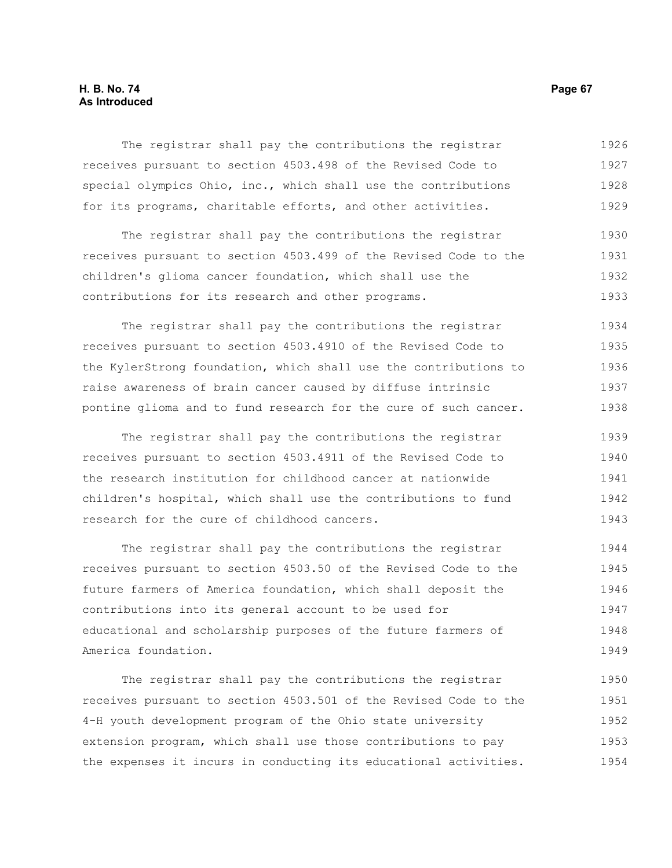## **H. B. No. 74 Page 67 As Introduced**

The registrar shall pay the contributions the registrar receives pursuant to section 4503.498 of the Revised Code to special olympics Ohio, inc., which shall use the contributions for its programs, charitable efforts, and other activities. 1926 1927 1928 1929

The registrar shall pay the contributions the registrar receives pursuant to section 4503.499 of the Revised Code to the children's glioma cancer foundation, which shall use the contributions for its research and other programs. 1930 1931 1932 1933

The registrar shall pay the contributions the registrar receives pursuant to section 4503.4910 of the Revised Code to the KylerStrong foundation, which shall use the contributions to raise awareness of brain cancer caused by diffuse intrinsic pontine glioma and to fund research for the cure of such cancer. 1934 1935 1936 1937 1938

The registrar shall pay the contributions the registrar receives pursuant to section 4503.4911 of the Revised Code to the research institution for childhood cancer at nationwide children's hospital, which shall use the contributions to fund research for the cure of childhood cancers. 1939 1940 1941 1942 1943

The registrar shall pay the contributions the registrar receives pursuant to section 4503.50 of the Revised Code to the future farmers of America foundation, which shall deposit the contributions into its general account to be used for educational and scholarship purposes of the future farmers of America foundation. 1944 1945 1946 1947 1948 1949

The registrar shall pay the contributions the registrar receives pursuant to section 4503.501 of the Revised Code to the 4-H youth development program of the Ohio state university extension program, which shall use those contributions to pay the expenses it incurs in conducting its educational activities. 1950 1951 1952 1953 1954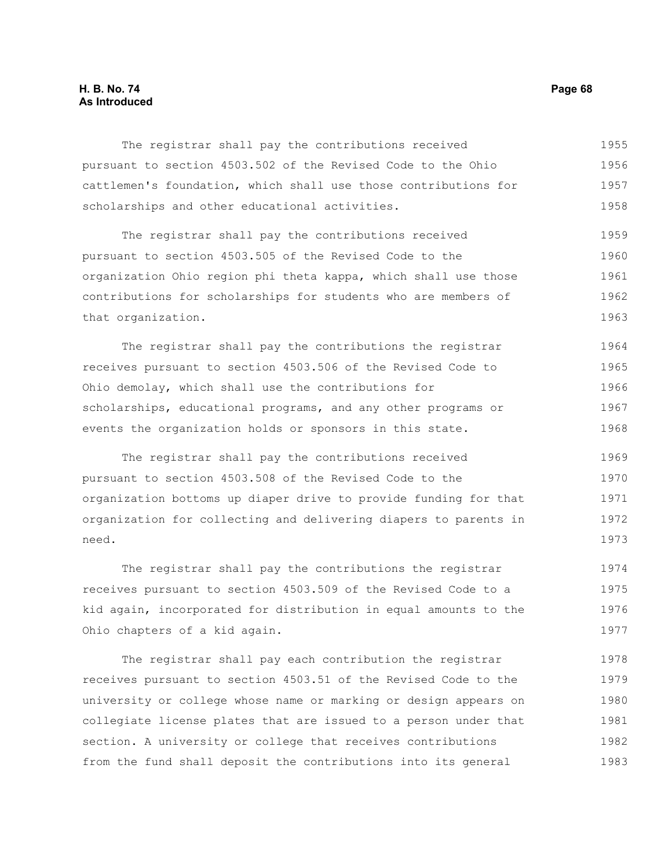## **H. B. No. 74 Page 68 As Introduced**

The registrar shall pay the contributions received pursuant to section 4503.502 of the Revised Code to the Ohio cattlemen's foundation, which shall use those contributions for scholarships and other educational activities. 1955 1956 1957 1958

The registrar shall pay the contributions received pursuant to section 4503.505 of the Revised Code to the organization Ohio region phi theta kappa, which shall use those contributions for scholarships for students who are members of that organization. 1959 1960 1961 1962 1963

The registrar shall pay the contributions the registrar receives pursuant to section 4503.506 of the Revised Code to Ohio demolay, which shall use the contributions for scholarships, educational programs, and any other programs or events the organization holds or sponsors in this state. 1964 1965 1966 1967 1968

The registrar shall pay the contributions received pursuant to section 4503.508 of the Revised Code to the organization bottoms up diaper drive to provide funding for that organization for collecting and delivering diapers to parents in need. 1969 1970 1971 1972 1973

The registrar shall pay the contributions the registrar receives pursuant to section 4503.509 of the Revised Code to a kid again, incorporated for distribution in equal amounts to the Ohio chapters of a kid again. 1974 1975 1976 1977

The registrar shall pay each contribution the registrar receives pursuant to section 4503.51 of the Revised Code to the university or college whose name or marking or design appears on collegiate license plates that are issued to a person under that section. A university or college that receives contributions from the fund shall deposit the contributions into its general 1978 1979 1980 1981 1982 1983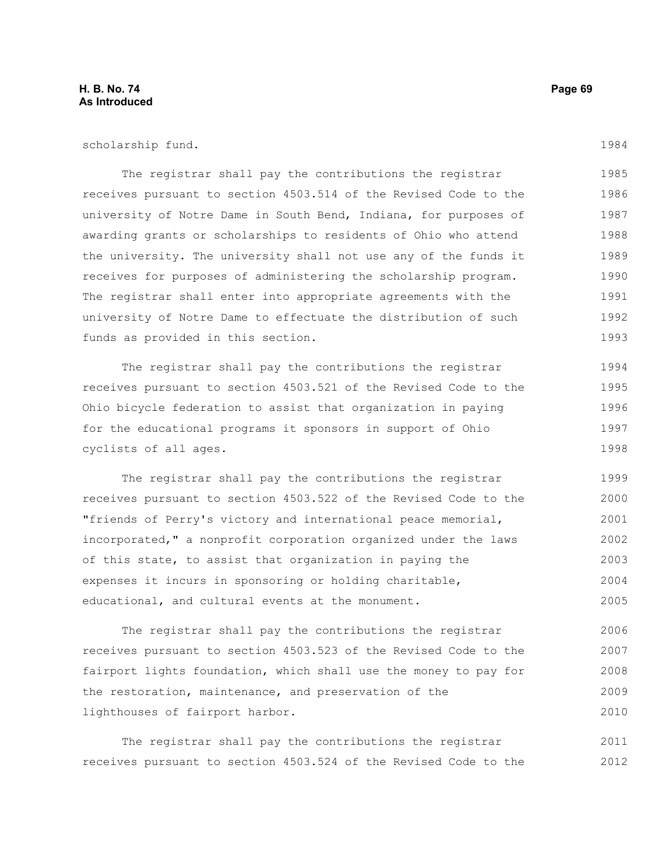## **H. B. No. 74 Page 69 As Introduced**

scholarship fund.

The registrar shall pay the contributions the registrar receives pursuant to section 4503.514 of the Revised Code to the university of Notre Dame in South Bend, Indiana, for purposes of awarding grants or scholarships to residents of Ohio who attend the university. The university shall not use any of the funds it receives for purposes of administering the scholarship program. The registrar shall enter into appropriate agreements with the university of Notre Dame to effectuate the distribution of such funds as provided in this section. 1985 1986 1987 1988 1989 1990 1991 1992 1993

The registrar shall pay the contributions the registrar receives pursuant to section 4503.521 of the Revised Code to the Ohio bicycle federation to assist that organization in paying for the educational programs it sponsors in support of Ohio cyclists of all ages. 1994 1995 1996 1997 1998

The registrar shall pay the contributions the registrar receives pursuant to section 4503.522 of the Revised Code to the "friends of Perry's victory and international peace memorial, incorporated," a nonprofit corporation organized under the laws of this state, to assist that organization in paying the expenses it incurs in sponsoring or holding charitable, educational, and cultural events at the monument. 1999 2000 2001 2002 2003 2004 2005

The registrar shall pay the contributions the registrar receives pursuant to section 4503.523 of the Revised Code to the fairport lights foundation, which shall use the money to pay for the restoration, maintenance, and preservation of the lighthouses of fairport harbor. 2006 2007 2008 2009 2010

The registrar shall pay the contributions the registrar receives pursuant to section 4503.524 of the Revised Code to the 2011 2012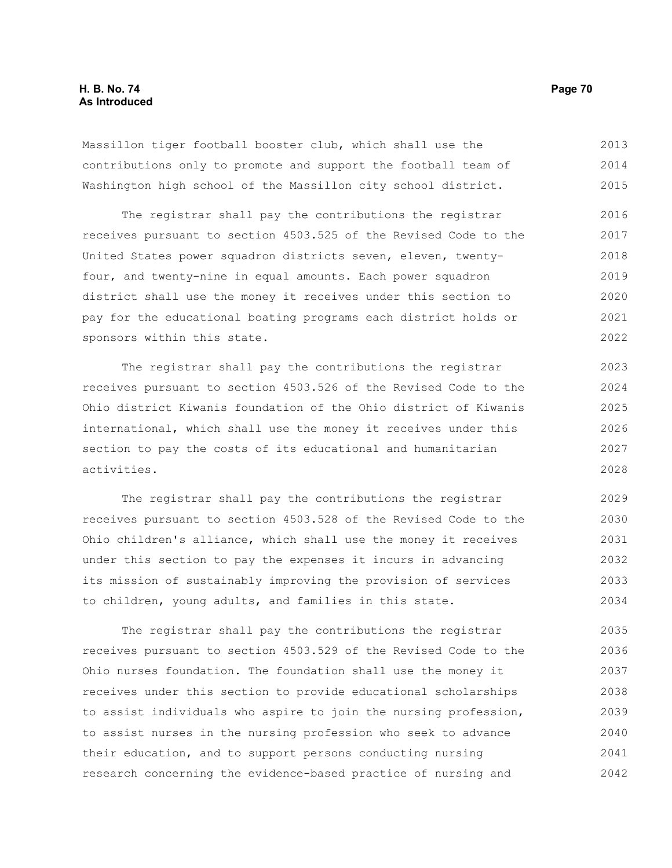# **H. B. No. 74 Page 70 As Introduced**

Massillon tiger football booster club, which shall use the contributions only to promote and support the football team of Washington high school of the Massillon city school district. 2013 2014 2015

The registrar shall pay the contributions the registrar receives pursuant to section 4503.525 of the Revised Code to the United States power squadron districts seven, eleven, twentyfour, and twenty-nine in equal amounts. Each power squadron district shall use the money it receives under this section to pay for the educational boating programs each district holds or sponsors within this state. 2016 2017 2018 2019 2020 2021 2022

The registrar shall pay the contributions the registrar receives pursuant to section 4503.526 of the Revised Code to the Ohio district Kiwanis foundation of the Ohio district of Kiwanis international, which shall use the money it receives under this section to pay the costs of its educational and humanitarian activities. 2023 2024 2025 2026 2027 2028

The registrar shall pay the contributions the registrar receives pursuant to section 4503.528 of the Revised Code to the Ohio children's alliance, which shall use the money it receives under this section to pay the expenses it incurs in advancing its mission of sustainably improving the provision of services to children, young adults, and families in this state. 2029 2030 2031 2032 2033 2034

The registrar shall pay the contributions the registrar receives pursuant to section 4503.529 of the Revised Code to the Ohio nurses foundation. The foundation shall use the money it receives under this section to provide educational scholarships to assist individuals who aspire to join the nursing profession, to assist nurses in the nursing profession who seek to advance their education, and to support persons conducting nursing research concerning the evidence-based practice of nursing and 2035 2036 2037 2038 2039 2040 2041 2042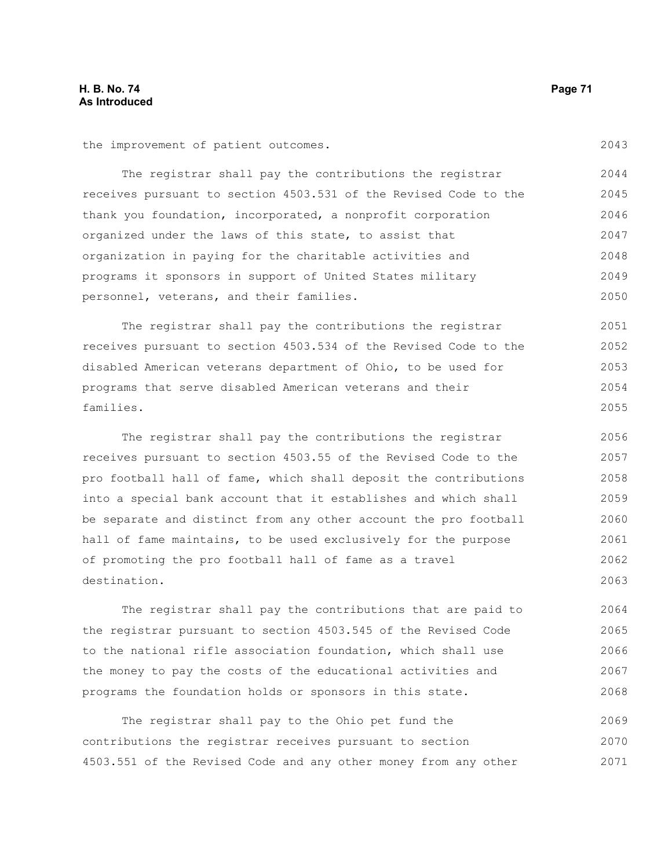the improvement of patient outcomes.

The registrar shall pay the contributions the registrar receives pursuant to section 4503.531 of the Revised Code to the thank you foundation, incorporated, a nonprofit corporation organized under the laws of this state, to assist that organization in paying for the charitable activities and programs it sponsors in support of United States military personnel, veterans, and their families. 2044 2045 2046 2047 2048 2049 2050

The registrar shall pay the contributions the registrar receives pursuant to section 4503.534 of the Revised Code to the disabled American veterans department of Ohio, to be used for programs that serve disabled American veterans and their families. 2051 2052 2053 2054

The registrar shall pay the contributions the registrar receives pursuant to section 4503.55 of the Revised Code to the pro football hall of fame, which shall deposit the contributions into a special bank account that it establishes and which shall be separate and distinct from any other account the pro football hall of fame maintains, to be used exclusively for the purpose of promoting the pro football hall of fame as a travel destination. 2056 2057 2058 2059 2060 2061 2062 2063

The registrar shall pay the contributions that are paid to the registrar pursuant to section 4503.545 of the Revised Code to the national rifle association foundation, which shall use the money to pay the costs of the educational activities and programs the foundation holds or sponsors in this state. 2064 2065 2066 2067 2068

The registrar shall pay to the Ohio pet fund the contributions the registrar receives pursuant to section 4503.551 of the Revised Code and any other money from any other 2069 2070 2071

2043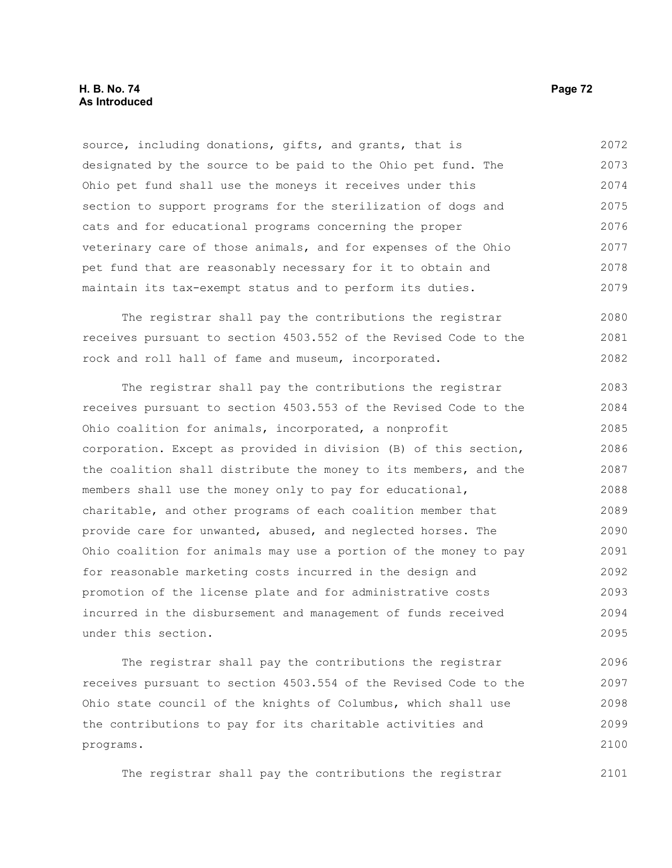## **H. B. No. 74 Page 72 As Introduced**

source, including donations, gifts, and grants, that is designated by the source to be paid to the Ohio pet fund. The Ohio pet fund shall use the moneys it receives under this section to support programs for the sterilization of dogs and cats and for educational programs concerning the proper veterinary care of those animals, and for expenses of the Ohio pet fund that are reasonably necessary for it to obtain and maintain its tax-exempt status and to perform its duties. 2072 2073 2074 2075 2076 2077 2078 2079

The registrar shall pay the contributions the registrar receives pursuant to section 4503.552 of the Revised Code to the rock and roll hall of fame and museum, incorporated. 2080 2081 2082

The registrar shall pay the contributions the registrar receives pursuant to section 4503.553 of the Revised Code to the Ohio coalition for animals, incorporated, a nonprofit corporation. Except as provided in division (B) of this section, the coalition shall distribute the money to its members, and the members shall use the money only to pay for educational, charitable, and other programs of each coalition member that provide care for unwanted, abused, and neglected horses. The Ohio coalition for animals may use a portion of the money to pay for reasonable marketing costs incurred in the design and promotion of the license plate and for administrative costs incurred in the disbursement and management of funds received under this section. 2083 2084 2085 2086 2087 2088 2089 2090 2091 2092 2093 2094 2095

The registrar shall pay the contributions the registrar receives pursuant to section 4503.554 of the Revised Code to the Ohio state council of the knights of Columbus, which shall use the contributions to pay for its charitable activities and programs. 2096 2097 2098 2099 2100

The registrar shall pay the contributions the registrar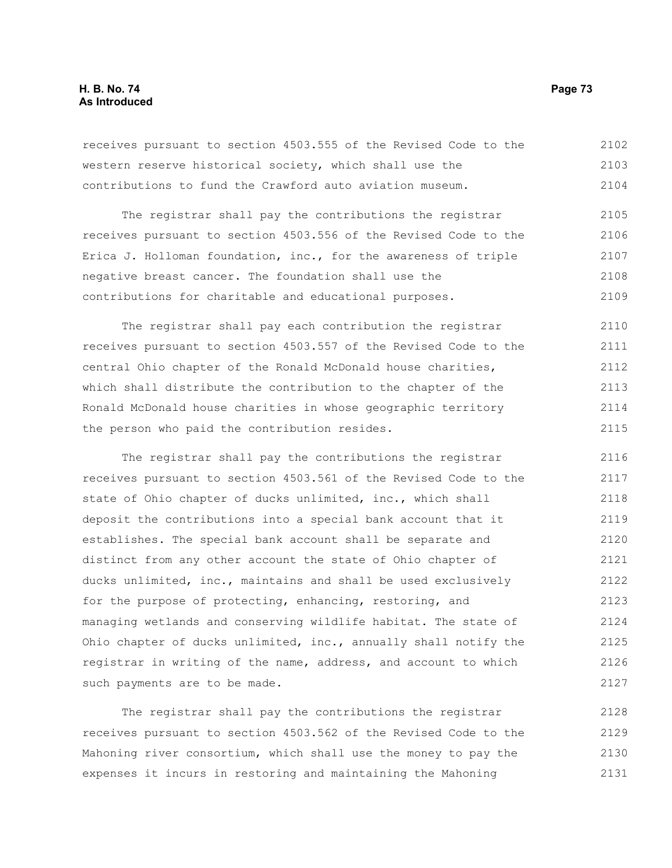# **H. B. No. 74 Page 73 As Introduced**

receives pursuant to section 4503.555 of the Revised Code to the western reserve historical society, which shall use the contributions to fund the Crawford auto aviation museum. 2102 2103 2104

The registrar shall pay the contributions the registrar receives pursuant to section 4503.556 of the Revised Code to the Erica J. Holloman foundation, inc., for the awareness of triple negative breast cancer. The foundation shall use the contributions for charitable and educational purposes. 2105 2106 2107 2108 2109

The registrar shall pay each contribution the registrar receives pursuant to section 4503.557 of the Revised Code to the central Ohio chapter of the Ronald McDonald house charities, which shall distribute the contribution to the chapter of the Ronald McDonald house charities in whose geographic territory the person who paid the contribution resides. 2110 2111 2112 2113 2114 2115

The registrar shall pay the contributions the registrar receives pursuant to section 4503.561 of the Revised Code to the state of Ohio chapter of ducks unlimited, inc., which shall deposit the contributions into a special bank account that it establishes. The special bank account shall be separate and distinct from any other account the state of Ohio chapter of ducks unlimited, inc., maintains and shall be used exclusively for the purpose of protecting, enhancing, restoring, and managing wetlands and conserving wildlife habitat. The state of Ohio chapter of ducks unlimited, inc., annually shall notify the registrar in writing of the name, address, and account to which such payments are to be made. 2116 2117 2118 2119 2120 2121 2122 2123 2124 2125 2126 2127

The registrar shall pay the contributions the registrar receives pursuant to section 4503.562 of the Revised Code to the Mahoning river consortium, which shall use the money to pay the expenses it incurs in restoring and maintaining the Mahoning 2128 2129 2130 2131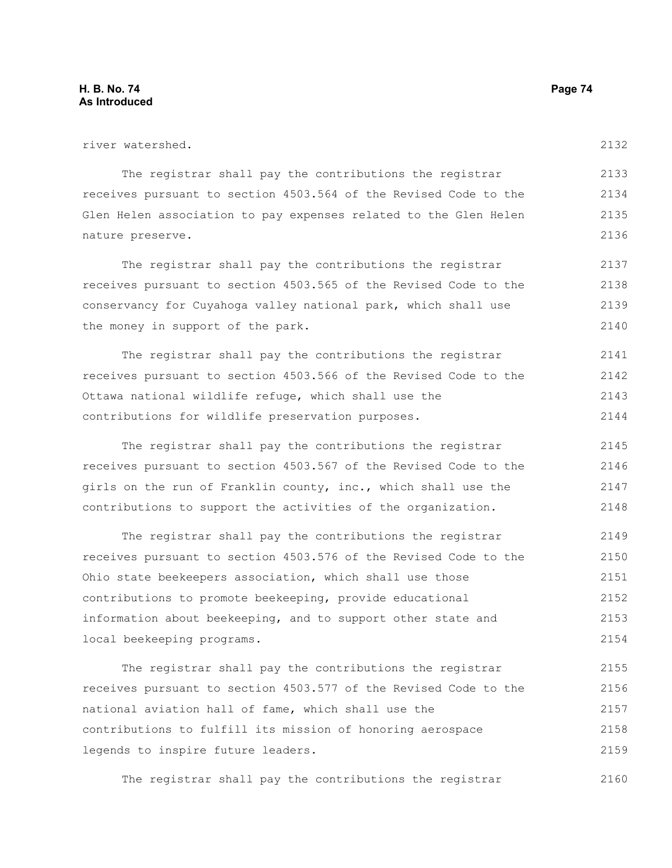| river watershed.                                                 | 2132 |
|------------------------------------------------------------------|------|
| The registrar shall pay the contributions the registrar          | 2133 |
| receives pursuant to section 4503.564 of the Revised Code to the | 2134 |
| Glen Helen association to pay expenses related to the Glen Helen | 2135 |
| nature preserve.                                                 | 2136 |
| The registrar shall pay the contributions the registrar          | 2137 |
| receives pursuant to section 4503.565 of the Revised Code to the | 2138 |
| conservancy for Cuyahoga valley national park, which shall use   | 2139 |
| the money in support of the park.                                | 2140 |
| The registrar shall pay the contributions the registrar          | 2141 |
| receives pursuant to section 4503.566 of the Revised Code to the | 2142 |
| Ottawa national wildlife refuge, which shall use the             | 2143 |
| contributions for wildlife preservation purposes.                | 2144 |
| The registrar shall pay the contributions the registrar          | 2145 |
| receives pursuant to section 4503.567 of the Revised Code to the | 2146 |
| girls on the run of Franklin county, inc., which shall use the   | 2147 |
| contributions to support the activities of the organization.     | 2148 |
| The registrar shall pay the contributions the registrar          | 2149 |
| receives pursuant to section 4503.576 of the Revised Code to the | 2150 |
| Ohio state beekeepers association, which shall use those         | 2151 |
| contributions to promote beekeeping, provide educational         | 2152 |
| information about beekeeping, and to support other state and     | 2153 |
| local beekeeping programs.                                       | 2154 |
| The registrar shall pay the contributions the registrar          | 2155 |
| receives pursuant to section 4503.577 of the Revised Code to the | 2156 |
| national aviation hall of fame, which shall use the              | 2157 |

The registrar shall pay the contributions the registrar 2160

contributions to fulfill its mission of honoring aerospace

legends to inspire future leaders.

2158 2159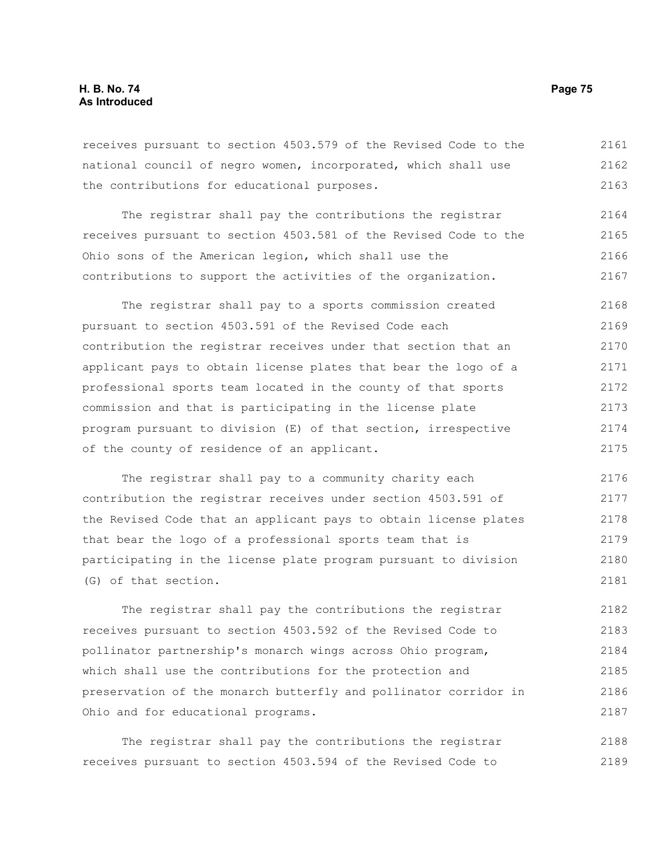receives pursuant to section 4503.579 of the Revised Code to the national council of negro women, incorporated, which shall use the contributions for educational purposes. 2161 2162 2163

The registrar shall pay the contributions the registrar receives pursuant to section 4503.581 of the Revised Code to the Ohio sons of the American legion, which shall use the contributions to support the activities of the organization. 2164 2165 2166 2167

The registrar shall pay to a sports commission created pursuant to section 4503.591 of the Revised Code each contribution the registrar receives under that section that an applicant pays to obtain license plates that bear the logo of a professional sports team located in the county of that sports commission and that is participating in the license plate program pursuant to division (E) of that section, irrespective of the county of residence of an applicant. 2168 2169 2170 2171 2172 2173 2174 2175

The registrar shall pay to a community charity each contribution the registrar receives under section 4503.591 of the Revised Code that an applicant pays to obtain license plates that bear the logo of a professional sports team that is participating in the license plate program pursuant to division (G) of that section. 2176 2177 2178 2179 2180 2181

The registrar shall pay the contributions the registrar receives pursuant to section 4503.592 of the Revised Code to pollinator partnership's monarch wings across Ohio program, which shall use the contributions for the protection and preservation of the monarch butterfly and pollinator corridor in Ohio and for educational programs. 2182 2183 2184 2185 2186 2187

The registrar shall pay the contributions the registrar receives pursuant to section 4503.594 of the Revised Code to 2188 2189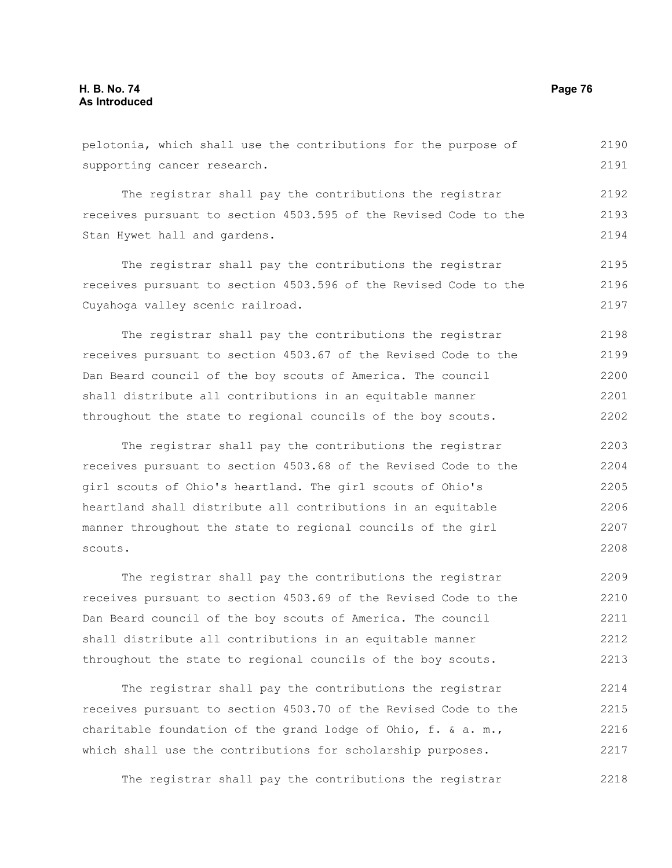supporting cancer research.

2190 2191

2205

2207 2208

The registrar shall pay the contributions the registrar receives pursuant to section 4503.595 of the Revised Code to the Stan Hywet hall and gardens. 2192 2193 2194

The registrar shall pay the contributions the registrar receives pursuant to section 4503.596 of the Revised Code to the Cuyahoga valley scenic railroad. 2195 2196 2197

The registrar shall pay the contributions the registrar receives pursuant to section 4503.67 of the Revised Code to the Dan Beard council of the boy scouts of America. The council shall distribute all contributions in an equitable manner throughout the state to regional councils of the boy scouts. 2198 2199 2200 2201 2202

The registrar shall pay the contributions the registrar receives pursuant to section 4503.68 of the Revised Code to the girl scouts of Ohio's heartland. The girl scouts of Ohio's heartland shall distribute all contributions in an equitable manner throughout the state to regional councils of the girl scouts. 2203 2204 2206

The registrar shall pay the contributions the registrar receives pursuant to section 4503.69 of the Revised Code to the Dan Beard council of the boy scouts of America. The council shall distribute all contributions in an equitable manner throughout the state to regional councils of the boy scouts. 2209 2210 2211 2212 2213

The registrar shall pay the contributions the registrar receives pursuant to section 4503.70 of the Revised Code to the charitable foundation of the grand lodge of Ohio, f. & a. m., which shall use the contributions for scholarship purposes. 2214 2215 2216 2217

The registrar shall pay the contributions the registrar 2218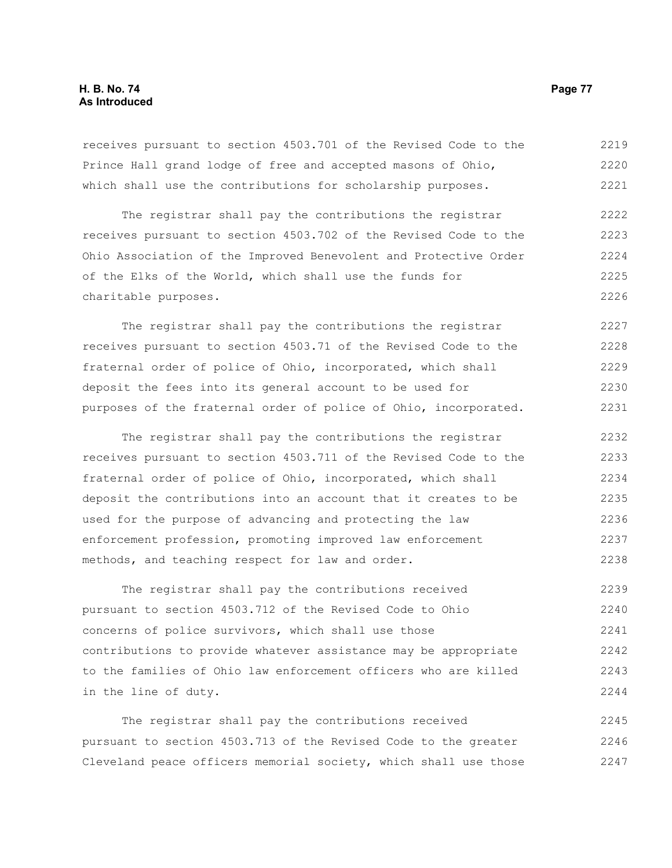# **H. B. No. 74 Page 77 As Introduced**

receives pursuant to section 4503.701 of the Revised Code to the Prince Hall grand lodge of free and accepted masons of Ohio, which shall use the contributions for scholarship purposes. 2219 2220 2221

The registrar shall pay the contributions the registrar receives pursuant to section 4503.702 of the Revised Code to the Ohio Association of the Improved Benevolent and Protective Order of the Elks of the World, which shall use the funds for charitable purposes. 2222 2223 2224 2225 2226

The registrar shall pay the contributions the registrar receives pursuant to section 4503.71 of the Revised Code to the fraternal order of police of Ohio, incorporated, which shall deposit the fees into its general account to be used for purposes of the fraternal order of police of Ohio, incorporated. 2227 2228 2229 2230 2231

The registrar shall pay the contributions the registrar receives pursuant to section 4503.711 of the Revised Code to the fraternal order of police of Ohio, incorporated, which shall deposit the contributions into an account that it creates to be used for the purpose of advancing and protecting the law enforcement profession, promoting improved law enforcement methods, and teaching respect for law and order. 2232 2233 2234 2235 2236 2237 2238

The registrar shall pay the contributions received pursuant to section 4503.712 of the Revised Code to Ohio concerns of police survivors, which shall use those contributions to provide whatever assistance may be appropriate to the families of Ohio law enforcement officers who are killed in the line of duty. 2239 2240 2241 2242 2243 2244

The registrar shall pay the contributions received pursuant to section 4503.713 of the Revised Code to the greater Cleveland peace officers memorial society, which shall use those 2245 2246 2247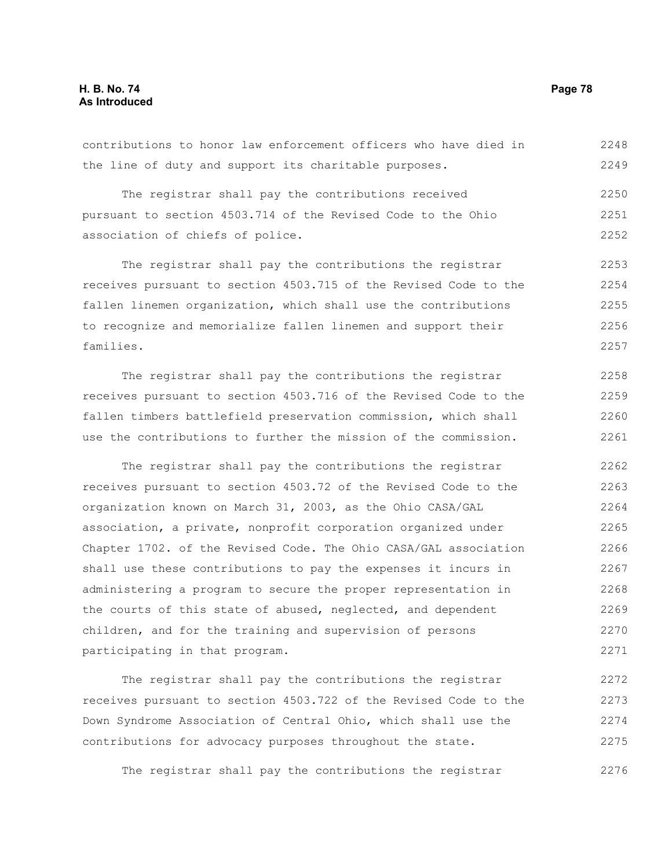contributions to honor law enforcement officers who have died in the line of duty and support its charitable purposes. 2248 2249

The registrar shall pay the contributions received pursuant to section 4503.714 of the Revised Code to the Ohio association of chiefs of police. 2250 2251 2252

The registrar shall pay the contributions the registrar receives pursuant to section 4503.715 of the Revised Code to the fallen linemen organization, which shall use the contributions to recognize and memorialize fallen linemen and support their families. 2253 2254 2255 2256 2257

The registrar shall pay the contributions the registrar receives pursuant to section 4503.716 of the Revised Code to the fallen timbers battlefield preservation commission, which shall use the contributions to further the mission of the commission.

The registrar shall pay the contributions the registrar receives pursuant to section 4503.72 of the Revised Code to the organization known on March 31, 2003, as the Ohio CASA/GAL association, a private, nonprofit corporation organized under Chapter 1702. of the Revised Code. The Ohio CASA/GAL association shall use these contributions to pay the expenses it incurs in administering a program to secure the proper representation in the courts of this state of abused, neglected, and dependent children, and for the training and supervision of persons participating in that program. 2262 2263 2264 2265 2266 2267 2268 2269 2270 2271

The registrar shall pay the contributions the registrar receives pursuant to section 4503.722 of the Revised Code to the Down Syndrome Association of Central Ohio, which shall use the contributions for advocacy purposes throughout the state. 2272 2273 2274 2275

The registrar shall pay the contributions the registrar 2276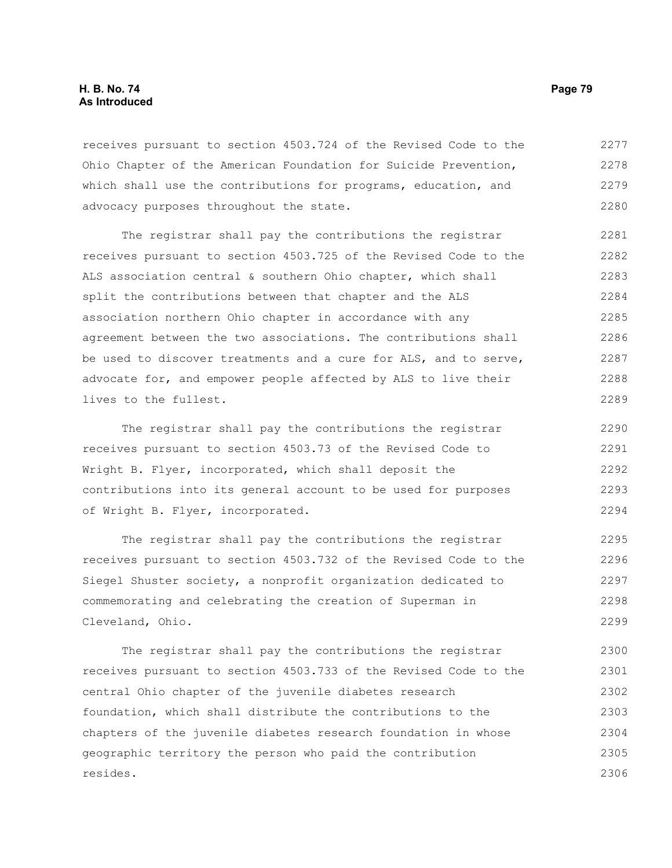# **H. B. No. 74 Page 79 As Introduced**

receives pursuant to section 4503.724 of the Revised Code to the Ohio Chapter of the American Foundation for Suicide Prevention, which shall use the contributions for programs, education, and advocacy purposes throughout the state. 2277 2278 2279 2280

The registrar shall pay the contributions the registrar receives pursuant to section 4503.725 of the Revised Code to the ALS association central & southern Ohio chapter, which shall split the contributions between that chapter and the ALS association northern Ohio chapter in accordance with any agreement between the two associations. The contributions shall be used to discover treatments and a cure for ALS, and to serve, advocate for, and empower people affected by ALS to live their lives to the fullest. 2281 2282 2283 2284 2285 2286 2287 2288 2289

The registrar shall pay the contributions the registrar receives pursuant to section 4503.73 of the Revised Code to Wright B. Flyer, incorporated, which shall deposit the contributions into its general account to be used for purposes of Wright B. Flyer, incorporated. 2290 2291 2292 2293 2294

The registrar shall pay the contributions the registrar receives pursuant to section 4503.732 of the Revised Code to the Siegel Shuster society, a nonprofit organization dedicated to commemorating and celebrating the creation of Superman in Cleveland, Ohio. 2295 2296 2297 2298 2299

The registrar shall pay the contributions the registrar receives pursuant to section 4503.733 of the Revised Code to the central Ohio chapter of the juvenile diabetes research foundation, which shall distribute the contributions to the chapters of the juvenile diabetes research foundation in whose geographic territory the person who paid the contribution resides. 2300 2301 2302 2303 2304 2305 2306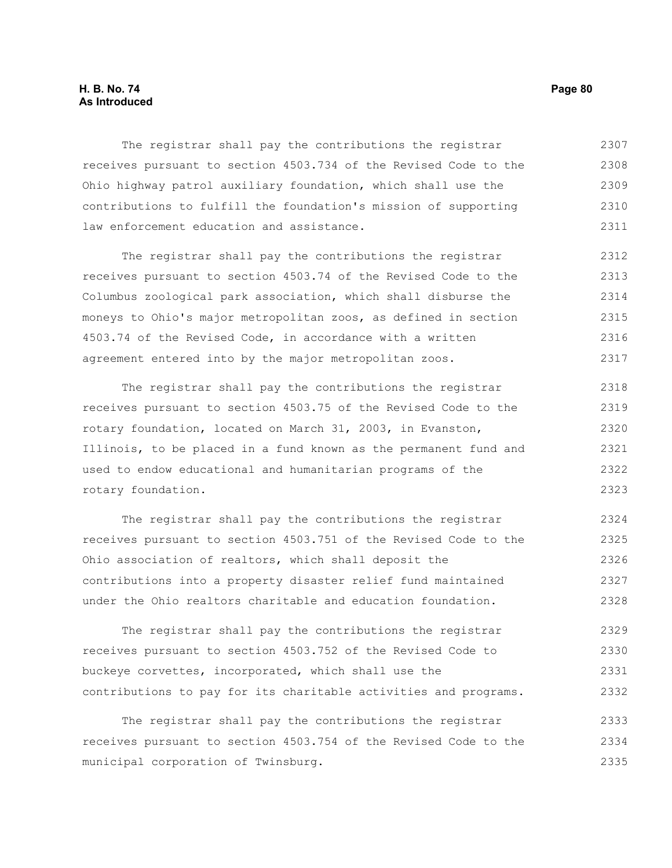#### **H. B. No. 74 Page 80 As Introduced**

The registrar shall pay the contributions the registrar receives pursuant to section 4503.734 of the Revised Code to the Ohio highway patrol auxiliary foundation, which shall use the contributions to fulfill the foundation's mission of supporting law enforcement education and assistance. 2307 2308 2309 2310 2311

The registrar shall pay the contributions the registrar receives pursuant to section 4503.74 of the Revised Code to the Columbus zoological park association, which shall disburse the moneys to Ohio's major metropolitan zoos, as defined in section 4503.74 of the Revised Code, in accordance with a written agreement entered into by the major metropolitan zoos. 2312 2313 2314 2315 2316 2317

The registrar shall pay the contributions the registrar receives pursuant to section 4503.75 of the Revised Code to the rotary foundation, located on March 31, 2003, in Evanston, Illinois, to be placed in a fund known as the permanent fund and used to endow educational and humanitarian programs of the rotary foundation. 2318 2319 2320 2321 2322 2323

The registrar shall pay the contributions the registrar receives pursuant to section 4503.751 of the Revised Code to the Ohio association of realtors, which shall deposit the contributions into a property disaster relief fund maintained under the Ohio realtors charitable and education foundation. 2324 2325 2326 2327 2328

The registrar shall pay the contributions the registrar receives pursuant to section 4503.752 of the Revised Code to buckeye corvettes, incorporated, which shall use the contributions to pay for its charitable activities and programs. 2329 2330 2331 2332

The registrar shall pay the contributions the registrar receives pursuant to section 4503.754 of the Revised Code to the municipal corporation of Twinsburg. 2333 2334 2335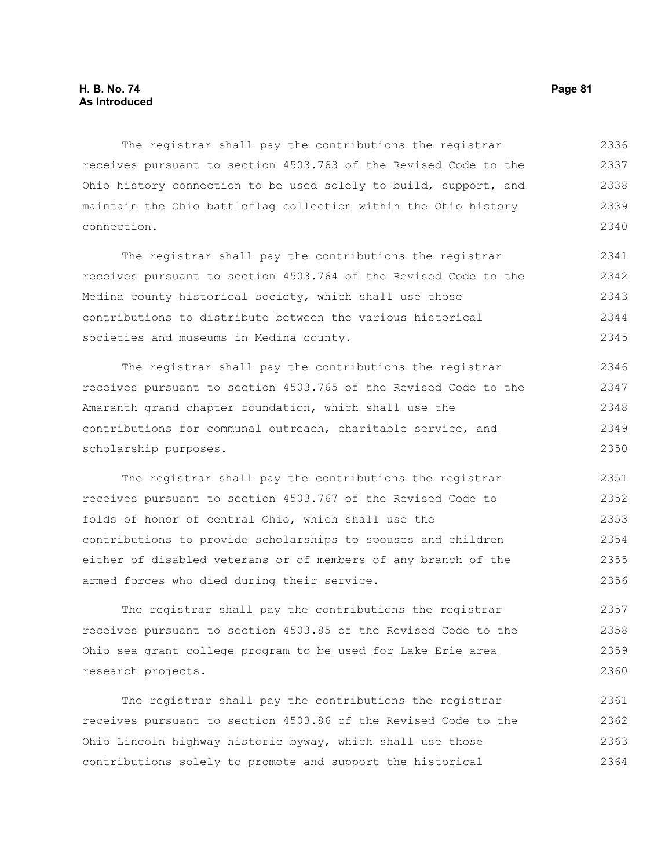# **H. B. No. 74 Page 81 As Introduced**

The registrar shall pay the contributions the registrar receives pursuant to section 4503.763 of the Revised Code to the Ohio history connection to be used solely to build, support, and maintain the Ohio battleflag collection within the Ohio history connection. 2336 2337 2338 2339 2340

The registrar shall pay the contributions the registrar receives pursuant to section 4503.764 of the Revised Code to the Medina county historical society, which shall use those contributions to distribute between the various historical societies and museums in Medina county. 2341 2342 2343 2344 2345

The registrar shall pay the contributions the registrar receives pursuant to section 4503.765 of the Revised Code to the Amaranth grand chapter foundation, which shall use the contributions for communal outreach, charitable service, and scholarship purposes. 2346 2347 2348 2349 2350

The registrar shall pay the contributions the registrar receives pursuant to section 4503.767 of the Revised Code to folds of honor of central Ohio, which shall use the contributions to provide scholarships to spouses and children either of disabled veterans or of members of any branch of the armed forces who died during their service. 2351 2352 2353 2354 2355 2356

The registrar shall pay the contributions the registrar receives pursuant to section 4503.85 of the Revised Code to the Ohio sea grant college program to be used for Lake Erie area research projects.

The registrar shall pay the contributions the registrar receives pursuant to section 4503.86 of the Revised Code to the Ohio Lincoln highway historic byway, which shall use those contributions solely to promote and support the historical 2361 2362 2363 2364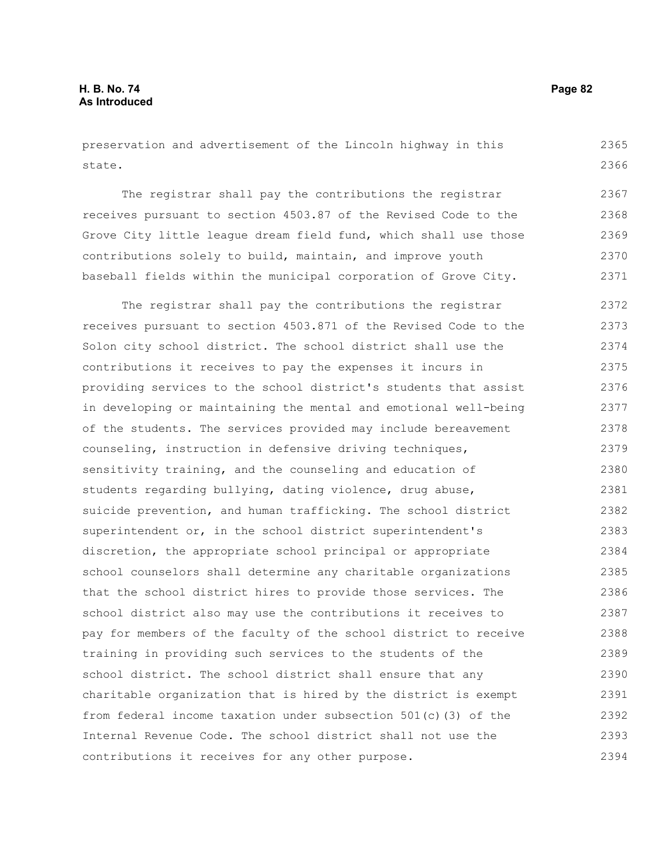preservation and advertisement of the Lincoln highway in this state. 2365 2366

The registrar shall pay the contributions the registrar receives pursuant to section 4503.87 of the Revised Code to the Grove City little league dream field fund, which shall use those contributions solely to build, maintain, and improve youth baseball fields within the municipal corporation of Grove City. 2367 2368 2369 2370 2371

The registrar shall pay the contributions the registrar receives pursuant to section 4503.871 of the Revised Code to the Solon city school district. The school district shall use the contributions it receives to pay the expenses it incurs in providing services to the school district's students that assist in developing or maintaining the mental and emotional well-being of the students. The services provided may include bereavement counseling, instruction in defensive driving techniques, sensitivity training, and the counseling and education of students regarding bullying, dating violence, drug abuse, suicide prevention, and human trafficking. The school district superintendent or, in the school district superintendent's discretion, the appropriate school principal or appropriate school counselors shall determine any charitable organizations that the school district hires to provide those services. The school district also may use the contributions it receives to pay for members of the faculty of the school district to receive training in providing such services to the students of the school district. The school district shall ensure that any charitable organization that is hired by the district is exempt from federal income taxation under subsection 501(c)(3) of the Internal Revenue Code. The school district shall not use the contributions it receives for any other purpose. 2372 2373 2374 2375 2376 2377 2378 2379 2380 2381 2382 2383 2384 2385 2386 2387 2388 2389 2390 2391 2392 2393 2394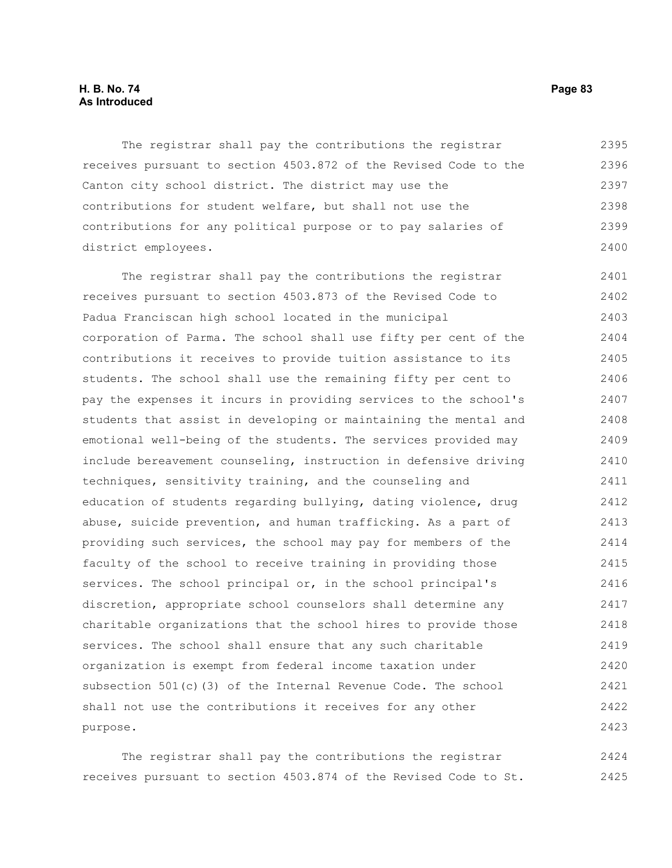# **H. B. No. 74 Page 83 As Introduced**

The registrar shall pay the contributions the registrar receives pursuant to section 4503.872 of the Revised Code to the Canton city school district. The district may use the contributions for student welfare, but shall not use the contributions for any political purpose or to pay salaries of district employees. 2395 2396 2397 2398 2399 2400

The registrar shall pay the contributions the registrar receives pursuant to section 4503.873 of the Revised Code to Padua Franciscan high school located in the municipal corporation of Parma. The school shall use fifty per cent of the contributions it receives to provide tuition assistance to its students. The school shall use the remaining fifty per cent to pay the expenses it incurs in providing services to the school's students that assist in developing or maintaining the mental and emotional well-being of the students. The services provided may include bereavement counseling, instruction in defensive driving techniques, sensitivity training, and the counseling and education of students regarding bullying, dating violence, drug abuse, suicide prevention, and human trafficking. As a part of providing such services, the school may pay for members of the faculty of the school to receive training in providing those services. The school principal or, in the school principal's discretion, appropriate school counselors shall determine any charitable organizations that the school hires to provide those services. The school shall ensure that any such charitable organization is exempt from federal income taxation under subsection  $501(c)(3)$  of the Internal Revenue Code. The school shall not use the contributions it receives for any other purpose. 2401 2402 2403 2404 2405 2406 2407 2408 2409 2410 2411 2412 2413 2414 2415 2416 2417 2418 2419 2420 2421 2422 2423

The registrar shall pay the contributions the registrar receives pursuant to section 4503.874 of the Revised Code to St. 2424 2425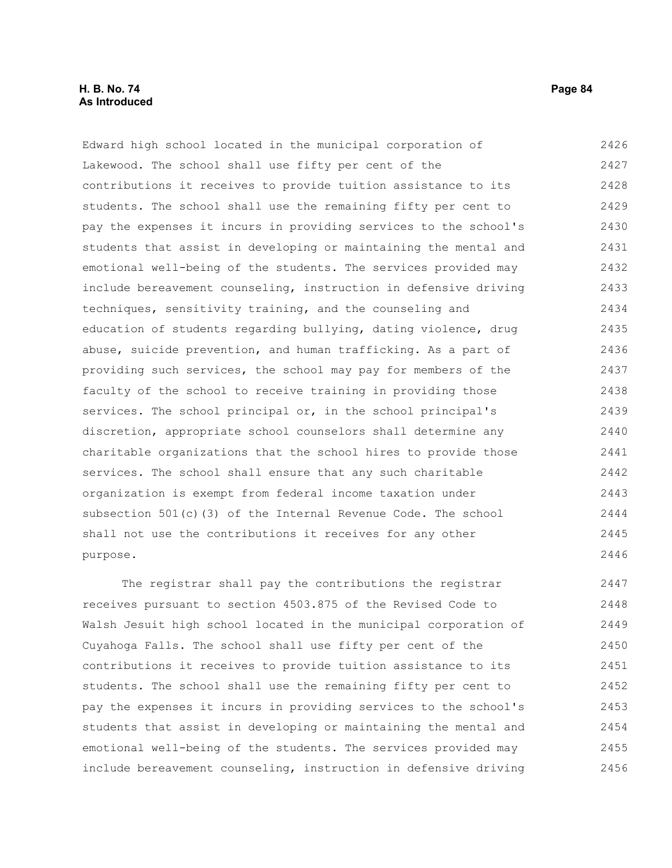# **H. B. No. 74 Page 84 As Introduced**

Edward high school located in the municipal corporation of Lakewood. The school shall use fifty per cent of the contributions it receives to provide tuition assistance to its students. The school shall use the remaining fifty per cent to pay the expenses it incurs in providing services to the school's students that assist in developing or maintaining the mental and emotional well-being of the students. The services provided may include bereavement counseling, instruction in defensive driving techniques, sensitivity training, and the counseling and education of students regarding bullying, dating violence, drug abuse, suicide prevention, and human trafficking. As a part of providing such services, the school may pay for members of the faculty of the school to receive training in providing those services. The school principal or, in the school principal's discretion, appropriate school counselors shall determine any charitable organizations that the school hires to provide those services. The school shall ensure that any such charitable organization is exempt from federal income taxation under subsection  $501(c)(3)$  of the Internal Revenue Code. The school shall not use the contributions it receives for any other purpose. The registrar shall pay the contributions the registrar 2426 2427 2428 2429 2430 2431 2432 2433 2434 2435 2436 2437 2438 2439 2440 2441 2442 2443 2444 2445 2446 2447

receives pursuant to section 4503.875 of the Revised Code to Walsh Jesuit high school located in the municipal corporation of Cuyahoga Falls. The school shall use fifty per cent of the contributions it receives to provide tuition assistance to its students. The school shall use the remaining fifty per cent to pay the expenses it incurs in providing services to the school's students that assist in developing or maintaining the mental and emotional well-being of the students. The services provided may include bereavement counseling, instruction in defensive driving 2448 2449 2450 2451 2452 2453 2454 2455 2456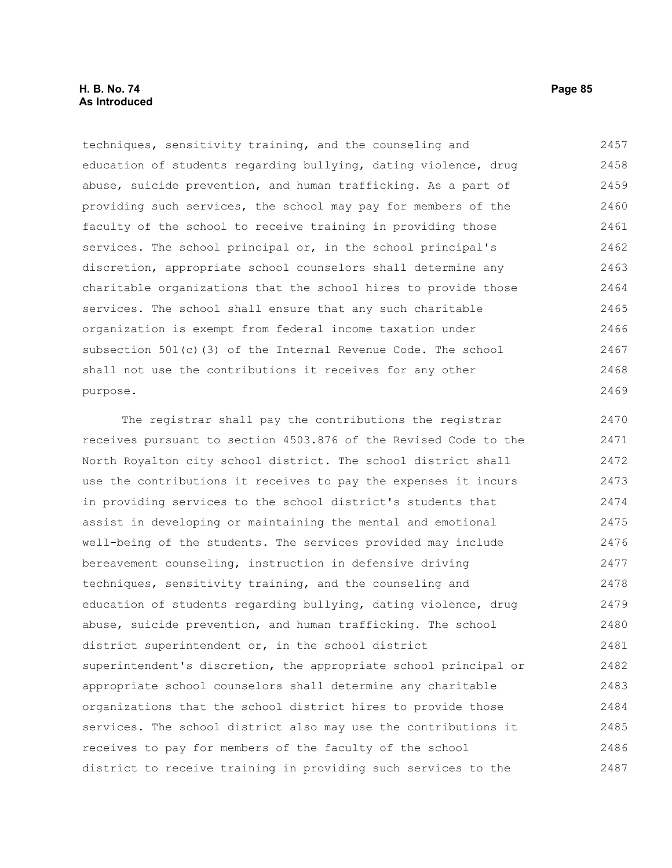# **H. B. No. 74 Page 85 As Introduced**

techniques, sensitivity training, and the counseling and education of students regarding bullying, dating violence, drug abuse, suicide prevention, and human trafficking. As a part of providing such services, the school may pay for members of the faculty of the school to receive training in providing those services. The school principal or, in the school principal's discretion, appropriate school counselors shall determine any charitable organizations that the school hires to provide those services. The school shall ensure that any such charitable organization is exempt from federal income taxation under subsection 501(c)(3) of the Internal Revenue Code. The school shall not use the contributions it receives for any other purpose. 2457 2458 2459 2460 2461 2462 2463 2464 2465 2466 2467 2468 2469

The registrar shall pay the contributions the registrar receives pursuant to section 4503.876 of the Revised Code to the North Royalton city school district. The school district shall use the contributions it receives to pay the expenses it incurs in providing services to the school district's students that assist in developing or maintaining the mental and emotional well-being of the students. The services provided may include bereavement counseling, instruction in defensive driving techniques, sensitivity training, and the counseling and education of students regarding bullying, dating violence, drug abuse, suicide prevention, and human trafficking. The school district superintendent or, in the school district superintendent's discretion, the appropriate school principal or appropriate school counselors shall determine any charitable organizations that the school district hires to provide those services. The school district also may use the contributions it receives to pay for members of the faculty of the school district to receive training in providing such services to the 2470 2471 2472 2473 2474 2475 2476 2477 2478 2479 2480 2481 2482 2483 2484 2485 2486 2487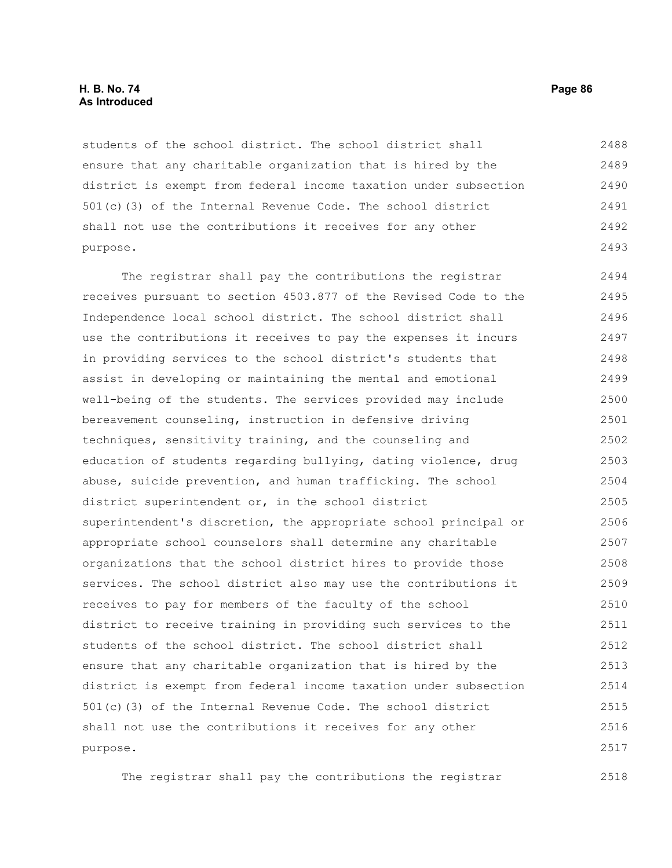# **H. B. No. 74 Page 86 As Introduced**

students of the school district. The school district shall ensure that any charitable organization that is hired by the district is exempt from federal income taxation under subsection 501(c)(3) of the Internal Revenue Code. The school district shall not use the contributions it receives for any other purpose. 2488 2489 2490 2491 2492 2493

The registrar shall pay the contributions the registrar receives pursuant to section 4503.877 of the Revised Code to the Independence local school district. The school district shall use the contributions it receives to pay the expenses it incurs in providing services to the school district's students that assist in developing or maintaining the mental and emotional well-being of the students. The services provided may include bereavement counseling, instruction in defensive driving techniques, sensitivity training, and the counseling and education of students regarding bullying, dating violence, drug abuse, suicide prevention, and human trafficking. The school district superintendent or, in the school district superintendent's discretion, the appropriate school principal or appropriate school counselors shall determine any charitable organizations that the school district hires to provide those services. The school district also may use the contributions it receives to pay for members of the faculty of the school district to receive training in providing such services to the students of the school district. The school district shall ensure that any charitable organization that is hired by the district is exempt from federal income taxation under subsection 501(c)(3) of the Internal Revenue Code. The school district shall not use the contributions it receives for any other purpose. 2494 2495 2496 2497 2498 2499 2500 2501 2502 2503 2504 2505 2506 2507 2508 2509 2510 2511 2512 2513 2514 2515 2516 2517

The registrar shall pay the contributions the registrar 2518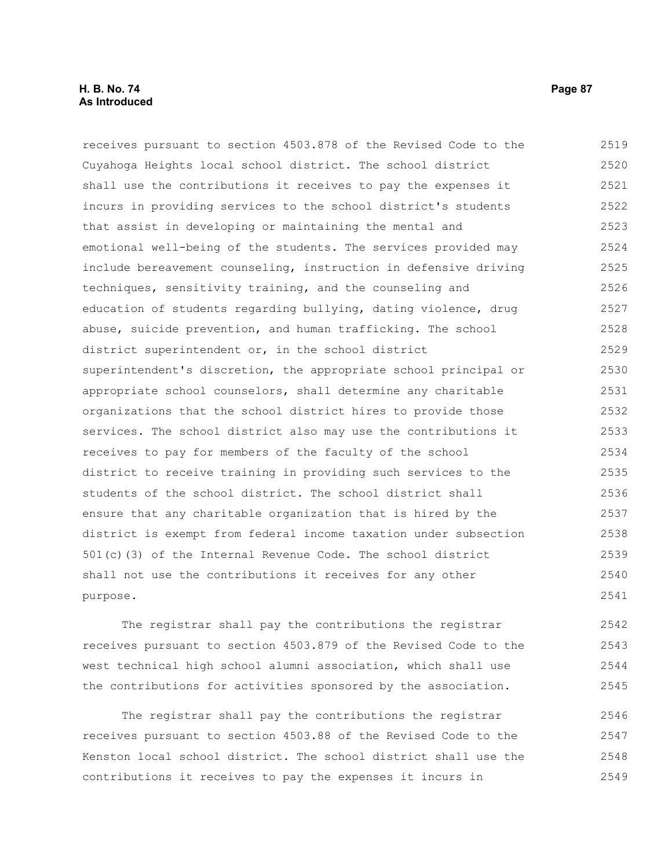## **H. B. No. 74 Page 87 As Introduced**

receives pursuant to section 4503.878 of the Revised Code to the Cuyahoga Heights local school district. The school district shall use the contributions it receives to pay the expenses it incurs in providing services to the school district's students that assist in developing or maintaining the mental and emotional well-being of the students. The services provided may include bereavement counseling, instruction in defensive driving techniques, sensitivity training, and the counseling and education of students regarding bullying, dating violence, drug abuse, suicide prevention, and human trafficking. The school district superintendent or, in the school district superintendent's discretion, the appropriate school principal or appropriate school counselors, shall determine any charitable organizations that the school district hires to provide those services. The school district also may use the contributions it receives to pay for members of the faculty of the school district to receive training in providing such services to the students of the school district. The school district shall ensure that any charitable organization that is hired by the district is exempt from federal income taxation under subsection 501(c)(3) of the Internal Revenue Code. The school district shall not use the contributions it receives for any other purpose. 2519 2520 2521 2522 2523 2524 2525 2526 2527 2528 2529 2530 2531 2532 2533 2534 2535 2536 2537 2538 2539 2540 2541

The registrar shall pay the contributions the registrar receives pursuant to section 4503.879 of the Revised Code to the west technical high school alumni association, which shall use the contributions for activities sponsored by the association. 2542 2543 2544 2545

The registrar shall pay the contributions the registrar receives pursuant to section 4503.88 of the Revised Code to the Kenston local school district. The school district shall use the contributions it receives to pay the expenses it incurs in 2546 2547 2548 2549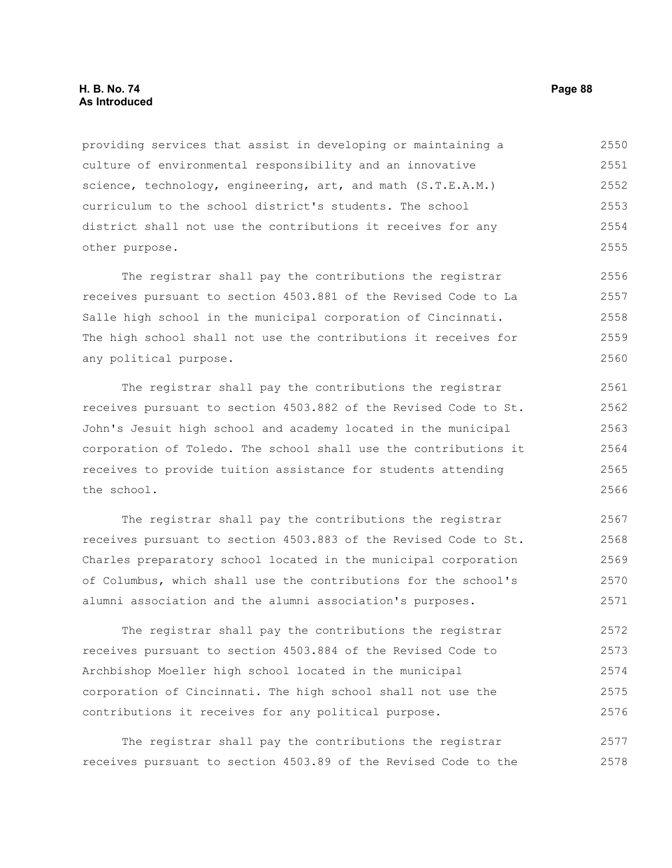# **H. B. No. 74 Page 88 As Introduced**

providing services that assist in developing or maintaining a culture of environmental responsibility and an innovative science, technology, engineering, art, and math (S.T.E.A.M.) curriculum to the school district's students. The school district shall not use the contributions it receives for any other purpose. 2550 2551 2552 2553 2554 2555

The registrar shall pay the contributions the registrar receives pursuant to section 4503.881 of the Revised Code to La Salle high school in the municipal corporation of Cincinnati. The high school shall not use the contributions it receives for any political purpose. 2556 2557 2558 2559 2560

The registrar shall pay the contributions the registrar receives pursuant to section 4503.882 of the Revised Code to St. John's Jesuit high school and academy located in the municipal corporation of Toledo. The school shall use the contributions it receives to provide tuition assistance for students attending the school.

The registrar shall pay the contributions the registrar receives pursuant to section 4503.883 of the Revised Code to St. Charles preparatory school located in the municipal corporation of Columbus, which shall use the contributions for the school's alumni association and the alumni association's purposes. 2567 2568 2569 2570 2571

The registrar shall pay the contributions the registrar receives pursuant to section 4503.884 of the Revised Code to Archbishop Moeller high school located in the municipal corporation of Cincinnati. The high school shall not use the contributions it receives for any political purpose. 2572 2573 2574 2575 2576

The registrar shall pay the contributions the registrar receives pursuant to section 4503.89 of the Revised Code to the 2577 2578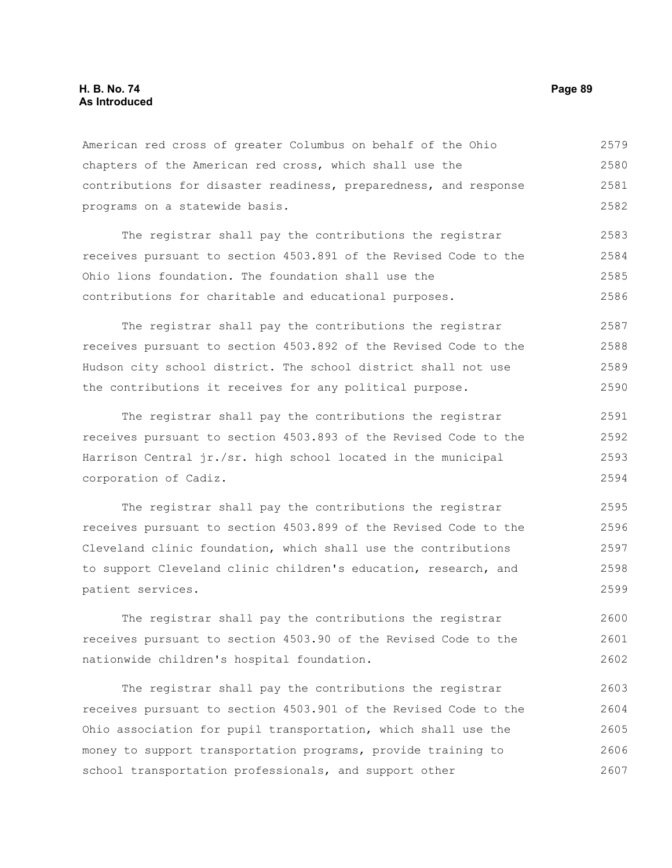# **H. B. No. 74 Page 89 As Introduced**

American red cross of greater Columbus on behalf of the Ohio chapters of the American red cross, which shall use the contributions for disaster readiness, preparedness, and response programs on a statewide basis. 2579 2580 2581 2582

The registrar shall pay the contributions the registrar receives pursuant to section 4503.891 of the Revised Code to the Ohio lions foundation. The foundation shall use the contributions for charitable and educational purposes. 2583 2584 2585 2586

The registrar shall pay the contributions the registrar receives pursuant to section 4503.892 of the Revised Code to the Hudson city school district. The school district shall not use the contributions it receives for any political purpose. 2587 2588 2589 2590

The registrar shall pay the contributions the registrar receives pursuant to section 4503.893 of the Revised Code to the Harrison Central jr./sr. high school located in the municipal corporation of Cadiz. 2591 2592 2593 2594

The registrar shall pay the contributions the registrar receives pursuant to section 4503.899 of the Revised Code to the Cleveland clinic foundation, which shall use the contributions to support Cleveland clinic children's education, research, and patient services. 2595 2596 2597 2598 2599

The registrar shall pay the contributions the registrar receives pursuant to section 4503.90 of the Revised Code to the nationwide children's hospital foundation. 2600 2601 2602

The registrar shall pay the contributions the registrar receives pursuant to section 4503.901 of the Revised Code to the Ohio association for pupil transportation, which shall use the money to support transportation programs, provide training to school transportation professionals, and support other 2603 2604 2605 2606 2607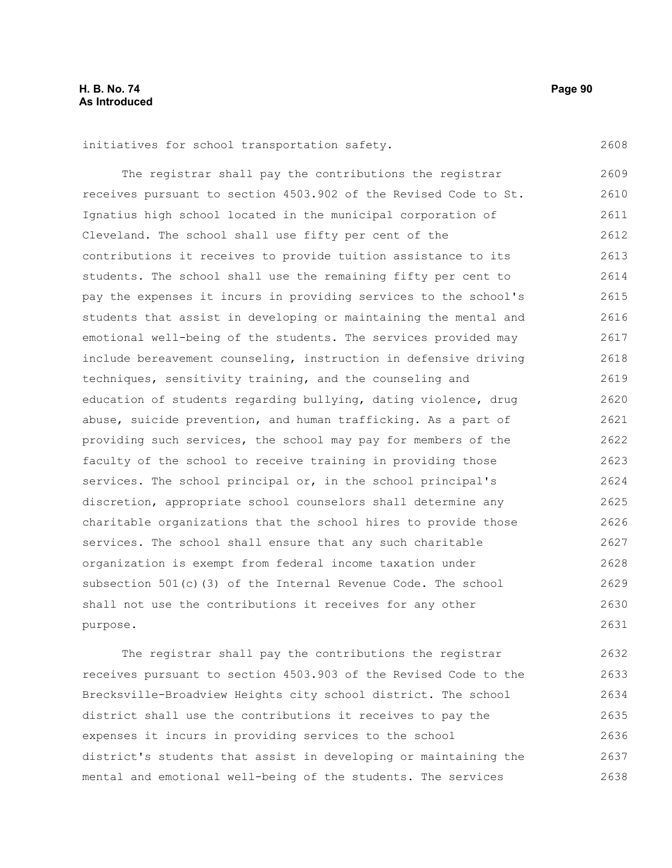2608

initiatives for school transportation safety.

The registrar shall pay the contributions the registrar receives pursuant to section 4503.902 of the Revised Code to St. Ignatius high school located in the municipal corporation of Cleveland. The school shall use fifty per cent of the contributions it receives to provide tuition assistance to its students. The school shall use the remaining fifty per cent to pay the expenses it incurs in providing services to the school's students that assist in developing or maintaining the mental and emotional well-being of the students. The services provided may include bereavement counseling, instruction in defensive driving techniques, sensitivity training, and the counseling and education of students regarding bullying, dating violence, drug abuse, suicide prevention, and human trafficking. As a part of providing such services, the school may pay for members of the faculty of the school to receive training in providing those services. The school principal or, in the school principal's discretion, appropriate school counselors shall determine any charitable organizations that the school hires to provide those services. The school shall ensure that any such charitable organization is exempt from federal income taxation under subsection 501(c)(3) of the Internal Revenue Code. The school shall not use the contributions it receives for any other purpose. 2609 2610 2611 2612 2613 2614 2615 2616 2617 2618 2619 2620 2621 2622 2623 2624 2625 2626 2627 2628 2629 2630 2631

The registrar shall pay the contributions the registrar receives pursuant to section 4503.903 of the Revised Code to the Brecksville-Broadview Heights city school district. The school district shall use the contributions it receives to pay the expenses it incurs in providing services to the school district's students that assist in developing or maintaining the mental and emotional well-being of the students. The services 2632 2633 2634 2635 2636 2637 2638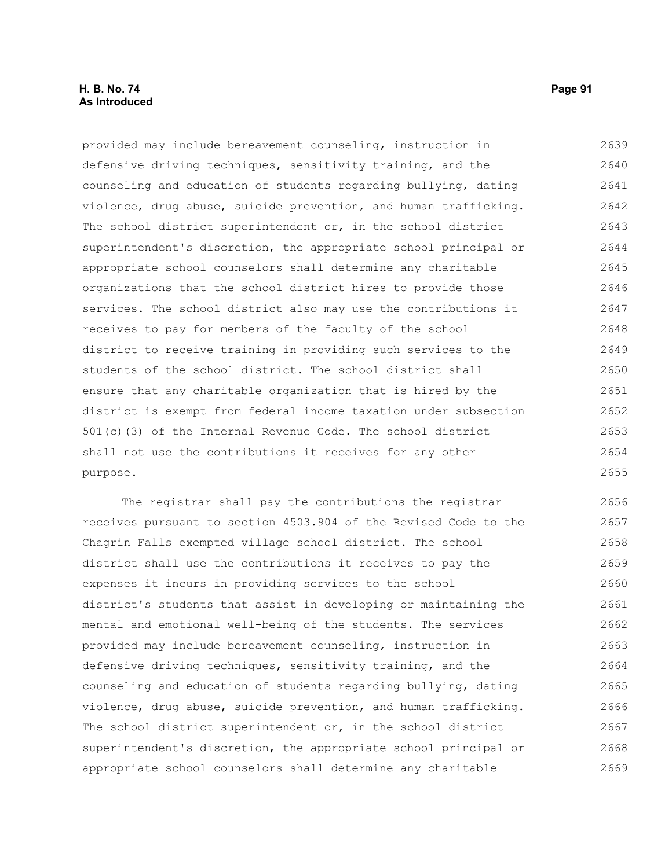# **H. B. No. 74 Page 91 As Introduced**

provided may include bereavement counseling, instruction in defensive driving techniques, sensitivity training, and the counseling and education of students regarding bullying, dating violence, drug abuse, suicide prevention, and human trafficking. The school district superintendent or, in the school district superintendent's discretion, the appropriate school principal or appropriate school counselors shall determine any charitable organizations that the school district hires to provide those services. The school district also may use the contributions it receives to pay for members of the faculty of the school district to receive training in providing such services to the students of the school district. The school district shall ensure that any charitable organization that is hired by the district is exempt from federal income taxation under subsection 501(c)(3) of the Internal Revenue Code. The school district shall not use the contributions it receives for any other purpose. 2639 2640 2641 2642 2643 2644 2645 2646 2647 2648 2649 2650 2651 2652 2653 2654 2655

The registrar shall pay the contributions the registrar receives pursuant to section 4503.904 of the Revised Code to the Chagrin Falls exempted village school district. The school district shall use the contributions it receives to pay the expenses it incurs in providing services to the school district's students that assist in developing or maintaining the mental and emotional well-being of the students. The services provided may include bereavement counseling, instruction in defensive driving techniques, sensitivity training, and the counseling and education of students regarding bullying, dating violence, drug abuse, suicide prevention, and human trafficking. The school district superintendent or, in the school district superintendent's discretion, the appropriate school principal or appropriate school counselors shall determine any charitable 2656 2657 2658 2659 2660 2661 2662 2663 2664 2665 2666 2667 2668 2669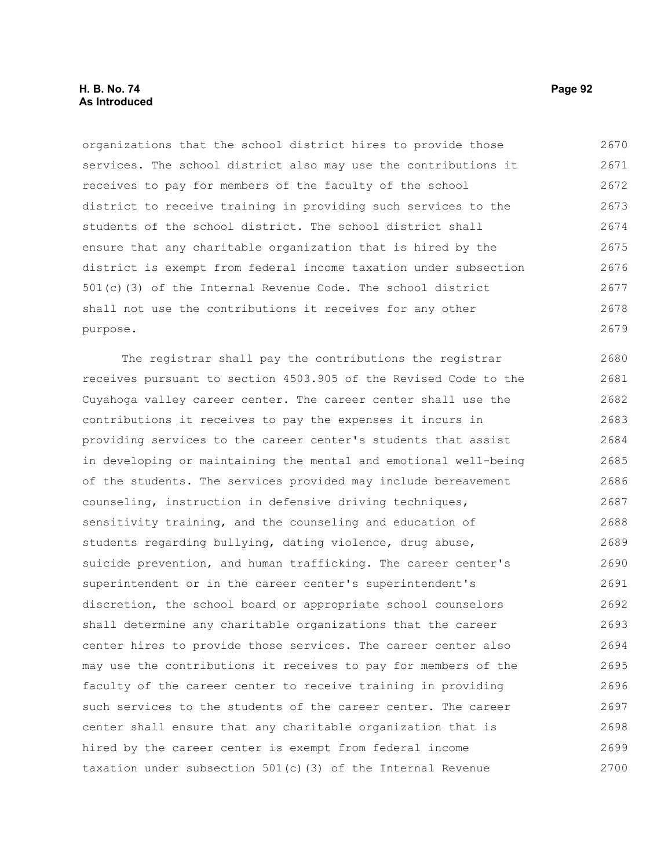# **H. B. No. 74 Page 92 As Introduced**

organizations that the school district hires to provide those services. The school district also may use the contributions it receives to pay for members of the faculty of the school district to receive training in providing such services to the students of the school district. The school district shall ensure that any charitable organization that is hired by the district is exempt from federal income taxation under subsection 501(c)(3) of the Internal Revenue Code. The school district shall not use the contributions it receives for any other purpose. 2670 2671 2672 2673 2674 2675 2676 2677 2678 2679

The registrar shall pay the contributions the registrar receives pursuant to section 4503.905 of the Revised Code to the Cuyahoga valley career center. The career center shall use the contributions it receives to pay the expenses it incurs in providing services to the career center's students that assist in developing or maintaining the mental and emotional well-being of the students. The services provided may include bereavement counseling, instruction in defensive driving techniques, sensitivity training, and the counseling and education of students regarding bullying, dating violence, drug abuse, suicide prevention, and human trafficking. The career center's superintendent or in the career center's superintendent's discretion, the school board or appropriate school counselors shall determine any charitable organizations that the career center hires to provide those services. The career center also may use the contributions it receives to pay for members of the faculty of the career center to receive training in providing such services to the students of the career center. The career center shall ensure that any charitable organization that is hired by the career center is exempt from federal income taxation under subsection 501(c)(3) of the Internal Revenue 2680 2681 2682 2683 2684 2685 2686 2687 2688 2689 2690 2691 2692 2693 2694 2695 2696 2697 2698 2699 2700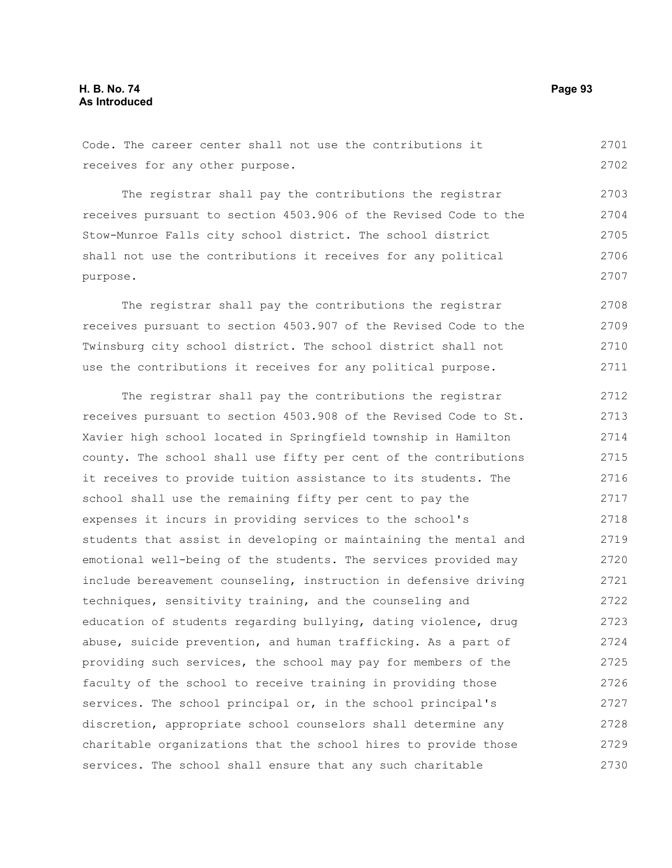Code. The career center shall not use the contributions it receives for any other purpose. 2701 2702

The registrar shall pay the contributions the registrar receives pursuant to section 4503.906 of the Revised Code to the Stow-Munroe Falls city school district. The school district shall not use the contributions it receives for any political purpose. 2703 2704 2705 2706 2707

The registrar shall pay the contributions the registrar receives pursuant to section 4503.907 of the Revised Code to the Twinsburg city school district. The school district shall not use the contributions it receives for any political purpose. 2708 2709 2710 2711

The registrar shall pay the contributions the registrar receives pursuant to section 4503.908 of the Revised Code to St. Xavier high school located in Springfield township in Hamilton county. The school shall use fifty per cent of the contributions it receives to provide tuition assistance to its students. The school shall use the remaining fifty per cent to pay the expenses it incurs in providing services to the school's students that assist in developing or maintaining the mental and emotional well-being of the students. The services provided may include bereavement counseling, instruction in defensive driving techniques, sensitivity training, and the counseling and education of students regarding bullying, dating violence, drug abuse, suicide prevention, and human trafficking. As a part of providing such services, the school may pay for members of the faculty of the school to receive training in providing those services. The school principal or, in the school principal's discretion, appropriate school counselors shall determine any charitable organizations that the school hires to provide those services. The school shall ensure that any such charitable 2712 2713 2714 2715 2716 2717 2718 2719 2720 2721 2722 2723 2724 2725 2726 2727 2728 2729 2730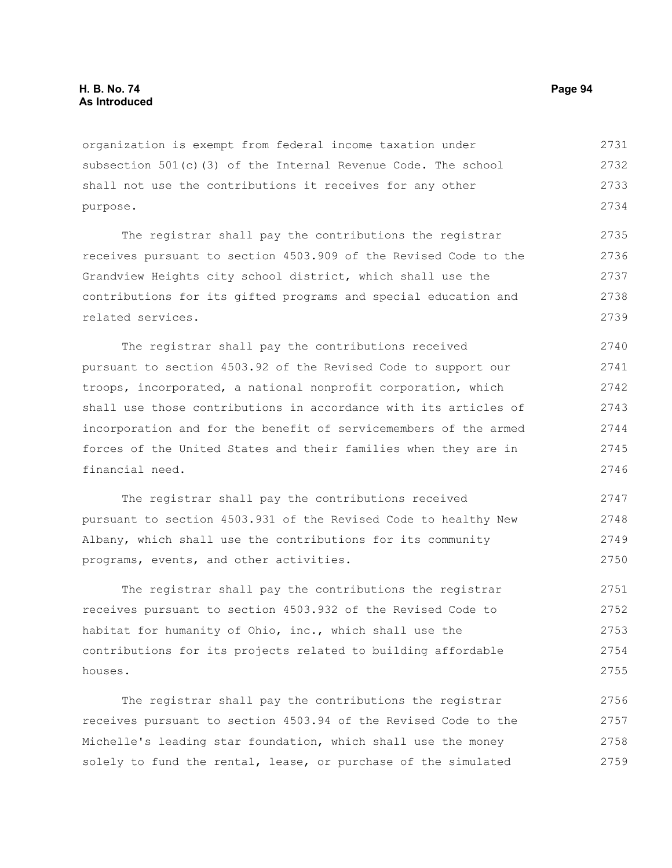organization is exempt from federal income taxation under subsection 501(c)(3) of the Internal Revenue Code. The school shall not use the contributions it receives for any other purpose. 2731 2732 2733 2734

The registrar shall pay the contributions the registrar receives pursuant to section 4503.909 of the Revised Code to the Grandview Heights city school district, which shall use the contributions for its gifted programs and special education and related services. 2735 2736 2737 2738 2739

The registrar shall pay the contributions received pursuant to section 4503.92 of the Revised Code to support our troops, incorporated, a national nonprofit corporation, which shall use those contributions in accordance with its articles of incorporation and for the benefit of servicemembers of the armed forces of the United States and their families when they are in financial need. 2740 2741 2742 2743 2744 2745 2746

The registrar shall pay the contributions received pursuant to section 4503.931 of the Revised Code to healthy New Albany, which shall use the contributions for its community programs, events, and other activities. 2747 2748 2749 2750

The registrar shall pay the contributions the registrar receives pursuant to section 4503.932 of the Revised Code to habitat for humanity of Ohio, inc., which shall use the contributions for its projects related to building affordable houses. 2751 2752 2753 2754 2755

The registrar shall pay the contributions the registrar receives pursuant to section 4503.94 of the Revised Code to the Michelle's leading star foundation, which shall use the money solely to fund the rental, lease, or purchase of the simulated 2756 2757 2758 2759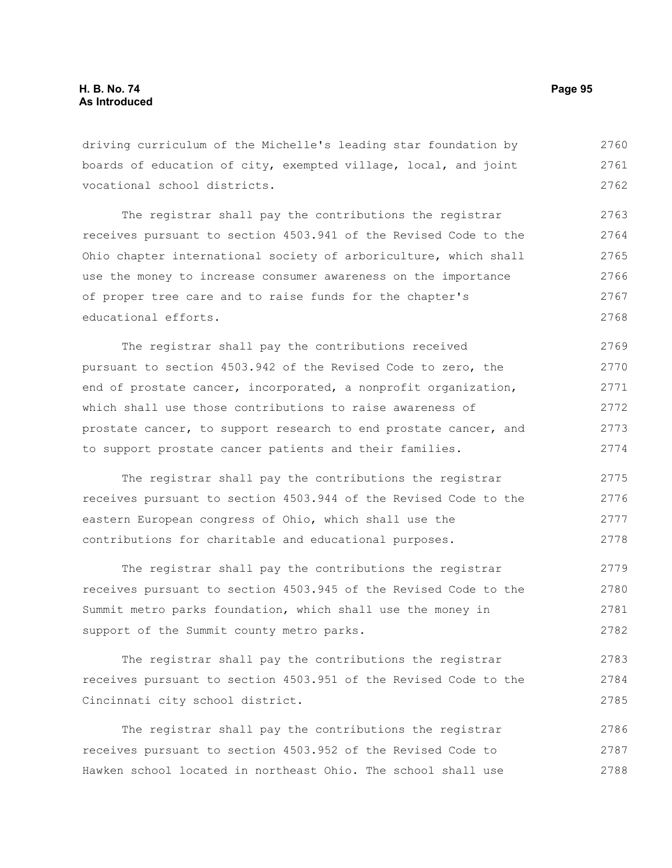driving curriculum of the Michelle's leading star foundation by boards of education of city, exempted village, local, and joint vocational school districts. 2760 2761 2762

The registrar shall pay the contributions the registrar receives pursuant to section 4503.941 of the Revised Code to the Ohio chapter international society of arboriculture, which shall use the money to increase consumer awareness on the importance of proper tree care and to raise funds for the chapter's educational efforts. 2763 2764 2765 2766 2767 2768

The registrar shall pay the contributions received pursuant to section 4503.942 of the Revised Code to zero, the end of prostate cancer, incorporated, a nonprofit organization, which shall use those contributions to raise awareness of prostate cancer, to support research to end prostate cancer, and to support prostate cancer patients and their families. 2769 2770 2771 2772 2773 2774

The registrar shall pay the contributions the registrar receives pursuant to section 4503.944 of the Revised Code to the eastern European congress of Ohio, which shall use the contributions for charitable and educational purposes. 2775 2776 2777 2778

The registrar shall pay the contributions the registrar receives pursuant to section 4503.945 of the Revised Code to the Summit metro parks foundation, which shall use the money in support of the Summit county metro parks. 2779 2780 2781 2782

The registrar shall pay the contributions the registrar receives pursuant to section 4503.951 of the Revised Code to the Cincinnati city school district. 2783 2784 2785

The registrar shall pay the contributions the registrar receives pursuant to section 4503.952 of the Revised Code to Hawken school located in northeast Ohio. The school shall use 2786 2787 2788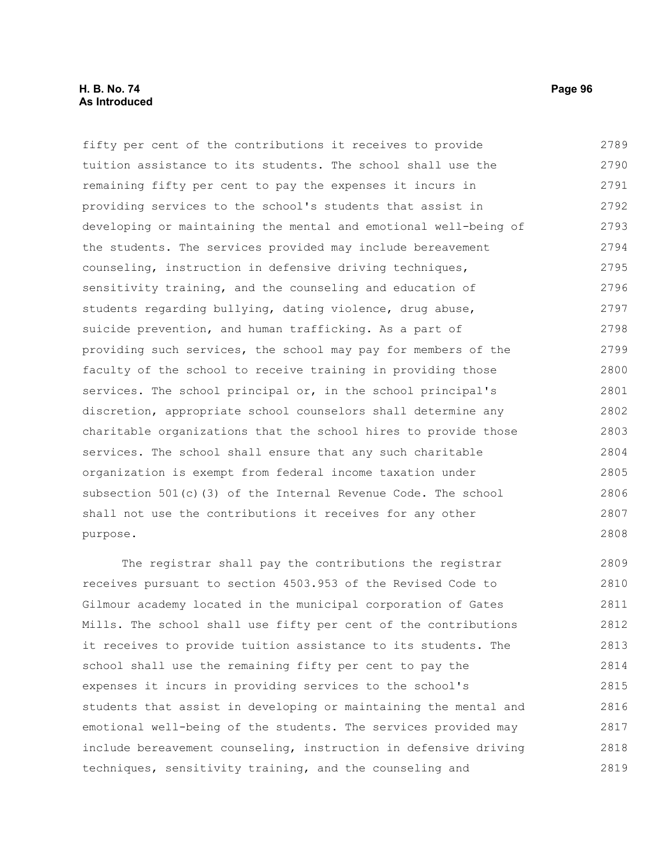# **H. B. No. 74 Page 96 As Introduced**

fifty per cent of the contributions it receives to provide tuition assistance to its students. The school shall use the remaining fifty per cent to pay the expenses it incurs in providing services to the school's students that assist in developing or maintaining the mental and emotional well-being of the students. The services provided may include bereavement counseling, instruction in defensive driving techniques, sensitivity training, and the counseling and education of students regarding bullying, dating violence, drug abuse, suicide prevention, and human trafficking. As a part of providing such services, the school may pay for members of the faculty of the school to receive training in providing those services. The school principal or, in the school principal's discretion, appropriate school counselors shall determine any charitable organizations that the school hires to provide those services. The school shall ensure that any such charitable organization is exempt from federal income taxation under subsection 501(c)(3) of the Internal Revenue Code. The school shall not use the contributions it receives for any other purpose. 2789 2790 2791 2792 2793 2794 2795 2796 2797 2798 2799 2800 2801 2802 2803 2804 2805 2806 2807 2808

The registrar shall pay the contributions the registrar receives pursuant to section 4503.953 of the Revised Code to Gilmour academy located in the municipal corporation of Gates Mills. The school shall use fifty per cent of the contributions it receives to provide tuition assistance to its students. The school shall use the remaining fifty per cent to pay the expenses it incurs in providing services to the school's students that assist in developing or maintaining the mental and emotional well-being of the students. The services provided may include bereavement counseling, instruction in defensive driving techniques, sensitivity training, and the counseling and 2809 2810 2811 2812 2813 2814 2815 2816 2817 2818 2819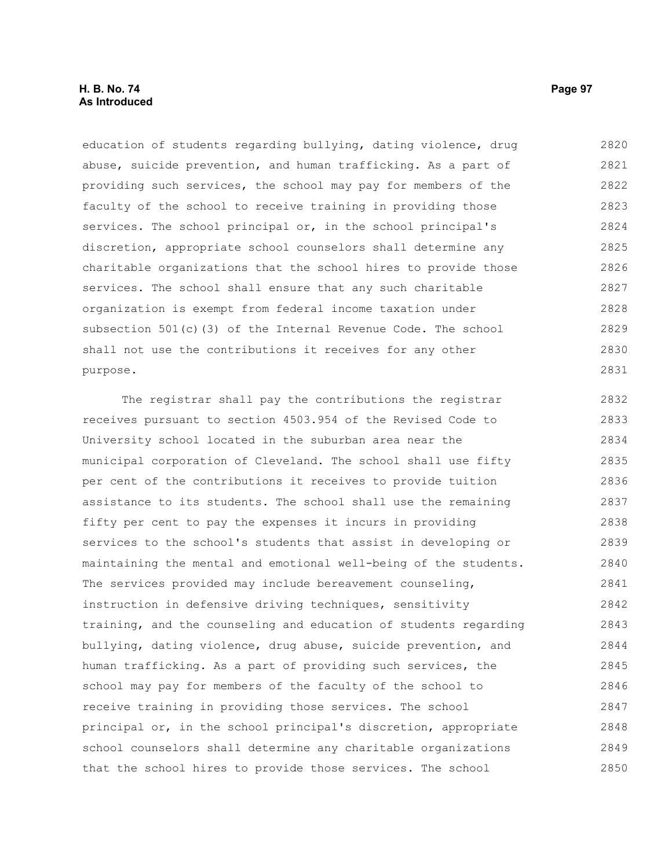# **H. B. No. 74 Page 97 As Introduced**

education of students regarding bullying, dating violence, drug abuse, suicide prevention, and human trafficking. As a part of providing such services, the school may pay for members of the faculty of the school to receive training in providing those services. The school principal or, in the school principal's discretion, appropriate school counselors shall determine any charitable organizations that the school hires to provide those services. The school shall ensure that any such charitable organization is exempt from federal income taxation under subsection 501(c)(3) of the Internal Revenue Code. The school shall not use the contributions it receives for any other purpose. 2820 2821 2822 2823 2824 2825 2826 2827 2828 2829 2830 2831

The registrar shall pay the contributions the registrar receives pursuant to section 4503.954 of the Revised Code to University school located in the suburban area near the municipal corporation of Cleveland. The school shall use fifty per cent of the contributions it receives to provide tuition assistance to its students. The school shall use the remaining fifty per cent to pay the expenses it incurs in providing services to the school's students that assist in developing or maintaining the mental and emotional well-being of the students. The services provided may include bereavement counseling, instruction in defensive driving techniques, sensitivity training, and the counseling and education of students regarding bullying, dating violence, drug abuse, suicide prevention, and human trafficking. As a part of providing such services, the school may pay for members of the faculty of the school to receive training in providing those services. The school principal or, in the school principal's discretion, appropriate school counselors shall determine any charitable organizations that the school hires to provide those services. The school 2832 2833 2834 2835 2836 2837 2838 2839 2840 2841 2842 2843 2844 2845 2846 2847 2848 2849 2850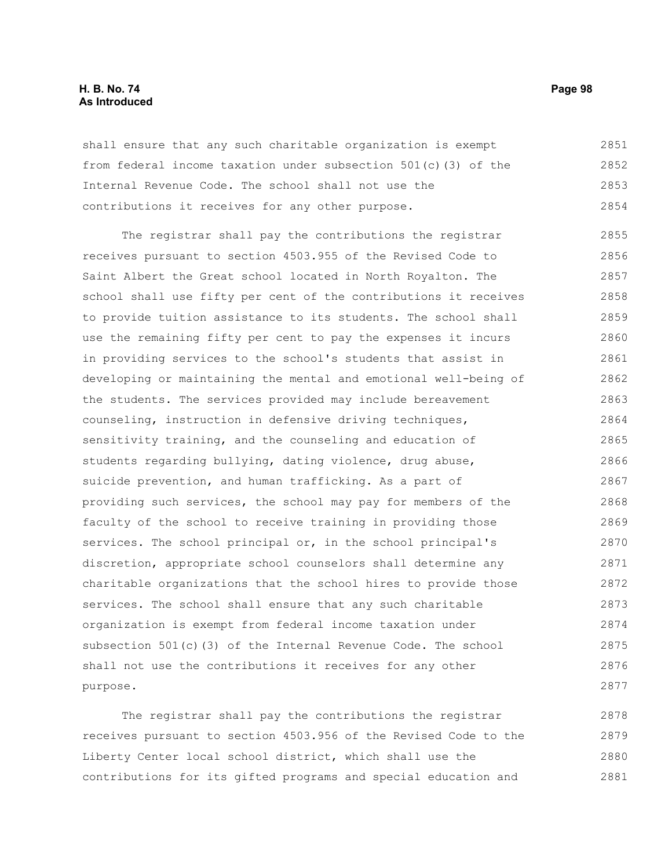## **H. B. No. 74 Page 98 As Introduced**

shall ensure that any such charitable organization is exempt from federal income taxation under subsection 501(c)(3) of the Internal Revenue Code. The school shall not use the contributions it receives for any other purpose. 2851 2852 2853 2854

The registrar shall pay the contributions the registrar receives pursuant to section 4503.955 of the Revised Code to Saint Albert the Great school located in North Royalton. The school shall use fifty per cent of the contributions it receives to provide tuition assistance to its students. The school shall use the remaining fifty per cent to pay the expenses it incurs in providing services to the school's students that assist in developing or maintaining the mental and emotional well-being of the students. The services provided may include bereavement counseling, instruction in defensive driving techniques, sensitivity training, and the counseling and education of students regarding bullying, dating violence, drug abuse, suicide prevention, and human trafficking. As a part of providing such services, the school may pay for members of the faculty of the school to receive training in providing those services. The school principal or, in the school principal's discretion, appropriate school counselors shall determine any charitable organizations that the school hires to provide those services. The school shall ensure that any such charitable organization is exempt from federal income taxation under subsection 501(c)(3) of the Internal Revenue Code. The school shall not use the contributions it receives for any other purpose. 2855 2856 2857 2858 2859 2860 2861 2862 2863 2864 2865 2866 2867 2868 2869 2870 2871 2872 2873 2874 2875 2876 2877

The registrar shall pay the contributions the registrar receives pursuant to section 4503.956 of the Revised Code to the Liberty Center local school district, which shall use the contributions for its gifted programs and special education and 2878 2879 2880 2881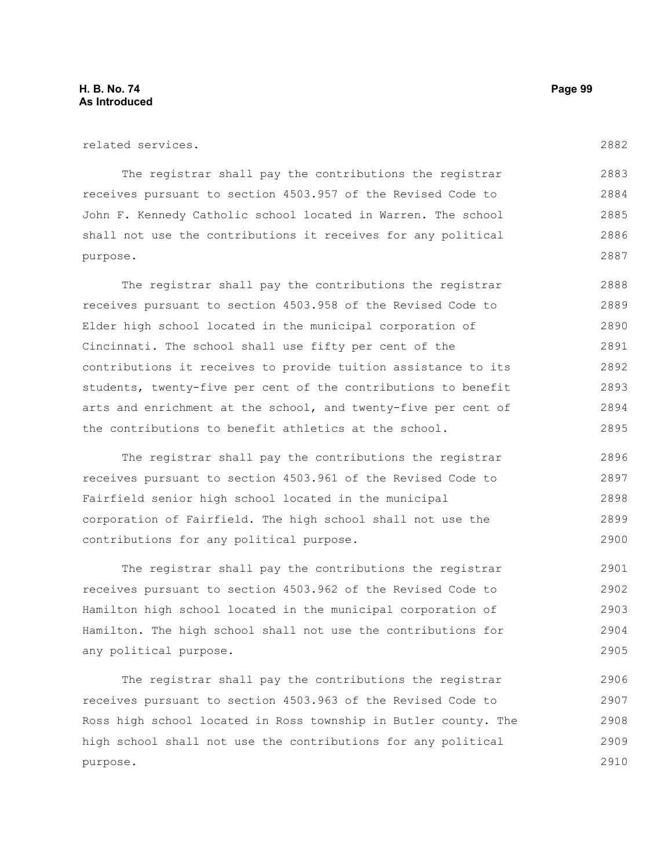| related services.                                               | 2882 |
|-----------------------------------------------------------------|------|
| The registrar shall pay the contributions the registrar         | 2883 |
| receives pursuant to section 4503.957 of the Revised Code to    | 2884 |
| John F. Kennedy Catholic school located in Warren. The school   | 2885 |
| shall not use the contributions it receives for any political   | 2886 |
| purpose.                                                        | 2887 |
| The registrar shall pay the contributions the registrar         | 2888 |
| receives pursuant to section 4503.958 of the Revised Code to    | 2889 |
| Elder high school located in the municipal corporation of       | 2890 |
| Cincinnati. The school shall use fifty per cent of the          | 2891 |
| contributions it receives to provide tuition assistance to its  | 2892 |
| students, twenty-five per cent of the contributions to benefit  | 2893 |
| arts and enrichment at the school, and twenty-five per cent of  | 2894 |
| the contributions to benefit athletics at the school.           | 2895 |
| The registrar shall pay the contributions the registrar         | 2896 |
| receives pursuant to section 4503.961 of the Revised Code to    | 2897 |
| Fairfield senior high school located in the municipal           | 2898 |
| corporation of Fairfield. The high school shall not use the     | 2899 |
| contributions for any political purpose.                        | 2900 |
| The registrar shall pay the contributions the registrar         | 2901 |
| receives pursuant to section 4503.962 of the Revised Code to    | 2902 |
| Hamilton high school located in the municipal corporation of    | 2903 |
| Hamilton. The high school shall not use the contributions for   | 2904 |
| any political purpose.                                          | 2905 |
| The registrar shall pay the contributions the registrar         | 2906 |
| receives pursuant to section 4503.963 of the Revised Code to    | 2907 |
| Ross high school located in Ross township in Butler county. The | 2908 |

Ross high school located in Ross township in Butler county. The high school shall not use the contributions for any political purpose. 2908 2909 2910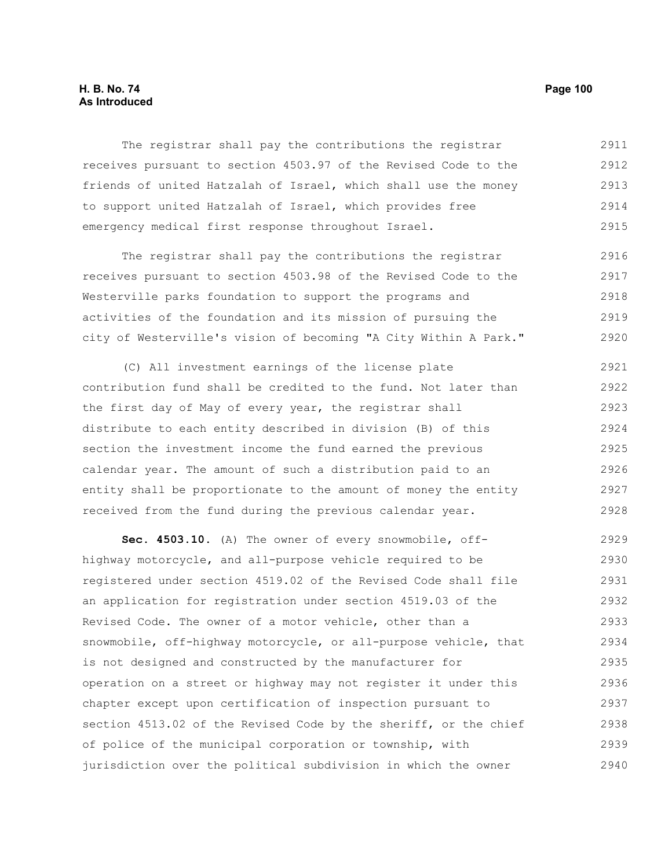## **H. B. No. 74 Page 100 As Introduced**

The registrar shall pay the contributions the registrar receives pursuant to section 4503.97 of the Revised Code to the friends of united Hatzalah of Israel, which shall use the money to support united Hatzalah of Israel, which provides free emergency medical first response throughout Israel. 2911 2912 2913 2914 2915

The registrar shall pay the contributions the registrar receives pursuant to section 4503.98 of the Revised Code to the Westerville parks foundation to support the programs and activities of the foundation and its mission of pursuing the city of Westerville's vision of becoming "A City Within A Park." 2916 2917 2918 2919 2920

(C) All investment earnings of the license plate contribution fund shall be credited to the fund. Not later than the first day of May of every year, the registrar shall distribute to each entity described in division (B) of this section the investment income the fund earned the previous calendar year. The amount of such a distribution paid to an entity shall be proportionate to the amount of money the entity received from the fund during the previous calendar year. 2921 2922 2923 2924 2925 2926 2927 2928

**Sec. 4503.10.** (A) The owner of every snowmobile, offhighway motorcycle, and all-purpose vehicle required to be registered under section 4519.02 of the Revised Code shall file an application for registration under section 4519.03 of the Revised Code. The owner of a motor vehicle, other than a snowmobile, off-highway motorcycle, or all-purpose vehicle, that is not designed and constructed by the manufacturer for operation on a street or highway may not register it under this chapter except upon certification of inspection pursuant to section 4513.02 of the Revised Code by the sheriff, or the chief of police of the municipal corporation or township, with jurisdiction over the political subdivision in which the owner 2929 2930 2931 2932 2933 2934 2935 2936 2937 2938 2939 2940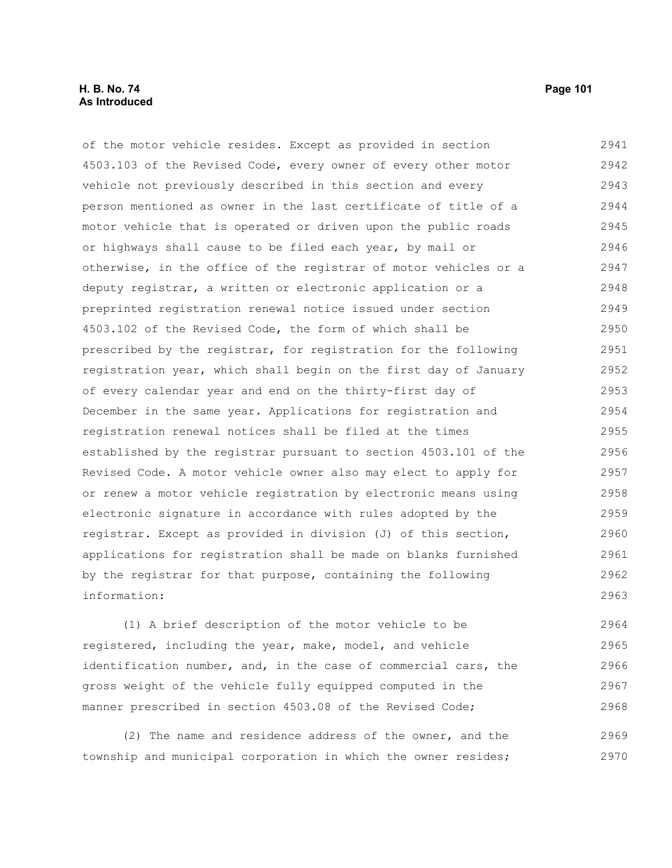# **H. B. No. 74 Page 101 As Introduced**

of the motor vehicle resides. Except as provided in section 4503.103 of the Revised Code, every owner of every other motor vehicle not previously described in this section and every person mentioned as owner in the last certificate of title of a motor vehicle that is operated or driven upon the public roads or highways shall cause to be filed each year, by mail or otherwise, in the office of the registrar of motor vehicles or a deputy registrar, a written or electronic application or a preprinted registration renewal notice issued under section 4503.102 of the Revised Code, the form of which shall be prescribed by the registrar, for registration for the following registration year, which shall begin on the first day of January of every calendar year and end on the thirty-first day of December in the same year. Applications for registration and registration renewal notices shall be filed at the times established by the registrar pursuant to section 4503.101 of the Revised Code. A motor vehicle owner also may elect to apply for or renew a motor vehicle registration by electronic means using electronic signature in accordance with rules adopted by the registrar. Except as provided in division (J) of this section, applications for registration shall be made on blanks furnished by the registrar for that purpose, containing the following information: 2941 2942 2943 2944 2945 2946 2947 2948 2949 2950 2951 2952 2953 2954 2955 2956 2957 2958 2959 2960 2961 2962 2963

(1) A brief description of the motor vehicle to be registered, including the year, make, model, and vehicle identification number, and, in the case of commercial cars, the gross weight of the vehicle fully equipped computed in the manner prescribed in section 4503.08 of the Revised Code; 2964 2965 2966 2967 2968

(2) The name and residence address of the owner, and the township and municipal corporation in which the owner resides; 2969 2970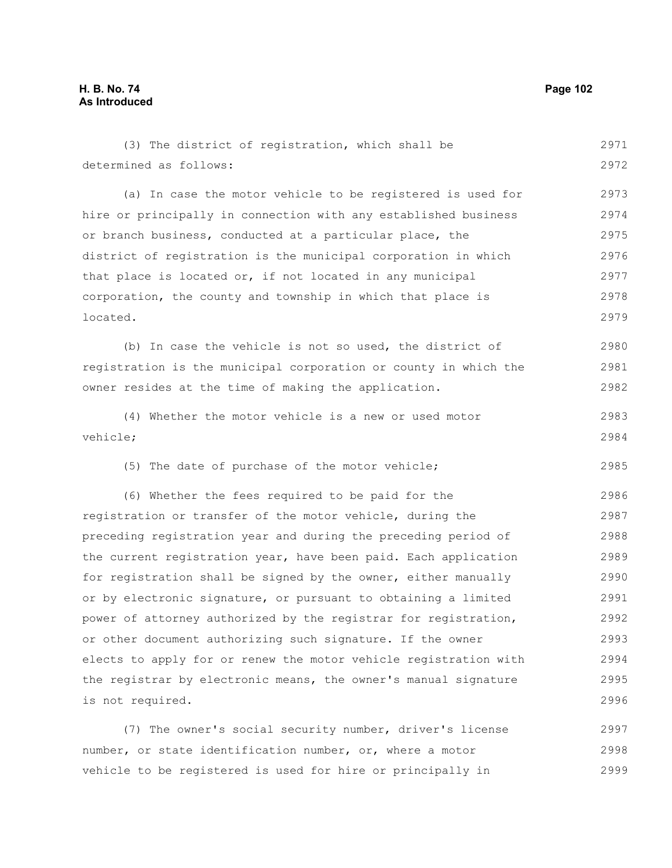2999

| (3) The district of registration, which shall be                 | 2971 |
|------------------------------------------------------------------|------|
| determined as follows:                                           | 2972 |
| (a) In case the motor vehicle to be registered is used for       | 2973 |
| hire or principally in connection with any established business  | 2974 |
| or branch business, conducted at a particular place, the         | 2975 |
| district of registration is the municipal corporation in which   | 2976 |
| that place is located or, if not located in any municipal        | 2977 |
| corporation, the county and township in which that place is      | 2978 |
| located.                                                         | 2979 |
| (b) In case the vehicle is not so used, the district of          | 2980 |
| registration is the municipal corporation or county in which the | 2981 |
| owner resides at the time of making the application.             | 2982 |
| (4) Whether the motor vehicle is a new or used motor             | 2983 |
| vehicle;                                                         | 2984 |
| (5) The date of purchase of the motor vehicle;                   | 2985 |
| (6) Whether the fees required to be paid for the                 | 2986 |
| registration or transfer of the motor vehicle, during the        | 2987 |
| preceding registration year and during the preceding period of   | 2988 |
| the current registration year, have been paid. Each application  | 2989 |
| for registration shall be signed by the owner, either manually   | 2990 |
| or by electronic signature, or pursuant to obtaining a limited   | 2991 |
| power of attorney authorized by the registrar for registration,  | 2992 |
| or other document authorizing such signature. If the owner       | 2993 |
| elects to apply for or renew the motor vehicle registration with | 2994 |
| the registrar by electronic means, the owner's manual signature  | 2995 |
| is not required.                                                 | 2996 |
| (7) The owner's social security number, driver's license         | 2997 |
| number, or state identification number, or, where a motor        | 2998 |

vehicle to be registered is used for hire or principally in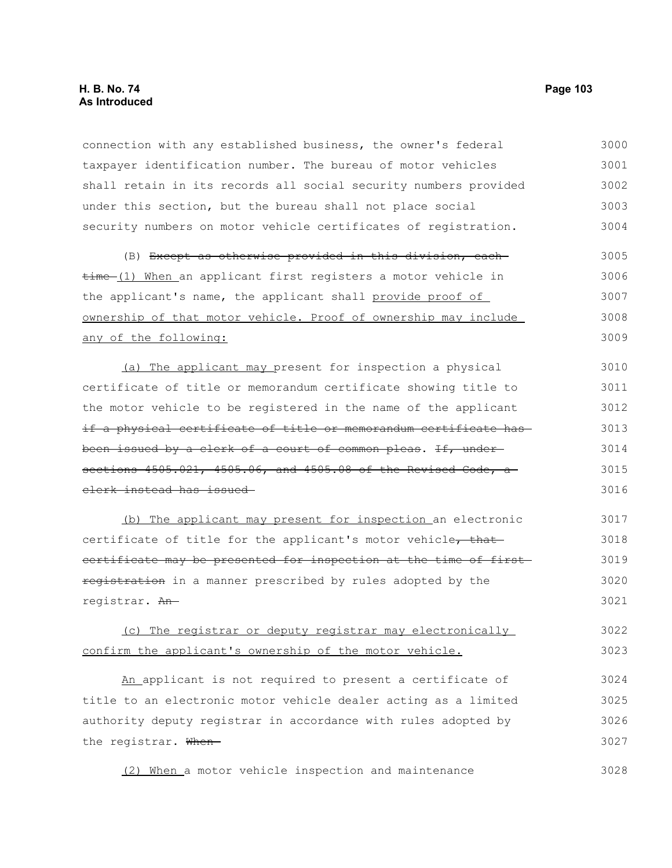connection with any established business, the owner's federal taxpayer identification number. The bureau of motor vehicles shall retain in its records all social security numbers provided under this section, but the bureau shall not place social security numbers on motor vehicle certificates of registration. (B) Except as otherwise provided in this division, each time (1) When an applicant first registers a motor vehicle in the applicant's name, the applicant shall provide proof of ownership of that motor vehicle. Proof of ownership may include any of the following: (a) The applicant may present for inspection a physical certificate of title or memorandum certificate showing title to the motor vehicle to be registered in the name of the applicant if a physical certificate of title or memorandum certificate has been issued by a clerk of a court of common pleas. If, under-3000 3001 3002 3003 3004 3005 3006 3007 3008 3009 3010 3011 3012 3013 3014

sections 4505.021, 4505.06, and 4505.08 of the Revised Code, a clerk instead has issued 3015 3016

(b) The applicant may present for inspection an electronic certificate of title for the applicant's motor vehicle, that certificate may be presented for inspection at the time of first registration in a manner prescribed by rules adopted by the registrar. An-3017 3018 3019 3020 3021

#### (c) The registrar or deputy registrar may electronically confirm the applicant's ownership of the motor vehicle. 3022 3023

An applicant is not required to present a certificate of title to an electronic motor vehicle dealer acting as a limited authority deputy registrar in accordance with rules adopted by the registrar. When-3024 3025 3026 3027

(2) When a motor vehicle inspection and maintenance 3028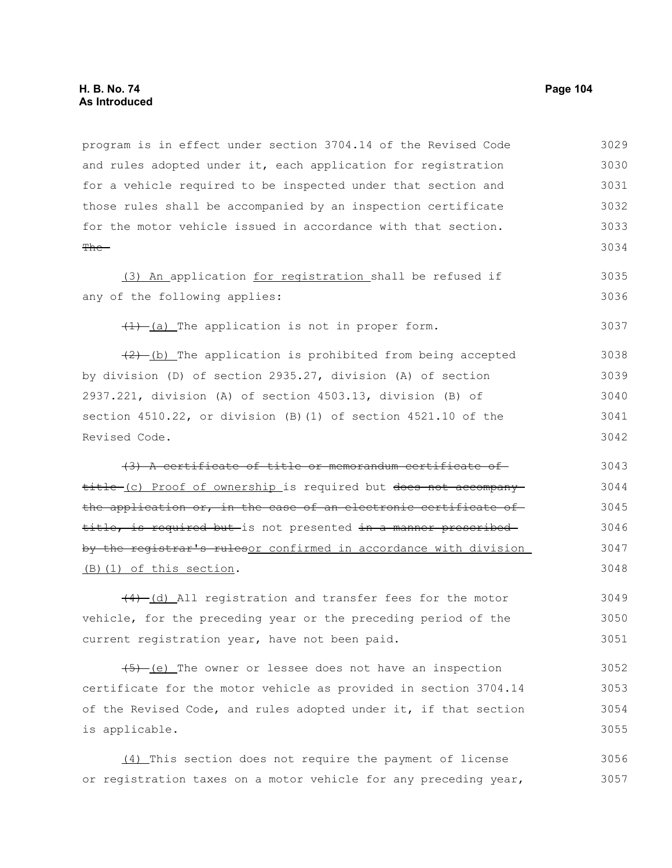program is in effect under section 3704.14 of the Revised Code and rules adopted under it, each application for registration for a vehicle required to be inspected under that section and those rules shall be accompanied by an inspection certificate for the motor vehicle issued in accordance with that section. The 3029 3030 3031 3032 3033 3034

(3) An application for registration shall be refused if any of the following applies:

 $(1)$  (a) The application is not in proper form.

 $(2)$  (b) The application is prohibited from being accepted by division (D) of section 2935.27, division (A) of section 2937.221, division (A) of section 4503.13, division (B) of section 4510.22, or division (B)(1) of section 4521.10 of the Revised Code. 3038 3039 3040 3041 3042

(3) A certificate of title or memorandum certificate of title (c) Proof of ownership is required but does not accompany the application or, in the case of an electronic certificate of title, is required but is not presented in a manner prescribed by the registrar's rulesor confirmed in accordance with division (B)(1) of this section. 3043 3044 3045 3046 3047 3048

 $(4)$  (d) All registration and transfer fees for the motor vehicle, for the preceding year or the preceding period of the current registration year, have not been paid. 3049 3050 3051

 $(5)$  (e) The owner or lessee does not have an inspection certificate for the motor vehicle as provided in section 3704.14 of the Revised Code, and rules adopted under it, if that section is applicable. 3052 3053 3054 3055

(4) This section does not require the payment of license or registration taxes on a motor vehicle for any preceding year, 3056 3057

3035 3036

3037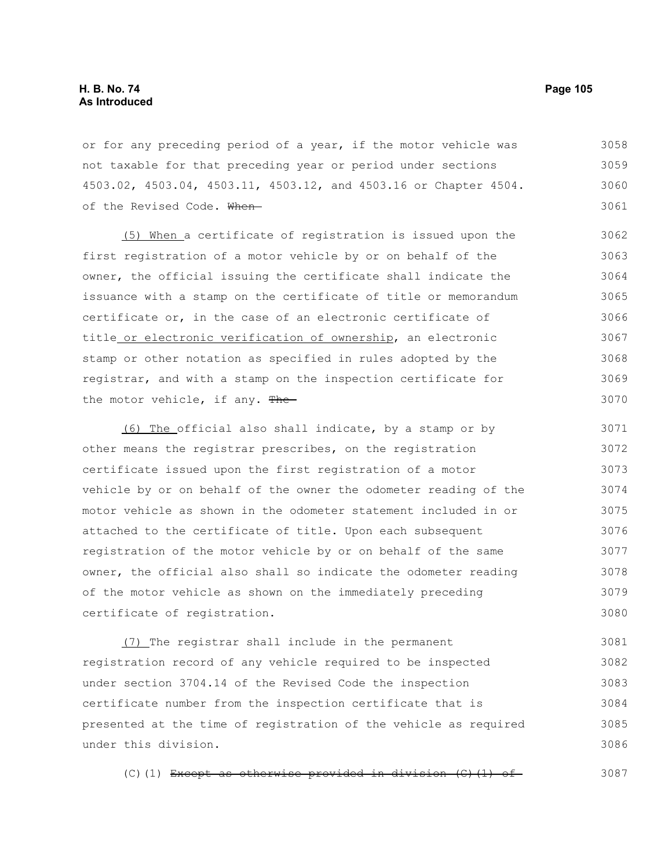or for any preceding period of a year, if the motor vehicle was not taxable for that preceding year or period under sections 4503.02, 4503.04, 4503.11, 4503.12, and 4503.16 or Chapter 4504. of the Revised Code. When-3058 3059 3060 3061

(5) When a certificate of registration is issued upon the first registration of a motor vehicle by or on behalf of the owner, the official issuing the certificate shall indicate the issuance with a stamp on the certificate of title or memorandum certificate or, in the case of an electronic certificate of title or electronic verification of ownership, an electronic stamp or other notation as specified in rules adopted by the registrar, and with a stamp on the inspection certificate for the motor vehicle, if any. The 3062 3063 3064 3065 3066 3067 3068 3069 3070

(6) The official also shall indicate, by a stamp or by other means the registrar prescribes, on the registration certificate issued upon the first registration of a motor vehicle by or on behalf of the owner the odometer reading of the motor vehicle as shown in the odometer statement included in or attached to the certificate of title. Upon each subsequent registration of the motor vehicle by or on behalf of the same owner, the official also shall so indicate the odometer reading of the motor vehicle as shown on the immediately preceding certificate of registration. 3071 3072 3073 3074 3075 3076 3077 3078 3079 3080

(7) The registrar shall include in the permanent registration record of any vehicle required to be inspected under section 3704.14 of the Revised Code the inspection certificate number from the inspection certificate that is presented at the time of registration of the vehicle as required under this division. 3081 3082 3083 3084 3085 3086

(C)(1) Except as otherwise provided in division  $(C)$  (1) of-3087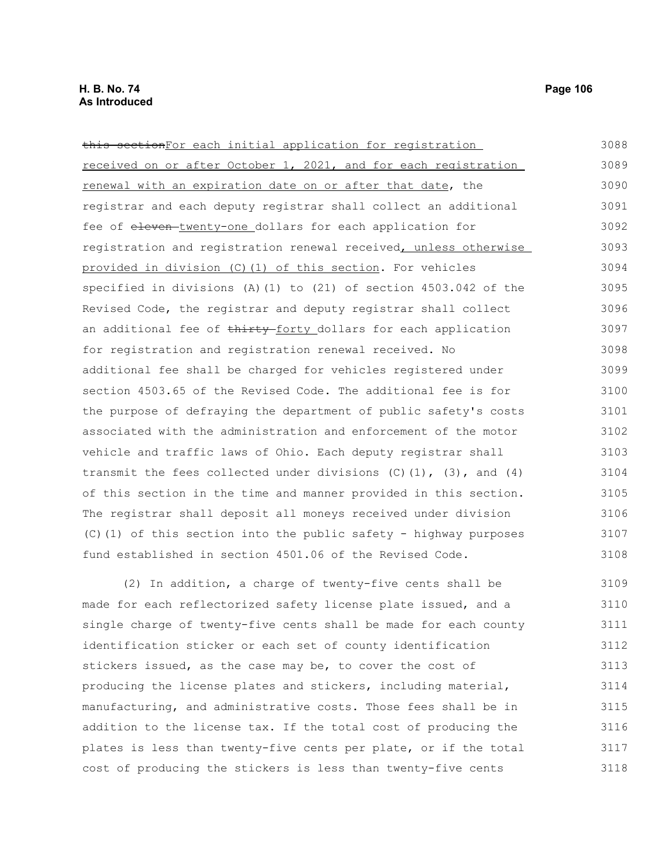this sectionFor each initial application for registration received on or after October 1, 2021, and for each registration renewal with an expiration date on or after that date, the registrar and each deputy registrar shall collect an additional fee of eleven-twenty-one dollars for each application for registration and registration renewal received, unless otherwise provided in division (C)(1) of this section. For vehicles specified in divisions (A)(1) to (21) of section 4503.042 of the Revised Code, the registrar and deputy registrar shall collect an additional fee of thirty forty dollars for each application for registration and registration renewal received. No additional fee shall be charged for vehicles registered under section 4503.65 of the Revised Code. The additional fee is for the purpose of defraying the department of public safety's costs associated with the administration and enforcement of the motor vehicle and traffic laws of Ohio. Each deputy registrar shall transmit the fees collected under divisions  $(C)$   $(1)$ ,  $(3)$ , and  $(4)$ of this section in the time and manner provided in this section. The registrar shall deposit all moneys received under division (C)(1) of this section into the public safety - highway purposes fund established in section 4501.06 of the Revised Code. 3088 3089 3090 3091 3092 3093 3094 3095 3096 3097 3098 3099 3100 3101 3102 3103 3104 3105 3106 3107 3108

(2) In addition, a charge of twenty-five cents shall be made for each reflectorized safety license plate issued, and a single charge of twenty-five cents shall be made for each county identification sticker or each set of county identification stickers issued, as the case may be, to cover the cost of producing the license plates and stickers, including material, manufacturing, and administrative costs. Those fees shall be in addition to the license tax. If the total cost of producing the plates is less than twenty-five cents per plate, or if the total cost of producing the stickers is less than twenty-five cents 3109 3110 3111 3112 3113 3114 3115 3116 3117 3118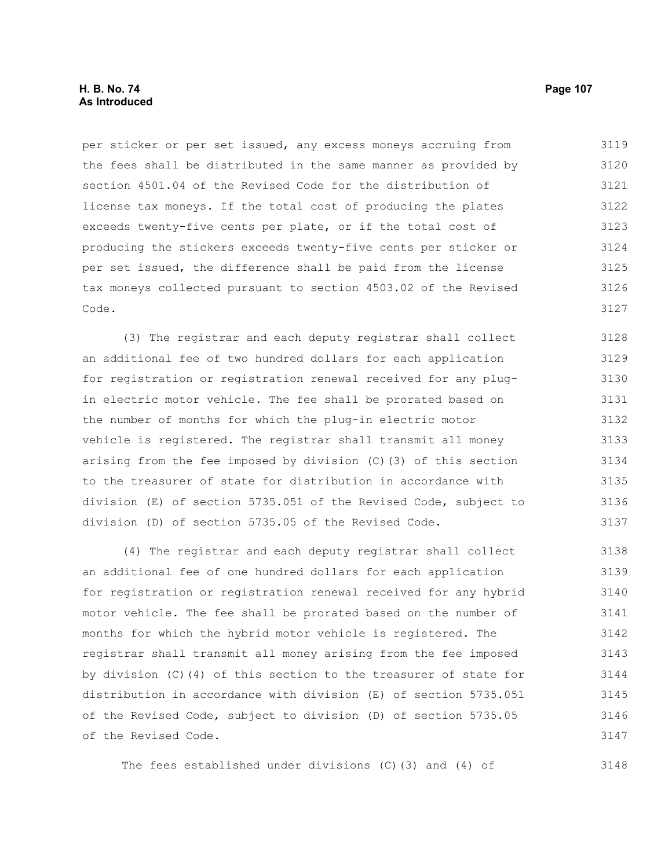# **H. B. No. 74 Page 107 As Introduced**

per sticker or per set issued, any excess moneys accruing from the fees shall be distributed in the same manner as provided by section 4501.04 of the Revised Code for the distribution of license tax moneys. If the total cost of producing the plates exceeds twenty-five cents per plate, or if the total cost of producing the stickers exceeds twenty-five cents per sticker or per set issued, the difference shall be paid from the license tax moneys collected pursuant to section 4503.02 of the Revised Code. 3119 3120 3121 3122 3123 3124 3125 3126 3127

(3) The registrar and each deputy registrar shall collect an additional fee of two hundred dollars for each application for registration or registration renewal received for any plugin electric motor vehicle. The fee shall be prorated based on the number of months for which the plug-in electric motor vehicle is registered. The registrar shall transmit all money arising from the fee imposed by division (C)(3) of this section to the treasurer of state for distribution in accordance with division (E) of section 5735.051 of the Revised Code, subject to division (D) of section 5735.05 of the Revised Code. 3128 3129 3130 3131 3132 3133 3134 3135 3136 3137

(4) The registrar and each deputy registrar shall collect an additional fee of one hundred dollars for each application for registration or registration renewal received for any hybrid motor vehicle. The fee shall be prorated based on the number of months for which the hybrid motor vehicle is registered. The registrar shall transmit all money arising from the fee imposed by division (C)(4) of this section to the treasurer of state for distribution in accordance with division (E) of section 5735.051 of the Revised Code, subject to division (D) of section 5735.05 of the Revised Code. 3138 3139 3140 3141 3142 3143 3144 3145 3146 3147

The fees established under divisions (C)(3) and (4) of

3148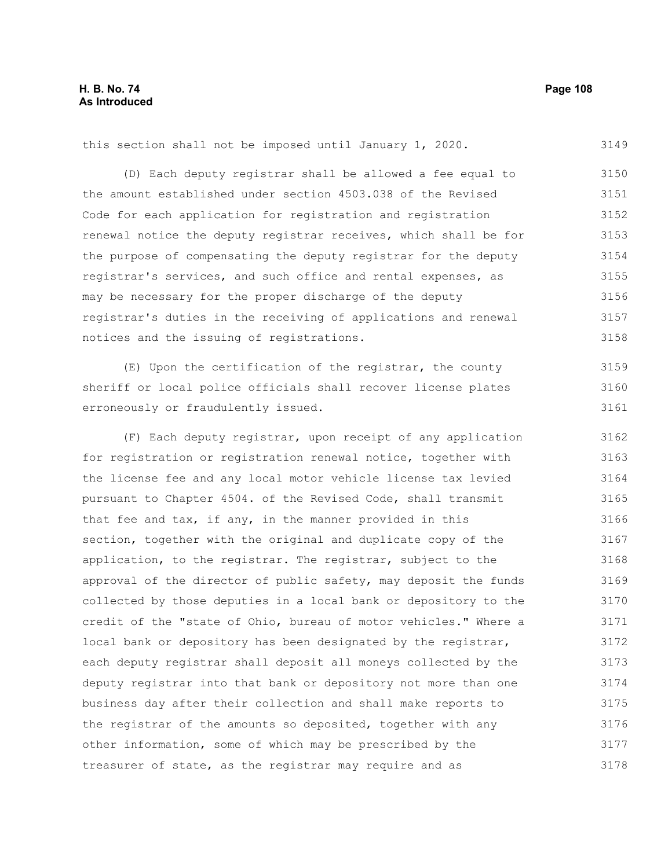#### this section shall not be imposed until January 1, 2020. (D) Each deputy registrar shall be allowed a fee equal to the amount established under section 4503.038 of the Revised Code for each application for registration and registration renewal notice the deputy registrar receives, which shall be for the purpose of compensating the deputy registrar for the deputy registrar's services, and such office and rental expenses, as may be necessary for the proper discharge of the deputy registrar's duties in the receiving of applications and renewal notices and the issuing of registrations. (E) Upon the certification of the registrar, the county sheriff or local police officials shall recover license plates erroneously or fraudulently issued. (F) Each deputy registrar, upon receipt of any application for registration or registration renewal notice, together with the license fee and any local motor vehicle license tax levied pursuant to Chapter 4504. of the Revised Code, shall transmit that fee and tax, if any, in the manner provided in this section, together with the original and duplicate copy of the application, to the registrar. The registrar, subject to the approval of the director of public safety, may deposit the funds collected by those deputies in a local bank or depository to the credit of the "state of Ohio, bureau of motor vehicles." Where a local bank or depository has been designated by the registrar, each deputy registrar shall deposit all moneys collected by the deputy registrar into that bank or depository not more than one business day after their collection and shall make reports to the registrar of the amounts so deposited, together with any other information, some of which may be prescribed by the treasurer of state, as the registrar may require and as 3149 3150 3151 3152 3153 3154 3155 3156 3157 3158 3159 3160 3161 3162 3163 3164 3165 3166 3167 3168 3169 3170 3171 3172 3173 3174 3175 3176 3177 3178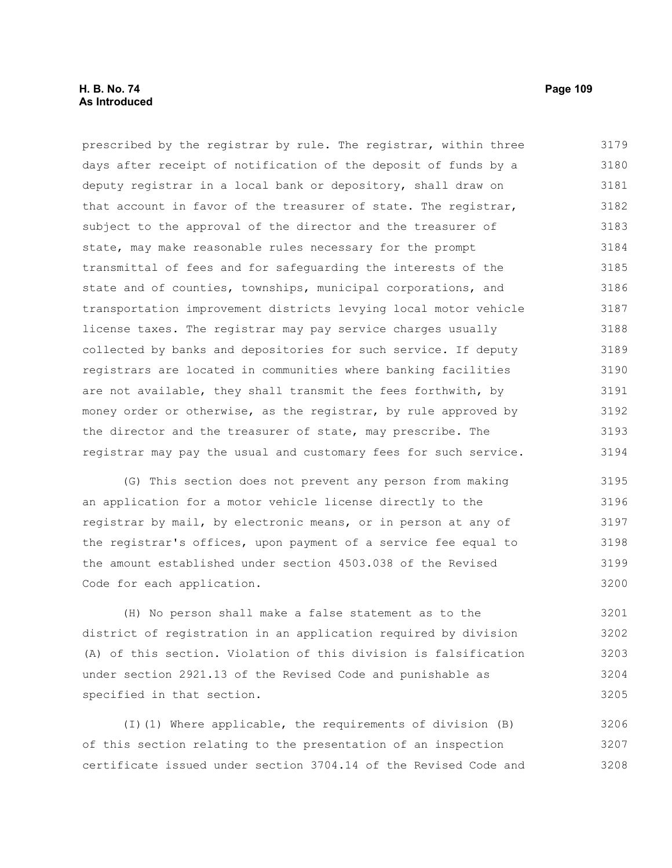# **H. B. No. 74 Page 109 As Introduced**

prescribed by the registrar by rule. The registrar, within three days after receipt of notification of the deposit of funds by a deputy registrar in a local bank or depository, shall draw on that account in favor of the treasurer of state. The registrar, subject to the approval of the director and the treasurer of state, may make reasonable rules necessary for the prompt transmittal of fees and for safeguarding the interests of the state and of counties, townships, municipal corporations, and transportation improvement districts levying local motor vehicle license taxes. The registrar may pay service charges usually collected by banks and depositories for such service. If deputy registrars are located in communities where banking facilities are not available, they shall transmit the fees forthwith, by money order or otherwise, as the registrar, by rule approved by the director and the treasurer of state, may prescribe. The registrar may pay the usual and customary fees for such service. 3179 3180 3181 3182 3183 3184 3185 3186 3187 3188 3189 3190 3191 3192 3193 3194

(G) This section does not prevent any person from making an application for a motor vehicle license directly to the registrar by mail, by electronic means, or in person at any of the registrar's offices, upon payment of a service fee equal to the amount established under section 4503.038 of the Revised Code for each application. 3195 3196 3197 3198 3199 3200

(H) No person shall make a false statement as to the district of registration in an application required by division (A) of this section. Violation of this division is falsification under section 2921.13 of the Revised Code and punishable as specified in that section. 3201 3202 3203 3204 3205

(I)(1) Where applicable, the requirements of division (B) of this section relating to the presentation of an inspection certificate issued under section 3704.14 of the Revised Code and 3206 3207 3208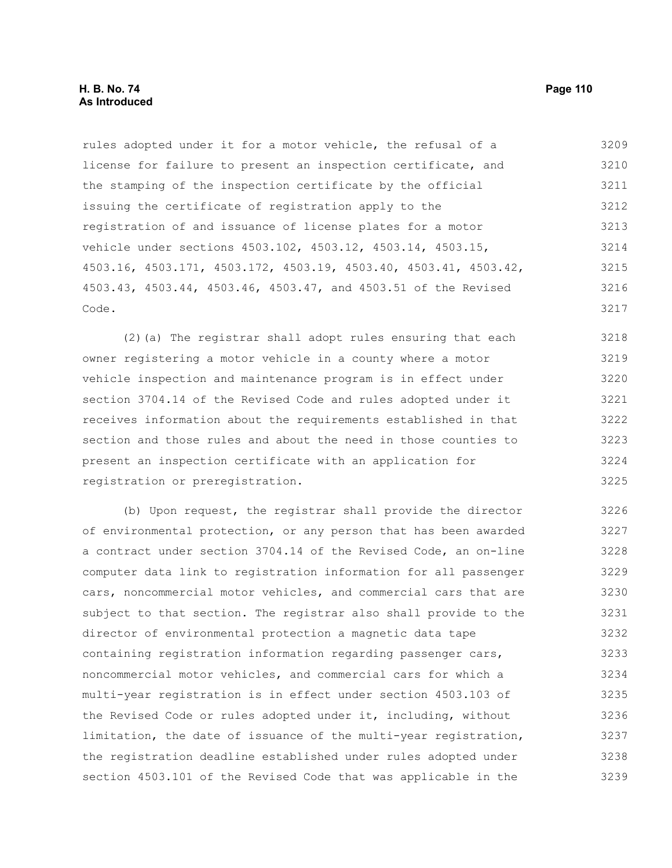rules adopted under it for a motor vehicle, the refusal of a license for failure to present an inspection certificate, and the stamping of the inspection certificate by the official issuing the certificate of registration apply to the registration of and issuance of license plates for a motor vehicle under sections 4503.102, 4503.12, 4503.14, 4503.15, 4503.16, 4503.171, 4503.172, 4503.19, 4503.40, 4503.41, 4503.42, 4503.43, 4503.44, 4503.46, 4503.47, and 4503.51 of the Revised Code. 3209 3210 3211 3212 3213 3214 3215 3216 3217

(2)(a) The registrar shall adopt rules ensuring that each owner registering a motor vehicle in a county where a motor vehicle inspection and maintenance program is in effect under section 3704.14 of the Revised Code and rules adopted under it receives information about the requirements established in that section and those rules and about the need in those counties to present an inspection certificate with an application for registration or preregistration. 3218 3219 3220 3221 3222 3223 3224 3225

(b) Upon request, the registrar shall provide the director of environmental protection, or any person that has been awarded a contract under section 3704.14 of the Revised Code, an on-line computer data link to registration information for all passenger cars, noncommercial motor vehicles, and commercial cars that are subject to that section. The registrar also shall provide to the director of environmental protection a magnetic data tape containing registration information regarding passenger cars, noncommercial motor vehicles, and commercial cars for which a multi-year registration is in effect under section 4503.103 of the Revised Code or rules adopted under it, including, without limitation, the date of issuance of the multi-year registration, the registration deadline established under rules adopted under section 4503.101 of the Revised Code that was applicable in the 3226 3227 3228 3229 3230 3231 3232 3233 3234 3235 3236 3237 3238 3239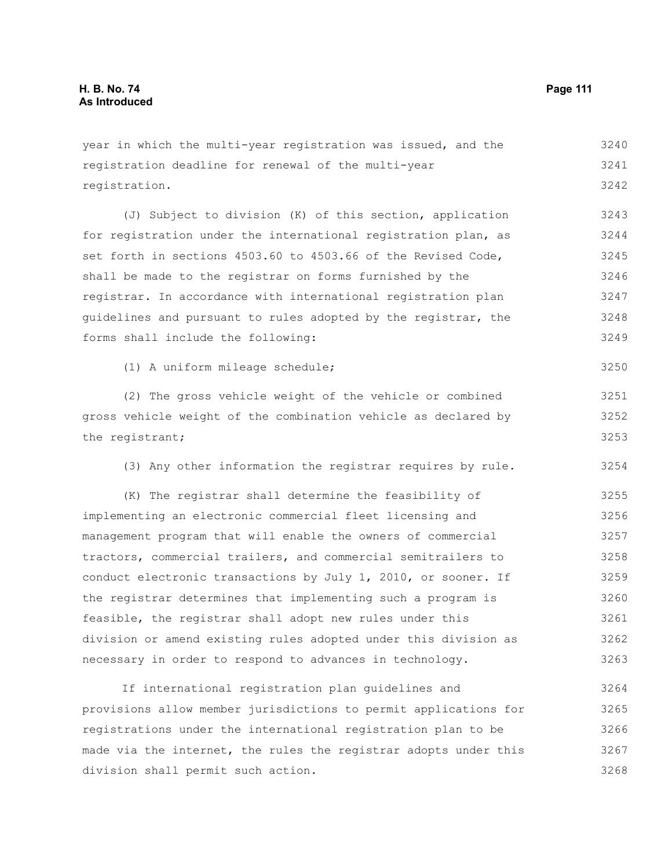year in which the multi-year registration was issued, and the registration deadline for renewal of the multi-year registration. (J) Subject to division (K) of this section, application for registration under the international registration plan, as set forth in sections 4503.60 to 4503.66 of the Revised Code, shall be made to the registrar on forms furnished by the registrar. In accordance with international registration plan guidelines and pursuant to rules adopted by the registrar, the forms shall include the following: (1) A uniform mileage schedule; (2) The gross vehicle weight of the vehicle or combined gross vehicle weight of the combination vehicle as declared by the registrant; (3) Any other information the registrar requires by rule. (K) The registrar shall determine the feasibility of implementing an electronic commercial fleet licensing and management program that will enable the owners of commercial tractors, commercial trailers, and commercial semitrailers to conduct electronic transactions by July 1, 2010, or sooner. If the registrar determines that implementing such a program is feasible, the registrar shall adopt new rules under this division or amend existing rules adopted under this division as necessary in order to respond to advances in technology. 3240 3241 3242 3243 3244 3245 3246 3247 3248 3249 3250 3251 3252 3253 3254 3255 3256 3257 3258 3259 3260 3261 3262 3263 3264

If international registration plan guidelines and provisions allow member jurisdictions to permit applications for registrations under the international registration plan to be made via the internet, the rules the registrar adopts under this division shall permit such action. 3265 3266 3267 3268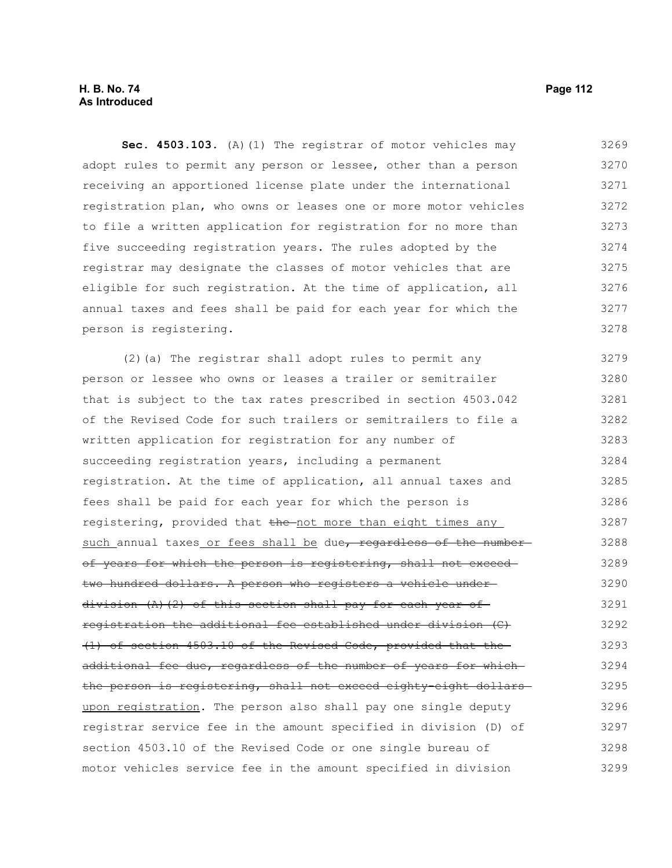**Sec. 4503.103.** (A)(1) The registrar of motor vehicles may adopt rules to permit any person or lessee, other than a person receiving an apportioned license plate under the international registration plan, who owns or leases one or more motor vehicles to file a written application for registration for no more than five succeeding registration years. The rules adopted by the registrar may designate the classes of motor vehicles that are eligible for such registration. At the time of application, all annual taxes and fees shall be paid for each year for which the person is registering. 3269 3270 3271 3272 3273 3274 3275 3276 3277 3278

(2)(a) The registrar shall adopt rules to permit any person or lessee who owns or leases a trailer or semitrailer that is subject to the tax rates prescribed in section 4503.042 of the Revised Code for such trailers or semitrailers to file a written application for registration for any number of succeeding registration years, including a permanent registration. At the time of application, all annual taxes and fees shall be paid for each year for which the person is registering, provided that the not more than eight times any such annual taxes or fees shall be due, regardless of the numberof years for which the person is registering, shall not exceedtwo hundred dollars. A person who registers a vehicle under division  $(A)$  (2) of this section shall pay for each year of registration the additional fee established under division (C) (1) of section 4503.10 of the Revised Code, provided that the additional fee due, regardless of the number of years for whichthe person is registering, shall not exceed eighty-eight dollarsupon registration. The person also shall pay one single deputy registrar service fee in the amount specified in division (D) of section 4503.10 of the Revised Code or one single bureau of motor vehicles service fee in the amount specified in division 3279 3280 3281 3282 3283 3284 3285 3286 3287 3288 3289 3290 3291 3292 3293 3294 3295 3296 3297 3298 3299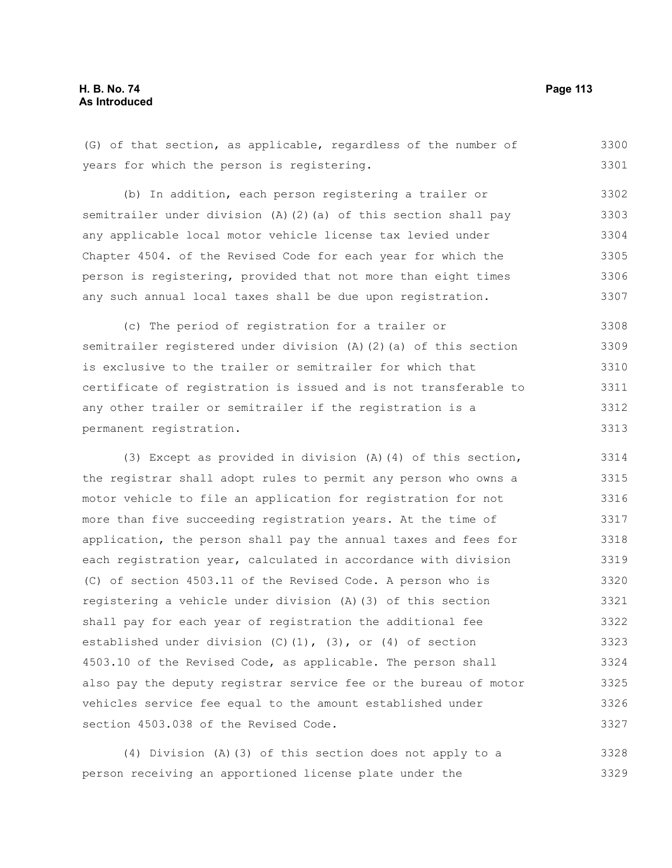#### (G) of that section, as applicable, regardless of the number of years for which the person is registering. (b) In addition, each person registering a trailer or semitrailer under division (A)(2)(a) of this section shall pay any applicable local motor vehicle license tax levied under Chapter 4504. of the Revised Code for each year for which the person is registering, provided that not more than eight times any such annual local taxes shall be due upon registration. (c) The period of registration for a trailer or semitrailer registered under division (A)(2)(a) of this section is exclusive to the trailer or semitrailer for which that certificate of registration is issued and is not transferable to any other trailer or semitrailer if the registration is a permanent registration. (3) Except as provided in division (A)(4) of this section, the registrar shall adopt rules to permit any person who owns a motor vehicle to file an application for registration for not more than five succeeding registration years. At the time of application, the person shall pay the annual taxes and fees for each registration year, calculated in accordance with division (C) of section 4503.11 of the Revised Code. A person who is registering a vehicle under division (A)(3) of this section shall pay for each year of registration the additional fee established under division  $(C)$   $(1)$ ,  $(3)$ , or  $(4)$  of section 3300 3301 3302 3303 3304 3305 3306 3307 3308 3309 3310 3311 3312 3313 3314 3315 3316 3317 3318 3319 3320 3321 3322 3323

4503.10 of the Revised Code, as applicable. The person shall also pay the deputy registrar service fee or the bureau of motor vehicles service fee equal to the amount established under section 4503.038 of the Revised Code. 3324 3325 3326 3327

(4) Division (A)(3) of this section does not apply to a person receiving an apportioned license plate under the 3328 3329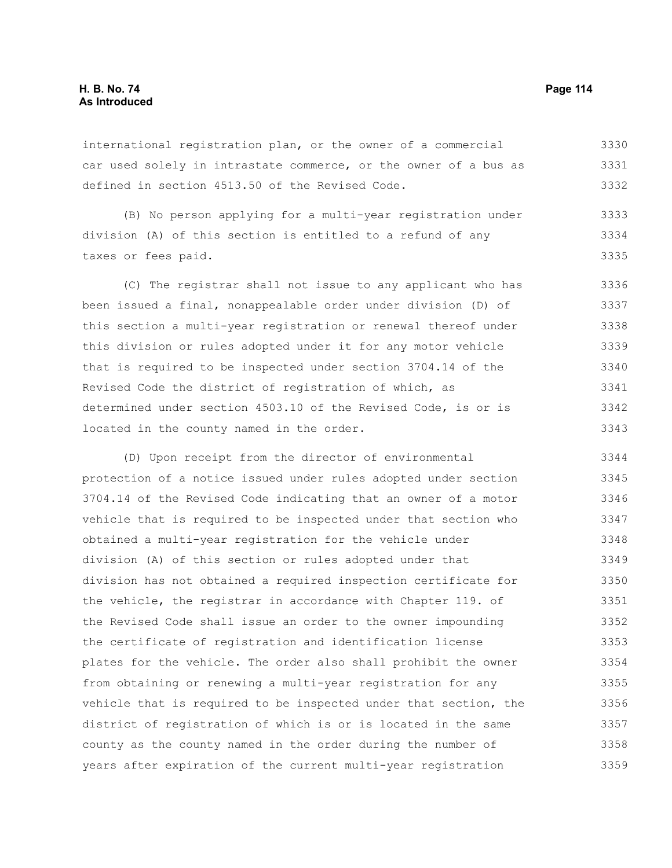international registration plan, or the owner of a commercial car used solely in intrastate commerce, or the owner of a bus as defined in section 4513.50 of the Revised Code. 3330 3331 3332

(B) No person applying for a multi-year registration under division (A) of this section is entitled to a refund of any taxes or fees paid. 3333 3334 3335

(C) The registrar shall not issue to any applicant who has been issued a final, nonappealable order under division (D) of this section a multi-year registration or renewal thereof under this division or rules adopted under it for any motor vehicle that is required to be inspected under section 3704.14 of the Revised Code the district of registration of which, as determined under section 4503.10 of the Revised Code, is or is located in the county named in the order. 3336 3337 3338 3339 3340 3341 3342 3343

(D) Upon receipt from the director of environmental protection of a notice issued under rules adopted under section 3704.14 of the Revised Code indicating that an owner of a motor vehicle that is required to be inspected under that section who obtained a multi-year registration for the vehicle under division (A) of this section or rules adopted under that division has not obtained a required inspection certificate for the vehicle, the registrar in accordance with Chapter 119. of the Revised Code shall issue an order to the owner impounding the certificate of registration and identification license plates for the vehicle. The order also shall prohibit the owner from obtaining or renewing a multi-year registration for any vehicle that is required to be inspected under that section, the district of registration of which is or is located in the same county as the county named in the order during the number of years after expiration of the current multi-year registration 3344 3345 3346 3347 3348 3349 3350 3351 3352 3353 3354 3355 3356 3357 3358 3359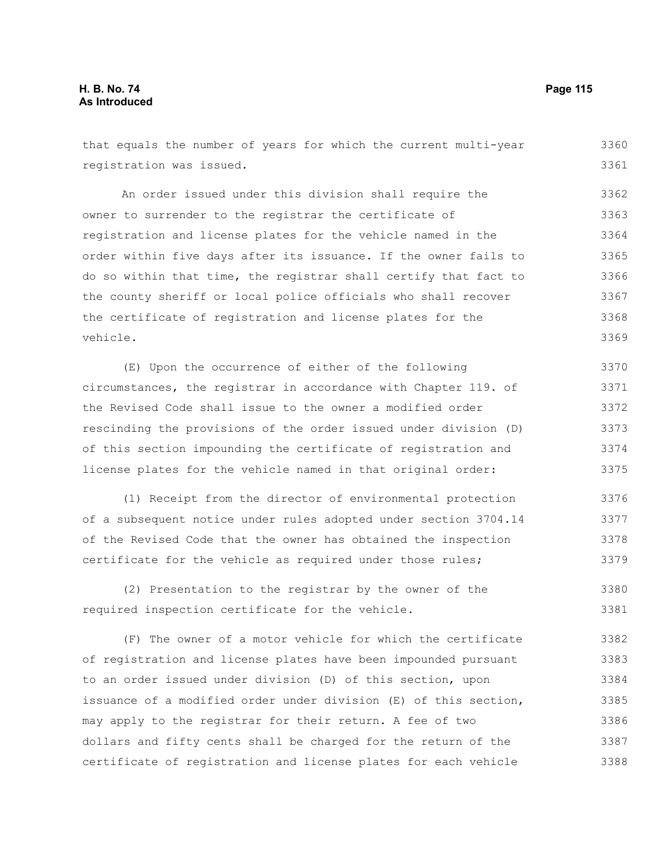3360

registration was issued. An order issued under this division shall require the owner to surrender to the registrar the certificate of registration and license plates for the vehicle named in the order within five days after its issuance. If the owner fails to do so within that time, the registrar shall certify that fact to the county sheriff or local police officials who shall recover the certificate of registration and license plates for the vehicle. (E) Upon the occurrence of either of the following circumstances, the registrar in accordance with Chapter 119. of the Revised Code shall issue to the owner a modified order rescinding the provisions of the order issued under division (D) of this section impounding the certificate of registration and license plates for the vehicle named in that original order: (1) Receipt from the director of environmental protection of a subsequent notice under rules adopted under section 3704.14 of the Revised Code that the owner has obtained the inspection certificate for the vehicle as required under those rules; (2) Presentation to the registrar by the owner of the required inspection certificate for the vehicle. (F) The owner of a motor vehicle for which the certificate of registration and license plates have been impounded pursuant to an order issued under division (D) of this section, upon issuance of a modified order under division (E) of this section, may apply to the registrar for their return. A fee of two dollars and fifty cents shall be charged for the return of the certificate of registration and license plates for each vehicle 3361 3362 3363 3364 3365 3366 3367 3368 3369 3370 3371 3372 3373 3374 3375 3376 3377 3378 3379 3380 3381 3382 3383 3384 3385 3386 3387 3388

that equals the number of years for which the current multi-year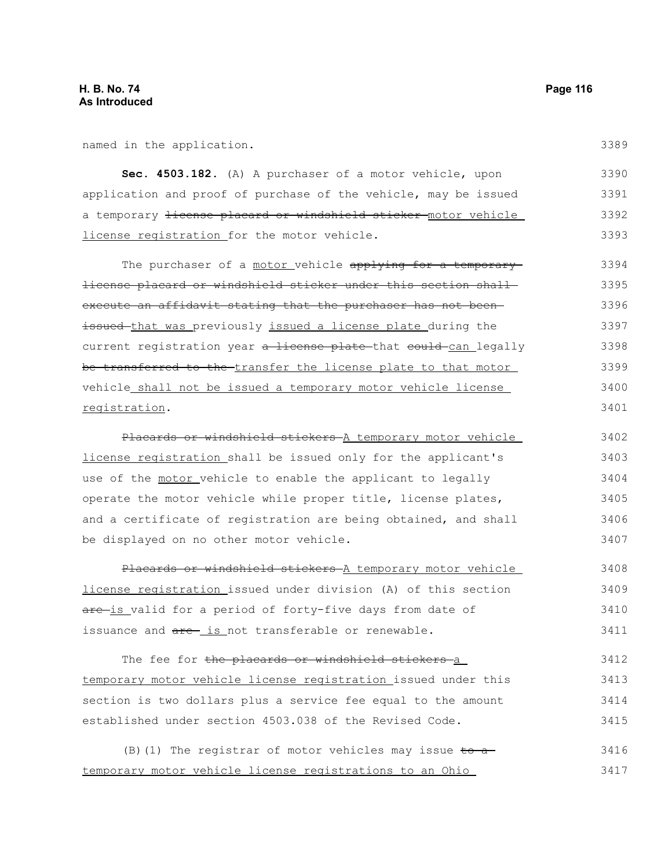named in the application.

3389

**Sec. 4503.182.** (A) A purchaser of a motor vehicle, upon application and proof of purchase of the vehicle, may be issued a temporary <del>license placard or windshield sticker motor</del> vehicle license registration for the motor vehicle. 3390 3391 3392 3393

The purchaser of a motor vehicle applying for a temporarylicense placard or windshield sticker under this section shall execute an affidavit stating that the purchaser has not been issued-that was previously issued a license plate during the current registration year a license plate that could can legally be transferred to the transfer the license plate to that motor vehicle shall not be issued a temporary motor vehicle license registration. 3394 3395 3396 3397 3398 3399 3400 3401

Placards or windshield stickers A temporary motor vehicle license registration shall be issued only for the applicant's use of the motor vehicle to enable the applicant to legally operate the motor vehicle while proper title, license plates, and a certificate of registration are being obtained, and shall be displayed on no other motor vehicle. 3402 3403 3404 3405 3406 3407

Placards or windshield stickers A temporary motor vehicle license registration issued under division (A) of this section are-is valid for a period of forty-five days from date of issuance and are is not transferable or renewable. 3408 3409 3410 3411

The fee for the placards or windshield stickers a temporary motor vehicle license registration issued under this section is two dollars plus a service fee equal to the amount established under section 4503.038 of the Revised Code. 3412 3413 3414 3415

(B)(1) The registrar of motor vehicles may issue  $\pm$ o atemporary motor vehicle license registrations to an Ohio 3416 3417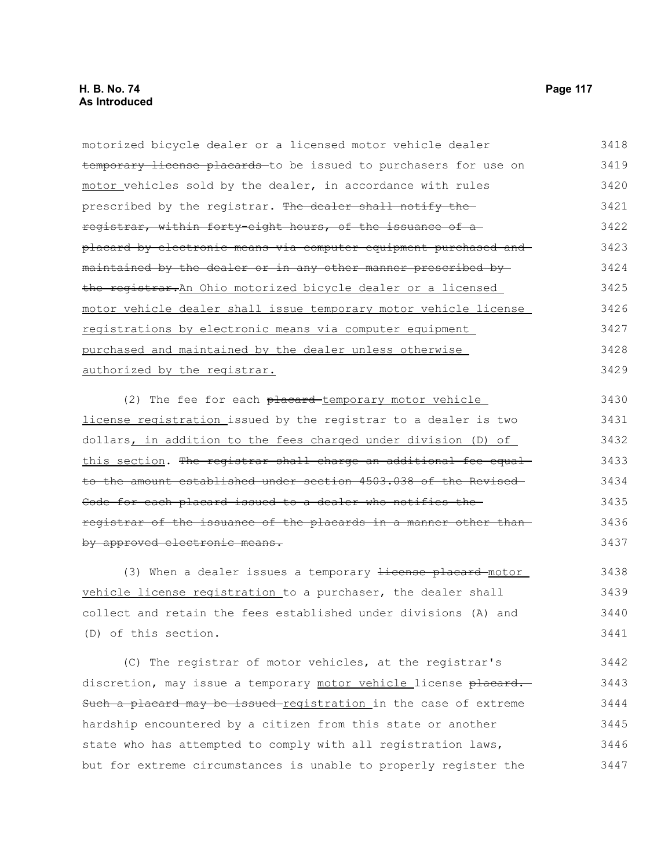motorized bicycle dealer or a licensed motor vehicle dealer temporary license placards-to be issued to purchasers for use on motor vehicles sold by the dealer, in accordance with rules prescribed by the registrar. The dealer shall notify theregistrar, within forty-eight hours, of the issuance of a placard by electronic means via computer equipment purchased and maintained by the dealer or in any other manner prescribed by the registrar.An Ohio motorized bicycle dealer or a licensed motor vehicle dealer shall issue temporary motor vehicle license registrations by electronic means via computer equipment purchased and maintained by the dealer unless otherwise authorized by the registrar. (2) The fee for each placard-temporary motor vehicle 3418 3419 3420 3421 3422 3423 3424 3425 3426 3427 3428 3429 3430

license registration issued by the registrar to a dealer is two dollars, in addition to the fees charged under division (D) of this section. The registrar shall charge an additional fee equalto the amount established under section 4503.038 of the Revised Code for each placard issued to a dealer who notifies the registrar of the issuance of the placards in a manner other than by approved electronic means. 3431 3432 3433 3434 3435 3436 3437

(3) When a dealer issues a temporary <del>license placard motor</del> vehicle license registration to a purchaser, the dealer shall collect and retain the fees established under divisions (A) and (D) of this section. 3438 3439 3440 3441

(C) The registrar of motor vehicles, at the registrar's discretion, may issue a temporary motor vehicle license placard. Such a placard may be issued registration in the case of extreme hardship encountered by a citizen from this state or another state who has attempted to comply with all registration laws, but for extreme circumstances is unable to properly register the 3442 3443 3444 3445 3446 3447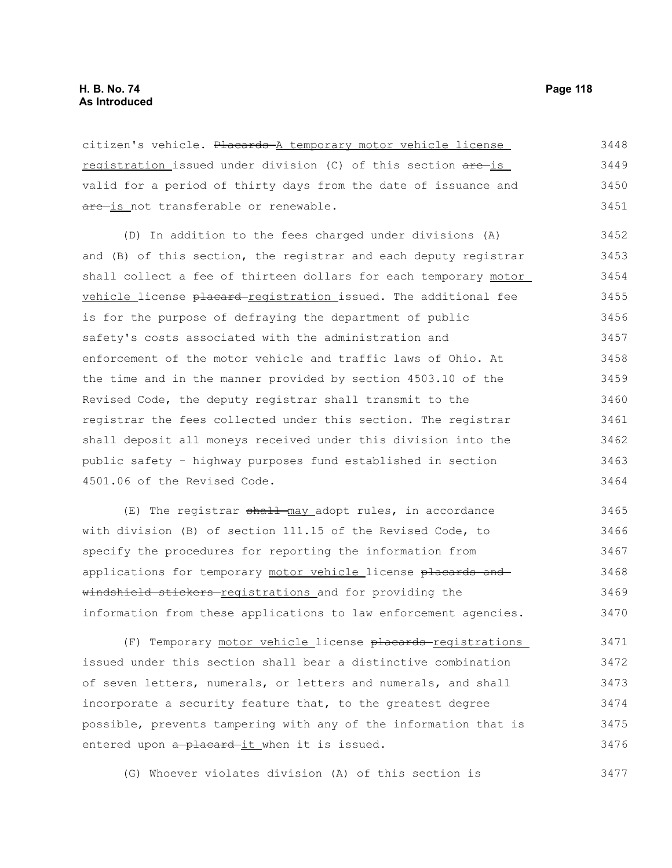citizen's vehicle. Placards A temporary motor vehicle license registration issued under division (C) of this section are is valid for a period of thirty days from the date of issuance and are-is not transferable or renewable. 3448 3449 3450 3451

(D) In addition to the fees charged under divisions (A) and (B) of this section, the registrar and each deputy registrar shall collect a fee of thirteen dollars for each temporary motor vehicle license placard registration issued. The additional fee is for the purpose of defraying the department of public safety's costs associated with the administration and enforcement of the motor vehicle and traffic laws of Ohio. At the time and in the manner provided by section 4503.10 of the Revised Code, the deputy registrar shall transmit to the registrar the fees collected under this section. The registrar shall deposit all moneys received under this division into the public safety - highway purposes fund established in section 4501.06 of the Revised Code. 3452 3453 3454 3455 3456 3457 3458 3459 3460 3461 3462 3463 3464

 $(E)$  The registrar  $shall-may$  adopt rules, in accordance with division (B) of section 111.15 of the Revised Code, to specify the procedures for reporting the information from applications for temporary motor vehicle\_license placards andwindshield stickers-registrations and for providing the information from these applications to law enforcement agencies. 3465 3466 3467 3468 3469 3470

(F) Temporary motor vehicle license placards registrations issued under this section shall bear a distinctive combination of seven letters, numerals, or letters and numerals, and shall incorporate a security feature that, to the greatest degree possible, prevents tampering with any of the information that is entered upon a placard it when it is issued. 3471 3472 3473 3474 3475 3476

(G) Whoever violates division (A) of this section is 3477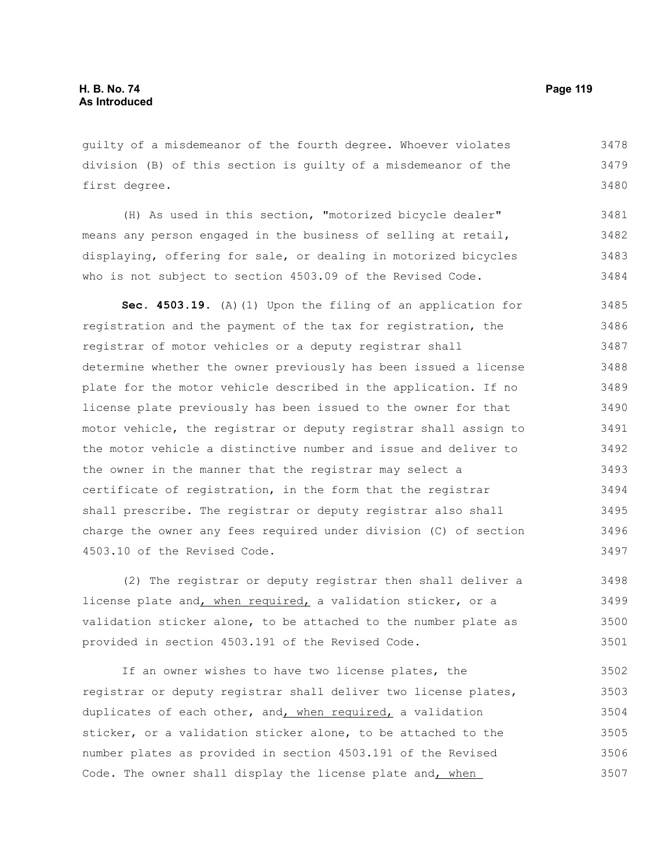guilty of a misdemeanor of the fourth degree. Whoever violates division (B) of this section is guilty of a misdemeanor of the first degree. 3478 3479 3480

(H) As used in this section, "motorized bicycle dealer" means any person engaged in the business of selling at retail, displaying, offering for sale, or dealing in motorized bicycles who is not subject to section 4503.09 of the Revised Code. 3481 3482 3483 3484

**Sec. 4503.19.** (A)(1) Upon the filing of an application for registration and the payment of the tax for registration, the registrar of motor vehicles or a deputy registrar shall determine whether the owner previously has been issued a license plate for the motor vehicle described in the application. If no license plate previously has been issued to the owner for that motor vehicle, the registrar or deputy registrar shall assign to the motor vehicle a distinctive number and issue and deliver to the owner in the manner that the registrar may select a certificate of registration, in the form that the registrar shall prescribe. The registrar or deputy registrar also shall charge the owner any fees required under division (C) of section 4503.10 of the Revised Code. 3485 3486 3487 3488 3489 3490 3491 3492 3493 3494 3495 3496 3497

(2) The registrar or deputy registrar then shall deliver a license plate and, when required, a validation sticker, or a validation sticker alone, to be attached to the number plate as provided in section 4503.191 of the Revised Code. 3498 3499 3500 3501

If an owner wishes to have two license plates, the registrar or deputy registrar shall deliver two license plates, duplicates of each other, and, when required, a validation sticker, or a validation sticker alone, to be attached to the number plates as provided in section 4503.191 of the Revised Code. The owner shall display the license plate and, when 3502 3503 3504 3505 3506 3507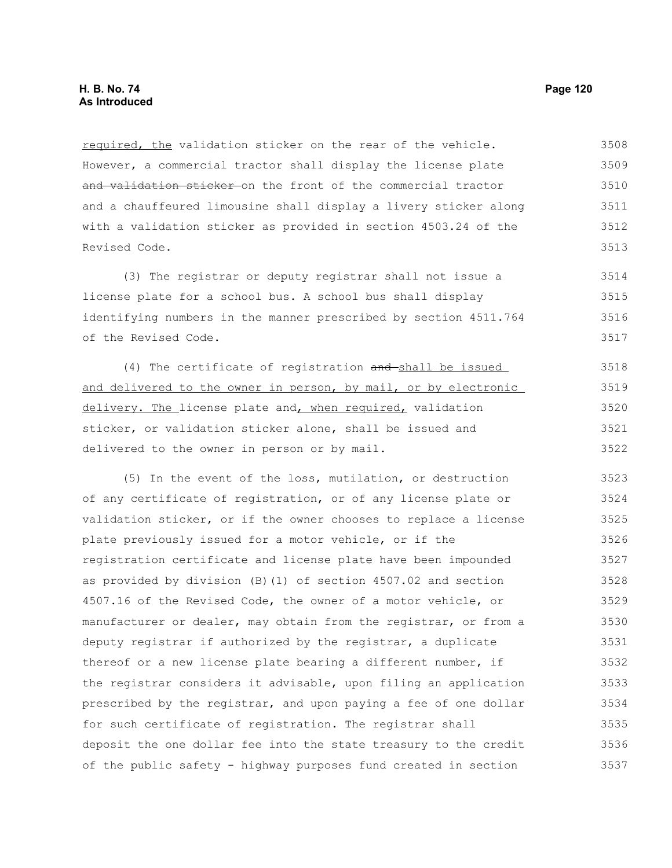required, the validation sticker on the rear of the vehicle. However, a commercial tractor shall display the license plate and validation sticker on the front of the commercial tractor and a chauffeured limousine shall display a livery sticker along with a validation sticker as provided in section 4503.24 of the Revised Code. 3508 3509 3510 3511 3512 3513

(3) The registrar or deputy registrar shall not issue a license plate for a school bus. A school bus shall display identifying numbers in the manner prescribed by section 4511.764 of the Revised Code. 3514 3515 3516 3517

(4) The certificate of registration and shall be issued and delivered to the owner in person, by mail, or by electronic delivery. The license plate and, when required, validation sticker, or validation sticker alone, shall be issued and delivered to the owner in person or by mail. 3518 3519 3520 3521 3522

(5) In the event of the loss, mutilation, or destruction of any certificate of registration, or of any license plate or validation sticker, or if the owner chooses to replace a license plate previously issued for a motor vehicle, or if the registration certificate and license plate have been impounded as provided by division (B)(1) of section 4507.02 and section 4507.16 of the Revised Code, the owner of a motor vehicle, or manufacturer or dealer, may obtain from the registrar, or from a deputy registrar if authorized by the registrar, a duplicate thereof or a new license plate bearing a different number, if the registrar considers it advisable, upon filing an application prescribed by the registrar, and upon paying a fee of one dollar for such certificate of registration. The registrar shall deposit the one dollar fee into the state treasury to the credit of the public safety - highway purposes fund created in section 3523 3524 3525 3526 3527 3528 3529 3530 3531 3532 3533 3534 3535 3536 3537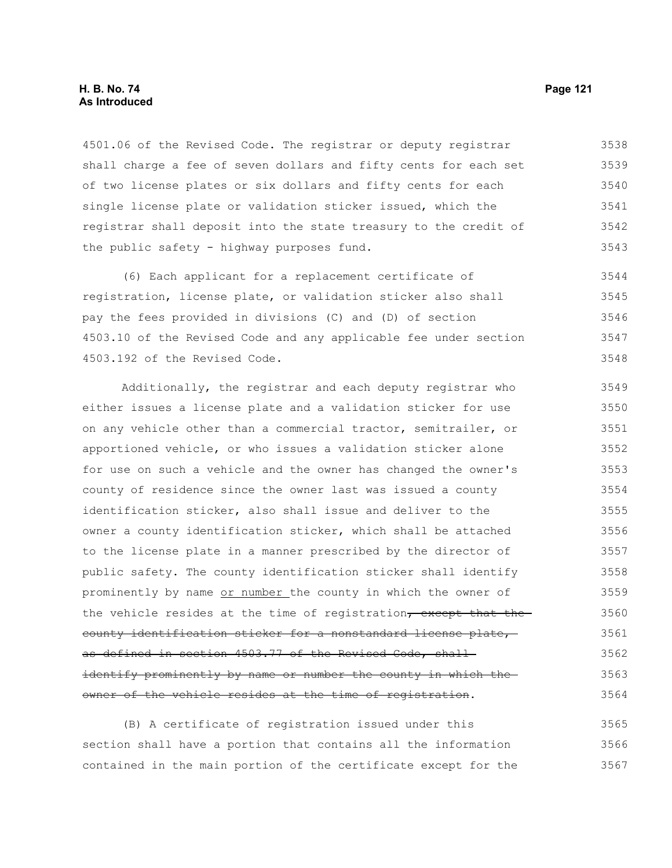### **H. B. No. 74 Page 121 As Introduced**

4501.06 of the Revised Code. The registrar or deputy registrar shall charge a fee of seven dollars and fifty cents for each set of two license plates or six dollars and fifty cents for each single license plate or validation sticker issued, which the registrar shall deposit into the state treasury to the credit of the public safety - highway purposes fund. 3538 3539 3540 3541 3542 3543

(6) Each applicant for a replacement certificate of registration, license plate, or validation sticker also shall pay the fees provided in divisions (C) and (D) of section 4503.10 of the Revised Code and any applicable fee under section 4503.192 of the Revised Code. 3544 3545 3546 3547 3548

Additionally, the registrar and each deputy registrar who either issues a license plate and a validation sticker for use on any vehicle other than a commercial tractor, semitrailer, or apportioned vehicle, or who issues a validation sticker alone for use on such a vehicle and the owner has changed the owner's county of residence since the owner last was issued a county identification sticker, also shall issue and deliver to the owner a county identification sticker, which shall be attached to the license plate in a manner prescribed by the director of public safety. The county identification sticker shall identify prominently by name or number the county in which the owner of the vehicle resides at the time of registration, except that the county identification sticker for a nonstandard license plate, as defined in section 4503.77 of the Revised Code, shall identify prominently by name or number the county in which theowner of the vehicle resides at the time of registration. 3549 3550 3551 3552 3553 3554 3555 3556 3557 3558 3559 3560 3561 3562 3563 3564

(B) A certificate of registration issued under this section shall have a portion that contains all the information contained in the main portion of the certificate except for the 3565 3566 3567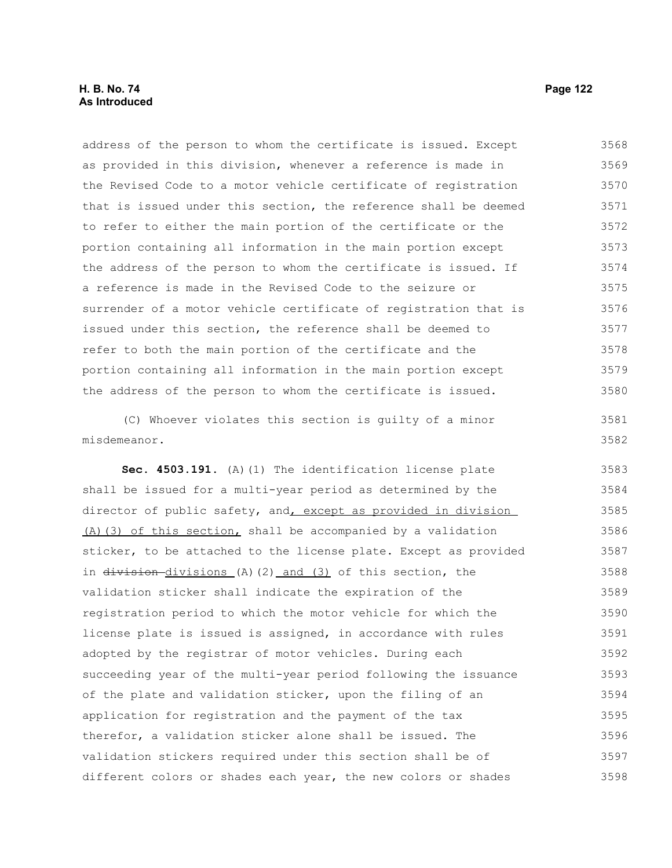address of the person to whom the certificate is issued. Except as provided in this division, whenever a reference is made in the Revised Code to a motor vehicle certificate of registration that is issued under this section, the reference shall be deemed to refer to either the main portion of the certificate or the portion containing all information in the main portion except the address of the person to whom the certificate is issued. If a reference is made in the Revised Code to the seizure or surrender of a motor vehicle certificate of registration that is issued under this section, the reference shall be deemed to refer to both the main portion of the certificate and the portion containing all information in the main portion except the address of the person to whom the certificate is issued. 3568 3569 3570 3571 3572 3573 3574 3575 3576 3577 3578 3579 3580

(C) Whoever violates this section is guilty of a minor misdemeanor.

Sec. 4503.191. (A)(1) The identification license plate shall be issued for a multi-year period as determined by the director of public safety, and, except as provided in division (A)(3) of this section, shall be accompanied by a validation sticker, to be attached to the license plate. Except as provided in division-divisions (A)(2) and (3) of this section, the validation sticker shall indicate the expiration of the registration period to which the motor vehicle for which the license plate is issued is assigned, in accordance with rules adopted by the registrar of motor vehicles. During each succeeding year of the multi-year period following the issuance of the plate and validation sticker, upon the filing of an application for registration and the payment of the tax therefor, a validation sticker alone shall be issued. The validation stickers required under this section shall be of different colors or shades each year, the new colors or shades 3583 3584 3585 3586 3587 3588 3589 3590 3591 3592 3593 3594 3595 3596 3597 3598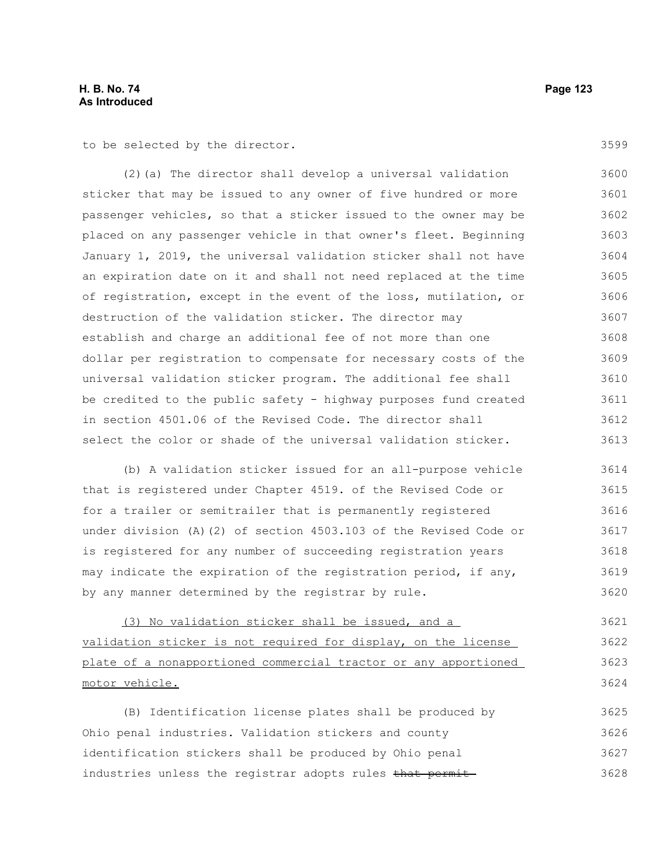to be selected by the director.

(2)(a) The director shall develop a universal validation sticker that may be issued to any owner of five hundred or more passenger vehicles, so that a sticker issued to the owner may be placed on any passenger vehicle in that owner's fleet. Beginning January 1, 2019, the universal validation sticker shall not have an expiration date on it and shall not need replaced at the time of registration, except in the event of the loss, mutilation, or destruction of the validation sticker. The director may establish and charge an additional fee of not more than one dollar per registration to compensate for necessary costs of the universal validation sticker program. The additional fee shall be credited to the public safety - highway purposes fund created in section 4501.06 of the Revised Code. The director shall select the color or shade of the universal validation sticker. 3600 3601 3602 3603 3604 3605 3606 3607 3608 3609 3610 3611 3612 3613

(b) A validation sticker issued for an all-purpose vehicle that is registered under Chapter 4519. of the Revised Code or for a trailer or semitrailer that is permanently registered under division (A)(2) of section 4503.103 of the Revised Code or is registered for any number of succeeding registration years may indicate the expiration of the registration period, if any, by any manner determined by the registrar by rule. 3614 3615 3616 3617 3618 3619 3620

(3) No validation sticker shall be issued, and a validation sticker is not required for display, on the license plate of a nonapportioned commercial tractor or any apportioned motor vehicle. 3621 3622 3623 3624

(B) Identification license plates shall be produced by Ohio penal industries. Validation stickers and county identification stickers shall be produced by Ohio penal industries unless the registrar adopts rules that permit-3625 3626 3627 3628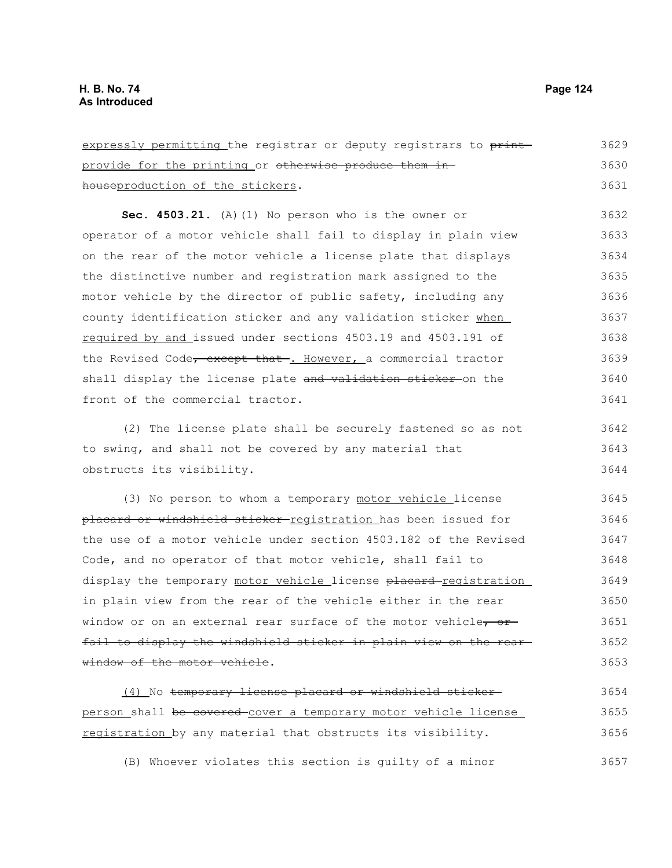expressly permitting the registrar or deputy registrars to printprovide for the printing or otherwise produce them in houseproduction of the stickers. 3629 3630 3631

**Sec. 4503.21.** (A)(1) No person who is the owner or operator of a motor vehicle shall fail to display in plain view on the rear of the motor vehicle a license plate that displays the distinctive number and registration mark assigned to the motor vehicle by the director of public safety, including any county identification sticker and any validation sticker when required by and issued under sections 4503.19 and 4503.191 of the Revised Code, except that. However, a commercial tractor shall display the license plate and validation sticker on the front of the commercial tractor. 3632 3633 3634 3635 3636 3637 3638 3639 3640 3641

(2) The license plate shall be securely fastened so as not to swing, and shall not be covered by any material that obstructs its visibility. 3642 3643 3644

(3) No person to whom a temporary motor vehicle license placard or windshield sticker registration has been issued for the use of a motor vehicle under section 4503.182 of the Revised Code, and no operator of that motor vehicle, shall fail to display the temporary motor vehicle license placard registration in plain view from the rear of the vehicle either in the rear window or on an external rear surface of the motor vehicle, or fail to display the windshield sticker in plain view on the rear window of the motor vehicle. 3645 3646 3647 3648 3649 3650 3651 3652 3653

(4) No temporary license placard or windshield sticker person shall be covered cover a temporary motor vehicle license registration by any material that obstructs its visibility. 3654 3655 3656

(B) Whoever violates this section is guilty of a minor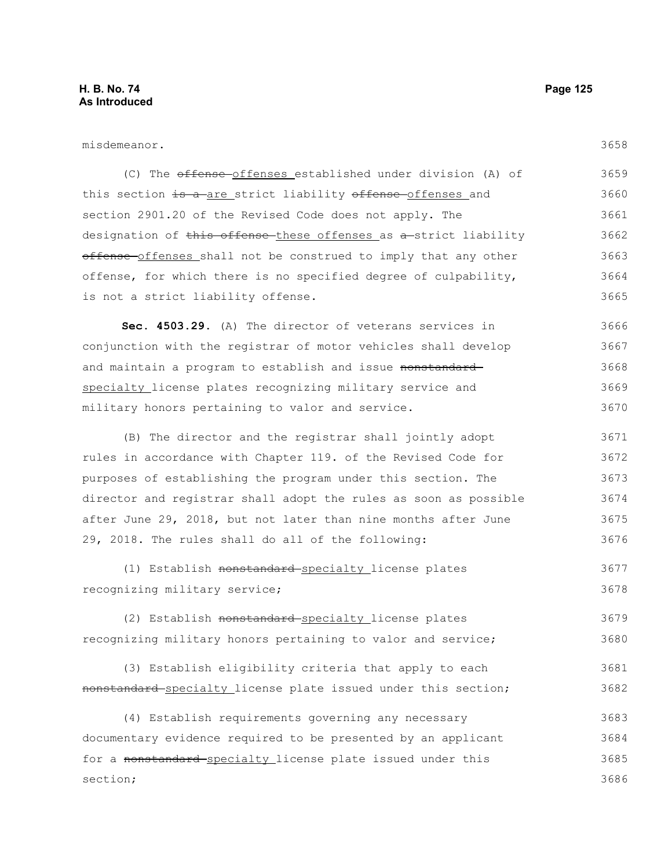| (C) The offense-offenses established under division (A) of<br>3659       |      |
|--------------------------------------------------------------------------|------|
|                                                                          |      |
| 3660<br>this section is a are strict liability offense offenses and      |      |
| 3661<br>section 2901.20 of the Revised Code does not apply. The          |      |
| 3662<br>designation of this offense these offenses as a strict liability |      |
| offense offenses shall not be construed to imply that any other<br>3663  |      |
| offense, for which there is no specified degree of culpability,<br>3664  |      |
| is not a strict liability offense.                                       | 3665 |
| 3666<br>Sec. 4503.29. (A) The director of veterans services in           |      |
| conjunction with the registrar of motor vehicles shall develop<br>3667   |      |
| and maintain a program to establish and issue nonstandard-<br>3668       |      |
| specialty license plates recognizing military service and                | 3669 |
| 3670<br>military honors pertaining to valor and service.                 |      |
| 3671<br>(B) The director and the registrar shall jointly adopt           |      |
| rules in accordance with Chapter 119. of the Revised Code for<br>3672    |      |
| purposes of establishing the program under this section. The<br>3673     |      |
| director and registrar shall adopt the rules as soon as possible<br>3674 |      |
| after June 29, 2018, but not later than nine months after June           | 3675 |
| 29, 2018. The rules shall do all of the following:<br>3676               |      |
| (1) Establish nonstandard-specialty_license plates                       | 3677 |
| recognizing military service;                                            | 3678 |
| (2) Establish nonstandard-specialty license plates                       | 3679 |
| recognizing military honors pertaining to valor and service;             | 3680 |
| 3681<br>(3) Establish eligibility criteria that apply to each            |      |
| nonstandard-specialty_license plate issued under this section;<br>3682   |      |
| (4) Establish requirements governing any necessary<br>3683               |      |
| documentary evidence required to be presented by an applicant            | 3684 |
| for a nonstandard-specialty license plate issued under this              | 3685 |
| 3686<br>section;                                                         |      |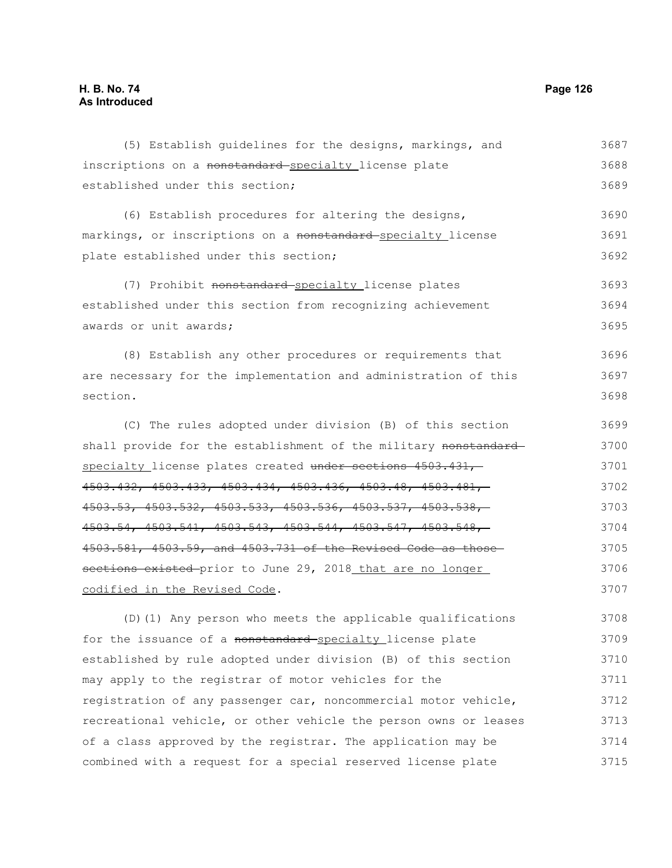section.

(5) Establish guidelines for the designs, markings, and inscriptions on a nonstandard-specialty license plate established under this section; (6) Establish procedures for altering the designs, markings, or inscriptions on a nonstandard-specialty\_license plate established under this section; (7) Prohibit nonstandard specialty license plates established under this section from recognizing achievement awards or unit awards; (8) Establish any other procedures or requirements that are necessary for the implementation and administration of this (C) The rules adopted under division (B) of this section 3687 3688 3689 3690 3691 3692 3693 3694 3695 3696 3697 3698 3699

shall provide for the establishment of the military nonstandardspecialty license plates created under sections 4503.431, 4503.432, 4503.433, 4503.434, 4503.436, 4503.48, 4503.481, 4503.53, 4503.532, 4503.533, 4503.536, 4503.537, 4503.538, 4503.54, 4503.541, 4503.543, 4503.544, 4503.547, 4503.548, 4503.581, 4503.59, and 4503.731 of the Revised Code as those sections existed prior to June 29, 2018 that are no longer codified in the Revised Code. 3700 3701 3702 3703 3704 3705 3706 3707

(D)(1) Any person who meets the applicable qualifications for the issuance of a nonstandard-specialty license plate established by rule adopted under division (B) of this section may apply to the registrar of motor vehicles for the registration of any passenger car, noncommercial motor vehicle, recreational vehicle, or other vehicle the person owns or leases of a class approved by the registrar. The application may be combined with a request for a special reserved license plate 3708 3709 3710 3711 3712 3713 3714 3715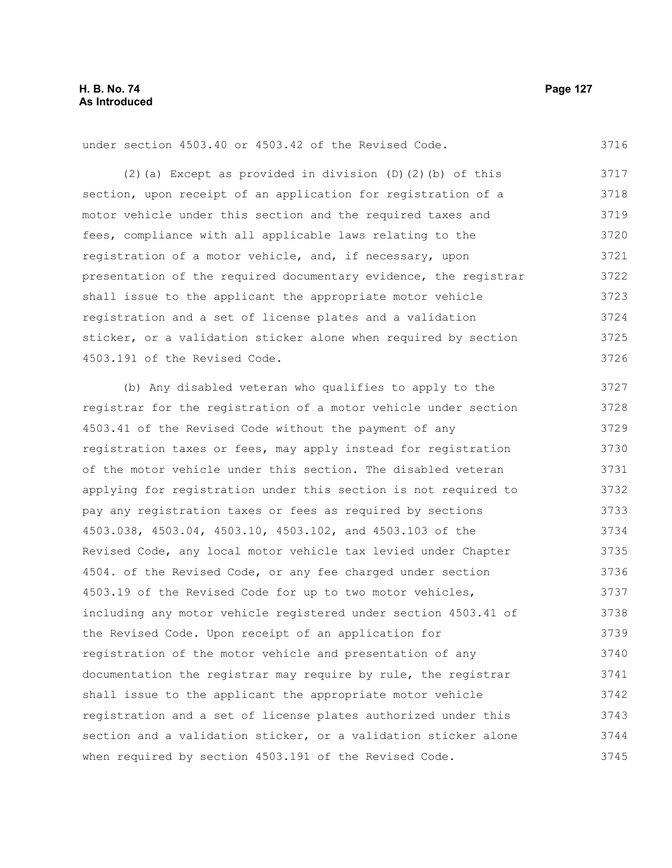under section 4503.40 or 4503.42 of the Revised Code.

(2)(a) Except as provided in division (D)(2)(b) of this section, upon receipt of an application for registration of a motor vehicle under this section and the required taxes and fees, compliance with all applicable laws relating to the registration of a motor vehicle, and, if necessary, upon presentation of the required documentary evidence, the registrar shall issue to the applicant the appropriate motor vehicle registration and a set of license plates and a validation sticker, or a validation sticker alone when required by section 4503.191 of the Revised Code. 3717 3718 3719 3720 3721 3722 3723 3724 3725 3726

(b) Any disabled veteran who qualifies to apply to the registrar for the registration of a motor vehicle under section 4503.41 of the Revised Code without the payment of any registration taxes or fees, may apply instead for registration of the motor vehicle under this section. The disabled veteran applying for registration under this section is not required to pay any registration taxes or fees as required by sections 4503.038, 4503.04, 4503.10, 4503.102, and 4503.103 of the Revised Code, any local motor vehicle tax levied under Chapter 4504. of the Revised Code, or any fee charged under section 4503.19 of the Revised Code for up to two motor vehicles, including any motor vehicle registered under section 4503.41 of the Revised Code. Upon receipt of an application for registration of the motor vehicle and presentation of any documentation the registrar may require by rule, the registrar shall issue to the applicant the appropriate motor vehicle registration and a set of license plates authorized under this section and a validation sticker, or a validation sticker alone when required by section 4503.191 of the Revised Code. 3727 3728 3729 3730 3731 3732 3733 3734 3735 3736 3737 3738 3739 3740 3741 3742 3743 3744 3745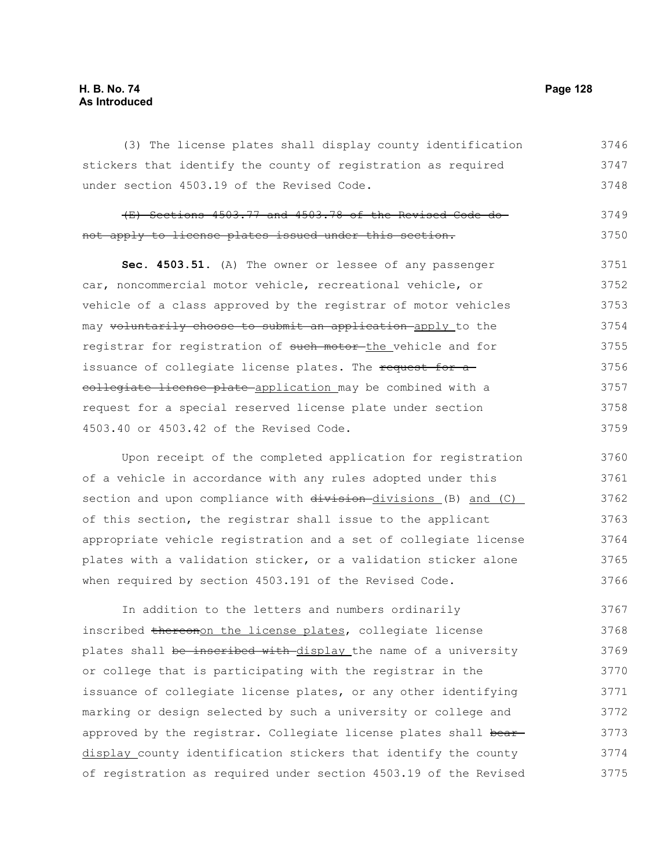### **H. B. No. 74 Page 128 As Introduced**

(3) The license plates shall display county identification stickers that identify the county of registration as required under section 4503.19 of the Revised Code. 3746 3747 3748

(E) Sections 4503.77 and 4503.78 of the Revised Code do not apply to license plates issued under this section. 3749 3750

**Sec. 4503.51.** (A) The owner or lessee of any passenger car, noncommercial motor vehicle, recreational vehicle, or vehicle of a class approved by the registrar of motor vehicles may voluntarily choose to submit an application apply to the registrar for registration of such motor the vehicle and for issuance of collegiate license plates. The request for acollegiate license plate application may be combined with a request for a special reserved license plate under section 4503.40 or 4503.42 of the Revised Code. 3751 3752 3753 3754 3755 3756 3757 3758 3759

Upon receipt of the completed application for registration of a vehicle in accordance with any rules adopted under this section and upon compliance with division-divisions (B) and (C) of this section, the registrar shall issue to the applicant appropriate vehicle registration and a set of collegiate license plates with a validation sticker, or a validation sticker alone when required by section 4503.191 of the Revised Code. 3760 3761 3762 3763 3764 3765 3766

In addition to the letters and numbers ordinarily inscribed thereonon the license plates, collegiate license plates shall be inseribed with display the name of a university or college that is participating with the registrar in the issuance of collegiate license plates, or any other identifying marking or design selected by such a university or college and approved by the registrar. Collegiate license plates shall beardisplay county identification stickers that identify the county of registration as required under section 4503.19 of the Revised 3767 3768 3769 3770 3771 3772 3773 3774 3775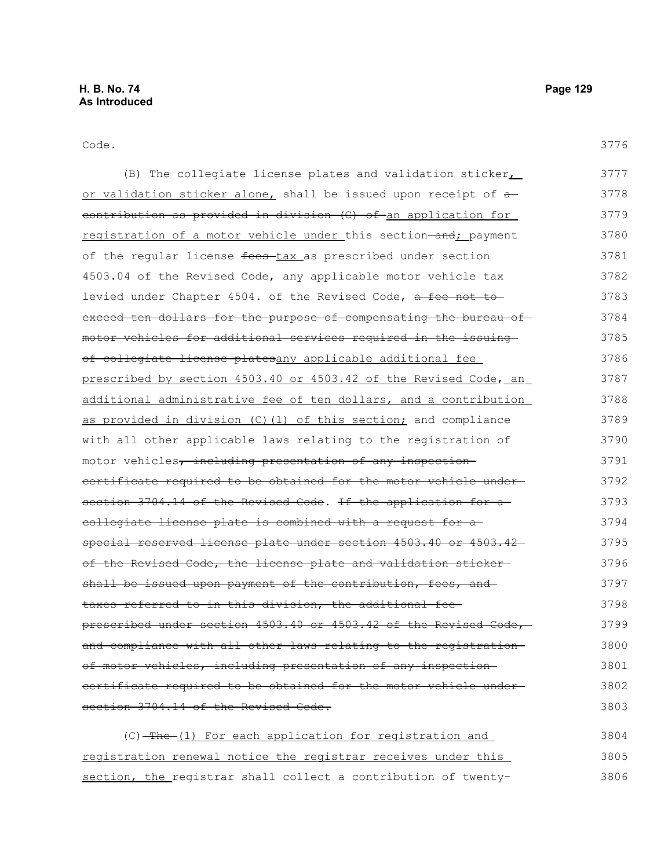Code.

| (B) The collegiate license plates and validation sticker         | 3777 |
|------------------------------------------------------------------|------|
| or validation sticker alone, shall be issued upon receipt of a   | 3778 |
| eontribution as provided in division (C) of an application for   | 3779 |
| registration of a motor vehicle under this section-and; payment  | 3780 |
| of the regular license fees-tax as prescribed under section      | 3781 |
| 4503.04 of the Revised Code, any applicable motor vehicle tax    | 3782 |
| levied under Chapter 4504. of the Revised Code, a fee not to     | 3783 |
| exceed ten dollars for the purpose of compensating the bureau of | 3784 |
| motor vehicles for additional services required in the issuing-  | 3785 |
| of collegiate license platesany applicable additional fee        | 3786 |
| prescribed by section 4503.40 or 4503.42 of the Revised Code, an | 3787 |
| additional administrative fee of ten dollars, and a contribution | 3788 |
| as provided in division (C) (1) of this section; and compliance  | 3789 |
| with all other applicable laws relating to the registration of   | 3790 |
| motor vehicles, including presentation of any inspection-        | 3791 |
| eertificate required to be obtained for the motor vehicle under- | 3792 |
| section 3704.14 of the Revised Code. If the application for a    | 3793 |
| eollegiate license plate is combined with a request for a        | 3794 |
| special reserved license plate under section 4503.40 or 4503.42- | 3795 |
| of the Revised Code, the license plate and validation sticker-   | 3796 |
| shall be issued upon payment of the contribution, fees, and      | 3797 |
| taxes referred to in this division, the additional fee-          | 3798 |
| prescribed under section 4503.40 or 4503.42 of the Revised Code, | 3799 |
| and compliance with all other laws relating to the registration- | 3800 |
| of motor vehicles, including presentation of any inspection-     | 3801 |
| certificate required to be obtained for the motor vehicle under- | 3802 |
| section 3704.14 of the Revised Code.                             | 3803 |
| (C)-The-(1) For each application for registration and            | 3804 |
| registration repound potice the registrar regained under this    | 2005 |

registration renewal notice the registrar receives under this section, the registrar shall collect a contribution of twenty-3805 3806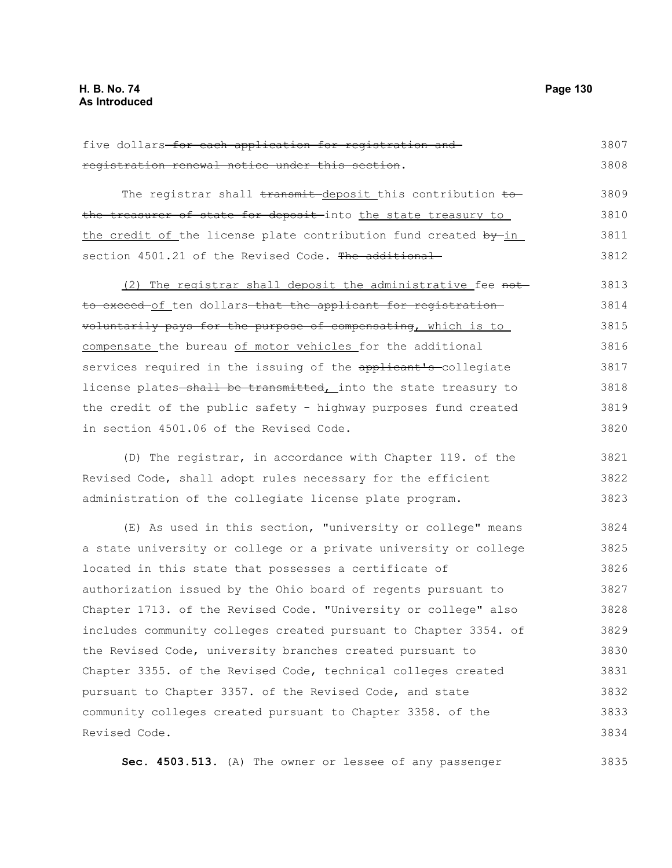five dollars-for each application for registration andregistration renewal notice under this section. The registrar shall transmit deposit this contribution to the treasurer of state for deposit into the state treasury to the credit of the license plate contribution fund created by in section 4501.21 of the Revised Code. The additional (2) The registrar shall deposit the administrative fee  $m$ to exceed of ten dollars that the applicant for registration voluntarily pays for the purpose of compensating, which is to compensate the bureau of motor vehicles for the additional services required in the issuing of the applicant's collegiate license plates-shall be transmitted, into the state treasury to the credit of the public safety - highway purposes fund created in section 4501.06 of the Revised Code. (D) The registrar, in accordance with Chapter 119. of the Revised Code, shall adopt rules necessary for the efficient administration of the collegiate license plate program. (E) As used in this section, "university or college" means a state university or college or a private university or college located in this state that possesses a certificate of authorization issued by the Ohio board of regents pursuant to Chapter 1713. of the Revised Code. "University or college" also includes community colleges created pursuant to Chapter 3354. of the Revised Code, university branches created pursuant to Chapter 3355. of the Revised Code, technical colleges created pursuant to Chapter 3357. of the Revised Code, and state community colleges created pursuant to Chapter 3358. of the Revised Code. 3807 3808 3809 3810 3811 3812 3813 3814 3815 3816 3817 3818 3819 3820 3821 3822 3823 3824 3825 3826 3827 3828 3829 3830 3831 3832 3833 3834

**Sec. 4503.513.** (A) The owner or lessee of any passenger 3835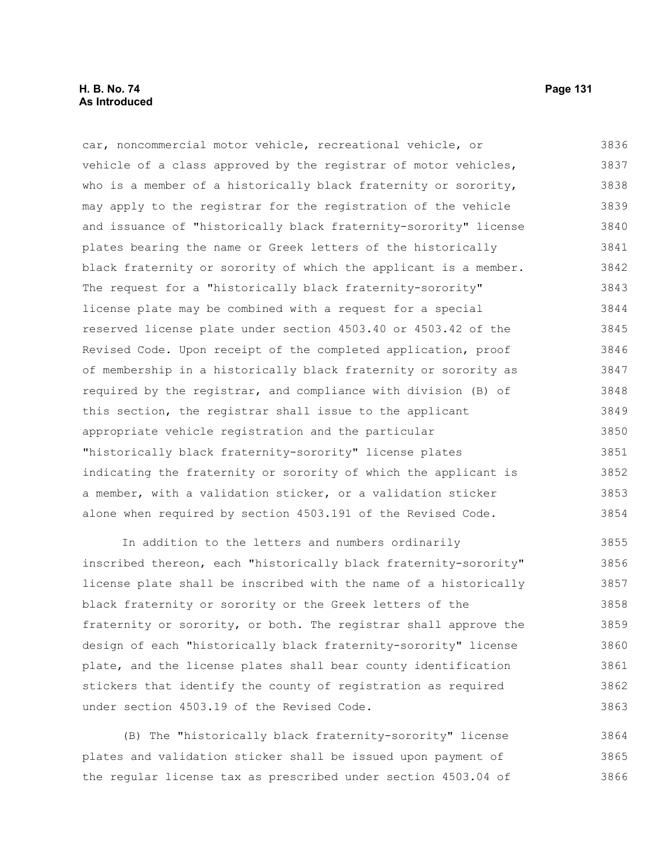# **H. B. No. 74 Page 131 As Introduced**

car, noncommercial motor vehicle, recreational vehicle, or vehicle of a class approved by the registrar of motor vehicles, who is a member of a historically black fraternity or sorority, may apply to the registrar for the registration of the vehicle and issuance of "historically black fraternity-sorority" license plates bearing the name or Greek letters of the historically black fraternity or sorority of which the applicant is a member. The request for a "historically black fraternity-sorority" license plate may be combined with a request for a special reserved license plate under section 4503.40 or 4503.42 of the Revised Code. Upon receipt of the completed application, proof of membership in a historically black fraternity or sorority as required by the registrar, and compliance with division (B) of this section, the registrar shall issue to the applicant appropriate vehicle registration and the particular "historically black fraternity-sorority" license plates indicating the fraternity or sorority of which the applicant is a member, with a validation sticker, or a validation sticker alone when required by section 4503.191 of the Revised Code. 3836 3837 3838 3839 3840 3841 3842 3843 3844 3845 3846 3847 3848 3849 3850 3851 3852 3853 3854

In addition to the letters and numbers ordinarily inscribed thereon, each "historically black fraternity-sorority" license plate shall be inscribed with the name of a historically black fraternity or sorority or the Greek letters of the fraternity or sorority, or both. The registrar shall approve the design of each "historically black fraternity-sorority" license plate, and the license plates shall bear county identification stickers that identify the county of registration as required under section 4503.19 of the Revised Code. 3855 3856 3857 3858 3859 3860 3861 3862 3863

(B) The "historically black fraternity-sorority" license plates and validation sticker shall be issued upon payment of the regular license tax as prescribed under section 4503.04 of 3864 3865 3866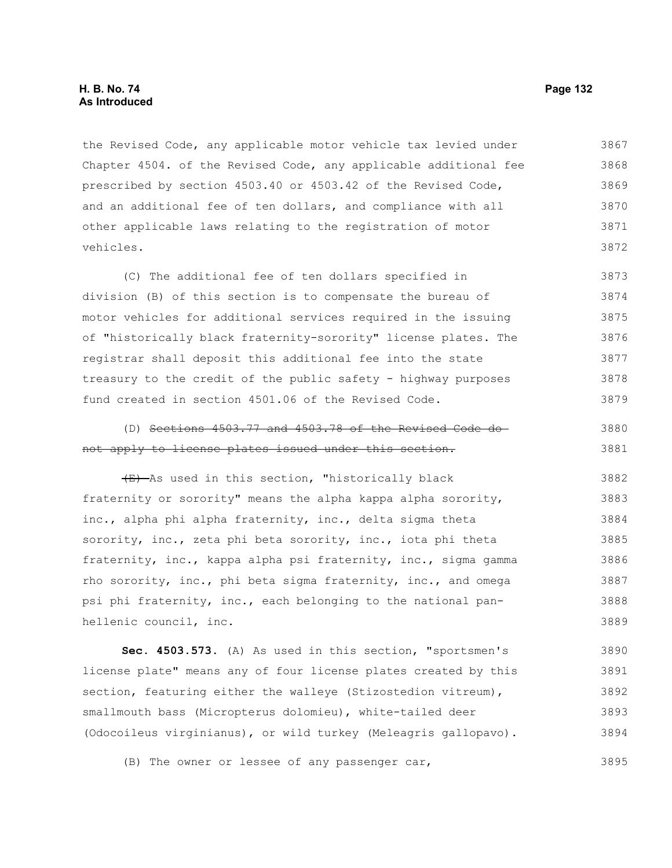# **H. B. No. 74 Page 132 As Introduced**

the Revised Code, any applicable motor vehicle tax levied under Chapter 4504. of the Revised Code, any applicable additional fee prescribed by section 4503.40 or 4503.42 of the Revised Code, and an additional fee of ten dollars, and compliance with all other applicable laws relating to the registration of motor vehicles. 3867 3868 3869 3870 3871 3872

(C) The additional fee of ten dollars specified in division (B) of this section is to compensate the bureau of motor vehicles for additional services required in the issuing of "historically black fraternity-sorority" license plates. The registrar shall deposit this additional fee into the state treasury to the credit of the public safety - highway purposes fund created in section 4501.06 of the Revised Code. 3873 3874 3875 3876 3877 3878 3879

#### (D) Sections 4503.77 and 4503.78 of the Revised Code do not apply to license plates issued under this section. 3880 3881

(E) As used in this section, "historically black fraternity or sorority" means the alpha kappa alpha sorority, inc., alpha phi alpha fraternity, inc., delta sigma theta sorority, inc., zeta phi beta sorority, inc., iota phi theta fraternity, inc., kappa alpha psi fraternity, inc., sigma gamma rho sorority, inc., phi beta sigma fraternity, inc., and omega psi phi fraternity, inc., each belonging to the national panhellenic council, inc. 3882 3883 3884 3885 3886 3887 3888 3889

**Sec. 4503.573.** (A) As used in this section, "sportsmen's license plate" means any of four license plates created by this section, featuring either the walleye (Stizostedion vitreum), smallmouth bass (Micropterus dolomieu), white-tailed deer (Odocoileus virginianus), or wild turkey (Meleagris gallopavo). 3890 3891 3892 3893 3894

(B) The owner or lessee of any passenger car,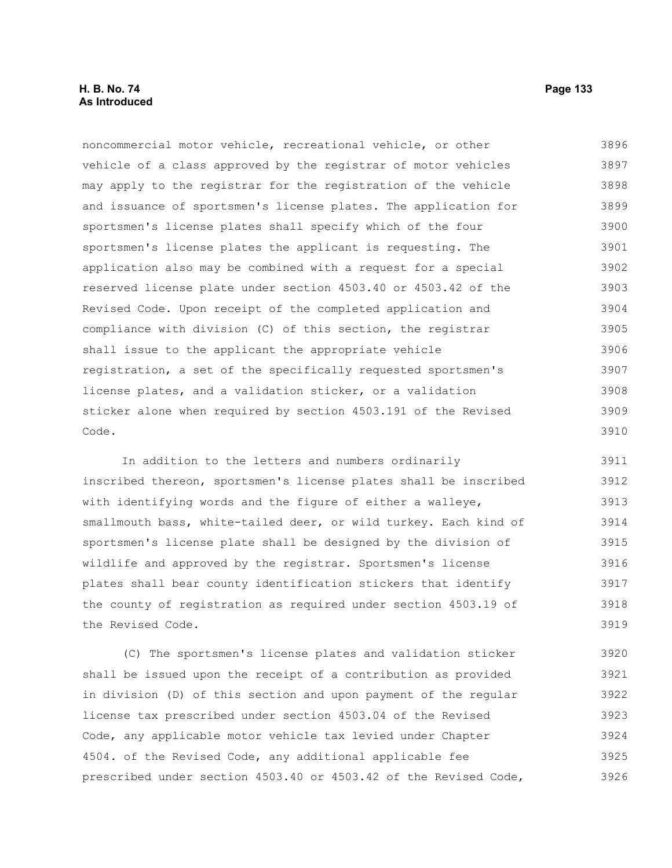# **H. B. No. 74 Page 133 As Introduced**

noncommercial motor vehicle, recreational vehicle, or other vehicle of a class approved by the registrar of motor vehicles may apply to the registrar for the registration of the vehicle and issuance of sportsmen's license plates. The application for sportsmen's license plates shall specify which of the four sportsmen's license plates the applicant is requesting. The application also may be combined with a request for a special reserved license plate under section 4503.40 or 4503.42 of the Revised Code. Upon receipt of the completed application and compliance with division (C) of this section, the registrar shall issue to the applicant the appropriate vehicle registration, a set of the specifically requested sportsmen's license plates, and a validation sticker, or a validation sticker alone when required by section 4503.191 of the Revised Code. 3896 3897 3898 3899 3900 3901 3902 3903 3904 3905 3906 3907 3908 3909 3910

In addition to the letters and numbers ordinarily inscribed thereon, sportsmen's license plates shall be inscribed with identifying words and the figure of either a walleye, smallmouth bass, white-tailed deer, or wild turkey. Each kind of sportsmen's license plate shall be designed by the division of wildlife and approved by the registrar. Sportsmen's license plates shall bear county identification stickers that identify the county of registration as required under section 4503.19 of the Revised Code. 3911 3912 3913 3914 3915 3916 3917 3918 3919

(C) The sportsmen's license plates and validation sticker shall be issued upon the receipt of a contribution as provided in division (D) of this section and upon payment of the regular license tax prescribed under section 4503.04 of the Revised Code, any applicable motor vehicle tax levied under Chapter 4504. of the Revised Code, any additional applicable fee prescribed under section 4503.40 or 4503.42 of the Revised Code, 3920 3921 3922 3923 3924 3925 3926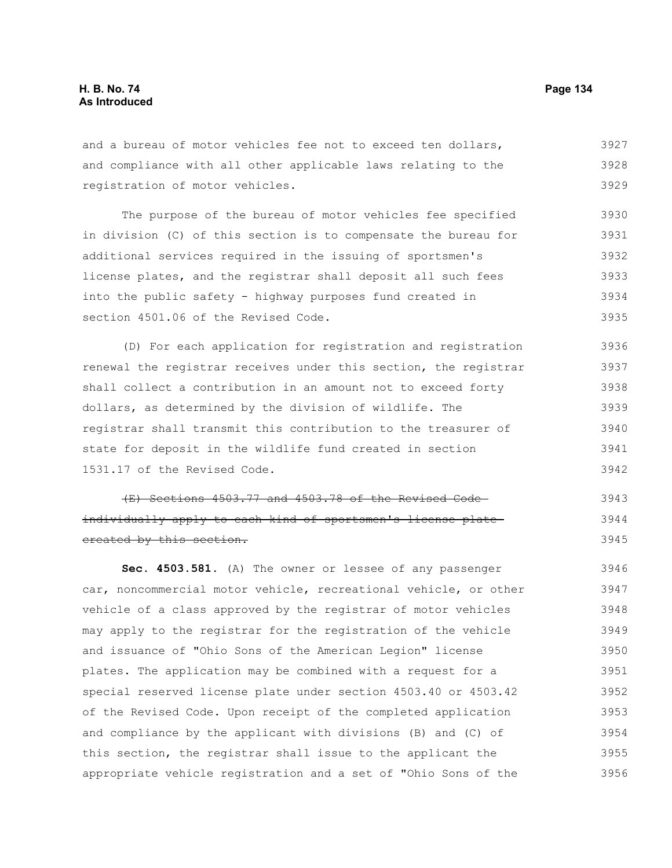and a bureau of motor vehicles fee not to exceed ten dollars, and compliance with all other applicable laws relating to the registration of motor vehicles. 3927 3928 3929

The purpose of the bureau of motor vehicles fee specified in division (C) of this section is to compensate the bureau for additional services required in the issuing of sportsmen's license plates, and the registrar shall deposit all such fees into the public safety - highway purposes fund created in section 4501.06 of the Revised Code. 3930 3931 3932 3933 3934 3935

(D) For each application for registration and registration renewal the registrar receives under this section, the registrar shall collect a contribution in an amount not to exceed forty dollars, as determined by the division of wildlife. The registrar shall transmit this contribution to the treasurer of state for deposit in the wildlife fund created in section 1531.17 of the Revised Code. 3936 3937 3938 3939 3940 3941 3942

(E) Sections 4503.77 and 4503.78 of the Revised Code individually apply to each kind of sportsmen's license plate created by this section. 3943 3944 3945

**Sec. 4503.581.** (A) The owner or lessee of any passenger car, noncommercial motor vehicle, recreational vehicle, or other vehicle of a class approved by the registrar of motor vehicles may apply to the registrar for the registration of the vehicle and issuance of "Ohio Sons of the American Legion" license plates. The application may be combined with a request for a special reserved license plate under section 4503.40 or 4503.42 of the Revised Code. Upon receipt of the completed application and compliance by the applicant with divisions (B) and (C) of this section, the registrar shall issue to the applicant the appropriate vehicle registration and a set of "Ohio Sons of the 3946 3947 3948 3949 3950 3951 3952 3953 3954 3955 3956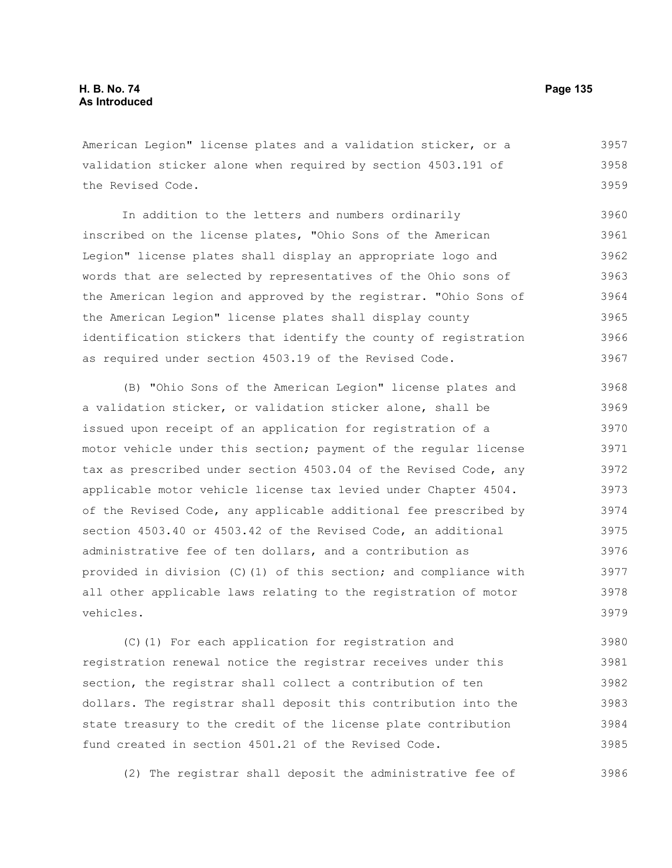American Legion" license plates and a validation sticker, or a validation sticker alone when required by section 4503.191 of the Revised Code. 3957 3958 3959

In addition to the letters and numbers ordinarily inscribed on the license plates, "Ohio Sons of the American Legion" license plates shall display an appropriate logo and words that are selected by representatives of the Ohio sons of the American legion and approved by the registrar. "Ohio Sons of the American Legion" license plates shall display county identification stickers that identify the county of registration as required under section 4503.19 of the Revised Code. 3960 3961 3962 3963 3964 3965 3966 3967

(B) "Ohio Sons of the American Legion" license plates and a validation sticker, or validation sticker alone, shall be issued upon receipt of an application for registration of a motor vehicle under this section; payment of the regular license tax as prescribed under section 4503.04 of the Revised Code, any applicable motor vehicle license tax levied under Chapter 4504. of the Revised Code, any applicable additional fee prescribed by section 4503.40 or 4503.42 of the Revised Code, an additional administrative fee of ten dollars, and a contribution as provided in division (C)(1) of this section; and compliance with all other applicable laws relating to the registration of motor vehicles. 3968 3969 3970 3971 3972 3973 3974 3975 3976 3977 3978 3979

(C)(1) For each application for registration and registration renewal notice the registrar receives under this section, the registrar shall collect a contribution of ten dollars. The registrar shall deposit this contribution into the state treasury to the credit of the license plate contribution fund created in section 4501.21 of the Revised Code. 3980 3981 3982 3983 3984 3985

(2) The registrar shall deposit the administrative fee of 3986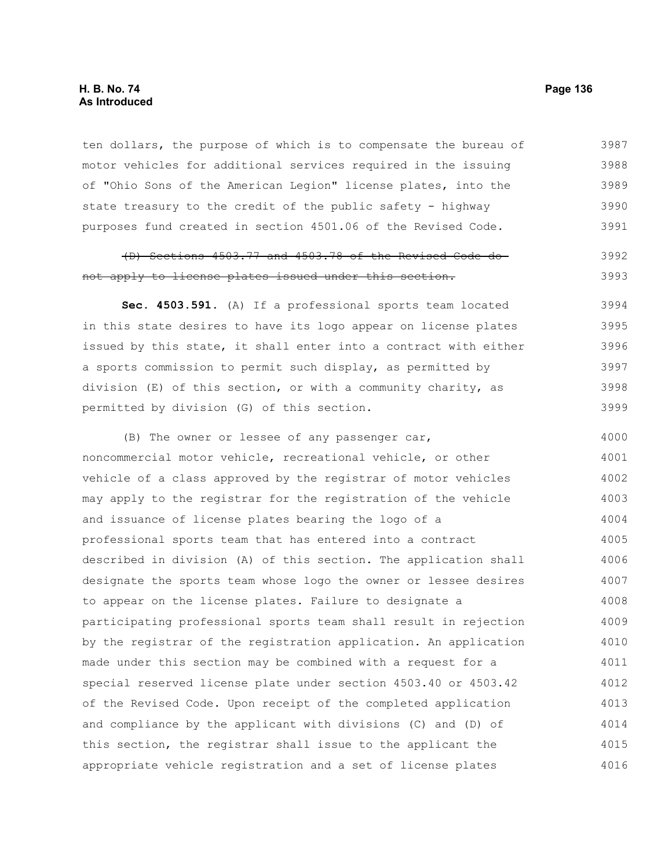# **H. B. No. 74 Page 136 As Introduced**

ten dollars, the purpose of which is to compensate the bureau of motor vehicles for additional services required in the issuing of "Ohio Sons of the American Legion" license plates, into the state treasury to the credit of the public safety - highway purposes fund created in section 4501.06 of the Revised Code. 3987 3988 3989 3990 3991

# (D) Sections 4503.77 and 4503.78 of the Revised Code do not apply to license plates issued under this section.

**Sec. 4503.591.** (A) If a professional sports team located in this state desires to have its logo appear on license plates issued by this state, it shall enter into a contract with either a sports commission to permit such display, as permitted by division (E) of this section, or with a community charity, as permitted by division (G) of this section. 3994 3995 3996 3997 3998 3999

(B) The owner or lessee of any passenger car, noncommercial motor vehicle, recreational vehicle, or other vehicle of a class approved by the registrar of motor vehicles may apply to the registrar for the registration of the vehicle and issuance of license plates bearing the logo of a professional sports team that has entered into a contract described in division (A) of this section. The application shall designate the sports team whose logo the owner or lessee desires to appear on the license plates. Failure to designate a participating professional sports team shall result in rejection by the registrar of the registration application. An application made under this section may be combined with a request for a special reserved license plate under section 4503.40 or 4503.42 of the Revised Code. Upon receipt of the completed application and compliance by the applicant with divisions (C) and (D) of this section, the registrar shall issue to the applicant the appropriate vehicle registration and a set of license plates 4000 4001 4002 4003 4004 4005 4006 4007 4008 4009 4010 4011 4012 4013 4014 4015 4016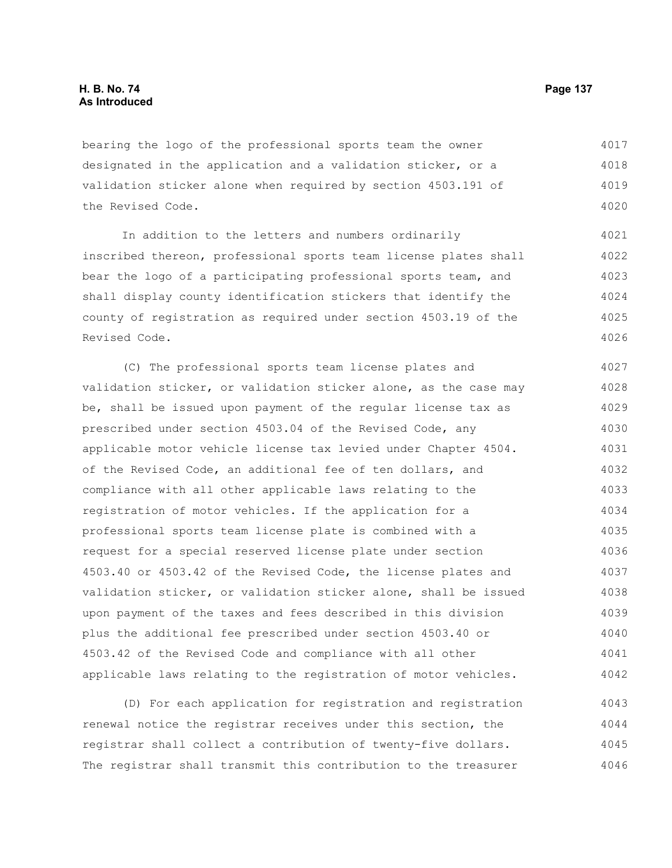bearing the logo of the professional sports team the owner designated in the application and a validation sticker, or a validation sticker alone when required by section 4503.191 of the Revised Code. 4017 4018 4019 4020

In addition to the letters and numbers ordinarily inscribed thereon, professional sports team license plates shall bear the logo of a participating professional sports team, and shall display county identification stickers that identify the county of registration as required under section 4503.19 of the Revised Code. 4021 4022 4026

(C) The professional sports team license plates and validation sticker, or validation sticker alone, as the case may be, shall be issued upon payment of the regular license tax as prescribed under section 4503.04 of the Revised Code, any applicable motor vehicle license tax levied under Chapter 4504. of the Revised Code, an additional fee of ten dollars, and compliance with all other applicable laws relating to the registration of motor vehicles. If the application for a professional sports team license plate is combined with a request for a special reserved license plate under section 4503.40 or 4503.42 of the Revised Code, the license plates and validation sticker, or validation sticker alone, shall be issued upon payment of the taxes and fees described in this division plus the additional fee prescribed under section 4503.40 or 4503.42 of the Revised Code and compliance with all other applicable laws relating to the registration of motor vehicles. 4027 4028 4029 4030 4031 4032 4033 4034 4035 4036 4037 4038 4039 4040 4041 4042

(D) For each application for registration and registration renewal notice the registrar receives under this section, the registrar shall collect a contribution of twenty-five dollars. The registrar shall transmit this contribution to the treasurer 4043 4044 4045 4046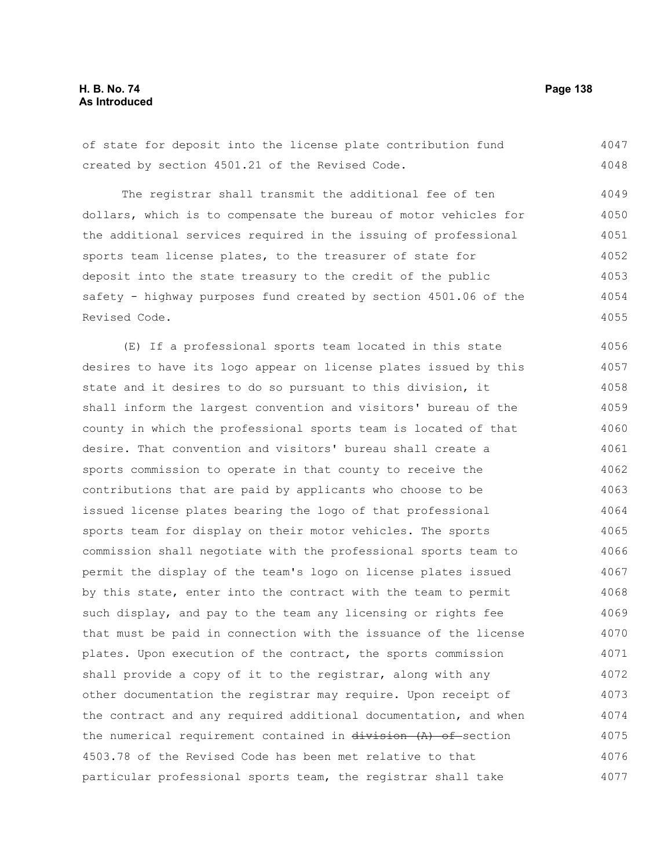#### of state for deposit into the license plate contribution fund created by section 4501.21 of the Revised Code. The registrar shall transmit the additional fee of ten dollars, which is to compensate the bureau of motor vehicles for the additional services required in the issuing of professional sports team license plates, to the treasurer of state for deposit into the state treasury to the credit of the public safety - highway purposes fund created by section 4501.06 of the Revised Code. 4047 4048 4049 4050 4051 4052 4053 4054 4055

(E) If a professional sports team located in this state desires to have its logo appear on license plates issued by this state and it desires to do so pursuant to this division, it shall inform the largest convention and visitors' bureau of the county in which the professional sports team is located of that desire. That convention and visitors' bureau shall create a sports commission to operate in that county to receive the contributions that are paid by applicants who choose to be issued license plates bearing the logo of that professional sports team for display on their motor vehicles. The sports commission shall negotiate with the professional sports team to permit the display of the team's logo on license plates issued by this state, enter into the contract with the team to permit such display, and pay to the team any licensing or rights fee that must be paid in connection with the issuance of the license plates. Upon execution of the contract, the sports commission shall provide a copy of it to the registrar, along with any other documentation the registrar may require. Upon receipt of the contract and any required additional documentation, and when the numerical requirement contained in division (A) of section 4503.78 of the Revised Code has been met relative to that particular professional sports team, the registrar shall take 4056 4057 4058 4059 4060 4061 4062 4063 4064 4065 4066 4067 4068 4069 4070 4071 4072 4073 4074 4075 4076 4077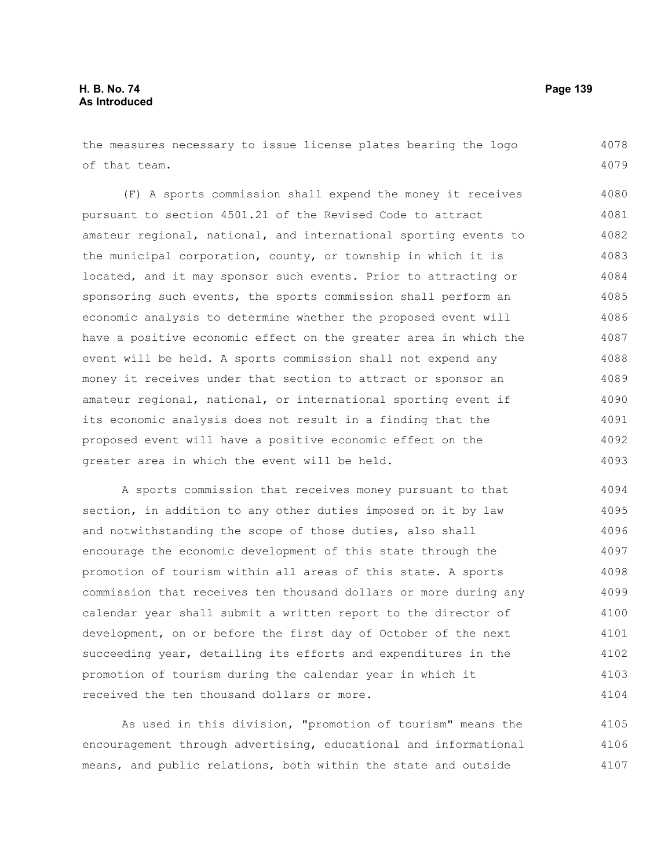the measures necessary to issue license plates bearing the logo of that team. 4078 4079

(F) A sports commission shall expend the money it receives pursuant to section 4501.21 of the Revised Code to attract amateur regional, national, and international sporting events to the municipal corporation, county, or township in which it is located, and it may sponsor such events. Prior to attracting or sponsoring such events, the sports commission shall perform an economic analysis to determine whether the proposed event will have a positive economic effect on the greater area in which the event will be held. A sports commission shall not expend any money it receives under that section to attract or sponsor an amateur regional, national, or international sporting event if its economic analysis does not result in a finding that the proposed event will have a positive economic effect on the greater area in which the event will be held. 4080 4081 4082 4083 4084 4085 4086 4087 4088 4089 4090 4091 4092 4093

A sports commission that receives money pursuant to that section, in addition to any other duties imposed on it by law and notwithstanding the scope of those duties, also shall encourage the economic development of this state through the promotion of tourism within all areas of this state. A sports commission that receives ten thousand dollars or more during any calendar year shall submit a written report to the director of development, on or before the first day of October of the next succeeding year, detailing its efforts and expenditures in the promotion of tourism during the calendar year in which it received the ten thousand dollars or more. 4094 4095 4096 4097 4098 4099 4100 4101 4102 4103 4104

As used in this division, "promotion of tourism" means the encouragement through advertising, educational and informational means, and public relations, both within the state and outside 4105 4106 4107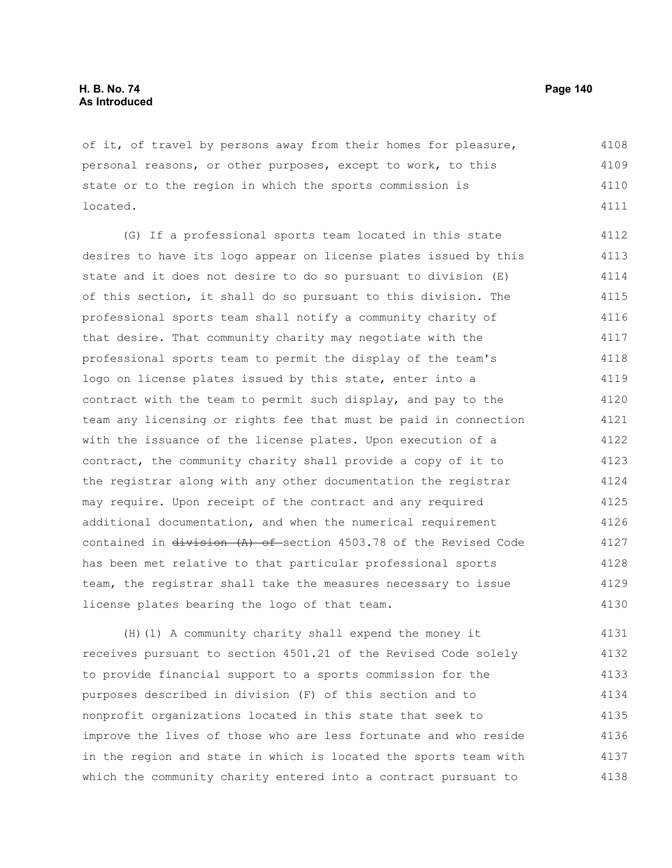of it, of travel by persons away from their homes for pleasure, personal reasons, or other purposes, except to work, to this state or to the region in which the sports commission is located. 4108 4109 4110 4111

(G) If a professional sports team located in this state desires to have its logo appear on license plates issued by this state and it does not desire to do so pursuant to division (E) of this section, it shall do so pursuant to this division. The professional sports team shall notify a community charity of that desire. That community charity may negotiate with the professional sports team to permit the display of the team's logo on license plates issued by this state, enter into a contract with the team to permit such display, and pay to the team any licensing or rights fee that must be paid in connection with the issuance of the license plates. Upon execution of a contract, the community charity shall provide a copy of it to the registrar along with any other documentation the registrar may require. Upon receipt of the contract and any required additional documentation, and when the numerical requirement contained in  $\frac{div}{100}$  (A) of section 4503.78 of the Revised Code has been met relative to that particular professional sports team, the registrar shall take the measures necessary to issue license plates bearing the logo of that team. 4112 4113 4114 4115 4116 4117 4118 4119 4120 4121 4122 4123 4124 4125 4126 4127 4128 4129 4130

(H)(1) A community charity shall expend the money it receives pursuant to section 4501.21 of the Revised Code solely to provide financial support to a sports commission for the purposes described in division (F) of this section and to nonprofit organizations located in this state that seek to improve the lives of those who are less fortunate and who reside in the region and state in which is located the sports team with which the community charity entered into a contract pursuant to 4131 4132 4133 4134 4135 4136 4137 4138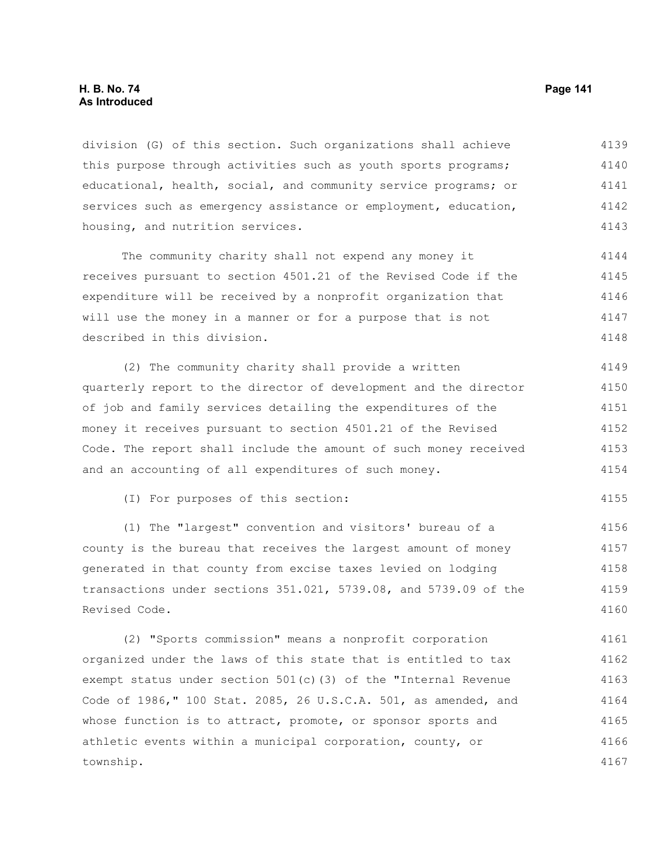### **H. B. No. 74 Page 141 As Introduced**

division (G) of this section. Such organizations shall achieve this purpose through activities such as youth sports programs; educational, health, social, and community service programs; or services such as emergency assistance or employment, education, housing, and nutrition services. 4139 4140 4141 4142 4143

The community charity shall not expend any money it receives pursuant to section 4501.21 of the Revised Code if the expenditure will be received by a nonprofit organization that will use the money in a manner or for a purpose that is not described in this division. 4144 4145 4146 4147 4148

(2) The community charity shall provide a written quarterly report to the director of development and the director of job and family services detailing the expenditures of the money it receives pursuant to section 4501.21 of the Revised Code. The report shall include the amount of such money received and an accounting of all expenditures of such money. 4149 4150 4151 4152 4153 4154

(I) For purposes of this section:

(1) The "largest" convention and visitors' bureau of a county is the bureau that receives the largest amount of money generated in that county from excise taxes levied on lodging transactions under sections 351.021, 5739.08, and 5739.09 of the Revised Code. 4156 4157 4158 4159 4160

(2) "Sports commission" means a nonprofit corporation organized under the laws of this state that is entitled to tax exempt status under section  $501(c)$  (3) of the "Internal Revenue Code of 1986," 100 Stat. 2085, 26 U.S.C.A. 501, as amended, and whose function is to attract, promote, or sponsor sports and athletic events within a municipal corporation, county, or township. 4161 4162 4163 4164 4165 4166 4167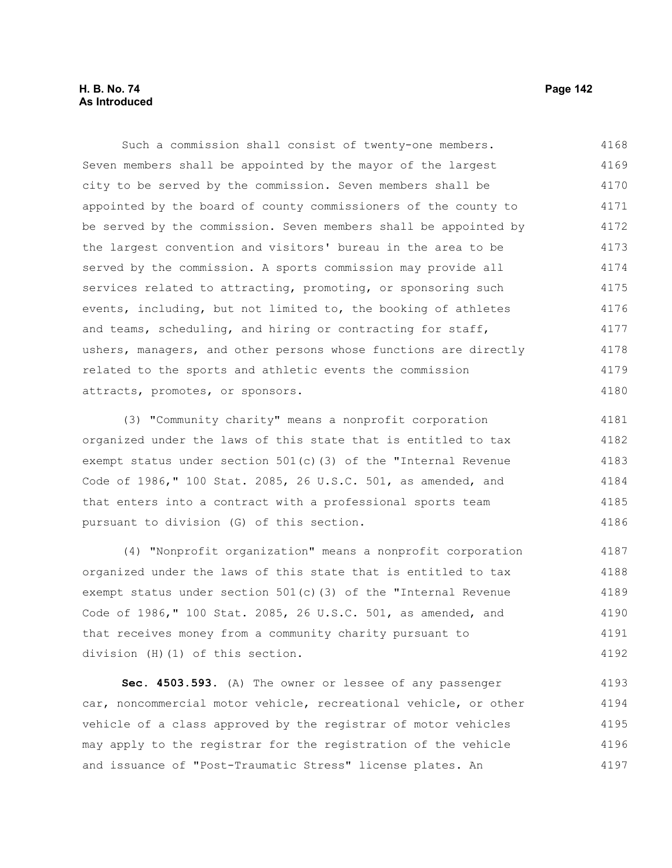#### **H. B. No. 74 Page 142 As Introduced**

Such a commission shall consist of twenty-one members. Seven members shall be appointed by the mayor of the largest city to be served by the commission. Seven members shall be appointed by the board of county commissioners of the county to be served by the commission. Seven members shall be appointed by the largest convention and visitors' bureau in the area to be served by the commission. A sports commission may provide all services related to attracting, promoting, or sponsoring such events, including, but not limited to, the booking of athletes and teams, scheduling, and hiring or contracting for staff, ushers, managers, and other persons whose functions are directly related to the sports and athletic events the commission attracts, promotes, or sponsors. 4168 4169 4170 4171 4172 4173 4174 4175 4176 4177 4178 4179 4180

(3) "Community charity" means a nonprofit corporation organized under the laws of this state that is entitled to tax exempt status under section 501(c)(3) of the "Internal Revenue Code of 1986," 100 Stat. 2085, 26 U.S.C. 501, as amended, and that enters into a contract with a professional sports team pursuant to division (G) of this section. 4181 4182 4183 4184 4185 4186

(4) "Nonprofit organization" means a nonprofit corporation organized under the laws of this state that is entitled to tax exempt status under section  $501(c)$  (3) of the "Internal Revenue Code of 1986," 100 Stat. 2085, 26 U.S.C. 501, as amended, and that receives money from a community charity pursuant to division (H)(1) of this section. 4187 4188 4189 4190 4191 4192

**Sec. 4503.593.** (A) The owner or lessee of any passenger car, noncommercial motor vehicle, recreational vehicle, or other vehicle of a class approved by the registrar of motor vehicles may apply to the registrar for the registration of the vehicle and issuance of "Post-Traumatic Stress" license plates. An 4193 4194 4195 4196 4197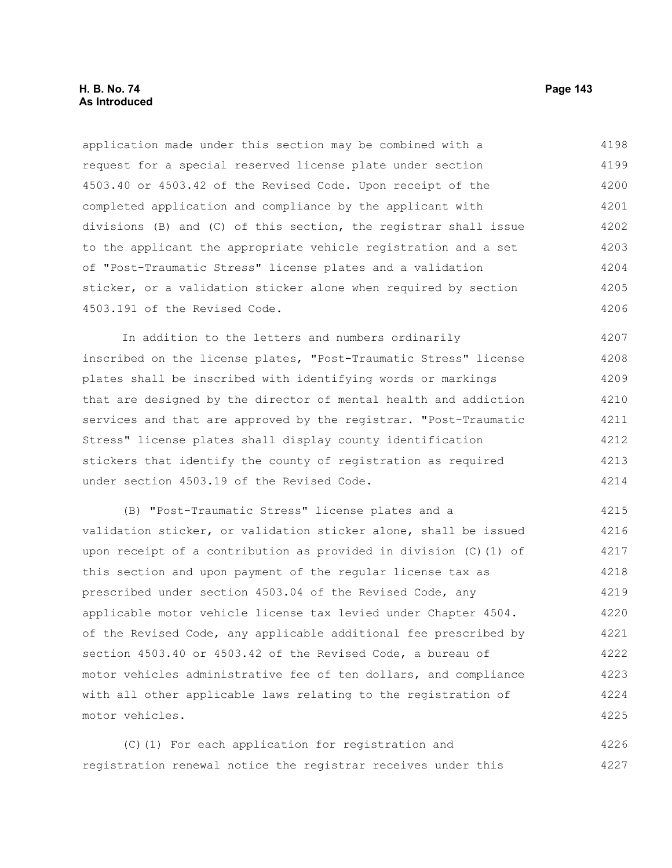# **H. B. No. 74 Page 143 As Introduced**

application made under this section may be combined with a request for a special reserved license plate under section 4503.40 or 4503.42 of the Revised Code. Upon receipt of the completed application and compliance by the applicant with divisions (B) and (C) of this section, the registrar shall issue to the applicant the appropriate vehicle registration and a set of "Post-Traumatic Stress" license plates and a validation sticker, or a validation sticker alone when required by section 4503.191 of the Revised Code. 4198 4199 4200 4201 4202 4203 4204 4205 4206

In addition to the letters and numbers ordinarily inscribed on the license plates, "Post-Traumatic Stress" license plates shall be inscribed with identifying words or markings that are designed by the director of mental health and addiction services and that are approved by the registrar. "Post-Traumatic Stress" license plates shall display county identification stickers that identify the county of registration as required under section 4503.19 of the Revised Code. 4207 4208 4209 4210 4211 4212 4213 4214

(B) "Post-Traumatic Stress" license plates and a validation sticker, or validation sticker alone, shall be issued upon receipt of a contribution as provided in division (C)(1) of this section and upon payment of the regular license tax as prescribed under section 4503.04 of the Revised Code, any applicable motor vehicle license tax levied under Chapter 4504. of the Revised Code, any applicable additional fee prescribed by section 4503.40 or 4503.42 of the Revised Code, a bureau of motor vehicles administrative fee of ten dollars, and compliance with all other applicable laws relating to the registration of motor vehicles. 4215 4216 4217 4218 4219 4220 4221 4222 4223 4224 4225

(C)(1) For each application for registration and registration renewal notice the registrar receives under this 4226 4227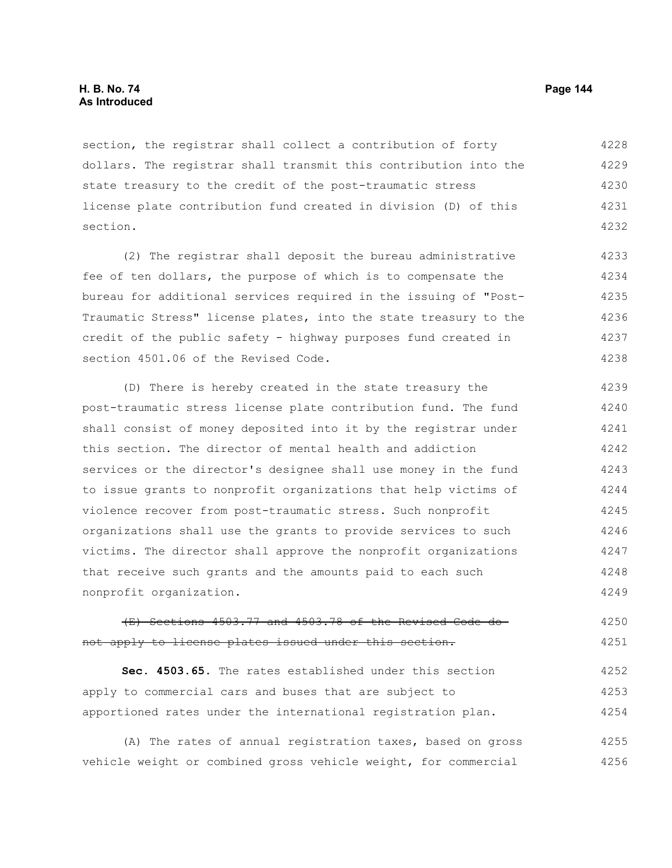section, the registrar shall collect a contribution of forty dollars. The registrar shall transmit this contribution into the state treasury to the credit of the post-traumatic stress license plate contribution fund created in division (D) of this section. 4228 4229 4230 4231 4232

(2) The registrar shall deposit the bureau administrative fee of ten dollars, the purpose of which is to compensate the bureau for additional services required in the issuing of "Post-Traumatic Stress" license plates, into the state treasury to the credit of the public safety - highway purposes fund created in section 4501.06 of the Revised Code. 4233 4234 4235 4236 4237 4238

(D) There is hereby created in the state treasury the post-traumatic stress license plate contribution fund. The fund shall consist of money deposited into it by the registrar under this section. The director of mental health and addiction services or the director's designee shall use money in the fund to issue grants to nonprofit organizations that help victims of violence recover from post-traumatic stress. Such nonprofit organizations shall use the grants to provide services to such victims. The director shall approve the nonprofit organizations that receive such grants and the amounts paid to each such nonprofit organization. 4239 4240 4241 4242 4243 4244 4245 4246 4247 4248 4249

(E) Sections 4503.77 and 4503.78 of the Revised Code do not apply to license plates issued under this section. 4250 4251

**Sec. 4503.65.** The rates established under this section apply to commercial cars and buses that are subject to apportioned rates under the international registration plan. 4252 4253 4254

(A) The rates of annual registration taxes, based on gross vehicle weight or combined gross vehicle weight, for commercial 4255 4256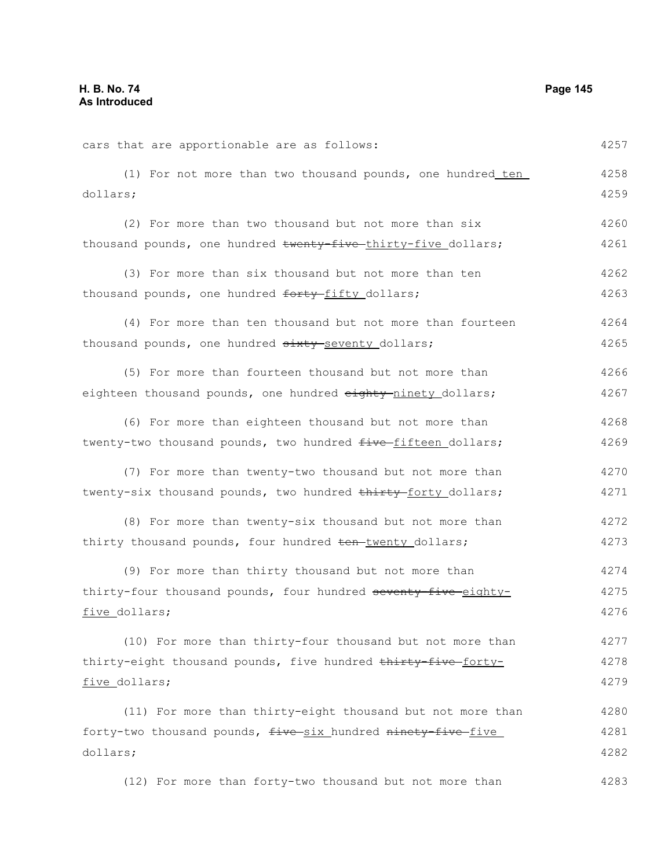| cars that are apportionable are as follows:                    | 4257 |
|----------------------------------------------------------------|------|
| (1) For not more than two thousand pounds, one hundred_ten_    | 4258 |
| dollars;                                                       | 4259 |
| (2) For more than two thousand but not more than six           | 4260 |
| thousand pounds, one hundred twenty-five-thirty-five_dollars;  | 4261 |
| (3) For more than six thousand but not more than ten           | 4262 |
| thousand pounds, one hundred forty-fifty dollars;              | 4263 |
| (4) For more than ten thousand but not more than fourteen      | 4264 |
| thousand pounds, one hundred sixty-seventy_dollars;            | 4265 |
| (5) For more than fourteen thousand but not more than          | 4266 |
| eighteen thousand pounds, one hundred eighty-ninety_dollars;   | 4267 |
| (6) For more than eighteen thousand but not more than          | 4268 |
| twenty-two thousand pounds, two hundred five-fifteen dollars;  | 4269 |
| (7) For more than twenty-two thousand but not more than        | 4270 |
| twenty-six thousand pounds, two hundred thirty-forty_dollars;  | 4271 |
| (8) For more than twenty-six thousand but not more than        | 4272 |
| thirty thousand pounds, four hundred ten-twenty dollars;       | 4273 |
| (9) For more than thirty thousand but not more than            | 4274 |
| thirty-four thousand pounds, four hundred seventy-five-eighty- | 4275 |
| five_dollars;                                                  | 4276 |
| (10) For more than thirty-four thousand but not more than      | 4277 |
| thirty-eight thousand pounds, five hundred thirty-five-forty-  | 4278 |
| five dollars;                                                  | 4279 |
| (11) For more than thirty-eight thousand but not more than     | 4280 |
| forty-two thousand pounds, five-six hundred ninety-five five   | 4281 |
| dollars;                                                       | 4282 |
| (12) For more than forty-two thousand but not more than        | 4283 |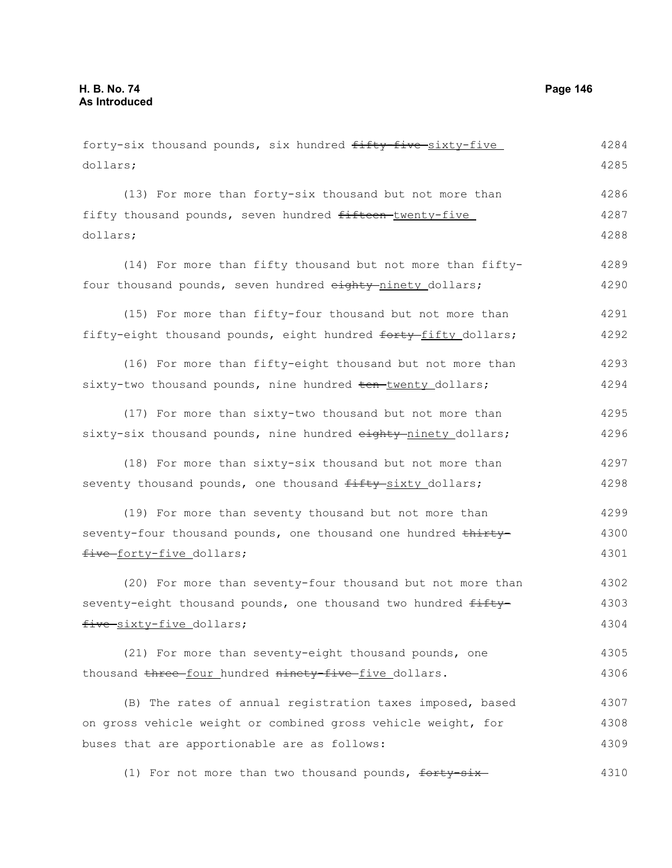| forty-six thousand pounds, six hundred fifty five sixty-five    | 4284 |
|-----------------------------------------------------------------|------|
| dollars;                                                        | 4285 |
| (13) For more than forty-six thousand but not more than         | 4286 |
| fifty thousand pounds, seven hundred fifteen-twenty-five        | 4287 |
| dollars;                                                        | 4288 |
| (14) For more than fifty thousand but not more than fifty-      | 4289 |
| four thousand pounds, seven hundred eighty ninety dollars;      | 4290 |
|                                                                 |      |
| (15) For more than fifty-four thousand but not more than        | 4291 |
| fifty-eight thousand pounds, eight hundred forty-fifty dollars; | 4292 |
| (16) For more than fifty-eight thousand but not more than       | 4293 |
| sixty-two thousand pounds, nine hundred ten-twenty dollars;     | 4294 |
| (17) For more than sixty-two thousand but not more than         | 4295 |
| sixty-six thousand pounds, nine hundred eighty-ninety_dollars;  | 4296 |
| (18) For more than sixty-six thousand but not more than         | 4297 |
| seventy thousand pounds, one thousand fifty sixty dollars;      | 4298 |
|                                                                 |      |
| (19) For more than seventy thousand but not more than           | 4299 |
| seventy-four thousand pounds, one thousand one hundred thirty-  | 4300 |
| five-forty-five_dollars;                                        | 4301 |
| (20) For more than seventy-four thousand but not more than      | 4302 |
| seventy-eight thousand pounds, one thousand two hundred fifty-  | 4303 |
| five-sixty-five_dollars;                                        | 4304 |
| (21) For more than seventy-eight thousand pounds, one           | 4305 |
| thousand three four hundred ninety-five five dollars.           | 4306 |
|                                                                 |      |
| (B) The rates of annual registration taxes imposed, based       | 4307 |
| on gross vehicle weight or combined gross vehicle weight, for   | 4308 |
| buses that are apportionable are as follows:                    | 4309 |
| (1) For not more than two thousand pounds, forty-six-           | 4310 |
|                                                                 |      |
|                                                                 |      |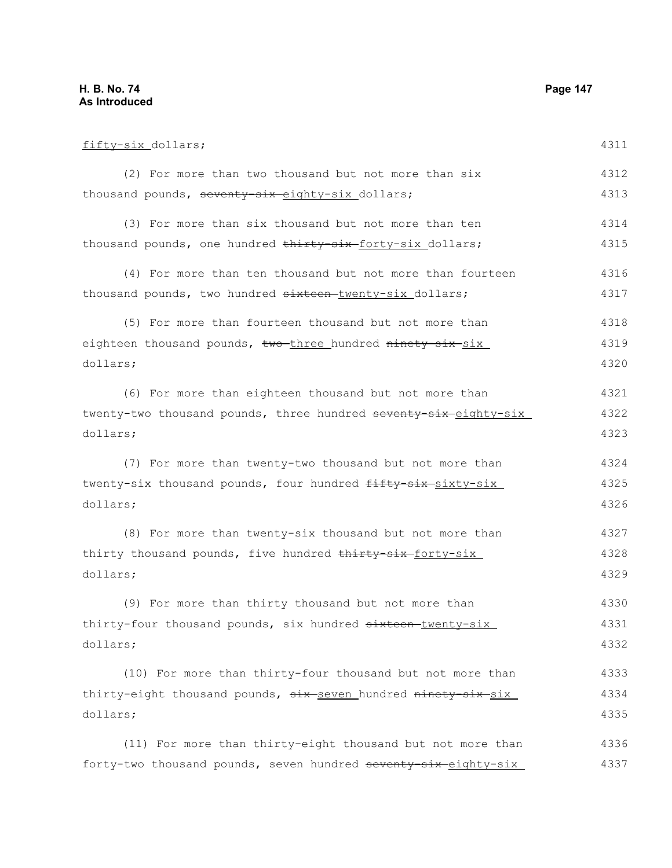### **H. B. No. 74 Page 147 As Introduced**

fifty-six dollars; (2) For more than two thousand but not more than six thousand pounds, seventy-six-eighty-six dollars; (3) For more than six thousand but not more than ten thousand pounds, one hundred thirty-six forty-six dollars; (4) For more than ten thousand but not more than fourteen thousand pounds, two hundred sixteen-twenty-six dollars; (5) For more than fourteen thousand but not more than eighteen thousand pounds, two-three hundred ninety-six-six dollars; (6) For more than eighteen thousand but not more than twenty-two thousand pounds, three hundred seventy-six eighty-six dollars; (7) For more than twenty-two thousand but not more than twenty-six thousand pounds, four hundred fifty-six-sixty-six dollars; (8) For more than twenty-six thousand but not more than thirty thousand pounds, five hundred thirty-six-forty-six dollars; (9) For more than thirty thousand but not more than thirty-four thousand pounds, six hundred sixteen-twenty-six dollars; (10) For more than thirty-four thousand but not more than thirty-eight thousand pounds,  $\frac{1}{3}x$ -seven hundred ninety-six-six dollars; (11) For more than thirty-eight thousand but not more than 4311 4312 4313 4314 4315 4316 4317 4318 4319 4320 4321 4322 4323 4324 4325 4326 4327 4328 4329 4330 4331 4332 4333 4334 4335 4336

forty-two thousand pounds, seven hundred seventy-six eighty-six 4337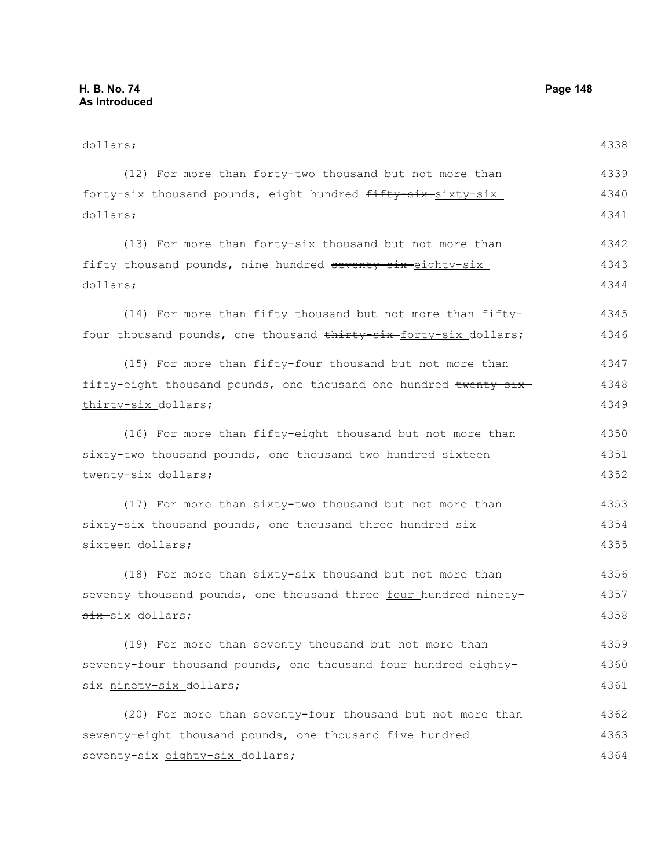dollars; (12) For more than forty-two thousand but not more than forty-six thousand pounds, eight hundred fifty-six-sixty-six dollars; (13) For more than forty-six thousand but not more than fifty thousand pounds, nine hundred seventy-six eighty-six dollars; (14) For more than fifty thousand but not more than fiftyfour thousand pounds, one thousand thirty-six-forty-six dollars; (15) For more than fifty-four thousand but not more than fifty-eight thousand pounds, one thousand one hundred twenty-sixthirty-six dollars; (16) For more than fifty-eight thousand but not more than sixty-two thousand pounds, one thousand two hundred sixteentwenty-six dollars; (17) For more than sixty-two thousand but not more than sixty-six thousand pounds, one thousand three hundred  $\frac{1}{2}x$ sixteen dollars; (18) For more than sixty-six thousand but not more than seventy thousand pounds, one thousand three four hundred ninetysix-six\_dollars; (19) For more than seventy thousand but not more than seventy-four thousand pounds, one thousand four hundred  $e$ ightysix-ninety-six dollars; (20) For more than seventy-four thousand but not more than seventy-eight thousand pounds, one thousand five hundred seventy-six-eighty-six\_dollars; 4338 4339 4340 4341 4342 4343 4344 4345 4346 4347 4348 4349 4350 4351 4352 4353 4354 4355 4356 4357 4358 4359 4360 4361 4362 4363 4364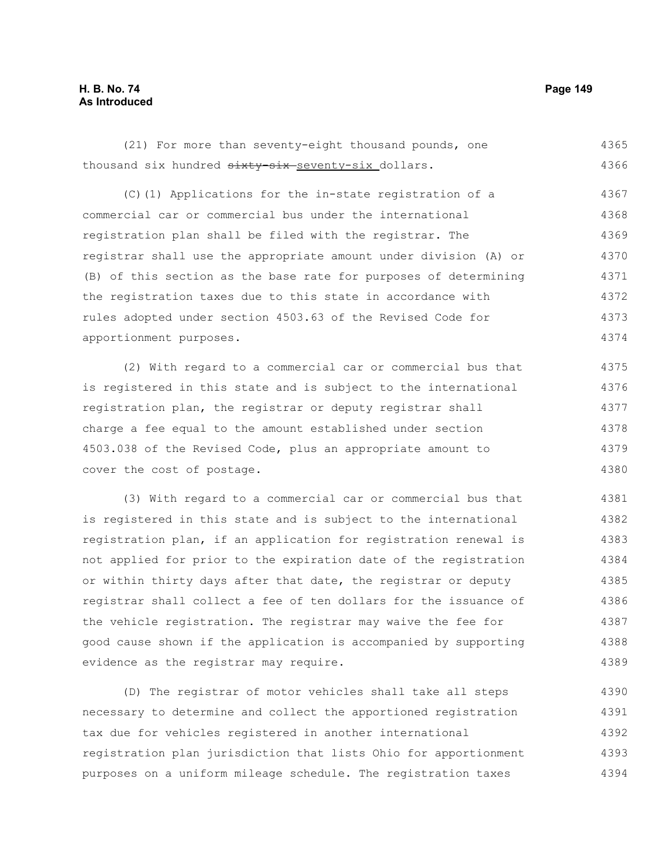## **H. B. No. 74 Page 149 As Introduced**

(21) For more than seventy-eight thousand pounds, one thousand six hundred  $s$ ixty-six-seventy-six dollars. (C)(1) Applications for the in-state registration of a commercial car or commercial bus under the international registration plan shall be filed with the registrar. The registrar shall use the appropriate amount under division (A) or (B) of this section as the base rate for purposes of determining the registration taxes due to this state in accordance with rules adopted under section 4503.63 of the Revised Code for apportionment purposes. (2) With regard to a commercial car or commercial bus that is registered in this state and is subject to the international registration plan, the registrar or deputy registrar shall charge a fee equal to the amount established under section 4365 4366 4367 4368 4369 4370 4371 4372 4373 4374 4375 4376 4377 4378

4503.038 of the Revised Code, plus an appropriate amount to cover the cost of postage. 4379 4380

(3) With regard to a commercial car or commercial bus that is registered in this state and is subject to the international registration plan, if an application for registration renewal is not applied for prior to the expiration date of the registration or within thirty days after that date, the registrar or deputy registrar shall collect a fee of ten dollars for the issuance of the vehicle registration. The registrar may waive the fee for good cause shown if the application is accompanied by supporting evidence as the registrar may require. 4381 4382 4383 4384 4385 4386 4387 4388 4389

(D) The registrar of motor vehicles shall take all steps necessary to determine and collect the apportioned registration tax due for vehicles registered in another international registration plan jurisdiction that lists Ohio for apportionment purposes on a uniform mileage schedule. The registration taxes 4390 4391 4392 4393 4394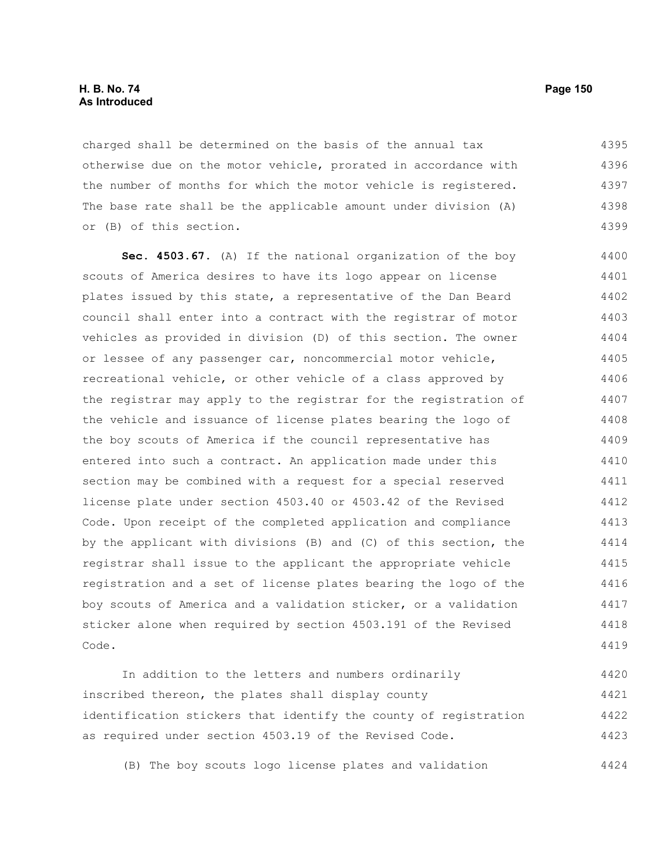#### **H. B. No. 74 Page 150 As Introduced**

charged shall be determined on the basis of the annual tax otherwise due on the motor vehicle, prorated in accordance with the number of months for which the motor vehicle is registered. The base rate shall be the applicable amount under division (A) or (B) of this section. 4395 4396 4397 4398 4399

**Sec. 4503.67.** (A) If the national organization of the boy scouts of America desires to have its logo appear on license plates issued by this state, a representative of the Dan Beard council shall enter into a contract with the registrar of motor vehicles as provided in division (D) of this section. The owner or lessee of any passenger car, noncommercial motor vehicle, recreational vehicle, or other vehicle of a class approved by the registrar may apply to the registrar for the registration of the vehicle and issuance of license plates bearing the logo of the boy scouts of America if the council representative has entered into such a contract. An application made under this section may be combined with a request for a special reserved license plate under section 4503.40 or 4503.42 of the Revised Code. Upon receipt of the completed application and compliance by the applicant with divisions (B) and (C) of this section, the registrar shall issue to the applicant the appropriate vehicle registration and a set of license plates bearing the logo of the boy scouts of America and a validation sticker, or a validation sticker alone when required by section 4503.191 of the Revised Code. 4400 4401 4402 4403 4404 4405 4406 4407 4408 4409 4410 4411 4412 4413 4414 4415 4416 4417 4418 4419

In addition to the letters and numbers ordinarily inscribed thereon, the plates shall display county identification stickers that identify the county of registration as required under section 4503.19 of the Revised Code. 4420 4421 4422 4423

(B) The boy scouts logo license plates and validation 4424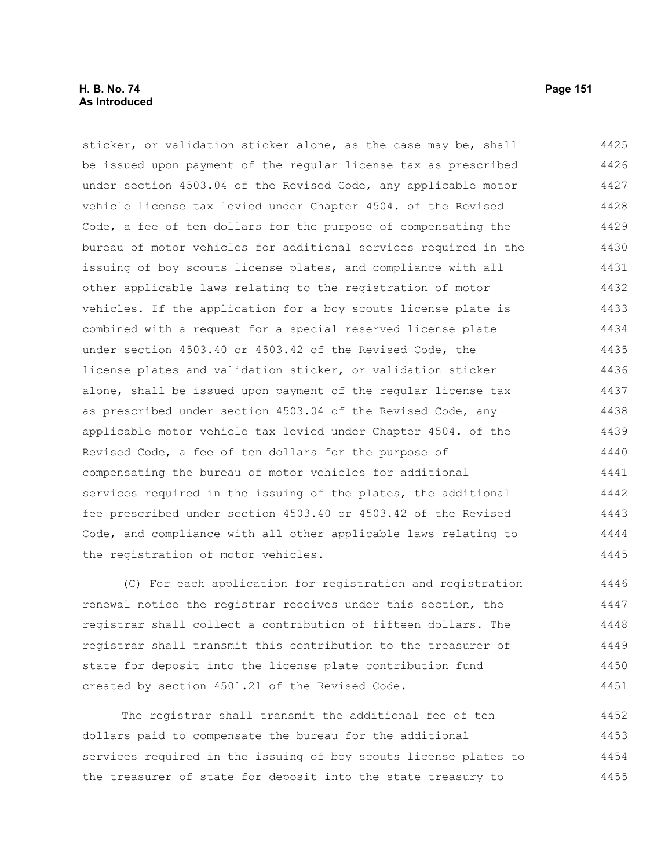### **H. B. No. 74 Page 151 As Introduced**

sticker, or validation sticker alone, as the case may be, shall be issued upon payment of the regular license tax as prescribed under section 4503.04 of the Revised Code, any applicable motor vehicle license tax levied under Chapter 4504. of the Revised Code, a fee of ten dollars for the purpose of compensating the bureau of motor vehicles for additional services required in the issuing of boy scouts license plates, and compliance with all other applicable laws relating to the registration of motor vehicles. If the application for a boy scouts license plate is combined with a request for a special reserved license plate under section 4503.40 or 4503.42 of the Revised Code, the license plates and validation sticker, or validation sticker alone, shall be issued upon payment of the regular license tax as prescribed under section 4503.04 of the Revised Code, any applicable motor vehicle tax levied under Chapter 4504. of the Revised Code, a fee of ten dollars for the purpose of compensating the bureau of motor vehicles for additional services required in the issuing of the plates, the additional fee prescribed under section 4503.40 or 4503.42 of the Revised Code, and compliance with all other applicable laws relating to the registration of motor vehicles. 4425 4426 4427 4428 4429 4430 4431 4432 4433 4434 4435 4436 4437 4438 4439 4440 4441 4442 4443 4444 4445

(C) For each application for registration and registration renewal notice the registrar receives under this section, the registrar shall collect a contribution of fifteen dollars. The registrar shall transmit this contribution to the treasurer of state for deposit into the license plate contribution fund created by section 4501.21 of the Revised Code. 4446 4447 4448 4449 4450 4451

The registrar shall transmit the additional fee of ten dollars paid to compensate the bureau for the additional services required in the issuing of boy scouts license plates to the treasurer of state for deposit into the state treasury to 4452 4453 4454 4455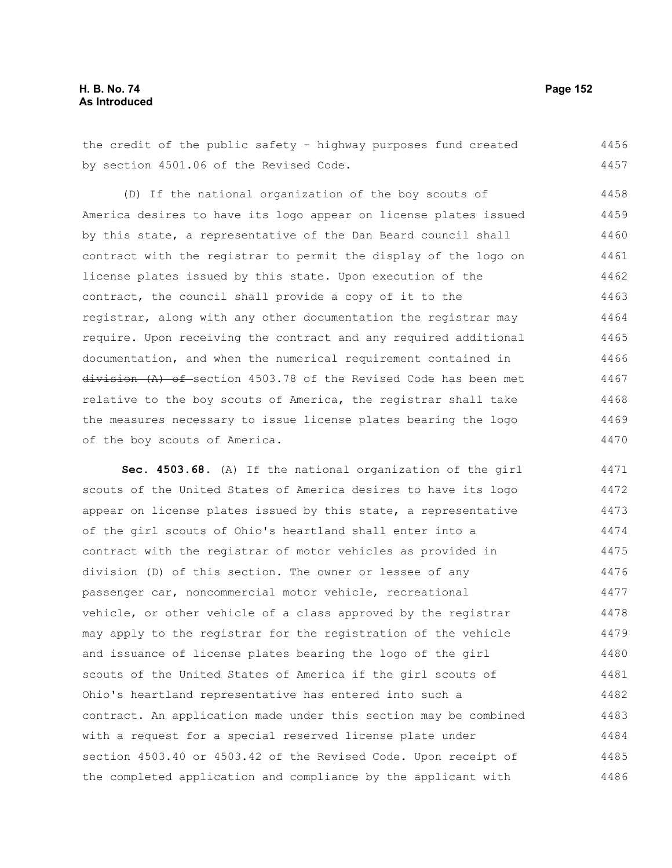4456

by section 4501.06 of the Revised Code. (D) If the national organization of the boy scouts of America desires to have its logo appear on license plates issued by this state, a representative of the Dan Beard council shall contract with the registrar to permit the display of the logo on license plates issued by this state. Upon execution of the contract, the council shall provide a copy of it to the registrar, along with any other documentation the registrar may require. Upon receiving the contract and any required additional documentation, and when the numerical requirement contained in division (A) of section 4503.78 of the Revised Code has been met relative to the boy scouts of America, the registrar shall take the measures necessary to issue license plates bearing the logo of the boy scouts of America. 4457 4458 4459 4460 4461 4462 4463 4464 4465 4466 4467 4468 4469 4470

the credit of the public safety - highway purposes fund created

**Sec. 4503.68.** (A) If the national organization of the girl scouts of the United States of America desires to have its logo appear on license plates issued by this state, a representative of the girl scouts of Ohio's heartland shall enter into a contract with the registrar of motor vehicles as provided in division (D) of this section. The owner or lessee of any passenger car, noncommercial motor vehicle, recreational vehicle, or other vehicle of a class approved by the registrar may apply to the registrar for the registration of the vehicle and issuance of license plates bearing the logo of the girl scouts of the United States of America if the girl scouts of Ohio's heartland representative has entered into such a contract. An application made under this section may be combined with a request for a special reserved license plate under section 4503.40 or 4503.42 of the Revised Code. Upon receipt of the completed application and compliance by the applicant with 4471 4472 4473 4474 4475 4476 4477 4478 4479 4480 4481 4482 4483 4484 4485 4486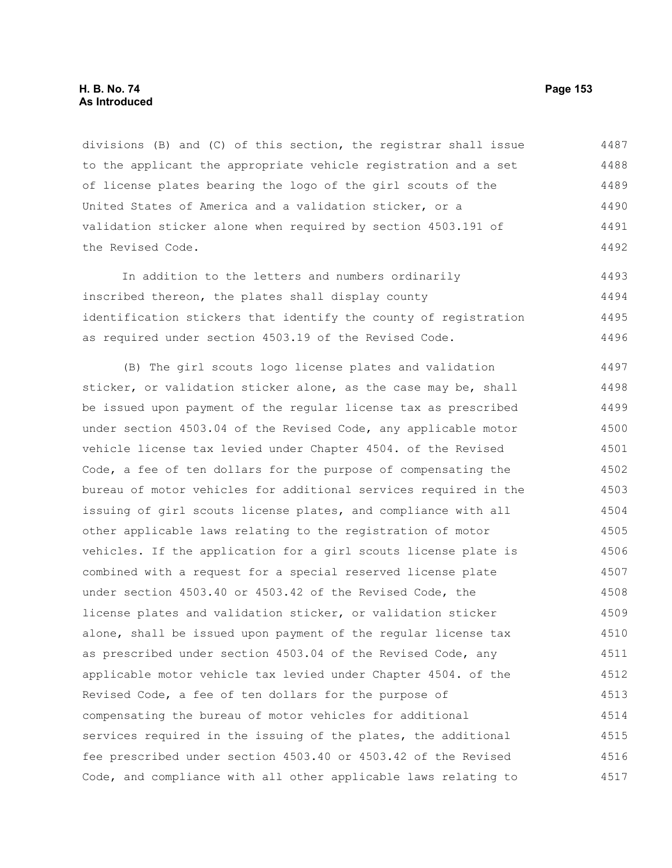### **H. B. No. 74 Page 153 As Introduced**

divisions (B) and (C) of this section, the registrar shall issue to the applicant the appropriate vehicle registration and a set of license plates bearing the logo of the girl scouts of the United States of America and a validation sticker, or a validation sticker alone when required by section 4503.191 of the Revised Code. 4487 4488 4489 4490 4491 4492

In addition to the letters and numbers ordinarily inscribed thereon, the plates shall display county identification stickers that identify the county of registration as required under section 4503.19 of the Revised Code. 4493 4494 4495 4496

(B) The girl scouts logo license plates and validation sticker, or validation sticker alone, as the case may be, shall be issued upon payment of the regular license tax as prescribed under section 4503.04 of the Revised Code, any applicable motor vehicle license tax levied under Chapter 4504. of the Revised Code, a fee of ten dollars for the purpose of compensating the bureau of motor vehicles for additional services required in the issuing of girl scouts license plates, and compliance with all other applicable laws relating to the registration of motor vehicles. If the application for a girl scouts license plate is combined with a request for a special reserved license plate under section 4503.40 or 4503.42 of the Revised Code, the license plates and validation sticker, or validation sticker alone, shall be issued upon payment of the regular license tax as prescribed under section 4503.04 of the Revised Code, any applicable motor vehicle tax levied under Chapter 4504. of the Revised Code, a fee of ten dollars for the purpose of compensating the bureau of motor vehicles for additional services required in the issuing of the plates, the additional fee prescribed under section 4503.40 or 4503.42 of the Revised Code, and compliance with all other applicable laws relating to 4497 4498 4499 4500 4501 4502 4503 4504 4505 4506 4507 4508 4509 4510 4511 4512 4513 4514 4515 4516 4517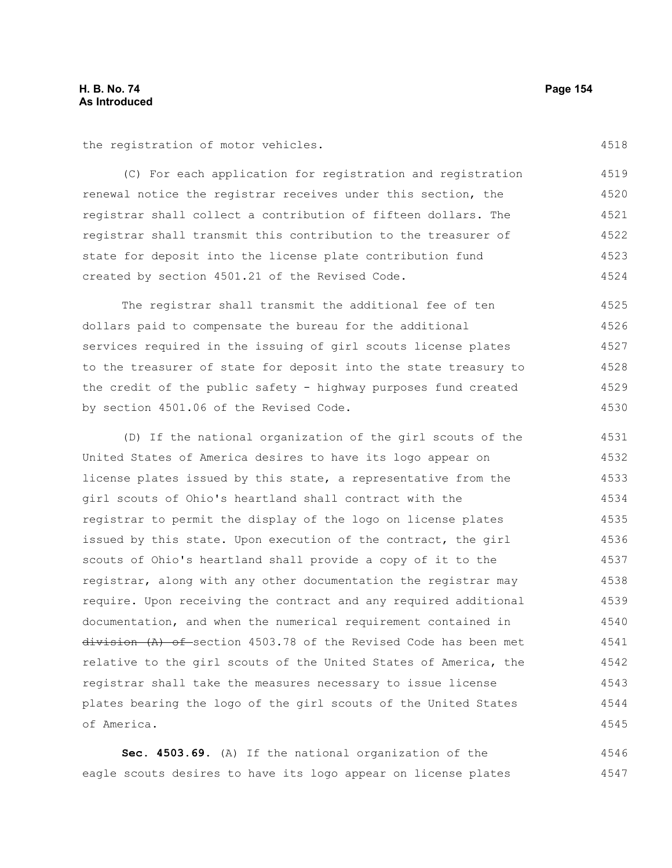the registration of motor vehicles.

(C) For each application for registration and registration renewal notice the registrar receives under this section, the registrar shall collect a contribution of fifteen dollars. The registrar shall transmit this contribution to the treasurer of state for deposit into the license plate contribution fund created by section 4501.21 of the Revised Code. 4519 4520 4521 4522 4523 4524

The registrar shall transmit the additional fee of ten dollars paid to compensate the bureau for the additional services required in the issuing of girl scouts license plates to the treasurer of state for deposit into the state treasury to the credit of the public safety - highway purposes fund created by section 4501.06 of the Revised Code. 4525 4526 4527 4528 4529 4530

(D) If the national organization of the girl scouts of the United States of America desires to have its logo appear on license plates issued by this state, a representative from the girl scouts of Ohio's heartland shall contract with the registrar to permit the display of the logo on license plates issued by this state. Upon execution of the contract, the girl scouts of Ohio's heartland shall provide a copy of it to the registrar, along with any other documentation the registrar may require. Upon receiving the contract and any required additional documentation, and when the numerical requirement contained in division (A) of section 4503.78 of the Revised Code has been met relative to the girl scouts of the United States of America, the registrar shall take the measures necessary to issue license plates bearing the logo of the girl scouts of the United States of America. 4531 4532 4533 4534 4535 4536 4537 4538 4539 4540 4541 4542 4543 4544 4545

**Sec. 4503.69.** (A) If the national organization of the eagle scouts desires to have its logo appear on license plates 4546 4547

4518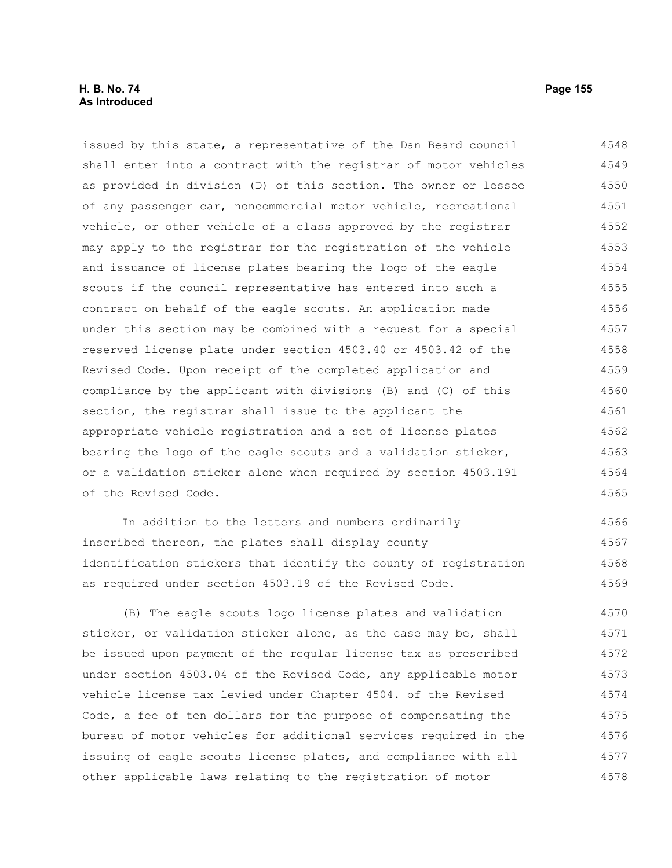## **H. B. No. 74 Page 155 As Introduced**

issued by this state, a representative of the Dan Beard council shall enter into a contract with the registrar of motor vehicles as provided in division (D) of this section. The owner or lessee of any passenger car, noncommercial motor vehicle, recreational vehicle, or other vehicle of a class approved by the registrar may apply to the registrar for the registration of the vehicle and issuance of license plates bearing the logo of the eagle scouts if the council representative has entered into such a contract on behalf of the eagle scouts. An application made under this section may be combined with a request for a special reserved license plate under section 4503.40 or 4503.42 of the Revised Code. Upon receipt of the completed application and compliance by the applicant with divisions (B) and (C) of this section, the registrar shall issue to the applicant the appropriate vehicle registration and a set of license plates bearing the logo of the eagle scouts and a validation sticker, or a validation sticker alone when required by section 4503.191 of the Revised Code. 4548 4549 4550 4551 4552 4553 4554 4555 4556 4557 4558 4559 4560 4561 4562 4563 4564 4565

In addition to the letters and numbers ordinarily inscribed thereon, the plates shall display county identification stickers that identify the county of registration as required under section 4503.19 of the Revised Code. 4566 4567 4568 4569

(B) The eagle scouts logo license plates and validation sticker, or validation sticker alone, as the case may be, shall be issued upon payment of the regular license tax as prescribed under section 4503.04 of the Revised Code, any applicable motor vehicle license tax levied under Chapter 4504. of the Revised Code, a fee of ten dollars for the purpose of compensating the bureau of motor vehicles for additional services required in the issuing of eagle scouts license plates, and compliance with all other applicable laws relating to the registration of motor 4570 4571 4572 4573 4574 4575 4576 4577 4578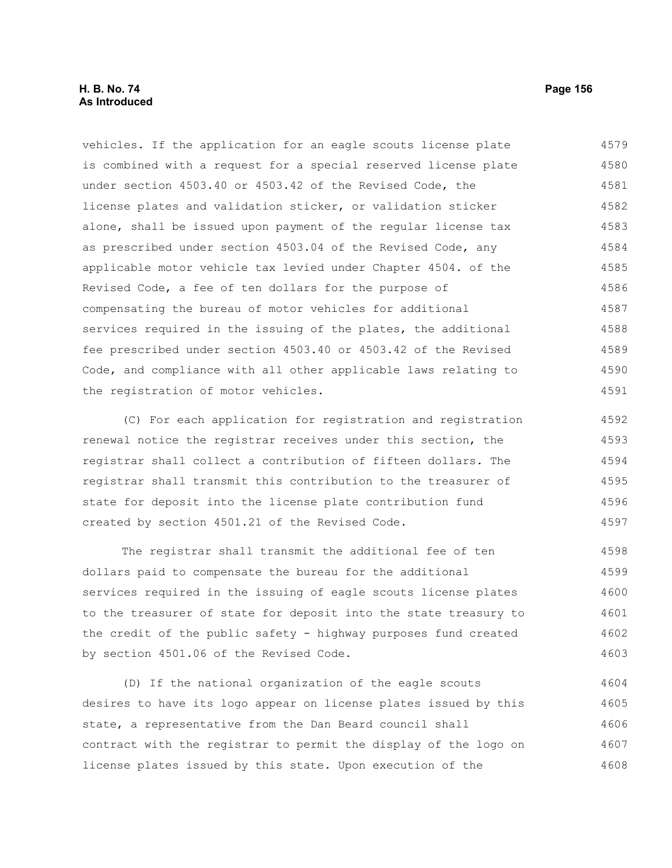## **H. B. No. 74 Page 156 As Introduced**

vehicles. If the application for an eagle scouts license plate is combined with a request for a special reserved license plate under section 4503.40 or 4503.42 of the Revised Code, the license plates and validation sticker, or validation sticker alone, shall be issued upon payment of the regular license tax as prescribed under section 4503.04 of the Revised Code, any applicable motor vehicle tax levied under Chapter 4504. of the Revised Code, a fee of ten dollars for the purpose of compensating the bureau of motor vehicles for additional services required in the issuing of the plates, the additional fee prescribed under section 4503.40 or 4503.42 of the Revised Code, and compliance with all other applicable laws relating to the registration of motor vehicles. 4579 4580 4581 4582 4583 4584 4585 4586 4587 4588 4589 4590 4591

(C) For each application for registration and registration renewal notice the registrar receives under this section, the registrar shall collect a contribution of fifteen dollars. The registrar shall transmit this contribution to the treasurer of state for deposit into the license plate contribution fund created by section 4501.21 of the Revised Code. 4592 4593 4594 4595 4596 4597

The registrar shall transmit the additional fee of ten dollars paid to compensate the bureau for the additional services required in the issuing of eagle scouts license plates to the treasurer of state for deposit into the state treasury to the credit of the public safety - highway purposes fund created by section 4501.06 of the Revised Code. 4598 4599 4600 4601 4602 4603

(D) If the national organization of the eagle scouts desires to have its logo appear on license plates issued by this state, a representative from the Dan Beard council shall contract with the registrar to permit the display of the logo on license plates issued by this state. Upon execution of the 4604 4605 4606 4607 4608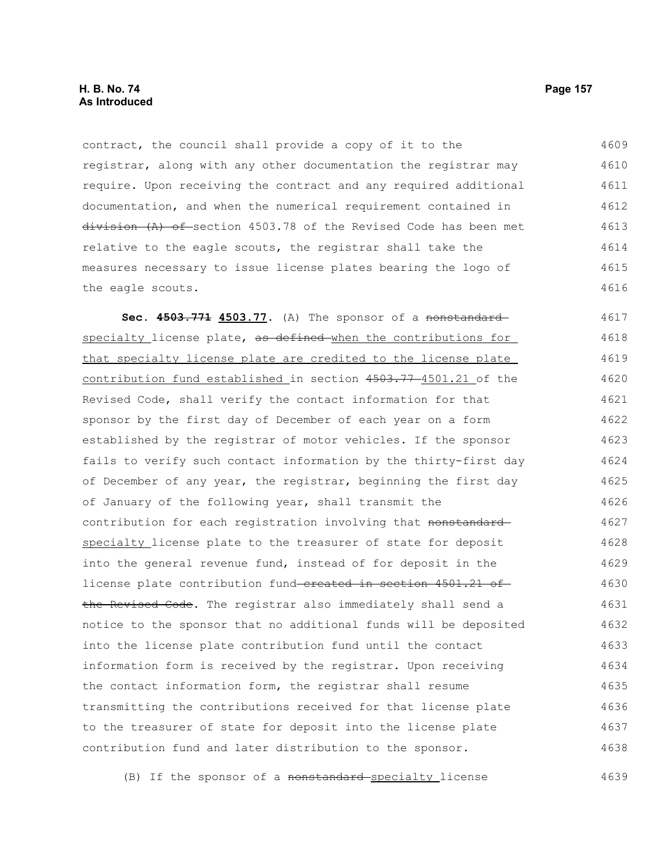contract, the council shall provide a copy of it to the registrar, along with any other documentation the registrar may require. Upon receiving the contract and any required additional documentation, and when the numerical requirement contained in division (A) of section 4503.78 of the Revised Code has been met relative to the eagle scouts, the registrar shall take the measures necessary to issue license plates bearing the logo of the eagle scouts. 4609 4610 4611 4612 4613 4614 4615 4616

**Sec. 4503.771 4503.77.** (A) The sponsor of a nonstandard specialty license plate, as defined when the contributions for that specialty license plate are credited to the license plate contribution fund established in section 4503.77 4501.21 of the Revised Code, shall verify the contact information for that sponsor by the first day of December of each year on a form established by the registrar of motor vehicles. If the sponsor fails to verify such contact information by the thirty-first day of December of any year, the registrar, beginning the first day of January of the following year, shall transmit the contribution for each registration involving that nonstandardspecialty license plate to the treasurer of state for deposit into the general revenue fund, instead of for deposit in the license plate contribution fund created in section 4501.21 of the Revised Code. The registrar also immediately shall send a notice to the sponsor that no additional funds will be deposited into the license plate contribution fund until the contact information form is received by the registrar. Upon receiving the contact information form, the registrar shall resume transmitting the contributions received for that license plate to the treasurer of state for deposit into the license plate contribution fund and later distribution to the sponsor. 4617 4618 4619 4620 4621 4622 4623 4624 4625 4626 4627 4628 4629 4630 4631 4632 4633 4634 4635 4636 4637 4638

(B) If the sponsor of a nonstandard-specialty license 4639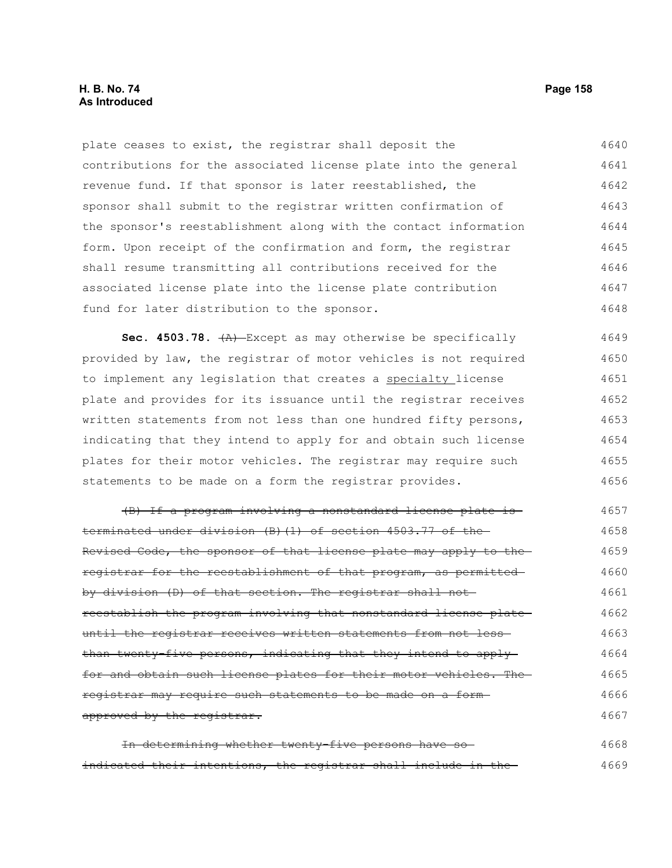plate ceases to exist, the registrar shall deposit the contributions for the associated license plate into the general revenue fund. If that sponsor is later reestablished, the sponsor shall submit to the registrar written confirmation of the sponsor's reestablishment along with the contact information form. Upon receipt of the confirmation and form, the registrar shall resume transmitting all contributions received for the associated license plate into the license plate contribution fund for later distribution to the sponsor. 4640 4641 4642 4643 4644 4645 4646 4647 4648

Sec. 4503.78.  $\{A\}$ -Except as may otherwise be specifically provided by law, the registrar of motor vehicles is not required to implement any legislation that creates a specialty license plate and provides for its issuance until the registrar receives written statements from not less than one hundred fifty persons, indicating that they intend to apply for and obtain such license plates for their motor vehicles. The registrar may require such statements to be made on a form the registrar provides. 4649 4650 4651 4652 4653 4654 4655 4656

(B) If a program involving a nonstandard license plate is terminated under division (B)(1) of section 4503.77 of the Revised Code, the sponsor of that license plate may apply to the registrar for the reestablishment of that program, as permitted by division (D) of that section. The registrar shall not reestablish the program involving that nonstandard license plate until the registrar receives written statements from not less than twenty-five persons, indicating that they intend to applyfor and obtain such license plates for their motor vehicles. The registrar may require such statements to be made on a form approved by the registrar. 4657 4658 4659 4660 4661 4662 4663 4664 4665 4666 4667

In determining whether twenty-five persons have so indicated their intentions, the registrar shall include in the-4668 4669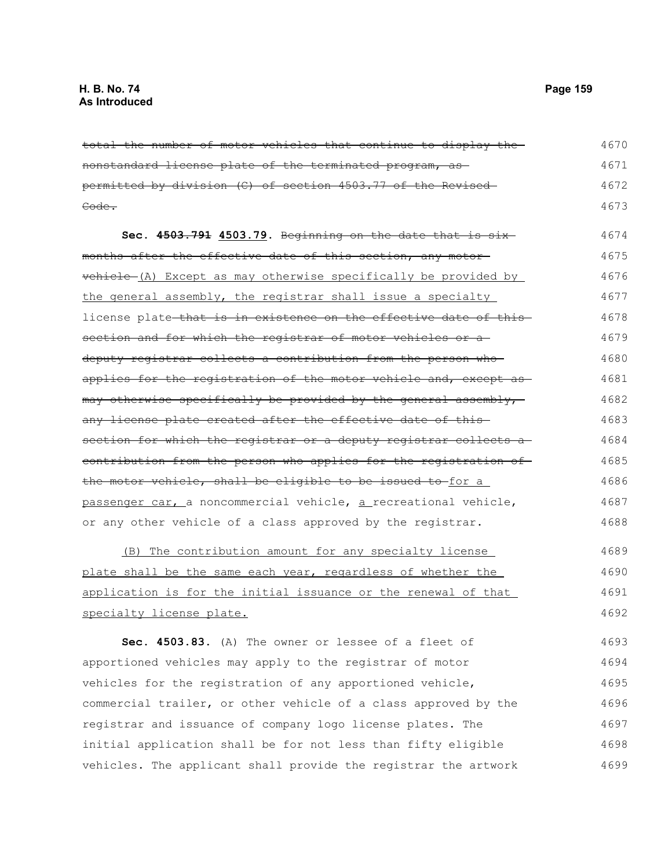| total the number of motor vehicles that continue to display the  | 4670 |
|------------------------------------------------------------------|------|
| nonstandard license plate of the terminated program, as          | 4671 |
| permitted by division (C) of section 4503.77 of the Revised      | 4672 |
| Code.                                                            | 4673 |
| Sec. 4503.791 4503.79. Beginning on the date that is six-        | 4674 |
| months after the effective date of this section, any motor-      | 4675 |
| vehicle (A) Except as may otherwise specifically be provided by  | 4676 |
| the general assembly, the registrar shall issue a specialty      | 4677 |
| license plate that is in existence on the effective date of this | 4678 |
| section and for which the registrar of motor vehicles or a       | 4679 |
| deputy registrar collects a contribution from the person who     | 4680 |
| applies for the registration of the motor vehicle and, except as | 4681 |
| may otherwise specifically be provided by the general assembly,  | 4682 |
| any license plate created after the effective date of this-      | 4683 |
| section for which the registrar or a deputy registrar collects a | 4684 |
| contribution from the person who applies for the registration of | 4685 |
| the motor vehicle, shall be eligible to be issued to for a       | 4686 |
| passenger car, a noncommercial vehicle, a recreational vehicle,  | 4687 |
| or any other vehicle of a class approved by the registrar.       | 4688 |
| (B) The contribution amount for any specialty license            | 4689 |
| plate shall be the same each year, regardless of whether the     | 4690 |
| application is for the initial issuance or the renewal of that   | 4691 |
| specialty license plate.                                         | 4692 |
| Sec. 4503.83. (A) The owner or lessee of a fleet of              | 4693 |
| apportioned vehicles may apply to the registrar of motor         | 4694 |
| vehicles for the registration of any apportioned vehicle,        | 4695 |
| commercial trailer, or other vehicle of a class approved by the  | 4696 |
| registrar and issuance of company logo license plates. The       | 4697 |
| initial application shall be for not less than fifty eligible    | 4698 |
| vehicles. The applicant shall provide the registrar the artwork  | 4699 |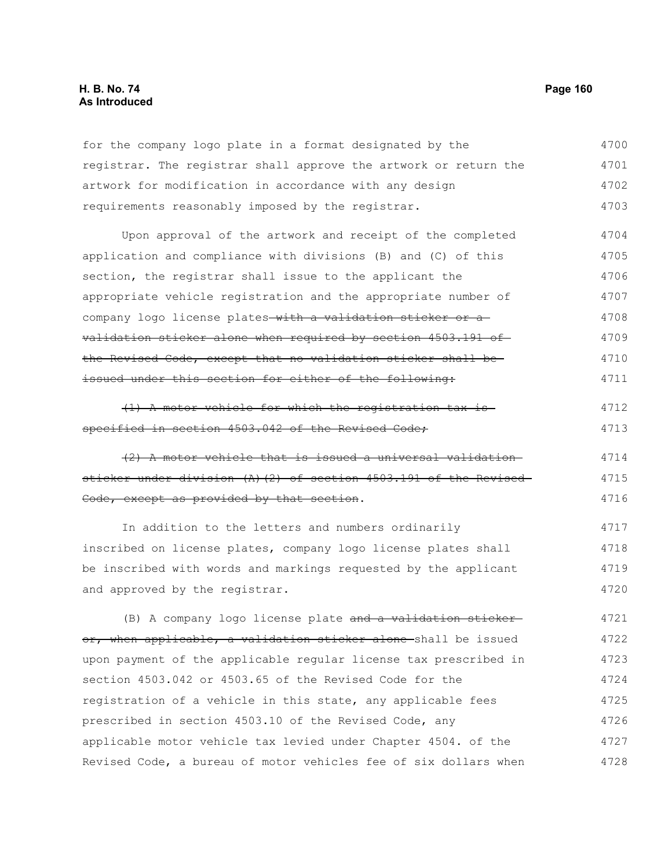### **H. B. No. 74 Page 160 As Introduced**

for the company logo plate in a format designated by the registrar. The registrar shall approve the artwork or return the artwork for modification in accordance with any design requirements reasonably imposed by the registrar. 4700 4701 4702 4703

Upon approval of the artwork and receipt of the completed application and compliance with divisions (B) and (C) of this section, the registrar shall issue to the applicant the appropriate vehicle registration and the appropriate number of company logo license plates-with a validation sticker or avalidation sticker alone when required by section 4503.191 of the Revised Code, except that no validation sticker shall be issued under this section for either of the following: 4704 4705 4706 4707 4708 4709 4710 4711

(1) A motor vehicle for which the registration tax is specified in section 4503.042 of the Revised Code; 4712 4713

(2) A motor vehicle that is issued a universal validation sticker under division (A)(2) of section 4503.191 of the Revised Code, except as provided by that section. 4714 4715 4716

In addition to the letters and numbers ordinarily inscribed on license plates, company logo license plates shall be inscribed with words and markings requested by the applicant and approved by the registrar. 4717 4718 4719 4720

(B) A company logo license plate and a validation stickeror, when applicable, a validation sticker alone-shall be issued upon payment of the applicable regular license tax prescribed in section 4503.042 or 4503.65 of the Revised Code for the registration of a vehicle in this state, any applicable fees prescribed in section 4503.10 of the Revised Code, any applicable motor vehicle tax levied under Chapter 4504. of the Revised Code, a bureau of motor vehicles fee of six dollars when 4721 4722 4723 4724 4725 4726 4727 4728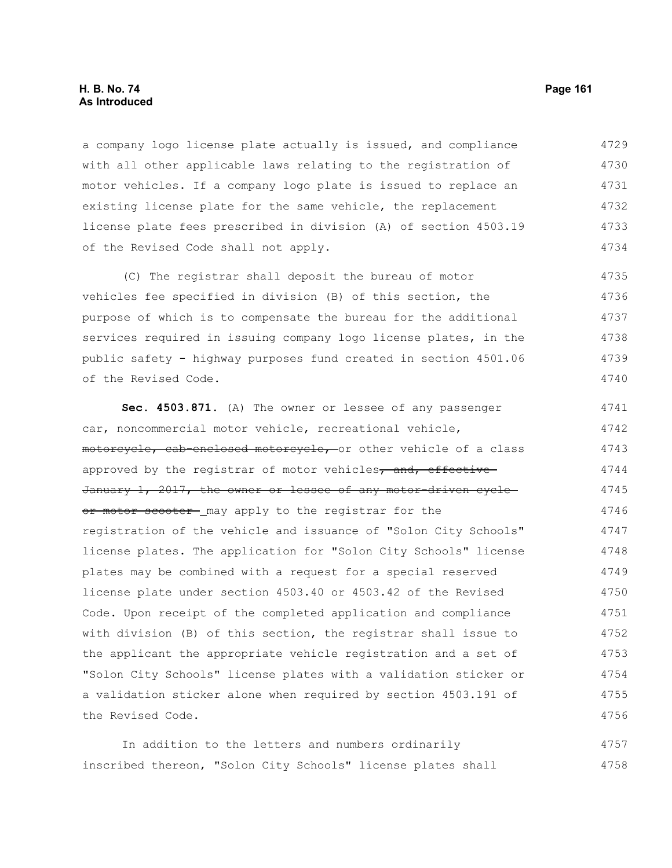### **H. B. No. 74 Page 161 As Introduced**

a company logo license plate actually is issued, and compliance with all other applicable laws relating to the registration of motor vehicles. If a company logo plate is issued to replace an existing license plate for the same vehicle, the replacement license plate fees prescribed in division (A) of section 4503.19 of the Revised Code shall not apply. 4729 4730 4731 4732 4733 4734

(C) The registrar shall deposit the bureau of motor vehicles fee specified in division (B) of this section, the purpose of which is to compensate the bureau for the additional services required in issuing company logo license plates, in the public safety - highway purposes fund created in section 4501.06 of the Revised Code. 4735 4736 4737 4738 4739 4740

**Sec. 4503.871.** (A) The owner or lessee of any passenger car, noncommercial motor vehicle, recreational vehicle, motorcycle, cab-enclosed motorcycle, or other vehicle of a class approved by the registrar of motor vehicles, and, effective January 1, 2017, the owner or lessee of any motor driven cycleor motor scooter- may apply to the registrar for the registration of the vehicle and issuance of "Solon City Schools" license plates. The application for "Solon City Schools" license plates may be combined with a request for a special reserved license plate under section 4503.40 or 4503.42 of the Revised Code. Upon receipt of the completed application and compliance with division (B) of this section, the registrar shall issue to the applicant the appropriate vehicle registration and a set of "Solon City Schools" license plates with a validation sticker or a validation sticker alone when required by section 4503.191 of the Revised Code. 4741 4742 4743 4744 4745 4746 4747 4748 4749 4750 4751 4752 4753 4754 4755 4756

In addition to the letters and numbers ordinarily inscribed thereon, "Solon City Schools" license plates shall 4757 4758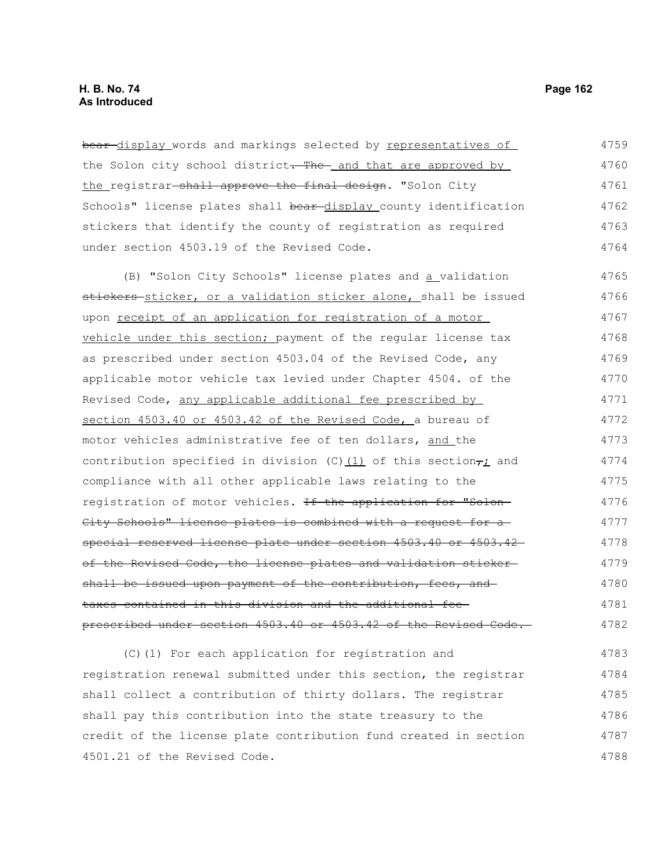bear-display words and markings selected by representatives of the Solon city school district. The and that are approved by the registrar-shall approve the final design. "Solon City Schools" license plates shall bear display county identification stickers that identify the county of registration as required under section 4503.19 of the Revised Code. 4759 4760 4761 4762 4763 4764

(B) "Solon City Schools" license plates and a validation stickers-sticker, or a validation sticker alone, shall be issued upon receipt of an application for registration of a motor vehicle under this section; payment of the regular license tax as prescribed under section 4503.04 of the Revised Code, any applicable motor vehicle tax levied under Chapter 4504. of the Revised Code, any applicable additional fee prescribed by section 4503.40 or 4503.42 of the Revised Code, a bureau of motor vehicles administrative fee of ten dollars, and the contribution specified in division (C) $(1)$  of this section $\tau_L$  and compliance with all other applicable laws relating to the registration of motor vehicles. If the application for "Solon-City Schools" license plates is combined with a request for a special reserved license plate under section 4503.40 or 4503.42 of the Revised Code, the license plates and validation sticker shall be issued upon payment of the contribution, fees, and taxes contained in this division and the additional fee prescribed under section 4503.40 or 4503.42 of the Revised Code. 4765 4766 4767 4768 4769 4770 4771 4772 4773 4774 4775 4776 4777 4778 4779 4780 4781 4782

(C)(1) For each application for registration and registration renewal submitted under this section, the registrar shall collect a contribution of thirty dollars. The registrar shall pay this contribution into the state treasury to the credit of the license plate contribution fund created in section 4501.21 of the Revised Code. 4783 4784 4785 4786 4787 4788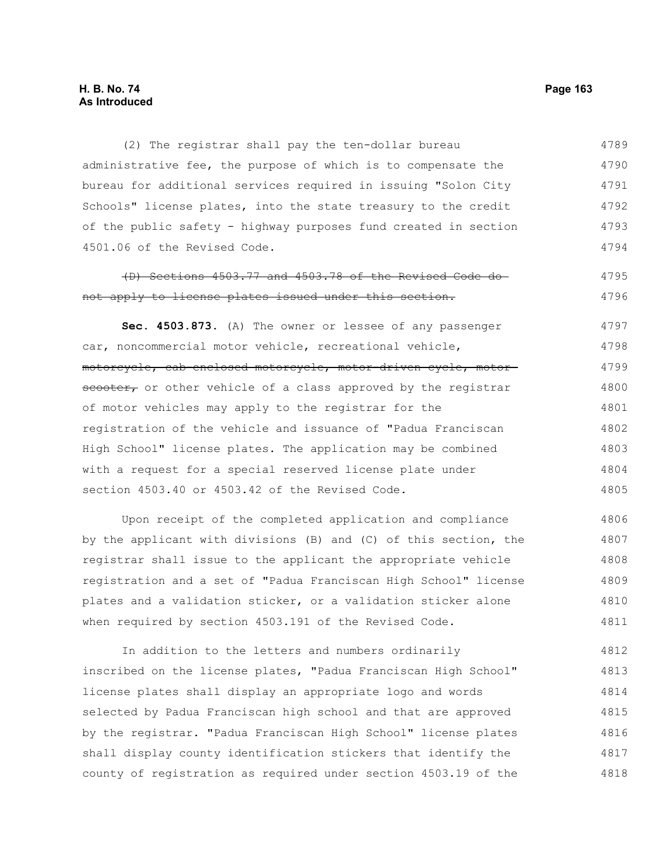### **H. B. No. 74 Page 163 As Introduced**

(2) The registrar shall pay the ten-dollar bureau administrative fee, the purpose of which is to compensate the bureau for additional services required in issuing "Solon City Schools" license plates, into the state treasury to the credit of the public safety - highway purposes fund created in section 4501.06 of the Revised Code. 4789 4790 4791 4792 4793 4794

#### (D) Sections 4503.77 and 4503.78 of the Revised Code do not apply to license plates issued under this section. 4795 4796

**Sec. 4503.873.** (A) The owner or lessee of any passenger car, noncommercial motor vehicle, recreational vehicle, motorcycle, cab-enclosed motorcycle, motor-driven cycle, motorscooter, or other vehicle of a class approved by the registrar of motor vehicles may apply to the registrar for the registration of the vehicle and issuance of "Padua Franciscan High School" license plates. The application may be combined with a request for a special reserved license plate under section 4503.40 or 4503.42 of the Revised Code. 4797 4798 4799 4800 4801 4802 4803 4804 4805

Upon receipt of the completed application and compliance by the applicant with divisions (B) and (C) of this section, the registrar shall issue to the applicant the appropriate vehicle registration and a set of "Padua Franciscan High School" license plates and a validation sticker, or a validation sticker alone when required by section 4503.191 of the Revised Code. 4806 4807 4808 4809 4810 4811

In addition to the letters and numbers ordinarily inscribed on the license plates, "Padua Franciscan High School" license plates shall display an appropriate logo and words selected by Padua Franciscan high school and that are approved by the registrar. "Padua Franciscan High School" license plates shall display county identification stickers that identify the county of registration as required under section 4503.19 of the 4812 4813 4814 4815 4816 4817 4818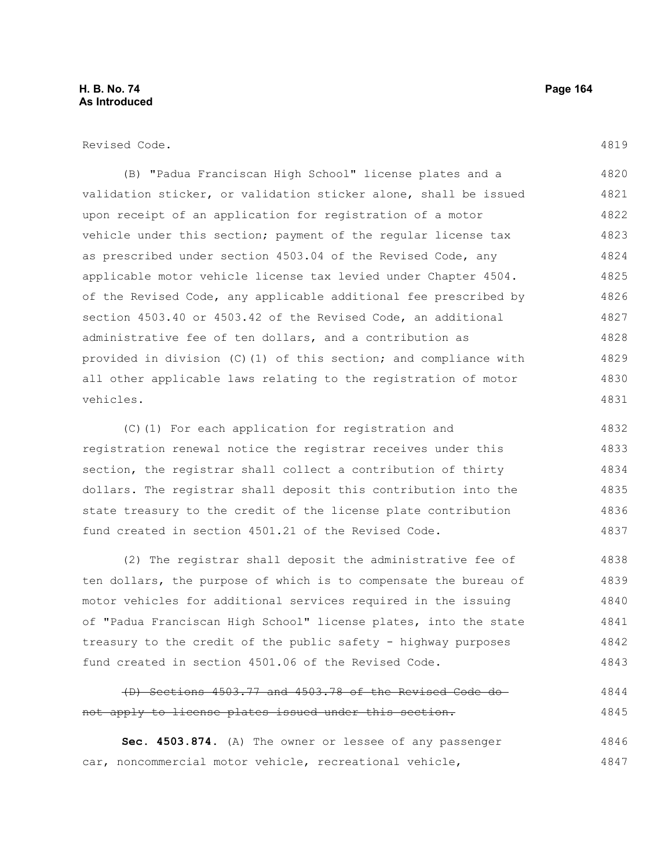#### Revised Code.

(B) "Padua Franciscan High School" license plates and a validation sticker, or validation sticker alone, shall be issued upon receipt of an application for registration of a motor vehicle under this section; payment of the regular license tax as prescribed under section 4503.04 of the Revised Code, any applicable motor vehicle license tax levied under Chapter 4504. of the Revised Code, any applicable additional fee prescribed by section 4503.40 or 4503.42 of the Revised Code, an additional administrative fee of ten dollars, and a contribution as provided in division (C)(1) of this section; and compliance with all other applicable laws relating to the registration of motor vehicles. 4820 4821 4822 4823 4824 4825 4826 4827 4828 4829 4830 4831

(C)(1) For each application for registration and registration renewal notice the registrar receives under this section, the registrar shall collect a contribution of thirty dollars. The registrar shall deposit this contribution into the state treasury to the credit of the license plate contribution fund created in section 4501.21 of the Revised Code. 4832 4833 4834 4835 4836 4837

(2) The registrar shall deposit the administrative fee of ten dollars, the purpose of which is to compensate the bureau of motor vehicles for additional services required in the issuing of "Padua Franciscan High School" license plates, into the state treasury to the credit of the public safety - highway purposes fund created in section 4501.06 of the Revised Code. 4838 4839 4840 4841 4842 4843

# (D) Sections 4503.77 and 4503.78 of the Revised Code do not apply to license plates issued under this section. 4844 4845

**Sec. 4503.874.** (A) The owner or lessee of any passenger car, noncommercial motor vehicle, recreational vehicle, 4846 4847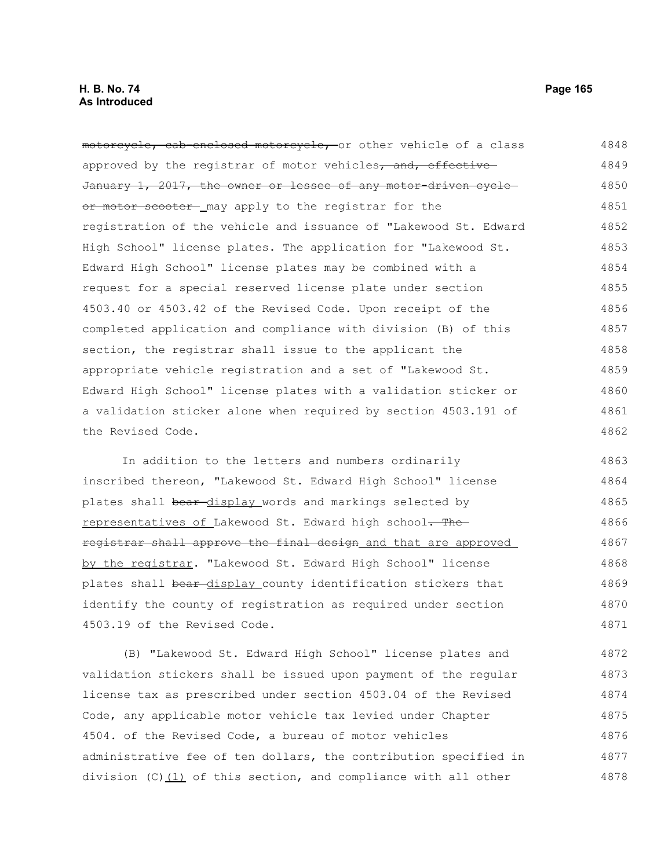motorcycle, cab enclosed motorcycle, or other vehicle of a class approved by the registrar of motor vehicles, and, effective January 1, 2017, the owner or lessee of any motor-driven cycleor motor scooter \_ may apply to the registrar for the registration of the vehicle and issuance of "Lakewood St. Edward High School" license plates. The application for "Lakewood St. Edward High School" license plates may be combined with a request for a special reserved license plate under section 4503.40 or 4503.42 of the Revised Code. Upon receipt of the completed application and compliance with division (B) of this section, the registrar shall issue to the applicant the appropriate vehicle registration and a set of "Lakewood St. Edward High School" license plates with a validation sticker or a validation sticker alone when required by section 4503.191 of the Revised Code. 4848 4849 4850 4851 4852 4853 4854 4855 4856 4857 4858 4859 4860 4861 4862

In addition to the letters and numbers ordinarily inscribed thereon, "Lakewood St. Edward High School" license plates shall bear-display words and markings selected by representatives of Lakewood St. Edward high school. The registrar shall approve the final design and that are approved by the registrar. "Lakewood St. Edward High School" license plates shall bear-display county identification stickers that identify the county of registration as required under section 4503.19 of the Revised Code. 4863 4864 4865 4866 4867 4868 4869 4870 4871

(B) "Lakewood St. Edward High School" license plates and validation stickers shall be issued upon payment of the regular license tax as prescribed under section 4503.04 of the Revised Code, any applicable motor vehicle tax levied under Chapter 4504. of the Revised Code, a bureau of motor vehicles administrative fee of ten dollars, the contribution specified in division (C) $(1)$  of this section, and compliance with all other 4872 4873 4874 4875 4876 4877 4878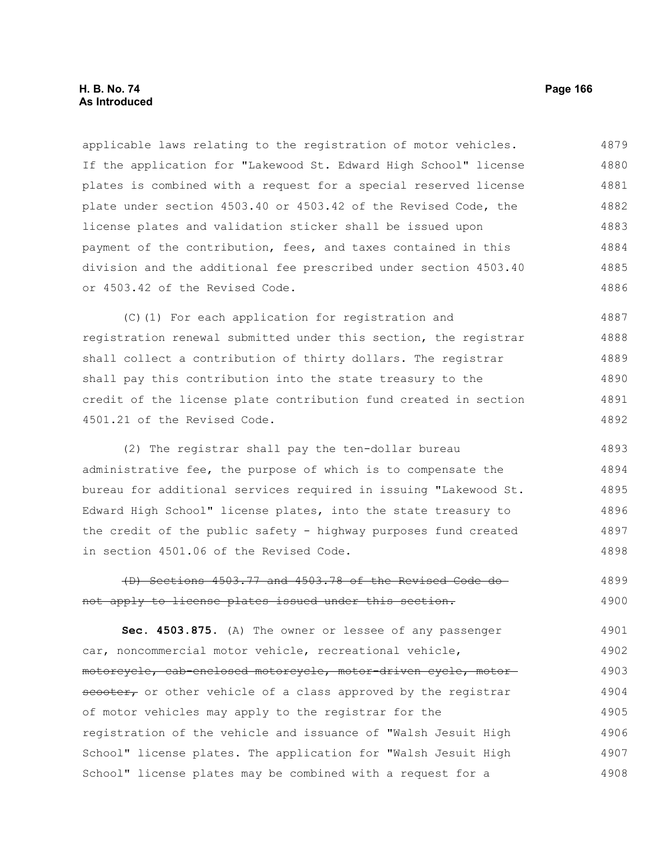applicable laws relating to the registration of motor vehicles. If the application for "Lakewood St. Edward High School" license plates is combined with a request for a special reserved license plate under section 4503.40 or 4503.42 of the Revised Code, the license plates and validation sticker shall be issued upon payment of the contribution, fees, and taxes contained in this division and the additional fee prescribed under section 4503.40 or 4503.42 of the Revised Code. 4879 4880 4881 4882 4883 4884 4885 4886

(C)(1) For each application for registration and registration renewal submitted under this section, the registrar shall collect a contribution of thirty dollars. The registrar shall pay this contribution into the state treasury to the credit of the license plate contribution fund created in section 4501.21 of the Revised Code. 4887 4888 4889 4890 4891 4892

(2) The registrar shall pay the ten-dollar bureau administrative fee, the purpose of which is to compensate the bureau for additional services required in issuing "Lakewood St. Edward High School" license plates, into the state treasury to the credit of the public safety - highway purposes fund created in section 4501.06 of the Revised Code. 4893 4894 4895 4896 4897 4898

(D) Sections 4503.77 and 4503.78 of the Revised Code do not apply to license plates issued under this section. 4899 4900

**Sec. 4503.875.** (A) The owner or lessee of any passenger car, noncommercial motor vehicle, recreational vehicle, motorcycle, cab-enclosed motorcycle, motor-driven cycle, motorscooter, or other vehicle of a class approved by the registrar of motor vehicles may apply to the registrar for the registration of the vehicle and issuance of "Walsh Jesuit High School" license plates. The application for "Walsh Jesuit High School" license plates may be combined with a request for a 4901 4902 4903 4904 4905 4906 4907 4908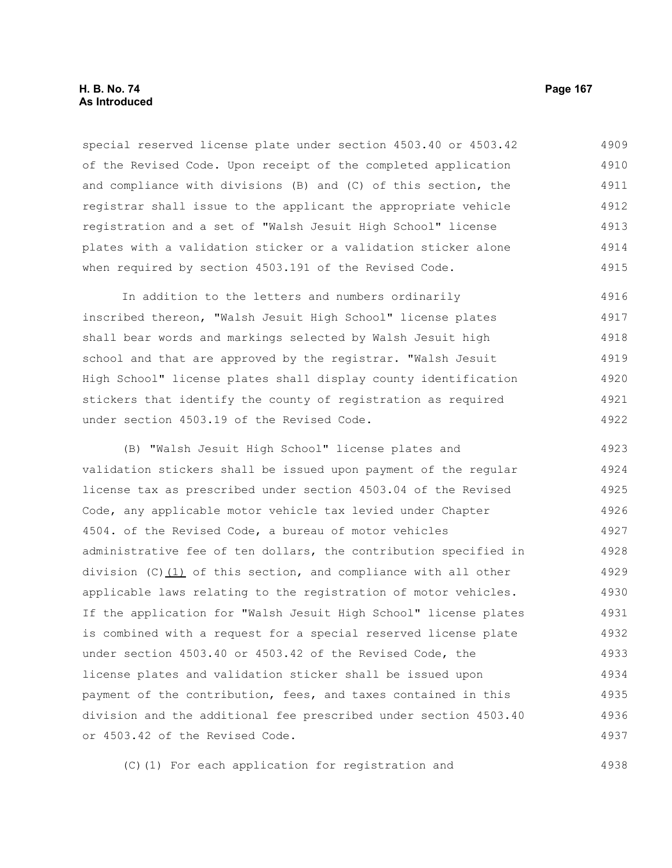### **H. B. No. 74 Page 167 As Introduced**

special reserved license plate under section 4503.40 or 4503.42 of the Revised Code. Upon receipt of the completed application and compliance with divisions (B) and (C) of this section, the registrar shall issue to the applicant the appropriate vehicle registration and a set of "Walsh Jesuit High School" license plates with a validation sticker or a validation sticker alone when required by section 4503.191 of the Revised Code. 4909 4910 4911 4912 4913 4914 4915

In addition to the letters and numbers ordinarily inscribed thereon, "Walsh Jesuit High School" license plates shall bear words and markings selected by Walsh Jesuit high school and that are approved by the registrar. "Walsh Jesuit High School" license plates shall display county identification stickers that identify the county of registration as required under section 4503.19 of the Revised Code. 4916 4917 4918 4919 4920 4921 4922

(B) "Walsh Jesuit High School" license plates and validation stickers shall be issued upon payment of the regular license tax as prescribed under section 4503.04 of the Revised Code, any applicable motor vehicle tax levied under Chapter 4504. of the Revised Code, a bureau of motor vehicles administrative fee of ten dollars, the contribution specified in division (C) $(1)$  of this section, and compliance with all other applicable laws relating to the registration of motor vehicles. If the application for "Walsh Jesuit High School" license plates is combined with a request for a special reserved license plate under section 4503.40 or 4503.42 of the Revised Code, the license plates and validation sticker shall be issued upon payment of the contribution, fees, and taxes contained in this division and the additional fee prescribed under section 4503.40 or 4503.42 of the Revised Code. 4923 4924 4925 4926 4927 4928 4929 4930 4931 4932 4933 4934 4935 4936 4937

(C)(1) For each application for registration and

4938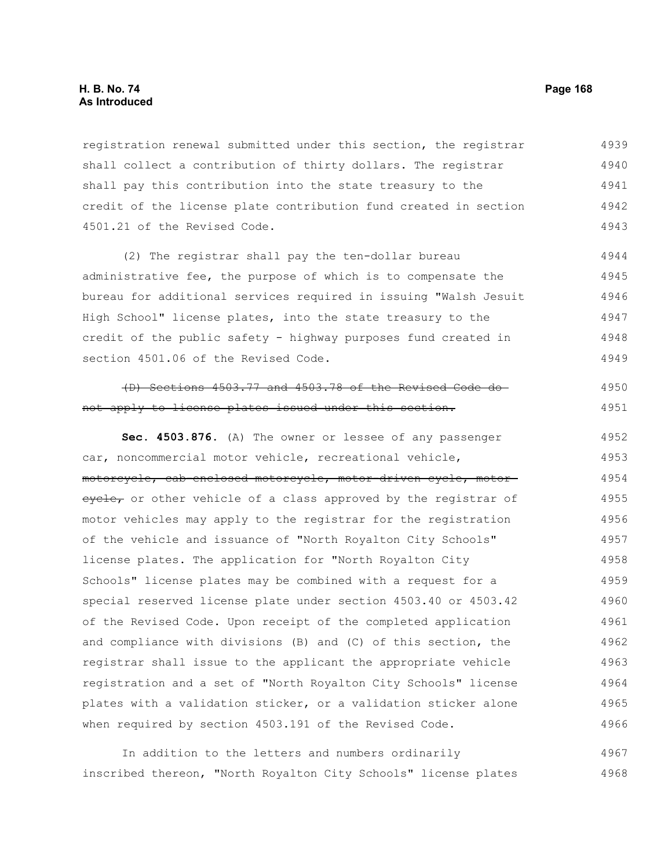#### **H. B. No. 74 Page 168 As Introduced**

registration renewal submitted under this section, the registrar shall collect a contribution of thirty dollars. The registrar shall pay this contribution into the state treasury to the credit of the license plate contribution fund created in section 4501.21 of the Revised Code. 4939 4940 4941 4942 4943

(2) The registrar shall pay the ten-dollar bureau administrative fee, the purpose of which is to compensate the bureau for additional services required in issuing "Walsh Jesuit High School" license plates, into the state treasury to the credit of the public safety - highway purposes fund created in section 4501.06 of the Revised Code. 4944 4945 4946 4947 4948 4949

#### (D) Sections 4503.77 and 4503.78 of the Revised Code do not apply to license plates issued under this section. 4950 4951

**Sec. 4503.876.** (A) The owner or lessee of any passenger car, noncommercial motor vehicle, recreational vehicle, motorcycle, cab-enclosed motorcycle, motor-driven cycle, motor eyele, or other vehicle of a class approved by the registrar of motor vehicles may apply to the registrar for the registration of the vehicle and issuance of "North Royalton City Schools" license plates. The application for "North Royalton City Schools" license plates may be combined with a request for a special reserved license plate under section 4503.40 or 4503.42 of the Revised Code. Upon receipt of the completed application and compliance with divisions (B) and (C) of this section, the registrar shall issue to the applicant the appropriate vehicle registration and a set of "North Royalton City Schools" license plates with a validation sticker, or a validation sticker alone when required by section 4503.191 of the Revised Code. 4952 4953 4954 4955 4956 4957 4958 4959 4960 4961 4962 4963 4964 4965 4966

In addition to the letters and numbers ordinarily inscribed thereon, "North Royalton City Schools" license plates 4967 4968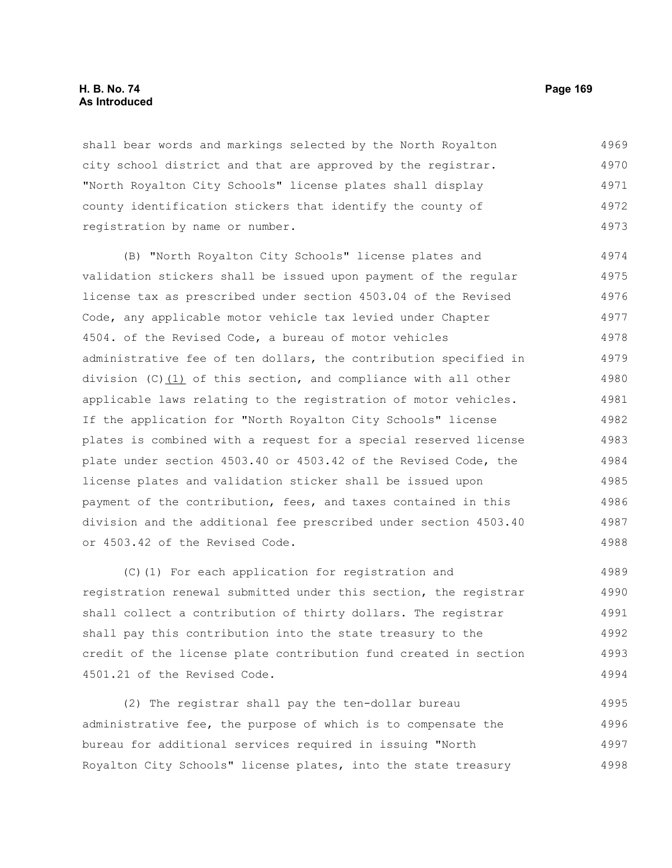#### **H. B. No. 74 Page 169 As Introduced**

shall bear words and markings selected by the North Royalton city school district and that are approved by the registrar. "North Royalton City Schools" license plates shall display county identification stickers that identify the county of registration by name or number. 4969 4970 4971 4972 4973

(B) "North Royalton City Schools" license plates and validation stickers shall be issued upon payment of the regular license tax as prescribed under section 4503.04 of the Revised Code, any applicable motor vehicle tax levied under Chapter 4504. of the Revised Code, a bureau of motor vehicles administrative fee of ten dollars, the contribution specified in division  $(C)$   $(1)$  of this section, and compliance with all other applicable laws relating to the registration of motor vehicles. If the application for "North Royalton City Schools" license plates is combined with a request for a special reserved license plate under section 4503.40 or 4503.42 of the Revised Code, the license plates and validation sticker shall be issued upon payment of the contribution, fees, and taxes contained in this division and the additional fee prescribed under section 4503.40 or 4503.42 of the Revised Code. 4974 4975 4976 4977 4978 4979 4980 4981 4982 4983 4984 4985 4986 4987 4988

(C)(1) For each application for registration and registration renewal submitted under this section, the registrar shall collect a contribution of thirty dollars. The registrar shall pay this contribution into the state treasury to the credit of the license plate contribution fund created in section 4501.21 of the Revised Code. 4989 4990 4991 4992 4993 4994

(2) The registrar shall pay the ten-dollar bureau administrative fee, the purpose of which is to compensate the bureau for additional services required in issuing "North Royalton City Schools" license plates, into the state treasury 4995 4996 4997 4998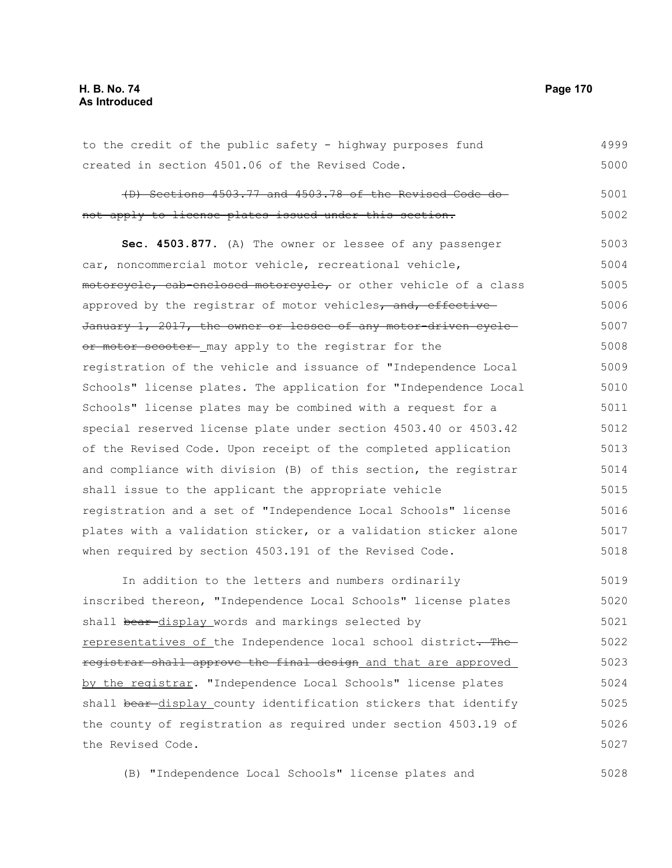to the credit of the public safety - highway purposes fund created in section 4501.06 of the Revised Code. (D) Sections 4503.77 and 4503.78 of the Revised Code do not apply to license plates issued under this section. **Sec. 4503.877.** (A) The owner or lessee of any passenger car, noncommercial motor vehicle, recreational vehicle, motorcycle, cab-enclosed motorcycle, or other vehicle of a class approved by the registrar of motor vehicles, and, effective January 1, 2017, the owner or lessee of any motor driven cycleor motor scooter- may apply to the registrar for the registration of the vehicle and issuance of "Independence Local Schools" license plates. The application for "Independence Local Schools" license plates may be combined with a request for a 4999 5000 5001 5002 5003 5004 5005 5006 5007 5008 5009 5010 5011

special reserved license plate under section 4503.40 or 4503.42 of the Revised Code. Upon receipt of the completed application and compliance with division (B) of this section, the registrar shall issue to the applicant the appropriate vehicle registration and a set of "Independence Local Schools" license plates with a validation sticker, or a validation sticker alone when required by section 4503.191 of the Revised Code. 5012 5013 5014 5015 5016 5017 5018

In addition to the letters and numbers ordinarily inscribed thereon, "Independence Local Schools" license plates shall bear-display words and markings selected by representatives of the Independence local school district. The registrar shall approve the final design and that are approved by the registrar. "Independence Local Schools" license plates shall bear-display county identification stickers that identify the county of registration as required under section 4503.19 of the Revised Code. 5019 5020 5021 5022 5023 5024 5025 5026 5027

(B) "Independence Local Schools" license plates and

5028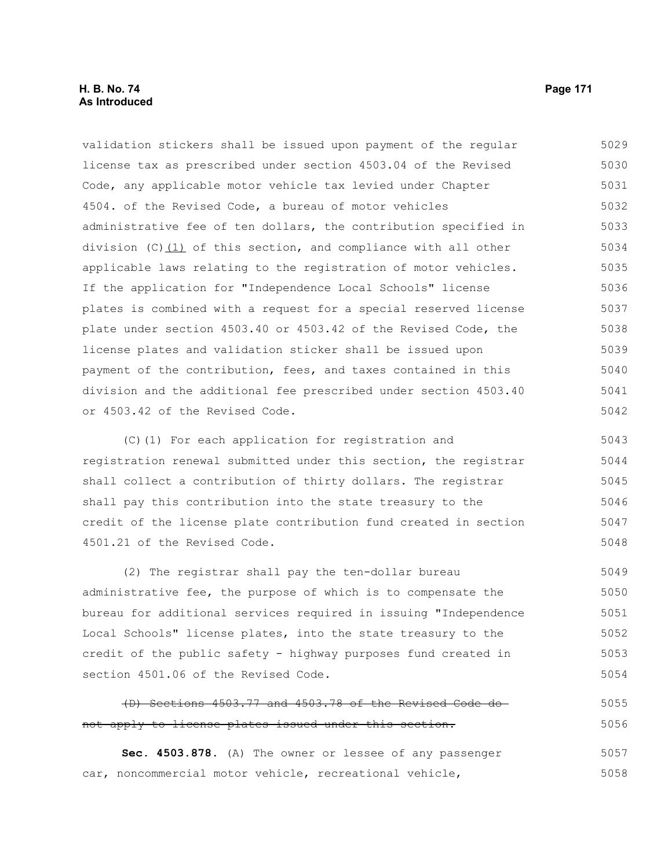validation stickers shall be issued upon payment of the regular license tax as prescribed under section 4503.04 of the Revised Code, any applicable motor vehicle tax levied under Chapter 4504. of the Revised Code, a bureau of motor vehicles administrative fee of ten dollars, the contribution specified in division (C) $(1)$  of this section, and compliance with all other applicable laws relating to the registration of motor vehicles. If the application for "Independence Local Schools" license plates is combined with a request for a special reserved license plate under section 4503.40 or 4503.42 of the Revised Code, the license plates and validation sticker shall be issued upon payment of the contribution, fees, and taxes contained in this division and the additional fee prescribed under section 4503.40 or 4503.42 of the Revised Code. 5029 5030 5031 5032 5033 5034 5035 5036 5037 5038 5039 5040 5041 5042

(C)(1) For each application for registration and registration renewal submitted under this section, the registrar shall collect a contribution of thirty dollars. The registrar shall pay this contribution into the state treasury to the credit of the license plate contribution fund created in section 4501.21 of the Revised Code. 5043 5044 5045 5046 5047 5048

(2) The registrar shall pay the ten-dollar bureau administrative fee, the purpose of which is to compensate the bureau for additional services required in issuing "Independence Local Schools" license plates, into the state treasury to the credit of the public safety - highway purposes fund created in section 4501.06 of the Revised Code. 5049 5050 5051 5052 5053 5054

#### (D) Sections 4503.77 and 4503.78 of the Revised Code do not apply to license plates issued under this section. 5055 5056

**Sec. 4503.878.** (A) The owner or lessee of any passenger car, noncommercial motor vehicle, recreational vehicle, 5057 5058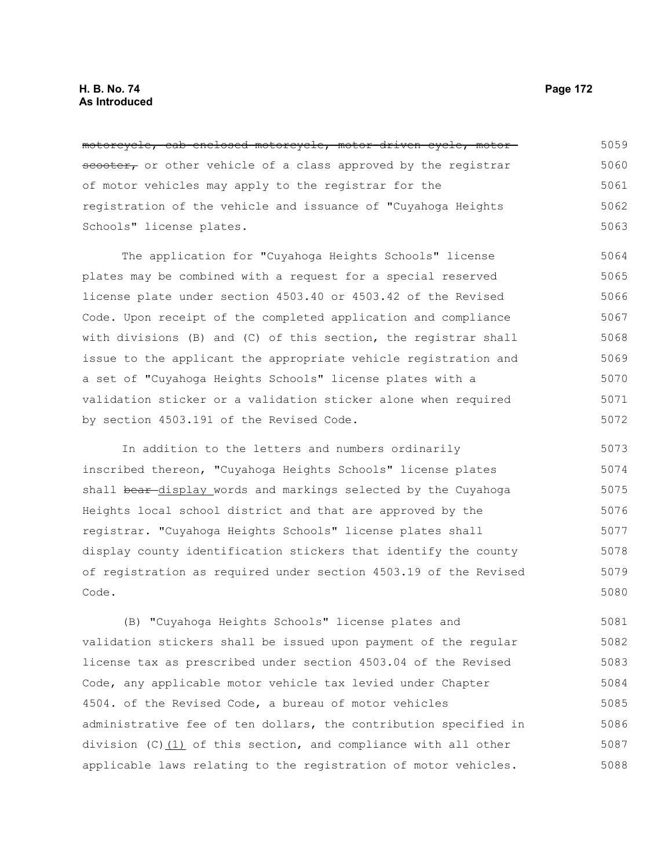scooter, or other vehicle of a class approved by the registrar of motor vehicles may apply to the registrar for the registration of the vehicle and issuance of "Cuyahoga Heights Schools" license plates. The application for "Cuyahoga Heights Schools" license plates may be combined with a request for a special reserved license plate under section 4503.40 or 4503.42 of the Revised Code. Upon receipt of the completed application and compliance with divisions (B) and (C) of this section, the registrar shall issue to the applicant the appropriate vehicle registration and a set of "Cuyahoga Heights Schools" license plates with a validation sticker or a validation sticker alone when required by section 4503.191 of the Revised Code. In addition to the letters and numbers ordinarily inscribed thereon, "Cuyahoga Heights Schools" license plates shall bear-display words and markings selected by the Cuyahoga Heights local school district and that are approved by the registrar. "Cuyahoga Heights Schools" license plates shall display county identification stickers that identify the county of registration as required under section 4503.19 of the Revised Code. (B) "Cuyahoga Heights Schools" license plates and validation stickers shall be issued upon payment of the regular 5060 5061 5062 5063 5064 5065 5066 5067 5068 5069 5070 5071 5072 5073 5074 5075 5076 5077 5078 5079 5080 5081 5082

motorcycle, cab-enclosed motorcycle, motor-driven cycle, motor

license tax as prescribed under section 4503.04 of the Revised Code, any applicable motor vehicle tax levied under Chapter 4504. of the Revised Code, a bureau of motor vehicles administrative fee of ten dollars, the contribution specified in division (C) $(1)$  of this section, and compliance with all other applicable laws relating to the registration of motor vehicles. 5083 5084 5085 5086 5087 5088

5059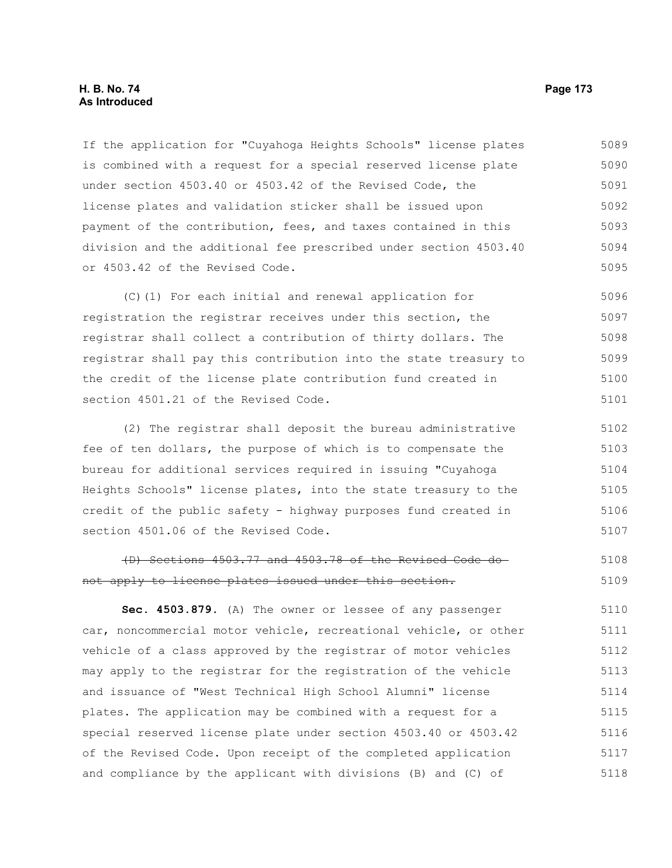### **H. B. No. 74 Page 173 As Introduced**

If the application for "Cuyahoga Heights Schools" license plates is combined with a request for a special reserved license plate under section 4503.40 or 4503.42 of the Revised Code, the license plates and validation sticker shall be issued upon payment of the contribution, fees, and taxes contained in this division and the additional fee prescribed under section 4503.40 or 4503.42 of the Revised Code. 5089 5090 5091 5092 5093 5094 5095

(C)(1) For each initial and renewal application for registration the registrar receives under this section, the registrar shall collect a contribution of thirty dollars. The registrar shall pay this contribution into the state treasury to the credit of the license plate contribution fund created in section 4501.21 of the Revised Code. 5096 5097 5098 5099 5100 5101

(2) The registrar shall deposit the bureau administrative fee of ten dollars, the purpose of which is to compensate the bureau for additional services required in issuing "Cuyahoga Heights Schools" license plates, into the state treasury to the credit of the public safety - highway purposes fund created in section 4501.06 of the Revised Code. 5102 5103 5104 5105 5106 5107

#### (D) Sections 4503.77 and 4503.78 of the Revised Code do not apply to license plates issued under this section. 5108 5109

**Sec. 4503.879.** (A) The owner or lessee of any passenger car, noncommercial motor vehicle, recreational vehicle, or other vehicle of a class approved by the registrar of motor vehicles may apply to the registrar for the registration of the vehicle and issuance of "West Technical High School Alumni" license plates. The application may be combined with a request for a special reserved license plate under section 4503.40 or 4503.42 of the Revised Code. Upon receipt of the completed application and compliance by the applicant with divisions (B) and (C) of 5110 5111 5112 5113 5114 5115 5116 5117 5118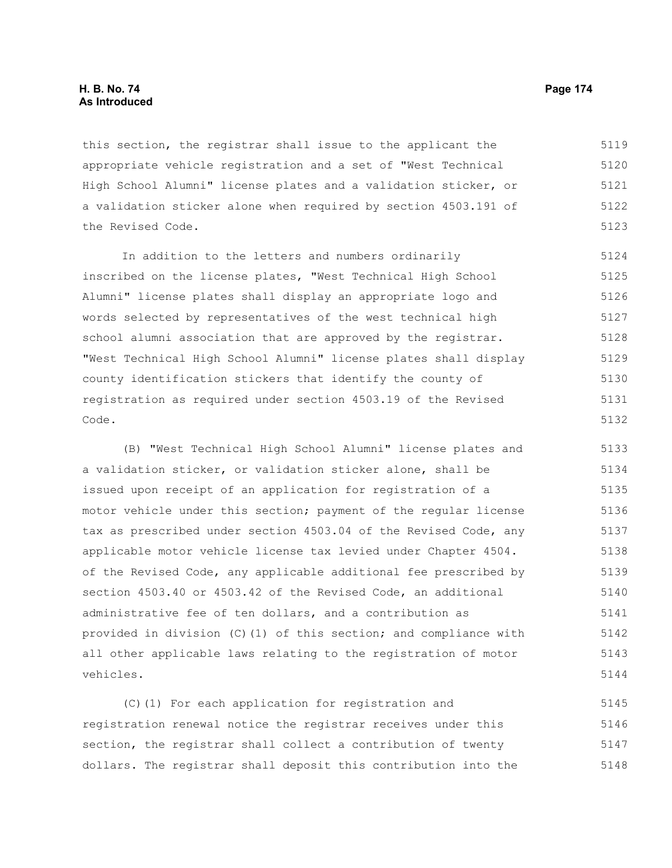### **H. B. No. 74 Page 174 As Introduced**

this section, the registrar shall issue to the applicant the appropriate vehicle registration and a set of "West Technical High School Alumni" license plates and a validation sticker, or a validation sticker alone when required by section 4503.191 of the Revised Code. 5119 5120 5121 5122 5123

In addition to the letters and numbers ordinarily inscribed on the license plates, "West Technical High School Alumni" license plates shall display an appropriate logo and words selected by representatives of the west technical high school alumni association that are approved by the registrar. "West Technical High School Alumni" license plates shall display county identification stickers that identify the county of registration as required under section 4503.19 of the Revised Code. 5124 5125 5126 5127 5128 5129 5130 5131 5132

(B) "West Technical High School Alumni" license plates and a validation sticker, or validation sticker alone, shall be issued upon receipt of an application for registration of a motor vehicle under this section; payment of the regular license tax as prescribed under section 4503.04 of the Revised Code, any applicable motor vehicle license tax levied under Chapter 4504. of the Revised Code, any applicable additional fee prescribed by section 4503.40 or 4503.42 of the Revised Code, an additional administrative fee of ten dollars, and a contribution as provided in division (C)(1) of this section; and compliance with all other applicable laws relating to the registration of motor vehicles. 5133 5134 5135 5136 5137 5138 5139 5140 5141 5142 5143 5144

(C)(1) For each application for registration and registration renewal notice the registrar receives under this section, the registrar shall collect a contribution of twenty dollars. The registrar shall deposit this contribution into the 5145 5146 5147 5148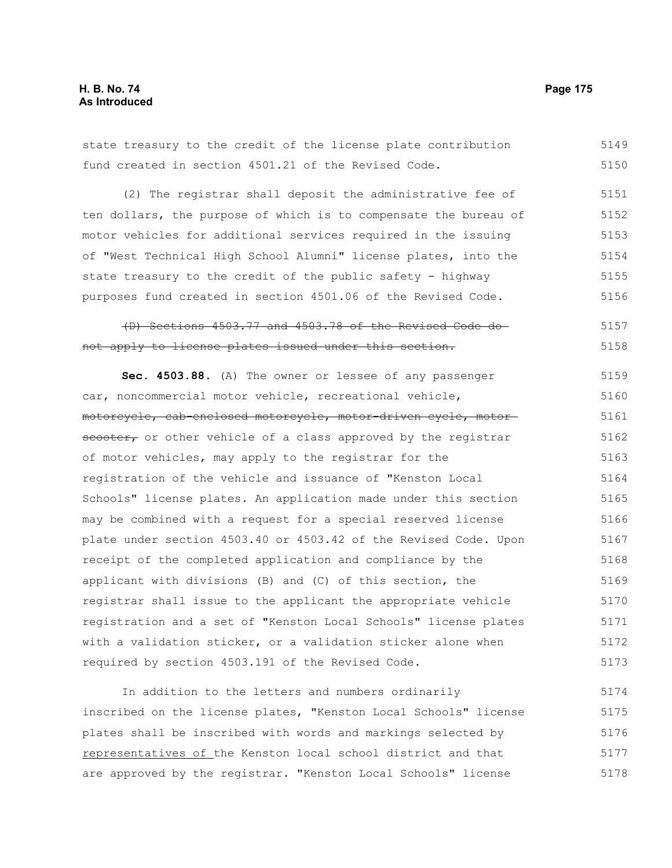| state treasury to the credit of the license plate contribution   | 5149 |
|------------------------------------------------------------------|------|
| fund created in section 4501.21 of the Revised Code.             | 5150 |
| (2) The registrar shall deposit the administrative fee of        | 5151 |
| ten dollars, the purpose of which is to compensate the bureau of | 5152 |
| motor vehicles for additional services required in the issuing   | 5153 |
| of "West Technical High School Alumni" license plates, into the  | 5154 |
| state treasury to the credit of the public safety - highway      | 5155 |
| purposes fund created in section 4501.06 of the Revised Code.    | 5156 |
| (D) Sections 4503.77 and 4503.78 of the Revised Code do-         | 5157 |
| not apply to license plates issued under this section.           | 5158 |
| Sec. 4503.88. (A) The owner or lessee of any passenger           | 5159 |
| car, noncommercial motor vehicle, recreational vehicle,          | 5160 |
| motorcycle, cab-enclosed motorcycle, motor-driven cycle, motor-  | 5161 |
| scooter, or other vehicle of a class approved by the registrar   | 5162 |
| of motor vehicles, may apply to the registrar for the            | 5163 |
| registration of the vehicle and issuance of "Kenston Local       | 5164 |
| Schools" license plates. An application made under this section  | 5165 |
| may be combined with a request for a special reserved license    | 5166 |
| plate under section 4503.40 or 4503.42 of the Revised Code. Upon | 5167 |
| receipt of the completed application and compliance by the       | 5168 |
| applicant with divisions (B) and (C) of this section, the        | 5169 |
| registrar shall issue to the applicant the appropriate vehicle   | 5170 |
| registration and a set of "Kenston Local Schools" license plates | 5171 |
| with a validation sticker, or a validation sticker alone when    | 5172 |
| required by section 4503.191 of the Revised Code.                | 5173 |

In addition to the letters and numbers ordinarily inscribed on the license plates, "Kenston Local Schools" license plates shall be inscribed with words and markings selected by representatives of the Kenston local school district and that are approved by the registrar. "Kenston Local Schools" license 5174 5175 5176 5177 5178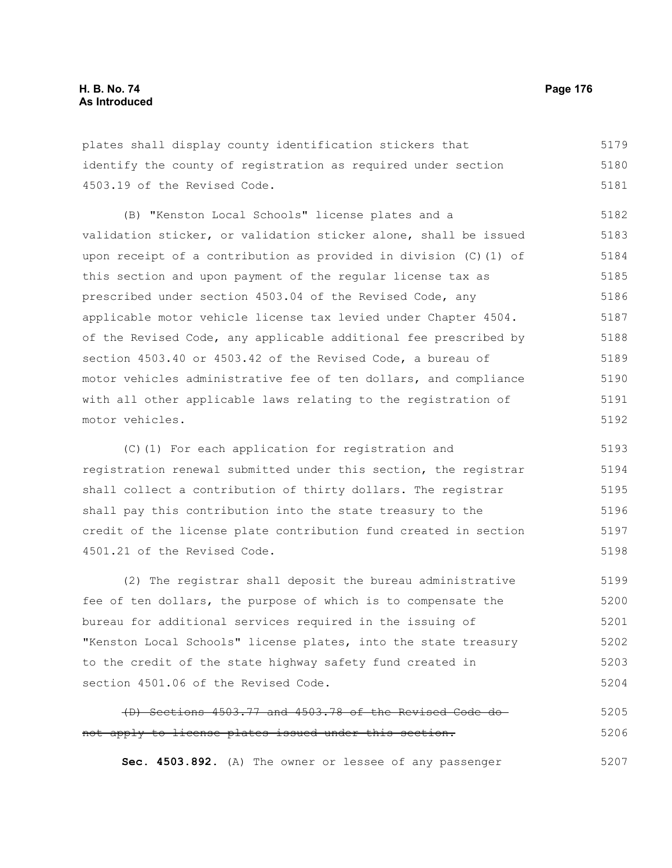plates shall display county identification stickers that identify the county of registration as required under section 4503.19 of the Revised Code. 5179 5180 5181

(B) "Kenston Local Schools" license plates and a validation sticker, or validation sticker alone, shall be issued upon receipt of a contribution as provided in division (C)(1) of this section and upon payment of the regular license tax as prescribed under section 4503.04 of the Revised Code, any applicable motor vehicle license tax levied under Chapter 4504. of the Revised Code, any applicable additional fee prescribed by section 4503.40 or 4503.42 of the Revised Code, a bureau of motor vehicles administrative fee of ten dollars, and compliance with all other applicable laws relating to the registration of motor vehicles. 5182 5183 5184 5185 5186 5187 5188 5189 5190 5191 5192

(C)(1) For each application for registration and registration renewal submitted under this section, the registrar shall collect a contribution of thirty dollars. The registrar shall pay this contribution into the state treasury to the credit of the license plate contribution fund created in section 4501.21 of the Revised Code. 5193 5194 5195 5196 5197 5198

(2) The registrar shall deposit the bureau administrative fee of ten dollars, the purpose of which is to compensate the bureau for additional services required in the issuing of "Kenston Local Schools" license plates, into the state treasury to the credit of the state highway safety fund created in section 4501.06 of the Revised Code. 5199 5200 5201 5202 5203 5204

(D) Sections 4503.77 and 4503.78 of the Revised Code do not apply to license plates issued under this section. 5205 5206

**Sec. 4503.892.** (A) The owner or lessee of any passenger 5207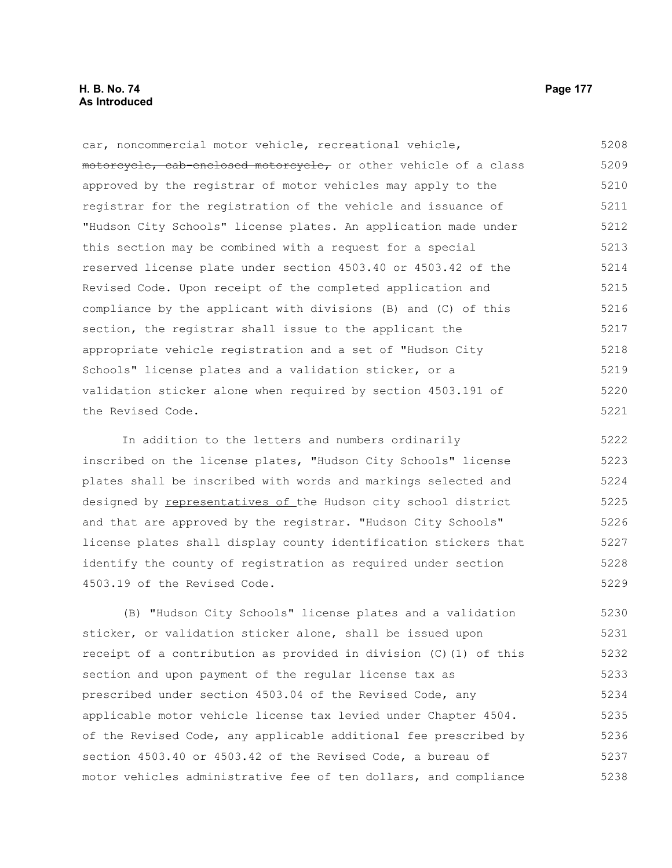## **H. B. No. 74 Page 177 As Introduced**

car, noncommercial motor vehicle, recreational vehicle, motorcycle, cab-enclosed motorcycle, or other vehicle of a class approved by the registrar of motor vehicles may apply to the registrar for the registration of the vehicle and issuance of "Hudson City Schools" license plates. An application made under this section may be combined with a request for a special reserved license plate under section 4503.40 or 4503.42 of the Revised Code. Upon receipt of the completed application and compliance by the applicant with divisions (B) and (C) of this section, the registrar shall issue to the applicant the appropriate vehicle registration and a set of "Hudson City Schools" license plates and a validation sticker, or a validation sticker alone when required by section 4503.191 of the Revised Code. 5208 5209 5210 5211 5212 5213 5214 5215 5216 5217 5218 5219 5220 5221

In addition to the letters and numbers ordinarily inscribed on the license plates, "Hudson City Schools" license plates shall be inscribed with words and markings selected and designed by representatives of the Hudson city school district and that are approved by the registrar. "Hudson City Schools" license plates shall display county identification stickers that identify the county of registration as required under section 4503.19 of the Revised Code. 5222 5223 5224 5225 5226 5227 5228 5229

(B) "Hudson City Schools" license plates and a validation sticker, or validation sticker alone, shall be issued upon receipt of a contribution as provided in division (C)(1) of this section and upon payment of the regular license tax as prescribed under section 4503.04 of the Revised Code, any applicable motor vehicle license tax levied under Chapter 4504. of the Revised Code, any applicable additional fee prescribed by section 4503.40 or 4503.42 of the Revised Code, a bureau of motor vehicles administrative fee of ten dollars, and compliance 5230 5231 5232 5233 5234 5235 5236 5237 5238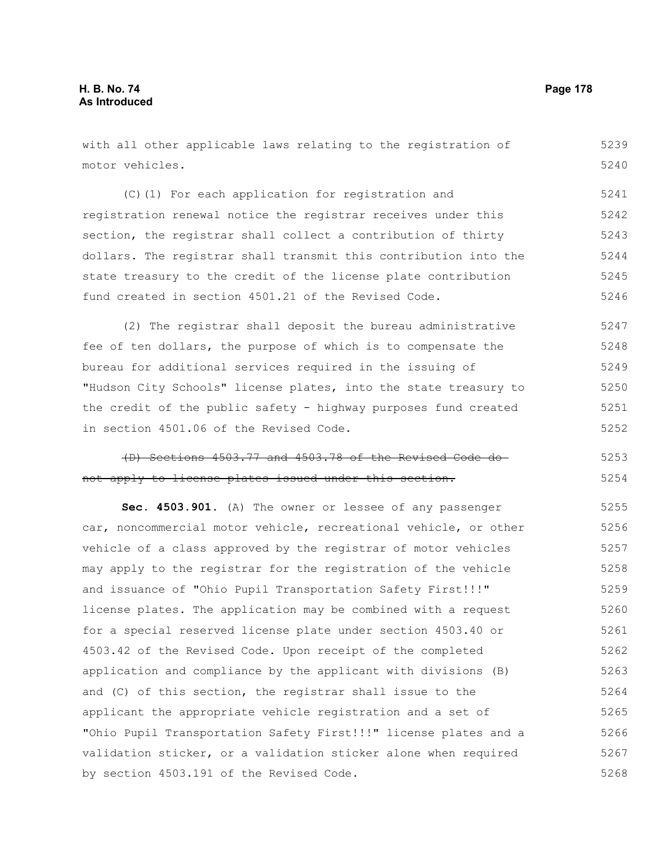#### with all other applicable laws relating to the registration of motor vehicles. (C)(1) For each application for registration and registration renewal notice the registrar receives under this section, the registrar shall collect a contribution of thirty dollars. The registrar shall transmit this contribution into the state treasury to the credit of the license plate contribution fund created in section 4501.21 of the Revised Code. (2) The registrar shall deposit the bureau administrative fee of ten dollars, the purpose of which is to compensate the bureau for additional services required in the issuing of "Hudson City Schools" license plates, into the state treasury to the credit of the public safety - highway purposes fund created in section 4501.06 of the Revised Code. (D) Sections 4503.77 and 4503.78 of the Revised Code do not apply to license plates issued under this section. **Sec. 4503.901.** (A) The owner or lessee of any passenger car, noncommercial motor vehicle, recreational vehicle, or other vehicle of a class approved by the registrar of motor vehicles may apply to the registrar for the registration of the vehicle and issuance of "Ohio Pupil Transportation Safety First!!!" license plates. The application may be combined with a request for a special reserved license plate under section 4503.40 or 4503.42 of the Revised Code. Upon receipt of the completed application and compliance by the applicant with divisions (B) and (C) of this section, the registrar shall issue to the applicant the appropriate vehicle registration and a set of "Ohio Pupil Transportation Safety First!!!" license plates and a validation sticker, or a validation sticker alone when required by section 4503.191 of the Revised Code. 5239 5240 5241 5242 5243 5244 5245 5246 5247 5248 5249 5250 5251 5252 5253 5254 5255 5256 5257 5258 5259 5260 5261 5262 5263 5264 5265 5266 5267 5268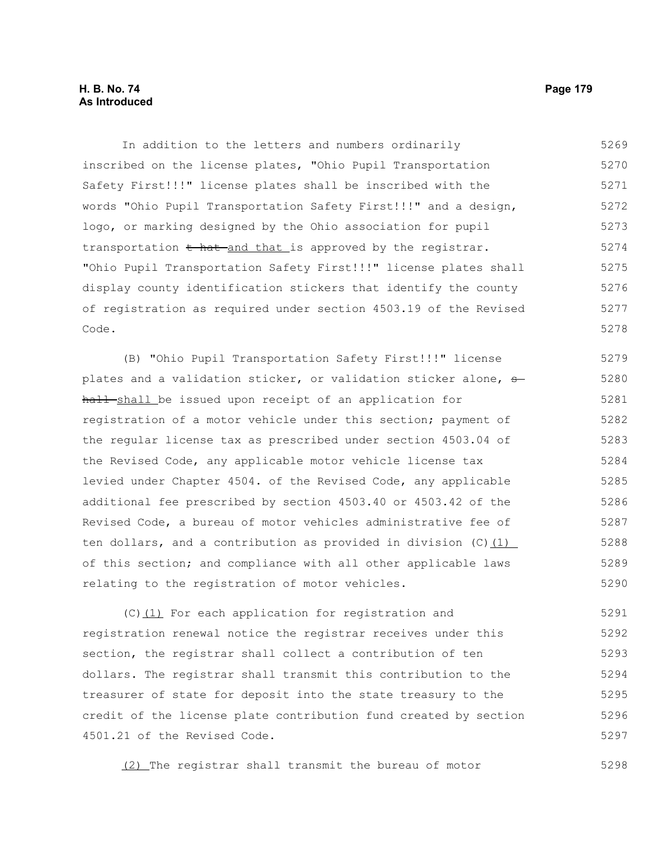#### **H. B. No. 74 Page 179 As Introduced**

In addition to the letters and numbers ordinarily inscribed on the license plates, "Ohio Pupil Transportation Safety First!!!" license plates shall be inscribed with the words "Ohio Pupil Transportation Safety First!!!" and a design, logo, or marking designed by the Ohio association for pupil transportation  $t$  hat and that is approved by the registrar. "Ohio Pupil Transportation Safety First!!!" license plates shall display county identification stickers that identify the county of registration as required under section 4503.19 of the Revised Code. 5269 5270 5271 5272 5273 5274 5275 5276 5277 5278

(B) "Ohio Pupil Transportation Safety First!!!" license plates and a validation sticker, or validation sticker alone,  $\theta$ hall-shall be issued upon receipt of an application for registration of a motor vehicle under this section; payment of the regular license tax as prescribed under section 4503.04 of the Revised Code, any applicable motor vehicle license tax levied under Chapter 4504. of the Revised Code, any applicable additional fee prescribed by section 4503.40 or 4503.42 of the Revised Code, a bureau of motor vehicles administrative fee of ten dollars, and a contribution as provided in division  $(C)$   $(1)$ of this section; and compliance with all other applicable laws relating to the registration of motor vehicles. 5279 5280 5281 5282 5283 5284 5285 5286 5287 5288 5289 5290

(C) (1) For each application for registration and registration renewal notice the registrar receives under this section, the registrar shall collect a contribution of ten dollars. The registrar shall transmit this contribution to the treasurer of state for deposit into the state treasury to the credit of the license plate contribution fund created by section 4501.21 of the Revised Code. 5291 5292 5293 5294 5295 5296 5297

(2) The registrar shall transmit the bureau of motor

5298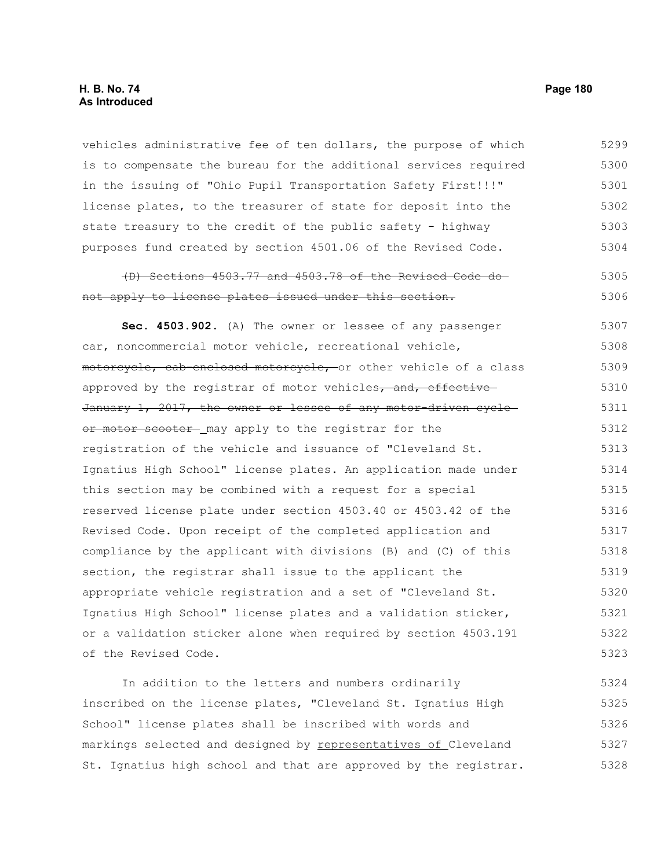vehicles administrative fee of ten dollars, the purpose of which is to compensate the bureau for the additional services required in the issuing of "Ohio Pupil Transportation Safety First!!!" license plates, to the treasurer of state for deposit into the state treasury to the credit of the public safety - highway purposes fund created by section 4501.06 of the Revised Code. 5299 5300 5301 5302 5303 5304

# (D) Sections 4503.77 and 4503.78 of the Revised Code do not apply to license plates issued under this section.

**Sec. 4503.902.** (A) The owner or lessee of any passenger car, noncommercial motor vehicle, recreational vehicle, motorcycle, cab-enclosed motorcycle, or other vehicle of a class approved by the registrar of motor vehicles, and, effective January 1, 2017, the owner or lessee of any motor-driven cycleor motor scooter may apply to the registrar for the registration of the vehicle and issuance of "Cleveland St. Ignatius High School" license plates. An application made under this section may be combined with a request for a special reserved license plate under section 4503.40 or 4503.42 of the Revised Code. Upon receipt of the completed application and compliance by the applicant with divisions (B) and (C) of this section, the registrar shall issue to the applicant the appropriate vehicle registration and a set of "Cleveland St. Ignatius High School" license plates and a validation sticker, or a validation sticker alone when required by section 4503.191 of the Revised Code. 5307 5308 5309 5310 5311 5312 5313 5314 5315 5316 5317 5318 5319 5320 5321 5322 5323

In addition to the letters and numbers ordinarily inscribed on the license plates, "Cleveland St. Ignatius High School" license plates shall be inscribed with words and markings selected and designed by representatives of Cleveland St. Ignatius high school and that are approved by the registrar. 5324 5325 5326 5327 5328

5305 5306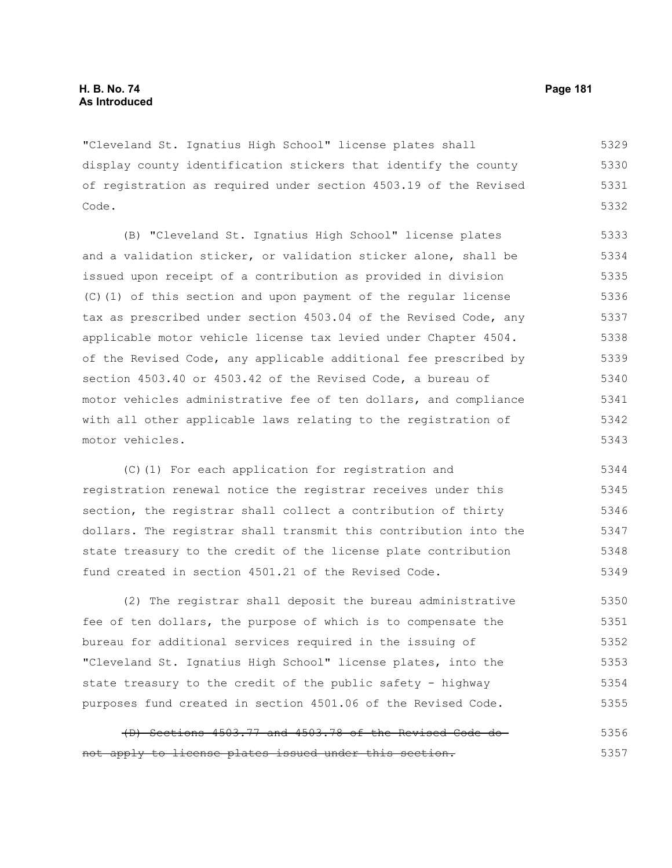"Cleveland St. Ignatius High School" license plates shall display county identification stickers that identify the county of registration as required under section 4503.19 of the Revised Code. 5329 5330 5331 5332

(B) "Cleveland St. Ignatius High School" license plates and a validation sticker, or validation sticker alone, shall be issued upon receipt of a contribution as provided in division (C)(1) of this section and upon payment of the regular license tax as prescribed under section 4503.04 of the Revised Code, any applicable motor vehicle license tax levied under Chapter 4504. of the Revised Code, any applicable additional fee prescribed by section 4503.40 or 4503.42 of the Revised Code, a bureau of motor vehicles administrative fee of ten dollars, and compliance with all other applicable laws relating to the registration of motor vehicles. 5333 5334 5335 5336 5337 5338 5339 5340 5341 5342 5343

(C)(1) For each application for registration and registration renewal notice the registrar receives under this section, the registrar shall collect a contribution of thirty dollars. The registrar shall transmit this contribution into the state treasury to the credit of the license plate contribution fund created in section 4501.21 of the Revised Code. 5344 5345 5346 5347 5348 5349

(2) The registrar shall deposit the bureau administrative fee of ten dollars, the purpose of which is to compensate the bureau for additional services required in the issuing of "Cleveland St. Ignatius High School" license plates, into the state treasury to the credit of the public safety - highway purposes fund created in section 4501.06 of the Revised Code. 5350 5351 5352 5353 5354 5355

(D) Sections 4503.77 and 4503.78 of the Revised Code do not apply to license plates issued under this section. 5356 5357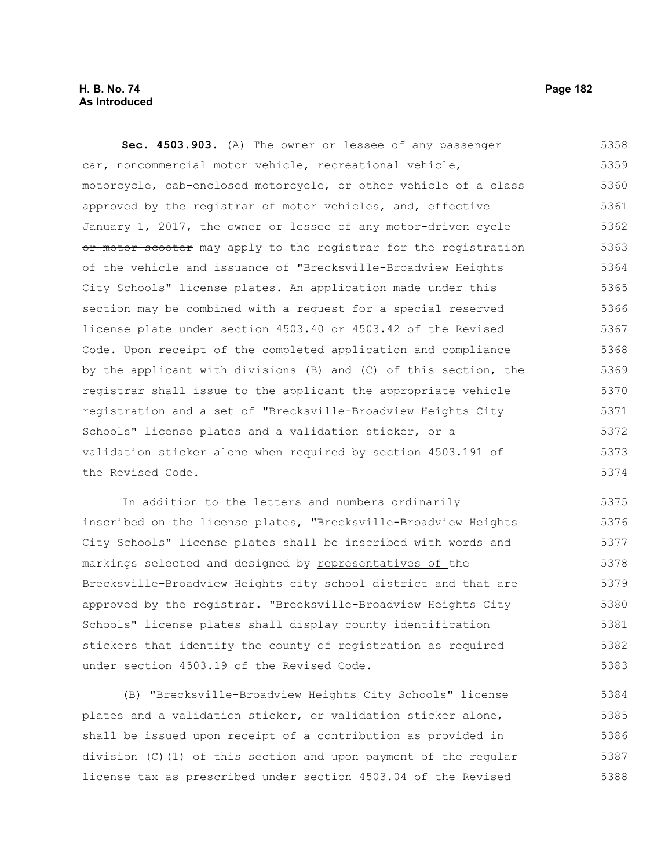**Sec. 4503.903.** (A) The owner or lessee of any passenger car, noncommercial motor vehicle, recreational vehicle, motorcycle, cab-enclosed motorcycle, or other vehicle of a class approved by the registrar of motor vehicles, and, effective January 1, 2017, the owner or lessee of any motor-driven cycleor motor scooter may apply to the registrar for the registration of the vehicle and issuance of "Brecksville-Broadview Heights City Schools" license plates. An application made under this section may be combined with a request for a special reserved license plate under section 4503.40 or 4503.42 of the Revised Code. Upon receipt of the completed application and compliance by the applicant with divisions (B) and (C) of this section, the registrar shall issue to the applicant the appropriate vehicle registration and a set of "Brecksville-Broadview Heights City Schools" license plates and a validation sticker, or a validation sticker alone when required by section 4503.191 of the Revised Code. 5358 5359 5360 5361 5362 5363 5364 5365 5366 5367 5368 5369 5370 5371 5372 5373 5374

In addition to the letters and numbers ordinarily inscribed on the license plates, "Brecksville-Broadview Heights City Schools" license plates shall be inscribed with words and markings selected and designed by representatives of the Brecksville-Broadview Heights city school district and that are approved by the registrar. "Brecksville-Broadview Heights City Schools" license plates shall display county identification stickers that identify the county of registration as required under section 4503.19 of the Revised Code. 5375 5376 5377 5378 5379 5380 5381 5382 5383

(B) "Brecksville-Broadview Heights City Schools" license plates and a validation sticker, or validation sticker alone, shall be issued upon receipt of a contribution as provided in division (C)(1) of this section and upon payment of the regular license tax as prescribed under section 4503.04 of the Revised 5384 5385 5386 5387 5388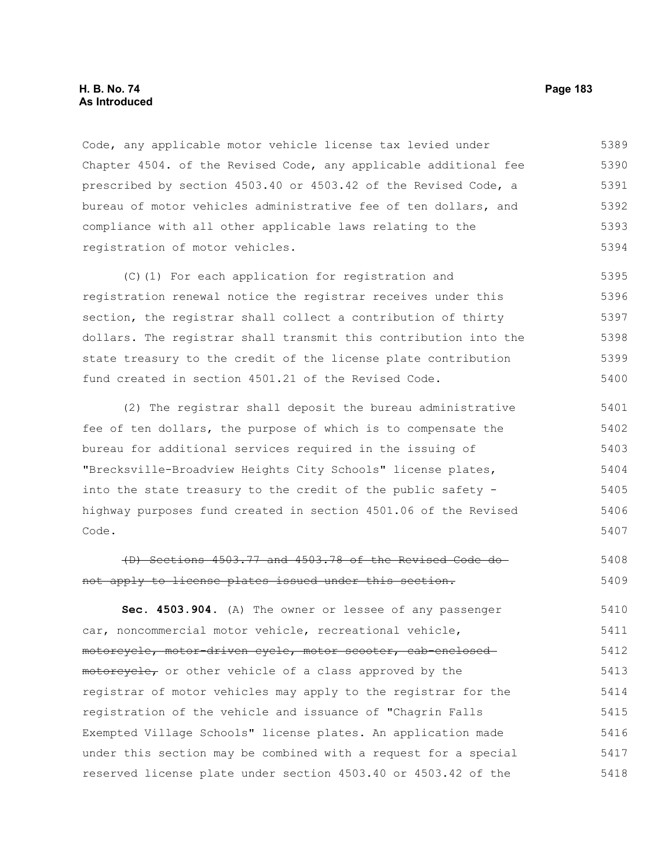#### **H. B. No. 74 Page 183 As Introduced**

Code, any applicable motor vehicle license tax levied under Chapter 4504. of the Revised Code, any applicable additional fee prescribed by section 4503.40 or 4503.42 of the Revised Code, a bureau of motor vehicles administrative fee of ten dollars, and compliance with all other applicable laws relating to the registration of motor vehicles. 5389 5390 5391 5392 5393 5394

(C)(1) For each application for registration and registration renewal notice the registrar receives under this section, the registrar shall collect a contribution of thirty dollars. The registrar shall transmit this contribution into the state treasury to the credit of the license plate contribution fund created in section 4501.21 of the Revised Code. 5395 5396 5397 5398 5399 5400

(2) The registrar shall deposit the bureau administrative fee of ten dollars, the purpose of which is to compensate the bureau for additional services required in the issuing of "Brecksville-Broadview Heights City Schools" license plates, into the state treasury to the credit of the public safety highway purposes fund created in section 4501.06 of the Revised Code. 5401 5402 5403 5404 5405 5406 5407

(D) Sections 4503.77 and 4503.78 of the Revised Code do not apply to license plates issued under this section. 5408 5409

**Sec. 4503.904.** (A) The owner or lessee of any passenger car, noncommercial motor vehicle, recreational vehicle, motorcycle, motor-driven cycle, motor scooter, cab-enclosed motorcycle, or other vehicle of a class approved by the registrar of motor vehicles may apply to the registrar for the registration of the vehicle and issuance of "Chagrin Falls Exempted Village Schools" license plates. An application made under this section may be combined with a request for a special reserved license plate under section 4503.40 or 4503.42 of the 5410 5411 5412 5413 5414 5415 5416 5417 5418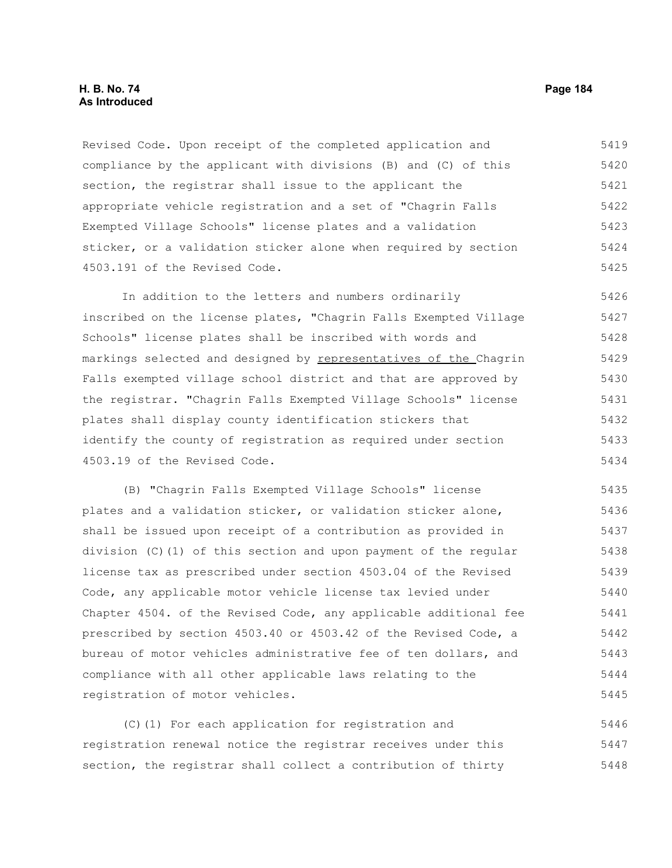## **H. B. No. 74 Page 184 As Introduced**

Revised Code. Upon receipt of the completed application and compliance by the applicant with divisions (B) and (C) of this section, the registrar shall issue to the applicant the appropriate vehicle registration and a set of "Chagrin Falls Exempted Village Schools" license plates and a validation sticker, or a validation sticker alone when required by section 4503.191 of the Revised Code. 5419 5420 5421 5422 5423 5424 5425

In addition to the letters and numbers ordinarily inscribed on the license plates, "Chagrin Falls Exempted Village Schools" license plates shall be inscribed with words and markings selected and designed by representatives of the Chagrin Falls exempted village school district and that are approved by the registrar. "Chagrin Falls Exempted Village Schools" license plates shall display county identification stickers that identify the county of registration as required under section 4503.19 of the Revised Code. 5426 5427 5428 5429 5430 5431 5432 5433 5434

(B) "Chagrin Falls Exempted Village Schools" license plates and a validation sticker, or validation sticker alone, shall be issued upon receipt of a contribution as provided in division (C)(1) of this section and upon payment of the regular license tax as prescribed under section 4503.04 of the Revised Code, any applicable motor vehicle license tax levied under Chapter 4504. of the Revised Code, any applicable additional fee prescribed by section 4503.40 or 4503.42 of the Revised Code, a bureau of motor vehicles administrative fee of ten dollars, and compliance with all other applicable laws relating to the registration of motor vehicles. 5435 5436 5437 5438 5439 5440 5441 5442 5443 5444 5445

(C)(1) For each application for registration and registration renewal notice the registrar receives under this section, the registrar shall collect a contribution of thirty 5446 5447 5448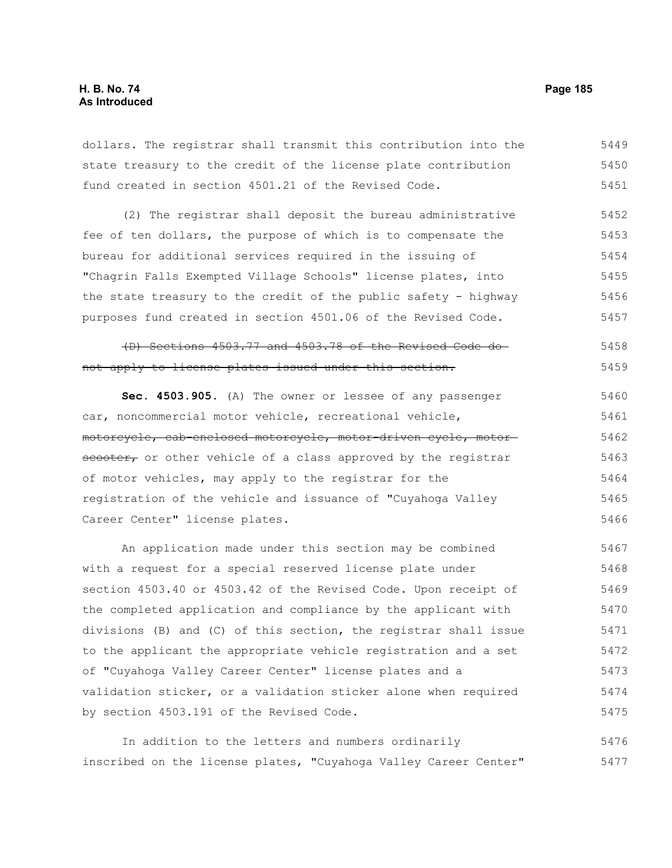dollars. The registrar shall transmit this contribution into the state treasury to the credit of the license plate contribution fund created in section 4501.21 of the Revised Code. 5449 5450 5451

(2) The registrar shall deposit the bureau administrative fee of ten dollars, the purpose of which is to compensate the bureau for additional services required in the issuing of "Chagrin Falls Exempted Village Schools" license plates, into the state treasury to the credit of the public safety - highway purposes fund created in section 4501.06 of the Revised Code. 5452 5453 5454 5455 5456 5457

#### (D) Sections 4503.77 and 4503.78 of the Revised Code do not apply to license plates issued under this section. 5458 5459

**Sec. 4503.905.** (A) The owner or lessee of any passenger car, noncommercial motor vehicle, recreational vehicle, motorcycle, cab-enclosed motorcycle, motor-driven cycle, motor scooter, or other vehicle of a class approved by the registrar of motor vehicles, may apply to the registrar for the registration of the vehicle and issuance of "Cuyahoga Valley Career Center" license plates. 5460 5461 5462 5463 5464 5465 5466

An application made under this section may be combined with a request for a special reserved license plate under section 4503.40 or 4503.42 of the Revised Code. Upon receipt of the completed application and compliance by the applicant with divisions (B) and (C) of this section, the registrar shall issue to the applicant the appropriate vehicle registration and a set of "Cuyahoga Valley Career Center" license plates and a validation sticker, or a validation sticker alone when required by section 4503.191 of the Revised Code. 5467 5468 5469 5470 5471 5472 5473 5474 5475

In addition to the letters and numbers ordinarily inscribed on the license plates, "Cuyahoga Valley Career Center" 5476 5477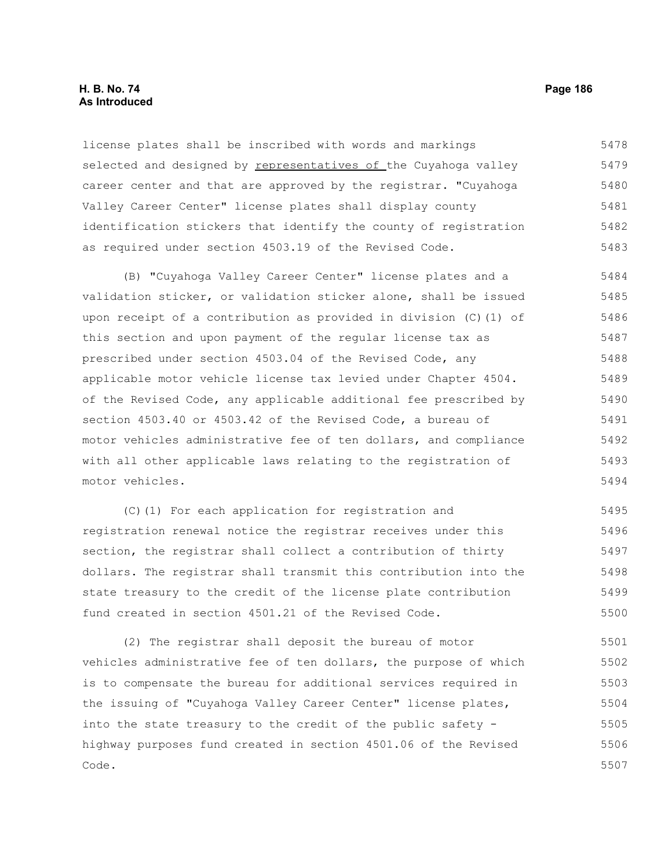#### **H. B. No. 74 Page 186 As Introduced**

license plates shall be inscribed with words and markings selected and designed by representatives of the Cuyahoga valley career center and that are approved by the registrar. "Cuyahoga Valley Career Center" license plates shall display county identification stickers that identify the county of registration as required under section 4503.19 of the Revised Code. 5478 5479 5480 5481 5482 5483

(B) "Cuyahoga Valley Career Center" license plates and a validation sticker, or validation sticker alone, shall be issued upon receipt of a contribution as provided in division (C)(1) of this section and upon payment of the regular license tax as prescribed under section 4503.04 of the Revised Code, any applicable motor vehicle license tax levied under Chapter 4504. of the Revised Code, any applicable additional fee prescribed by section 4503.40 or 4503.42 of the Revised Code, a bureau of motor vehicles administrative fee of ten dollars, and compliance with all other applicable laws relating to the registration of motor vehicles. 5484 5485 5486 5487 5488 5489 5490 5491 5492 5493 5494

(C)(1) For each application for registration and registration renewal notice the registrar receives under this section, the registrar shall collect a contribution of thirty dollars. The registrar shall transmit this contribution into the state treasury to the credit of the license plate contribution fund created in section 4501.21 of the Revised Code. 5495 5496 5497 5498 5499 5500

(2) The registrar shall deposit the bureau of motor vehicles administrative fee of ten dollars, the purpose of which is to compensate the bureau for additional services required in the issuing of "Cuyahoga Valley Career Center" license plates, into the state treasury to the credit of the public safety highway purposes fund created in section 4501.06 of the Revised Code. 5501 5502 5503 5504 5505 5506 5507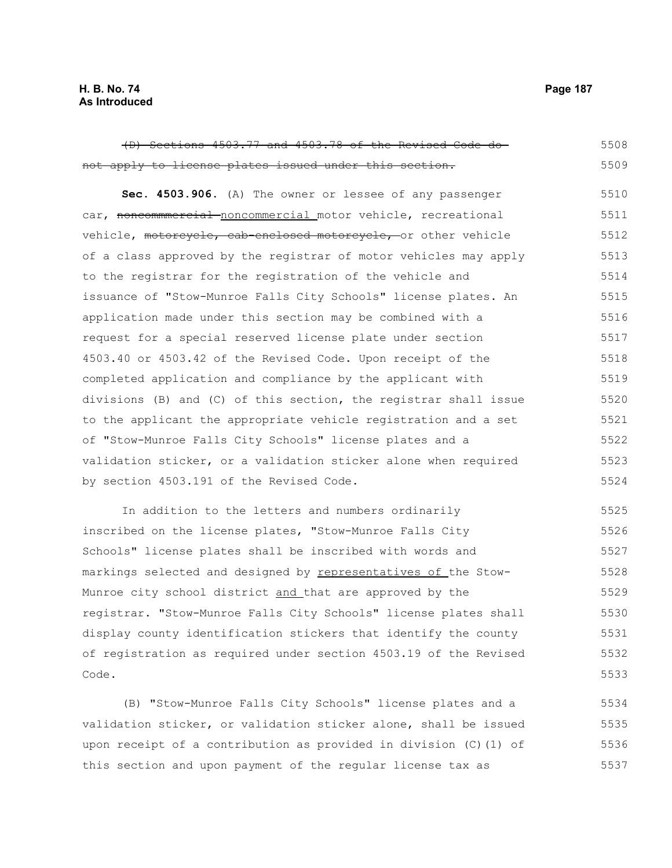(D) Sections 4503.77 and 4503.78 of the Revised Code do not apply to license plates issued under this section. **Sec. 4503.906.** (A) The owner or lessee of any passenger car, noncommmercial noncommercial motor vehicle, recreational vehicle, motorcycle, cab-enclosed motorcycle, or other vehicle of a class approved by the registrar of motor vehicles may apply to the registrar for the registration of the vehicle and issuance of "Stow-Munroe Falls City Schools" license plates. An application made under this section may be combined with a request for a special reserved license plate under section 4503.40 or 4503.42 of the Revised Code. Upon receipt of the completed application and compliance by the applicant with divisions (B) and (C) of this section, the registrar shall issue to the applicant the appropriate vehicle registration and a set of "Stow-Munroe Falls City Schools" license plates and a validation sticker, or a validation sticker alone when required by section 4503.191 of the Revised Code. In addition to the letters and numbers ordinarily 5508 5509 5510 5511 5512 5513 5514 5515 5516 5517 5518 5519 5520 5521 5522 5523 5524 5525

inscribed on the license plates, "Stow-Munroe Falls City Schools" license plates shall be inscribed with words and markings selected and designed by representatives of the Stow-Munroe city school district and that are approved by the registrar. "Stow-Munroe Falls City Schools" license plates shall display county identification stickers that identify the county of registration as required under section 4503.19 of the Revised Code. 5526 5527 5528 5529 5530 5531 5532 5533

(B) "Stow-Munroe Falls City Schools" license plates and a validation sticker, or validation sticker alone, shall be issued upon receipt of a contribution as provided in division (C)(1) of this section and upon payment of the regular license tax as 5534 5535 5536 5537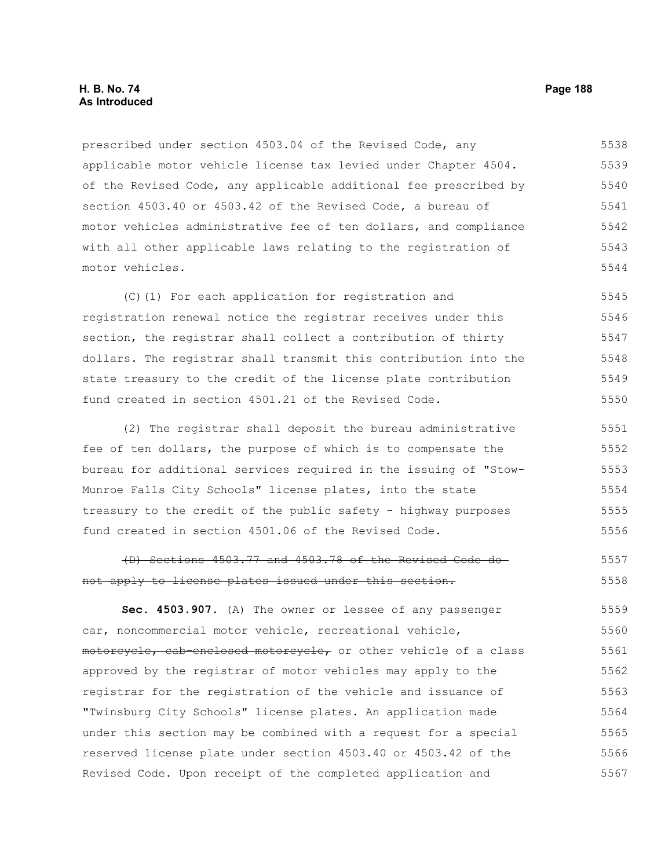# **H. B. No. 74 Page 188 As Introduced**

prescribed under section 4503.04 of the Revised Code, any applicable motor vehicle license tax levied under Chapter 4504. of the Revised Code, any applicable additional fee prescribed by section 4503.40 or 4503.42 of the Revised Code, a bureau of motor vehicles administrative fee of ten dollars, and compliance with all other applicable laws relating to the registration of motor vehicles. 5538 5539 5540 5541 5542 5543 5544

(C)(1) For each application for registration and registration renewal notice the registrar receives under this section, the registrar shall collect a contribution of thirty dollars. The registrar shall transmit this contribution into the state treasury to the credit of the license plate contribution fund created in section 4501.21 of the Revised Code. 5545 5546 5547 5548 5549 5550

(2) The registrar shall deposit the bureau administrative fee of ten dollars, the purpose of which is to compensate the bureau for additional services required in the issuing of "Stow-Munroe Falls City Schools" license plates, into the state treasury to the credit of the public safety - highway purposes fund created in section 4501.06 of the Revised Code. 5551 5552 5553 5554 5555 5556

```
(D) Sections 4503.77 and 4503.78 of the Revised Code do
not apply to license plates issued under this section.
                                                                           5557
                                                                           5558
```
**Sec. 4503.907.** (A) The owner or lessee of any passenger car, noncommercial motor vehicle, recreational vehicle, motorcycle, cab enclosed motorcycle, or other vehicle of a class approved by the registrar of motor vehicles may apply to the registrar for the registration of the vehicle and issuance of "Twinsburg City Schools" license plates. An application made under this section may be combined with a request for a special reserved license plate under section 4503.40 or 4503.42 of the Revised Code. Upon receipt of the completed application and 5559 5560 5561 5562 5563 5564 5565 5566 5567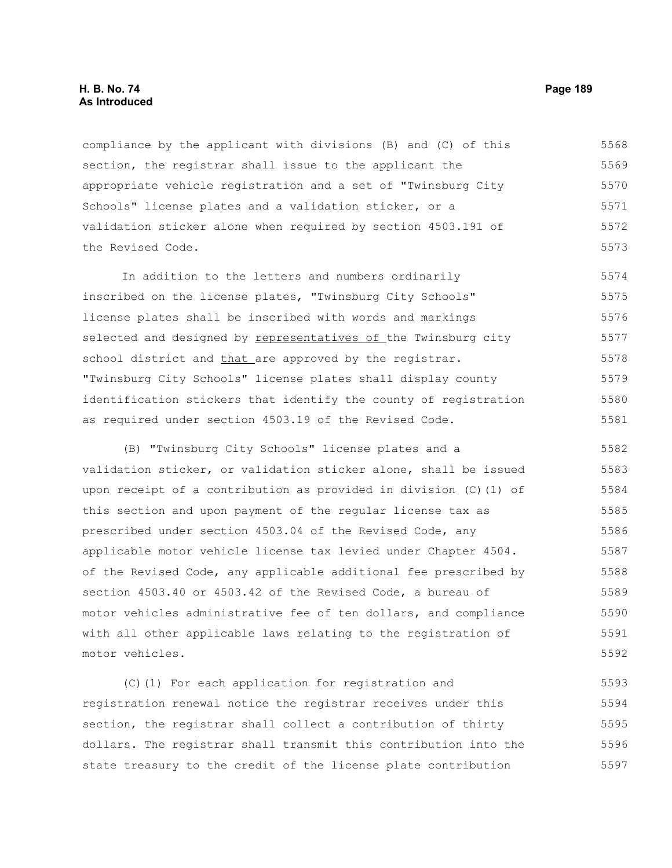## **H. B. No. 74 Page 189 As Introduced**

compliance by the applicant with divisions (B) and (C) of this section, the registrar shall issue to the applicant the appropriate vehicle registration and a set of "Twinsburg City Schools" license plates and a validation sticker, or a validation sticker alone when required by section 4503.191 of the Revised Code. 5568 5569 5570 5571 5572 5573

In addition to the letters and numbers ordinarily inscribed on the license plates, "Twinsburg City Schools" license plates shall be inscribed with words and markings selected and designed by representatives of the Twinsburg city school district and that are approved by the registrar. "Twinsburg City Schools" license plates shall display county identification stickers that identify the county of registration as required under section 4503.19 of the Revised Code. 5574 5575 5576 5577 5578 5579 5580 5581

(B) "Twinsburg City Schools" license plates and a validation sticker, or validation sticker alone, shall be issued upon receipt of a contribution as provided in division (C)(1) of this section and upon payment of the regular license tax as prescribed under section 4503.04 of the Revised Code, any applicable motor vehicle license tax levied under Chapter 4504. of the Revised Code, any applicable additional fee prescribed by section 4503.40 or 4503.42 of the Revised Code, a bureau of motor vehicles administrative fee of ten dollars, and compliance with all other applicable laws relating to the registration of motor vehicles. 5582 5583 5584 5585 5586 5587 5588 5589 5590 5591 5592

(C)(1) For each application for registration and registration renewal notice the registrar receives under this section, the registrar shall collect a contribution of thirty dollars. The registrar shall transmit this contribution into the state treasury to the credit of the license plate contribution 5593 5594 5595 5596 5597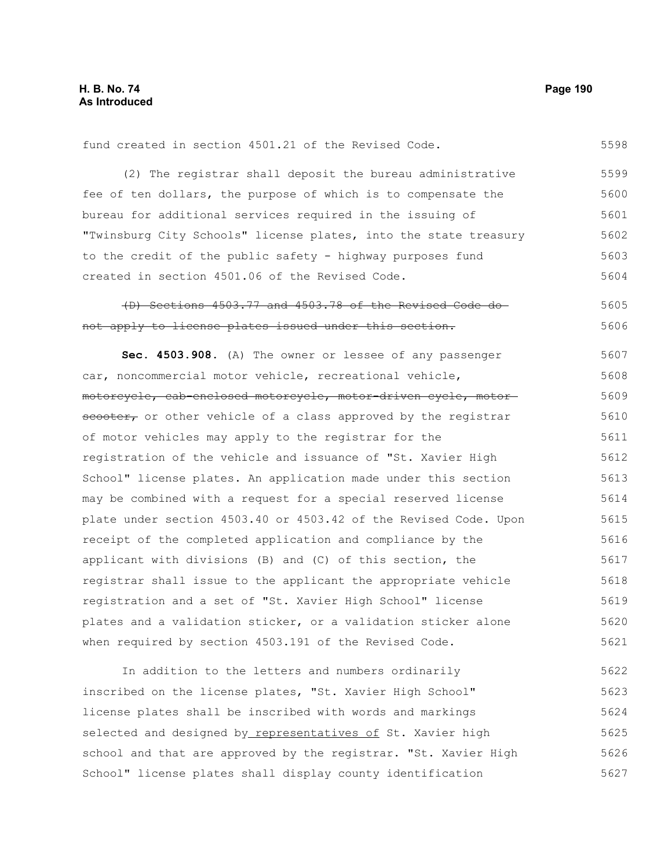5598

fund created in section 4501.21 of the Revised Code.

(2) The registrar shall deposit the bureau administrative fee of ten dollars, the purpose of which is to compensate the bureau for additional services required in the issuing of "Twinsburg City Schools" license plates, into the state treasury to the credit of the public safety - highway purposes fund created in section 4501.06 of the Revised Code. 5599 5600 5601 5602 5603 5604

(D) Sections 4503.77 and 4503.78 of the Revised Code do not apply to license plates issued under this section. 5605 5606

**Sec. 4503.908.** (A) The owner or lessee of any passenger car, noncommercial motor vehicle, recreational vehicle, motorcycle, cab-enclosed motorcycle, motor-driven cycle, motor scooter, or other vehicle of a class approved by the registrar of motor vehicles may apply to the registrar for the registration of the vehicle and issuance of "St. Xavier High School" license plates. An application made under this section may be combined with a request for a special reserved license plate under section 4503.40 or 4503.42 of the Revised Code. Upon receipt of the completed application and compliance by the applicant with divisions (B) and (C) of this section, the registrar shall issue to the applicant the appropriate vehicle registration and a set of "St. Xavier High School" license plates and a validation sticker, or a validation sticker alone when required by section 4503.191 of the Revised Code. 5607 5608 5609 5610 5611 5612 5613 5614 5615 5616 5617 5618 5619 5620 5621

In addition to the letters and numbers ordinarily inscribed on the license plates, "St. Xavier High School" license plates shall be inscribed with words and markings selected and designed by representatives of St. Xavier high school and that are approved by the registrar. "St. Xavier High School" license plates shall display county identification 5622 5623 5624 5625 5626 5627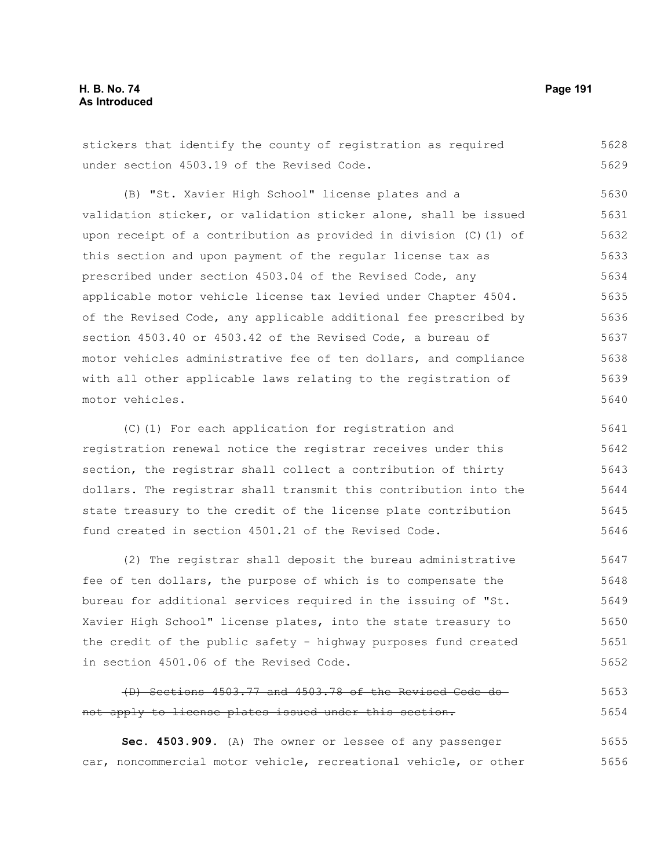# **H. B. No. 74 Page 191 As Introduced**

5628

under section 4503.19 of the Revised Code. (B) "St. Xavier High School" license plates and a validation sticker, or validation sticker alone, shall be issued upon receipt of a contribution as provided in division (C)(1) of this section and upon payment of the regular license tax as prescribed under section 4503.04 of the Revised Code, any applicable motor vehicle license tax levied under Chapter 4504. of the Revised Code, any applicable additional fee prescribed by section 4503.40 or 4503.42 of the Revised Code, a bureau of motor vehicles administrative fee of ten dollars, and compliance with all other applicable laws relating to the registration of motor vehicles. (C)(1) For each application for registration and 5629 5630 5631 5632 5633 5634 5635 5636 5637 5638 5639 5640 5641

stickers that identify the county of registration as required

registration renewal notice the registrar receives under this section, the registrar shall collect a contribution of thirty dollars. The registrar shall transmit this contribution into the state treasury to the credit of the license plate contribution fund created in section 4501.21 of the Revised Code. 5642 5643 5644 5645 5646

(2) The registrar shall deposit the bureau administrative fee of ten dollars, the purpose of which is to compensate the bureau for additional services required in the issuing of "St. Xavier High School" license plates, into the state treasury to the credit of the public safety - highway purposes fund created in section 4501.06 of the Revised Code. 5647 5648 5649 5650 5651 5652

#### (D) Sections 4503.77 and 4503.78 of the Revised Code do not apply to license plates issued under this section. 5653 5654

**Sec. 4503.909.** (A) The owner or lessee of any passenger car, noncommercial motor vehicle, recreational vehicle, or other 5655 5656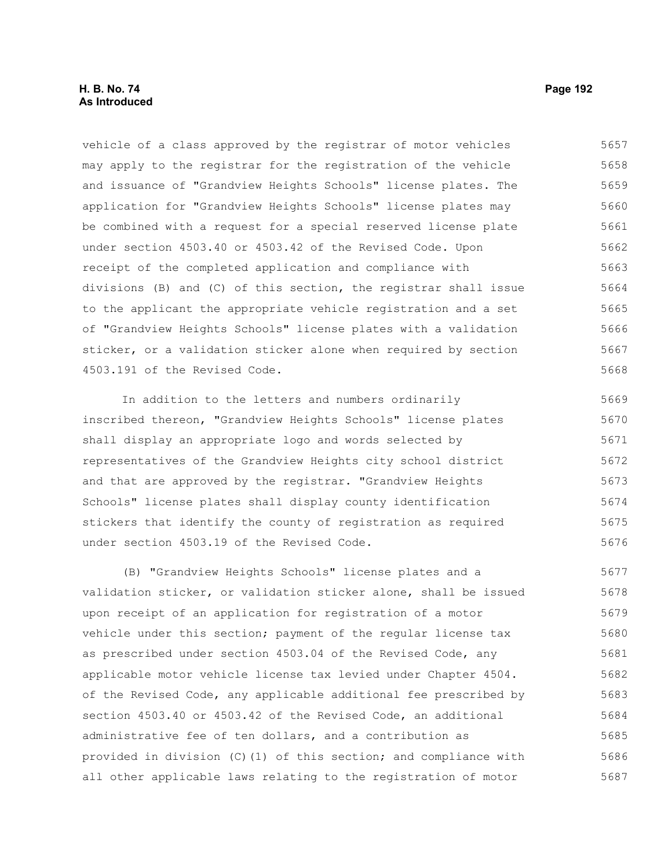# **H. B. No. 74 Page 192 As Introduced**

vehicle of a class approved by the registrar of motor vehicles may apply to the registrar for the registration of the vehicle and issuance of "Grandview Heights Schools" license plates. The application for "Grandview Heights Schools" license plates may be combined with a request for a special reserved license plate under section 4503.40 or 4503.42 of the Revised Code. Upon receipt of the completed application and compliance with divisions (B) and (C) of this section, the registrar shall issue to the applicant the appropriate vehicle registration and a set of "Grandview Heights Schools" license plates with a validation sticker, or a validation sticker alone when required by section 4503.191 of the Revised Code. 5657 5658 5659 5660 5661 5662 5663 5664 5665 5666 5667 5668

In addition to the letters and numbers ordinarily inscribed thereon, "Grandview Heights Schools" license plates shall display an appropriate logo and words selected by representatives of the Grandview Heights city school district and that are approved by the registrar. "Grandview Heights Schools" license plates shall display county identification stickers that identify the county of registration as required under section 4503.19 of the Revised Code. 5669 5670 5671 5672 5673 5674 5675 5676

(B) "Grandview Heights Schools" license plates and a validation sticker, or validation sticker alone, shall be issued upon receipt of an application for registration of a motor vehicle under this section; payment of the regular license tax as prescribed under section 4503.04 of the Revised Code, any applicable motor vehicle license tax levied under Chapter 4504. of the Revised Code, any applicable additional fee prescribed by section 4503.40 or 4503.42 of the Revised Code, an additional administrative fee of ten dollars, and a contribution as provided in division (C)(1) of this section; and compliance with all other applicable laws relating to the registration of motor 5677 5678 5679 5680 5681 5682 5683 5684 5685 5686 5687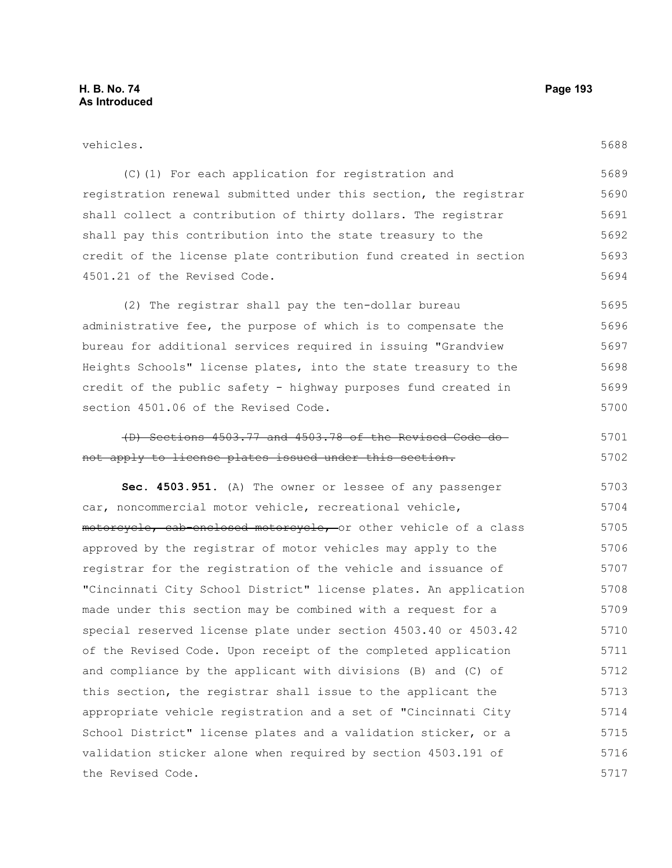the Revised Code.

5715 5716 5717

| AS Introguceg                                                    |      |
|------------------------------------------------------------------|------|
| vehicles.                                                        | 5688 |
| (C)(1) For each application for registration and                 | 5689 |
| registration renewal submitted under this section, the registrar | 5690 |
| shall collect a contribution of thirty dollars. The registrar    | 5691 |
| shall pay this contribution into the state treasury to the       | 5692 |
| credit of the license plate contribution fund created in section | 5693 |
| 4501.21 of the Revised Code.                                     | 5694 |
| (2) The registrar shall pay the ten-dollar bureau                | 5695 |
| administrative fee, the purpose of which is to compensate the    | 5696 |
| bureau for additional services required in issuing "Grandview    | 5697 |
| Heights Schools" license plates, into the state treasury to the  | 5698 |
| credit of the public safety - highway purposes fund created in   | 5699 |
| section 4501.06 of the Revised Code.                             | 5700 |
| (D) Sections 4503.77 and 4503.78 of the Revised Code do-         | 5701 |
| not apply to license plates issued under this section.           | 5702 |
| Sec. 4503.951. (A) The owner or lessee of any passenger          | 5703 |
| car, noncommercial motor vehicle, recreational vehicle,          | 5704 |
| motorcycle, cab enclosed motorcycle, or other vehicle of a class | 5705 |
| approved by the registrar of motor vehicles may apply to the     | 5706 |
| registrar for the registration of the vehicle and issuance of    | 5707 |
| "Cincinnati City School District" license plates. An application | 5708 |
| made under this section may be combined with a request for a     | 5709 |
| special reserved license plate under section 4503.40 or 4503.42  | 5710 |
| of the Revised Code. Upon receipt of the completed application   | 5711 |
| and compliance by the applicant with divisions (B) and (C) of    | 5712 |
| this section, the registrar shall issue to the applicant the     | 5713 |
| appropriate vehicle registration and a set of "Cincinnati City   | 5714 |

School District" license plates and a validation sticker, or a validation sticker alone when required by section 4503.191 of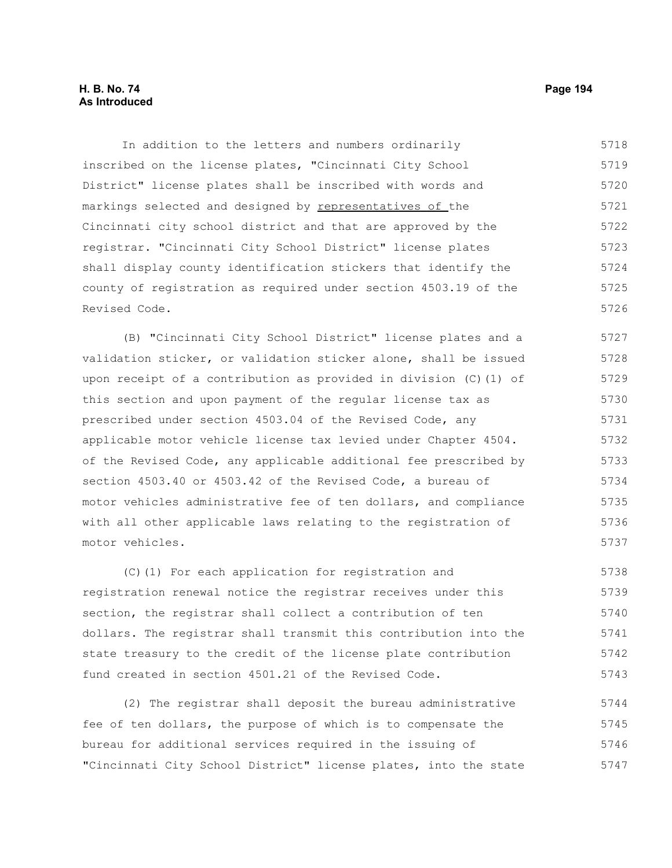#### **H. B. No. 74 Page 194 As Introduced**

In addition to the letters and numbers ordinarily inscribed on the license plates, "Cincinnati City School District" license plates shall be inscribed with words and markings selected and designed by representatives of the Cincinnati city school district and that are approved by the registrar. "Cincinnati City School District" license plates shall display county identification stickers that identify the county of registration as required under section 4503.19 of the Revised Code. 5718 5719 5720 5721 5722 5723 5724 5725 5726

(B) "Cincinnati City School District" license plates and a validation sticker, or validation sticker alone, shall be issued upon receipt of a contribution as provided in division (C)(1) of this section and upon payment of the regular license tax as prescribed under section 4503.04 of the Revised Code, any applicable motor vehicle license tax levied under Chapter 4504. of the Revised Code, any applicable additional fee prescribed by section 4503.40 or 4503.42 of the Revised Code, a bureau of motor vehicles administrative fee of ten dollars, and compliance with all other applicable laws relating to the registration of motor vehicles. 5727 5728 5729 5730 5731 5732 5733 5734 5735 5736 5737

(C)(1) For each application for registration and registration renewal notice the registrar receives under this section, the registrar shall collect a contribution of ten dollars. The registrar shall transmit this contribution into the state treasury to the credit of the license plate contribution fund created in section 4501.21 of the Revised Code. 5738 5739 5740 5741 5742 5743

(2) The registrar shall deposit the bureau administrative fee of ten dollars, the purpose of which is to compensate the bureau for additional services required in the issuing of "Cincinnati City School District" license plates, into the state 5744 5745 5746 5747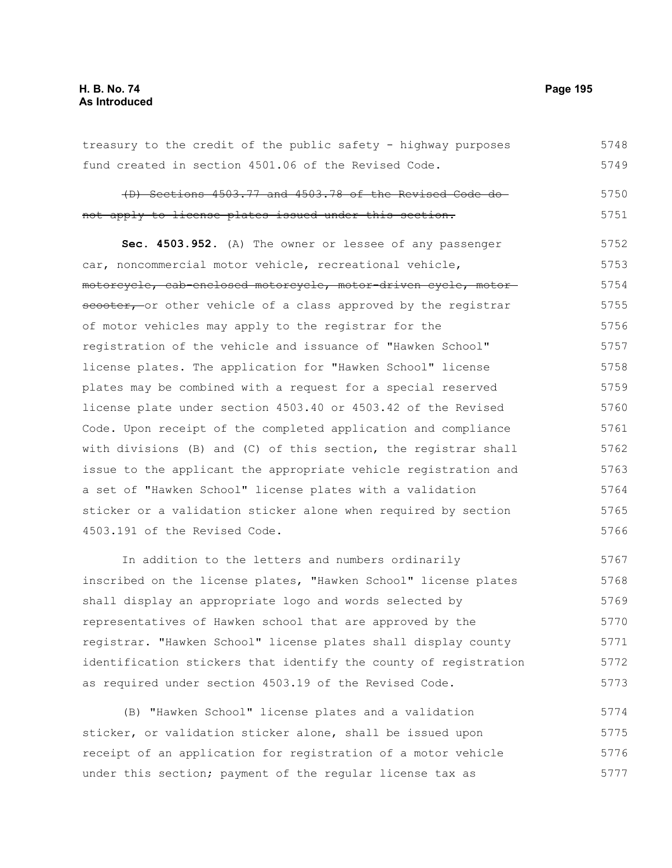treasury to the credit of the public safety - highway purposes fund created in section 4501.06 of the Revised Code. (D) Sections 4503.77 and 4503.78 of the Revised Code do not apply to license plates issued under this section. **Sec. 4503.952.** (A) The owner or lessee of any passenger car, noncommercial motor vehicle, recreational vehicle, motorcycle, cab-enclosed motorcycle, motor-driven cycle, motor scooter, or other vehicle of a class approved by the registrar of motor vehicles may apply to the registrar for the registration of the vehicle and issuance of "Hawken School" license plates. The application for "Hawken School" license plates may be combined with a request for a special reserved license plate under section 4503.40 or 4503.42 of the Revised Code. Upon receipt of the completed application and compliance with divisions (B) and (C) of this section, the registrar shall issue to the applicant the appropriate vehicle registration and a set of "Hawken School" license plates with a validation sticker or a validation sticker alone when required by section 4503.191 of the Revised Code. 5748 5749 5750 5751 5752 5753 5754 5755 5756 5757 5758 5759 5760 5761 5762 5763 5764 5765 5766

In addition to the letters and numbers ordinarily inscribed on the license plates, "Hawken School" license plates shall display an appropriate logo and words selected by representatives of Hawken school that are approved by the registrar. "Hawken School" license plates shall display county identification stickers that identify the county of registration as required under section 4503.19 of the Revised Code. 5767 5768 5769 5770 5771 5772 5773

(B) "Hawken School" license plates and a validation sticker, or validation sticker alone, shall be issued upon receipt of an application for registration of a motor vehicle under this section; payment of the regular license tax as 5774 5775 5776 5777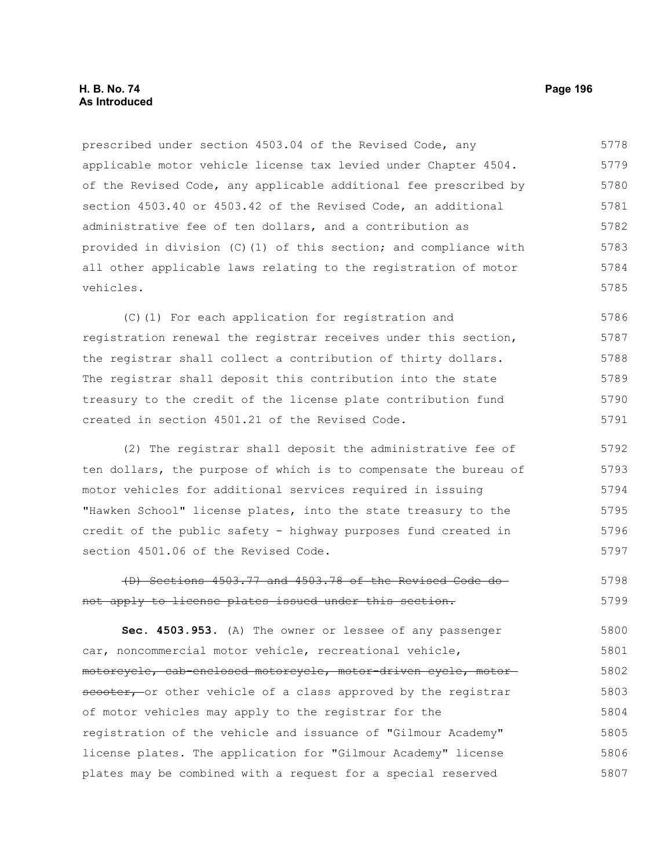# **H. B. No. 74 Page 196 As Introduced**

prescribed under section 4503.04 of the Revised Code, any applicable motor vehicle license tax levied under Chapter 4504. of the Revised Code, any applicable additional fee prescribed by section 4503.40 or 4503.42 of the Revised Code, an additional administrative fee of ten dollars, and a contribution as provided in division (C)(1) of this section; and compliance with all other applicable laws relating to the registration of motor vehicles. 5778 5779 5780 5781 5782 5783 5784 5785

(C)(1) For each application for registration and registration renewal the registrar receives under this section, the registrar shall collect a contribution of thirty dollars. The registrar shall deposit this contribution into the state treasury to the credit of the license plate contribution fund created in section 4501.21 of the Revised Code. 5786 5787 5788 5789 5790 5791

(2) The registrar shall deposit the administrative fee of ten dollars, the purpose of which is to compensate the bureau of motor vehicles for additional services required in issuing "Hawken School" license plates, into the state treasury to the credit of the public safety - highway purposes fund created in section 4501.06 of the Revised Code. 5792 5793 5794 5795 5796 5797

(D) Sections 4503.77 and 4503.78 of the Revised Code do not apply to license plates issued under this section. 5798 5799

**Sec. 4503.953.** (A) The owner or lessee of any passenger car, noncommercial motor vehicle, recreational vehicle, motorcycle, cab-enclosed motorcycle, motor-driven cycle, motorscooter, or other vehicle of a class approved by the registrar of motor vehicles may apply to the registrar for the registration of the vehicle and issuance of "Gilmour Academy" license plates. The application for "Gilmour Academy" license plates may be combined with a request for a special reserved 5800 5801 5802 5803 5804 5805 5806 5807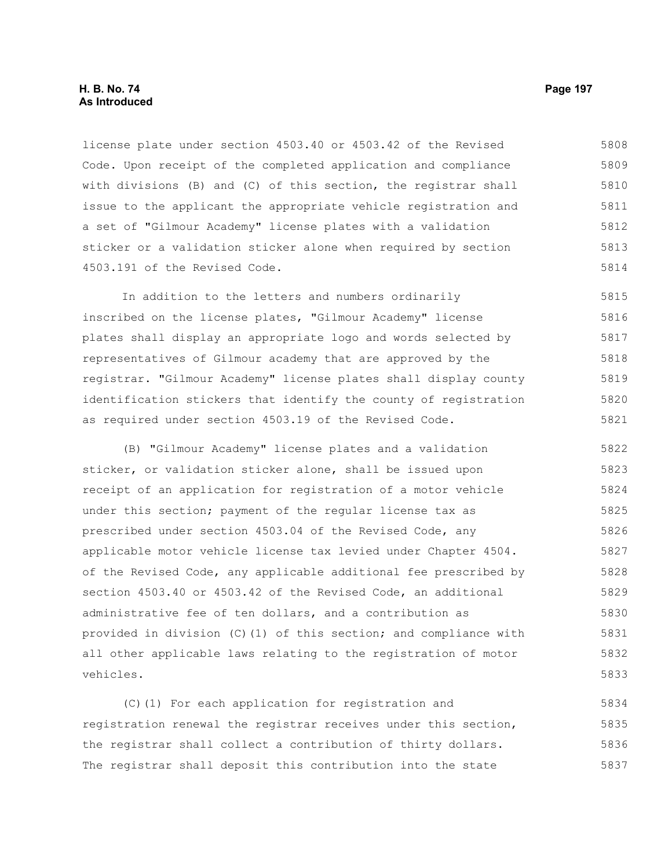# **H. B. No. 74 Page 197 As Introduced**

license plate under section 4503.40 or 4503.42 of the Revised Code. Upon receipt of the completed application and compliance with divisions (B) and (C) of this section, the registrar shall issue to the applicant the appropriate vehicle registration and a set of "Gilmour Academy" license plates with a validation sticker or a validation sticker alone when required by section 4503.191 of the Revised Code. 5808 5809 5810 5811 5812 5813 5814

In addition to the letters and numbers ordinarily inscribed on the license plates, "Gilmour Academy" license plates shall display an appropriate logo and words selected by representatives of Gilmour academy that are approved by the registrar. "Gilmour Academy" license plates shall display county identification stickers that identify the county of registration as required under section 4503.19 of the Revised Code. 5815 5816 5817 5818 5819 5820 5821

(B) "Gilmour Academy" license plates and a validation sticker, or validation sticker alone, shall be issued upon receipt of an application for registration of a motor vehicle under this section; payment of the regular license tax as prescribed under section 4503.04 of the Revised Code, any applicable motor vehicle license tax levied under Chapter 4504. of the Revised Code, any applicable additional fee prescribed by section 4503.40 or 4503.42 of the Revised Code, an additional administrative fee of ten dollars, and a contribution as provided in division (C)(1) of this section; and compliance with all other applicable laws relating to the registration of motor vehicles. 5822 5823 5824 5825 5826 5827 5828 5829 5830 5831 5832 5833

(C)(1) For each application for registration and registration renewal the registrar receives under this section, the registrar shall collect a contribution of thirty dollars. The registrar shall deposit this contribution into the state 5834 5835 5836 5837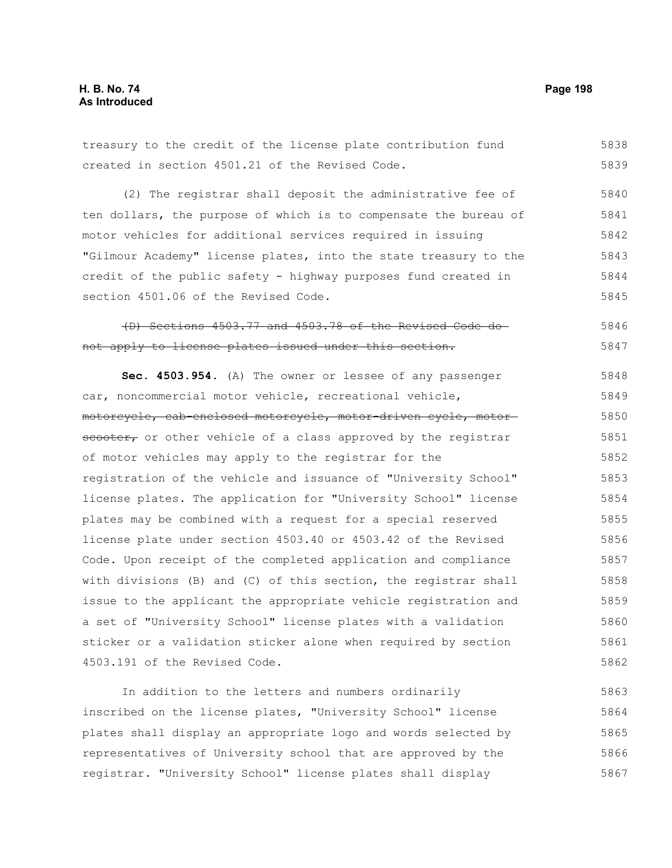| treasury to the credit of the license plate contribution fund    | 5838 |
|------------------------------------------------------------------|------|
| created in section 4501.21 of the Revised Code.                  | 5839 |
|                                                                  |      |
| (2) The registrar shall deposit the administrative fee of        | 5840 |
| ten dollars, the purpose of which is to compensate the bureau of | 5841 |
| motor vehicles for additional services required in issuing       | 5842 |
| "Gilmour Academy" license plates, into the state treasury to the | 5843 |
| credit of the public safety - highway purposes fund created in   | 5844 |
| section 4501.06 of the Revised Code.                             | 5845 |
| (D) Sections 4503.77 and 4503.78 of the Revised Code do          | 5846 |
| not apply to license plates issued under this section.           | 5847 |
| Sec. 4503.954. (A) The owner or lessee of any passenger          | 5848 |
| car, noncommercial motor vehicle, recreational vehicle,          | 5849 |
| motorcycle, cab-enclosed motorcycle, motor-driven cycle, motor-  | 5850 |
| scooter, or other vehicle of a class approved by the registrar   | 5851 |
| of motor vehicles may apply to the registrar for the             | 5852 |
| registration of the vehicle and issuance of "University School"  | 5853 |
| license plates. The application for "University School" license  | 5854 |
| plates may be combined with a request for a special reserved     | 5855 |
| license plate under section 4503.40 or 4503.42 of the Revised    | 5856 |
| Code. Upon receipt of the completed application and compliance   | 5857 |
| with divisions (B) and (C) of this section, the registrar shall  | 5858 |
| issue to the applicant the appropriate vehicle registration and  | 5859 |
| a set of "University School" license plates with a validation    | 5860 |
| sticker or a validation sticker alone when required by section   | 5861 |
| 4503.191 of the Revised Code.                                    | 5862 |
| In addition to the letters and numbers ordinarily                | 5863 |

inscribed on the license plates, "University School" license plates shall display an appropriate logo and words selected by representatives of University school that are approved by the registrar. "University School" license plates shall display 5864 5865 5866 5867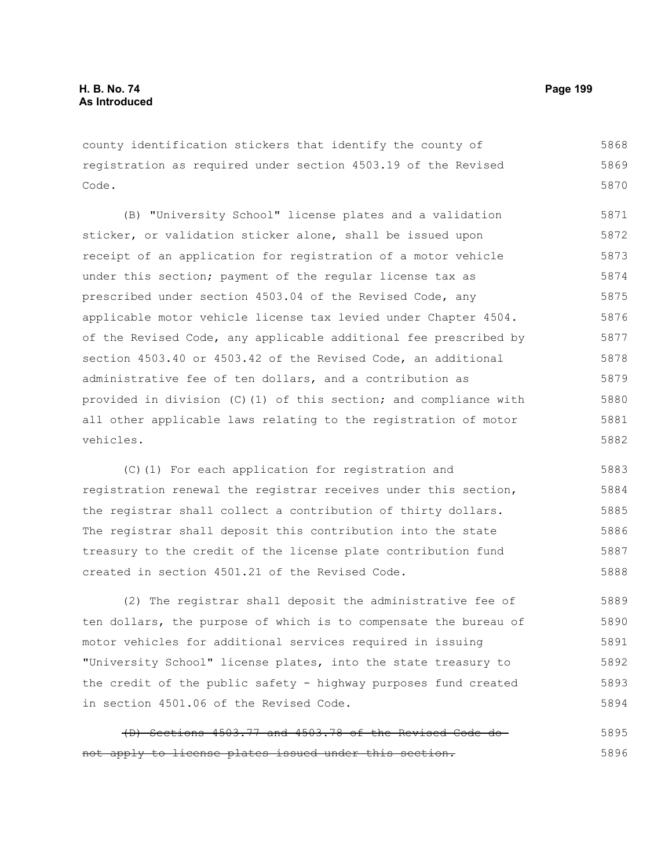county identification stickers that identify the county of registration as required under section 4503.19 of the Revised Code. 5868 5869 5870

(B) "University School" license plates and a validation sticker, or validation sticker alone, shall be issued upon receipt of an application for registration of a motor vehicle under this section; payment of the regular license tax as prescribed under section 4503.04 of the Revised Code, any applicable motor vehicle license tax levied under Chapter 4504. of the Revised Code, any applicable additional fee prescribed by section 4503.40 or 4503.42 of the Revised Code, an additional administrative fee of ten dollars, and a contribution as provided in division (C)(1) of this section; and compliance with all other applicable laws relating to the registration of motor vehicles. 5871 5872 5873 5874 5875 5876 5877 5878 5879 5880 5881 5882

(C)(1) For each application for registration and registration renewal the registrar receives under this section, the registrar shall collect a contribution of thirty dollars. The registrar shall deposit this contribution into the state treasury to the credit of the license plate contribution fund created in section 4501.21 of the Revised Code. 5883 5884 5885 5886 5887 5888

(2) The registrar shall deposit the administrative fee of ten dollars, the purpose of which is to compensate the bureau of motor vehicles for additional services required in issuing "University School" license plates, into the state treasury to the credit of the public safety - highway purposes fund created in section 4501.06 of the Revised Code. 5889 5890 5891 5892 5893 5894

(D) Sections 4503.77 and 4503.78 of the Revised Code do not apply to license plates issued under this section. 5895 5896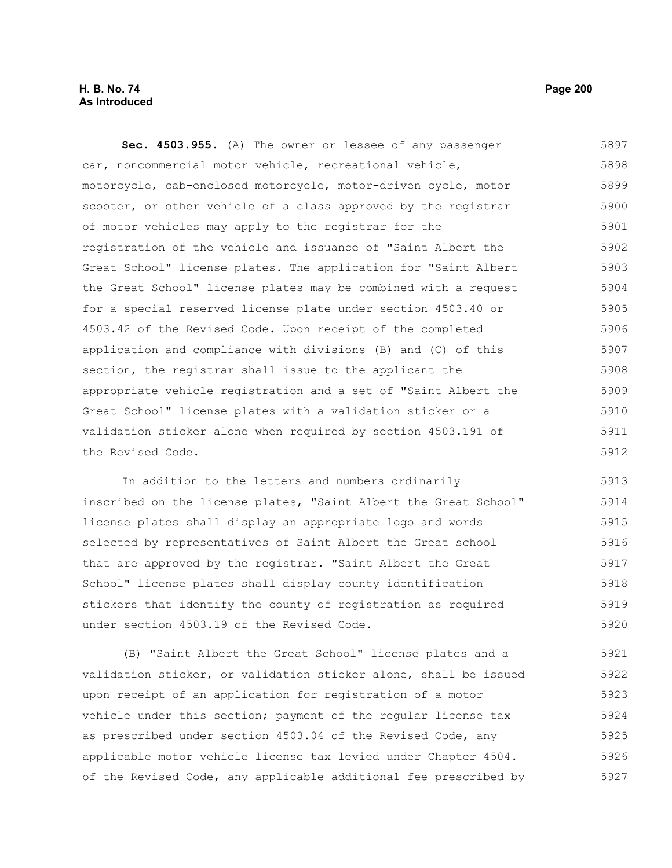**Sec. 4503.955.** (A) The owner or lessee of any passenger car, noncommercial motor vehicle, recreational vehicle, motorcycle, cab-enclosed motorcycle, motor-driven cycle, motor scooter, or other vehicle of a class approved by the registrar of motor vehicles may apply to the registrar for the registration of the vehicle and issuance of "Saint Albert the Great School" license plates. The application for "Saint Albert the Great School" license plates may be combined with a request for a special reserved license plate under section 4503.40 or 4503.42 of the Revised Code. Upon receipt of the completed application and compliance with divisions (B) and (C) of this section, the registrar shall issue to the applicant the appropriate vehicle registration and a set of "Saint Albert the Great School" license plates with a validation sticker or a validation sticker alone when required by section 4503.191 of the Revised Code. 5897 5898 5899 5900 5901 5902 5903 5904 5905 5906 5907 5908 5909 5910 5911 5912

In addition to the letters and numbers ordinarily inscribed on the license plates, "Saint Albert the Great School" license plates shall display an appropriate logo and words selected by representatives of Saint Albert the Great school that are approved by the registrar. "Saint Albert the Great School" license plates shall display county identification stickers that identify the county of registration as required under section 4503.19 of the Revised Code. 5913 5914 5915 5916 5917 5918 5919 5920

(B) "Saint Albert the Great School" license plates and a validation sticker, or validation sticker alone, shall be issued upon receipt of an application for registration of a motor vehicle under this section; payment of the regular license tax as prescribed under section 4503.04 of the Revised Code, any applicable motor vehicle license tax levied under Chapter 4504. of the Revised Code, any applicable additional fee prescribed by 5921 5922 5923 5924 5925 5926 5927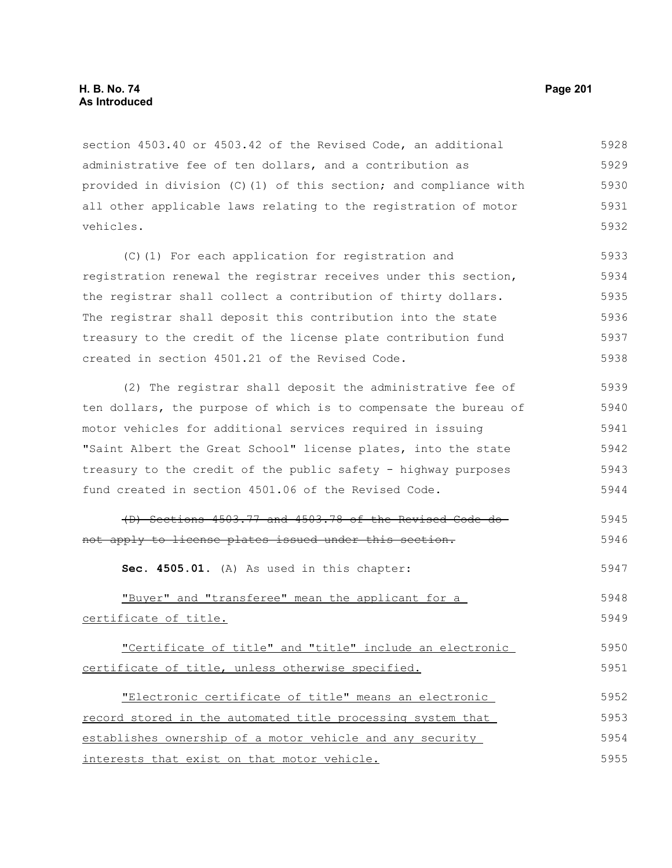# **H. B. No. 74 Page 201 As Introduced**

section 4503.40 or 4503.42 of the Revised Code, an additional administrative fee of ten dollars, and a contribution as provided in division (C)(1) of this section; and compliance with all other applicable laws relating to the registration of motor vehicles. 5928 5929 5930 5931 5932

(C)(1) For each application for registration and registration renewal the registrar receives under this section, the registrar shall collect a contribution of thirty dollars. The registrar shall deposit this contribution into the state treasury to the credit of the license plate contribution fund created in section 4501.21 of the Revised Code. 5933 5934 5935 5936 5937 5938

(2) The registrar shall deposit the administrative fee of ten dollars, the purpose of which is to compensate the bureau of motor vehicles for additional services required in issuing "Saint Albert the Great School" license plates, into the state treasury to the credit of the public safety - highway purposes fund created in section 4501.06 of the Revised Code. 5939 5940 5941 5942 5943 5944

(D) Sections 4503.77 and 4503.78 of the Revised Code do not apply to license plates issued under this section. 5945 5946

**Sec. 4505.01.** (A) As used in this chapter:

#### "Buyer" and "transferee" mean the applicant for a certificate of title. 5948 5949

"Certificate of title" and "title" include an electronic certificate of title, unless otherwise specified. 5950 5951

"Electronic certificate of title" means an electronic record stored in the automated title processing system that establishes ownership of a motor vehicle and any security interests that exist on that motor vehicle. 5952 5953 5954 5955

5947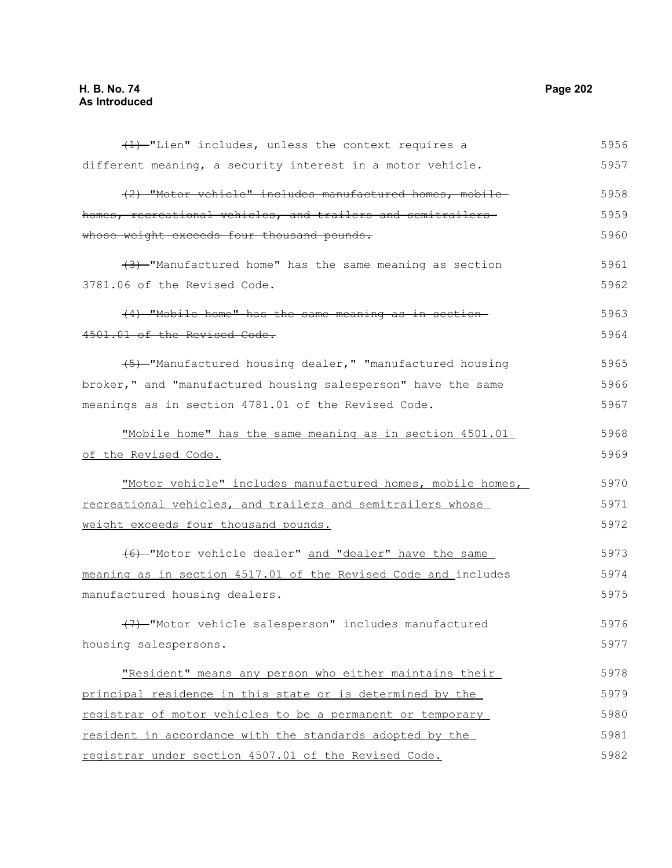$(1)$ -"Lien" includes, unless the context requires a different meaning, a security interest in a motor vehicle. (2) "Motor vehicle" includes manufactured homes, mobile homes, recreational vehicles, and trailers and semitrailers whose weight exceeds four thousand pounds. (3) "Manufactured home" has the same meaning as section 3781.06 of the Revised Code. (4) "Mobile home" has the same meaning as in section 4501.01 of the Revised Code. (5) "Manufactured housing dealer," "manufactured housing broker," and "manufactured housing salesperson" have the same meanings as in section 4781.01 of the Revised Code. "Mobile home" has the same meaning as in section 4501.01 of the Revised Code. "Motor vehicle" includes manufactured homes, mobile homes, recreational vehicles, and trailers and semitrailers whose weight exceeds four thousand pounds. (6) "Motor vehicle dealer" and "dealer" have the same meaning as in section 4517.01 of the Revised Code and includes manufactured housing dealers. (7) "Motor vehicle salesperson" includes manufactured housing salespersons. "Resident" means any person who either maintains their principal residence in this state or is determined by the registrar of motor vehicles to be a permanent or temporary resident in accordance with the standards adopted by the registrar under section 4507.01 of the Revised Code. 5956 5957 5958 5959 5960 5961 5962 5963 5964 5965 5966 5967 5968 5969 5970 5971 5972 5973 5974 5975 5976 5977 5978 5979 5980 5981 5982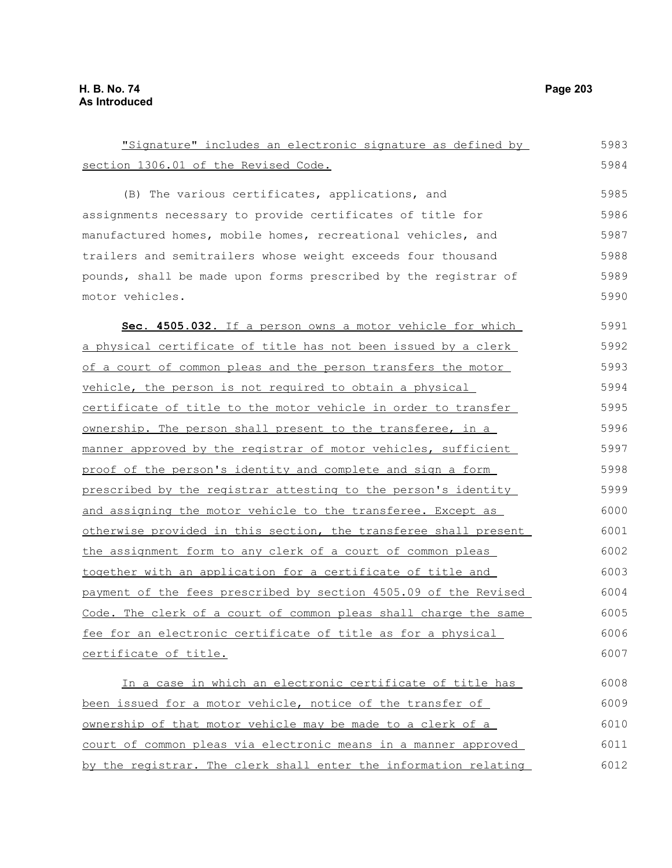| "Signature" includes an electronic signature as defined by       | 5983 |
|------------------------------------------------------------------|------|
| section 1306.01 of the Revised Code.                             | 5984 |
| (B) The various certificates, applications, and                  | 5985 |
| assignments necessary to provide certificates of title for       | 5986 |
| manufactured homes, mobile homes, recreational vehicles, and     | 5987 |
| trailers and semitrailers whose weight exceeds four thousand     | 5988 |
| pounds, shall be made upon forms prescribed by the registrar of  | 5989 |
| motor vehicles.                                                  | 5990 |
| Sec. 4505.032. If a person owns a motor vehicle for which        | 5991 |
| a physical certificate of title has not been issued by a clerk   | 5992 |
| of a court of common pleas and the person transfers the motor    | 5993 |
| vehicle, the person is not required to obtain a physical         | 5994 |
| certificate of title to the motor vehicle in order to transfer   | 5995 |
| ownership. The person shall present to the transferee, in a      | 5996 |
| manner approved by the registrar of motor vehicles, sufficient   | 5997 |
| proof of the person's identity and complete and sign a form      | 5998 |
| prescribed by the registrar attesting to the person's identity   | 5999 |
| and assigning the motor vehicle to the transferee. Except as     | 6000 |
| otherwise provided in this section, the transferee shall present | 6001 |
| the assignment form to any clerk of a court of common pleas      | 6002 |
| together with an application for a certificate of title and      | 6003 |
| payment of the fees prescribed by section 4505.09 of the Revised | 6004 |
| Code. The clerk of a court of common pleas shall charge the same | 6005 |
| fee for an electronic certificate of title as for a physical     | 6006 |
| certificate of title.                                            | 6007 |
| In a case in which an electronic certificate of title has        | 6008 |
| been issued for a motor vehicle, notice of the transfer of       | 6009 |
| ownership of that motor vehicle may be made to a clerk of a      | 6010 |
| court of common pleas via electronic means in a manner approved  | 6011 |
| by the registrar. The clerk shall enter the information relating | 6012 |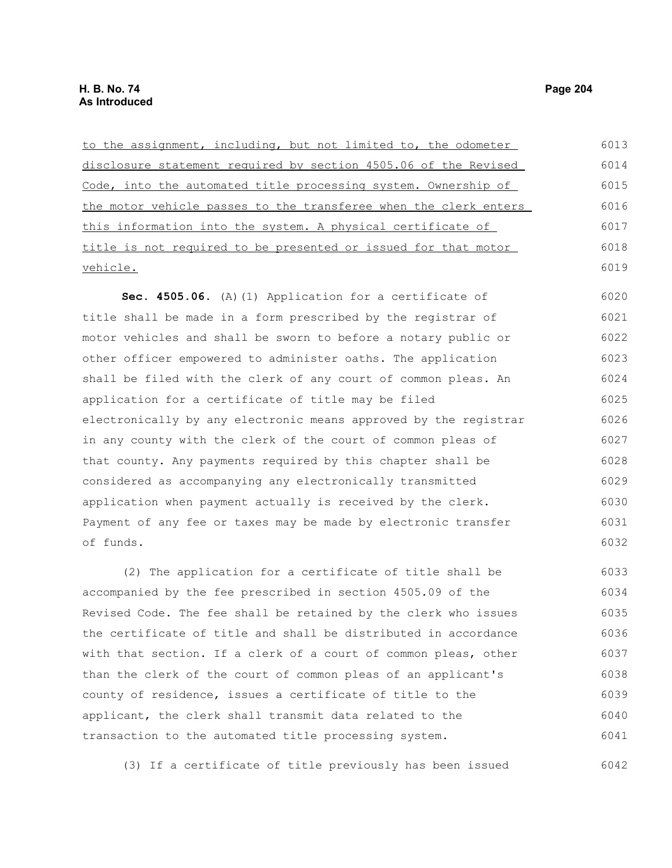| to the assignment, including, but not limited to, the odometer   | 6013 |
|------------------------------------------------------------------|------|
| disclosure statement required by section 4505.06 of the Revised  | 6014 |
| Code, into the automated title processing system. Ownership of   | 6015 |
| the motor vehicle passes to the transferee when the clerk enters | 6016 |
| this information into the system. A physical certificate of      | 6017 |
| title is not required to be presented or issued for that motor   | 6018 |
| vehicle.                                                         | 6019 |

**Sec. 4505.06.** (A)(1) Application for a certificate of title shall be made in a form prescribed by the registrar of motor vehicles and shall be sworn to before a notary public or other officer empowered to administer oaths. The application shall be filed with the clerk of any court of common pleas. An application for a certificate of title may be filed electronically by any electronic means approved by the registrar in any county with the clerk of the court of common pleas of that county. Any payments required by this chapter shall be considered as accompanying any electronically transmitted application when payment actually is received by the clerk. Payment of any fee or taxes may be made by electronic transfer of funds. 6020 6021 6022 6023 6024 6025 6026 6027 6028 6029 6030 6031 6032

(2) The application for a certificate of title shall be accompanied by the fee prescribed in section 4505.09 of the Revised Code. The fee shall be retained by the clerk who issues the certificate of title and shall be distributed in accordance with that section. If a clerk of a court of common pleas, other than the clerk of the court of common pleas of an applicant's county of residence, issues a certificate of title to the applicant, the clerk shall transmit data related to the transaction to the automated title processing system. 6033 6034 6035 6036 6037 6038 6039 6040 6041

(3) If a certificate of title previously has been issued 6042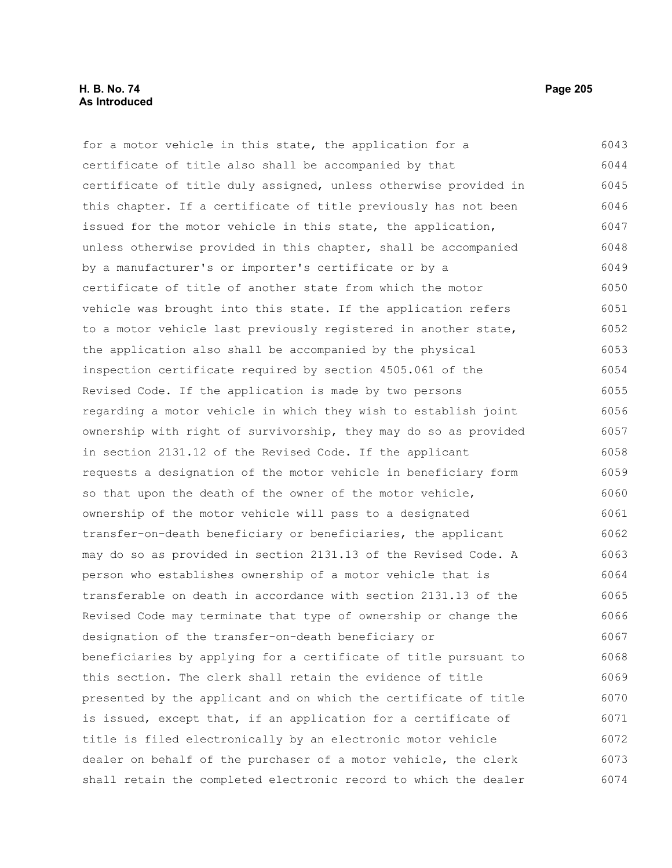## **H. B. No. 74 Page 205 As Introduced**

for a motor vehicle in this state, the application for a certificate of title also shall be accompanied by that certificate of title duly assigned, unless otherwise provided in this chapter. If a certificate of title previously has not been issued for the motor vehicle in this state, the application, unless otherwise provided in this chapter, shall be accompanied by a manufacturer's or importer's certificate or by a certificate of title of another state from which the motor vehicle was brought into this state. If the application refers to a motor vehicle last previously registered in another state, the application also shall be accompanied by the physical inspection certificate required by section 4505.061 of the Revised Code. If the application is made by two persons regarding a motor vehicle in which they wish to establish joint ownership with right of survivorship, they may do so as provided in section 2131.12 of the Revised Code. If the applicant requests a designation of the motor vehicle in beneficiary form so that upon the death of the owner of the motor vehicle, ownership of the motor vehicle will pass to a designated transfer-on-death beneficiary or beneficiaries, the applicant may do so as provided in section 2131.13 of the Revised Code. A person who establishes ownership of a motor vehicle that is transferable on death in accordance with section 2131.13 of the Revised Code may terminate that type of ownership or change the designation of the transfer-on-death beneficiary or beneficiaries by applying for a certificate of title pursuant to this section. The clerk shall retain the evidence of title presented by the applicant and on which the certificate of title is issued, except that, if an application for a certificate of title is filed electronically by an electronic motor vehicle dealer on behalf of the purchaser of a motor vehicle, the clerk shall retain the completed electronic record to which the dealer 6043 6044 6045 6046 6047 6048 6049 6050 6051 6052 6053 6054 6055 6056 6057 6058 6059 6060 6061 6062 6063 6064 6065 6066 6067 6068 6069 6070 6071 6072 6073 6074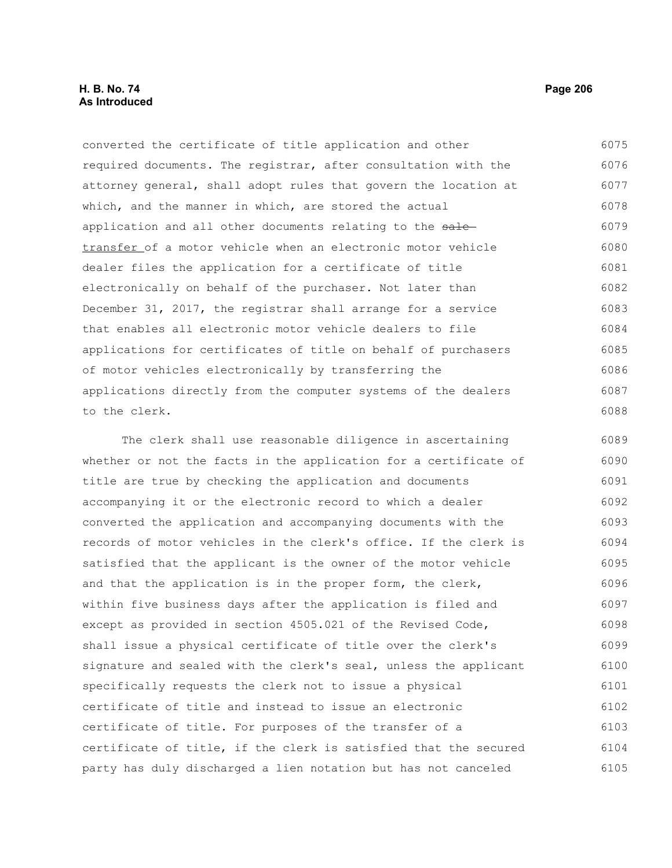converted the certificate of title application and other required documents. The registrar, after consultation with the attorney general, shall adopt rules that govern the location at which, and the manner in which, are stored the actual application and all other documents relating to the saletransfer of a motor vehicle when an electronic motor vehicle dealer files the application for a certificate of title electronically on behalf of the purchaser. Not later than December 31, 2017, the registrar shall arrange for a service that enables all electronic motor vehicle dealers to file applications for certificates of title on behalf of purchasers of motor vehicles electronically by transferring the applications directly from the computer systems of the dealers to the clerk. 6075 6076 6077 6078 6079 6080 6081 6082 6083 6084 6085 6086 6087 6088

The clerk shall use reasonable diligence in ascertaining whether or not the facts in the application for a certificate of title are true by checking the application and documents accompanying it or the electronic record to which a dealer converted the application and accompanying documents with the records of motor vehicles in the clerk's office. If the clerk is satisfied that the applicant is the owner of the motor vehicle and that the application is in the proper form, the clerk, within five business days after the application is filed and except as provided in section 4505.021 of the Revised Code, shall issue a physical certificate of title over the clerk's signature and sealed with the clerk's seal, unless the applicant specifically requests the clerk not to issue a physical certificate of title and instead to issue an electronic certificate of title. For purposes of the transfer of a certificate of title, if the clerk is satisfied that the secured party has duly discharged a lien notation but has not canceled 6089 6090 6091 6092 6093 6094 6095 6096 6097 6098 6099 6100 6101 6102 6103 6104 6105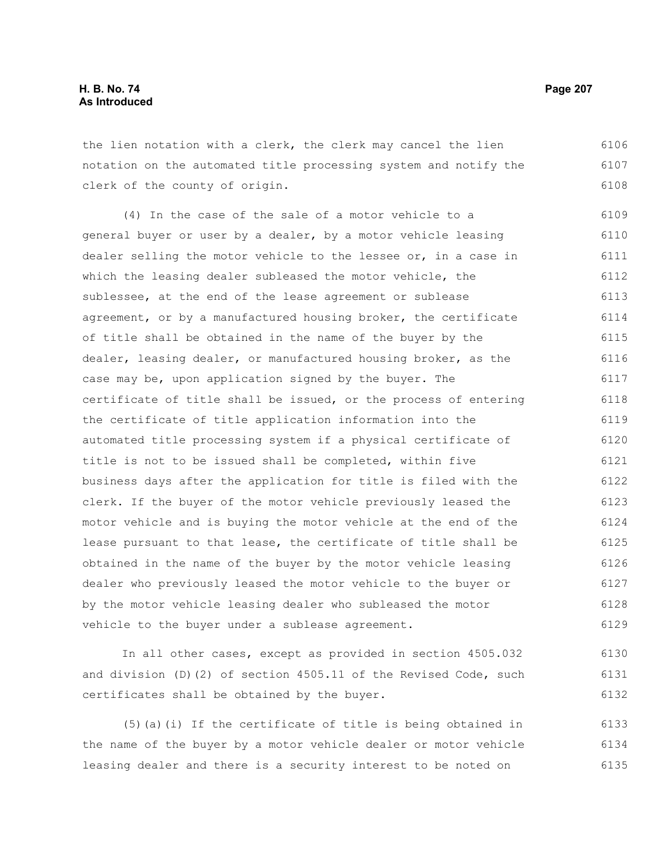the lien notation with a clerk, the clerk may cancel the lien notation on the automated title processing system and notify the clerk of the county of origin. 6106 6107 6108

(4) In the case of the sale of a motor vehicle to a general buyer or user by a dealer, by a motor vehicle leasing dealer selling the motor vehicle to the lessee or, in a case in which the leasing dealer subleased the motor vehicle, the sublessee, at the end of the lease agreement or sublease agreement, or by a manufactured housing broker, the certificate of title shall be obtained in the name of the buyer by the dealer, leasing dealer, or manufactured housing broker, as the case may be, upon application signed by the buyer. The certificate of title shall be issued, or the process of entering the certificate of title application information into the automated title processing system if a physical certificate of title is not to be issued shall be completed, within five business days after the application for title is filed with the clerk. If the buyer of the motor vehicle previously leased the motor vehicle and is buying the motor vehicle at the end of the lease pursuant to that lease, the certificate of title shall be obtained in the name of the buyer by the motor vehicle leasing dealer who previously leased the motor vehicle to the buyer or by the motor vehicle leasing dealer who subleased the motor vehicle to the buyer under a sublease agreement. 6109 6110 6111 6112 6113 6114 6115 6116 6117 6118 6119 6120 6121 6122 6123 6124 6125 6126 6127 6128 6129

In all other cases, except as provided in section 4505.032 and division (D)(2) of section 4505.11 of the Revised Code, such certificates shall be obtained by the buyer. 6130 6131 6132

(5)(a)(i) If the certificate of title is being obtained in the name of the buyer by a motor vehicle dealer or motor vehicle leasing dealer and there is a security interest to be noted on 6133 6134 6135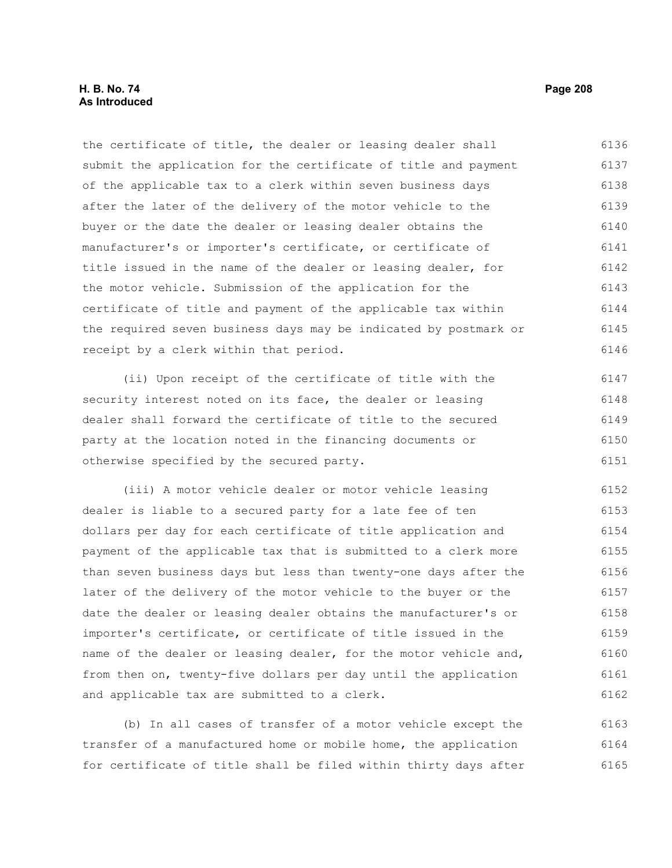the certificate of title, the dealer or leasing dealer shall submit the application for the certificate of title and payment of the applicable tax to a clerk within seven business days after the later of the delivery of the motor vehicle to the buyer or the date the dealer or leasing dealer obtains the manufacturer's or importer's certificate, or certificate of title issued in the name of the dealer or leasing dealer, for the motor vehicle. Submission of the application for the certificate of title and payment of the applicable tax within the required seven business days may be indicated by postmark or receipt by a clerk within that period. 6136 6137 6138 6139 6140 6141 6142 6143 6144 6145 6146

(ii) Upon receipt of the certificate of title with the security interest noted on its face, the dealer or leasing dealer shall forward the certificate of title to the secured party at the location noted in the financing documents or otherwise specified by the secured party. 6147 6148 6149 6150 6151

(iii) A motor vehicle dealer or motor vehicle leasing dealer is liable to a secured party for a late fee of ten dollars per day for each certificate of title application and payment of the applicable tax that is submitted to a clerk more than seven business days but less than twenty-one days after the later of the delivery of the motor vehicle to the buyer or the date the dealer or leasing dealer obtains the manufacturer's or importer's certificate, or certificate of title issued in the name of the dealer or leasing dealer, for the motor vehicle and, from then on, twenty-five dollars per day until the application and applicable tax are submitted to a clerk. 6152 6153 6154 6155 6156 6157 6158 6159 6160 6161 6162

(b) In all cases of transfer of a motor vehicle except the transfer of a manufactured home or mobile home, the application for certificate of title shall be filed within thirty days after 6163 6164 6165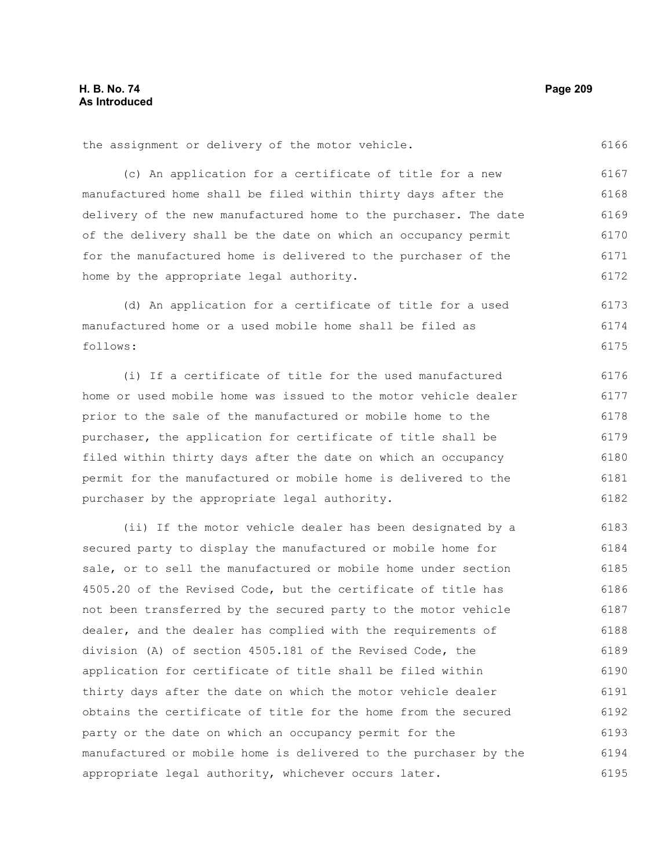the assignment or delivery of the motor vehicle.

(c) An application for a certificate of title for a new manufactured home shall be filed within thirty days after the delivery of the new manufactured home to the purchaser. The date of the delivery shall be the date on which an occupancy permit for the manufactured home is delivered to the purchaser of the home by the appropriate legal authority. 6167 6168 6169 6170 6171 6172

(d) An application for a certificate of title for a used manufactured home or a used mobile home shall be filed as follows: 6173 6174 6175

(i) If a certificate of title for the used manufactured home or used mobile home was issued to the motor vehicle dealer prior to the sale of the manufactured or mobile home to the purchaser, the application for certificate of title shall be filed within thirty days after the date on which an occupancy permit for the manufactured or mobile home is delivered to the purchaser by the appropriate legal authority. 6176 6177 6178 6179 6180 6181 6182

(ii) If the motor vehicle dealer has been designated by a secured party to display the manufactured or mobile home for sale, or to sell the manufactured or mobile home under section 4505.20 of the Revised Code, but the certificate of title has not been transferred by the secured party to the motor vehicle dealer, and the dealer has complied with the requirements of division (A) of section 4505.181 of the Revised Code, the application for certificate of title shall be filed within thirty days after the date on which the motor vehicle dealer obtains the certificate of title for the home from the secured party or the date on which an occupancy permit for the manufactured or mobile home is delivered to the purchaser by the appropriate legal authority, whichever occurs later. 6183 6184 6185 6186 6187 6188 6189 6190 6191 6192 6193 6194 6195

6166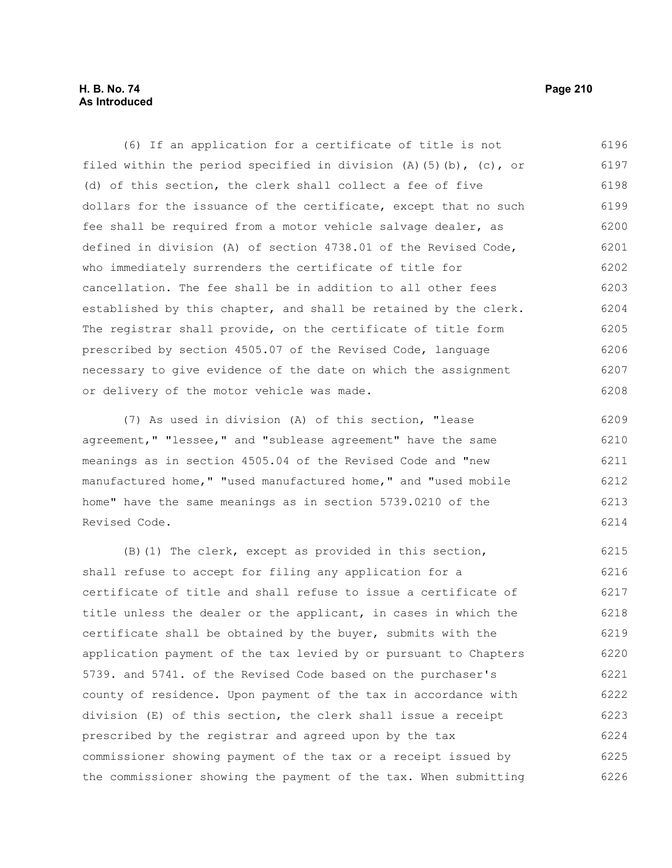# **H. B. No. 74 Page 210 As Introduced**

(6) If an application for a certificate of title is not filed within the period specified in division  $(A)$  (5)(b), (c), or (d) of this section, the clerk shall collect a fee of five dollars for the issuance of the certificate, except that no such fee shall be required from a motor vehicle salvage dealer, as defined in division (A) of section 4738.01 of the Revised Code, who immediately surrenders the certificate of title for cancellation. The fee shall be in addition to all other fees established by this chapter, and shall be retained by the clerk. The registrar shall provide, on the certificate of title form prescribed by section 4505.07 of the Revised Code, language necessary to give evidence of the date on which the assignment or delivery of the motor vehicle was made. 6196 6197 6198 6199 6200 6201 6202 6203 6204 6205 6206 6207 6208

(7) As used in division (A) of this section, "lease agreement," "lessee," and "sublease agreement" have the same meanings as in section 4505.04 of the Revised Code and "new manufactured home," "used manufactured home," and "used mobile home" have the same meanings as in section 5739.0210 of the Revised Code. 6209 6210 6211 6212 6213 6214

(B)(1) The clerk, except as provided in this section, shall refuse to accept for filing any application for a certificate of title and shall refuse to issue a certificate of title unless the dealer or the applicant, in cases in which the certificate shall be obtained by the buyer, submits with the application payment of the tax levied by or pursuant to Chapters 5739. and 5741. of the Revised Code based on the purchaser's county of residence. Upon payment of the tax in accordance with division (E) of this section, the clerk shall issue a receipt prescribed by the registrar and agreed upon by the tax commissioner showing payment of the tax or a receipt issued by the commissioner showing the payment of the tax. When submitting 6215 6216 6217 6218 6219 6220 6221 6222 6223 6224 6225 6226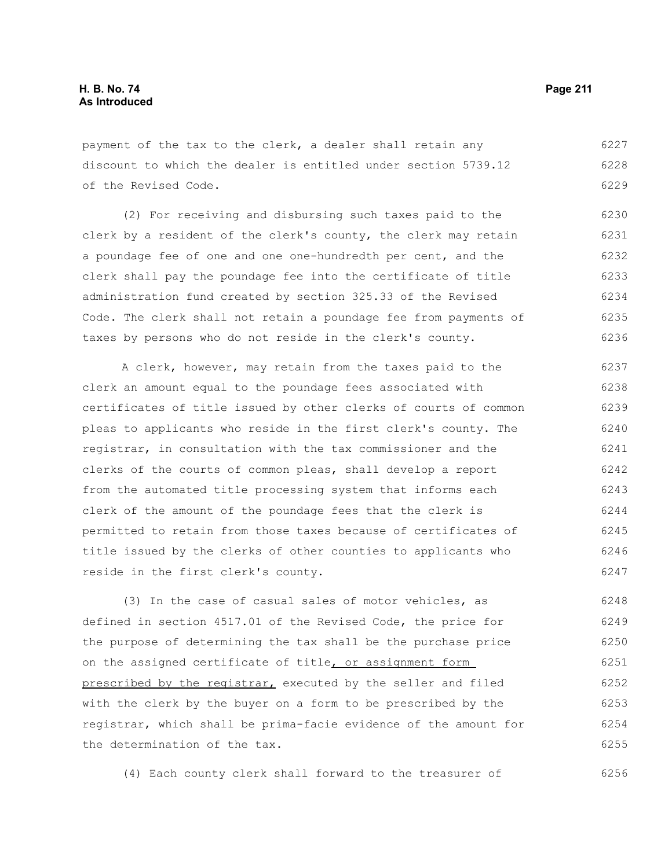payment of the tax to the clerk, a dealer shall retain any discount to which the dealer is entitled under section 5739.12 of the Revised Code. 6227 6228 6229

(2) For receiving and disbursing such taxes paid to the clerk by a resident of the clerk's county, the clerk may retain a poundage fee of one and one one-hundredth per cent, and the clerk shall pay the poundage fee into the certificate of title administration fund created by section 325.33 of the Revised Code. The clerk shall not retain a poundage fee from payments of taxes by persons who do not reside in the clerk's county. 6230 6231 6232 6233 6234 6235 6236

A clerk, however, may retain from the taxes paid to the clerk an amount equal to the poundage fees associated with certificates of title issued by other clerks of courts of common pleas to applicants who reside in the first clerk's county. The registrar, in consultation with the tax commissioner and the clerks of the courts of common pleas, shall develop a report from the automated title processing system that informs each clerk of the amount of the poundage fees that the clerk is permitted to retain from those taxes because of certificates of title issued by the clerks of other counties to applicants who reside in the first clerk's county. 6237 6238 6239 6240 6241 6242 6243 6244 6245 6246 6247

(3) In the case of casual sales of motor vehicles, as defined in section 4517.01 of the Revised Code, the price for the purpose of determining the tax shall be the purchase price on the assigned certificate of title, or assignment form prescribed by the registrar, executed by the seller and filed with the clerk by the buyer on a form to be prescribed by the registrar, which shall be prima-facie evidence of the amount for the determination of the tax. 6248 6249 6250 6251 6252 6253 6254 6255

(4) Each county clerk shall forward to the treasurer of 6256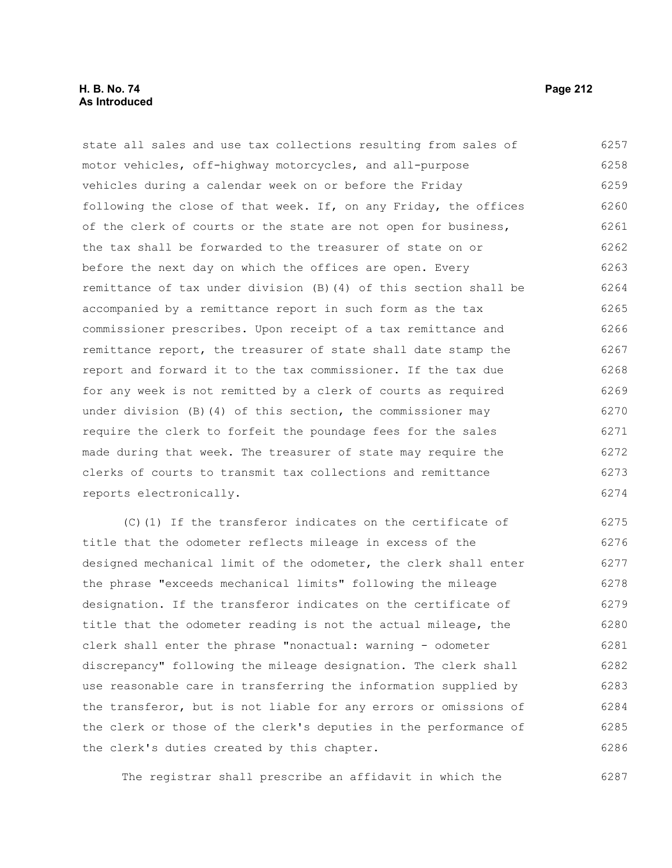## **H. B. No. 74 Page 212 As Introduced**

state all sales and use tax collections resulting from sales of motor vehicles, off-highway motorcycles, and all-purpose vehicles during a calendar week on or before the Friday following the close of that week. If, on any Friday, the offices of the clerk of courts or the state are not open for business, the tax shall be forwarded to the treasurer of state on or before the next day on which the offices are open. Every remittance of tax under division (B)(4) of this section shall be accompanied by a remittance report in such form as the tax commissioner prescribes. Upon receipt of a tax remittance and remittance report, the treasurer of state shall date stamp the report and forward it to the tax commissioner. If the tax due for any week is not remitted by a clerk of courts as required under division (B)(4) of this section, the commissioner may require the clerk to forfeit the poundage fees for the sales made during that week. The treasurer of state may require the clerks of courts to transmit tax collections and remittance reports electronically. 6257 6258 6259 6260 6261 6262 6263 6264 6265 6266 6267 6268 6269 6270 6271 6272 6273 6274

(C)(1) If the transferor indicates on the certificate of title that the odometer reflects mileage in excess of the designed mechanical limit of the odometer, the clerk shall enter the phrase "exceeds mechanical limits" following the mileage designation. If the transferor indicates on the certificate of title that the odometer reading is not the actual mileage, the clerk shall enter the phrase "nonactual: warning - odometer discrepancy" following the mileage designation. The clerk shall use reasonable care in transferring the information supplied by the transferor, but is not liable for any errors or omissions of the clerk or those of the clerk's deputies in the performance of the clerk's duties created by this chapter. 6275 6276 6277 6278 6279 6280 6281 6282 6283 6284 6285 6286

The registrar shall prescribe an affidavit in which the

6287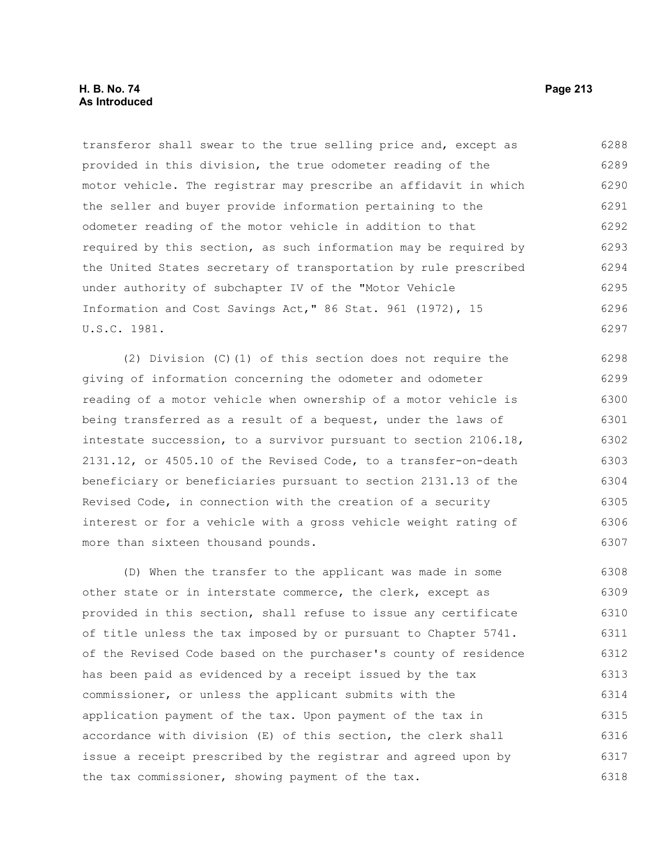# **H. B. No. 74 Page 213 As Introduced**

transferor shall swear to the true selling price and, except as provided in this division, the true odometer reading of the motor vehicle. The registrar may prescribe an affidavit in which the seller and buyer provide information pertaining to the odometer reading of the motor vehicle in addition to that required by this section, as such information may be required by the United States secretary of transportation by rule prescribed under authority of subchapter IV of the "Motor Vehicle Information and Cost Savings Act," 86 Stat. 961 (1972), 15 U.S.C. 1981. 6288 6289 6290 6291 6292 6293 6294 6295 6296 6297

(2) Division (C)(1) of this section does not require the giving of information concerning the odometer and odometer reading of a motor vehicle when ownership of a motor vehicle is being transferred as a result of a bequest, under the laws of intestate succession, to a survivor pursuant to section 2106.18, 2131.12, or 4505.10 of the Revised Code, to a transfer-on-death beneficiary or beneficiaries pursuant to section 2131.13 of the Revised Code, in connection with the creation of a security interest or for a vehicle with a gross vehicle weight rating of more than sixteen thousand pounds. 6298 6299 6300 6301 6302 6303 6304 6305 6306 6307

(D) When the transfer to the applicant was made in some other state or in interstate commerce, the clerk, except as provided in this section, shall refuse to issue any certificate of title unless the tax imposed by or pursuant to Chapter 5741. of the Revised Code based on the purchaser's county of residence has been paid as evidenced by a receipt issued by the tax commissioner, or unless the applicant submits with the application payment of the tax. Upon payment of the tax in accordance with division (E) of this section, the clerk shall issue a receipt prescribed by the registrar and agreed upon by the tax commissioner, showing payment of the tax. 6308 6309 6310 6311 6312 6313 6314 6315 6316 6317 6318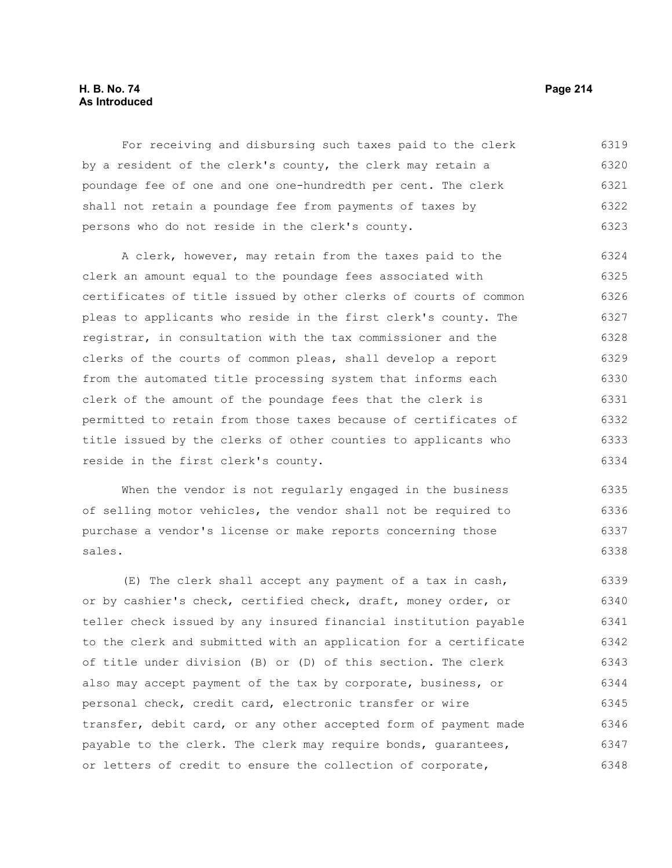#### **H. B. No. 74 Page 214 As Introduced**

For receiving and disbursing such taxes paid to the clerk by a resident of the clerk's county, the clerk may retain a poundage fee of one and one one-hundredth per cent. The clerk shall not retain a poundage fee from payments of taxes by persons who do not reside in the clerk's county. 6319 6320 6321 6322 6323

A clerk, however, may retain from the taxes paid to the clerk an amount equal to the poundage fees associated with certificates of title issued by other clerks of courts of common pleas to applicants who reside in the first clerk's county. The registrar, in consultation with the tax commissioner and the clerks of the courts of common pleas, shall develop a report from the automated title processing system that informs each clerk of the amount of the poundage fees that the clerk is permitted to retain from those taxes because of certificates of title issued by the clerks of other counties to applicants who reside in the first clerk's county. 6324 6325 6326 6327 6328 6329 6330 6331 6332 6333 6334

When the vendor is not regularly engaged in the business of selling motor vehicles, the vendor shall not be required to purchase a vendor's license or make reports concerning those sales. 6335 6336 6337 6338

(E) The clerk shall accept any payment of a tax in cash, or by cashier's check, certified check, draft, money order, or teller check issued by any insured financial institution payable to the clerk and submitted with an application for a certificate of title under division (B) or (D) of this section. The clerk also may accept payment of the tax by corporate, business, or personal check, credit card, electronic transfer or wire transfer, debit card, or any other accepted form of payment made payable to the clerk. The clerk may require bonds, guarantees, or letters of credit to ensure the collection of corporate, 6339 6340 6341 6342 6343 6344 6345 6346 6347 6348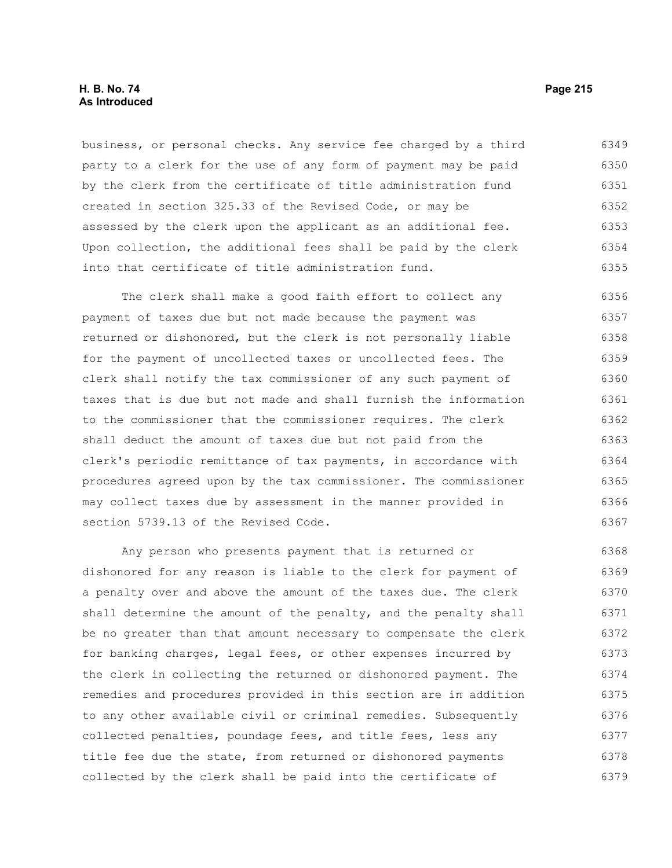#### **H. B. No. 74 Page 215 As Introduced**

business, or personal checks. Any service fee charged by a third party to a clerk for the use of any form of payment may be paid by the clerk from the certificate of title administration fund created in section 325.33 of the Revised Code, or may be assessed by the clerk upon the applicant as an additional fee. Upon collection, the additional fees shall be paid by the clerk into that certificate of title administration fund. 6349 6350 6351 6352 6353 6354 6355

The clerk shall make a good faith effort to collect any payment of taxes due but not made because the payment was returned or dishonored, but the clerk is not personally liable for the payment of uncollected taxes or uncollected fees. The clerk shall notify the tax commissioner of any such payment of taxes that is due but not made and shall furnish the information to the commissioner that the commissioner requires. The clerk shall deduct the amount of taxes due but not paid from the clerk's periodic remittance of tax payments, in accordance with procedures agreed upon by the tax commissioner. The commissioner may collect taxes due by assessment in the manner provided in section 5739.13 of the Revised Code. 6356 6357 6358 6359 6360 6361 6362 6363 6364 6365 6366 6367

Any person who presents payment that is returned or dishonored for any reason is liable to the clerk for payment of a penalty over and above the amount of the taxes due. The clerk shall determine the amount of the penalty, and the penalty shall be no greater than that amount necessary to compensate the clerk for banking charges, legal fees, or other expenses incurred by the clerk in collecting the returned or dishonored payment. The remedies and procedures provided in this section are in addition to any other available civil or criminal remedies. Subsequently collected penalties, poundage fees, and title fees, less any title fee due the state, from returned or dishonored payments collected by the clerk shall be paid into the certificate of 6368 6369 6370 6371 6372 6373 6374 6375 6376 6377 6378 6379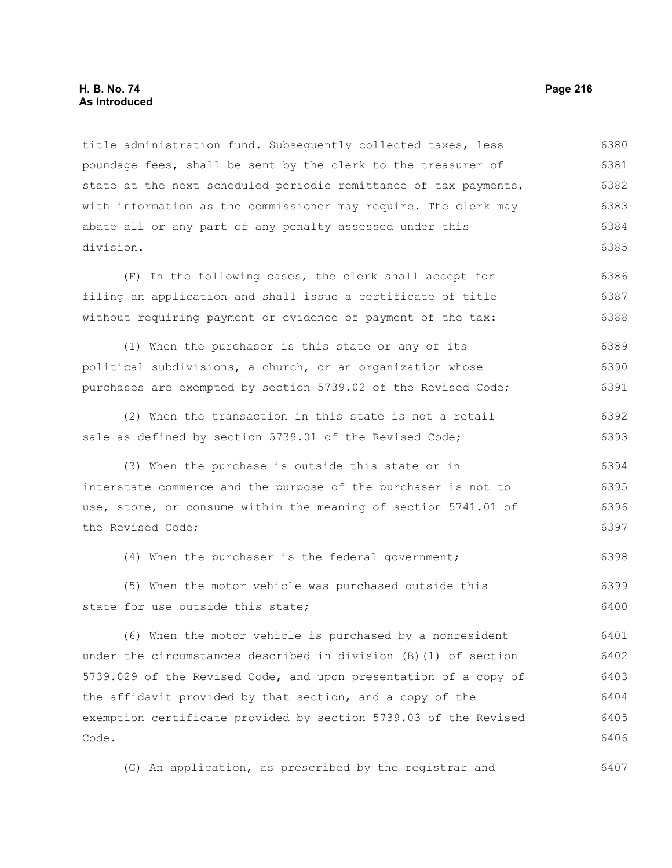title administration fund. Subsequently collected taxes, less poundage fees, shall be sent by the clerk to the treasurer of state at the next scheduled periodic remittance of tax payments, with information as the commissioner may require. The clerk may abate all or any part of any penalty assessed under this division. 6380 6381 6382 6383 6384 6385

(F) In the following cases, the clerk shall accept for filing an application and shall issue a certificate of title without requiring payment or evidence of payment of the tax: 6386 6387 6388

(1) When the purchaser is this state or any of its political subdivisions, a church, or an organization whose purchases are exempted by section 5739.02 of the Revised Code; 6389 6390 6391

(2) When the transaction in this state is not a retail sale as defined by section 5739.01 of the Revised Code; 6392 6393

(3) When the purchase is outside this state or in interstate commerce and the purpose of the purchaser is not to use, store, or consume within the meaning of section 5741.01 of the Revised Code; 6394 6395 6396 6397

(4) When the purchaser is the federal government; 6398

(5) When the motor vehicle was purchased outside this state for use outside this state; 6399 6400

(6) When the motor vehicle is purchased by a nonresident under the circumstances described in division (B)(1) of section 5739.029 of the Revised Code, and upon presentation of a copy of the affidavit provided by that section, and a copy of the exemption certificate provided by section 5739.03 of the Revised Code. 6401 6402 6403 6404 6405 6406

(G) An application, as prescribed by the registrar and

6407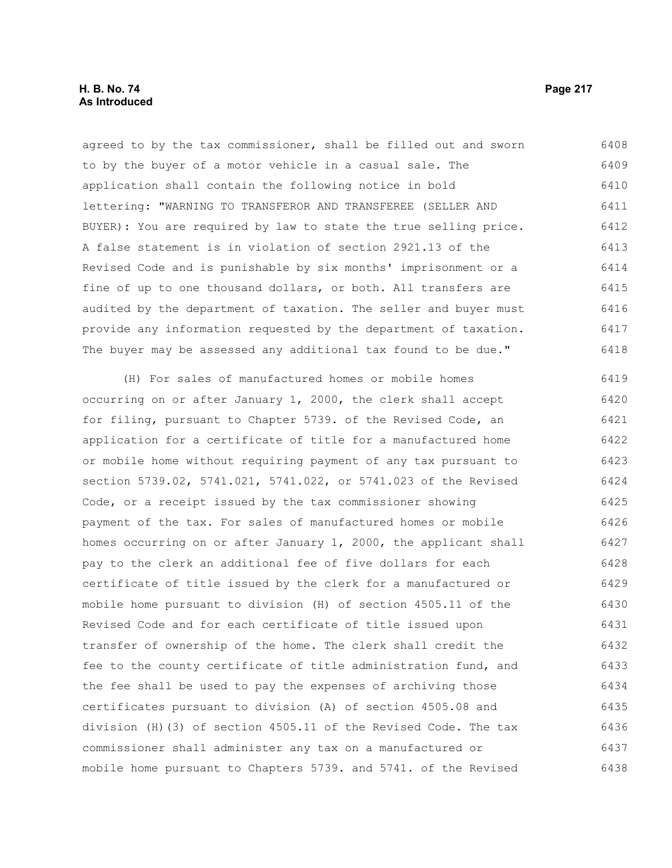# **H. B. No. 74 Page 217 As Introduced**

agreed to by the tax commissioner, shall be filled out and sworn to by the buyer of a motor vehicle in a casual sale. The application shall contain the following notice in bold lettering: "WARNING TO TRANSFEROR AND TRANSFEREE (SELLER AND BUYER): You are required by law to state the true selling price. A false statement is in violation of section 2921.13 of the Revised Code and is punishable by six months' imprisonment or a fine of up to one thousand dollars, or both. All transfers are audited by the department of taxation. The seller and buyer must provide any information requested by the department of taxation. The buyer may be assessed any additional tax found to be due." 6408 6409 6410 6411 6412 6413 6414 6415 6416 6417 6418

(H) For sales of manufactured homes or mobile homes occurring on or after January 1, 2000, the clerk shall accept for filing, pursuant to Chapter 5739. of the Revised Code, an application for a certificate of title for a manufactured home or mobile home without requiring payment of any tax pursuant to section 5739.02, 5741.021, 5741.022, or 5741.023 of the Revised Code, or a receipt issued by the tax commissioner showing payment of the tax. For sales of manufactured homes or mobile homes occurring on or after January 1, 2000, the applicant shall pay to the clerk an additional fee of five dollars for each certificate of title issued by the clerk for a manufactured or mobile home pursuant to division (H) of section 4505.11 of the Revised Code and for each certificate of title issued upon transfer of ownership of the home. The clerk shall credit the fee to the county certificate of title administration fund, and the fee shall be used to pay the expenses of archiving those certificates pursuant to division (A) of section 4505.08 and division (H)(3) of section 4505.11 of the Revised Code. The tax commissioner shall administer any tax on a manufactured or mobile home pursuant to Chapters 5739. and 5741. of the Revised 6419 6420 6421 6422 6423 6424 6425 6426 6427 6428 6429 6430 6431 6432 6433 6434 6435 6436 6437 6438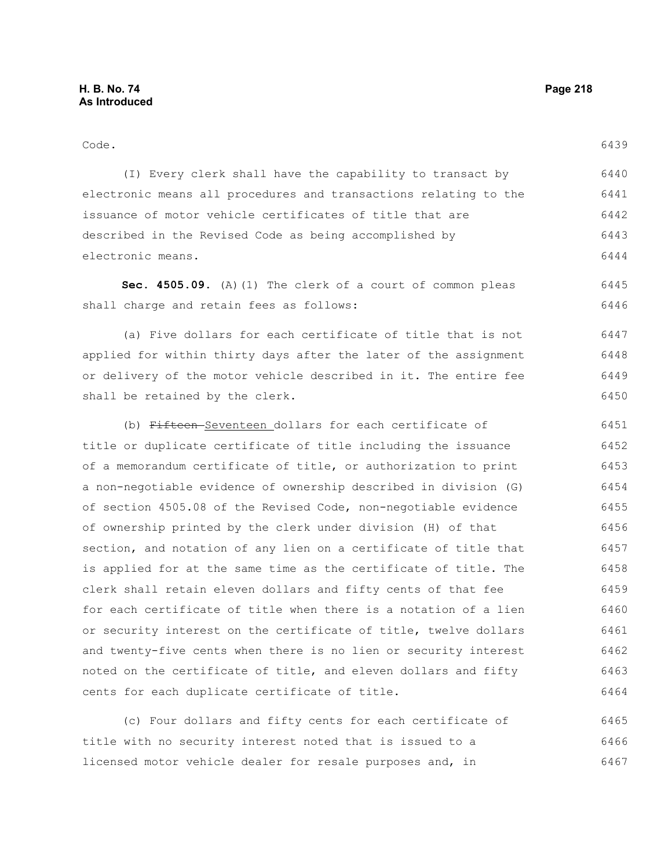#### Code.

(I) Every clerk shall have the capability to transact by electronic means all procedures and transactions relating to the issuance of motor vehicle certificates of title that are described in the Revised Code as being accomplished by electronic means. 6440 6441 6442 6443 6444

**Sec. 4505.09.** (A)(1) The clerk of a court of common pleas shall charge and retain fees as follows: 6445 6446

(a) Five dollars for each certificate of title that is not applied for within thirty days after the later of the assignment or delivery of the motor vehicle described in it. The entire fee shall be retained by the clerk. 6447 6448 6449 6450

(b) Fifteen Seventeen dollars for each certificate of title or duplicate certificate of title including the issuance of a memorandum certificate of title, or authorization to print a non-negotiable evidence of ownership described in division (G) of section 4505.08 of the Revised Code, non-negotiable evidence of ownership printed by the clerk under division (H) of that section, and notation of any lien on a certificate of title that is applied for at the same time as the certificate of title. The clerk shall retain eleven dollars and fifty cents of that fee for each certificate of title when there is a notation of a lien or security interest on the certificate of title, twelve dollars and twenty-five cents when there is no lien or security interest noted on the certificate of title, and eleven dollars and fifty cents for each duplicate certificate of title. 6451 6452 6453 6454 6455 6456 6457 6458 6459 6460 6461 6462 6463 6464

(c) Four dollars and fifty cents for each certificate of title with no security interest noted that is issued to a licensed motor vehicle dealer for resale purposes and, in 6465 6466 6467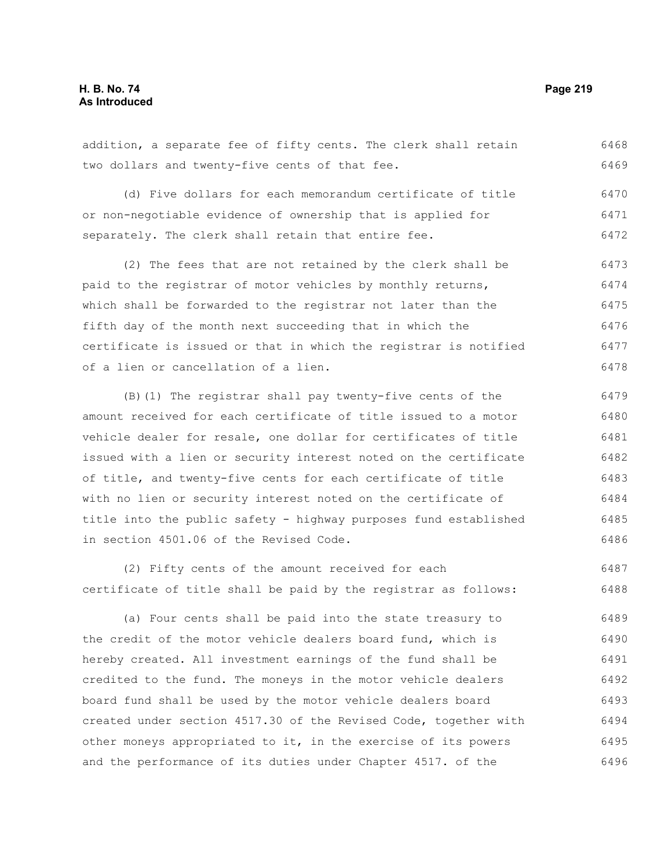addition, a separate fee of fifty cents. The clerk shall retain two dollars and twenty-five cents of that fee. 6468 6469

(d) Five dollars for each memorandum certificate of title or non-negotiable evidence of ownership that is applied for separately. The clerk shall retain that entire fee. 6470 6471 6472

(2) The fees that are not retained by the clerk shall be paid to the registrar of motor vehicles by monthly returns, which shall be forwarded to the registrar not later than the fifth day of the month next succeeding that in which the certificate is issued or that in which the registrar is notified of a lien or cancellation of a lien. 6473 6474 6475 6476 6477 6478

(B)(1) The registrar shall pay twenty-five cents of the amount received for each certificate of title issued to a motor vehicle dealer for resale, one dollar for certificates of title issued with a lien or security interest noted on the certificate of title, and twenty-five cents for each certificate of title with no lien or security interest noted on the certificate of title into the public safety - highway purposes fund established in section 4501.06 of the Revised Code. 6479 6480 6481 6482 6483 6484 6485 6486

(2) Fifty cents of the amount received for each certificate of title shall be paid by the registrar as follows: 6487 6488

(a) Four cents shall be paid into the state treasury to the credit of the motor vehicle dealers board fund, which is hereby created. All investment earnings of the fund shall be credited to the fund. The moneys in the motor vehicle dealers board fund shall be used by the motor vehicle dealers board created under section 4517.30 of the Revised Code, together with other moneys appropriated to it, in the exercise of its powers and the performance of its duties under Chapter 4517. of the 6489 6490 6491 6492 6493 6494 6495 6496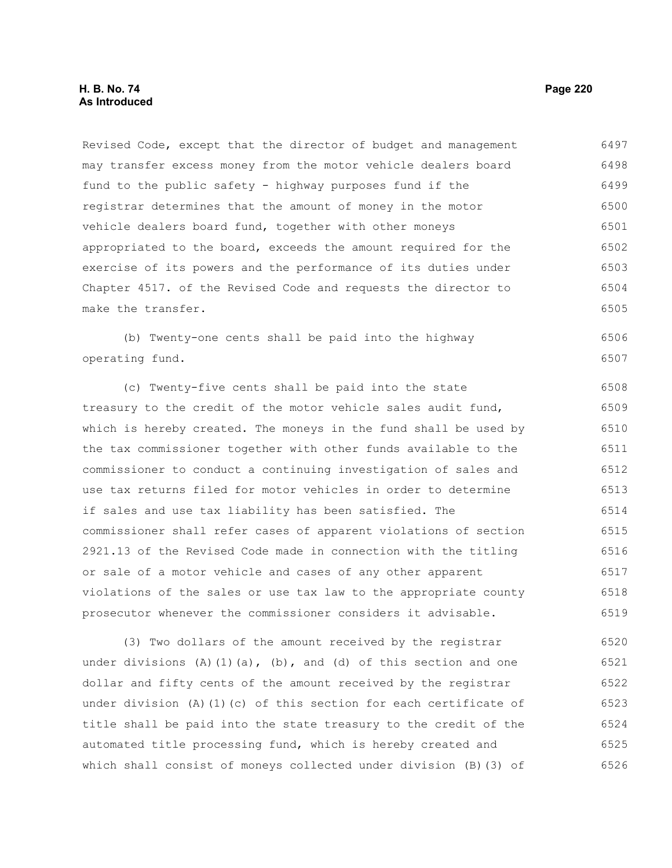Revised Code, except that the director of budget and management may transfer excess money from the motor vehicle dealers board fund to the public safety - highway purposes fund if the registrar determines that the amount of money in the motor vehicle dealers board fund, together with other moneys appropriated to the board, exceeds the amount required for the exercise of its powers and the performance of its duties under Chapter 4517. of the Revised Code and requests the director to make the transfer. 6497 6498 6499 6500 6501 6502 6503 6504 6505

(b) Twenty-one cents shall be paid into the highway operating fund.

(c) Twenty-five cents shall be paid into the state treasury to the credit of the motor vehicle sales audit fund, which is hereby created. The moneys in the fund shall be used by the tax commissioner together with other funds available to the commissioner to conduct a continuing investigation of sales and use tax returns filed for motor vehicles in order to determine if sales and use tax liability has been satisfied. The commissioner shall refer cases of apparent violations of section 2921.13 of the Revised Code made in connection with the titling or sale of a motor vehicle and cases of any other apparent violations of the sales or use tax law to the appropriate county prosecutor whenever the commissioner considers it advisable. 6508 6509 6510 6511 6512 6513 6514 6515 6516 6517 6518 6519

(3) Two dollars of the amount received by the registrar under divisions  $(A)(1)(a)$ ,  $(b)$ , and  $(d)$  of this section and one dollar and fifty cents of the amount received by the registrar under division (A)(1)(c) of this section for each certificate of title shall be paid into the state treasury to the credit of the automated title processing fund, which is hereby created and which shall consist of moneys collected under division (B)(3) of 6520 6521 6522 6523 6524 6525 6526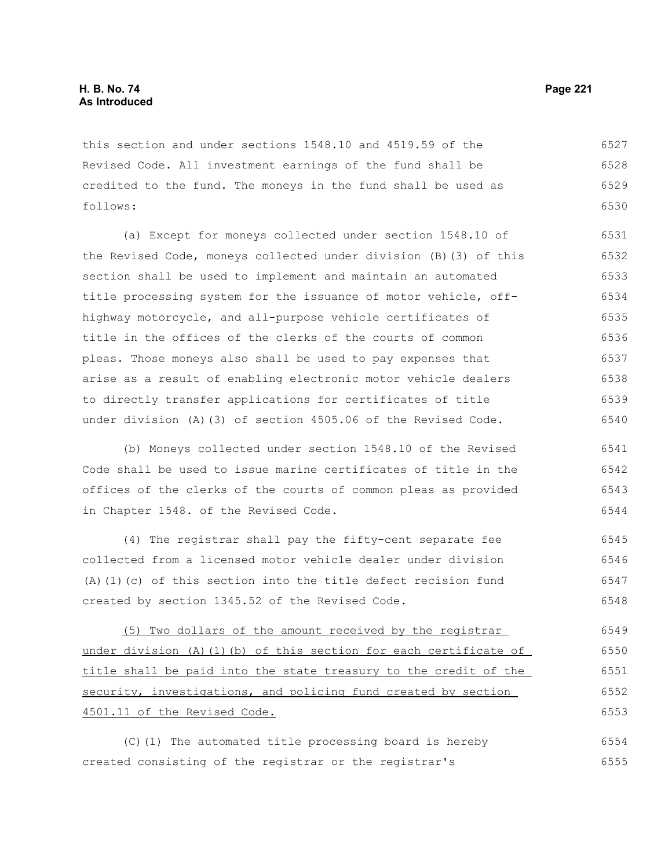this section and under sections 1548.10 and 4519.59 of the Revised Code. All investment earnings of the fund shall be credited to the fund. The moneys in the fund shall be used as follows: 6527 6528 6529 6530

(a) Except for moneys collected under section 1548.10 of the Revised Code, moneys collected under division (B)(3) of this section shall be used to implement and maintain an automated title processing system for the issuance of motor vehicle, offhighway motorcycle, and all-purpose vehicle certificates of title in the offices of the clerks of the courts of common pleas. Those moneys also shall be used to pay expenses that arise as a result of enabling electronic motor vehicle dealers to directly transfer applications for certificates of title under division (A)(3) of section 4505.06 of the Revised Code. 6531 6532 6533 6534 6535 6536 6537 6538 6539 6540

(b) Moneys collected under section 1548.10 of the Revised Code shall be used to issue marine certificates of title in the offices of the clerks of the courts of common pleas as provided in Chapter 1548. of the Revised Code. 6541 6542 6543 6544

(4) The registrar shall pay the fifty-cent separate fee collected from a licensed motor vehicle dealer under division (A)(1)(c) of this section into the title defect recision fund created by section 1345.52 of the Revised Code. 6545 6546 6547 6548

(5) Two dollars of the amount received by the registrar under division (A)(1)(b) of this section for each certificate of title shall be paid into the state treasury to the credit of the security, investigations, and policing fund created by section 4501.11 of the Revised Code. 6549 6550 6551 6552 6553

(C)(1) The automated title processing board is hereby created consisting of the registrar or the registrar's 6554 6555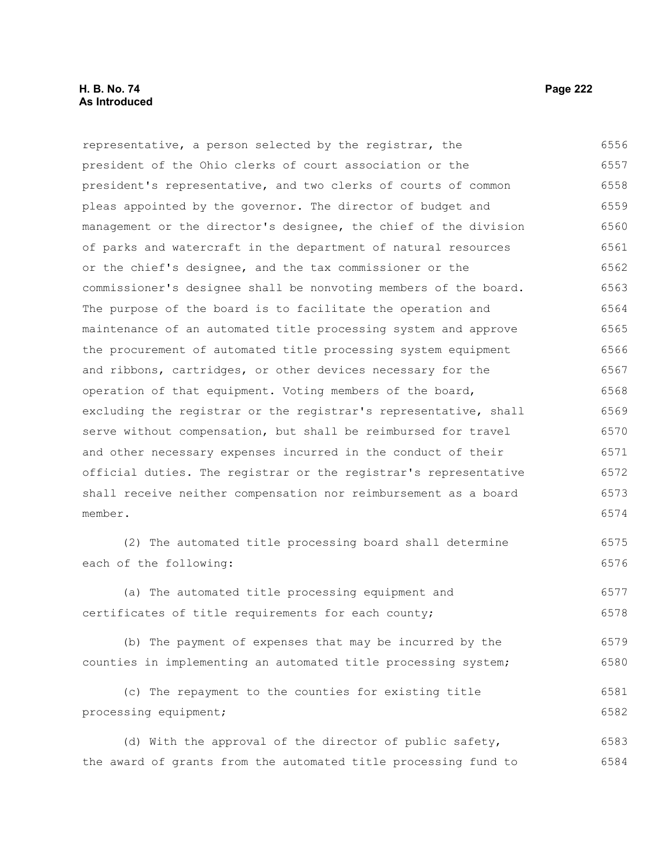# **H. B. No. 74 Page 222 As Introduced**

representative, a person selected by the registrar, the president of the Ohio clerks of court association or the president's representative, and two clerks of courts of common pleas appointed by the governor. The director of budget and management or the director's designee, the chief of the division of parks and watercraft in the department of natural resources or the chief's designee, and the tax commissioner or the commissioner's designee shall be nonvoting members of the board. The purpose of the board is to facilitate the operation and maintenance of an automated title processing system and approve the procurement of automated title processing system equipment and ribbons, cartridges, or other devices necessary for the operation of that equipment. Voting members of the board, excluding the registrar or the registrar's representative, shall serve without compensation, but shall be reimbursed for travel and other necessary expenses incurred in the conduct of their official duties. The registrar or the registrar's representative shall receive neither compensation nor reimbursement as a board member. (2) The automated title processing board shall determine each of the following: (a) The automated title processing equipment and certificates of title requirements for each county; (b) The payment of expenses that may be incurred by the 6556 6557 6558 6559 6560 6561 6562 6563 6564 6565 6566 6567 6568 6569 6570 6571 6572 6573 6574 6575 6576 6577 6578 6579

(c) The repayment to the counties for existing title processing equipment; 6581 6582

counties in implementing an automated title processing system;

(d) With the approval of the director of public safety, the award of grants from the automated title processing fund to 6583 6584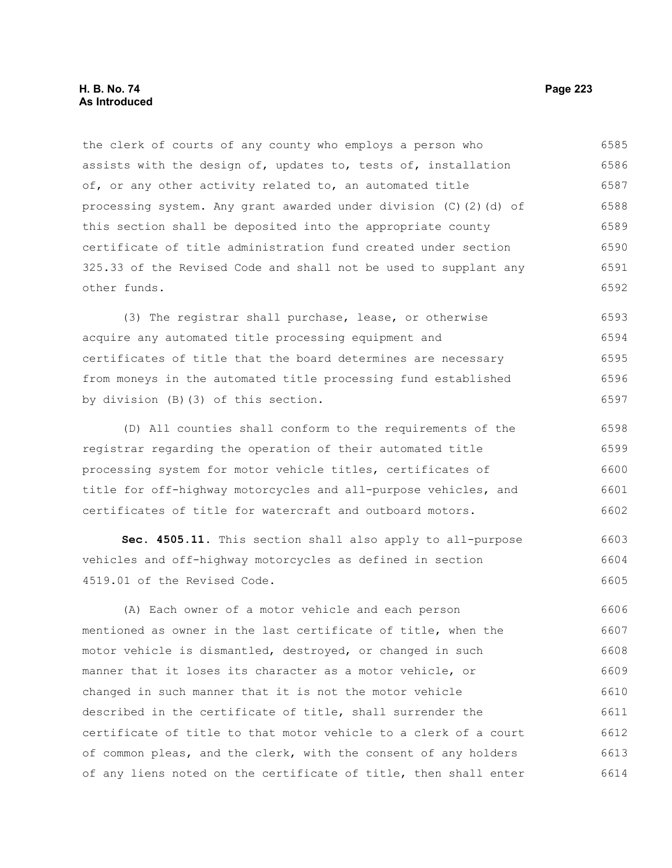# **H. B. No. 74 Page 223 As Introduced**

the clerk of courts of any county who employs a person who assists with the design of, updates to, tests of, installation of, or any other activity related to, an automated title processing system. Any grant awarded under division (C)(2)(d) of this section shall be deposited into the appropriate county certificate of title administration fund created under section 325.33 of the Revised Code and shall not be used to supplant any other funds. 6585 6586 6587 6588 6589 6590 6591 6592

(3) The registrar shall purchase, lease, or otherwise acquire any automated title processing equipment and certificates of title that the board determines are necessary from moneys in the automated title processing fund established by division (B)(3) of this section. 6593 6594 6595 6596 6597

(D) All counties shall conform to the requirements of the registrar regarding the operation of their automated title processing system for motor vehicle titles, certificates of title for off-highway motorcycles and all-purpose vehicles, and certificates of title for watercraft and outboard motors. 6598 6599 6600 6601 6602

**Sec. 4505.11.** This section shall also apply to all-purpose vehicles and off-highway motorcycles as defined in section 4519.01 of the Revised Code. 6603 6604 6605

(A) Each owner of a motor vehicle and each person mentioned as owner in the last certificate of title, when the motor vehicle is dismantled, destroyed, or changed in such manner that it loses its character as a motor vehicle, or changed in such manner that it is not the motor vehicle described in the certificate of title, shall surrender the certificate of title to that motor vehicle to a clerk of a court of common pleas, and the clerk, with the consent of any holders of any liens noted on the certificate of title, then shall enter 6606 6607 6608 6609 6610 6611 6612 6613 6614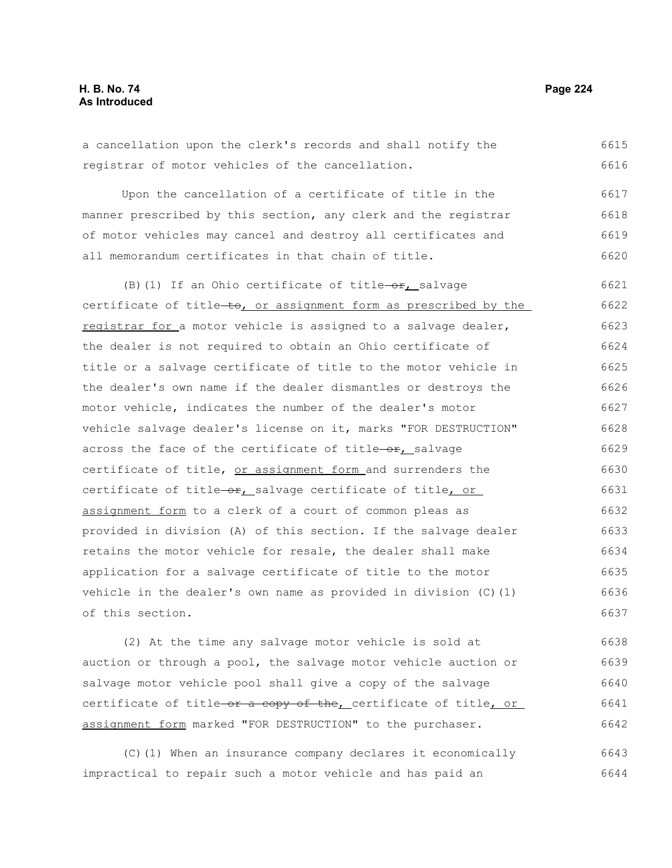# **H. B. No. 74 Page 224 As Introduced**

a cancellation upon the clerk's records and shall notify the registrar of motor vehicles of the cancellation. 6615 6616

Upon the cancellation of a certificate of title in the manner prescribed by this section, any clerk and the registrar of motor vehicles may cancel and destroy all certificates and all memorandum certificates in that chain of title. 6617 6618 6619 6620

(B)(1) If an Ohio certificate of title $-o r_L$  salvage certificate of title-to, or assignment form as prescribed by the registrar for a motor vehicle is assigned to a salvage dealer, the dealer is not required to obtain an Ohio certificate of title or a salvage certificate of title to the motor vehicle in the dealer's own name if the dealer dismantles or destroys the motor vehicle, indicates the number of the dealer's motor vehicle salvage dealer's license on it, marks "FOR DESTRUCTION" across the face of the certificate of title-or, salvage certificate of title, or assignment form and surrenders the certificate of title-or, salvage certificate of title, or assignment form to a clerk of a court of common pleas as provided in division (A) of this section. If the salvage dealer retains the motor vehicle for resale, the dealer shall make application for a salvage certificate of title to the motor vehicle in the dealer's own name as provided in division (C)(1) of this section. 6621 6622 6623 6624 6625 6626 6627 6628 6629 6630 6631 6632 6633 6634 6635 6636 6637

(2) At the time any salvage motor vehicle is sold at auction or through a pool, the salvage motor vehicle auction or salvage motor vehicle pool shall give a copy of the salvage certificate of title or a copy of the, certificate of title, or assignment form marked "FOR DESTRUCTION" to the purchaser. 6638 6639 6640 6641 6642

(C)(1) When an insurance company declares it economically impractical to repair such a motor vehicle and has paid an 6643 6644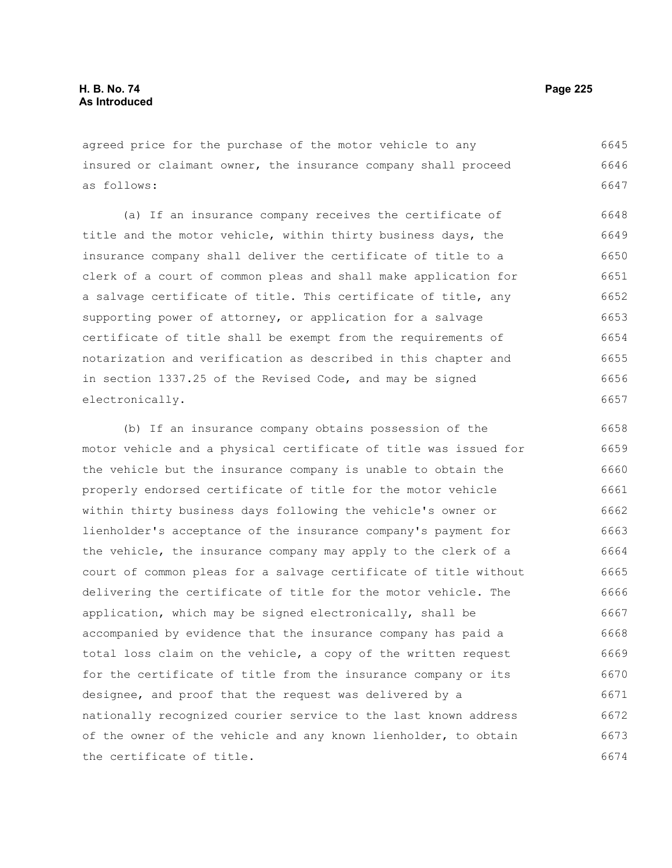agreed price for the purchase of the motor vehicle to any insured or claimant owner, the insurance company shall proceed as follows: 6645 6646 6647

(a) If an insurance company receives the certificate of title and the motor vehicle, within thirty business days, the insurance company shall deliver the certificate of title to a clerk of a court of common pleas and shall make application for a salvage certificate of title. This certificate of title, any supporting power of attorney, or application for a salvage certificate of title shall be exempt from the requirements of notarization and verification as described in this chapter and in section 1337.25 of the Revised Code, and may be signed electronically. 6648 6649 6650 6651 6652 6653 6654 6655 6656 6657

(b) If an insurance company obtains possession of the motor vehicle and a physical certificate of title was issued for the vehicle but the insurance company is unable to obtain the properly endorsed certificate of title for the motor vehicle within thirty business days following the vehicle's owner or lienholder's acceptance of the insurance company's payment for the vehicle, the insurance company may apply to the clerk of a court of common pleas for a salvage certificate of title without delivering the certificate of title for the motor vehicle. The application, which may be signed electronically, shall be accompanied by evidence that the insurance company has paid a total loss claim on the vehicle, a copy of the written request for the certificate of title from the insurance company or its designee, and proof that the request was delivered by a nationally recognized courier service to the last known address of the owner of the vehicle and any known lienholder, to obtain the certificate of title. 6658 6659 6660 6661 6662 6663 6664 6665 6666 6667 6668 6669 6670 6671 6672 6673 6674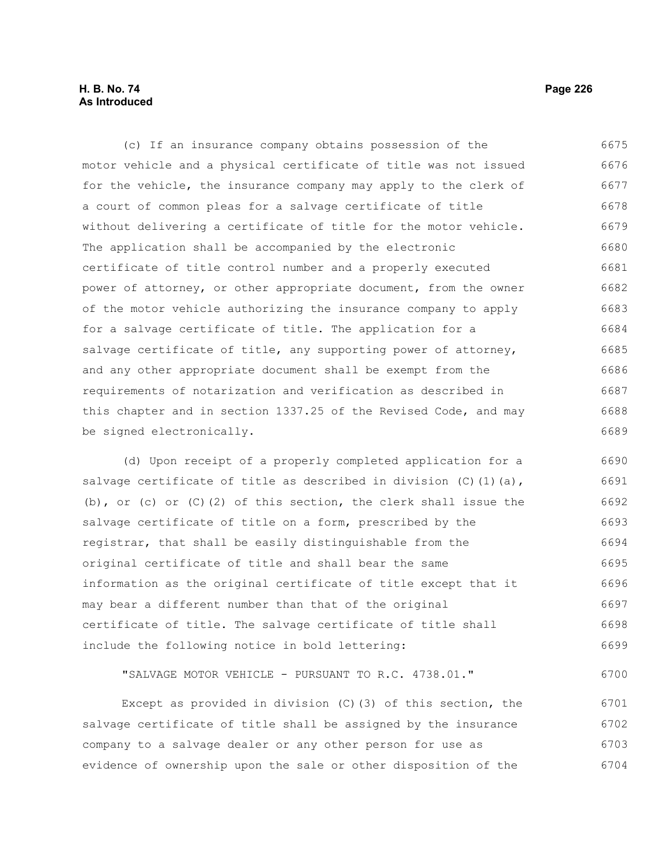# **H. B. No. 74 Page 226 As Introduced**

(c) If an insurance company obtains possession of the motor vehicle and a physical certificate of title was not issued for the vehicle, the insurance company may apply to the clerk of a court of common pleas for a salvage certificate of title without delivering a certificate of title for the motor vehicle. The application shall be accompanied by the electronic certificate of title control number and a properly executed power of attorney, or other appropriate document, from the owner of the motor vehicle authorizing the insurance company to apply for a salvage certificate of title. The application for a salvage certificate of title, any supporting power of attorney, and any other appropriate document shall be exempt from the requirements of notarization and verification as described in this chapter and in section 1337.25 of the Revised Code, and may be signed electronically. 6675 6676 6677 6678 6679 6680 6681 6682 6683 6684 6685 6686 6687 6688 6689

(d) Upon receipt of a properly completed application for a salvage certificate of title as described in division (C)(1)(a), (b), or (c) or (C)(2) of this section, the clerk shall issue the salvage certificate of title on a form, prescribed by the registrar, that shall be easily distinguishable from the original certificate of title and shall bear the same information as the original certificate of title except that it may bear a different number than that of the original certificate of title. The salvage certificate of title shall include the following notice in bold lettering: 6690 6691 6692 6693 6694 6695 6696 6697 6698 6699

"SALVAGE MOTOR VEHICLE - PURSUANT TO R.C. 4738.01." 6700

Except as provided in division (C)(3) of this section, the salvage certificate of title shall be assigned by the insurance company to a salvage dealer or any other person for use as evidence of ownership upon the sale or other disposition of the 6701 6702 6703 6704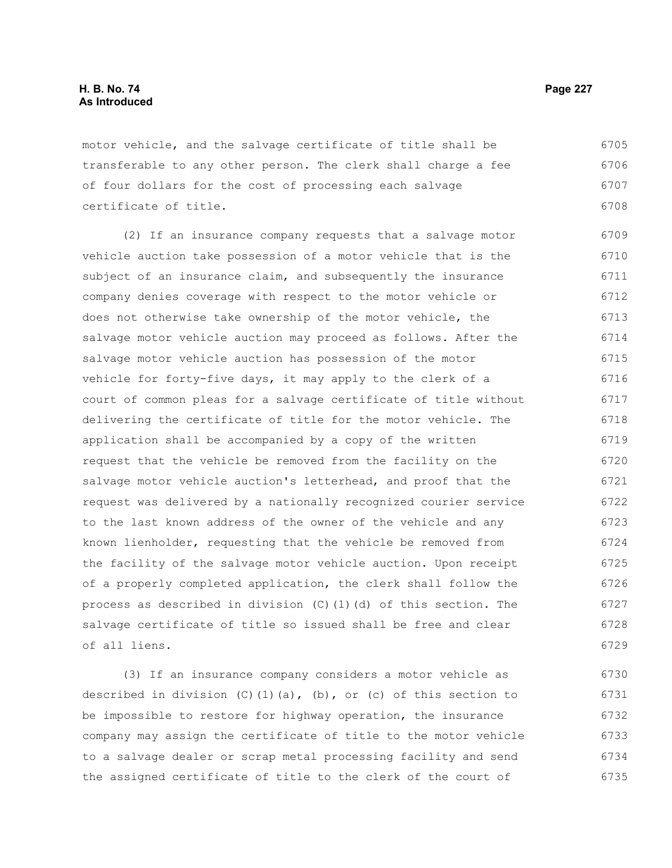motor vehicle, and the salvage certificate of title shall be transferable to any other person. The clerk shall charge a fee of four dollars for the cost of processing each salvage certificate of title. 6705 6706 6707 6708

(2) If an insurance company requests that a salvage motor vehicle auction take possession of a motor vehicle that is the subject of an insurance claim, and subsequently the insurance company denies coverage with respect to the motor vehicle or does not otherwise take ownership of the motor vehicle, the salvage motor vehicle auction may proceed as follows. After the salvage motor vehicle auction has possession of the motor vehicle for forty-five days, it may apply to the clerk of a court of common pleas for a salvage certificate of title without delivering the certificate of title for the motor vehicle. The application shall be accompanied by a copy of the written request that the vehicle be removed from the facility on the salvage motor vehicle auction's letterhead, and proof that the request was delivered by a nationally recognized courier service to the last known address of the owner of the vehicle and any known lienholder, requesting that the vehicle be removed from the facility of the salvage motor vehicle auction. Upon receipt of a properly completed application, the clerk shall follow the process as described in division  $(C)$  (1)(d) of this section. The salvage certificate of title so issued shall be free and clear of all liens. 6709 6710 6711 6712 6713 6714 6715 6716 6717 6718 6719 6720 6721 6722 6723 6724 6725 6726 6727 6728 6729

(3) If an insurance company considers a motor vehicle as described in division  $(C)$   $(1)$   $(a)$ ,  $(b)$ , or  $(c)$  of this section to be impossible to restore for highway operation, the insurance company may assign the certificate of title to the motor vehicle to a salvage dealer or scrap metal processing facility and send the assigned certificate of title to the clerk of the court of 6730 6731 6732 6733 6734 6735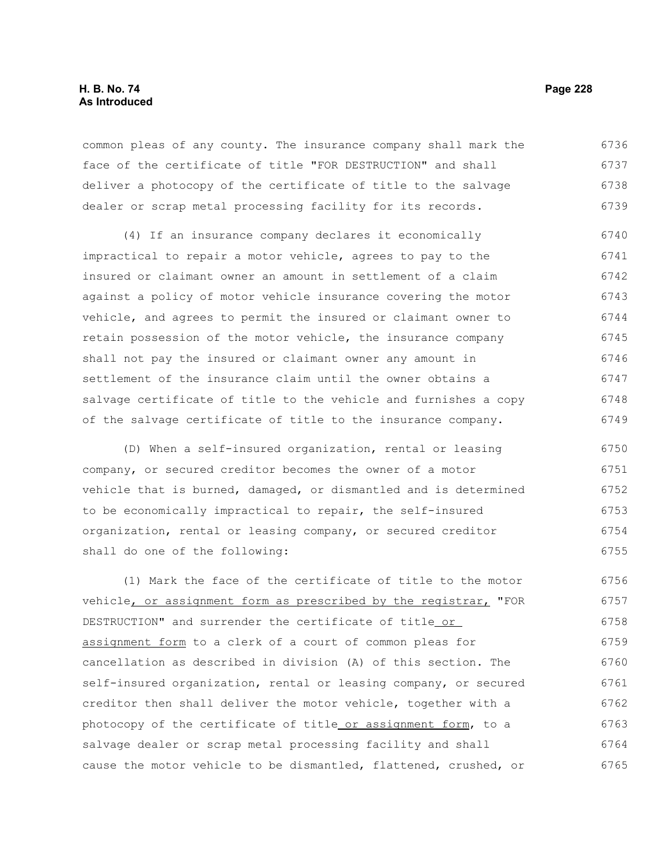common pleas of any county. The insurance company shall mark the face of the certificate of title "FOR DESTRUCTION" and shall deliver a photocopy of the certificate of title to the salvage dealer or scrap metal processing facility for its records. 6736 6737 6738 6739

(4) If an insurance company declares it economically impractical to repair a motor vehicle, agrees to pay to the insured or claimant owner an amount in settlement of a claim against a policy of motor vehicle insurance covering the motor vehicle, and agrees to permit the insured or claimant owner to retain possession of the motor vehicle, the insurance company shall not pay the insured or claimant owner any amount in settlement of the insurance claim until the owner obtains a salvage certificate of title to the vehicle and furnishes a copy of the salvage certificate of title to the insurance company. 6740 6741 6742 6743 6744 6745 6746 6747 6748 6749

(D) When a self-insured organization, rental or leasing company, or secured creditor becomes the owner of a motor vehicle that is burned, damaged, or dismantled and is determined to be economically impractical to repair, the self-insured organization, rental or leasing company, or secured creditor shall do one of the following: 6750 6751 6752 6753 6754 6755

(1) Mark the face of the certificate of title to the motor vehicle, or assignment form as prescribed by the registrar, "FOR DESTRUCTION" and surrender the certificate of title or assignment form to a clerk of a court of common pleas for cancellation as described in division (A) of this section. The self-insured organization, rental or leasing company, or secured creditor then shall deliver the motor vehicle, together with a photocopy of the certificate of title or assignment form, to a salvage dealer or scrap metal processing facility and shall cause the motor vehicle to be dismantled, flattened, crushed, or 6756 6757 6758 6759 6760 6761 6762 6763 6764 6765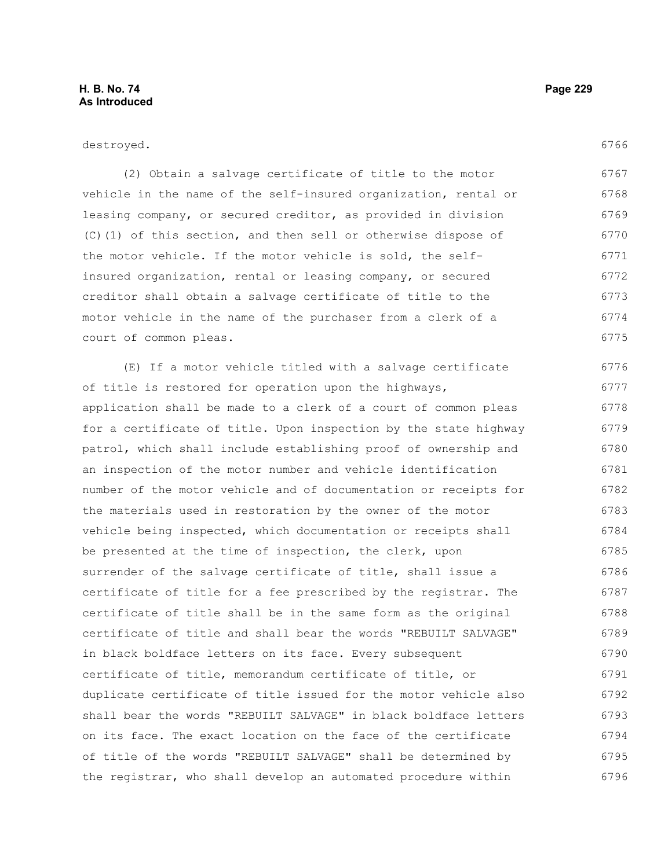destroyed.

(2) Obtain a salvage certificate of title to the motor vehicle in the name of the self-insured organization, rental or leasing company, or secured creditor, as provided in division (C)(1) of this section, and then sell or otherwise dispose of the motor vehicle. If the motor vehicle is sold, the selfinsured organization, rental or leasing company, or secured creditor shall obtain a salvage certificate of title to the motor vehicle in the name of the purchaser from a clerk of a court of common pleas. 6767 6768 6769 6770 6771 6772 6773 6774 6775

(E) If a motor vehicle titled with a salvage certificate of title is restored for operation upon the highways, application shall be made to a clerk of a court of common pleas for a certificate of title. Upon inspection by the state highway patrol, which shall include establishing proof of ownership and an inspection of the motor number and vehicle identification number of the motor vehicle and of documentation or receipts for the materials used in restoration by the owner of the motor vehicle being inspected, which documentation or receipts shall be presented at the time of inspection, the clerk, upon surrender of the salvage certificate of title, shall issue a certificate of title for a fee prescribed by the registrar. The certificate of title shall be in the same form as the original certificate of title and shall bear the words "REBUILT SALVAGE" in black boldface letters on its face. Every subsequent certificate of title, memorandum certificate of title, or duplicate certificate of title issued for the motor vehicle also shall bear the words "REBUILT SALVAGE" in black boldface letters on its face. The exact location on the face of the certificate of title of the words "REBUILT SALVAGE" shall be determined by the registrar, who shall develop an automated procedure within 6776 6777 6778 6779 6780 6781 6782 6783 6784 6785 6786 6787 6788 6789 6790 6791 6792 6793 6794 6795 6796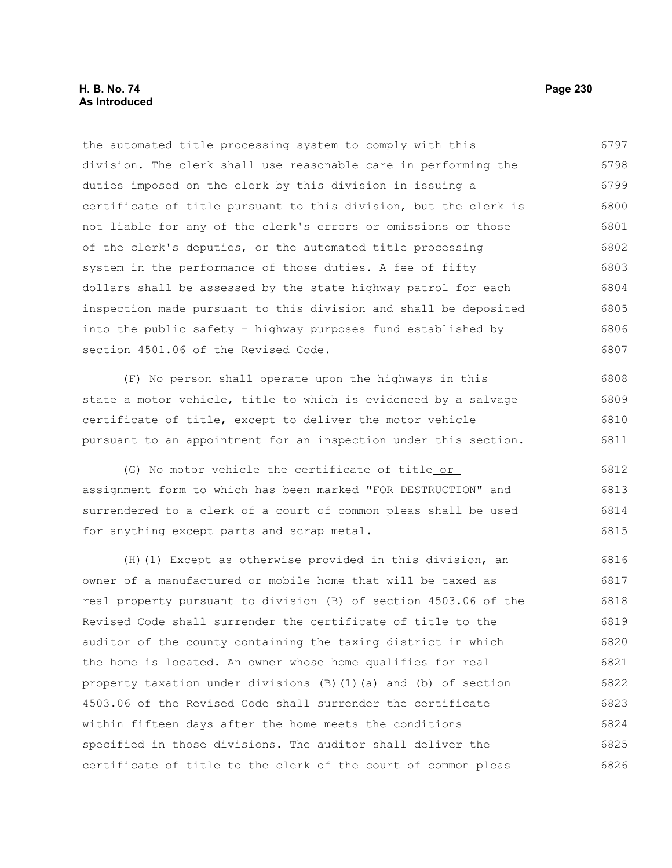# **H. B. No. 74 Page 230 As Introduced**

the automated title processing system to comply with this division. The clerk shall use reasonable care in performing the duties imposed on the clerk by this division in issuing a certificate of title pursuant to this division, but the clerk is not liable for any of the clerk's errors or omissions or those of the clerk's deputies, or the automated title processing system in the performance of those duties. A fee of fifty dollars shall be assessed by the state highway patrol for each inspection made pursuant to this division and shall be deposited into the public safety - highway purposes fund established by section 4501.06 of the Revised Code. 6797 6798 6799 6800 6801 6802 6803 6804 6805 6806 6807

(F) No person shall operate upon the highways in this state a motor vehicle, title to which is evidenced by a salvage certificate of title, except to deliver the motor vehicle pursuant to an appointment for an inspection under this section. 6808 6809 6810 6811

(G) No motor vehicle the certificate of title or assignment form to which has been marked "FOR DESTRUCTION" and surrendered to a clerk of a court of common pleas shall be used for anything except parts and scrap metal. 6812 6813 6814 6815

(H)(1) Except as otherwise provided in this division, an owner of a manufactured or mobile home that will be taxed as real property pursuant to division (B) of section 4503.06 of the Revised Code shall surrender the certificate of title to the auditor of the county containing the taxing district in which the home is located. An owner whose home qualifies for real property taxation under divisions (B)(1)(a) and (b) of section 4503.06 of the Revised Code shall surrender the certificate within fifteen days after the home meets the conditions specified in those divisions. The auditor shall deliver the certificate of title to the clerk of the court of common pleas 6816 6817 6818 6819 6820 6821 6822 6823 6824 6825 6826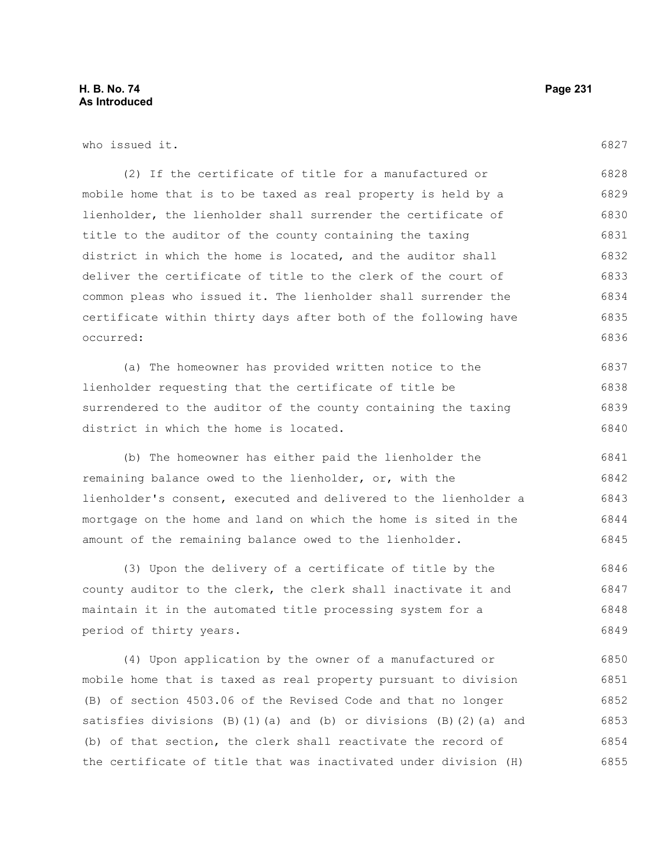6827

who issued it.

(2) If the certificate of title for a manufactured or mobile home that is to be taxed as real property is held by a lienholder, the lienholder shall surrender the certificate of title to the auditor of the county containing the taxing district in which the home is located, and the auditor shall deliver the certificate of title to the clerk of the court of common pleas who issued it. The lienholder shall surrender the certificate within thirty days after both of the following have occurred: 6828 6829 6830 6831 6832 6833 6834 6835 6836

(a) The homeowner has provided written notice to the lienholder requesting that the certificate of title be surrendered to the auditor of the county containing the taxing district in which the home is located. 6837 6838 6839 6840

(b) The homeowner has either paid the lienholder the remaining balance owed to the lienholder, or, with the lienholder's consent, executed and delivered to the lienholder a mortgage on the home and land on which the home is sited in the amount of the remaining balance owed to the lienholder. 6841 6842 6843 6844 6845

(3) Upon the delivery of a certificate of title by the county auditor to the clerk, the clerk shall inactivate it and maintain it in the automated title processing system for a period of thirty years. 6846 6847 6848 6849

(4) Upon application by the owner of a manufactured or mobile home that is taxed as real property pursuant to division (B) of section 4503.06 of the Revised Code and that no longer satisfies divisions (B)(1)(a) and (b) or divisions (B)(2)(a) and (b) of that section, the clerk shall reactivate the record of the certificate of title that was inactivated under division (H) 6850 6851 6852 6853 6854 6855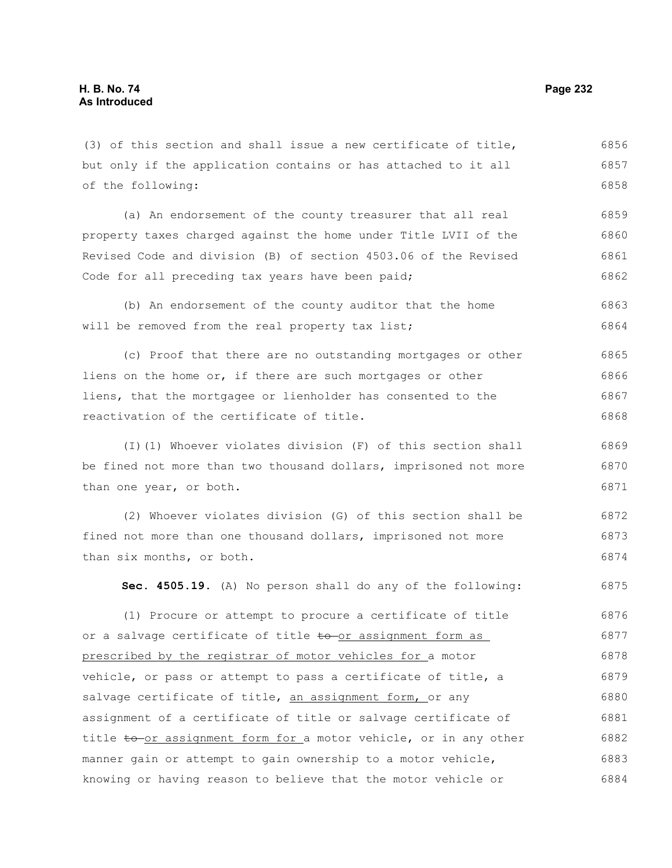| (3) of this section and shall issue a new certificate of title,  | 6856 |
|------------------------------------------------------------------|------|
| but only if the application contains or has attached to it all   | 6857 |
| of the following:                                                | 6858 |
| (a) An endorsement of the county treasurer that all real         | 6859 |
| property taxes charged against the home under Title LVII of the  | 6860 |
| Revised Code and division (B) of section 4503.06 of the Revised  | 6861 |
| Code for all preceding tax years have been paid;                 | 6862 |
| (b) An endorsement of the county auditor that the home           | 6863 |
| will be removed from the real property tax list;                 | 6864 |
| (c) Proof that there are no outstanding mortgages or other       | 6865 |
| liens on the home or, if there are such mortgages or other       | 6866 |
| liens, that the mortgagee or lienholder has consented to the     | 6867 |
| reactivation of the certificate of title.                        | 6868 |
| (I)(1) Whoever violates division (F) of this section shall       | 6869 |
| be fined not more than two thousand dollars, imprisoned not more | 6870 |
| than one year, or both.                                          | 6871 |
| (2) Whoever violates division (G) of this section shall be       | 6872 |
| fined not more than one thousand dollars, imprisoned not more    | 6873 |
| than six months, or both.                                        | 6874 |
| Sec. 4505.19. (A) No person shall do any of the following:       | 6875 |
| (1) Procure or attempt to procure a certificate of title         | 6876 |
| or a salvage certificate of title to or assignment form as       | 6877 |
| prescribed by the registrar of motor vehicles for a motor        | 6878 |
| vehicle, or pass or attempt to pass a certificate of title, a    | 6879 |
| salvage certificate of title, an assignment form, or any         | 6880 |
| assignment of a certificate of title or salvage certificate of   | 6881 |
| title to or assignment form for a motor vehicle, or in any other | 6882 |
| manner gain or attempt to gain ownership to a motor vehicle,     | 6883 |
| knowing or having reason to believe that the motor vehicle or    | 6884 |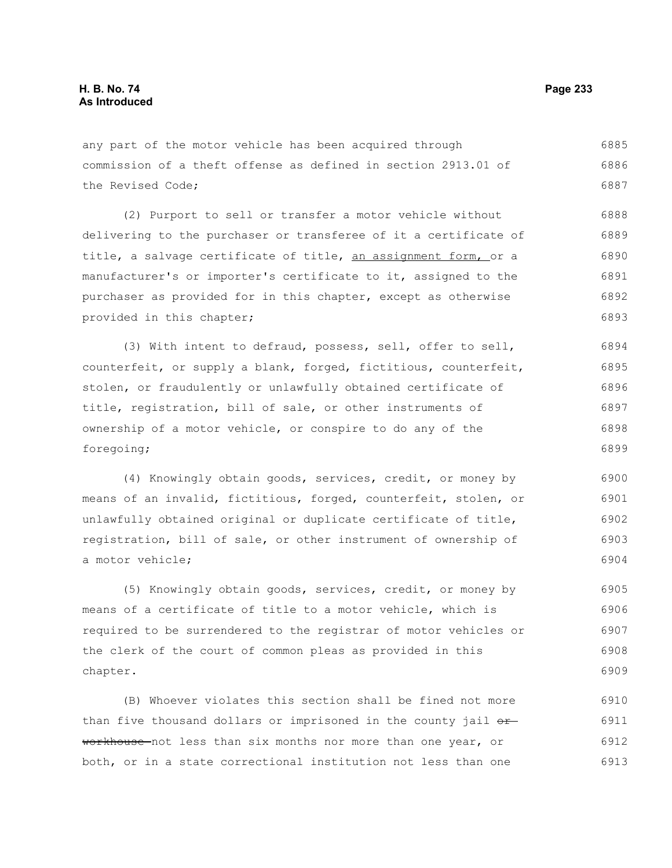chapter.

6909

#### any part of the motor vehicle has been acquired through commission of a theft offense as defined in section 2913.01 of the Revised Code; (2) Purport to sell or transfer a motor vehicle without delivering to the purchaser or transferee of it a certificate of title, a salvage certificate of title, an assignment form, or a manufacturer's or importer's certificate to it, assigned to the purchaser as provided for in this chapter, except as otherwise provided in this chapter; (3) With intent to defraud, possess, sell, offer to sell, counterfeit, or supply a blank, forged, fictitious, counterfeit, stolen, or fraudulently or unlawfully obtained certificate of title, registration, bill of sale, or other instruments of ownership of a motor vehicle, or conspire to do any of the foregoing; (4) Knowingly obtain goods, services, credit, or money by means of an invalid, fictitious, forged, counterfeit, stolen, or unlawfully obtained original or duplicate certificate of title, registration, bill of sale, or other instrument of ownership of a motor vehicle; (5) Knowingly obtain goods, services, credit, or money by means of a certificate of title to a motor vehicle, which is required to be surrendered to the registrar of motor vehicles or the clerk of the court of common pleas as provided in this 6885 6886 6887 6888 6889 6890 6891 6892 6893 6894 6895 6896 6897 6898 6899 6900 6901 6902 6903 6904 6905 6906 6907 6908

(B) Whoever violates this section shall be fined not more than five thousand dollars or imprisoned in the county jail orworkhouse not less than six months nor more than one year, or both, or in a state correctional institution not less than one 6910 6911 6912 6913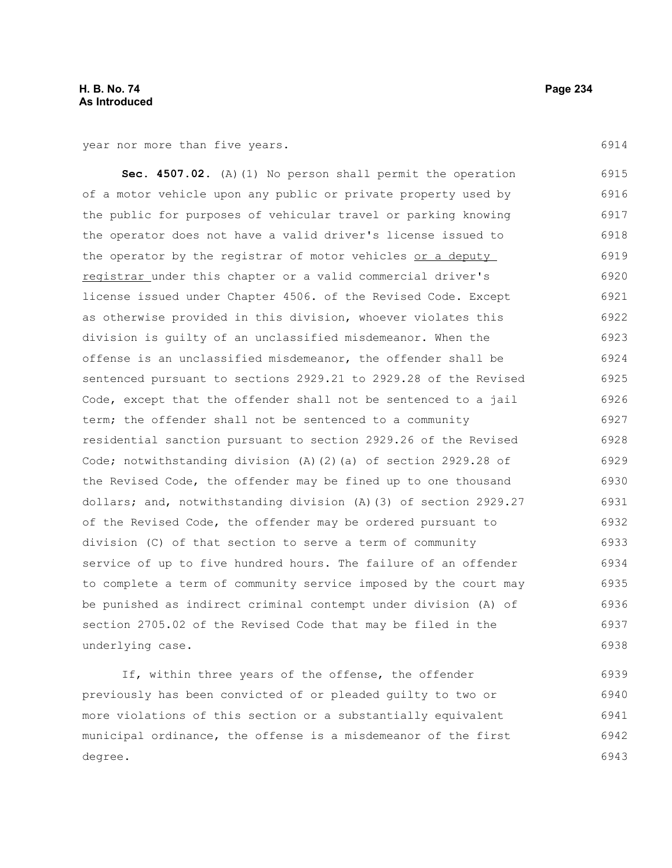# **H. B. No. 74 Page 234 As Introduced**

year nor more than five years.

**Sec. 4507.02.** (A)(1) No person shall permit the operation of a motor vehicle upon any public or private property used by the public for purposes of vehicular travel or parking knowing the operator does not have a valid driver's license issued to the operator by the registrar of motor vehicles or a deputy registrar under this chapter or a valid commercial driver's license issued under Chapter 4506. of the Revised Code. Except as otherwise provided in this division, whoever violates this division is guilty of an unclassified misdemeanor. When the offense is an unclassified misdemeanor, the offender shall be sentenced pursuant to sections 2929.21 to 2929.28 of the Revised Code, except that the offender shall not be sentenced to a jail term; the offender shall not be sentenced to a community residential sanction pursuant to section 2929.26 of the Revised Code; notwithstanding division (A)(2)(a) of section 2929.28 of the Revised Code, the offender may be fined up to one thousand dollars; and, notwithstanding division (A)(3) of section 2929.27 of the Revised Code, the offender may be ordered pursuant to division (C) of that section to serve a term of community service of up to five hundred hours. The failure of an offender to complete a term of community service imposed by the court may be punished as indirect criminal contempt under division (A) of section 2705.02 of the Revised Code that may be filed in the underlying case. 6915 6916 6917 6918 6919 6920 6921 6922 6923 6924 6925 6926 6927 6928 6929 6930 6931 6932 6933 6934 6935 6936 6937 6938

If, within three years of the offense, the offender previously has been convicted of or pleaded guilty to two or more violations of this section or a substantially equivalent municipal ordinance, the offense is a misdemeanor of the first degree. 6939 6940 6941 6942 6943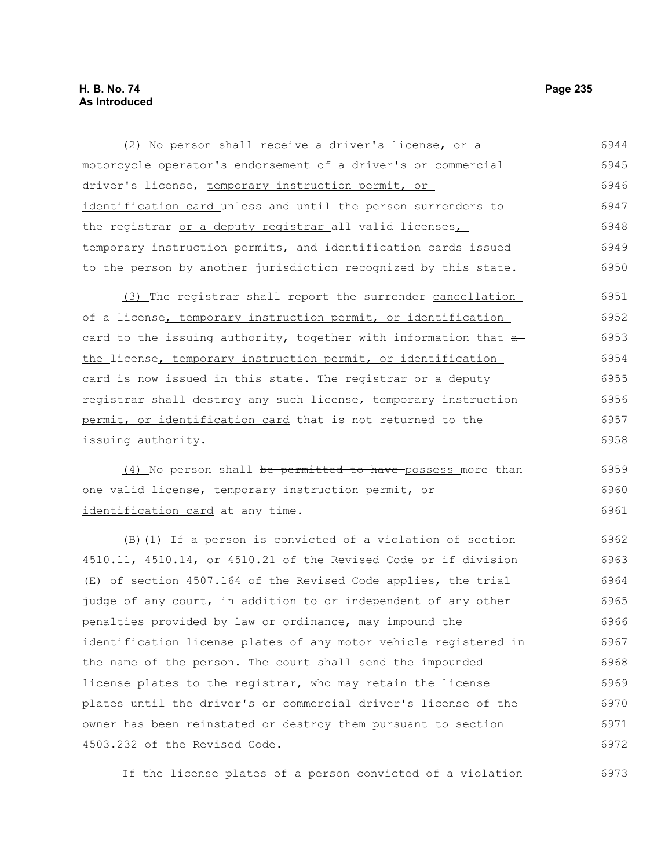# **H. B. No. 74 Page 235 As Introduced**

(2) No person shall receive a driver's license, or a motorcycle operator's endorsement of a driver's or commercial driver's license, temporary instruction permit, or identification card unless and until the person surrenders to the registrar or a deputy registrar all valid licenses, temporary instruction permits, and identification cards issued to the person by another jurisdiction recognized by this state. 6944 6945 6946 6947 6948 6949 6950

(3) The registrar shall report the surrender-cancellation of a license, temporary instruction permit, or identification card to the issuing authority, together with information that  $a$ the license, temporary instruction permit, or identification card is now issued in this state. The registrar or a deputy registrar shall destroy any such license, temporary instruction permit, or identification card that is not returned to the issuing authority. 6951 6952 6953 6954 6955 6956 6957 6958

(4) No person shall be permitted to have possess more than one valid license, temporary instruction permit, or identification card at any time. 6959 6960 6961

(B)(1) If a person is convicted of a violation of section 4510.11, 4510.14, or 4510.21 of the Revised Code or if division (E) of section 4507.164 of the Revised Code applies, the trial judge of any court, in addition to or independent of any other penalties provided by law or ordinance, may impound the identification license plates of any motor vehicle registered in the name of the person. The court shall send the impounded license plates to the registrar, who may retain the license plates until the driver's or commercial driver's license of the owner has been reinstated or destroy them pursuant to section 4503.232 of the Revised Code. 6962 6963 6964 6965 6966 6967 6968 6969 6970 6971 6972

If the license plates of a person convicted of a violation 6973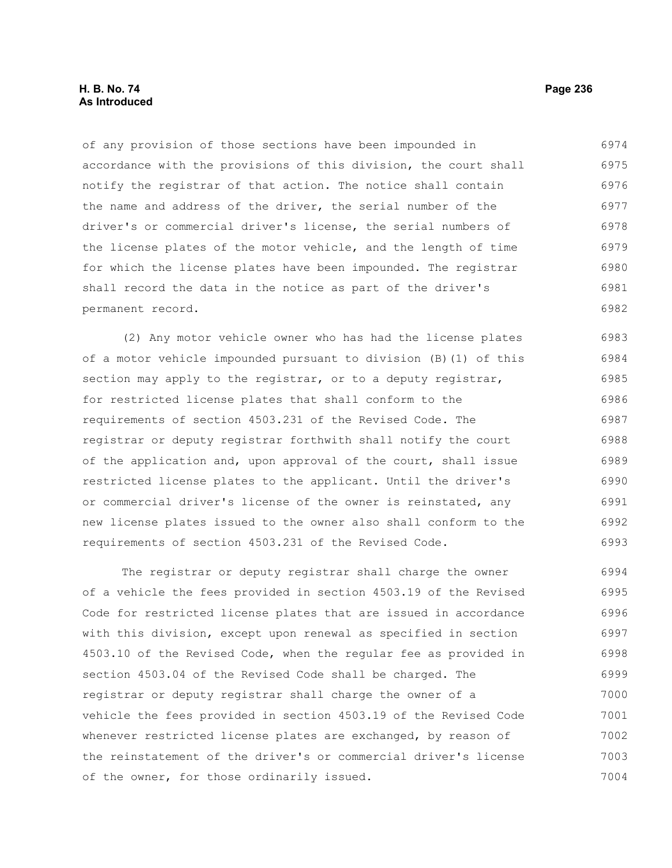# **H. B. No. 74 Page 236 As Introduced**

of any provision of those sections have been impounded in accordance with the provisions of this division, the court shall notify the registrar of that action. The notice shall contain the name and address of the driver, the serial number of the driver's or commercial driver's license, the serial numbers of the license plates of the motor vehicle, and the length of time for which the license plates have been impounded. The registrar shall record the data in the notice as part of the driver's permanent record. 6974 6975 6976 6977 6978 6979 6980 6981 6982

(2) Any motor vehicle owner who has had the license plates of a motor vehicle impounded pursuant to division (B)(1) of this section may apply to the registrar, or to a deputy registrar, for restricted license plates that shall conform to the requirements of section 4503.231 of the Revised Code. The registrar or deputy registrar forthwith shall notify the court of the application and, upon approval of the court, shall issue restricted license plates to the applicant. Until the driver's or commercial driver's license of the owner is reinstated, any new license plates issued to the owner also shall conform to the requirements of section 4503.231 of the Revised Code. 6983 6984 6985 6986 6987 6988 6989 6990 6991 6992 6993

The registrar or deputy registrar shall charge the owner of a vehicle the fees provided in section 4503.19 of the Revised Code for restricted license plates that are issued in accordance with this division, except upon renewal as specified in section 4503.10 of the Revised Code, when the regular fee as provided in section 4503.04 of the Revised Code shall be charged. The registrar or deputy registrar shall charge the owner of a vehicle the fees provided in section 4503.19 of the Revised Code whenever restricted license plates are exchanged, by reason of the reinstatement of the driver's or commercial driver's license of the owner, for those ordinarily issued. 6994 6995 6996 6997 6998 6999 7000 7001 7002 7003 7004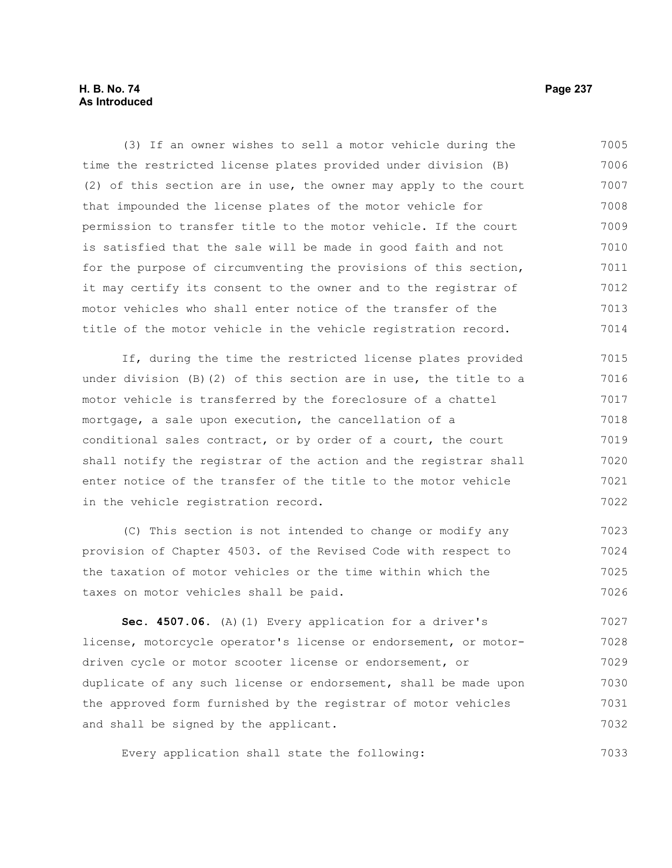# **H. B. No. 74 Page 237 As Introduced**

(3) If an owner wishes to sell a motor vehicle during the time the restricted license plates provided under division (B) (2) of this section are in use, the owner may apply to the court that impounded the license plates of the motor vehicle for permission to transfer title to the motor vehicle. If the court is satisfied that the sale will be made in good faith and not for the purpose of circumventing the provisions of this section, it may certify its consent to the owner and to the registrar of motor vehicles who shall enter notice of the transfer of the title of the motor vehicle in the vehicle registration record. 7005 7006 7007 7008 7009 7010 7011 7012 7013 7014

If, during the time the restricted license plates provided under division (B)(2) of this section are in use, the title to a motor vehicle is transferred by the foreclosure of a chattel mortgage, a sale upon execution, the cancellation of a conditional sales contract, or by order of a court, the court shall notify the registrar of the action and the registrar shall enter notice of the transfer of the title to the motor vehicle in the vehicle registration record. 7015 7016 7017 7018 7019 7020 7021 7022

(C) This section is not intended to change or modify any provision of Chapter 4503. of the Revised Code with respect to the taxation of motor vehicles or the time within which the taxes on motor vehicles shall be paid. 7023 7024 7025 7026

**Sec. 4507.06.** (A)(1) Every application for a driver's license, motorcycle operator's license or endorsement, or motordriven cycle or motor scooter license or endorsement, or duplicate of any such license or endorsement, shall be made upon the approved form furnished by the registrar of motor vehicles and shall be signed by the applicant. 7027 7028 7029 7030 7031 7032

Every application shall state the following: 7033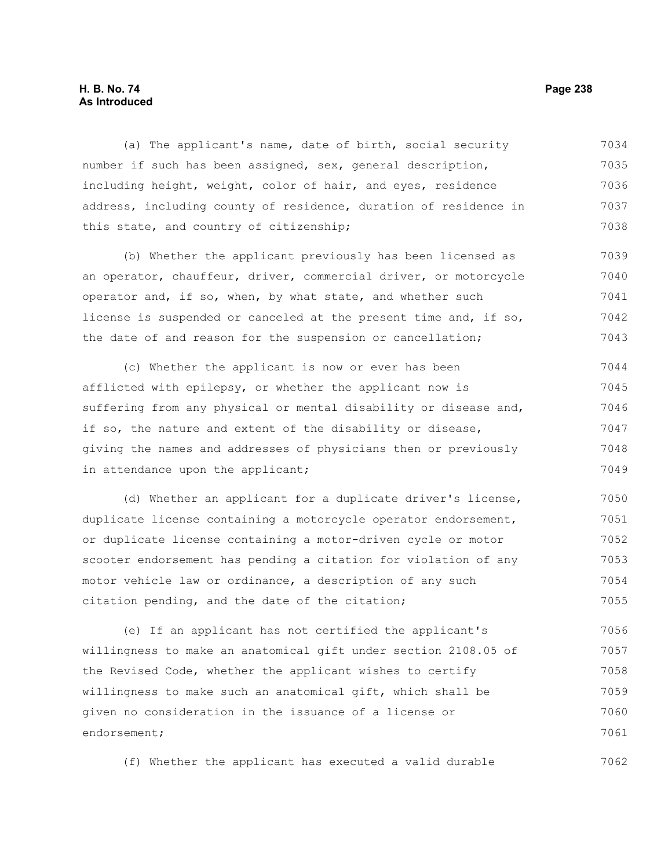# **H. B. No. 74 Page 238 As Introduced**

(a) The applicant's name, date of birth, social security number if such has been assigned, sex, general description, including height, weight, color of hair, and eyes, residence address, including county of residence, duration of residence in this state, and country of citizenship; 7034 7035 7036 7037 7038

(b) Whether the applicant previously has been licensed as an operator, chauffeur, driver, commercial driver, or motorcycle operator and, if so, when, by what state, and whether such license is suspended or canceled at the present time and, if so, the date of and reason for the suspension or cancellation; 7039 7040 7041 7042 7043

(c) Whether the applicant is now or ever has been afflicted with epilepsy, or whether the applicant now is suffering from any physical or mental disability or disease and, if so, the nature and extent of the disability or disease, giving the names and addresses of physicians then or previously in attendance upon the applicant; 7044 7045 7046 7047 7048 7049

(d) Whether an applicant for a duplicate driver's license, duplicate license containing a motorcycle operator endorsement, or duplicate license containing a motor-driven cycle or motor scooter endorsement has pending a citation for violation of any motor vehicle law or ordinance, a description of any such citation pending, and the date of the citation; 7050 7051 7052 7053 7054 7055

(e) If an applicant has not certified the applicant's willingness to make an anatomical gift under section 2108.05 of the Revised Code, whether the applicant wishes to certify willingness to make such an anatomical gift, which shall be given no consideration in the issuance of a license or endorsement; 7056 7057 7058 7059 7060 7061

(f) Whether the applicant has executed a valid durable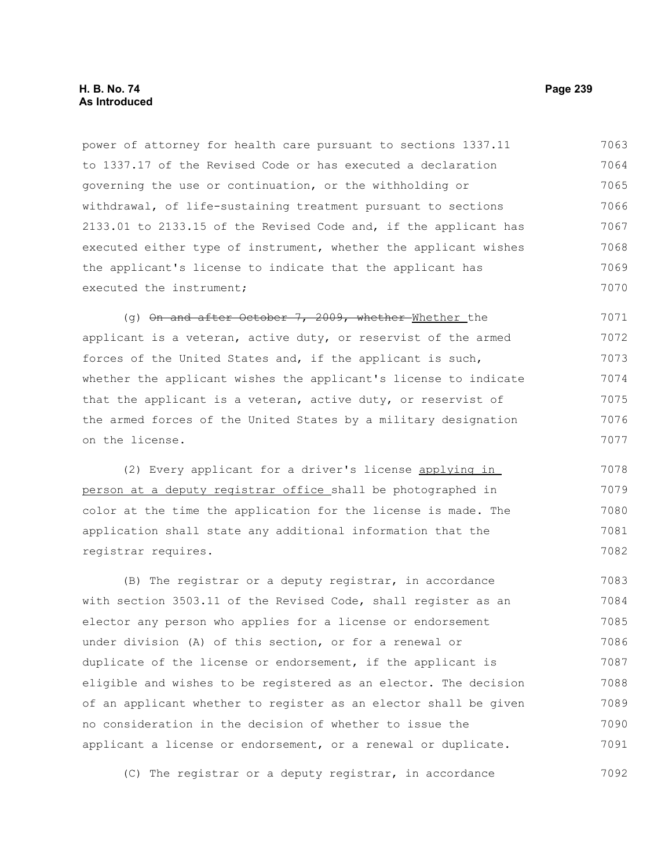# **H. B. No. 74 Page 239 As Introduced**

power of attorney for health care pursuant to sections 1337.11 to 1337.17 of the Revised Code or has executed a declaration governing the use or continuation, or the withholding or withdrawal, of life-sustaining treatment pursuant to sections 2133.01 to 2133.15 of the Revised Code and, if the applicant has executed either type of instrument, whether the applicant wishes the applicant's license to indicate that the applicant has executed the instrument; 7063 7064 7065 7066 7067 7068 7069 7070

(g) On and after October 7, 2009, whether Whether the applicant is a veteran, active duty, or reservist of the armed forces of the United States and, if the applicant is such, whether the applicant wishes the applicant's license to indicate that the applicant is a veteran, active duty, or reservist of the armed forces of the United States by a military designation on the license. 7071 7072 7073 7074 7075 7076 7077

(2) Every applicant for a driver's license applying in person at a deputy registrar office shall be photographed in color at the time the application for the license is made. The application shall state any additional information that the registrar requires. 7078 7079 7080 7081 7082

(B) The registrar or a deputy registrar, in accordance with section 3503.11 of the Revised Code, shall register as an elector any person who applies for a license or endorsement under division (A) of this section, or for a renewal or duplicate of the license or endorsement, if the applicant is eligible and wishes to be registered as an elector. The decision of an applicant whether to register as an elector shall be given no consideration in the decision of whether to issue the applicant a license or endorsement, or a renewal or duplicate. 7083 7084 7085 7086 7087 7088 7089 7090 7091

(C) The registrar or a deputy registrar, in accordance 7092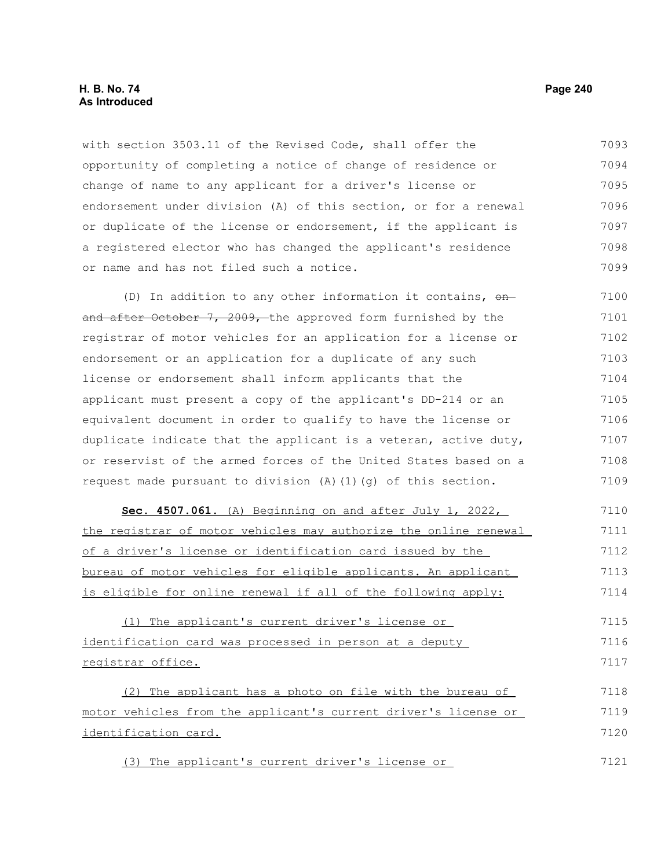# **H. B. No. 74 Page 240 As Introduced**

with section 3503.11 of the Revised Code, shall offer the opportunity of completing a notice of change of residence or change of name to any applicant for a driver's license or endorsement under division (A) of this section, or for a renewal or duplicate of the license or endorsement, if the applicant is a registered elector who has changed the applicant's residence or name and has not filed such a notice. 7093 7094 7095 7096 7097 7098 7099

(D) In addition to any other information it contains,  $\Theta$ and after October 7, 2009, the approved form furnished by the registrar of motor vehicles for an application for a license or endorsement or an application for a duplicate of any such license or endorsement shall inform applicants that the applicant must present a copy of the applicant's DD-214 or an equivalent document in order to qualify to have the license or duplicate indicate that the applicant is a veteran, active duty, or reservist of the armed forces of the United States based on a request made pursuant to division (A)(1)(g) of this section. 7100 7101 7102 7103 7104 7105 7106 7107 7108 7109

 **Sec. 4507.061.** (A) Beginning on and after July 1, 2022, the registrar of motor vehicles may authorize the online renewal of a driver's license or identification card issued by the bureau of motor vehicles for eligible applicants. An applicant is eligible for online renewal if all of the following apply: 7110 7111 7112 7113 7114

(1) The applicant's current driver's license or identification card was processed in person at a deputy registrar office. 7115 7116 7117

(2) The applicant has a photo on file with the bureau of motor vehicles from the applicant's current driver's license or identification card. 7118 7119 7120

(3) The applicant's current driver's license or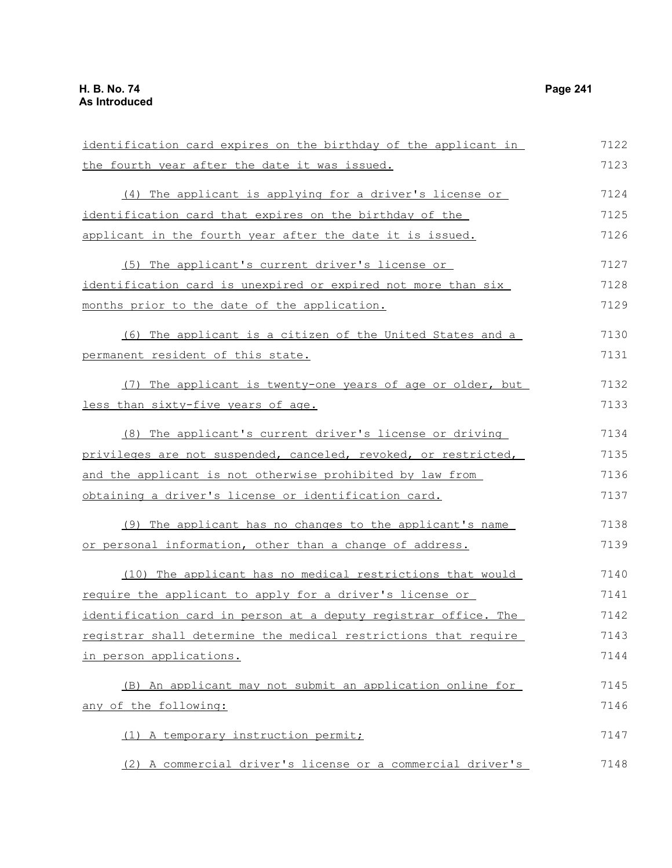| identification card expires on the birthday of the applicant in | 7122 |
|-----------------------------------------------------------------|------|
| the fourth year after the date it was issued.                   | 7123 |
| (4) The applicant is applying for a driver's license or         | 7124 |
| identification card that expires on the birthday of the         | 7125 |
| applicant in the fourth year after the date it is issued.       | 7126 |
| (5) The applicant's current driver's license or                 | 7127 |
| identification card is unexpired or expired not more than six   | 7128 |
| months prior to the date of the application.                    | 7129 |
| (6) The applicant is a citizen of the United States and a       | 7130 |
| permanent resident of this state.                               | 7131 |
| (7) The applicant is twenty-one years of age or older, but      | 7132 |
| less than sixty-five years of age.                              | 7133 |
| (8) The applicant's current driver's license or driving         | 7134 |
| privileges are not suspended, canceled, revoked, or restricted, | 7135 |
| and the applicant is not otherwise prohibited by law from       | 7136 |
| obtaining a driver's license or identification card.            | 7137 |
| (9) The applicant has no changes to the applicant's name        | 7138 |
| or personal information, other than a change of address.        | 7139 |
| (10) The applicant has no medical restrictions that would       | 7140 |
| require the applicant to apply for a driver's license or        | 7141 |
| identification card in person at a deputy registrar office. The | 7142 |
| registrar shall determine the medical restrictions that require | 7143 |
| in person applications.                                         | 7144 |
| (B) An applicant may not submit an application online for       | 7145 |
| any of the following:                                           | 7146 |
| (1) A temporary instruction permit;                             | 7147 |
| (2) A commercial driver's license or a commercial driver's      | 7148 |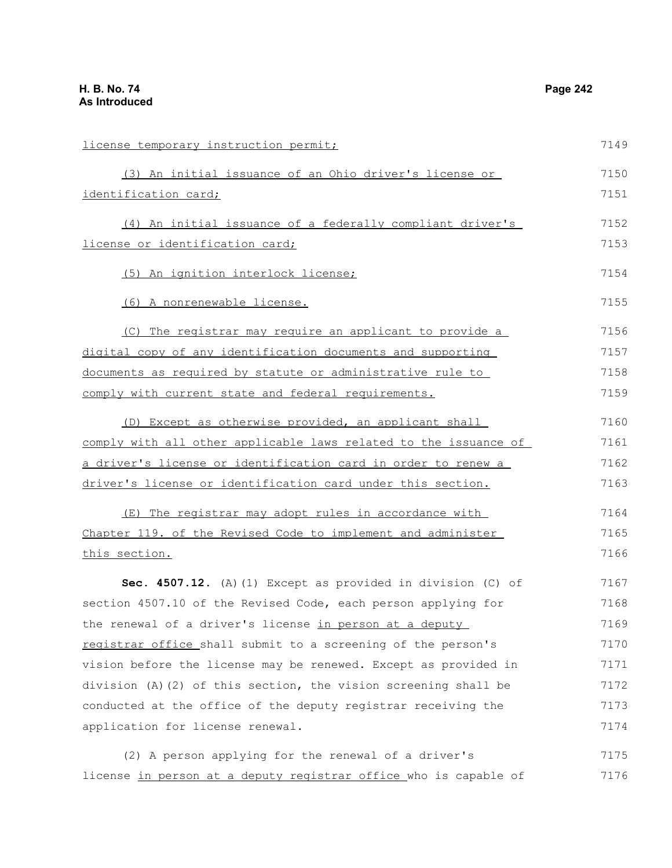license temporary instruction permit; (3) An initial issuance of an Ohio driver's license or identification card; (4) An initial issuance of a federally compliant driver's license or identification card; (5) An ignition interlock license; (6) A nonrenewable license. (C) The registrar may require an applicant to provide a digital copy of any identification documents and supporting documents as required by statute or administrative rule to comply with current state and federal requirements. (D) Except as otherwise provided, an applicant shall comply with all other applicable laws related to the issuance of a driver's license or identification card in order to renew a driver's license or identification card under this section. (E) The registrar may adopt rules in accordance with Chapter 119. of the Revised Code to implement and administer this section. **Sec. 4507.12.** (A)(1) Except as provided in division (C) of section 4507.10 of the Revised Code, each person applying for the renewal of a driver's license in person at a deputy registrar office shall submit to a screening of the person's vision before the license may be renewed. Except as provided in division (A)(2) of this section, the vision screening shall be conducted at the office of the deputy registrar receiving the application for license renewal. (2) A person applying for the renewal of a driver's license in person at a deputy registrar office who is capable of 7150 7151 7152 7153 7154 7155 7156 7157 7158 7159 7160 7161 7162 7163 7164 7165 7166 7167 7168 7169 7170 7171 7172 7173 7174 7175 7176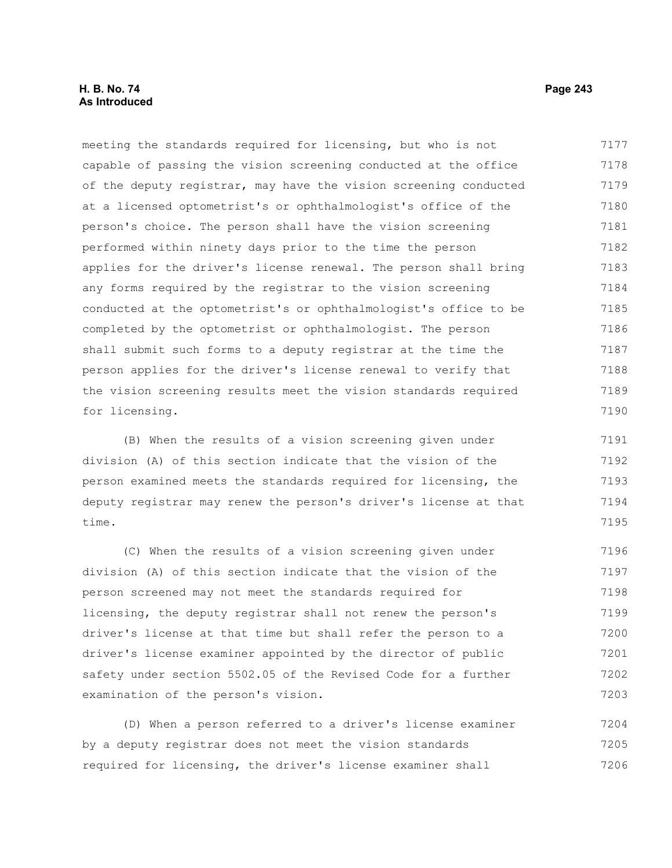# **H. B. No. 74 Page 243 As Introduced**

meeting the standards required for licensing, but who is not capable of passing the vision screening conducted at the office of the deputy registrar, may have the vision screening conducted at a licensed optometrist's or ophthalmologist's office of the person's choice. The person shall have the vision screening performed within ninety days prior to the time the person applies for the driver's license renewal. The person shall bring any forms required by the registrar to the vision screening conducted at the optometrist's or ophthalmologist's office to be completed by the optometrist or ophthalmologist. The person shall submit such forms to a deputy registrar at the time the person applies for the driver's license renewal to verify that the vision screening results meet the vision standards required for licensing. 7177 7178 7179 7180 7181 7182 7183 7184 7185 7186 7187 7188 7189 7190

(B) When the results of a vision screening given under division (A) of this section indicate that the vision of the person examined meets the standards required for licensing, the deputy registrar may renew the person's driver's license at that time. 7191 7192 7193 7194 7195

(C) When the results of a vision screening given under division (A) of this section indicate that the vision of the person screened may not meet the standards required for licensing, the deputy registrar shall not renew the person's driver's license at that time but shall refer the person to a driver's license examiner appointed by the director of public safety under section 5502.05 of the Revised Code for a further examination of the person's vision. 7196 7197 7198 7199 7200 7201 7202 7203

(D) When a person referred to a driver's license examiner by a deputy registrar does not meet the vision standards required for licensing, the driver's license examiner shall 7204 7205 7206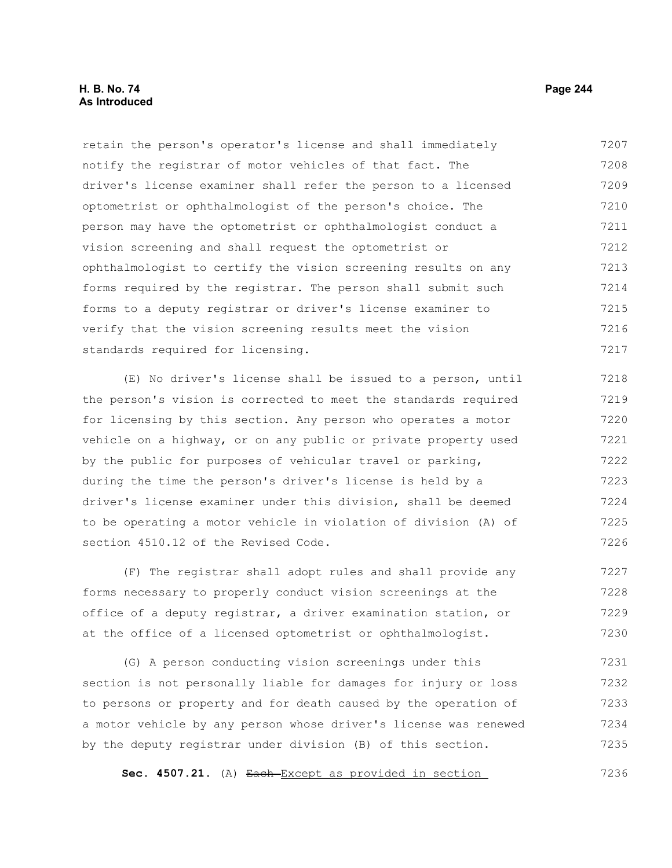# **H. B. No. 74 Page 244 As Introduced**

retain the person's operator's license and shall immediately notify the registrar of motor vehicles of that fact. The driver's license examiner shall refer the person to a licensed optometrist or ophthalmologist of the person's choice. The person may have the optometrist or ophthalmologist conduct a vision screening and shall request the optometrist or ophthalmologist to certify the vision screening results on any forms required by the registrar. The person shall submit such forms to a deputy registrar or driver's license examiner to verify that the vision screening results meet the vision standards required for licensing. 7207 7208 7209 7210 7211 7212 7213 7214 7215 7216 7217

(E) No driver's license shall be issued to a person, until the person's vision is corrected to meet the standards required for licensing by this section. Any person who operates a motor vehicle on a highway, or on any public or private property used by the public for purposes of vehicular travel or parking, during the time the person's driver's license is held by a driver's license examiner under this division, shall be deemed to be operating a motor vehicle in violation of division (A) of section 4510.12 of the Revised Code. 7218 7219 7220 7221 7222 7223 7224 7225 7226

(F) The registrar shall adopt rules and shall provide any forms necessary to properly conduct vision screenings at the office of a deputy registrar, a driver examination station, or at the office of a licensed optometrist or ophthalmologist. 7227 7228 7229 7230

(G) A person conducting vision screenings under this section is not personally liable for damages for injury or loss to persons or property and for death caused by the operation of a motor vehicle by any person whose driver's license was renewed by the deputy registrar under division (B) of this section. 7231 7232 7233 7234 7235

Sec. 4507.21. (A) Each-Except as provided in section 7236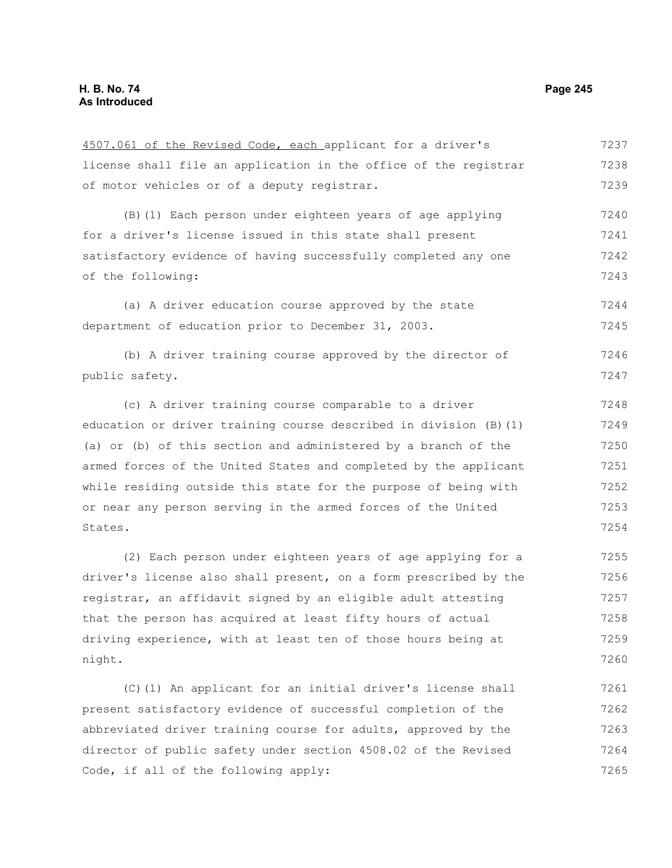license shall file an application in the office of the registrar of motor vehicles or of a deputy registrar. (B)(1) Each person under eighteen years of age applying for a driver's license issued in this state shall present satisfactory evidence of having successfully completed any one of the following: (a) A driver education course approved by the state department of education prior to December 31, 2003. (b) A driver training course approved by the director of public safety. (c) A driver training course comparable to a driver education or driver training course described in division (B)(1) (a) or (b) of this section and administered by a branch of the armed forces of the United States and completed by the applicant while residing outside this state for the purpose of being with or near any person serving in the armed forces of the United States. (2) Each person under eighteen years of age applying for a driver's license also shall present, on a form prescribed by the registrar, an affidavit signed by an eligible adult attesting 7238 7239 7240 7241 7242 7243 7244 7245 7246 7247 7248 7249 7250 7251 7252 7253 7254 7255 7256 7257

4507.061 of the Revised Code, each applicant for a driver's

that the person has acquired at least fifty hours of actual driving experience, with at least ten of those hours being at night. 7258 7259 7260

(C)(1) An applicant for an initial driver's license shall present satisfactory evidence of successful completion of the abbreviated driver training course for adults, approved by the director of public safety under section 4508.02 of the Revised Code, if all of the following apply: 7261 7262 7263 7264 7265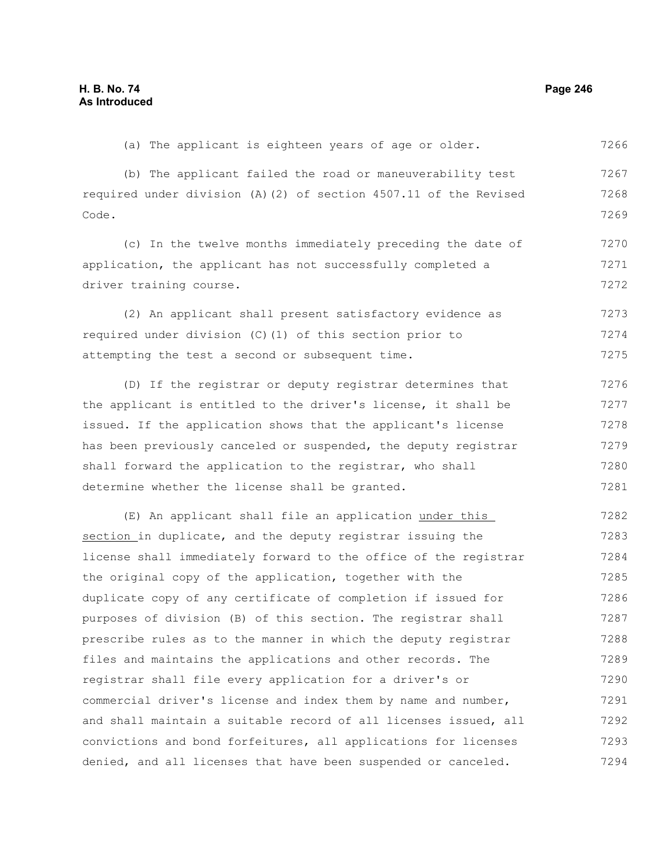required under division (A)(2) of section 4507.11 of the Revised Code. (c) In the twelve months immediately preceding the date of application, the applicant has not successfully completed a driver training course. (2) An applicant shall present satisfactory evidence as required under division (C)(1) of this section prior to attempting the test a second or subsequent time. (D) If the registrar or deputy registrar determines that the applicant is entitled to the driver's license, it shall be issued. If the application shows that the applicant's license has been previously canceled or suspended, the deputy registrar shall forward the application to the registrar, who shall determine whether the license shall be granted. (E) An applicant shall file an application under this section in duplicate, and the deputy registrar issuing the license shall immediately forward to the office of the registrar the original copy of the application, together with the duplicate copy of any certificate of completion if issued for purposes of division (B) of this section. The registrar shall 7268 7269 7270 7271 7272 7273 7274 7275 7276 7277 7278 7279 7280 7281 7282 7283 7284 7285 7286 7287

(a) The applicant is eighteen years of age or older.

(b) The applicant failed the road or maneuverability test

prescribe rules as to the manner in which the deputy registrar files and maintains the applications and other records. The registrar shall file every application for a driver's or commercial driver's license and index them by name and number, and shall maintain a suitable record of all licenses issued, all convictions and bond forfeitures, all applications for licenses denied, and all licenses that have been suspended or canceled. 7288 7289 7290 7291 7292 7293 7294

7266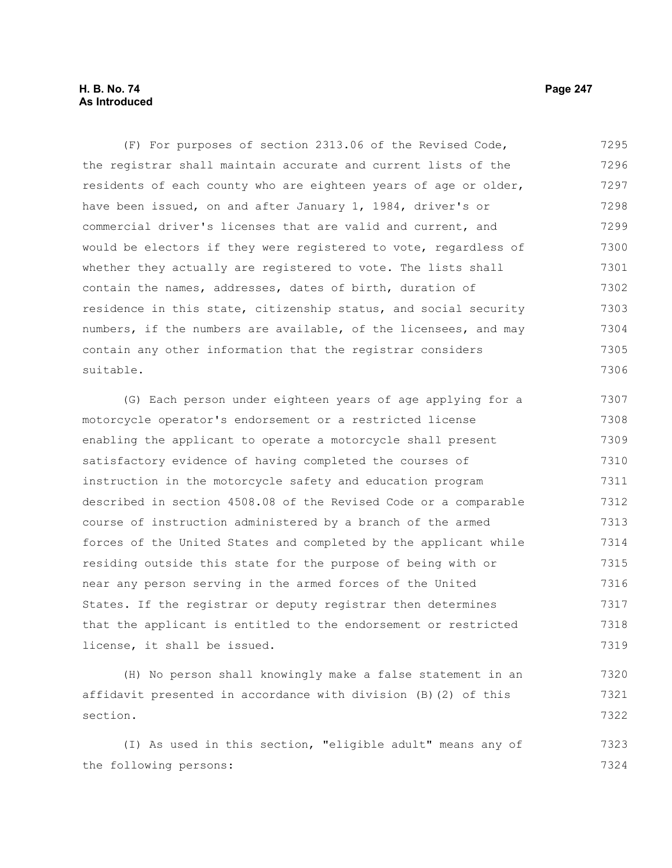# **H. B. No. 74 Page 247 As Introduced**

(F) For purposes of section 2313.06 of the Revised Code, the registrar shall maintain accurate and current lists of the residents of each county who are eighteen years of age or older, have been issued, on and after January 1, 1984, driver's or commercial driver's licenses that are valid and current, and would be electors if they were registered to vote, regardless of whether they actually are registered to vote. The lists shall contain the names, addresses, dates of birth, duration of residence in this state, citizenship status, and social security numbers, if the numbers are available, of the licensees, and may contain any other information that the registrar considers suitable. 7295 7296 7297 7298 7299 7300 7301 7302 7303 7304 7305 7306

(G) Each person under eighteen years of age applying for a motorcycle operator's endorsement or a restricted license enabling the applicant to operate a motorcycle shall present satisfactory evidence of having completed the courses of instruction in the motorcycle safety and education program described in section 4508.08 of the Revised Code or a comparable course of instruction administered by a branch of the armed forces of the United States and completed by the applicant while residing outside this state for the purpose of being with or near any person serving in the armed forces of the United States. If the registrar or deputy registrar then determines that the applicant is entitled to the endorsement or restricted license, it shall be issued. 7307 7308 7309 7310 7311 7312 7313 7314 7315 7316 7317 7318 7319

(H) No person shall knowingly make a false statement in an affidavit presented in accordance with division (B)(2) of this section. 7320 7321 7322

(I) As used in this section, "eligible adult" means any of the following persons: 7323 7324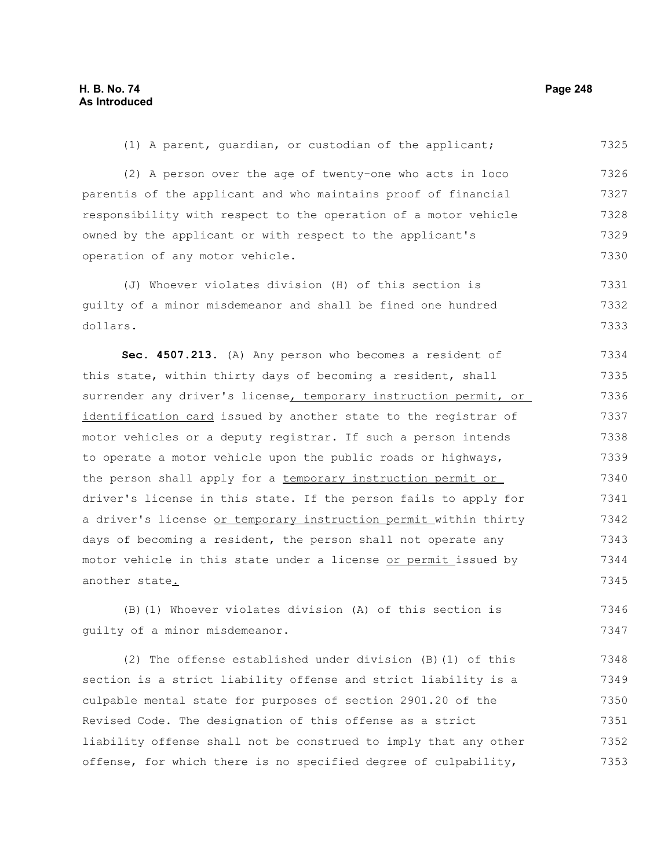(1) A parent, guardian, or custodian of the applicant; 7325

(2) A person over the age of twenty-one who acts in loco parentis of the applicant and who maintains proof of financial responsibility with respect to the operation of a motor vehicle owned by the applicant or with respect to the applicant's operation of any motor vehicle. 7326 7327 7328 7329 7330

(J) Whoever violates division (H) of this section is guilty of a minor misdemeanor and shall be fined one hundred dollars. 7331 7332 7333

**Sec. 4507.213.** (A) Any person who becomes a resident of this state, within thirty days of becoming a resident, shall surrender any driver's license, temporary instruction permit, or identification card issued by another state to the registrar of motor vehicles or a deputy registrar. If such a person intends to operate a motor vehicle upon the public roads or highways, the person shall apply for a temporary instruction permit or driver's license in this state. If the person fails to apply for a driver's license or temporary instruction permit within thirty days of becoming a resident, the person shall not operate any motor vehicle in this state under a license or permit issued by another state. 7334 7335 7336 7337 7338 7339 7340 7341 7342 7343 7344 7345

(B)(1) Whoever violates division (A) of this section is guilty of a minor misdemeanor. 7346 7347

(2) The offense established under division (B)(1) of this section is a strict liability offense and strict liability is a culpable mental state for purposes of section 2901.20 of the Revised Code. The designation of this offense as a strict liability offense shall not be construed to imply that any other offense, for which there is no specified degree of culpability, 7348 7349 7350 7351 7352 7353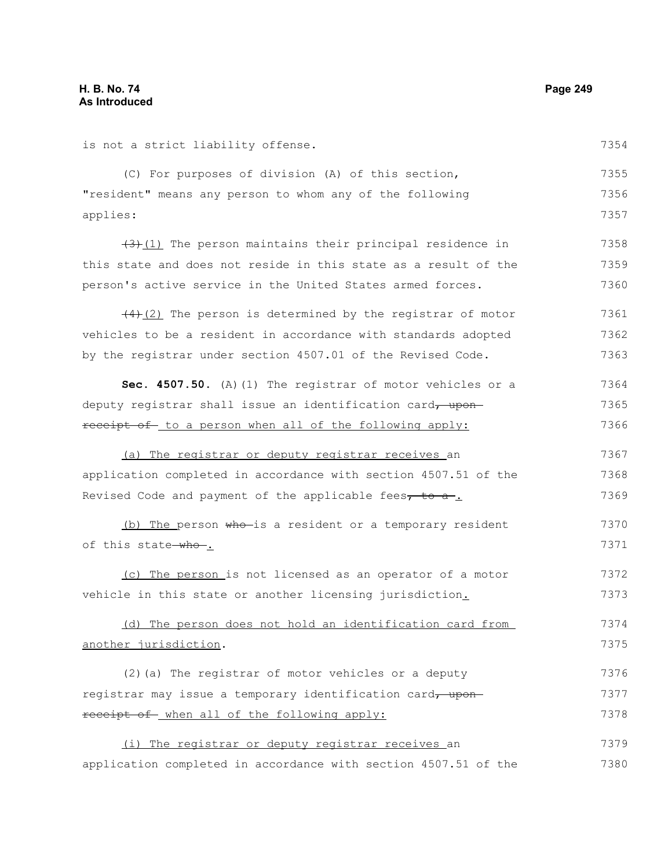# is not a strict liability offense. (C) For purposes of division (A) of this section, "resident" means any person to whom any of the following applies:  $\frac{1}{(3)(1)}$  The person maintains their principal residence in this state and does not reside in this state as a result of the person's active service in the United States armed forces.  $(4)$  (2) The person is determined by the registrar of motor vehicles to be a resident in accordance with standards adopted by the registrar under section 4507.01 of the Revised Code. **Sec. 4507.50.** (A)(1) The registrar of motor vehicles or a deputy registrar shall issue an identification card, uponreceipt of \_ to a person when all of the following apply: (a) The registrar or deputy registrar receives an application completed in accordance with section 4507.51 of the Revised Code and payment of the applicable fees $\tau$  to  $a - 1$ . (b) The person who-is a resident or a temporary resident of this state-who-. (c) The person is not licensed as an operator of a motor vehicle in this state or another licensing jurisdiction. (d) The person does not hold an identification card from another jurisdiction. (2)(a) The registrar of motor vehicles or a deputy registrar may issue a temporary identification card, uponreceipt of when all of the following apply: (i) The registrar or deputy registrar receives an application completed in accordance with section 4507.51 of the 7354 7355 7356 7357 7358 7359 7360 7361 7362 7363 7364 7365 7366 7367 7368 7369 7370 7371 7372 7373 7374 7375 7376 7377 7378 7379 7380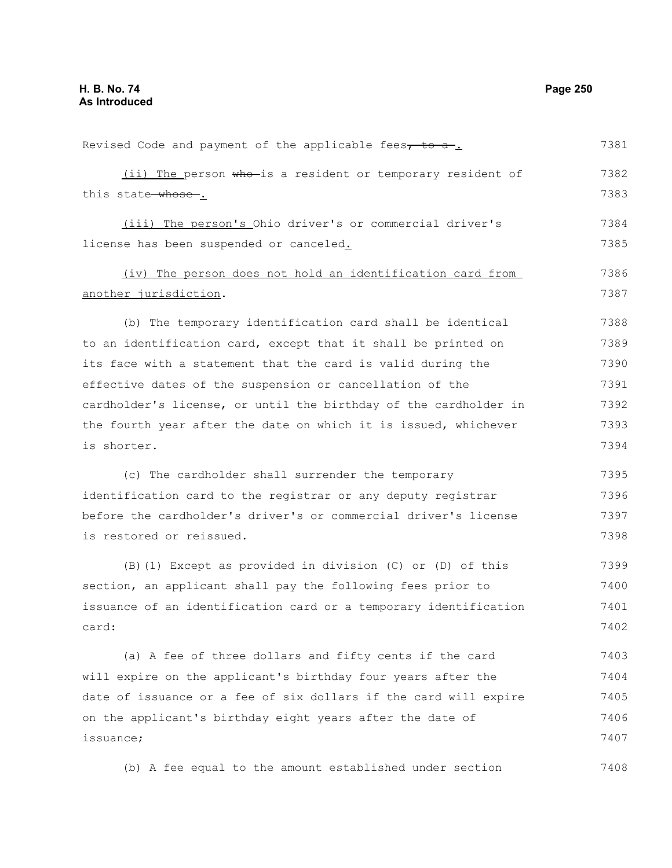(ii) The person who-is a resident or temporary resident of this state-whose-. (iii) The person's Ohio driver's or commercial driver's license has been suspended or canceled. (iv) The person does not hold an identification card from another jurisdiction. (b) The temporary identification card shall be identical to an identification card, except that it shall be printed on its face with a statement that the card is valid during the effective dates of the suspension or cancellation of the cardholder's license, or until the birthday of the cardholder in the fourth year after the date on which it is issued, whichever is shorter. (c) The cardholder shall surrender the temporary identification card to the registrar or any deputy registrar before the cardholder's driver's or commercial driver's license is restored or reissued. (B)(1) Except as provided in division (C) or (D) of this section, an applicant shall pay the following fees prior to issuance of an identification card or a temporary identification card: (a) A fee of three dollars and fifty cents if the card will expire on the applicant's birthday four years after the date of issuance or a fee of six dollars if the card will expire on the applicant's birthday eight years after the date of issuance; 7382 7383 7384 7385 7386 7387 7388 7389 7390 7391 7392 7393 7394 7395 7396 7397 7398 7399 7400 7401 7402 7403 7404 7405 7406 7407

Revised Code and payment of the applicable fees $\tau$  to  $a_{\tau}$ .

(b) A fee equal to the amount established under section 7408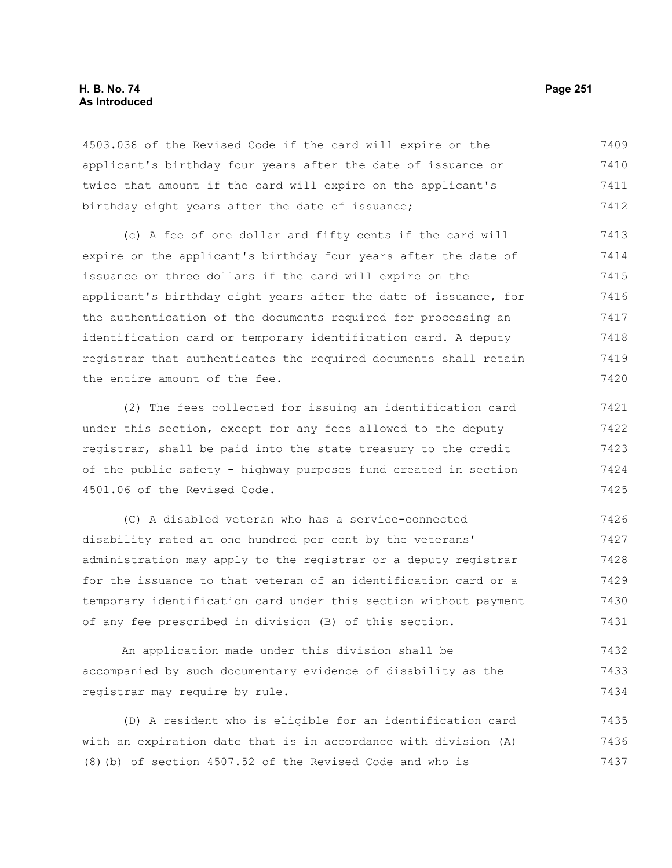# **H. B. No. 74 Page 251 As Introduced**

4503.038 of the Revised Code if the card will expire on the applicant's birthday four years after the date of issuance or twice that amount if the card will expire on the applicant's birthday eight years after the date of issuance; 7409 7410 7411 7412

(c) A fee of one dollar and fifty cents if the card will expire on the applicant's birthday four years after the date of issuance or three dollars if the card will expire on the applicant's birthday eight years after the date of issuance, for the authentication of the documents required for processing an identification card or temporary identification card. A deputy registrar that authenticates the required documents shall retain the entire amount of the fee. 7413 7414 7415 7416 7417 7418 7419 7420

(2) The fees collected for issuing an identification card under this section, except for any fees allowed to the deputy registrar, shall be paid into the state treasury to the credit of the public safety - highway purposes fund created in section 4501.06 of the Revised Code. 7421 7422 7423 7424 7425

(C) A disabled veteran who has a service-connected disability rated at one hundred per cent by the veterans' administration may apply to the registrar or a deputy registrar for the issuance to that veteran of an identification card or a temporary identification card under this section without payment of any fee prescribed in division (B) of this section. 7426 7427 7428 7429 7430 7431

An application made under this division shall be accompanied by such documentary evidence of disability as the registrar may require by rule. 7432 7433 7434

(D) A resident who is eligible for an identification card with an expiration date that is in accordance with division (A) (8)(b) of section 4507.52 of the Revised Code and who is 7435 7436 7437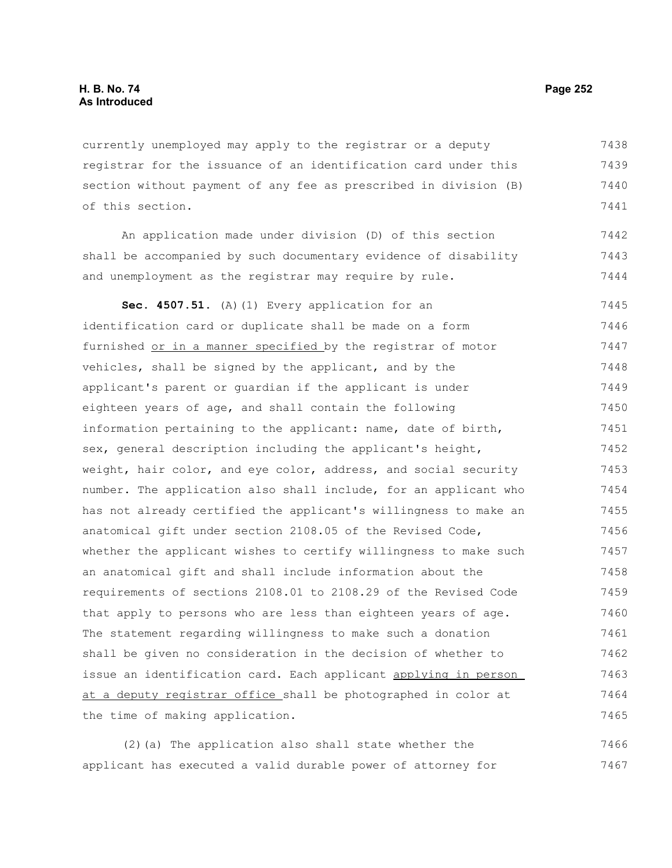currently unemployed may apply to the registrar or a deputy registrar for the issuance of an identification card under this section without payment of any fee as prescribed in division (B) of this section. 7438 7439 7440 7441

An application made under division (D) of this section shall be accompanied by such documentary evidence of disability and unemployment as the registrar may require by rule. 7442 7443 7444

Sec. 4507.51. (A)(1) Every application for an identification card or duplicate shall be made on a form furnished or in a manner specified by the registrar of motor vehicles, shall be signed by the applicant, and by the applicant's parent or guardian if the applicant is under eighteen years of age, and shall contain the following information pertaining to the applicant: name, date of birth, sex, general description including the applicant's height, weight, hair color, and eye color, address, and social security number. The application also shall include, for an applicant who has not already certified the applicant's willingness to make an anatomical gift under section 2108.05 of the Revised Code, whether the applicant wishes to certify willingness to make such an anatomical gift and shall include information about the requirements of sections 2108.01 to 2108.29 of the Revised Code that apply to persons who are less than eighteen years of age. The statement regarding willingness to make such a donation shall be given no consideration in the decision of whether to issue an identification card. Each applicant applying in person at a deputy registrar office shall be photographed in color at the time of making application. 7445 7446 7447 7448 7449 7450 7451 7452 7453 7454 7455 7456 7457 7458 7459 7460 7461 7462 7463 7464 7465

(2)(a) The application also shall state whether the applicant has executed a valid durable power of attorney for 7466 7467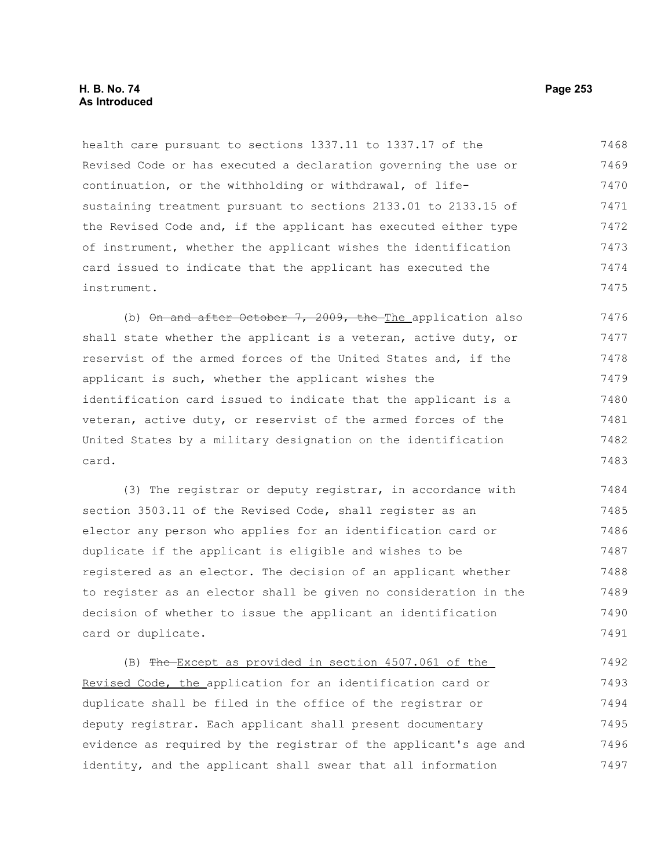### **H. B. No. 74 Page 253 As Introduced**

health care pursuant to sections 1337.11 to 1337.17 of the Revised Code or has executed a declaration governing the use or continuation, or the withholding or withdrawal, of lifesustaining treatment pursuant to sections 2133.01 to 2133.15 of the Revised Code and, if the applicant has executed either type of instrument, whether the applicant wishes the identification card issued to indicate that the applicant has executed the instrument. 7468 7469 7470 7471 7472 7473 7474 7475

(b)  $\Theta$ n and after October 7, 2009, the The application also shall state whether the applicant is a veteran, active duty, or reservist of the armed forces of the United States and, if the applicant is such, whether the applicant wishes the identification card issued to indicate that the applicant is a veteran, active duty, or reservist of the armed forces of the United States by a military designation on the identification card. 7476 7477 7478 7479 7480 7481 7482 7483

(3) The registrar or deputy registrar, in accordance with section 3503.11 of the Revised Code, shall register as an elector any person who applies for an identification card or duplicate if the applicant is eligible and wishes to be registered as an elector. The decision of an applicant whether to register as an elector shall be given no consideration in the decision of whether to issue the applicant an identification card or duplicate. 7484 7485 7486 7487 7488 7489 7490 7491

(B) The Except as provided in section 4507.061 of the Revised Code, the application for an identification card or duplicate shall be filed in the office of the registrar or deputy registrar. Each applicant shall present documentary evidence as required by the registrar of the applicant's age and identity, and the applicant shall swear that all information 7492 7493 7494 7495 7496 7497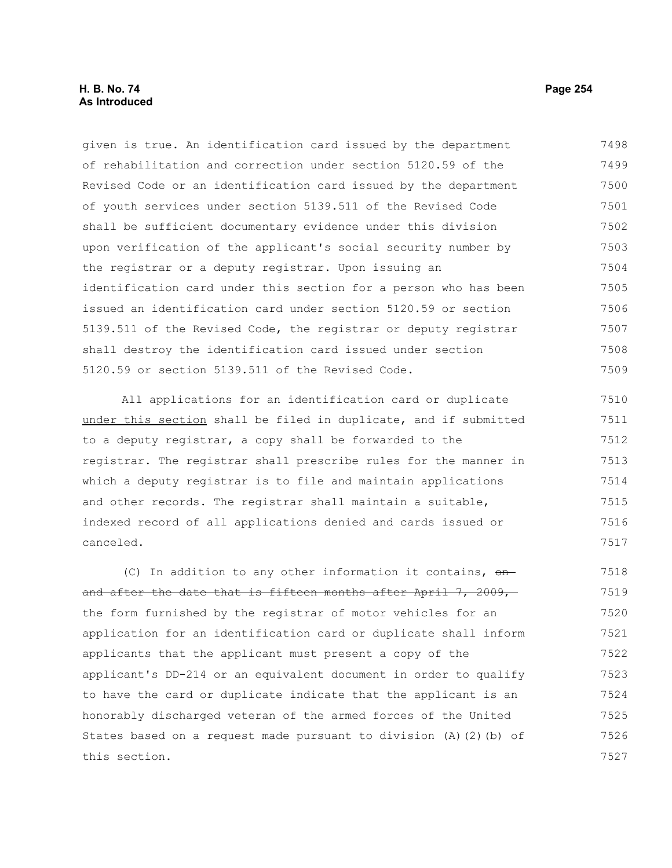### **H. B. No. 74 Page 254 As Introduced**

given is true. An identification card issued by the department of rehabilitation and correction under section 5120.59 of the Revised Code or an identification card issued by the department of youth services under section 5139.511 of the Revised Code shall be sufficient documentary evidence under this division upon verification of the applicant's social security number by the registrar or a deputy registrar. Upon issuing an identification card under this section for a person who has been issued an identification card under section 5120.59 or section 5139.511 of the Revised Code, the registrar or deputy registrar shall destroy the identification card issued under section 5120.59 or section 5139.511 of the Revised Code. 7498 7499 7500 7501 7502 7503 7504 7505 7506 7507 7508 7509

All applications for an identification card or duplicate under this section shall be filed in duplicate, and if submitted to a deputy registrar, a copy shall be forwarded to the registrar. The registrar shall prescribe rules for the manner in which a deputy registrar is to file and maintain applications and other records. The registrar shall maintain a suitable, indexed record of all applications denied and cards issued or canceled.

(C) In addition to any other information it contains,  $\Theta n$ and after the date that is fifteen months after April 7, 2009, the form furnished by the registrar of motor vehicles for an application for an identification card or duplicate shall inform applicants that the applicant must present a copy of the applicant's DD-214 or an equivalent document in order to qualify to have the card or duplicate indicate that the applicant is an honorably discharged veteran of the armed forces of the United States based on a request made pursuant to division (A)(2)(b) of this section. 7518 7519 7520 7521 7522 7523 7524 7525 7526 7527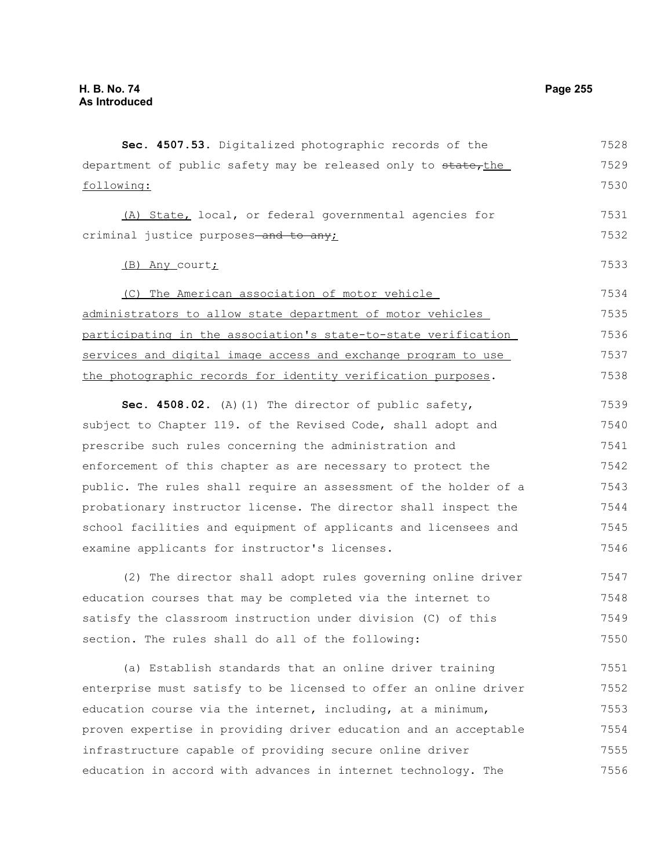**Sec. 4507.53.** Digitalized photographic records of the department of public safety may be released only to state, the following: (A) State, local, or federal governmental agencies for criminal justice purposes-and to any; (B) Any court; (C) The American association of motor vehicle administrators to allow state department of motor vehicles participating in the association's state-to-state verification services and digital image access and exchange program to use the photographic records for identity verification purposes. **Sec. 4508.02.** (A)(1) The director of public safety, subject to Chapter 119. of the Revised Code, shall adopt and prescribe such rules concerning the administration and enforcement of this chapter as are necessary to protect the public. The rules shall require an assessment of the holder of a probationary instructor license. The director shall inspect the school facilities and equipment of applicants and licensees and examine applicants for instructor's licenses. (2) The director shall adopt rules governing online driver education courses that may be completed via the internet to satisfy the classroom instruction under division (C) of this section. The rules shall do all of the following: (a) Establish standards that an online driver training enterprise must satisfy to be licensed to offer an online driver 7528 7529 7530 7531 7532 7533 7534 7535 7536 7537 7538 7539 7540 7541 7542 7543 7544 7545 7546 7547 7548 7549 7550 7551 7552

education course via the internet, including, at a minimum, proven expertise in providing driver education and an acceptable infrastructure capable of providing secure online driver education in accord with advances in internet technology. The 7553 7554 7555 7556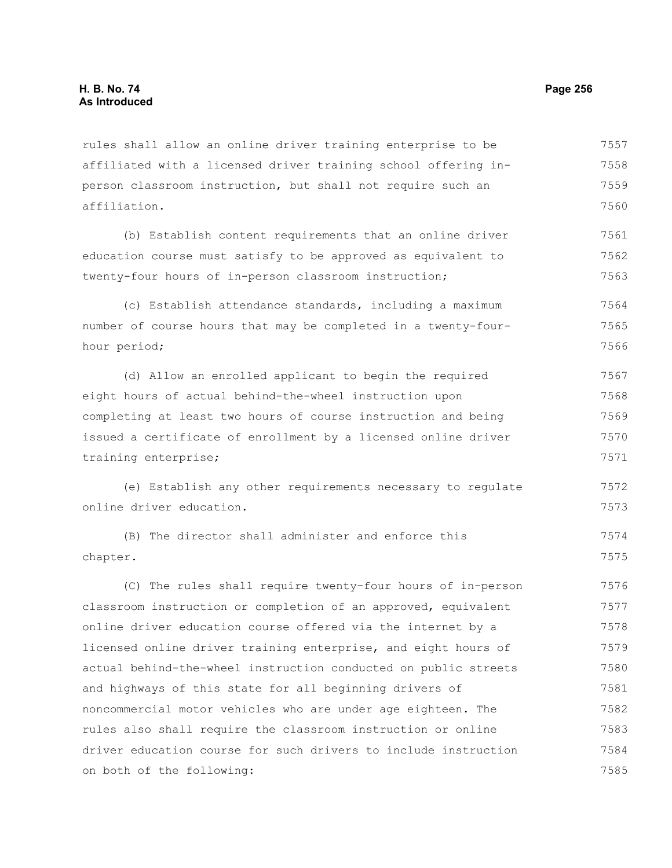rules shall allow an online driver training enterprise to be affiliated with a licensed driver training school offering inperson classroom instruction, but shall not require such an affiliation. 7557 7558 7559 7560

(b) Establish content requirements that an online driver education course must satisfy to be approved as equivalent to twenty-four hours of in-person classroom instruction; 7561 7562 7563

(c) Establish attendance standards, including a maximum number of course hours that may be completed in a twenty-fourhour period; 7564 7565 7566

(d) Allow an enrolled applicant to begin the required eight hours of actual behind-the-wheel instruction upon completing at least two hours of course instruction and being issued a certificate of enrollment by a licensed online driver training enterprise; 7567 7568 7569 7570 7571

(e) Establish any other requirements necessary to regulate online driver education. 7572 7573

(B) The director shall administer and enforce this chapter. 7574 7575

(C) The rules shall require twenty-four hours of in-person classroom instruction or completion of an approved, equivalent online driver education course offered via the internet by a licensed online driver training enterprise, and eight hours of actual behind-the-wheel instruction conducted on public streets and highways of this state for all beginning drivers of noncommercial motor vehicles who are under age eighteen. The rules also shall require the classroom instruction or online driver education course for such drivers to include instruction on both of the following: 7576 7577 7578 7579 7580 7581 7582 7583 7584 7585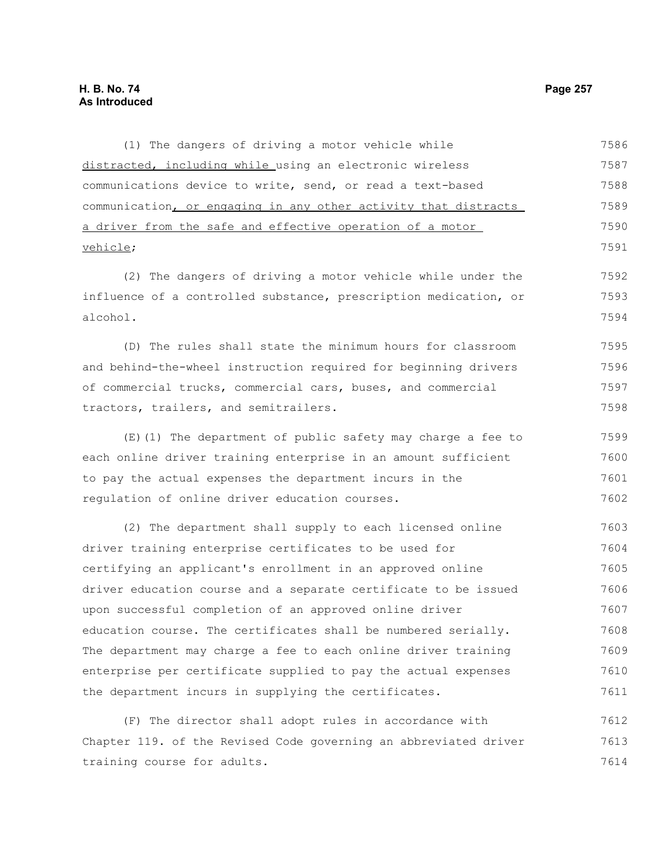(1) The dangers of driving a motor vehicle while distracted, including while using an electronic wireless communications device to write, send, or read a text-based communication, or engaging in any other activity that distracts a driver from the safe and effective operation of a motor vehicle; (2) The dangers of driving a motor vehicle while under the 7586 7587 7588 7589 7590 7591 7592

influence of a controlled substance, prescription medication, or alcohol. 7593 7594

(D) The rules shall state the minimum hours for classroom and behind-the-wheel instruction required for beginning drivers of commercial trucks, commercial cars, buses, and commercial tractors, trailers, and semitrailers. 7595 7596 7597 7598

(E)(1) The department of public safety may charge a fee to each online driver training enterprise in an amount sufficient to pay the actual expenses the department incurs in the regulation of online driver education courses. 7599 7600 7601 7602

(2) The department shall supply to each licensed online driver training enterprise certificates to be used for certifying an applicant's enrollment in an approved online driver education course and a separate certificate to be issued upon successful completion of an approved online driver education course. The certificates shall be numbered serially. The department may charge a fee to each online driver training enterprise per certificate supplied to pay the actual expenses the department incurs in supplying the certificates. 7603 7604 7605 7606 7607 7608 7609 7610 7611

(F) The director shall adopt rules in accordance with Chapter 119. of the Revised Code governing an abbreviated driver training course for adults. 7612 7613 7614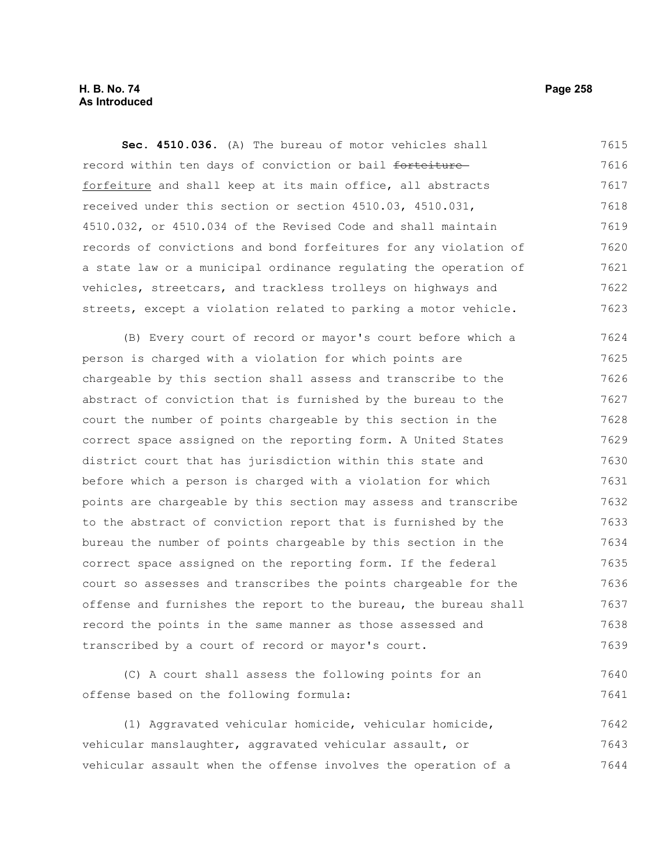## **H. B. No. 74 Page 258 As Introduced**

**Sec. 4510.036.** (A) The bureau of motor vehicles shall record within ten days of conviction or bail forteiture forfeiture and shall keep at its main office, all abstracts received under this section or section 4510.03, 4510.031, 4510.032, or 4510.034 of the Revised Code and shall maintain records of convictions and bond forfeitures for any violation of a state law or a municipal ordinance regulating the operation of vehicles, streetcars, and trackless trolleys on highways and streets, except a violation related to parking a motor vehicle. (B) Every court of record or mayor's court before which a person is charged with a violation for which points are chargeable by this section shall assess and transcribe to the abstract of conviction that is furnished by the bureau to the court the number of points chargeable by this section in the correct space assigned on the reporting form. A United States district court that has jurisdiction within this state and before which a person is charged with a violation for which points are chargeable by this section may assess and transcribe to the abstract of conviction report that is furnished by the 7615 7616 7617 7618 7619 7620 7621 7622 7623 7624 7625 7626 7627 7628 7629 7630 7631 7632 7633

bureau the number of points chargeable by this section in the correct space assigned on the reporting form. If the federal court so assesses and transcribes the points chargeable for the offense and furnishes the report to the bureau, the bureau shall record the points in the same manner as those assessed and transcribed by a court of record or mayor's court. 7634 7635 7636 7637 7638 7639

(C) A court shall assess the following points for an offense based on the following formula: 7640 7641

(1) Aggravated vehicular homicide, vehicular homicide, vehicular manslaughter, aggravated vehicular assault, or vehicular assault when the offense involves the operation of a 7642 7643 7644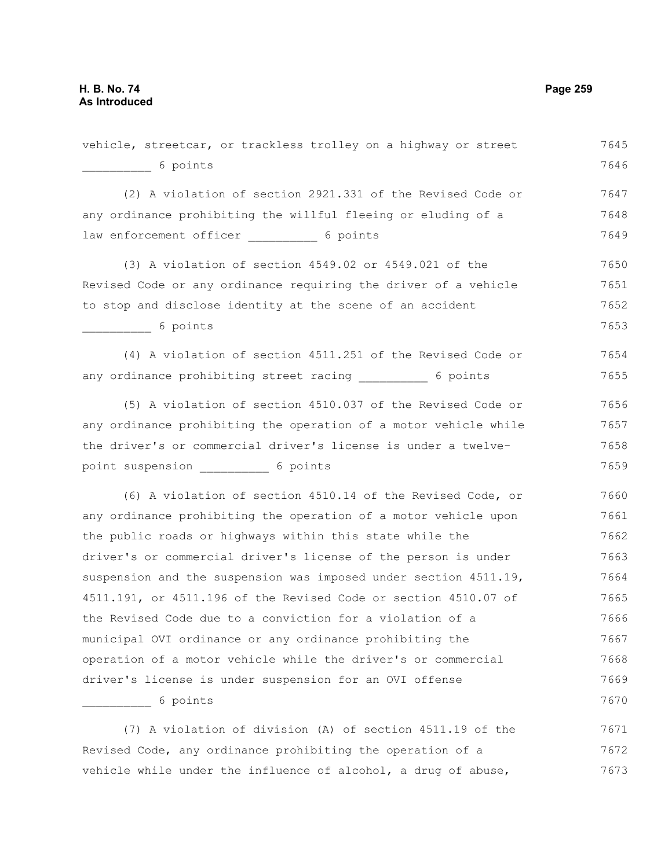vehicle, streetcar, or trackless trolley on a highway or street \_\_\_\_\_\_\_\_\_\_ 6 points (2) A violation of section 2921.331 of the Revised Code or any ordinance prohibiting the willful fleeing or eluding of a law enforcement officer 6 points (3) A violation of section 4549.02 or 4549.021 of the Revised Code or any ordinance requiring the driver of a vehicle to stop and disclose identity at the scene of an accident \_\_\_\_\_\_\_\_\_\_ 6 points (4) A violation of section 4511.251 of the Revised Code or any ordinance prohibiting street racing any ordinance prohibiting street racing (5) A violation of section 4510.037 of the Revised Code or any ordinance prohibiting the operation of a motor vehicle while the driver's or commercial driver's license is under a twelvepoint suspension 6 points (6) A violation of section 4510.14 of the Revised Code, or any ordinance prohibiting the operation of a motor vehicle upon the public roads or highways within this state while the driver's or commercial driver's license of the person is under suspension and the suspension was imposed under section 4511.19, 4511.191, or 4511.196 of the Revised Code or section 4510.07 of the Revised Code due to a conviction for a violation of a municipal OVI ordinance or any ordinance prohibiting the operation of a motor vehicle while the driver's or commercial driver's license is under suspension for an OVI offense \_\_\_\_\_\_\_\_\_\_ 6 points (7) A violation of division (A) of section 4511.19 of the Revised Code, any ordinance prohibiting the operation of a 7645 7646 7647 7648 7649 7650 7651 7652 7653 7654 7655 7656 7657 7658 7659 7660 7661 7662 7663 7664 7665 7666 7667 7668 7669 7670 7671 7672

vehicle while under the influence of alcohol, a drug of abuse,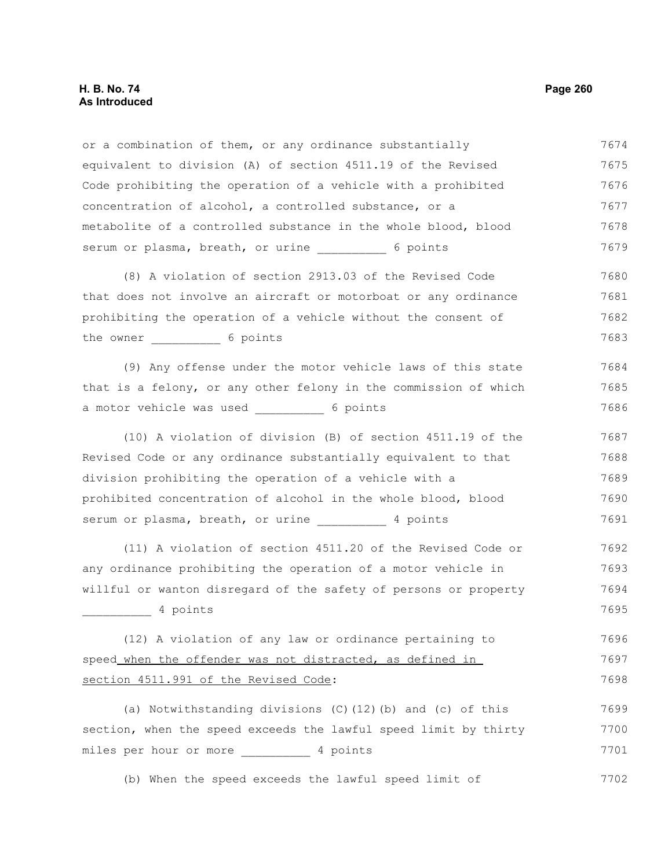### **H. B. No. 74 Page 260 As Introduced**

or a combination of them, or any ordinance substantially equivalent to division (A) of section 4511.19 of the Revised Code prohibiting the operation of a vehicle with a prohibited concentration of alcohol, a controlled substance, or a metabolite of a controlled substance in the whole blood, blood serum or plasma, breath, or urine 6 points 7674 7675 7676 7677 7678 7679

(8) A violation of section 2913.03 of the Revised Code that does not involve an aircraft or motorboat or any ordinance prohibiting the operation of a vehicle without the consent of the owner 6 points 7680 7681 7682 7683

(9) Any offense under the motor vehicle laws of this state that is a felony, or any other felony in the commission of which a motor vehicle was used \_\_\_\_\_\_\_\_\_\_ 6 points 7684 7685 7686

(10) A violation of division (B) of section 4511.19 of the Revised Code or any ordinance substantially equivalent to that division prohibiting the operation of a vehicle with a prohibited concentration of alcohol in the whole blood, blood serum or plasma, breath, or urine 4 points 7687 7688 7689 7690 7691

(11) A violation of section 4511.20 of the Revised Code or any ordinance prohibiting the operation of a motor vehicle in willful or wanton disregard of the safety of persons or property \_\_\_\_\_\_\_\_\_\_ 4 points 7692 7693 7694 7695

(12) A violation of any law or ordinance pertaining to speed when the offender was not distracted, as defined in section 4511.991 of the Revised Code: 7696 7697 7698

(a) Notwithstanding divisions (C)(12)(b) and (c) of this section, when the speed exceeds the lawful speed limit by thirty miles per hour or more 4 points 7699 7700 7701

(b) When the speed exceeds the lawful speed limit of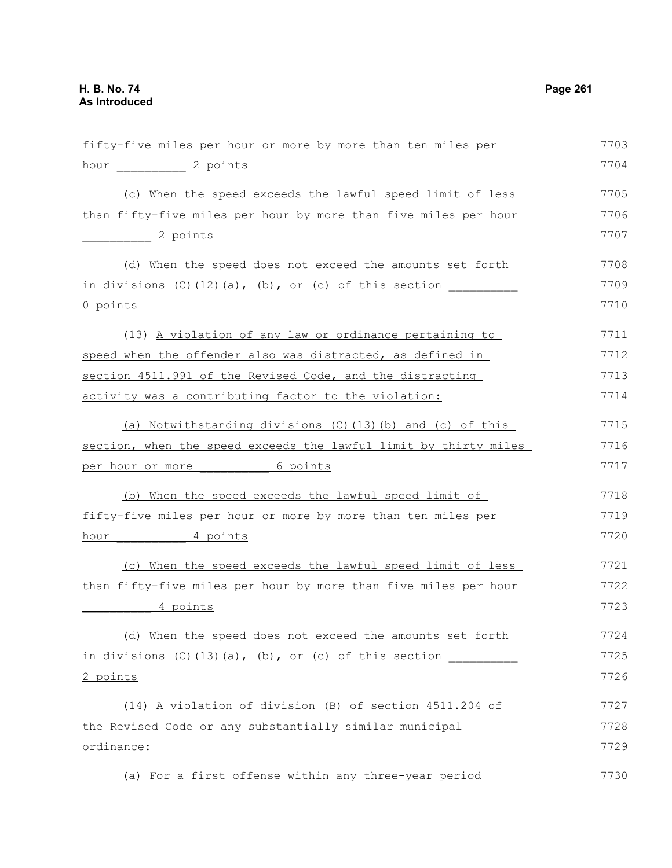fifty-five miles per hour or more by more than ten miles per hour 2 points (c) When the speed exceeds the lawful speed limit of less than fifty-five miles per hour by more than five miles per hour \_\_\_\_\_\_\_\_\_\_ 2 points (d) When the speed does not exceed the amounts set forth in divisions  $(C)$  (12)(a), (b), or (c) of this section 0 points (13) A violation of any law or ordinance pertaining to speed when the offender also was distracted, as defined in section 4511.991 of the Revised Code, and the distracting activity was a contributing factor to the violation: (a) Notwithstanding divisions (C)(13)(b) and (c) of this section, when the speed exceeds the lawful limit by thirty miles per hour or more 6 points (b) When the speed exceeds the lawful speed limit of fifty-five miles per hour or more by more than ten miles per hour 4 points (c) When the speed exceeds the lawful speed limit of less than fifty-five miles per hour by more than five miles per hour \_\_\_\_\_\_\_\_\_\_ 4 points (d) When the speed does not exceed the amounts set forth in divisions  $(C)$  (13)(a), (b), or (c) of this section 2 points (14) A violation of division (B) of section 4511.204 of the Revised Code or any substantially similar municipal ordinance: (a) For a first offense within any three-year period 7703 7704 7705 7706 7707 7708 7709 7710 7711 7712 7713 7714 7715 7716 7717 7718 7719 7720 7721 7722 7723 7724 7725 7726 7727 7728 7729 7730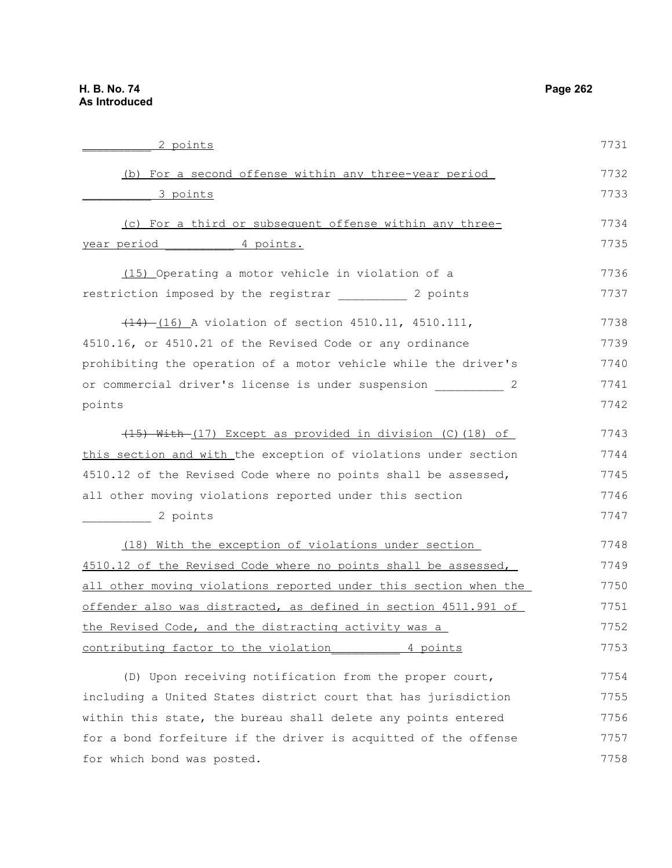2 points (b) For a second offense within any three-year period \_\_\_\_\_\_\_\_\_\_ 3 points (c) For a third or subsequent offense within any threeyear period 4 points. (15) Operating a motor vehicle in violation of a restriction imposed by the registrar 2 points (14) (16) A violation of section 4510.11, 4510.111, 4510.16, or 4510.21 of the Revised Code or any ordinance prohibiting the operation of a motor vehicle while the driver's or commercial driver's license is under suspension \_\_\_\_\_\_\_\_\_\_ 2 points (15) With (17) Except as provided in division (C)(18) of this section and with the exception of violations under section 4510.12 of the Revised Code where no points shall be assessed, all other moving violations reported under this section \_\_\_\_\_\_\_\_\_\_ 2 points (18) With the exception of violations under section 4510.12 of the Revised Code where no points shall be assessed, all other moving violations reported under this section when the offender also was distracted, as defined in section 4511.991 of the Revised Code, and the distracting activity was a contributing factor to the violation 4 points (D) Upon receiving notification from the proper court, including a United States district court that has jurisdiction 7731 7732 7733 7734 7735 7736 7737 7738 7739 7740 7741 7742 7743 7744 7745 7746 7747 7748 7749 7750 7751 7752 7753 7754 7755

within this state, the bureau shall delete any points entered for a bond forfeiture if the driver is acquitted of the offense for which bond was posted. 7756 7757 7758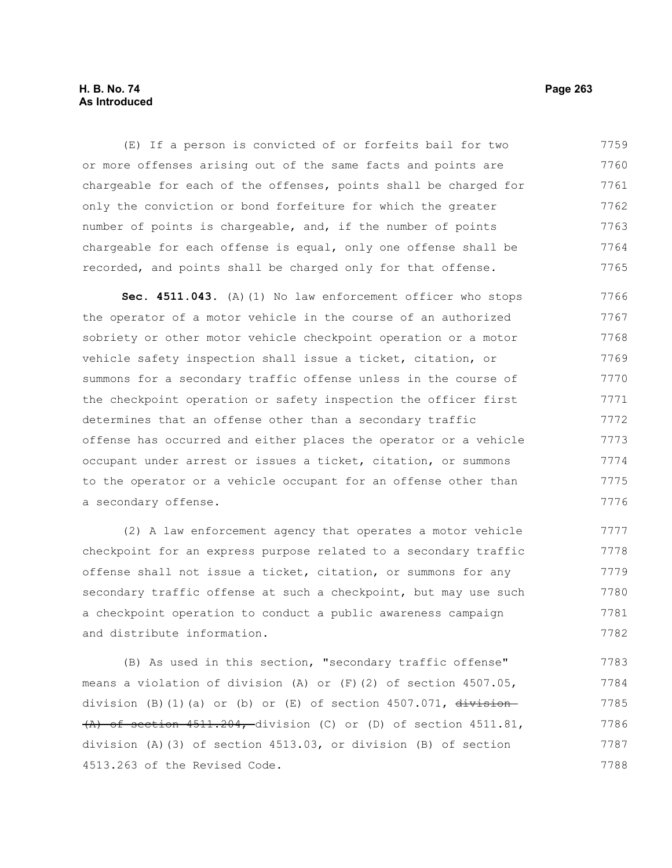### **H. B. No. 74 Page 263 As Introduced**

(E) If a person is convicted of or forfeits bail for two or more offenses arising out of the same facts and points are chargeable for each of the offenses, points shall be charged for only the conviction or bond forfeiture for which the greater number of points is chargeable, and, if the number of points chargeable for each offense is equal, only one offense shall be recorded, and points shall be charged only for that offense. 7759 7760 7761 7762 7763 7764 7765

**Sec. 4511.043.** (A)(1) No law enforcement officer who stops the operator of a motor vehicle in the course of an authorized sobriety or other motor vehicle checkpoint operation or a motor vehicle safety inspection shall issue a ticket, citation, or summons for a secondary traffic offense unless in the course of the checkpoint operation or safety inspection the officer first determines that an offense other than a secondary traffic offense has occurred and either places the operator or a vehicle occupant under arrest or issues a ticket, citation, or summons to the operator or a vehicle occupant for an offense other than a secondary offense. 7766 7767 7768 7769 7770 7771 7772 7773 7774 7775 7776

(2) A law enforcement agency that operates a motor vehicle checkpoint for an express purpose related to a secondary traffic offense shall not issue a ticket, citation, or summons for any secondary traffic offense at such a checkpoint, but may use such a checkpoint operation to conduct a public awareness campaign and distribute information. 7777 7778 7779 7780 7781 7782

(B) As used in this section, "secondary traffic offense" means a violation of division (A) or (F)(2) of section 4507.05, division (B)(1)(a) or (b) or (E) of section 4507.071,  $\frac{division}{ }$ (A) of section 4511.204, division (C) or (D) of section 4511.81, division (A)(3) of section 4513.03, or division (B) of section 4513.263 of the Revised Code. 7783 7784 7785 7786 7787 7788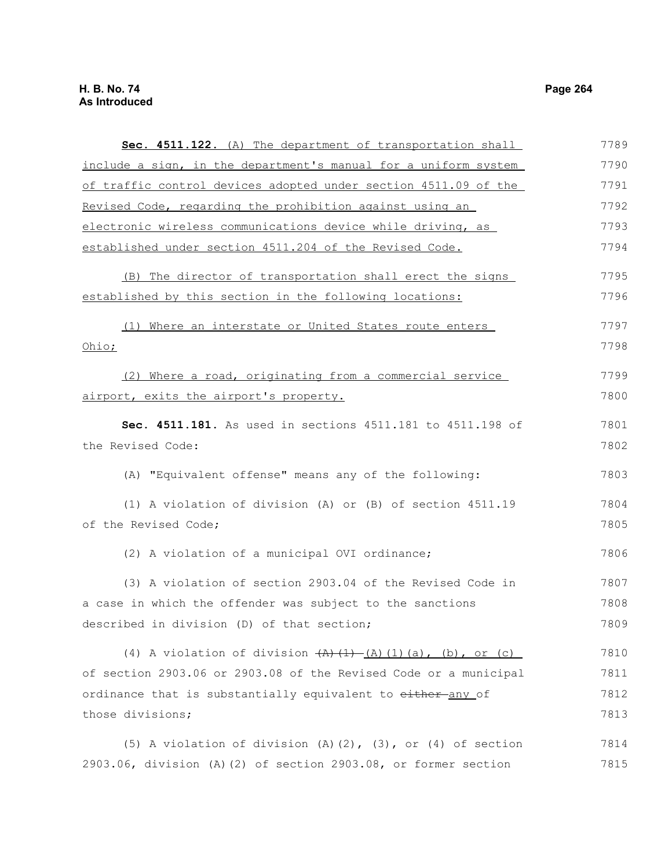Sec. 4511.122. (A) The department of transportation shall include a sign, in the department's manual for a uniform system of traffic control devices adopted under section 4511.09 of the Revised Code, regarding the prohibition against using an electronic wireless communications device while driving, as established under section 4511.204 of the Revised Code. (B) The director of transportation shall erect the signs established by this section in the following locations: (1) Where an interstate or United States route enters Ohio; (2) Where a road, originating from a commercial service airport, exits the airport's property. **Sec. 4511.181.** As used in sections 4511.181 to 4511.198 of the Revised Code: (A) "Equivalent offense" means any of the following: (1) A violation of division (A) or (B) of section 4511.19 of the Revised Code; (2) A violation of a municipal OVI ordinance; (3) A violation of section 2903.04 of the Revised Code in a case in which the offender was subject to the sanctions described in division (D) of that section; (4) A violation of division  $\overline{(A)}$   $\overline{(1)}$   $\overline{(A)}$   $\overline{(1)}$   $\overline{(a)}$ ,  $\overline{(b)}$ , or  $\overline{(c)}$ of section 2903.06 or 2903.08 of the Revised Code or a municipal ordinance that is substantially equivalent to either any of those divisions; 7789 7790 7791 7792 7793 7794 7795 7796 7797 7798 7799 7800 7801 7802 7803 7804 7805 7806 7807 7808 7809 7810 7811 7812 7813

(5) A violation of division  $(A)(2)$ ,  $(3)$ , or  $(4)$  of section 2903.06, division (A)(2) of section 2903.08, or former section 7814 7815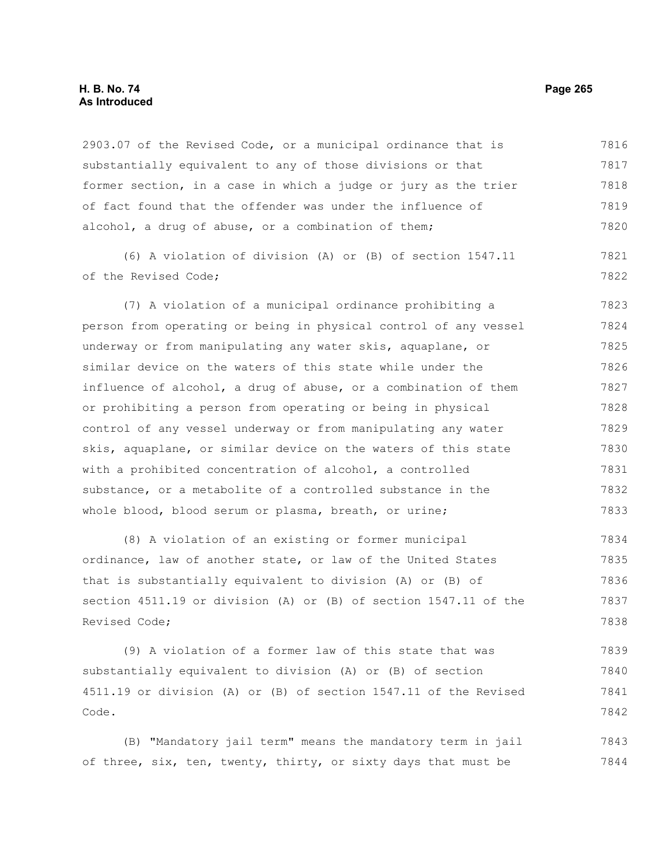### **H. B. No. 74 Page 265 As Introduced**

2903.07 of the Revised Code, or a municipal ordinance that is substantially equivalent to any of those divisions or that former section, in a case in which a judge or jury as the trier of fact found that the offender was under the influence of alcohol, a drug of abuse, or a combination of them; 7816 7817 7818 7819 7820

(6) A violation of division (A) or (B) of section 1547.11 of the Revised Code;

(7) A violation of a municipal ordinance prohibiting a person from operating or being in physical control of any vessel underway or from manipulating any water skis, aquaplane, or similar device on the waters of this state while under the influence of alcohol, a drug of abuse, or a combination of them or prohibiting a person from operating or being in physical control of any vessel underway or from manipulating any water skis, aquaplane, or similar device on the waters of this state with a prohibited concentration of alcohol, a controlled substance, or a metabolite of a controlled substance in the whole blood, blood serum or plasma, breath, or urine; 7823 7824 7825 7826 7827 7828 7829 7830 7831 7832 7833

(8) A violation of an existing or former municipal ordinance, law of another state, or law of the United States that is substantially equivalent to division (A) or (B) of section 4511.19 or division (A) or (B) of section 1547.11 of the Revised Code; 7834 7835 7836 7837 7838

(9) A violation of a former law of this state that was substantially equivalent to division (A) or (B) of section 4511.19 or division (A) or (B) of section 1547.11 of the Revised Code. 7839 7840 7841 7842

(B) "Mandatory jail term" means the mandatory term in jail of three, six, ten, twenty, thirty, or sixty days that must be 7843 7844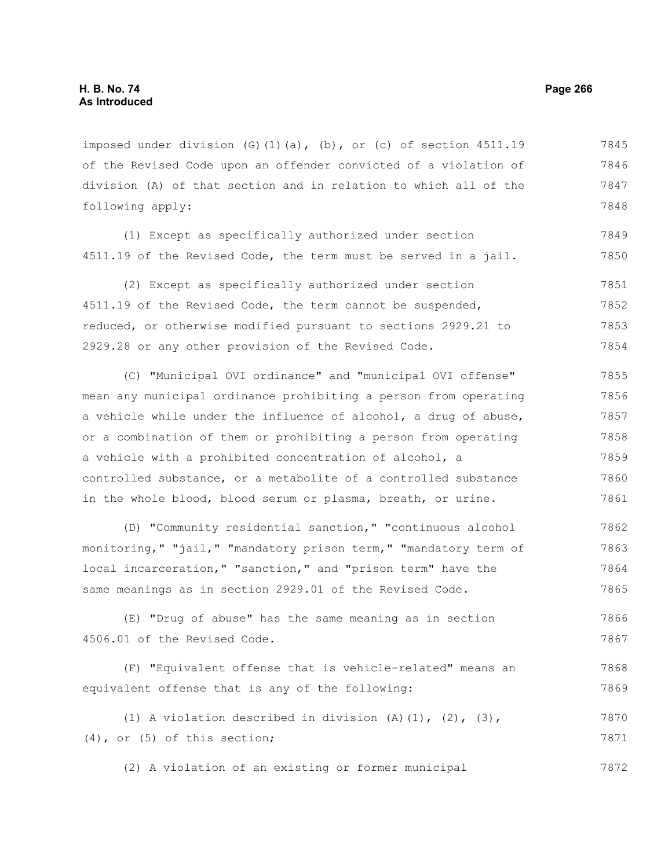imposed under division  $(G)(1)(a)$ ,  $(b)$ , or  $(c)$  of section 4511.19 of the Revised Code upon an offender convicted of a violation of division (A) of that section and in relation to which all of the following apply: 7845 7846 7847 7848

(1) Except as specifically authorized under section 4511.19 of the Revised Code, the term must be served in a jail. 7849 7850

(2) Except as specifically authorized under section 4511.19 of the Revised Code, the term cannot be suspended, reduced, or otherwise modified pursuant to sections 2929.21 to 2929.28 or any other provision of the Revised Code. 7851 7852 7853 7854

(C) "Municipal OVI ordinance" and "municipal OVI offense" mean any municipal ordinance prohibiting a person from operating a vehicle while under the influence of alcohol, a drug of abuse, or a combination of them or prohibiting a person from operating a vehicle with a prohibited concentration of alcohol, a controlled substance, or a metabolite of a controlled substance in the whole blood, blood serum or plasma, breath, or urine. 7855 7856 7857 7858 7859 7860 7861

(D) "Community residential sanction," "continuous alcohol monitoring," "jail," "mandatory prison term," "mandatory term of local incarceration," "sanction," and "prison term" have the same meanings as in section 2929.01 of the Revised Code. 7862 7863 7864 7865

(E) "Drug of abuse" has the same meaning as in section 4506.01 of the Revised Code. 7866 7867

(F) "Equivalent offense that is vehicle-related" means an equivalent offense that is any of the following: 7868 7869

(1) A violation described in division  $(A)$   $(1)$ ,  $(2)$ ,  $(3)$ , (4), or (5) of this section; 7870 7871

(2) A violation of an existing or former municipal 7872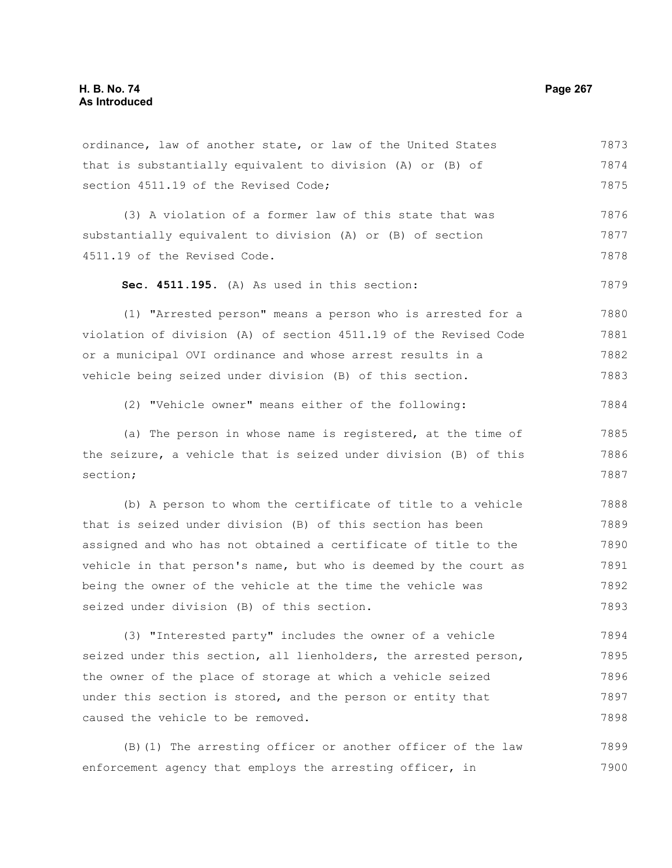ordinance, law of another state, or law of the United States that is substantially equivalent to division (A) or (B) of section 4511.19 of the Revised Code; (3) A violation of a former law of this state that was substantially equivalent to division (A) or (B) of section 4511.19 of the Revised Code. **Sec. 4511.195.** (A) As used in this section: (1) "Arrested person" means a person who is arrested for a violation of division (A) of section 4511.19 of the Revised Code or a municipal OVI ordinance and whose arrest results in a vehicle being seized under division (B) of this section. (2) "Vehicle owner" means either of the following: (a) The person in whose name is registered, at the time of the seizure, a vehicle that is seized under division (B) of this section; (b) A person to whom the certificate of title to a vehicle 7873 7874 7875 7876 7877 7878 7879 7880 7881 7882 7883 7884 7885 7886 7887 7888

that is seized under division (B) of this section has been assigned and who has not obtained a certificate of title to the vehicle in that person's name, but who is deemed by the court as being the owner of the vehicle at the time the vehicle was seized under division (B) of this section. 7889 7890 7891 7892 7893

(3) "Interested party" includes the owner of a vehicle seized under this section, all lienholders, the arrested person, the owner of the place of storage at which a vehicle seized under this section is stored, and the person or entity that caused the vehicle to be removed. 7894 7895 7896 7897 7898

(B)(1) The arresting officer or another officer of the law enforcement agency that employs the arresting officer, in 7899 7900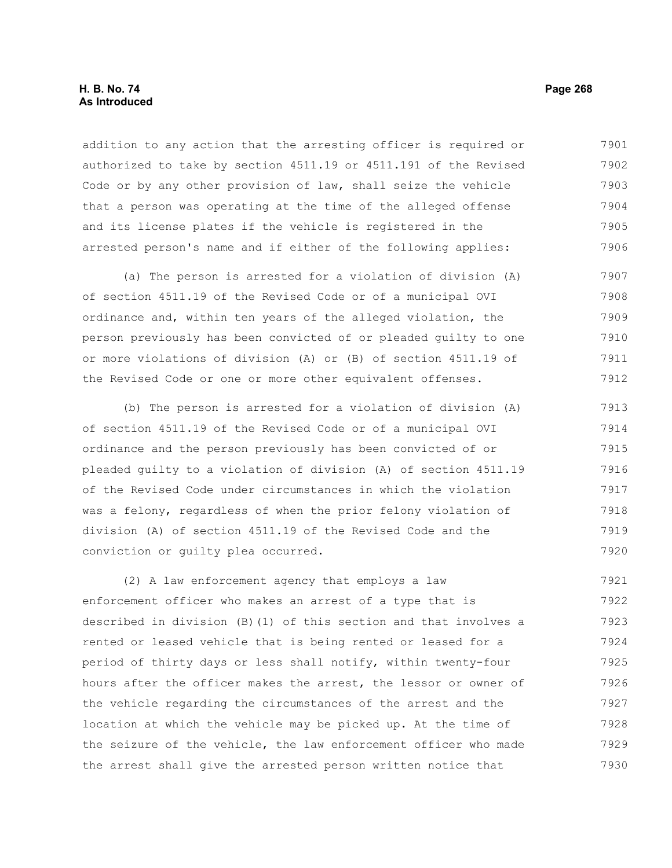### **H. B. No. 74 Page 268 As Introduced**

addition to any action that the arresting officer is required or authorized to take by section 4511.19 or 4511.191 of the Revised Code or by any other provision of law, shall seize the vehicle that a person was operating at the time of the alleged offense and its license plates if the vehicle is registered in the arrested person's name and if either of the following applies: 7901 7902 7903 7904 7905 7906

(a) The person is arrested for a violation of division (A) of section 4511.19 of the Revised Code or of a municipal OVI ordinance and, within ten years of the alleged violation, the person previously has been convicted of or pleaded guilty to one or more violations of division (A) or (B) of section 4511.19 of the Revised Code or one or more other equivalent offenses. 7907 7908 7909 7910 7911 7912

(b) The person is arrested for a violation of division (A) of section 4511.19 of the Revised Code or of a municipal OVI ordinance and the person previously has been convicted of or pleaded guilty to a violation of division (A) of section 4511.19 of the Revised Code under circumstances in which the violation was a felony, regardless of when the prior felony violation of division (A) of section 4511.19 of the Revised Code and the conviction or guilty plea occurred. 7913 7914 7915 7916 7917 7918 7919 7920

(2) A law enforcement agency that employs a law enforcement officer who makes an arrest of a type that is described in division (B)(1) of this section and that involves a rented or leased vehicle that is being rented or leased for a period of thirty days or less shall notify, within twenty-four hours after the officer makes the arrest, the lessor or owner of the vehicle regarding the circumstances of the arrest and the location at which the vehicle may be picked up. At the time of the seizure of the vehicle, the law enforcement officer who made the arrest shall give the arrested person written notice that 7921 7922 7923 7924 7925 7926 7927 7928 7929 7930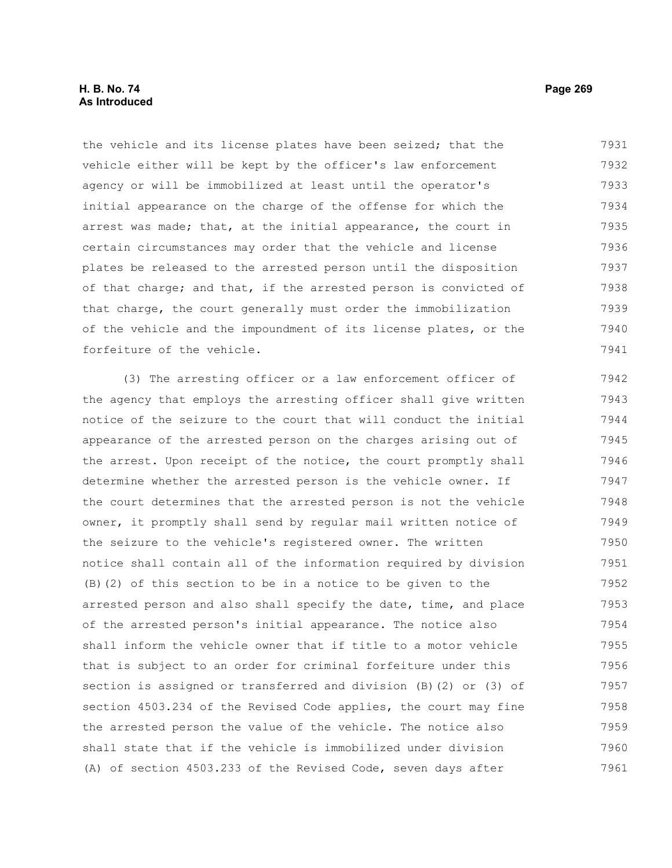### **H. B. No. 74 Page 269 As Introduced**

the vehicle and its license plates have been seized; that the vehicle either will be kept by the officer's law enforcement agency or will be immobilized at least until the operator's initial appearance on the charge of the offense for which the arrest was made; that, at the initial appearance, the court in certain circumstances may order that the vehicle and license plates be released to the arrested person until the disposition of that charge; and that, if the arrested person is convicted of that charge, the court generally must order the immobilization of the vehicle and the impoundment of its license plates, or the forfeiture of the vehicle. 7931 7932 7933 7934 7935 7936 7937 7938 7939 7940 7941

(3) The arresting officer or a law enforcement officer of the agency that employs the arresting officer shall give written notice of the seizure to the court that will conduct the initial appearance of the arrested person on the charges arising out of the arrest. Upon receipt of the notice, the court promptly shall determine whether the arrested person is the vehicle owner. If the court determines that the arrested person is not the vehicle owner, it promptly shall send by regular mail written notice of the seizure to the vehicle's registered owner. The written notice shall contain all of the information required by division (B)(2) of this section to be in a notice to be given to the arrested person and also shall specify the date, time, and place of the arrested person's initial appearance. The notice also shall inform the vehicle owner that if title to a motor vehicle that is subject to an order for criminal forfeiture under this section is assigned or transferred and division (B)(2) or (3) of section 4503.234 of the Revised Code applies, the court may fine the arrested person the value of the vehicle. The notice also shall state that if the vehicle is immobilized under division (A) of section 4503.233 of the Revised Code, seven days after 7942 7943 7944 7945 7946 7947 7948 7949 7950 7951 7952 7953 7954 7955 7956 7957 7958 7959 7960 7961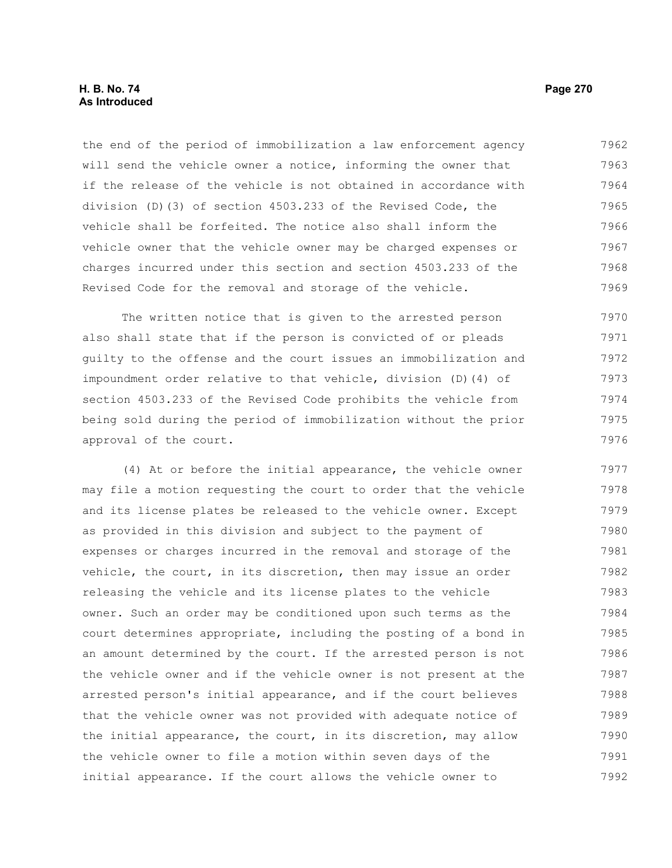the end of the period of immobilization a law enforcement agency will send the vehicle owner a notice, informing the owner that if the release of the vehicle is not obtained in accordance with division (D)(3) of section 4503.233 of the Revised Code, the vehicle shall be forfeited. The notice also shall inform the vehicle owner that the vehicle owner may be charged expenses or charges incurred under this section and section 4503.233 of the Revised Code for the removal and storage of the vehicle. 7962 7963 7964 7965 7966 7967 7968 7969

The written notice that is given to the arrested person also shall state that if the person is convicted of or pleads guilty to the offense and the court issues an immobilization and impoundment order relative to that vehicle, division (D)(4) of section 4503.233 of the Revised Code prohibits the vehicle from being sold during the period of immobilization without the prior approval of the court. 7970 7971 7972 7973 7974 7975 7976

(4) At or before the initial appearance, the vehicle owner may file a motion requesting the court to order that the vehicle and its license plates be released to the vehicle owner. Except as provided in this division and subject to the payment of expenses or charges incurred in the removal and storage of the vehicle, the court, in its discretion, then may issue an order releasing the vehicle and its license plates to the vehicle owner. Such an order may be conditioned upon such terms as the court determines appropriate, including the posting of a bond in an amount determined by the court. If the arrested person is not the vehicle owner and if the vehicle owner is not present at the arrested person's initial appearance, and if the court believes that the vehicle owner was not provided with adequate notice of the initial appearance, the court, in its discretion, may allow the vehicle owner to file a motion within seven days of the initial appearance. If the court allows the vehicle owner to 7977 7978 7979 7980 7981 7982 7983 7984 7985 7986 7987 7988 7989 7990 7991 7992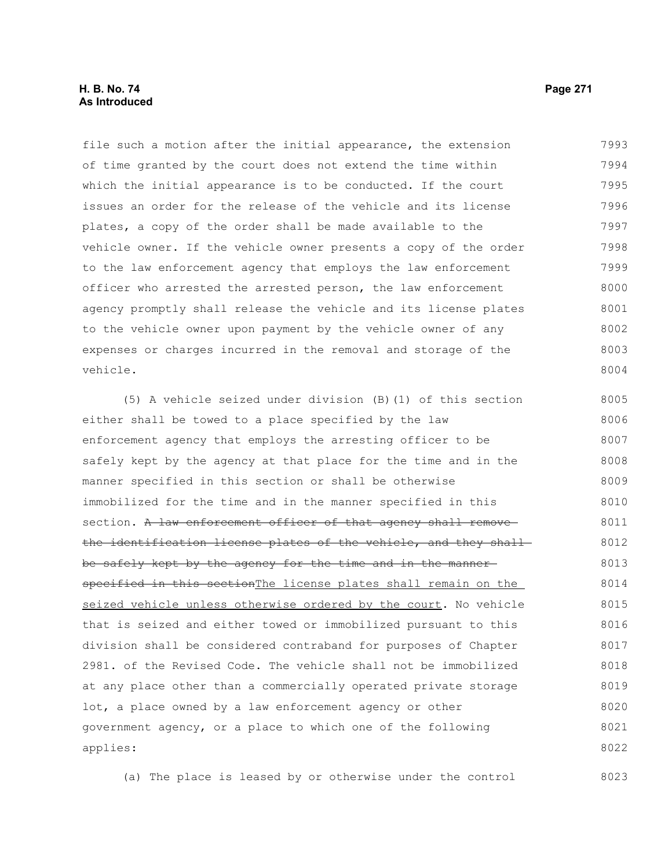### **H. B. No. 74 Page 271 As Introduced**

file such a motion after the initial appearance, the extension of time granted by the court does not extend the time within which the initial appearance is to be conducted. If the court issues an order for the release of the vehicle and its license plates, a copy of the order shall be made available to the vehicle owner. If the vehicle owner presents a copy of the order to the law enforcement agency that employs the law enforcement officer who arrested the arrested person, the law enforcement agency promptly shall release the vehicle and its license plates to the vehicle owner upon payment by the vehicle owner of any expenses or charges incurred in the removal and storage of the vehicle. 7993 7994 7995 7996 7997 7998 7999 8000 8001 8002 8003 8004

(5) A vehicle seized under division (B)(1) of this section either shall be towed to a place specified by the law enforcement agency that employs the arresting officer to be safely kept by the agency at that place for the time and in the manner specified in this section or shall be otherwise immobilized for the time and in the manner specified in this section. A law enforcement officer of that agency shall removethe identification license plates of the vehicle, and they shall be safely kept by the agency for the time and in the manner specified in this sectionThe license plates shall remain on the seized vehicle unless otherwise ordered by the court. No vehicle that is seized and either towed or immobilized pursuant to this division shall be considered contraband for purposes of Chapter 2981. of the Revised Code. The vehicle shall not be immobilized at any place other than a commercially operated private storage lot, a place owned by a law enforcement agency or other government agency, or a place to which one of the following applies: 8005 8006 8007 8008 8009 8010 8011 8012 8013 8014 8015 8016 8017 8018 8019 8020 8021 8022

(a) The place is leased by or otherwise under the control 8023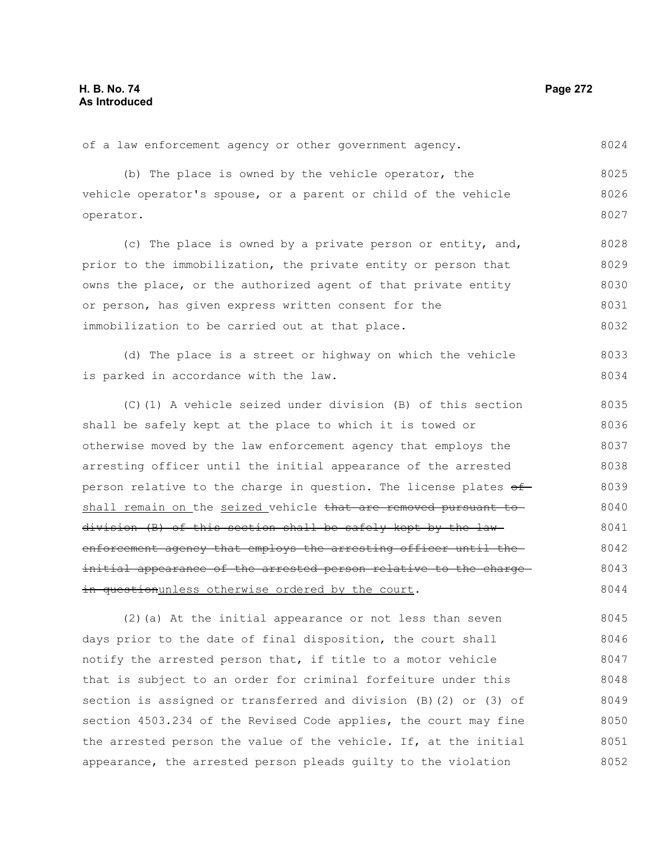of a law enforcement agency or other government agency. 8024

(b) The place is owned by the vehicle operator, the vehicle operator's spouse, or a parent or child of the vehicle operator. 8025 8026 8027

(c) The place is owned by a private person or entity, and, prior to the immobilization, the private entity or person that owns the place, or the authorized agent of that private entity or person, has given express written consent for the immobilization to be carried out at that place. 8028 8029 8030 8031 8032

(d) The place is a street or highway on which the vehicle is parked in accordance with the law. 8033 8034

(C)(1) A vehicle seized under division (B) of this section shall be safely kept at the place to which it is towed or otherwise moved by the law enforcement agency that employs the arresting officer until the initial appearance of the arrested person relative to the charge in question. The license plates ofshall remain on the seized vehicle that are removed pursuant to division (B) of this section shall be safely kept by the law enforcement agency that employs the arresting officer until the initial appearance of the arrested person relative to the chargein questionunless otherwise ordered by the court. 8035 8036 8037 8038 8039 8040 8041 8042 8043 8044

(2)(a) At the initial appearance or not less than seven days prior to the date of final disposition, the court shall notify the arrested person that, if title to a motor vehicle that is subject to an order for criminal forfeiture under this section is assigned or transferred and division (B)(2) or (3) of section 4503.234 of the Revised Code applies, the court may fine the arrested person the value of the vehicle. If, at the initial appearance, the arrested person pleads guilty to the violation 8045 8046 8047 8048 8049 8050 8051 8052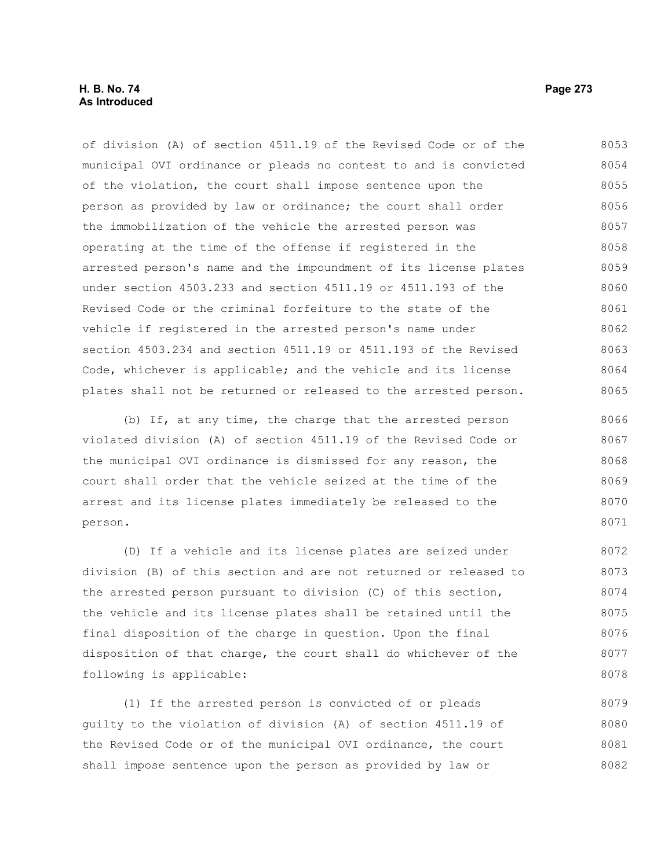of division (A) of section 4511.19 of the Revised Code or of the municipal OVI ordinance or pleads no contest to and is convicted of the violation, the court shall impose sentence upon the person as provided by law or ordinance; the court shall order the immobilization of the vehicle the arrested person was operating at the time of the offense if registered in the arrested person's name and the impoundment of its license plates under section 4503.233 and section 4511.19 or 4511.193 of the Revised Code or the criminal forfeiture to the state of the vehicle if registered in the arrested person's name under section 4503.234 and section 4511.19 or 4511.193 of the Revised Code, whichever is applicable; and the vehicle and its license plates shall not be returned or released to the arrested person. 8053 8054 8055 8056 8057 8058 8059 8060 8061 8062 8063 8064 8065

(b) If, at any time, the charge that the arrested person violated division (A) of section 4511.19 of the Revised Code or the municipal OVI ordinance is dismissed for any reason, the court shall order that the vehicle seized at the time of the arrest and its license plates immediately be released to the person. 8066 8067 8068 8069 8070 8071

(D) If a vehicle and its license plates are seized under division (B) of this section and are not returned or released to the arrested person pursuant to division (C) of this section, the vehicle and its license plates shall be retained until the final disposition of the charge in question. Upon the final disposition of that charge, the court shall do whichever of the following is applicable: 8072 8073 8074 8075 8076 8077 8078

(1) If the arrested person is convicted of or pleads guilty to the violation of division (A) of section 4511.19 of the Revised Code or of the municipal OVI ordinance, the court shall impose sentence upon the person as provided by law or 8079 8080 8081 8082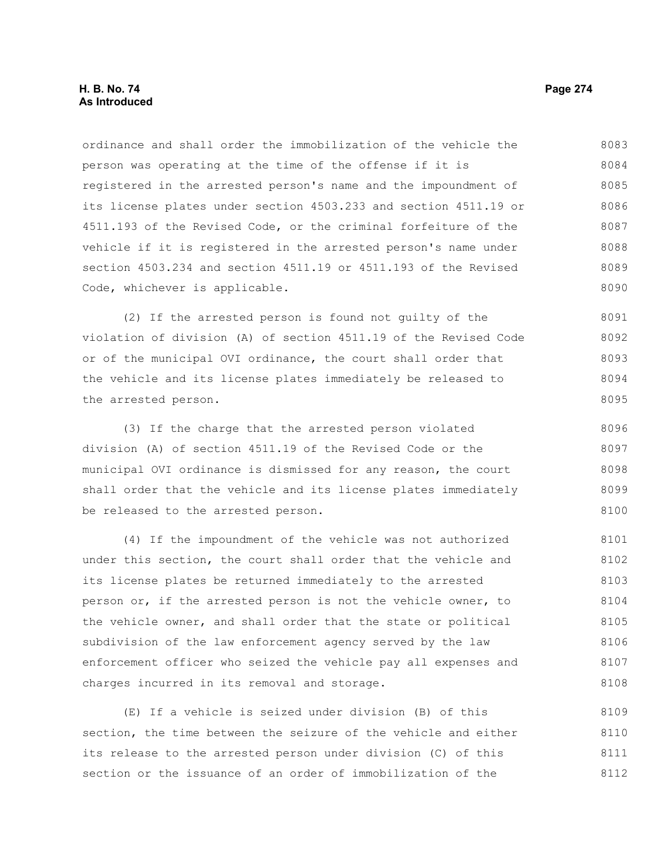ordinance and shall order the immobilization of the vehicle the person was operating at the time of the offense if it is registered in the arrested person's name and the impoundment of its license plates under section 4503.233 and section 4511.19 or 4511.193 of the Revised Code, or the criminal forfeiture of the vehicle if it is registered in the arrested person's name under section 4503.234 and section 4511.19 or 4511.193 of the Revised Code, whichever is applicable. 8083 8084 8085 8086 8087 8088 8089 8090

(2) If the arrested person is found not guilty of the violation of division (A) of section 4511.19 of the Revised Code or of the municipal OVI ordinance, the court shall order that the vehicle and its license plates immediately be released to the arrested person.

(3) If the charge that the arrested person violated division (A) of section 4511.19 of the Revised Code or the municipal OVI ordinance is dismissed for any reason, the court shall order that the vehicle and its license plates immediately be released to the arrested person. 8096 8097 8098 8099 8100

(4) If the impoundment of the vehicle was not authorized under this section, the court shall order that the vehicle and its license plates be returned immediately to the arrested person or, if the arrested person is not the vehicle owner, to the vehicle owner, and shall order that the state or political subdivision of the law enforcement agency served by the law enforcement officer who seized the vehicle pay all expenses and charges incurred in its removal and storage. 8101 8102 8103 8104 8105 8106 8107 8108

(E) If a vehicle is seized under division (B) of this section, the time between the seizure of the vehicle and either its release to the arrested person under division (C) of this section or the issuance of an order of immobilization of the 8109 8110 8111 8112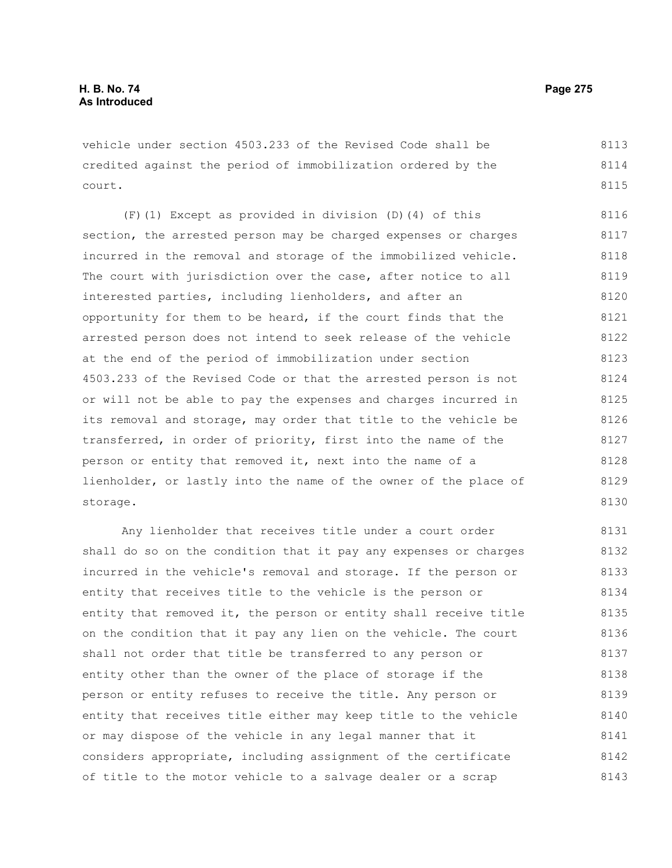vehicle under section 4503.233 of the Revised Code shall be credited against the period of immobilization ordered by the court. 8113 8114 8115

(F)(1) Except as provided in division (D)(4) of this section, the arrested person may be charged expenses or charges incurred in the removal and storage of the immobilized vehicle. The court with jurisdiction over the case, after notice to all interested parties, including lienholders, and after an opportunity for them to be heard, if the court finds that the arrested person does not intend to seek release of the vehicle at the end of the period of immobilization under section 4503.233 of the Revised Code or that the arrested person is not or will not be able to pay the expenses and charges incurred in its removal and storage, may order that title to the vehicle be transferred, in order of priority, first into the name of the person or entity that removed it, next into the name of a lienholder, or lastly into the name of the owner of the place of storage. 8116 8117 8118 8119 8120 8121 8122 8123 8124 8125 8126 8127 8128 8129 8130

Any lienholder that receives title under a court order shall do so on the condition that it pay any expenses or charges incurred in the vehicle's removal and storage. If the person or entity that receives title to the vehicle is the person or entity that removed it, the person or entity shall receive title on the condition that it pay any lien on the vehicle. The court shall not order that title be transferred to any person or entity other than the owner of the place of storage if the person or entity refuses to receive the title. Any person or entity that receives title either may keep title to the vehicle or may dispose of the vehicle in any legal manner that it considers appropriate, including assignment of the certificate of title to the motor vehicle to a salvage dealer or a scrap 8131 8132 8133 8134 8135 8136 8137 8138 8139 8140 8141 8142 8143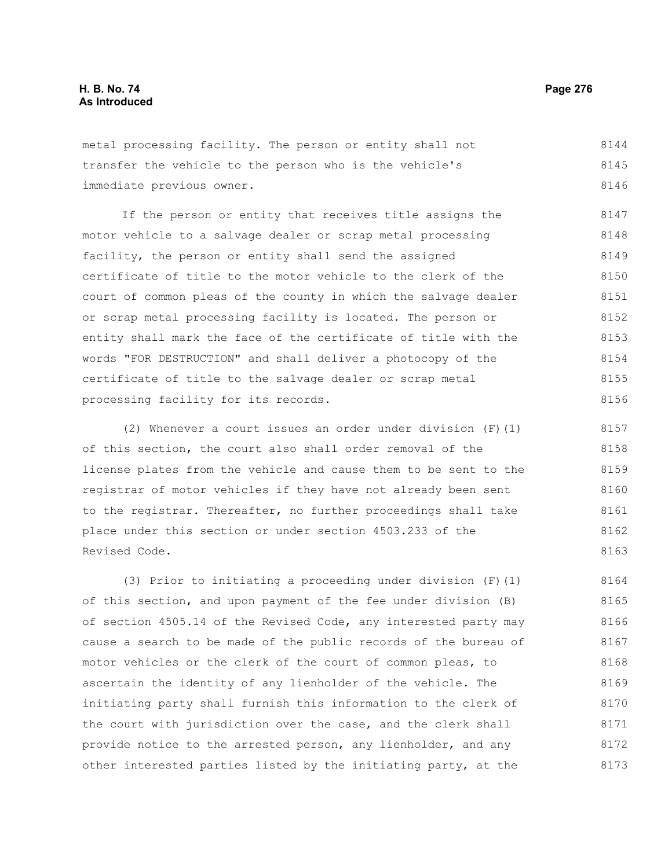metal processing facility. The person or entity shall not transfer the vehicle to the person who is the vehicle's immediate previous owner. 8144 8145 8146

If the person or entity that receives title assigns the motor vehicle to a salvage dealer or scrap metal processing facility, the person or entity shall send the assigned certificate of title to the motor vehicle to the clerk of the court of common pleas of the county in which the salvage dealer or scrap metal processing facility is located. The person or entity shall mark the face of the certificate of title with the words "FOR DESTRUCTION" and shall deliver a photocopy of the certificate of title to the salvage dealer or scrap metal processing facility for its records. 8147 8148 8149 8150 8151 8152 8153 8154 8155 8156

(2) Whenever a court issues an order under division (F)(1) of this section, the court also shall order removal of the license plates from the vehicle and cause them to be sent to the registrar of motor vehicles if they have not already been sent to the registrar. Thereafter, no further proceedings shall take place under this section or under section 4503.233 of the Revised Code.

(3) Prior to initiating a proceeding under division (F)(1) of this section, and upon payment of the fee under division (B) of section 4505.14 of the Revised Code, any interested party may cause a search to be made of the public records of the bureau of motor vehicles or the clerk of the court of common pleas, to ascertain the identity of any lienholder of the vehicle. The initiating party shall furnish this information to the clerk of the court with jurisdiction over the case, and the clerk shall provide notice to the arrested person, any lienholder, and any other interested parties listed by the initiating party, at the 8164 8165 8166 8167 8168 8169 8170 8171 8172 8173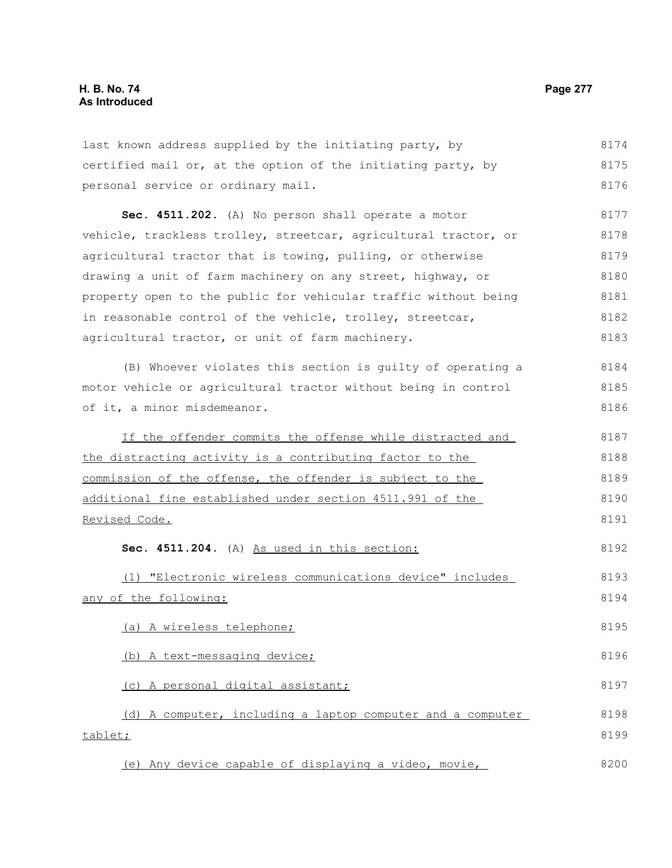last known address supplied by the initiating party, by certified mail or, at the option of the initiating party, by personal service or ordinary mail. **Sec. 4511.202.** (A) No person shall operate a motor vehicle, trackless trolley, streetcar, agricultural tractor, or agricultural tractor that is towing, pulling, or otherwise drawing a unit of farm machinery on any street, highway, or property open to the public for vehicular traffic without being in reasonable control of the vehicle, trolley, streetcar, agricultural tractor, or unit of farm machinery. (B) Whoever violates this section is guilty of operating a motor vehicle or agricultural tractor without being in control of it, a minor misdemeanor. If the offender commits the offense while distracted and the distracting activity is a contributing factor to the commission of the offense, the offender is subject to the additional fine established under section 4511.991 of the Revised Code. **Sec. 4511.204.** (A) As used in this section: (1) "Electronic wireless communications device" includes any of the following: (a) A wireless telephone; (b) A text-messaging device; (c) A personal digital assistant; (d) A computer, including a laptop computer and a computer tablet; 8174 8175 8176 8177 8178 8179 8180 8181 8182 8183 8184 8185 8186 8187 8188 8189 8190 8191 8192 8193 8194 8195 8196 8197 8198 8199

(e) Any device capable of displaying a video, movie, 8200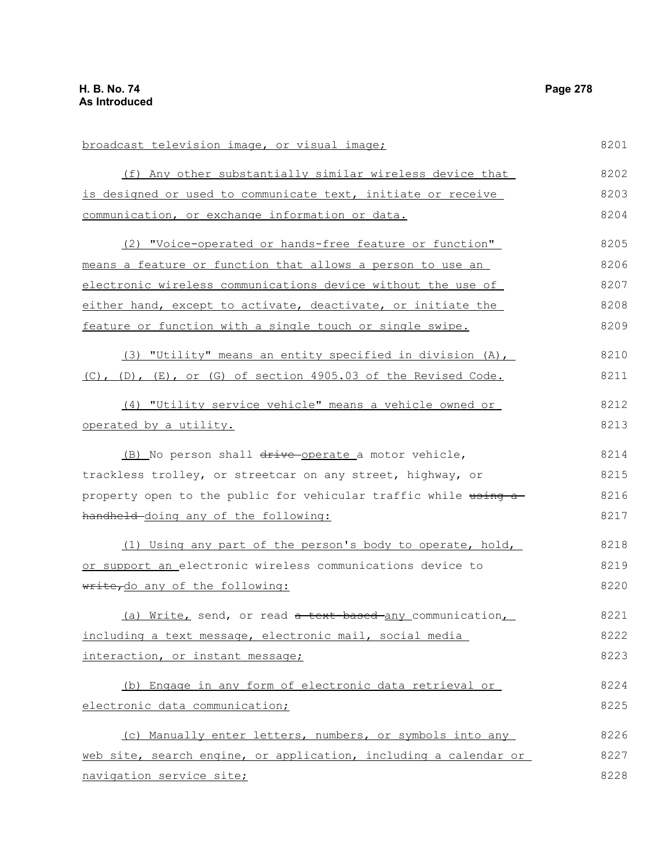broadcast television image, or visual image; (f) Any other substantially similar wireless device that is designed or used to communicate text, initiate or receive communication, or exchange information or data. (2) "Voice-operated or hands-free feature or function" means a feature or function that allows a person to use an electronic wireless communications device without the use of either hand, except to activate, deactivate, or initiate the feature or function with a single touch or single swipe. (3) "Utility" means an entity specified in division (A), (C), (D), (E), or (G) of section 4905.03 of the Revised Code. (4) "Utility service vehicle" means a vehicle owned or operated by a utility. (B) No person shall  $\frac{div}{dx}$ -operate a motor vehicle, trackless trolley, or streetcar on any street, highway, or property open to the public for vehicular traffic while using ahandheld doing any of the following: (1) Using any part of the person's body to operate, hold, or support an electronic wireless communications device to write, do any of the following: (a) Write, send, or read a text-based-any communication, including a text message, electronic mail, social media interaction, or instant message; (b) Engage in any form of electronic data retrieval or electronic data communication; (c) Manually enter letters, numbers, or symbols into any web site, search engine, or application, including a calendar or navigation service site; 8201 8202 8203 8204 8205 8206 8207 8208 8209 8210 8211 8212 8213 8214 8215 8216 8217 8218 8219 8220 8221 8222 8223 8224 8225 8226 8227 8228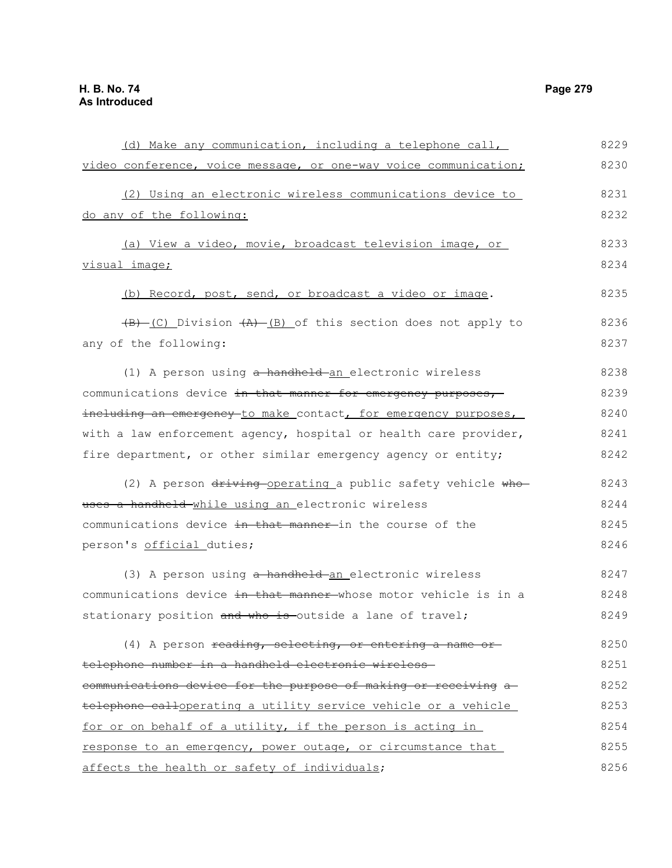| (d) Make any communication, including a telephone call,                                  | 8229 |
|------------------------------------------------------------------------------------------|------|
| video conference, voice message, or one-way voice communication;                         | 8230 |
| (2) Using an electronic wireless communications device to                                | 8231 |
| do any of the following:                                                                 | 8232 |
| (a) View a video, movie, broadcast television image, or                                  | 8233 |
| visual image;                                                                            | 8234 |
| (b) Record, post, send, or broadcast a video or image.                                   | 8235 |
| $\overline{(B) - (C)}$ Division $\overline{(A) - (B)}$ of this section does not apply to | 8236 |
| any of the following:                                                                    | 8237 |
| (1) A person using a handheld-an electronic wireless                                     | 8238 |
| communications device in that manner for emergency purposes,                             | 8239 |
| including an emergency to make contact, for emergency purposes,                          | 8240 |
| with a law enforcement agency, hospital or health care provider,                         | 8241 |
| fire department, or other similar emergency agency or entity;                            | 8242 |
| (2) A person driving operating a public safety vehicle who                               | 8243 |
| uses a handheld while using an electronic wireless                                       | 8244 |
| communications device in that manner in the course of the                                | 8245 |
| person's official duties;                                                                | 8246 |
| (3) A person using a handheld an electronic wireless                                     | 8247 |
| communications device in that manner whose motor vehicle is in a                         | 8248 |
| stationary position and who is outside a lane of travel;                                 | 8249 |
| (4) A person reading, selecting, or entering a name or-                                  | 8250 |
| telephone number in a handheld electronic wireless-                                      | 8251 |
| communications device for the purpose of making or receiving a-                          | 8252 |
| telephone calloperating a utility service vehicle or a vehicle                           | 8253 |
| for or on behalf of a utility, if the person is acting in                                | 8254 |
| response to an emergency, power outage, or circumstance that                             | 8255 |
| affects the health or safety of individuals;                                             | 8256 |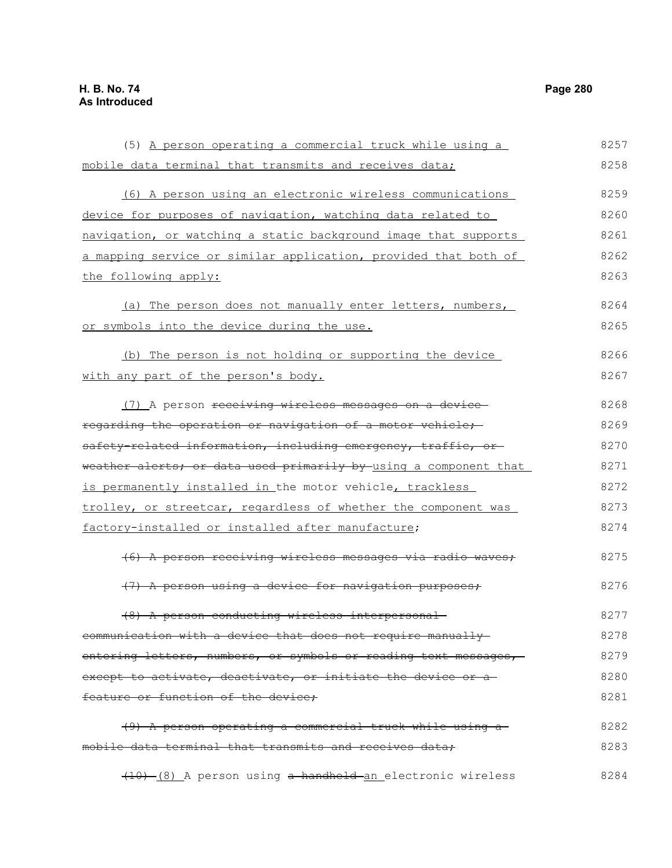(5) A person operating a commercial truck while using a mobile data terminal that transmits and receives data; (6) A person using an electronic wireless communications device for purposes of navigation, watching data related to navigation, or watching a static background image that supports a mapping service or similar application, provided that both of the following apply: (a) The person does not manually enter letters, numbers, or symbols into the device during the use. (b) The person is not holding or supporting the device with any part of the person's body. (7) A person receiving wireless messages on a device regarding the operation or navigation of a motor vehicle; safety-related information, including emergency, traffic, orweather alerts; or data used primarily by using a component that is permanently installed in the motor vehicle, trackless trolley, or streetcar, regardless of whether the component was factory-installed or installed after manufacture; (6) A person receiving wireless messages via radio waves; (7) A person using a device for navigation purposes; (8) A person conducting wireless interpersonal communication with a device that does not require manually entering letters, numbers, or symbols or reading text messages, except to activate, deactivate, or initiate the device or a feature or function of the device; (9) A person operating a commercial truck while using a mobile data terminal that transmits and receives data; 8257 8258 8259 8260 8261 8262 8263 8264 8265 8266 8267 8268 8269 8270 8271 8272 8273 8274 8275 8276 8277 8278 8279 8280 8281 8282 8283

(10) (8) A person using a handheld an electronic wireless 8284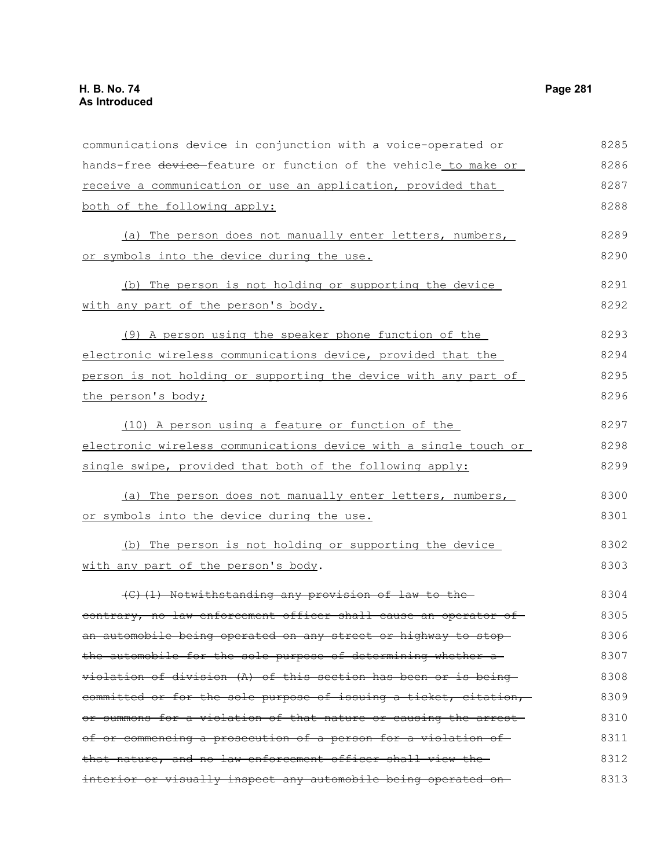communications device in conjunction with a voice-operated or hands-free device-feature or function of the vehicle to make or receive a communication or use an application, provided that both of the following apply: (a) The person does not manually enter letters, numbers, or symbols into the device during the use. (b) The person is not holding or supporting the device with any part of the person's body. (9) A person using the speaker phone function of the electronic wireless communications device, provided that the person is not holding or supporting the device with any part of the person's body; (10) A person using a feature or function of the electronic wireless communications device with a single touch or single swipe, provided that both of the following apply: (a) The person does not manually enter letters, numbers, or symbols into the device during the use. (b) The person is not holding or supporting the device with any part of the person's body. (C)(1) Notwithstanding any provision of law to the contrary, no law enforcement officer shall cause an operator ofan automobile being operated on any street or highway to stop the automobile for the sole purpose of determining whether a violation of division (A) of this section has been or is being committed or for the sole purpose of issuing a ticket, citation, or summons for a violation of that nature or causing the arrest of or commencing a prosecution of a person for a violation of that nature, and no law enforcement officer shall view theinterior or visually inspect any automobile being operated on 8285 8286 8287 8288 8289 8290 8291 8292 8293 8294 8295 8296 8297 8298 8299 8300 8301 8302 8303 8304 8305 8306 8307 8308 8309 8310 8311 8312 8313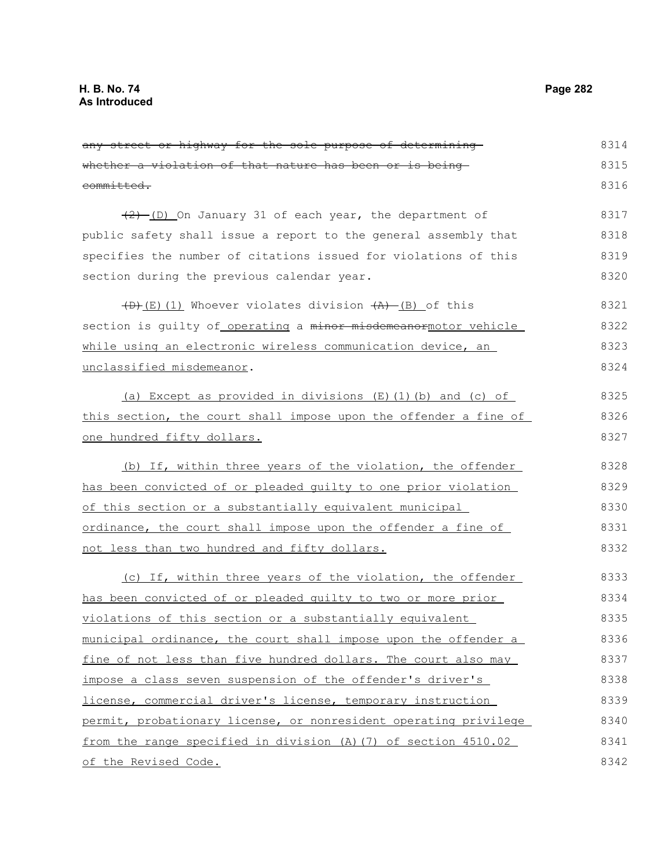any street or highway for the sole purpose of determining whether a violation of that nature has been or is being committed. (2) (D) On January 31 of each year, the department of public safety shall issue a report to the general assembly that specifies the number of citations issued for violations of this section during the previous calendar year.  $(D)$  (E)(1) Whoever violates division  $(A)$  (B) of this section is quilty of operating a minor misdemeanormotor vehicle while using an electronic wireless communication device, an unclassified misdemeanor. (a) Except as provided in divisions (E)(1)(b) and (c) of this section, the court shall impose upon the offender a fine of one hundred fifty dollars. (b) If, within three years of the violation, the offender has been convicted of or pleaded guilty to one prior violation of this section or a substantially equivalent municipal ordinance, the court shall impose upon the offender a fine of not less than two hundred and fifty dollars. (c) If, within three years of the violation, the offender has been convicted of or pleaded guilty to two or more prior violations of this section or a substantially equivalent municipal ordinance, the court shall impose upon the offender a fine of not less than five hundred dollars. The court also may 8314 8315 8316 8317 8318 8319 8320 8321 8322 8323 8324 8325 8326 8327 8328 8329 8330 8331 8332 8333 8334 8335 8336 8337

impose a class seven suspension of the offender's driver's license, commercial driver's license, temporary instruction

of the Revised Code.

permit, probationary license, or nonresident operating privilege from the range specified in division (A)(7) of section 4510.02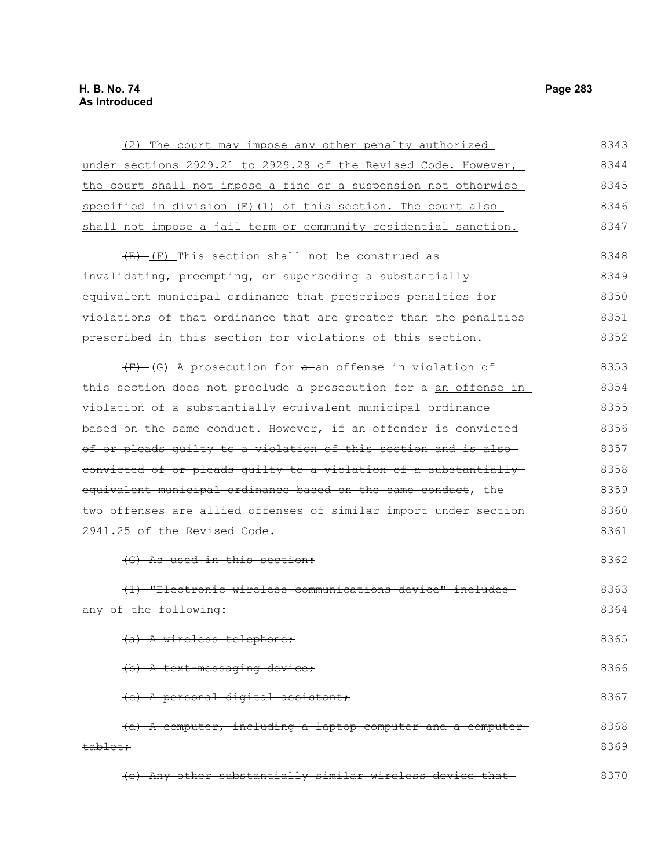# **H. B. No. 74 Page 283 As Introduced**

| (2) The court may impose any other penalty authorized            | 8343 |
|------------------------------------------------------------------|------|
| under sections 2929.21 to 2929.28 of the Revised Code. However,  | 8344 |
| the court shall not impose a fine or a suspension not otherwise  | 8345 |
| specified in division (E) (1) of this section. The court also    | 8346 |
| shall not impose a jail term or community residential sanction.  | 8347 |
| $(E)$ (F) This section shall not be construed as                 | 8348 |
| invalidating, preempting, or superseding a substantially         | 8349 |
| equivalent municipal ordinance that prescribes penalties for     | 8350 |
| violations of that ordinance that are greater than the penalties | 8351 |
| prescribed in this section for violations of this section.       | 8352 |
| (F) (G) A prosecution for a an offense in violation of           | 8353 |
| this section does not preclude a prosecution for a an offense in | 8354 |
| violation of a substantially equivalent municipal ordinance      | 8355 |
| based on the same conduct. However, if an offender is convicted  | 8356 |
| of or pleads quilty to a violation of this section and is also-  | 8357 |
| convicted of or pleads quilty to a violation of a substantially  | 8358 |
| equivalent municipal ordinance based on the same conduct, the    | 8359 |
| two offenses are allied offenses of similar import under section | 8360 |
| 2941.25 of the Revised Code.                                     | 8361 |
| (G) As used in this section:                                     | 8362 |
| (1) "Electronic wireless communications device" includes-        | 8363 |
| any of the following:                                            | 8364 |
| (a) A wireless telephone;                                        | 8365 |
| (b) A text-messaging device;                                     | 8366 |
| (e) A personal digital assistant;                                | 8367 |
| (d) A computer, including a laptop computer and a computer-      | 8368 |
| <del>tablet;</del>                                               | 8369 |
| (e) Any other substantially similar wireless device that         | 8370 |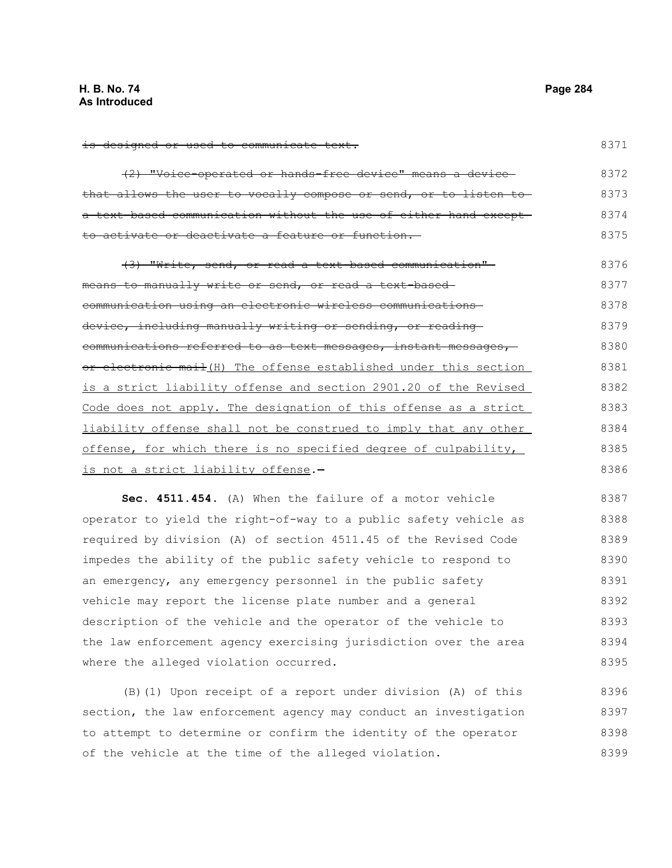8371

is designed or used to communicate text.

(2) "Voice-operated or hands-free device" means a device that allows the user to vocally compose or send, or to listen to a text-based communication without the use of either hand except to activate or deactivate a feature or function. 8372 8373 8374 8375

(3) "Write, send, or read a text-based communication" means to manually write or send, or read a text-basedcommunication using an electronic wireless communications device, including manually writing or sending, or reading communications referred to as text messages, instant messages, or electronic mail(H) The offense established under this section is a strict liability offense and section 2901.20 of the Revised Code does not apply. The designation of this offense as a strict liability offense shall not be construed to imply that any other offense, for which there is no specified degree of culpability, is not a strict liability offense. 8376 8377 8378 8379 8380 8381 8382 8383 8384 8385 8386

**Sec. 4511.454.** (A) When the failure of a motor vehicle operator to yield the right-of-way to a public safety vehicle as required by division (A) of section 4511.45 of the Revised Code impedes the ability of the public safety vehicle to respond to an emergency, any emergency personnel in the public safety vehicle may report the license plate number and a general description of the vehicle and the operator of the vehicle to the law enforcement agency exercising jurisdiction over the area where the alleged violation occurred. 8387 8388 8389 8390 8391 8392 8393 8394 8395

(B)(1) Upon receipt of a report under division (A) of this section, the law enforcement agency may conduct an investigation to attempt to determine or confirm the identity of the operator of the vehicle at the time of the alleged violation. 8396 8397 8398 8399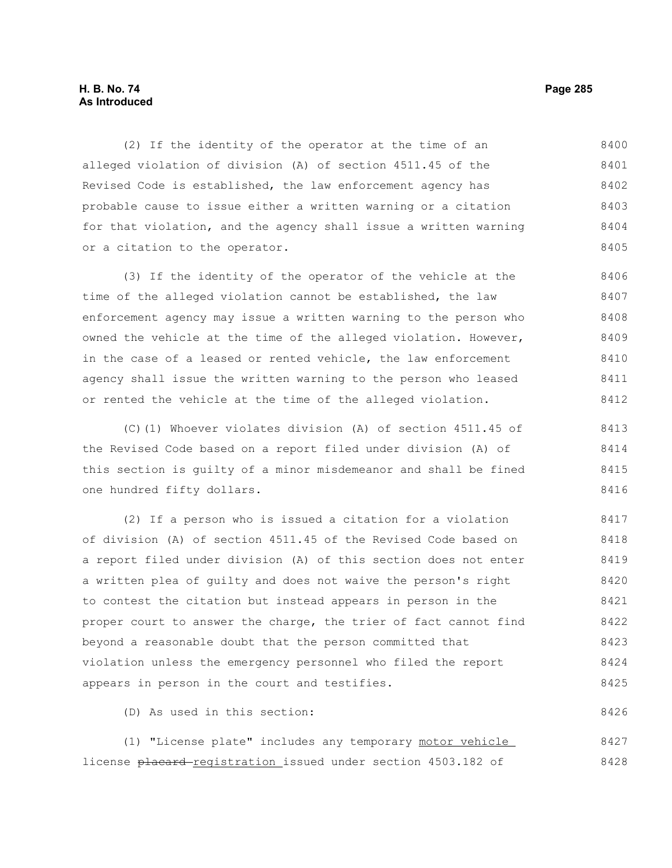### **H. B. No. 74 Page 285 As Introduced**

(2) If the identity of the operator at the time of an alleged violation of division (A) of section 4511.45 of the Revised Code is established, the law enforcement agency has probable cause to issue either a written warning or a citation for that violation, and the agency shall issue a written warning or a citation to the operator. 8400 8401 8402 8403 8404 8405

(3) If the identity of the operator of the vehicle at the time of the alleged violation cannot be established, the law enforcement agency may issue a written warning to the person who owned the vehicle at the time of the alleged violation. However, in the case of a leased or rented vehicle, the law enforcement agency shall issue the written warning to the person who leased or rented the vehicle at the time of the alleged violation. 8406 8407 8408 8409 8410 8411 8412

(C)(1) Whoever violates division (A) of section 4511.45 of the Revised Code based on a report filed under division (A) of this section is guilty of a minor misdemeanor and shall be fined one hundred fifty dollars. 8413 8414 8415 8416

(2) If a person who is issued a citation for a violation of division (A) of section 4511.45 of the Revised Code based on a report filed under division (A) of this section does not enter a written plea of guilty and does not waive the person's right to contest the citation but instead appears in person in the proper court to answer the charge, the trier of fact cannot find beyond a reasonable doubt that the person committed that violation unless the emergency personnel who filed the report appears in person in the court and testifies. 8417 8418 8419 8420 8421 8422 8423 8424 8425

(D) As used in this section:

(1) "License plate" includes any temporary motor vehicle license placard registration issued under section 4503.182 of 8427 8428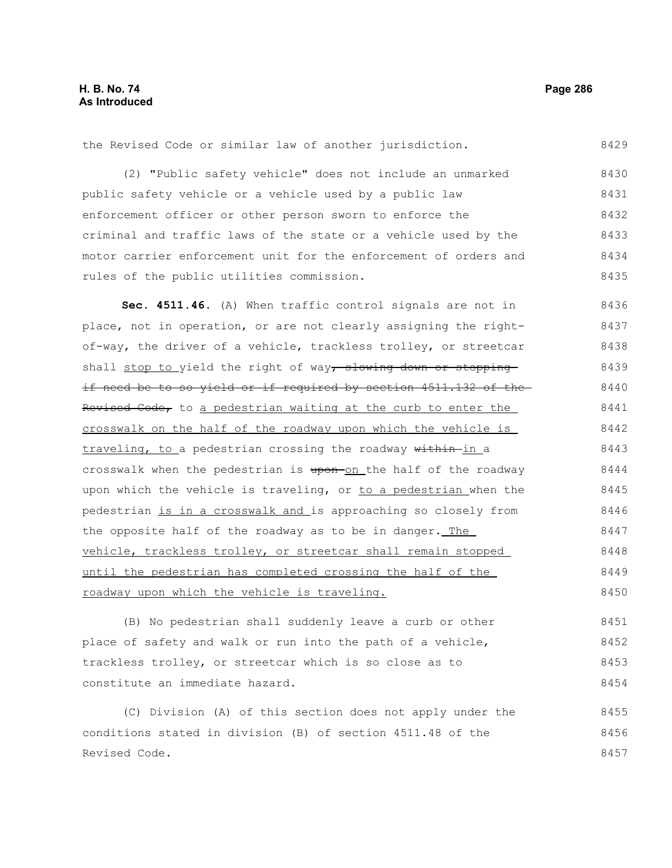8429

the Revised Code or similar law of another jurisdiction.

(2) "Public safety vehicle" does not include an unmarked public safety vehicle or a vehicle used by a public law enforcement officer or other person sworn to enforce the criminal and traffic laws of the state or a vehicle used by the motor carrier enforcement unit for the enforcement of orders and rules of the public utilities commission. 8430 8431 8432 8433 8434 8435

**Sec. 4511.46.** (A) When traffic control signals are not in place, not in operation, or are not clearly assigning the rightof-way, the driver of a vehicle, trackless trolley, or streetcar shall stop to yield the right of way, slowing down or stoppingif need be to so yield or if required by section 4511.132 of the Revised Code, to a pedestrian waiting at the curb to enter the crosswalk on the half of the roadway upon which the vehicle is traveling, to a pedestrian crossing the roadway within-in a crosswalk when the pedestrian is upon-on the half of the roadway upon which the vehicle is traveling, or to a pedestrian when the pedestrian is in a crosswalk and is approaching so closely from the opposite half of the roadway as to be in danger. The vehicle, trackless trolley, or streetcar shall remain stopped until the pedestrian has completed crossing the half of the roadway upon which the vehicle is traveling. 8436 8437 8438 8439 8440 8441 8442 8443 8444 8445 8446 8447 8448 8449 8450

(B) No pedestrian shall suddenly leave a curb or other place of safety and walk or run into the path of a vehicle, trackless trolley, or streetcar which is so close as to constitute an immediate hazard. 8451 8452 8453 8454

(C) Division (A) of this section does not apply under the conditions stated in division (B) of section 4511.48 of the Revised Code. 8455 8456 8457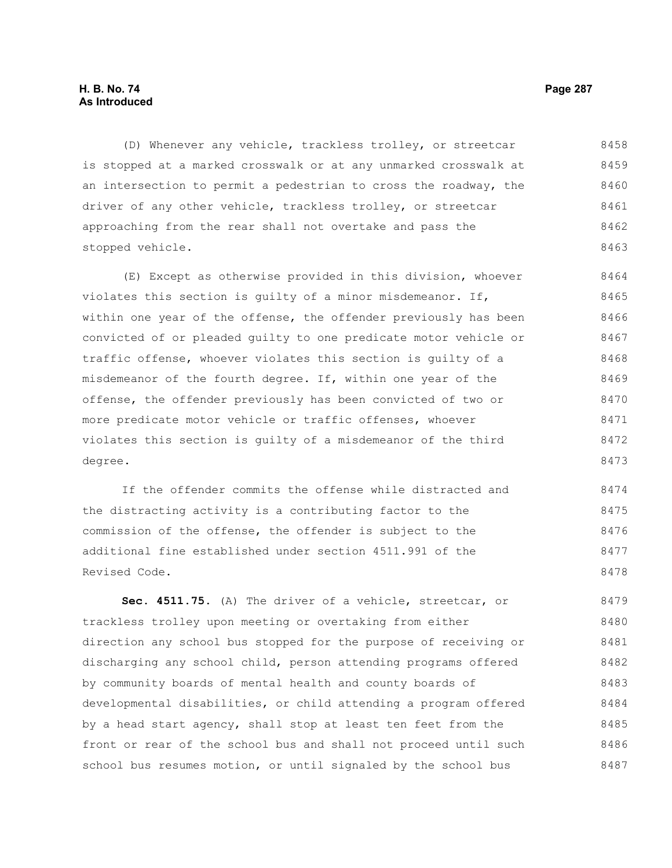### **H. B. No. 74 Page 287 As Introduced**

(D) Whenever any vehicle, trackless trolley, or streetcar is stopped at a marked crosswalk or at any unmarked crosswalk at an intersection to permit a pedestrian to cross the roadway, the driver of any other vehicle, trackless trolley, or streetcar approaching from the rear shall not overtake and pass the stopped vehicle. 8458 8459 8460 8461 8462 8463

(E) Except as otherwise provided in this division, whoever violates this section is guilty of a minor misdemeanor. If, within one year of the offense, the offender previously has been convicted of or pleaded guilty to one predicate motor vehicle or traffic offense, whoever violates this section is guilty of a misdemeanor of the fourth degree. If, within one year of the offense, the offender previously has been convicted of two or more predicate motor vehicle or traffic offenses, whoever violates this section is guilty of a misdemeanor of the third degree. 8464 8465 8466 8467 8468 8469 8470 8471 8472 8473

If the offender commits the offense while distracted and the distracting activity is a contributing factor to the commission of the offense, the offender is subject to the additional fine established under section 4511.991 of the Revised Code. 8474 8475 8476 8477 8478

**Sec. 4511.75.** (A) The driver of a vehicle, streetcar, or trackless trolley upon meeting or overtaking from either direction any school bus stopped for the purpose of receiving or discharging any school child, person attending programs offered by community boards of mental health and county boards of developmental disabilities, or child attending a program offered by a head start agency, shall stop at least ten feet from the front or rear of the school bus and shall not proceed until such school bus resumes motion, or until signaled by the school bus 8479 8480 8481 8482 8483 8484 8485 8486 8487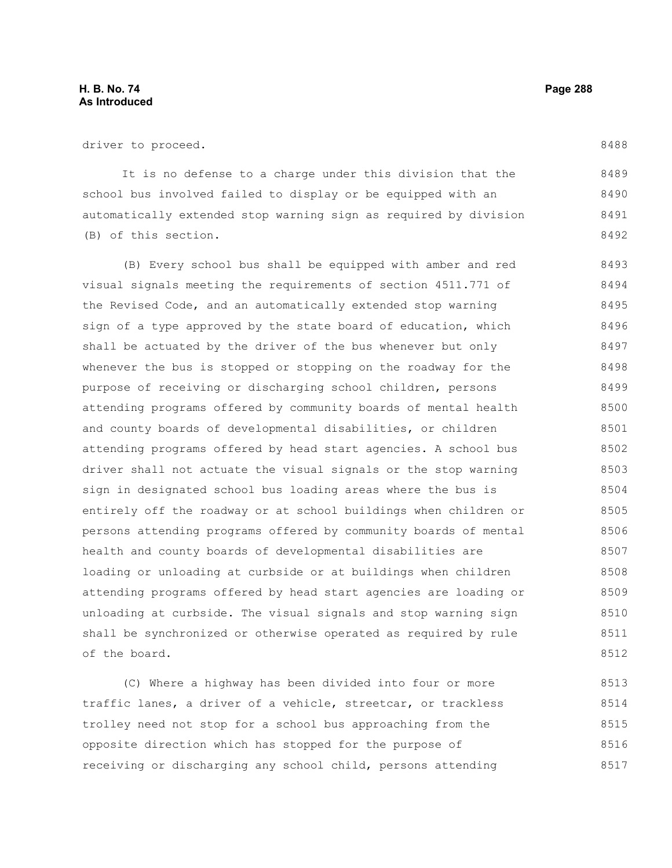driver to proceed.

It is no defense to a charge under this division that the school bus involved failed to display or be equipped with an automatically extended stop warning sign as required by division (B) of this section. 8489 8490 8491 8492

(B) Every school bus shall be equipped with amber and red visual signals meeting the requirements of section 4511.771 of the Revised Code, and an automatically extended stop warning sign of a type approved by the state board of education, which shall be actuated by the driver of the bus whenever but only whenever the bus is stopped or stopping on the roadway for the purpose of receiving or discharging school children, persons attending programs offered by community boards of mental health and county boards of developmental disabilities, or children attending programs offered by head start agencies. A school bus driver shall not actuate the visual signals or the stop warning sign in designated school bus loading areas where the bus is entirely off the roadway or at school buildings when children or persons attending programs offered by community boards of mental health and county boards of developmental disabilities are loading or unloading at curbside or at buildings when children attending programs offered by head start agencies are loading or unloading at curbside. The visual signals and stop warning sign shall be synchronized or otherwise operated as required by rule of the board. 8493 8494 8495 8496 8497 8498 8499 8500 8501 8502 8503 8504 8505 8506 8507 8508 8509 8510 8511 8512

(C) Where a highway has been divided into four or more traffic lanes, a driver of a vehicle, streetcar, or trackless trolley need not stop for a school bus approaching from the opposite direction which has stopped for the purpose of receiving or discharging any school child, persons attending 8513 8514 8515 8516 8517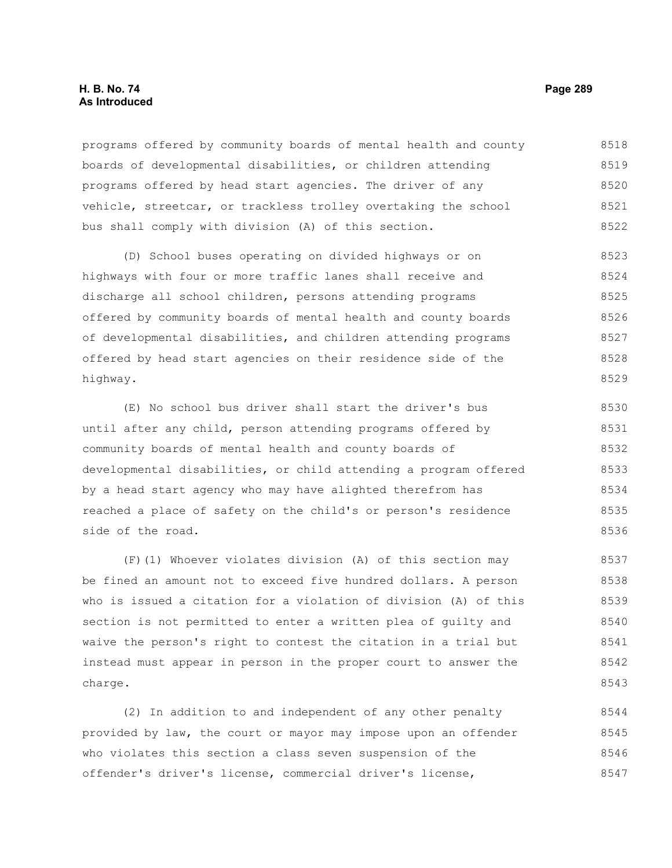#### **H. B. No. 74 Page 289 As Introduced**

programs offered by community boards of mental health and county boards of developmental disabilities, or children attending programs offered by head start agencies. The driver of any vehicle, streetcar, or trackless trolley overtaking the school bus shall comply with division (A) of this section. 8518 8519 8520 8521 8522

(D) School buses operating on divided highways or on highways with four or more traffic lanes shall receive and discharge all school children, persons attending programs offered by community boards of mental health and county boards of developmental disabilities, and children attending programs offered by head start agencies on their residence side of the highway. 8523 8524 8525 8526 8527 8528 8529

(E) No school bus driver shall start the driver's bus until after any child, person attending programs offered by community boards of mental health and county boards of developmental disabilities, or child attending a program offered by a head start agency who may have alighted therefrom has reached a place of safety on the child's or person's residence side of the road. 8530 8531 8532 8533 8534 8535 8536

(F)(1) Whoever violates division (A) of this section may be fined an amount not to exceed five hundred dollars. A person who is issued a citation for a violation of division (A) of this section is not permitted to enter a written plea of guilty and waive the person's right to contest the citation in a trial but instead must appear in person in the proper court to answer the charge. 8537 8538 8539 8540 8541 8542 8543

(2) In addition to and independent of any other penalty provided by law, the court or mayor may impose upon an offender who violates this section a class seven suspension of the offender's driver's license, commercial driver's license, 8544 8545 8546 8547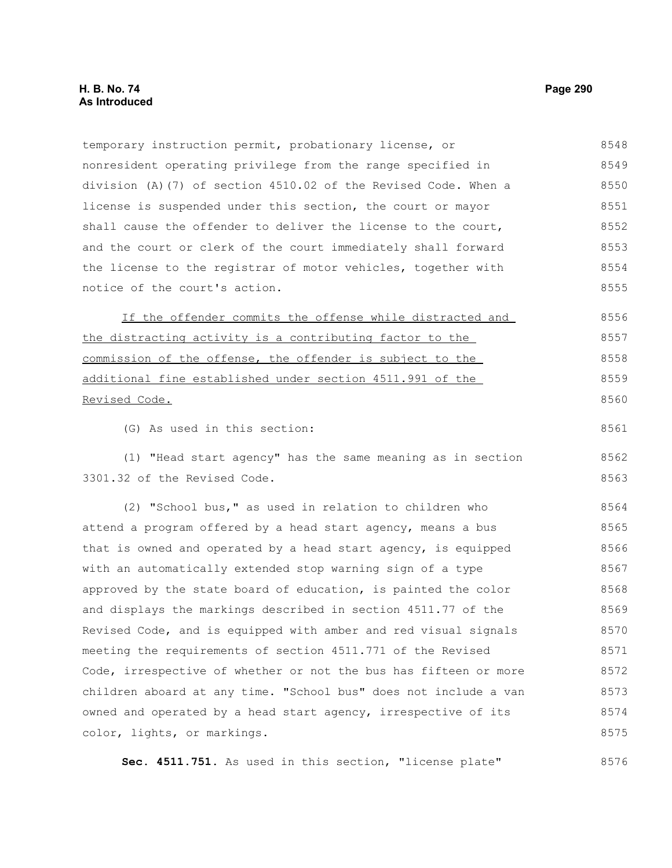temporary instruction permit, probationary license, or nonresident operating privilege from the range specified in division (A)(7) of section 4510.02 of the Revised Code. When a license is suspended under this section, the court or mayor shall cause the offender to deliver the license to the court, and the court or clerk of the court immediately shall forward the license to the registrar of motor vehicles, together with notice of the court's action. 8548 8549 8550 8551 8552 8553 8554 8555

If the offender commits the offense while distracted and the distracting activity is a contributing factor to the commission of the offense, the offender is subject to the additional fine established under section 4511.991 of the Revised Code. 8556 8557 8558 8559 8560

(G) As used in this section:

(1) "Head start agency" has the same meaning as in section 3301.32 of the Revised Code.

(2) "School bus," as used in relation to children who attend a program offered by a head start agency, means a bus that is owned and operated by a head start agency, is equipped with an automatically extended stop warning sign of a type approved by the state board of education, is painted the color and displays the markings described in section 4511.77 of the Revised Code, and is equipped with amber and red visual signals meeting the requirements of section 4511.771 of the Revised Code, irrespective of whether or not the bus has fifteen or more children aboard at any time. "School bus" does not include a van owned and operated by a head start agency, irrespective of its color, lights, or markings. 8564 8565 8566 8567 8568 8569 8570 8571 8572 8573 8574 8575

**Sec. 4511.751.** As used in this section, "license plate"

8561

8562 8563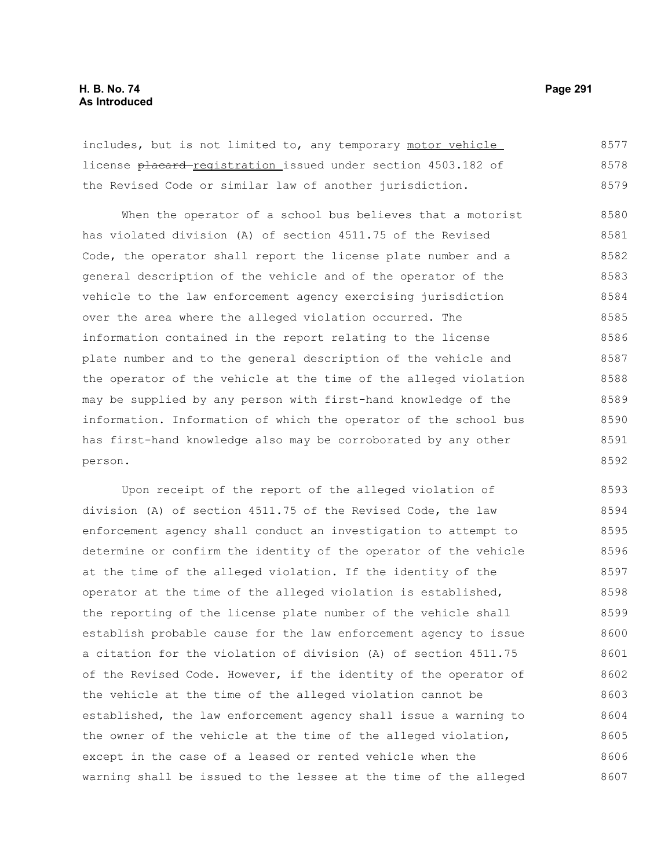includes, but is not limited to, any temporary motor vehicle license placard registration issued under section 4503.182 of the Revised Code or similar law of another jurisdiction. 8577 8578 8579

When the operator of a school bus believes that a motorist has violated division (A) of section 4511.75 of the Revised Code, the operator shall report the license plate number and a general description of the vehicle and of the operator of the vehicle to the law enforcement agency exercising jurisdiction over the area where the alleged violation occurred. The information contained in the report relating to the license plate number and to the general description of the vehicle and the operator of the vehicle at the time of the alleged violation may be supplied by any person with first-hand knowledge of the information. Information of which the operator of the school bus has first-hand knowledge also may be corroborated by any other person. 8580 8581 8582 8583 8584 8585 8586 8587 8588 8589 8590 8591 8592

Upon receipt of the report of the alleged violation of division (A) of section 4511.75 of the Revised Code, the law enforcement agency shall conduct an investigation to attempt to determine or confirm the identity of the operator of the vehicle at the time of the alleged violation. If the identity of the operator at the time of the alleged violation is established, the reporting of the license plate number of the vehicle shall establish probable cause for the law enforcement agency to issue a citation for the violation of division (A) of section 4511.75 of the Revised Code. However, if the identity of the operator of the vehicle at the time of the alleged violation cannot be established, the law enforcement agency shall issue a warning to the owner of the vehicle at the time of the alleged violation, except in the case of a leased or rented vehicle when the warning shall be issued to the lessee at the time of the alleged 8593 8594 8595 8596 8597 8598 8599 8600 8601 8602 8603 8604 8605 8606 8607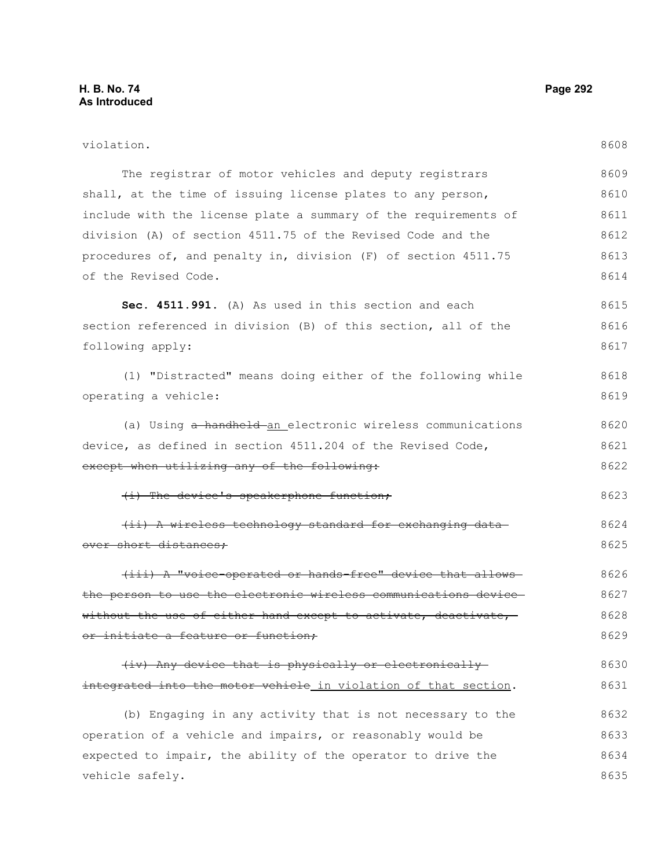violation.

of the Revised Code.

The registrar of motor vehicles and deputy registrars shall, at the time of issuing license plates to any person, include with the license plate a summary of the requirements of division (A) of section 4511.75 of the Revised Code and the procedures of, and penalty in, division (F) of section 4511.75 8608 8609 8610 8611 8612 8613 8614

**Sec. 4511.991.** (A) As used in this section and each section referenced in division (B) of this section, all of the following apply: 8615 8616 8617

(1) "Distracted" means doing either of the following while operating a vehicle: 8618 8619

(a) Using a handheld an electronic wireless communications device, as defined in section 4511.204 of the Revised Code, except when utilizing any of the following: 8620 8621 8622

(i) The device's speakerphone function;

(ii) A wireless technology standard for exchanging data over short distances; 8624 8625

(iii) A "voice-operated or hands-free" device that allows the person to use the electronic wireless communications device without the use of either hand except to activate, deactivate, or initiate a feature or function; 8626 8627 8628 8629

(iv) Any device that is physically or electronically integrated into the motor vehicle in violation of that section. 8630 8631

(b) Engaging in any activity that is not necessary to the operation of a vehicle and impairs, or reasonably would be expected to impair, the ability of the operator to drive the vehicle safely. 8632 8633 8634 8635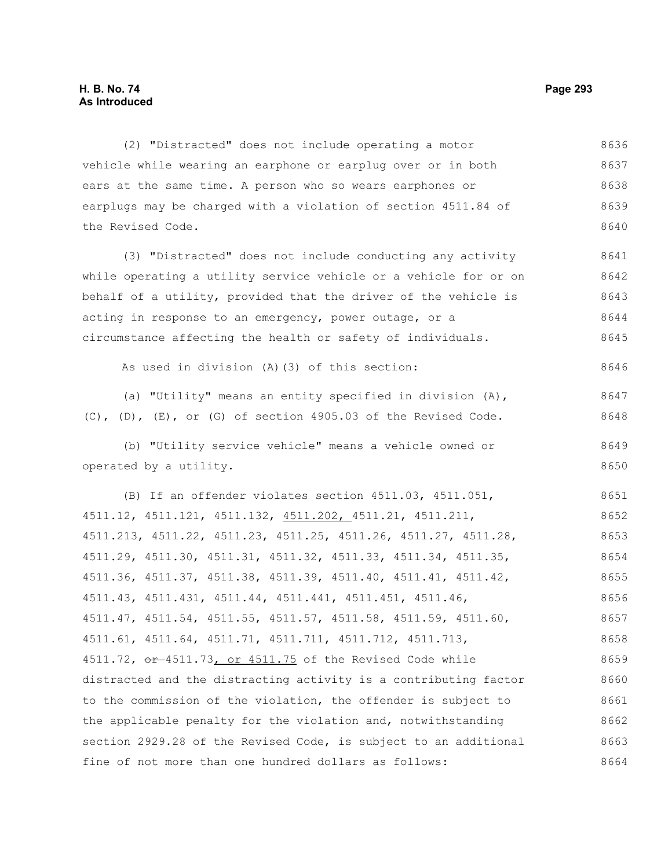(2) "Distracted" does not include operating a motor vehicle while wearing an earphone or earplug over or in both ears at the same time. A person who so wears earphones or earplugs may be charged with a violation of section 4511.84 of the Revised Code. (3) "Distracted" does not include conducting any activity while operating a utility service vehicle or a vehicle for or on behalf of a utility, provided that the driver of the vehicle is acting in response to an emergency, power outage, or a circumstance affecting the health or safety of individuals. As used in division (A)(3) of this section: (a) "Utility" means an entity specified in division (A), (C), (D), (E), or (G) of section 4905.03 of the Revised Code. (b) "Utility service vehicle" means a vehicle owned or operated by a utility. (B) If an offender violates section 4511.03, 4511.051, 4511.12, 4511.121, 4511.132, 4511.202, 4511.21, 4511.211, 4511.213, 4511.22, 4511.23, 4511.25, 4511.26, 4511.27, 4511.28, 4511.29, 4511.30, 4511.31, 4511.32, 4511.33, 4511.34, 4511.35, 4511.36, 4511.37, 4511.38, 4511.39, 4511.40, 4511.41, 4511.42, 4511.43, 4511.431, 4511.44, 4511.441, 4511.451, 4511.46, 4511.47, 4511.54, 4511.55, 4511.57, 4511.58, 4511.59, 4511.60, 4511.61, 4511.64, 4511.71, 4511.711, 4511.712, 4511.713, 4511.72, or 4511.73, or 4511.75 of the Revised Code while distracted and the distracting activity is a contributing factor to the commission of the violation, the offender is subject to the applicable penalty for the violation and, notwithstanding section 2929.28 of the Revised Code, is subject to an additional fine of not more than one hundred dollars as follows: 8636 8637 8638 8639 8640 8641 8642 8643 8644 8645 8646 8647 8648 8649 8650 8651 8652 8653 8654 8655 8656 8657 8658 8659 8660 8661 8662 8663 8664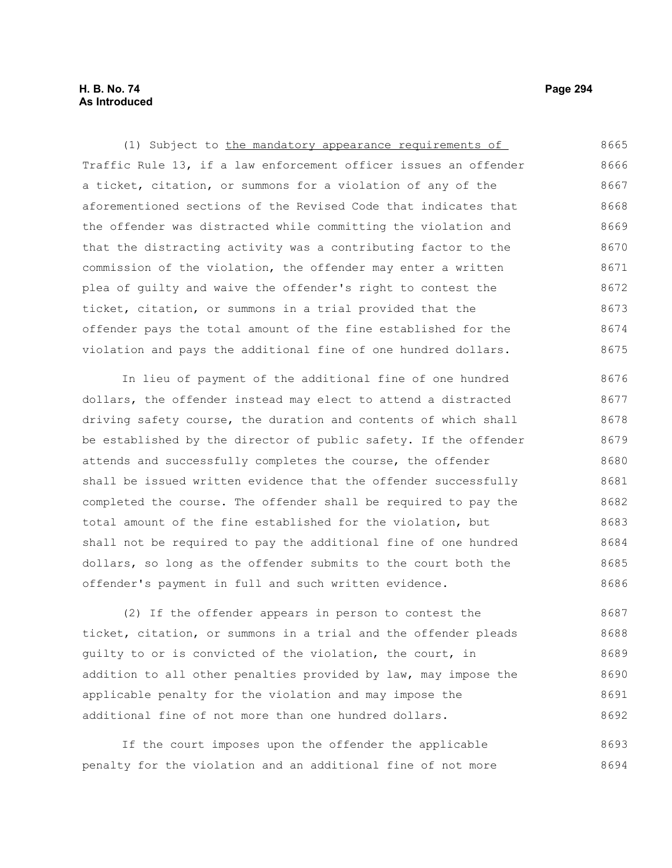### **H. B. No. 74 Page 294 As Introduced**

(1) Subject to the mandatory appearance requirements of Traffic Rule 13, if a law enforcement officer issues an offender a ticket, citation, or summons for a violation of any of the aforementioned sections of the Revised Code that indicates that the offender was distracted while committing the violation and that the distracting activity was a contributing factor to the commission of the violation, the offender may enter a written plea of guilty and waive the offender's right to contest the ticket, citation, or summons in a trial provided that the offender pays the total amount of the fine established for the violation and pays the additional fine of one hundred dollars. In lieu of payment of the additional fine of one hundred dollars, the offender instead may elect to attend a distracted driving safety course, the duration and contents of which shall be established by the director of public safety. If the offender attends and successfully completes the course, the offender shall be issued written evidence that the offender successfully completed the course. The offender shall be required to pay the total amount of the fine established for the violation, but shall not be required to pay the additional fine of one hundred dollars, so long as the offender submits to the court both the offender's payment in full and such written evidence. 8665 8666 8667 8668 8669 8670 8671 8672 8673 8674 8675 8676 8677 8678 8679 8680 8681 8682 8683 8684 8685 8686

(2) If the offender appears in person to contest the ticket, citation, or summons in a trial and the offender pleads guilty to or is convicted of the violation, the court, in addition to all other penalties provided by law, may impose the applicable penalty for the violation and may impose the additional fine of not more than one hundred dollars. 8687 8688 8689 8690 8691 8692

If the court imposes upon the offender the applicable penalty for the violation and an additional fine of not more 8693 8694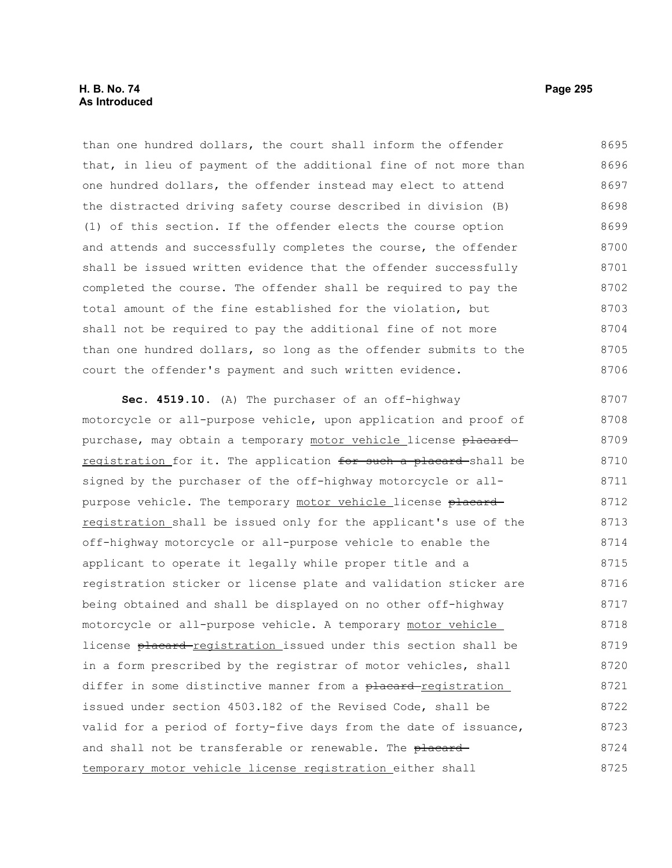than one hundred dollars, the court shall inform the offender that, in lieu of payment of the additional fine of not more than one hundred dollars, the offender instead may elect to attend the distracted driving safety course described in division (B) (1) of this section. If the offender elects the course option and attends and successfully completes the course, the offender shall be issued written evidence that the offender successfully completed the course. The offender shall be required to pay the total amount of the fine established for the violation, but shall not be required to pay the additional fine of not more than one hundred dollars, so long as the offender submits to the court the offender's payment and such written evidence. 8695 8696 8697 8698 8699 8700 8701 8702 8703 8704 8705 8706

**Sec. 4519.10.** (A) The purchaser of an off-highway motorcycle or all-purpose vehicle, upon application and proof of purchase, may obtain a temporary motor vehicle license placard registration for it. The application for such a placard-shall be signed by the purchaser of the off-highway motorcycle or allpurpose vehicle. The temporary motor vehicle license placard registration shall be issued only for the applicant's use of the off-highway motorcycle or all-purpose vehicle to enable the applicant to operate it legally while proper title and a registration sticker or license plate and validation sticker are being obtained and shall be displayed on no other off-highway motorcycle or all-purpose vehicle. A temporary motor vehicle license placard-registration issued under this section shall be in a form prescribed by the registrar of motor vehicles, shall differ in some distinctive manner from a placard-registration issued under section 4503.182 of the Revised Code, shall be valid for a period of forty-five days from the date of issuance, and shall not be transferable or renewable. The placardtemporary motor vehicle license registration either shall 8707 8708 8709 8710 8711 8712 8713 8714 8715 8716 8717 8718 8719 8720 8721 8722 8723 8724 8725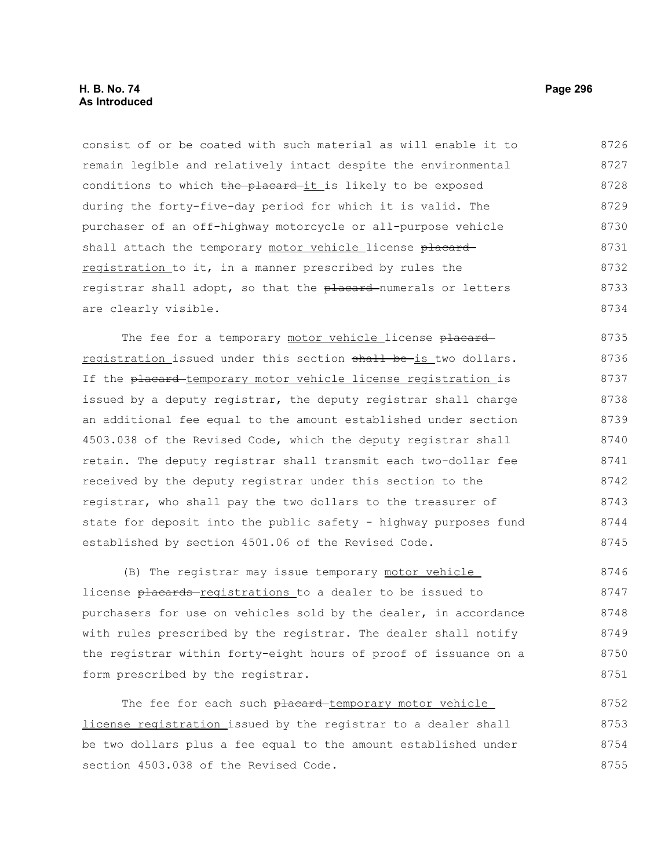### **H. B. No. 74 Page 296 As Introduced**

consist of or be coated with such material as will enable it to remain legible and relatively intact despite the environmental conditions to which the placard it is likely to be exposed during the forty-five-day period for which it is valid. The purchaser of an off-highway motorcycle or all-purpose vehicle shall attach the temporary motor vehicle license placardregistration to it, in a manner prescribed by rules the registrar shall adopt, so that the placard-numerals or letters are clearly visible. 8726 8727 8728 8729 8730 8731 8732 8733 8734

The fee for a temporary motor vehicle license placardregistration issued under this section shall be is two dollars. If the placard temporary motor vehicle license registration is issued by a deputy registrar, the deputy registrar shall charge an additional fee equal to the amount established under section 4503.038 of the Revised Code, which the deputy registrar shall retain. The deputy registrar shall transmit each two-dollar fee received by the deputy registrar under this section to the registrar, who shall pay the two dollars to the treasurer of state for deposit into the public safety - highway purposes fund established by section 4501.06 of the Revised Code. 8735 8736 8737 8738 8739 8740 8741 8742 8743 8744 8745

(B) The registrar may issue temporary motor vehicle license placards registrations to a dealer to be issued to purchasers for use on vehicles sold by the dealer, in accordance with rules prescribed by the registrar. The dealer shall notify the registrar within forty-eight hours of proof of issuance on a form prescribed by the registrar. 8746 8747 8748 8749 8750 8751

The fee for each such placard temporary motor vehicle license registration issued by the registrar to a dealer shall be two dollars plus a fee equal to the amount established under section 4503.038 of the Revised Code. 8752 8753 8754 8755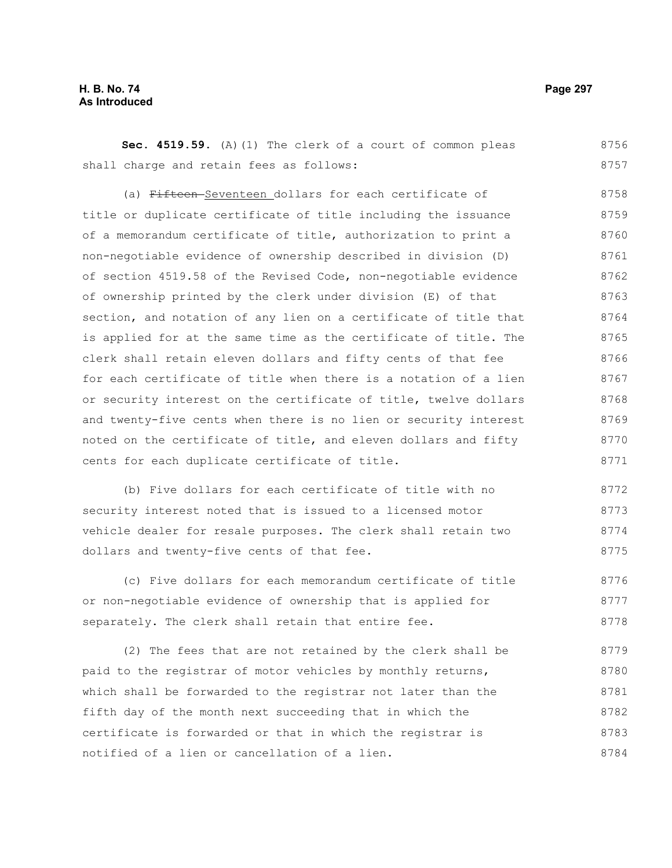# **H. B. No. 74 Page 297 As Introduced**

| Sec. 4519.59. (A) (1) The clerk of a court of common pleas       | 8756 |
|------------------------------------------------------------------|------|
| shall charge and retain fees as follows:                         | 8757 |
| (a) Fifteen-Seventeen dollars for each certificate of            | 8758 |
| title or duplicate certificate of title including the issuance   | 8759 |
| of a memorandum certificate of title, authorization to print a   | 8760 |
| non-negotiable evidence of ownership described in division (D)   | 8761 |
| of section 4519.58 of the Revised Code, non-negotiable evidence  | 8762 |
| of ownership printed by the clerk under division (E) of that     | 8763 |
| section, and notation of any lien on a certificate of title that | 8764 |
| is applied for at the same time as the certificate of title. The | 8765 |
| clerk shall retain eleven dollars and fifty cents of that fee    | 8766 |
| for each certificate of title when there is a notation of a lien | 8767 |
| or security interest on the certificate of title, twelve dollars | 8768 |
| and twenty-five cents when there is no lien or security interest | 8769 |
| noted on the certificate of title, and eleven dollars and fifty  | 8770 |
| cents for each duplicate certificate of title.                   | 8771 |
| (b) Five dollars for each certificate of title with no           | 8772 |
| security interest noted that is issued to a licensed motor       | 8773 |
| vehicle dealer for resale purposes. The clerk shall retain two   | 8774 |
| dollars and twenty-five cents of that fee.                       | 8775 |
| (c) Five dollars for each memorandum certificate of title        | 8776 |
| or non-negotiable evidence of ownership that is applied for      | 8777 |
| separately. The clerk shall retain that entire fee.              | 8778 |
| (2) The fees that are not retained by the clerk shall be         | 8779 |
| paid to the registrar of motor vehicles by monthly returns,      | 8780 |
| which shall be forwarded to the registrar not later than the     | 8781 |
| fifth day of the month next succeeding that in which the         | 8782 |
| certificate is forwarded or that in which the registrar is       | 8783 |
| notified of a lien or cancellation of a lien.                    | 8784 |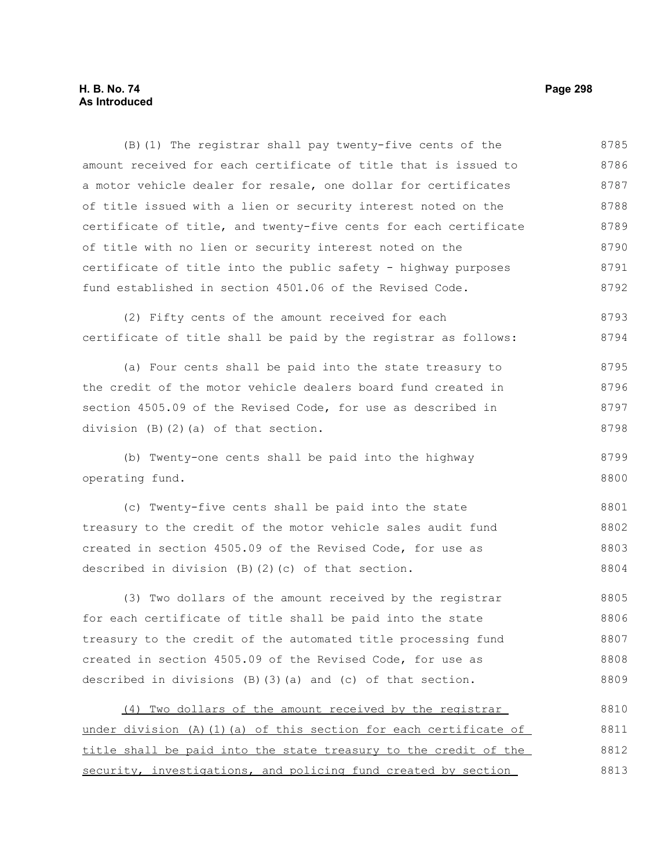(B)(1) The registrar shall pay twenty-five cents of the amount received for each certificate of title that is issued to a motor vehicle dealer for resale, one dollar for certificates of title issued with a lien or security interest noted on the certificate of title, and twenty-five cents for each certificate of title with no lien or security interest noted on the certificate of title into the public safety - highway purposes fund established in section 4501.06 of the Revised Code. (2) Fifty cents of the amount received for each certificate of title shall be paid by the registrar as follows: (a) Four cents shall be paid into the state treasury to the credit of the motor vehicle dealers board fund created in section 4505.09 of the Revised Code, for use as described in division (B)(2)(a) of that section. (b) Twenty-one cents shall be paid into the highway operating fund. (c) Twenty-five cents shall be paid into the state treasury to the credit of the motor vehicle sales audit fund created in section 4505.09 of the Revised Code, for use as described in division (B)(2)(c) of that section. 8785 8786 8787 8788 8789 8790 8791 8792 8793 8794 8795 8796 8797 8798 8799 8800 8801 8802 8803 8804

(3) Two dollars of the amount received by the registrar for each certificate of title shall be paid into the state treasury to the credit of the automated title processing fund created in section 4505.09 of the Revised Code, for use as described in divisions (B)(3)(a) and (c) of that section. 8805 8806 8807 8808 8809

(4) Two dollars of the amount received by the registrar under division (A)(1)(a) of this section for each certificate of title shall be paid into the state treasury to the credit of the security, investigations, and policing fund created by section 8810 8811 8812 8813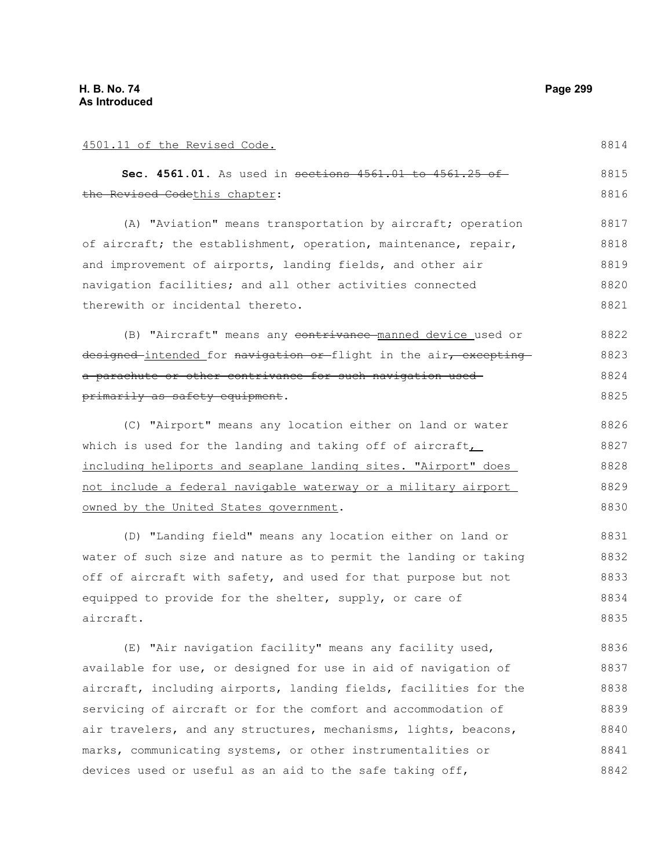| 4501.11 of the Revised Code.                                     | 8814 |
|------------------------------------------------------------------|------|
| Sec. 4561.01. As used in sections 4561.01 to 4561.25             | 8815 |
| the Revised Codethis chapter:                                    | 8816 |
| (A) "Aviation" means transportation by aircraft; operation       | 8817 |
| of aircraft; the establishment, operation, maintenance, repair,  | 8818 |
| and improvement of airports, landing fields, and other air       | 8819 |
| navigation facilities; and all other activities connected        | 8820 |
| therewith or incidental thereto.                                 | 8821 |
| (B) "Aircraft" means any contrivance manned device used or       | 8822 |
| designed intended for navigation or flight in the air, excepting | 8823 |
| a parachute or other contrivance for such navigation used-       | 8824 |
| primarily as safety equipment.                                   | 8825 |
| (C) "Airport" means any location either on land or water         | 8826 |
| which is used for the landing and taking off of aircraft,        | 8827 |
| including heliports and seaplane landing sites. "Airport" does   | 8828 |
| not include a federal navigable waterway or a military airport   | 8829 |
| owned by the United States government.                           | 8830 |
| (D) "Landing field" means any location either on land or         | 8831 |
| water of such size and nature as to permit the landing or taking | 8832 |
| off of aircraft with safety, and used for that purpose but not   | 8833 |
| equipped to provide for the shelter, supply, or care of          | 8834 |
| aircraft.                                                        | 8835 |
| (E) "Air navigation facility" means any facility used,           | 8836 |
| available for use, or designed for use in aid of navigation of   | 8837 |
| aircraft, including airports, landing fields, facilities for the | 8838 |
| servicing of aircraft or for the comfort and accommodation of    | 8839 |
| air travelers, and any structures, mechanisms, lights, beacons,  | 8840 |

marks, communicating systems, or other instrumentalities or

devices used or useful as an aid to the safe taking off,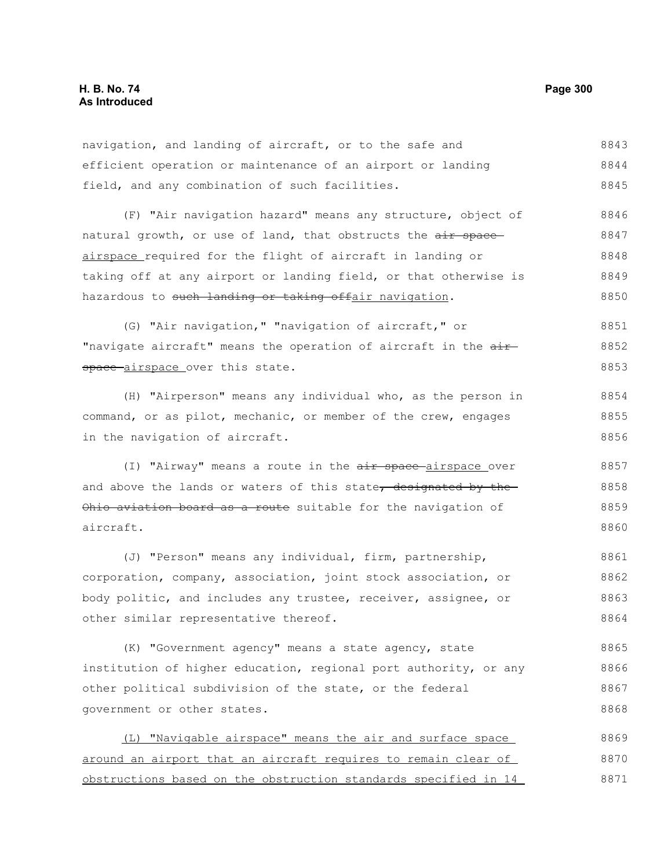| navigation, and landing of aircraft, or to the safe and          | 8843 |
|------------------------------------------------------------------|------|
| efficient operation or maintenance of an airport or landing      | 8844 |
| field, and any combination of such facilities.                   | 8845 |
| (F) "Air navigation hazard" means any structure, object of       | 8846 |
| natural growth, or use of land, that obstructs the air space     | 8847 |
| airspace required for the flight of aircraft in landing or       | 8848 |
| taking off at any airport or landing field, or that otherwise is | 8849 |
| hazardous to such landing or taking offair navigation.           | 8850 |
| (G) "Air navigation," "navigation of aircraft," or               | 8851 |
| "navigate aircraft" means the operation of aircraft in the air-  | 8852 |
| space-airspace_over this state.                                  | 8853 |
| (H) "Airperson" means any individual who, as the person in       | 8854 |
| command, or as pilot, mechanic, or member of the crew, engages   | 8855 |
| in the navigation of aircraft.                                   | 8856 |
| (I) "Airway" means a route in the air space airspace over        | 8857 |
| and above the lands or waters of this state, designated by the   | 8858 |
| Ohio aviation board as a route suitable for the navigation of    | 8859 |
| aircraft.                                                        | 8860 |
| (J) "Person" means any individual, firm, partnership,            | 8861 |
| corporation, company, association, joint stock association, or   | 8862 |
| body politic, and includes any trustee, receiver, assignee, or   | 8863 |
| other similar representative thereof.                            | 8864 |
| (K) "Government agency" means a state agency, state              | 8865 |
| institution of higher education, regional port authority, or any | 8866 |
| other political subdivision of the state, or the federal         | 8867 |
| government or other states.                                      | 8868 |
| (L) "Navigable airspace" means the air and surface space         | 8869 |
| around an airport that an aircraft requires to remain clear of   | 8870 |
| obstructions based on the obstruction standards specified in 14  | 8871 |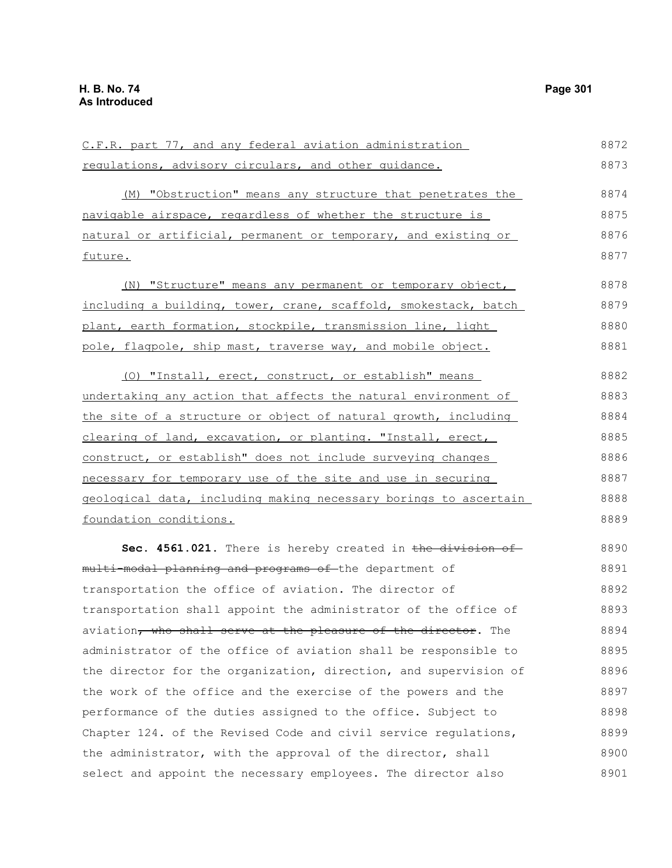C.F.R. part 77, and any federal aviation administration regulations, advisory circulars, and other guidance. (M) "Obstruction" means any structure that penetrates the navigable airspace, regardless of whether the structure is natural or artificial, permanent or temporary, and existing or future. (N) "Structure" means any permanent or temporary object, including a building, tower, crane, scaffold, smokestack, batch plant, earth formation, stockpile, transmission line, light pole, flagpole, ship mast, traverse way, and mobile object. (O) "Install, erect, construct, or establish" means undertaking any action that affects the natural environment of the site of a structure or object of natural growth, including clearing of land, excavation, or planting. "Install, erect, construct, or establish" does not include surveying changes necessary for temporary use of the site and use in securing geological data, including making necessary borings to ascertain foundation conditions. Sec. 4561.021. There is hereby created in the division ofmulti-modal planning and programs of the department of transportation the office of aviation. The director of transportation shall appoint the administrator of the office of aviation, who shall serve at the pleasure of the director. The administrator of the office of aviation shall be responsible to the director for the organization, direction, and supervision of the work of the office and the exercise of the powers and the performance of the duties assigned to the office. Subject to Chapter 124. of the Revised Code and civil service regulations, the administrator, with the approval of the director, shall select and appoint the necessary employees. The director also 8872 8873 8874 8875 8876 8877 8878 8879 8880 8881 8882 8883 8884 8885 8886 8887 8888 8889 8890 8891 8892 8893 8894 8895 8896 8897 8898 8899 8900 8901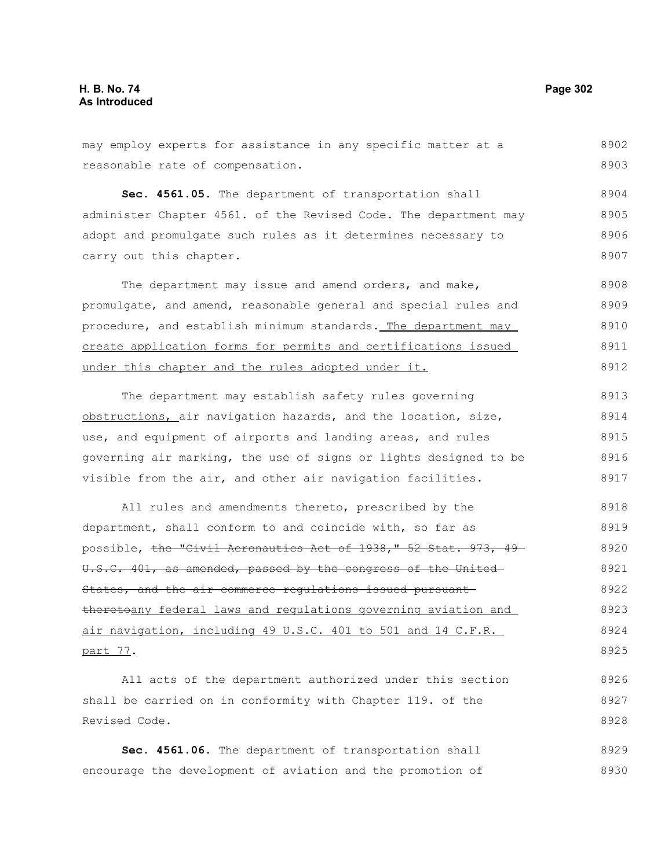may employ experts for assistance in any specific matter at a reasonable rate of compensation. **Sec. 4561.05.** The department of transportation shall administer Chapter 4561. of the Revised Code. The department may adopt and promulgate such rules as it determines necessary to carry out this chapter. The department may issue and amend orders, and make, promulgate, and amend, reasonable general and special rules and procedure, and establish minimum standards. The department may create application forms for permits and certifications issued 8902 8903 8904 8905 8906 8907 8908 8909 8910 8911

The department may establish safety rules governing obstructions, air navigation hazards, and the location, size, use, and equipment of airports and landing areas, and rules governing air marking, the use of signs or lights designed to be visible from the air, and other air navigation facilities. 8913 8914 8915 8916 8917

under this chapter and the rules adopted under it.

All rules and amendments thereto, prescribed by the department, shall conform to and coincide with, so far as possible, the "Civil Aeronautics Act of 1938," 52 Stat. 973, 49-U.S.C. 401, as amended, passed by the congress of the United States, and the air commerce regulations issued pursuant theretoany federal laws and regulations governing aviation and air navigation, including 49 U.S.C. 401 to 501 and 14 C.F.R. part 77. 8918 8919 8920 8921 8922 8923 8924 8925

All acts of the department authorized under this section shall be carried on in conformity with Chapter 119. of the Revised Code. 8926 8927 8928

**Sec. 4561.06.** The department of transportation shall encourage the development of aviation and the promotion of 8929 8930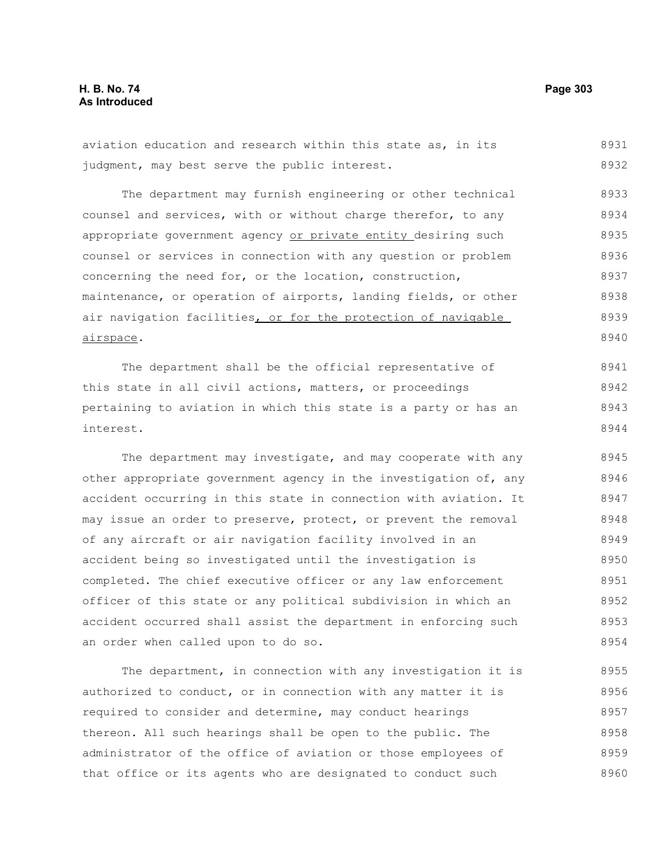8931

#### judgment, may best serve the public interest. The department may furnish engineering or other technical counsel and services, with or without charge therefor, to any appropriate government agency or private entity desiring such counsel or services in connection with any question or problem concerning the need for, or the location, construction, maintenance, or operation of airports, landing fields, or other air navigation facilities, or for the protection of navigable airspace. The department shall be the official representative of this state in all civil actions, matters, or proceedings pertaining to aviation in which this state is a party or has an interest. 8932 8933 8934 8935 8936 8937 8938 8939 8940 8941 8942 8943 8944

aviation education and research within this state as, in its

The department may investigate, and may cooperate with any other appropriate government agency in the investigation of, any accident occurring in this state in connection with aviation. It may issue an order to preserve, protect, or prevent the removal of any aircraft or air navigation facility involved in an accident being so investigated until the investigation is completed. The chief executive officer or any law enforcement officer of this state or any political subdivision in which an accident occurred shall assist the department in enforcing such an order when called upon to do so. 8945 8946 8947 8948 8949 8950 8951 8952 8953 8954

The department, in connection with any investigation it is authorized to conduct, or in connection with any matter it is required to consider and determine, may conduct hearings thereon. All such hearings shall be open to the public. The administrator of the office of aviation or those employees of that office or its agents who are designated to conduct such 8955 8956 8957 8958 8959 8960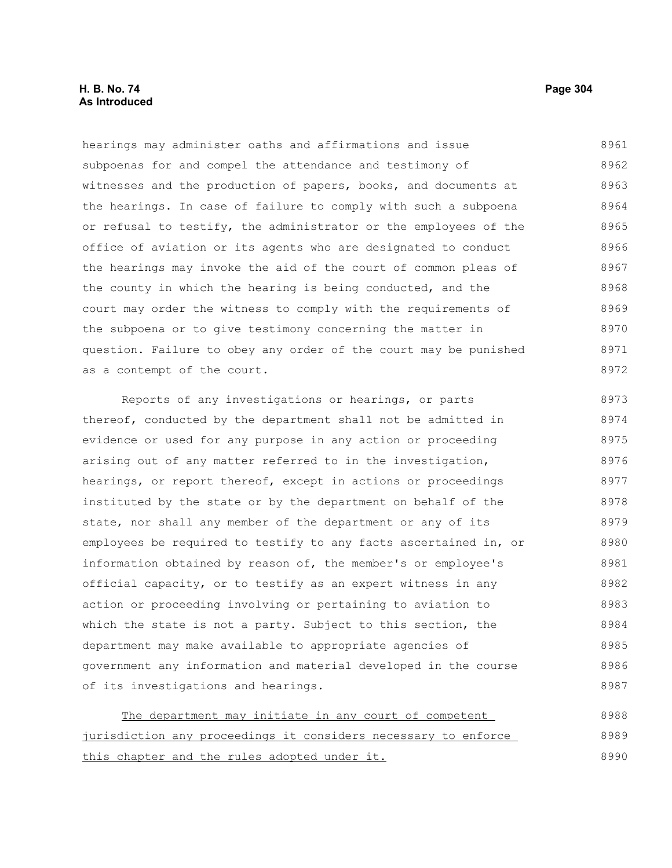## **H. B. No. 74 Page 304 As Introduced**

hearings may administer oaths and affirmations and issue subpoenas for and compel the attendance and testimony of witnesses and the production of papers, books, and documents at the hearings. In case of failure to comply with such a subpoena or refusal to testify, the administrator or the employees of the office of aviation or its agents who are designated to conduct the hearings may invoke the aid of the court of common pleas of the county in which the hearing is being conducted, and the court may order the witness to comply with the requirements of the subpoena or to give testimony concerning the matter in question. Failure to obey any order of the court may be punished as a contempt of the court. 8961 8962 8963 8964 8965 8966 8967 8968 8969 8970 8971 8972

Reports of any investigations or hearings, or parts thereof, conducted by the department shall not be admitted in evidence or used for any purpose in any action or proceeding arising out of any matter referred to in the investigation, hearings, or report thereof, except in actions or proceedings instituted by the state or by the department on behalf of the state, nor shall any member of the department or any of its employees be required to testify to any facts ascertained in, or information obtained by reason of, the member's or employee's official capacity, or to testify as an expert witness in any action or proceeding involving or pertaining to aviation to which the state is not a party. Subject to this section, the department may make available to appropriate agencies of government any information and material developed in the course of its investigations and hearings. 8973 8974 8975 8976 8977 8978 8979 8980 8981 8982 8983 8984 8985 8986 8987

The department may initiate in any court of competent jurisdiction any proceedings it considers necessary to enforce this chapter and the rules adopted under it. 8988 8989 8990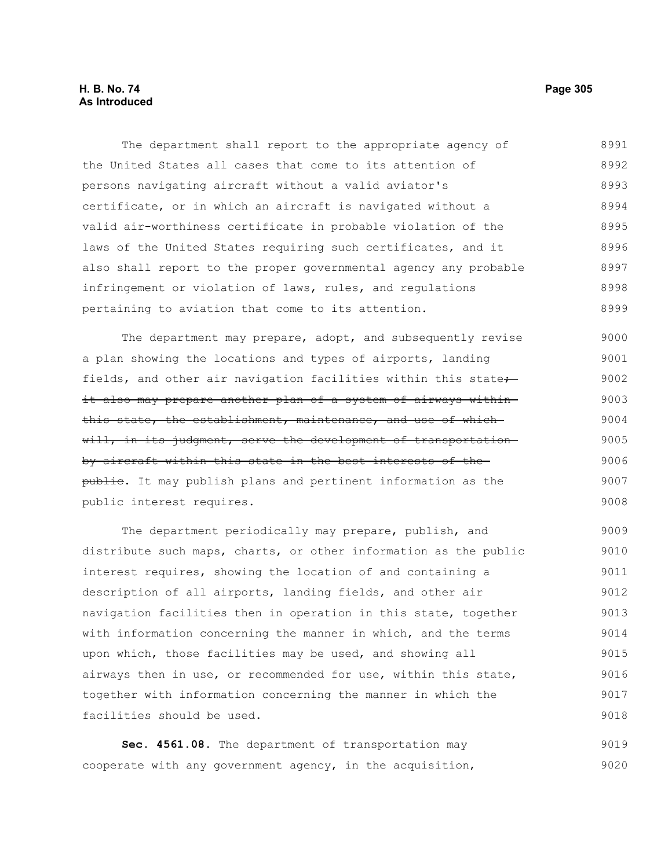### **H. B. No. 74 Page 305 As Introduced**

The department shall report to the appropriate agency of the United States all cases that come to its attention of persons navigating aircraft without a valid aviator's certificate, or in which an aircraft is navigated without a valid air-worthiness certificate in probable violation of the laws of the United States requiring such certificates, and it also shall report to the proper governmental agency any probable infringement or violation of laws, rules, and regulations pertaining to aviation that come to its attention. 8991 8992 8993 8994 8995 8996 8997 8998 8999

The department may prepare, adopt, and subsequently revise a plan showing the locations and types of airports, landing fields, and other air navigation facilities within this state+ it also may prepare another plan of a system of airways within this state, the establishment, maintenance, and use of which will, in its judgment, serve the development of transportationby aircraft within this state in the best interests of the public. It may publish plans and pertinent information as the public interest requires. 9000 9001 9002 9003 9004 9005 9006 9007 9008

The department periodically may prepare, publish, and distribute such maps, charts, or other information as the public interest requires, showing the location of and containing a description of all airports, landing fields, and other air navigation facilities then in operation in this state, together with information concerning the manner in which, and the terms upon which, those facilities may be used, and showing all airways then in use, or recommended for use, within this state, together with information concerning the manner in which the facilities should be used. 9009 9010 9011 9012 9013 9014 9015 9016 9017 9018

**Sec. 4561.08.** The department of transportation may cooperate with any government agency, in the acquisition, 9019 9020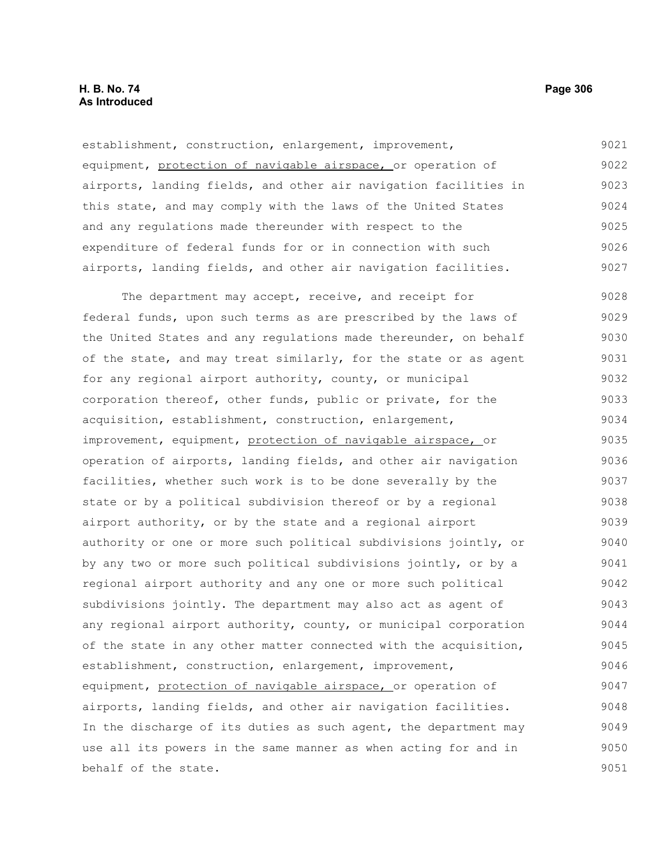## **H. B. No. 74 Page 306 As Introduced**

establishment, construction, enlargement, improvement, equipment, protection of navigable airspace, or operation of airports, landing fields, and other air navigation facilities in this state, and may comply with the laws of the United States and any regulations made thereunder with respect to the expenditure of federal funds for or in connection with such airports, landing fields, and other air navigation facilities. 9021 9022 9023 9024 9025 9026 9027

The department may accept, receive, and receipt for federal funds, upon such terms as are prescribed by the laws of the United States and any regulations made thereunder, on behalf of the state, and may treat similarly, for the state or as agent for any regional airport authority, county, or municipal corporation thereof, other funds, public or private, for the acquisition, establishment, construction, enlargement, improvement, equipment, protection of navigable airspace, or operation of airports, landing fields, and other air navigation facilities, whether such work is to be done severally by the state or by a political subdivision thereof or by a regional airport authority, or by the state and a regional airport authority or one or more such political subdivisions jointly, or by any two or more such political subdivisions jointly, or by a regional airport authority and any one or more such political subdivisions jointly. The department may also act as agent of any regional airport authority, county, or municipal corporation of the state in any other matter connected with the acquisition, establishment, construction, enlargement, improvement, equipment, protection of navigable airspace, or operation of airports, landing fields, and other air navigation facilities. In the discharge of its duties as such agent, the department may use all its powers in the same manner as when acting for and in behalf of the state. 9028 9029 9030 9031 9032 9033 9034 9035 9036 9037 9038 9039 9040 9041 9042 9043 9044 9045 9046 9047 9048 9049 9050 9051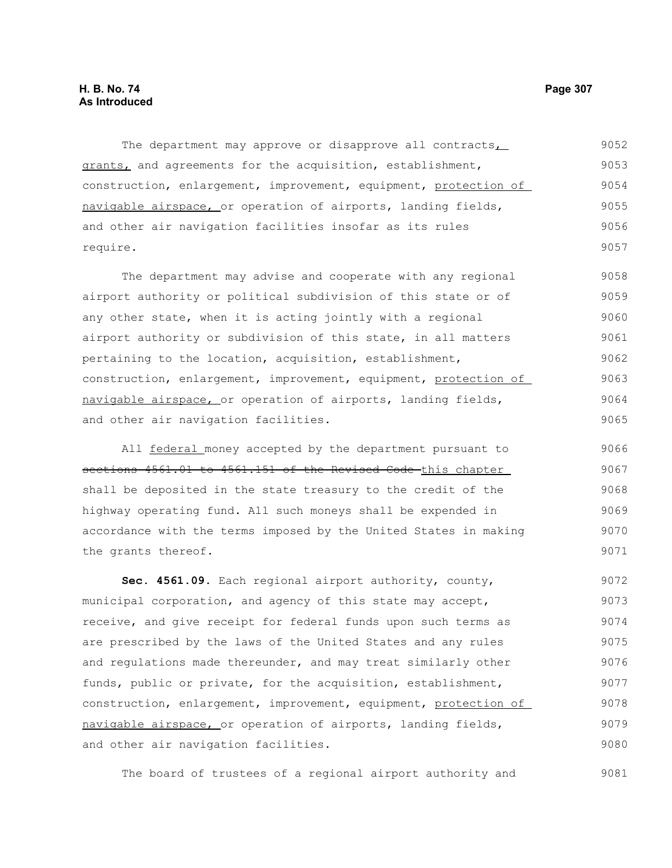### **H. B. No. 74 Page 307 As Introduced**

The department may approve or disapprove all contracts, grants, and agreements for the acquisition, establishment, construction, enlargement, improvement, equipment, protection of navigable airspace, or operation of airports, landing fields, and other air navigation facilities insofar as its rules require. 9052 9053 9054 9055 9056 9057

The department may advise and cooperate with any regional airport authority or political subdivision of this state or of any other state, when it is acting jointly with a regional airport authority or subdivision of this state, in all matters pertaining to the location, acquisition, establishment, construction, enlargement, improvement, equipment, protection of navigable airspace, or operation of airports, landing fields, and other air navigation facilities. 9058 9059 9060 9061 9062 9063 9064 9065

All federal money accepted by the department pursuant to sections 4561.01 to 4561.151 of the Revised Code-this chapter shall be deposited in the state treasury to the credit of the highway operating fund. All such moneys shall be expended in accordance with the terms imposed by the United States in making the grants thereof. 9066 9067 9068 9069 9070 9071

**Sec. 4561.09.** Each regional airport authority, county, municipal corporation, and agency of this state may accept, receive, and give receipt for federal funds upon such terms as are prescribed by the laws of the United States and any rules and regulations made thereunder, and may treat similarly other funds, public or private, for the acquisition, establishment, construction, enlargement, improvement, equipment, protection of navigable airspace, or operation of airports, landing fields, and other air navigation facilities. 9072 9073 9074 9075 9076 9077 9078 9079 9080

The board of trustees of a regional airport authority and 9081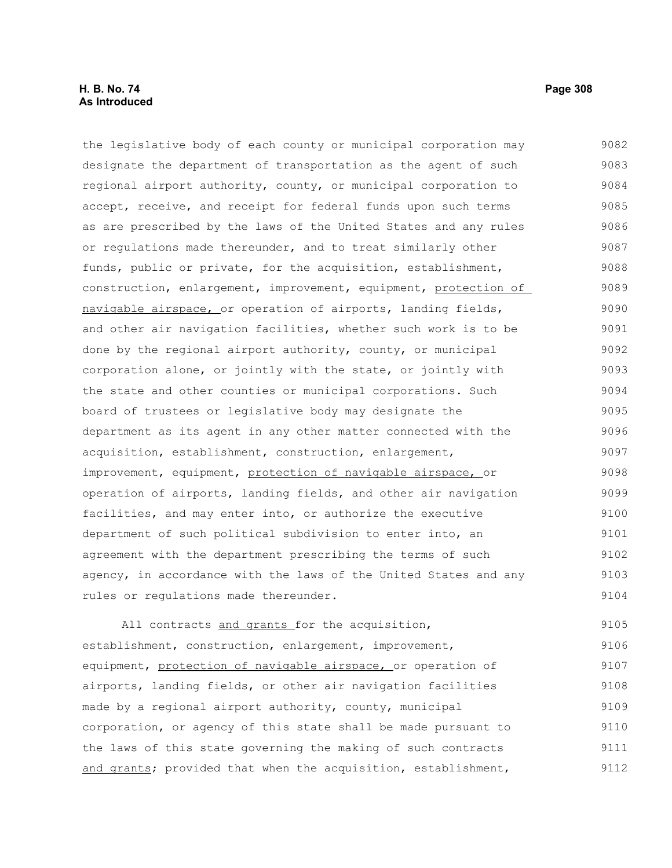#### **H. B. No. 74 Page 308 As Introduced**

the legislative body of each county or municipal corporation may designate the department of transportation as the agent of such regional airport authority, county, or municipal corporation to accept, receive, and receipt for federal funds upon such terms as are prescribed by the laws of the United States and any rules or regulations made thereunder, and to treat similarly other funds, public or private, for the acquisition, establishment, construction, enlargement, improvement, equipment, protection of navigable airspace, or operation of airports, landing fields, and other air navigation facilities, whether such work is to be done by the regional airport authority, county, or municipal corporation alone, or jointly with the state, or jointly with the state and other counties or municipal corporations. Such board of trustees or legislative body may designate the department as its agent in any other matter connected with the acquisition, establishment, construction, enlargement, improvement, equipment, protection of navigable airspace, or operation of airports, landing fields, and other air navigation facilities, and may enter into, or authorize the executive department of such political subdivision to enter into, an agreement with the department prescribing the terms of such agency, in accordance with the laws of the United States and any rules or regulations made thereunder. 9082 9083 9084 9085 9086 9087 9088 9089 9090 9091 9092 9093 9094 9095 9096 9097 9098 9099 9100 9101 9102 9103 9104

All contracts and grants for the acquisition, establishment, construction, enlargement, improvement, equipment, protection of navigable airspace, or operation of airports, landing fields, or other air navigation facilities made by a regional airport authority, county, municipal corporation, or agency of this state shall be made pursuant to the laws of this state governing the making of such contracts and grants; provided that when the acquisition, establishment, 9105 9106 9107 9108 9109 9110 9111 9112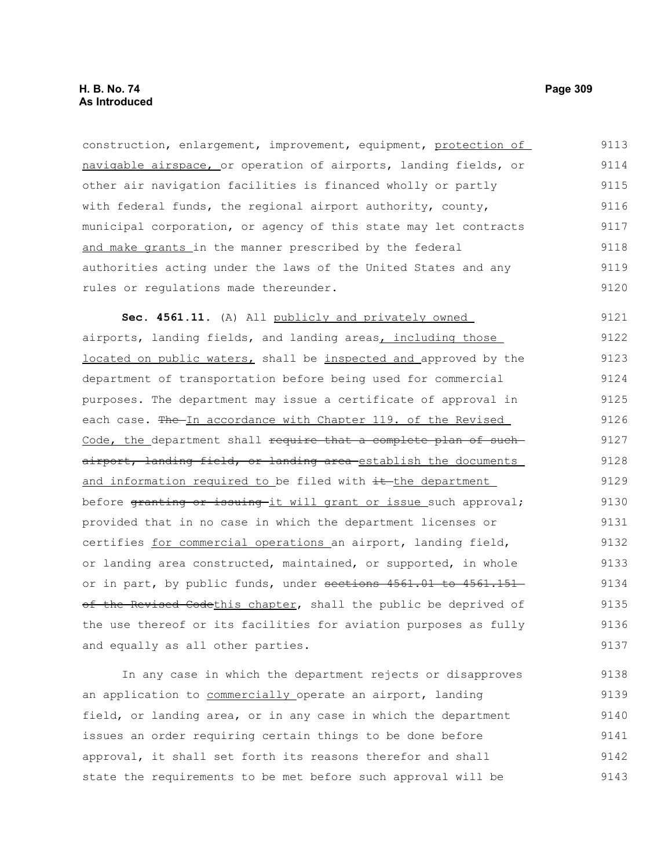construction, enlargement, improvement, equipment, protection of navigable airspace, or operation of airports, landing fields, or other air navigation facilities is financed wholly or partly with federal funds, the regional airport authority, county, municipal corporation, or agency of this state may let contracts and make grants in the manner prescribed by the federal authorities acting under the laws of the United States and any rules or regulations made thereunder. 9113 9114 9115 9116 9117 9118 9119 9120

Sec. 4561.11. (A) All publicly and privately owned airports, landing fields, and landing areas, including those located on public waters, shall be inspected and approved by the department of transportation before being used for commercial purposes. The department may issue a certificate of approval in each case. The In accordance with Chapter 119. of the Revised Code, the department shall require that a complete plan of suchairport, landing field, or landing area establish the documents and information required to be filed with  $\pm t$ -the department before granting or issuing it will grant or issue such approval; provided that in no case in which the department licenses or certifies for commercial operations an airport, landing field, or landing area constructed, maintained, or supported, in whole or in part, by public funds, under sections 4561.01 to 4561.151of the Revised Codethis chapter, shall the public be deprived of the use thereof or its facilities for aviation purposes as fully and equally as all other parties. 9121 9122 9123 9124 9125 9126 9127 9128 9129 9130 9131 9132 9133 9134 9135 9136 9137

In any case in which the department rejects or disapproves an application to commercially operate an airport, landing field, or landing area, or in any case in which the department issues an order requiring certain things to be done before approval, it shall set forth its reasons therefor and shall state the requirements to be met before such approval will be 9138 9139 9140 9141 9142 9143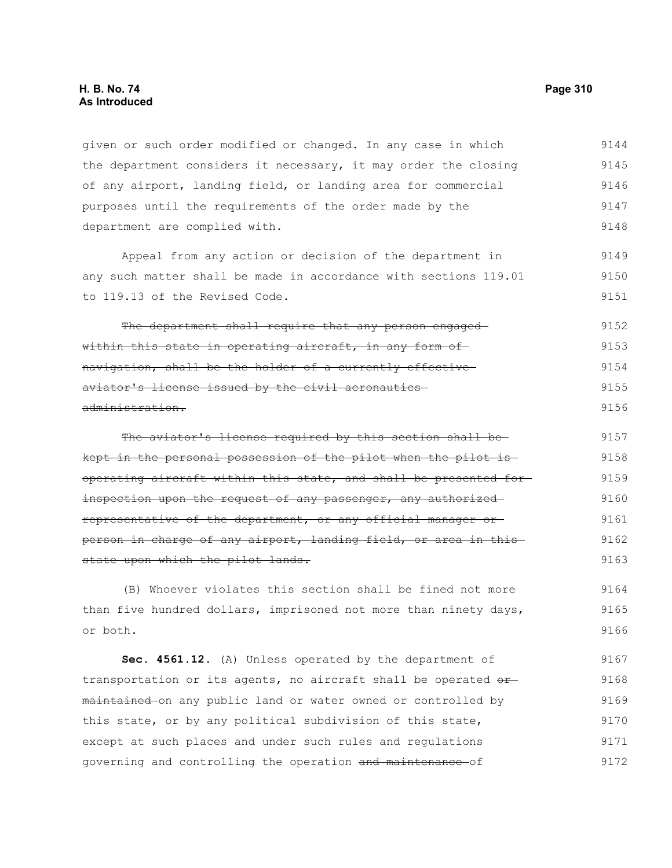given or such order modified or changed. In any case in which the department considers it necessary, it may order the closing of any airport, landing field, or landing area for commercial purposes until the requirements of the order made by the department are complied with. 9144 9145 9146 9147 9148

Appeal from any action or decision of the department in any such matter shall be made in accordance with sections 119.01 to 119.13 of the Revised Code. 9149 9150 9151

The department shall require that any person engagedwithin this state in operating aircraft, in any form of navigation, shall be the holder of a currently effective aviator's license issued by the civil aeronautics administration. 9152 9153 9154 9155 9156

The aviator's license required by this section shall bekept in the personal possession of the pilot when the pilot is operating aircraft within this state, and shall be presented for inspection upon the request of any passenger, any authorized representative of the department, or any official manager or person in charge of any airport, landing field, or area in this state upon which the pilot lands. 9157 9158 9159 9160 9161 9162 9163

(B) Whoever violates this section shall be fined not more than five hundred dollars, imprisoned not more than ninety days, or both. 9164 9165 9166

**Sec. 4561.12.** (A) Unless operated by the department of transportation or its agents, no aircraft shall be operated ormaintained on any public land or water owned or controlled by this state, or by any political subdivision of this state, except at such places and under such rules and regulations governing and controlling the operation and maintenance of 9167 9168 9169 9170 9171 9172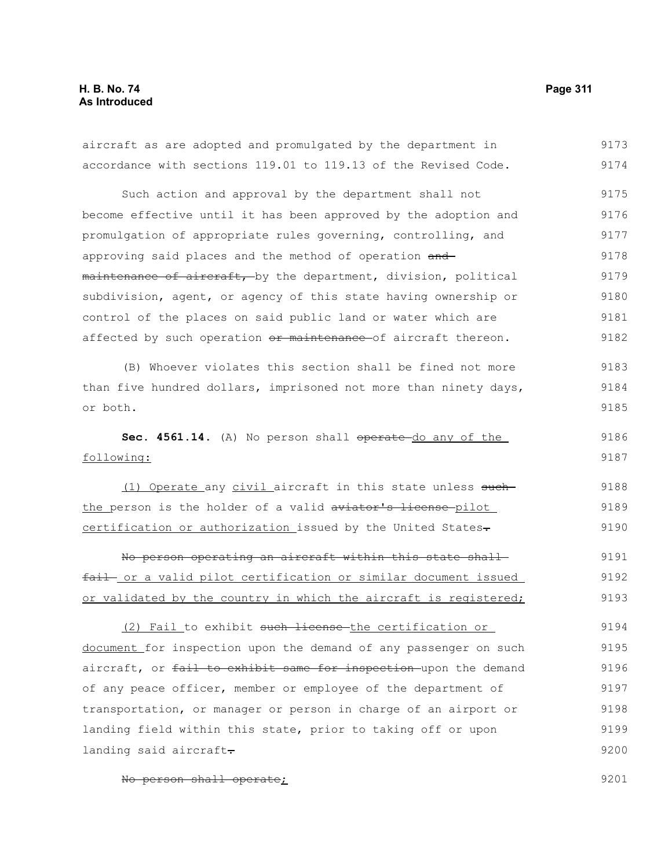| aircraft as are adopted and promulgated by the department in     | 9173 |
|------------------------------------------------------------------|------|
| accordance with sections 119.01 to 119.13 of the Revised Code.   | 9174 |
| Such action and approval by the department shall not             | 9175 |
| become effective until it has been approved by the adoption and  | 9176 |
| promulgation of appropriate rules governing, controlling, and    | 9177 |
| approving said places and the method of operation and            | 9178 |
| maintenance of aircraft, by the department, division, political  | 9179 |
| subdivision, agent, or agency of this state having ownership or  | 9180 |
| control of the places on said public land or water which are     | 9181 |
| affected by such operation or maintenance of aircraft thereon.   | 9182 |
| (B) Whoever violates this section shall be fined not more        | 9183 |
| than five hundred dollars, imprisoned not more than ninety days, | 9184 |
| or both.                                                         | 9185 |
| Sec. 4561.14. (A) No person shall operate do any of the          | 9186 |
| following:                                                       | 9187 |
| (1) Operate any civil aircraft in this state unless such         | 9188 |
| the person is the holder of a valid aviator's license pilot      | 9189 |
| certification or authorization issued by the United States-      | 9190 |
| No person operating an aircraft within this state shall          | 9191 |
| fail or a valid pilot certification or similar document issued   | 9192 |
| or validated by the country in which the aircraft is registered; | 9193 |
| (2) Fail to exhibit such license the certification or            | 9194 |
| document for inspection upon the demand of any passenger on such | 9195 |
| aircraft, or fail to exhibit same for inspection upon the demand | 9196 |
| of any peace officer, member or employee of the department of    | 9197 |
| transportation, or manager or person in charge of an airport or  | 9198 |
| landing field within this state, prior to taking off or upon     | 9199 |
| landing said aircraft-                                           | 9200 |
|                                                                  |      |

No person shall operate;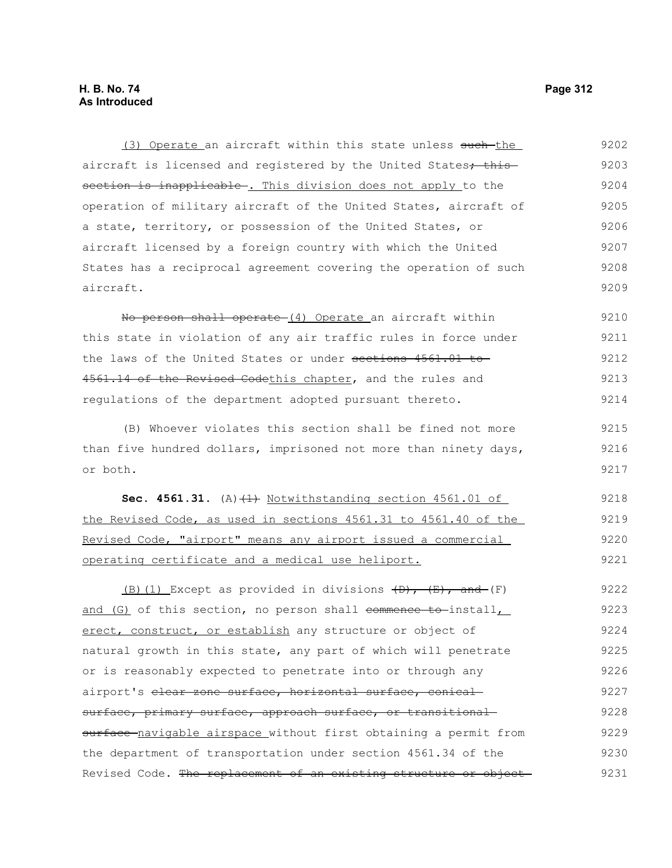## **H. B. No. 74 Page 312 As Introduced**

(3) Operate an aircraft within this state unless such the aircraft is licensed and registered by the United States<sup>+</sup> thissection is inapplicable . This division does not apply to the operation of military aircraft of the United States, aircraft of a state, territory, or possession of the United States, or aircraft licensed by a foreign country with which the United States has a reciprocal agreement covering the operation of such aircraft. 9202 9203 9204 9205 9206 9207 9208 9209

No person shall operate (4) Operate an aircraft within this state in violation of any air traffic rules in force under the laws of the United States or under sections 4561.01 to 4561.14 of the Revised Codethis chapter, and the rules and regulations of the department adopted pursuant thereto. 9210 9211 9212 9213 9214

(B) Whoever violates this section shall be fined not more than five hundred dollars, imprisoned not more than ninety days, or both. 9215 9216 9217

**Sec. 4561.31.** (A)  $\leftarrow$  Notwithstanding section 4561.01 of the Revised Code, as used in sections 4561.31 to 4561.40 of the Revised Code, "airport" means any airport issued a commercial operating certificate and a medical use heliport. 9218 9219 9220 9221

 $(B)$ (1) Except as provided in divisions  $\{\overline{D}\}, \{\overline{E}\}, \text{and } (\overline{F})$ and (G) of this section, no person shall commence to install, erect, construct, or establish any structure or object of natural growth in this state, any part of which will penetrate or is reasonably expected to penetrate into or through any airport's elear zone surface, horizontal surface, conicalsurface, primary surface, approach surface, or transitional surface navigable airspace without first obtaining a permit from the department of transportation under section 4561.34 of the Revised Code. The replacement of an existing structure or object 9222 9223 9224 9225 9226 9227 9228 9229 9230 9231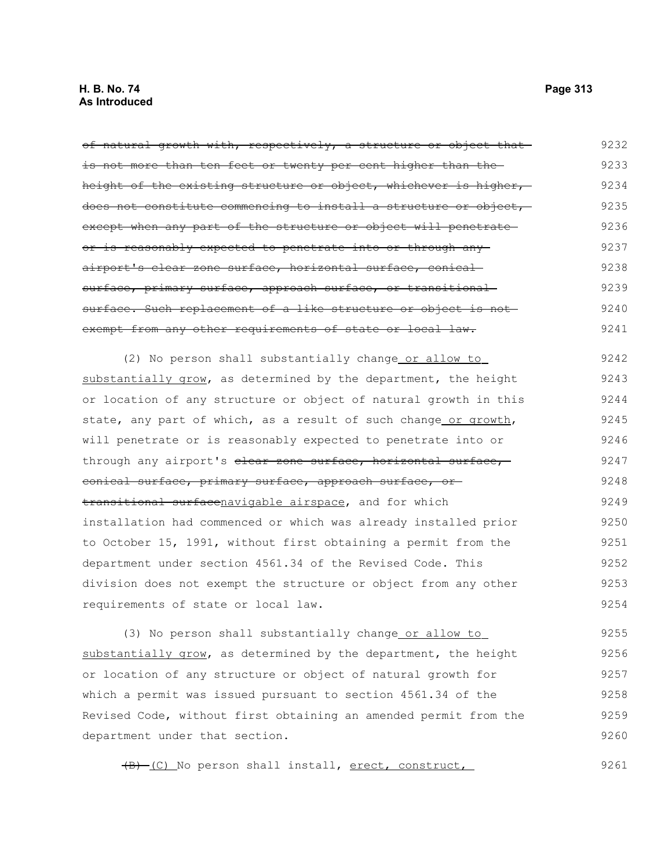of natural growth with, respectively, a structure or object thatis not more than ten feet or twenty per cent higher than the height of the existing structure or object, whichever is higher, does not constitute commencing to install a structure or object, except when any part of the structure or object will penetrateor is reasonably expected to penetrate into or through any airport's clear zone surface, horizontal surface, conical surface, primary surface, approach surface, or transitional surface. Such replacement of a like structure or object is notexempt from any other requirements of state or local law. (2) No person shall substantially change or allow to substantially grow, as determined by the department, the height or location of any structure or object of natural growth in this state, any part of which, as a result of such change or growth, will penetrate or is reasonably expected to penetrate into or through any airport's clear zone surface, horizontal surface, conical surface, primary surface, approach surface, or transitional surfacenavigable airspace, and for which installation had commenced or which was already installed prior to October 15, 1991, without first obtaining a permit from the department under section 4561.34 of the Revised Code. This division does not exempt the structure or object from any other requirements of state or local law. (3) No person shall substantially change or allow to 9232 9233 9234 9235 9236 9237 9238 9239 9240 9241 9242 9243 9244 9245 9246 9247 9248 9249 9250 9251 9252 9253 9254 9255

substantially grow, as determined by the department, the height or location of any structure or object of natural growth for which a permit was issued pursuant to section 4561.34 of the Revised Code, without first obtaining an amended permit from the department under that section. 9256 9257 9258 9259 9260

(B) (C) No person shall install, erect, construct, 9261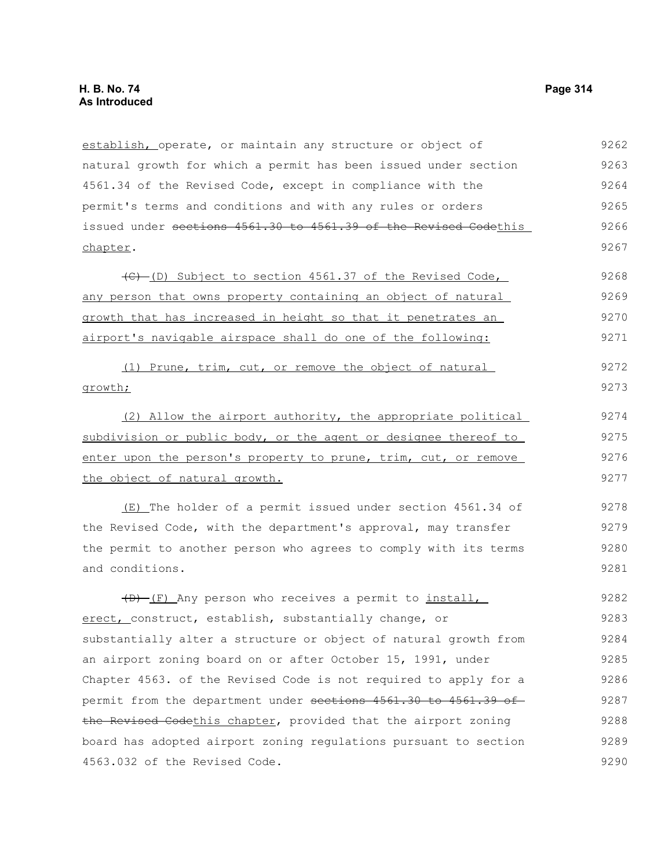4563.032 of the Revised Code.

establish, operate, or maintain any structure or object of natural growth for which a permit has been issued under section 4561.34 of the Revised Code, except in compliance with the permit's terms and conditions and with any rules or orders issued under sections 4561.30 to 4561.39 of the Revised Codethis chapter. (C) (D) Subject to section 4561.37 of the Revised Code, any person that owns property containing an object of natural growth that has increased in height so that it penetrates an airport's navigable airspace shall do one of the following: (1) Prune, trim, cut, or remove the object of natural growth; (2) Allow the airport authority, the appropriate political subdivision or public body, or the agent or designee thereof to enter upon the person's property to prune, trim, cut, or remove the object of natural growth. (E) The holder of a permit issued under section 4561.34 of the Revised Code, with the department's approval, may transfer the permit to another person who agrees to comply with its terms and conditions.  $(D)$  (F) Any person who receives a permit to install, erect, construct, establish, substantially change, or substantially alter a structure or object of natural growth from an airport zoning board on or after October 15, 1991, under Chapter 4563. of the Revised Code is not required to apply for a permit from the department under sections 4561.30 to 4561.39 ofthe Revised Codethis chapter, provided that the airport zoning board has adopted airport zoning regulations pursuant to section 9262 9263 9264 9265 9266 9267 9268 9269 9270 9271 9272 9273 9274 9275 9276 9277 9278 9279 9280 9281 9282 9283 9284 9285 9286 9287 9288 9289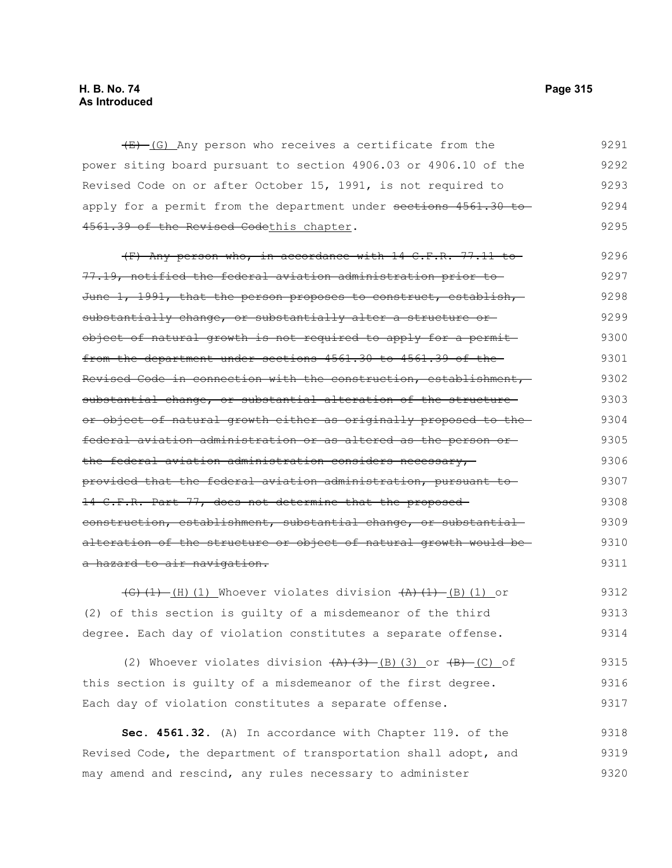#### **H. B. No. 74 Page 315 As Introduced**

 $(E)$  (G) Any person who receives a certificate from the power siting board pursuant to section 4906.03 or 4906.10 of the Revised Code on or after October 15, 1991, is not required to apply for a permit from the department under sections 4561.30 to 4561.39 of the Revised Codethis chapter. 9291 9292 9293 9294 9295

(F) Any person who, in accordance with 14 C.F.R. 77.11 to 77.19, notified the federal aviation administration prior to June 1, 1991, that the person proposes to construct, establish, substantially change, or substantially alter a structure or object of natural growth is not required to apply for a permit from the department under sections 4561.30 to 4561.39 of the Revised Code in connection with the construction, establishment, substantial change, or substantial alteration of the structure or object of natural growth either as originally proposed to the federal aviation administration or as altered as the person or the federal aviation administration considers necessary, provided that the federal aviation administration, pursuant to 14 C.F.R. Part 77, does not determine that the proposed construction, establishment, substantial change, or substantial alteration of the structure or object of natural growth would be a hazard to air navigation. 9296 9297 9298 9299 9300 9301 9302 9303 9304 9305 9306 9307 9308 9309 9310 9311

 $\overline{(G)(1)}$  (H)(1) Whoever violates division  $\overline{(A)(1)}$  (B)(1) or (2) of this section is guilty of a misdemeanor of the third degree. Each day of violation constitutes a separate offense. 9312 9313 9314

(2) Whoever violates division  $(A)$   $(3)$   $(B)$   $(C)$  of this section is guilty of a misdemeanor of the first degree. Each day of violation constitutes a separate offense. 9315 9316 9317

**Sec. 4561.32.** (A) In accordance with Chapter 119. of the Revised Code, the department of transportation shall adopt, and may amend and rescind, any rules necessary to administer 9318 9319 9320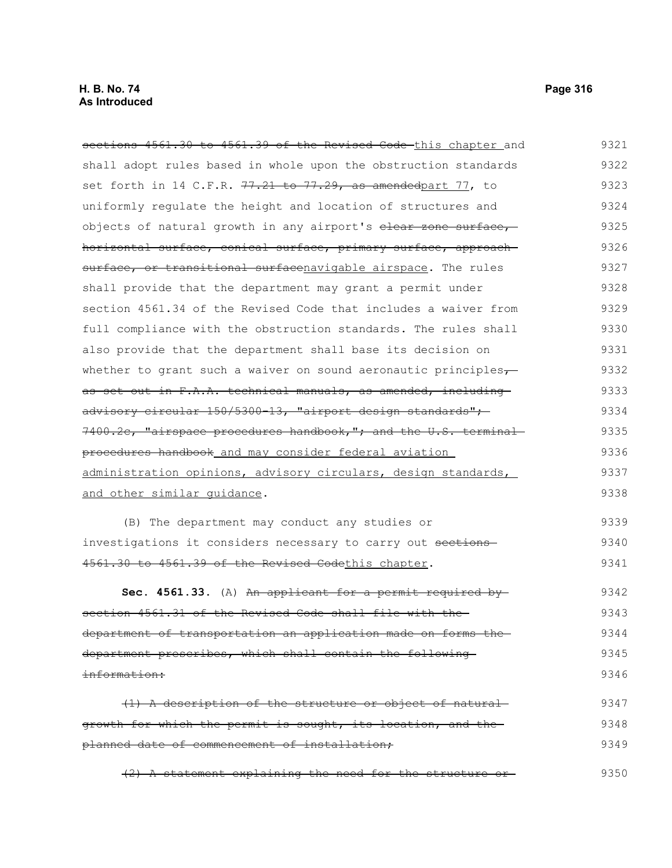sections 4561.30 to 4561.39 of the Revised Code-this chapter and shall adopt rules based in whole upon the obstruction standards set forth in 14 C.F.R.  $77.21$  to  $77.29$ , as amendedpart  $77$ , to uniformly regulate the height and location of structures and objects of natural growth in any airport's elear zone surface, horizontal surface, conical surface, primary surface, approach surface, or transitional surfacenavigable airspace. The rules shall provide that the department may grant a permit under section 4561.34 of the Revised Code that includes a waiver from full compliance with the obstruction standards. The rules shall also provide that the department shall base its decision on whether to grant such a waiver on sound aeronautic principles $\tau$ as set out in F.A.A. technical manuals, as amended, including advisory circular 150/5300-13, "airport design standards";-7400.2c, "airspace procedures handbook,"; and the U.S. terminalprocedures handbook and may consider federal aviation administration opinions, advisory circulars, design standards, and other similar guidance. (B) The department may conduct any studies or investigations it considers necessary to carry out sections 4561.30 to 4561.39 of the Revised Codethis chapter. Sec. 4561.33. (A) An applicant for a permit required bysection 4561.31 of the Revised Code shall file with the department of transportation an application made on forms the department prescribes, which shall contain the following information: (1) A description of the structure or object of natural 9321 9322 9323 9324 9325 9326 9327 9328 9329 9330 9331 9332 9333 9334 9335 9336 9337 9338 9339 9340 9341 9342 9343 9344 9345 9346 9347

growth for which the permit is sought, its location, and the planned date of commencement of installation; 9348 9349

(2) A statement explaining the need for the structure or 9350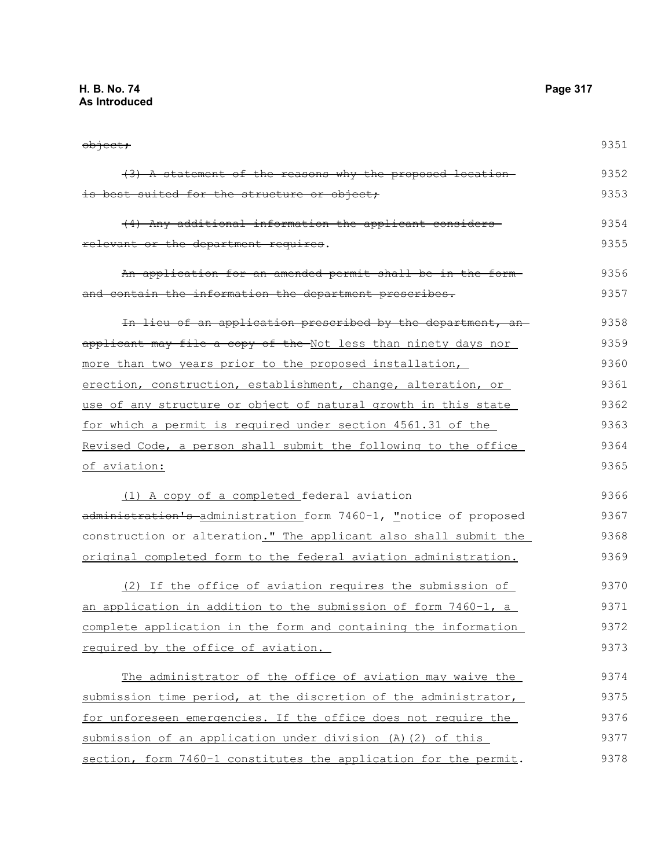object;

(3) A statement of the reasons why the proposed location is best suited for the structure or object; (4) Any additional information the applicant considers relevant or the department requires. An application for an amended permit shall be in the form and contain the information the department prescribes. In lieu of an application prescribed by the department, an applicant may file a copy of the Not less than ninety days nor more than two years prior to the proposed installation, erection, construction, establishment, change, alteration, or use of any structure or object of natural growth in this state for which a permit is required under section 4561.31 of the Revised Code, a person shall submit the following to the office of aviation: (1) A copy of a completed federal aviation administration's administration form 7460-1, "notice of proposed construction or alteration." The applicant also shall submit the original completed form to the federal aviation administration. (2) If the office of aviation requires the submission of an application in addition to the submission of form 7460-1, a complete application in the form and containing the information required by the office of aviation. The administrator of the office of aviation may waive the submission time period, at the discretion of the administrator, for unforeseen emergencies. If the office does not require the submission of an application under division (A)(2) of this section, form 7460-1 constitutes the application for the permit. 9352 9353 9354 9355 9356 9357 9358 9359 9360 9361 9362 9363 9364 9365 9366 9367 9368 9369 9370 9371 9372 9373 9374 9375 9376 9377 9378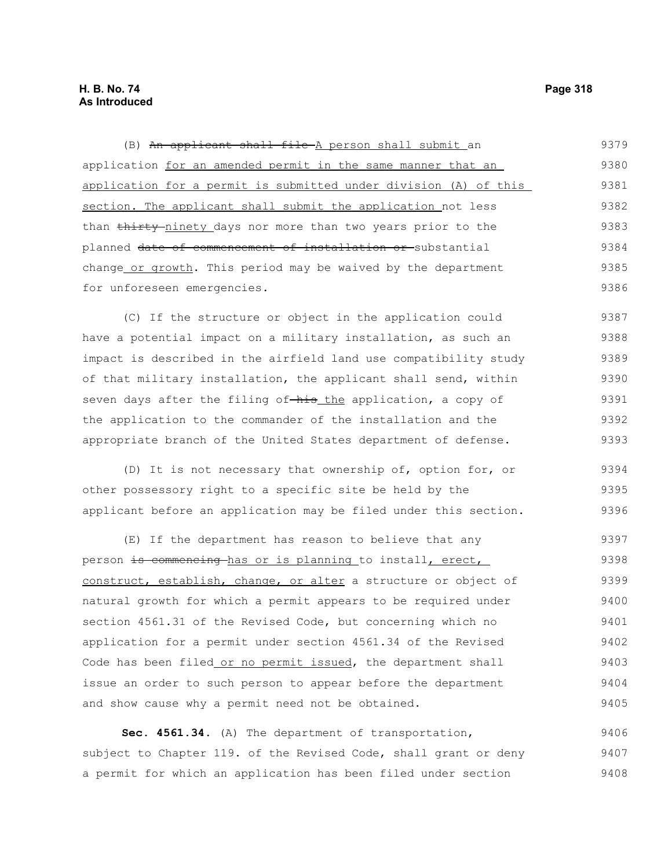## **H. B. No. 74 Page 318 As Introduced**

(B) An applicant shall file A person shall submit an application for an amended permit in the same manner that an application for a permit is submitted under division (A) of this section. The applicant shall submit the application not less than thirty ninety days nor more than two years prior to the planned date of commencement of installation or substantial change or growth. This period may be waived by the department for unforeseen emergencies. 9379 9380 9381 9382 9383 9384 9385 9386

(C) If the structure or object in the application could have a potential impact on a military installation, as such an impact is described in the airfield land use compatibility study of that military installation, the applicant shall send, within seven days after the filing of-his the application, a copy of the application to the commander of the installation and the appropriate branch of the United States department of defense. 9387 9388 9389 9390 9391 9392 9393

(D) It is not necessary that ownership of, option for, or other possessory right to a specific site be held by the applicant before an application may be filed under this section. 9394 9395 9396

(E) If the department has reason to believe that any person is commencing has or is planning to install, erect, construct, establish, change, or alter a structure or object of natural growth for which a permit appears to be required under section 4561.31 of the Revised Code, but concerning which no application for a permit under section 4561.34 of the Revised Code has been filed or no permit issued, the department shall issue an order to such person to appear before the department and show cause why a permit need not be obtained. 9397 9398 9399 9400 9401 9402 9403 9404 9405

**Sec. 4561.34.** (A) The department of transportation, subject to Chapter 119. of the Revised Code, shall grant or deny a permit for which an application has been filed under section 9406 9407 9408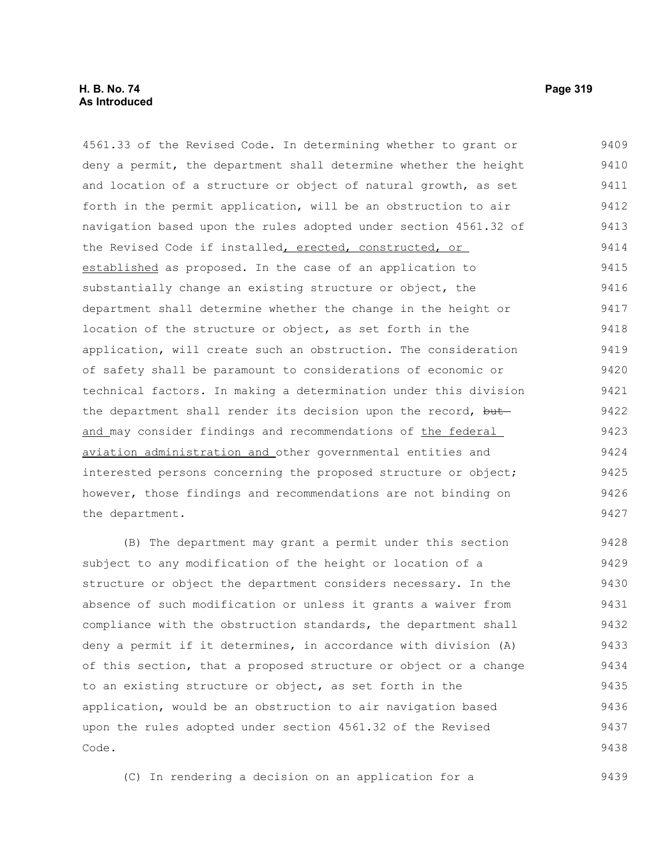### **H. B. No. 74 Page 319 As Introduced**

4561.33 of the Revised Code. In determining whether to grant or deny a permit, the department shall determine whether the height and location of a structure or object of natural growth, as set forth in the permit application, will be an obstruction to air navigation based upon the rules adopted under section 4561.32 of the Revised Code if installed, erected, constructed, or established as proposed. In the case of an application to substantially change an existing structure or object, the department shall determine whether the change in the height or location of the structure or object, as set forth in the application, will create such an obstruction. The consideration of safety shall be paramount to considerations of economic or technical factors. In making a determination under this division the department shall render its decision upon the record, butand may consider findings and recommendations of the federal aviation administration and other governmental entities and interested persons concerning the proposed structure or object; however, those findings and recommendations are not binding on the department. 9409 9410 9411 9412 9413 9414 9415 9416 9417 9418 9419 9420 9421 9422 9423 9424 9425 9426 9427

(B) The department may grant a permit under this section subject to any modification of the height or location of a structure or object the department considers necessary. In the absence of such modification or unless it grants a waiver from compliance with the obstruction standards, the department shall deny a permit if it determines, in accordance with division (A) of this section, that a proposed structure or object or a change to an existing structure or object, as set forth in the application, would be an obstruction to air navigation based upon the rules adopted under section 4561.32 of the Revised Code. 9428 9429 9430 9431 9432 9433 9434 9435 9436 9437 9438

(C) In rendering a decision on an application for a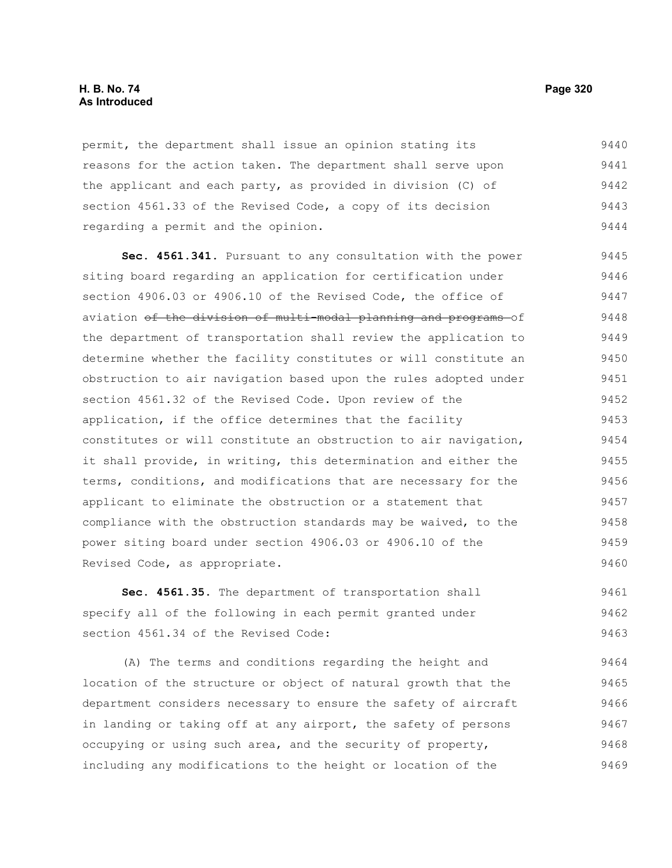### **H. B. No. 74 Page 320 As Introduced**

permit, the department shall issue an opinion stating its reasons for the action taken. The department shall serve upon the applicant and each party, as provided in division (C) of section 4561.33 of the Revised Code, a copy of its decision regarding a permit and the opinion. 9440 9441 9442 9443 9444

**Sec. 4561.341.** Pursuant to any consultation with the power siting board regarding an application for certification under section 4906.03 or 4906.10 of the Revised Code, the office of aviation of the division of multi-modal planning and programs of the department of transportation shall review the application to determine whether the facility constitutes or will constitute an obstruction to air navigation based upon the rules adopted under section 4561.32 of the Revised Code. Upon review of the application, if the office determines that the facility constitutes or will constitute an obstruction to air navigation, it shall provide, in writing, this determination and either the terms, conditions, and modifications that are necessary for the applicant to eliminate the obstruction or a statement that compliance with the obstruction standards may be waived, to the power siting board under section 4906.03 or 4906.10 of the Revised Code, as appropriate. 9445 9446 9447 9448 9449 9450 9451 9452 9453 9454 9455 9456 9457 9458 9459 9460

**Sec. 4561.35.** The department of transportation shall specify all of the following in each permit granted under section 4561.34 of the Revised Code: 9461 9462 9463

(A) The terms and conditions regarding the height and location of the structure or object of natural growth that the department considers necessary to ensure the safety of aircraft in landing or taking off at any airport, the safety of persons occupying or using such area, and the security of property, including any modifications to the height or location of the 9464 9465 9466 9467 9468 9469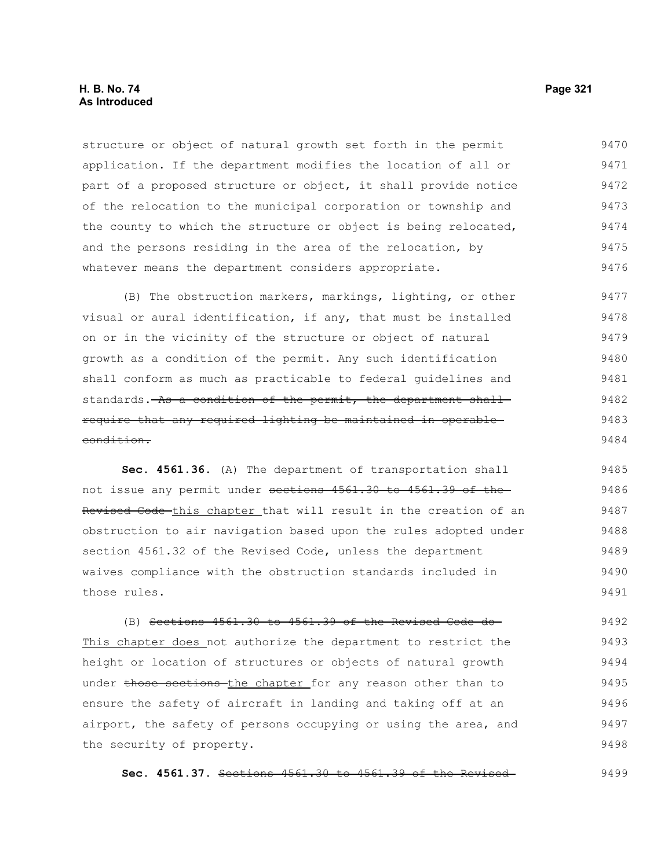#### **H. B. No. 74 Page 321 As Introduced**

structure or object of natural growth set forth in the permit application. If the department modifies the location of all or part of a proposed structure or object, it shall provide notice of the relocation to the municipal corporation or township and the county to which the structure or object is being relocated, and the persons residing in the area of the relocation, by whatever means the department considers appropriate. 9470 9471 9472 9473 9474 9475 9476

(B) The obstruction markers, markings, lighting, or other visual or aural identification, if any, that must be installed on or in the vicinity of the structure or object of natural growth as a condition of the permit. Any such identification shall conform as much as practicable to federal guidelines and standards. As a condition of the permit, the department shall require that any required lighting be maintained in operable condition. 9477 9478 9479 9480 9481 9482 9483 9484

**Sec. 4561.36.** (A) The department of transportation shall not issue any permit under sections 4561.30 to 4561.39 of the-Revised Code this chapter that will result in the creation of an obstruction to air navigation based upon the rules adopted under section 4561.32 of the Revised Code, unless the department waives compliance with the obstruction standards included in those rules. 9485 9486 9487 9488 9489 9490 9491

(B) Sections 4561.30 to 4561.39 of the Revised Code do This chapter does not authorize the department to restrict the height or location of structures or objects of natural growth under those sections-the chapter for any reason other than to ensure the safety of aircraft in landing and taking off at an airport, the safety of persons occupying or using the area, and the security of property. 9492 9493 9494 9495 9496 9497 9498

**Sec. 4561.37.** Sections 4561.30 to 4561.39 of the Revised 9499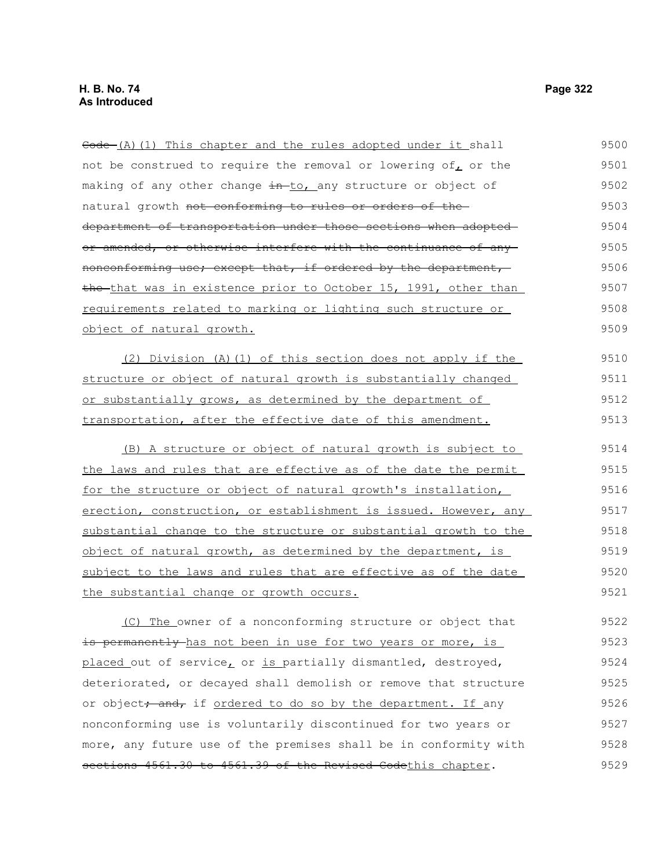not be construed to require the removal or lowering of, or the making of any other change  $\frac{1}{2} + \frac{1}{2}$  any structure or object of natural growth not conforming to rules or orders of the department of transportation under those sections when adopted or amended, or otherwise interfere with the continuance of any nonconforming use; except that, if ordered by the department, the that was in existence prior to October 15, 1991, other than requirements related to marking or lighting such structure or object of natural growth. (2) Division (A)(1) of this section does not apply if the structure or object of natural growth is substantially changed or substantially grows, as determined by the department of transportation, after the effective date of this amendment. (B) A structure or object of natural growth is subject to the laws and rules that are effective as of the date the permit for the structure or object of natural growth's installation, erection, construction, or establishment is issued. However, any substantial change to the structure or substantial growth to the object of natural growth, as determined by the department, is subject to the laws and rules that are effective as of the date the substantial change or growth occurs. (C) The owner of a nonconforming structure or object that is permanently has not been in use for two years or more, is placed out of service, or is partially dismantled, destroyed, deteriorated, or decayed shall demolish or remove that structure or object<del>; and,</del> if <u>ordered to do so by the department.</u> If any nonconforming use is voluntarily discontinued for two years or more, any future use of the premises shall be in conformity with 9501 9502 9503 9504 9505 9506 9507 9508 9509 9510 9511 9512 9513 9514 9515 9516 9517 9518 9519 9520 9521 9522 9523 9524 9525 9526 9527 9528

sections 4561.30 to 4561.39 of the Revised Codethis chapter.

 $\text{Code}$  (A)(1) This chapter and the rules adopted under it shall

9500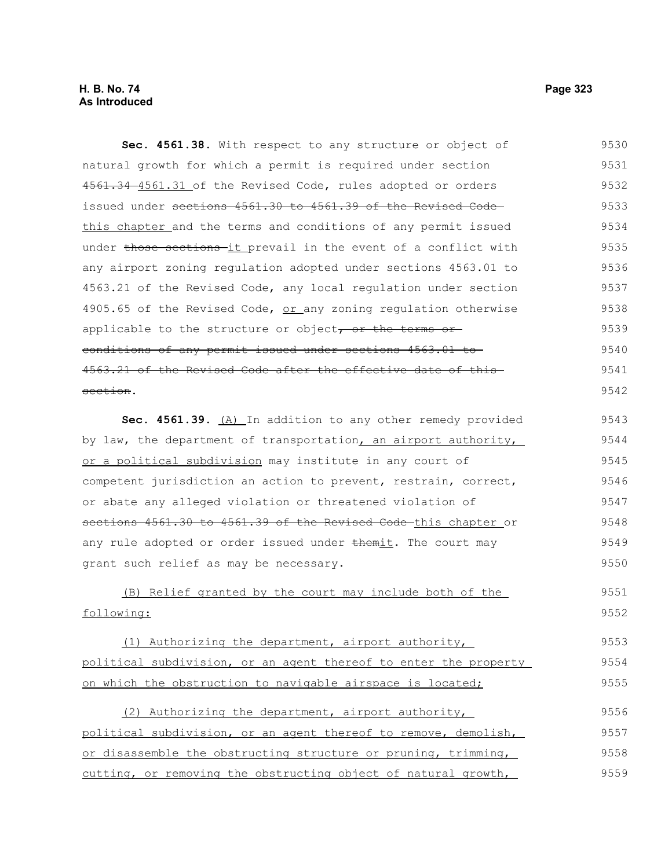**Sec. 4561.38.** With respect to any structure or object of natural growth for which a permit is required under section 4561.34 4561.31 of the Revised Code, rules adopted or orders issued under sections 4561.30 to 4561.39 of the Revised Code this chapter and the terms and conditions of any permit issued under those sections it prevail in the event of a conflict with any airport zoning regulation adopted under sections 4563.01 to 4563.21 of the Revised Code, any local regulation under section 4905.65 of the Revised Code, or any zoning regulation otherwise applicable to the structure or object, or the terms or conditions of any permit issued under sections 4563.01 to 4563.21 of the Revised Code after the effective date of this section. 9530 9531 9532 9533 9534 9535 9536 9537 9538 9539 9540 9541 9542

Sec. 4561.39. (A) In addition to any other remedy provided by law, the department of transportation, an airport authority, or a political subdivision may institute in any court of competent jurisdiction an action to prevent, restrain, correct, or abate any alleged violation or threatened violation of sections 4561.30 to 4561.39 of the Revised Code-this chapter or any rule adopted or order issued under themit. The court may grant such relief as may be necessary. 9543 9544 9545 9546 9547 9548 9549 9550

(B) Relief granted by the court may include both of the following: 9551 9552

(1) Authorizing the department, airport authority, political subdivision, or an agent thereof to enter the property on which the obstruction to navigable airspace is located; 9553 9554 9555

(2) Authorizing the department, airport authority, political subdivision, or an agent thereof to remove, demolish, or disassemble the obstructing structure or pruning, trimming, cutting, or removing the obstructing object of natural growth, 9556 9557 9558 9559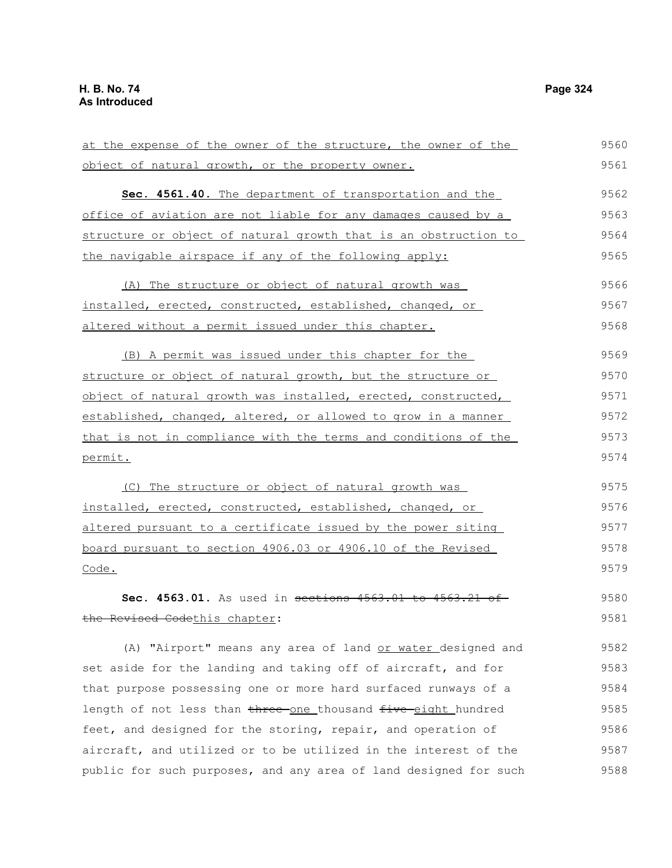| object of natural growth, or the property owner.                 | 9561 |
|------------------------------------------------------------------|------|
| Sec. 4561.40. The department of transportation and the           | 9562 |
| office of aviation are not liable for any damages caused by a    | 9563 |
| structure or object of natural growth that is an obstruction to  | 9564 |
| the navigable airspace if any of the following apply:            | 9565 |
| (A) The structure or object of natural growth was                | 9566 |
| installed, erected, constructed, established, changed, or        | 9567 |
| altered without a permit issued under this chapter.              | 9568 |
| (B) A permit was issued under this chapter for the               | 9569 |
| structure or object of natural growth, but the structure or      | 9570 |
| object of natural growth was installed, erected, constructed,    | 9571 |
| established, changed, altered, or allowed to grow in a manner    | 9572 |
| that is not in compliance with the terms and conditions of the   | 9573 |
| permit.                                                          | 9574 |
| (C) The structure or object of natural growth was                | 9575 |
| installed, erected, constructed, established, changed, or        | 9576 |
| altered pursuant to a certificate issued by the power siting     | 9577 |
| board pursuant to section 4906.03 or 4906.10 of the Revised      | 9578 |
| Code.                                                            | 9579 |
| Sec. 4563.01. As used in sections 4563.01 to 4563.21 of          | 9580 |
| the Revised Codethis chapter:                                    | 9581 |
| (A) "Airport" means any area of land or water designed and       | 9582 |
| set aside for the landing and taking off of aircraft, and for    | 9583 |
| that purpose possessing one or more hard surfaced runways of a   | 9584 |
| length of not less than three one thousand five eight hundred    | 9585 |
| feet, and designed for the storing, repair, and operation of     | 9586 |
| aircraft, and utilized or to be utilized in the interest of the  | 9587 |
| public for such purposes, and any area of land designed for such | 9588 |

at the expense of the owner of the structure, the owner of the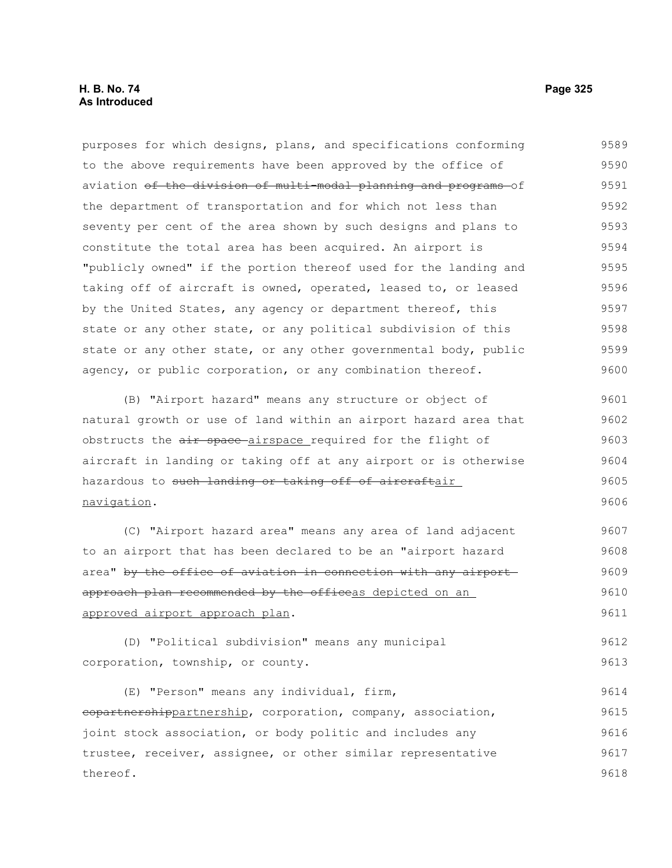purposes for which designs, plans, and specifications conforming to the above requirements have been approved by the office of aviation of the division of multi-modal planning and programs of the department of transportation and for which not less than seventy per cent of the area shown by such designs and plans to constitute the total area has been acquired. An airport is "publicly owned" if the portion thereof used for the landing and taking off of aircraft is owned, operated, leased to, or leased by the United States, any agency or department thereof, this state or any other state, or any political subdivision of this state or any other state, or any other governmental body, public agency, or public corporation, or any combination thereof. 9589 9590 9591 9592 9593 9594 9595 9596 9597 9598 9599 9600

(B) "Airport hazard" means any structure or object of natural growth or use of land within an airport hazard area that obstructs the air space airspace required for the flight of aircraft in landing or taking off at any airport or is otherwise hazardous to such landing or taking off of aircraftair navigation. 9601 9602 9603 9604 9605 9606

(C) "Airport hazard area" means any area of land adjacent to an airport that has been declared to be an "airport hazard area" by the office of aviation in connection with any airport approach plan recommended by the officeas depicted on an approved airport approach plan. 9607 9608 9609 9610 9611

(D) "Political subdivision" means any municipal corporation, township, or county. 9612 9613

(E) "Person" means any individual, firm, copartnershippartnership, corporation, company, association, joint stock association, or body politic and includes any trustee, receiver, assignee, or other similar representative thereof. 9614 9615 9616 9617 9618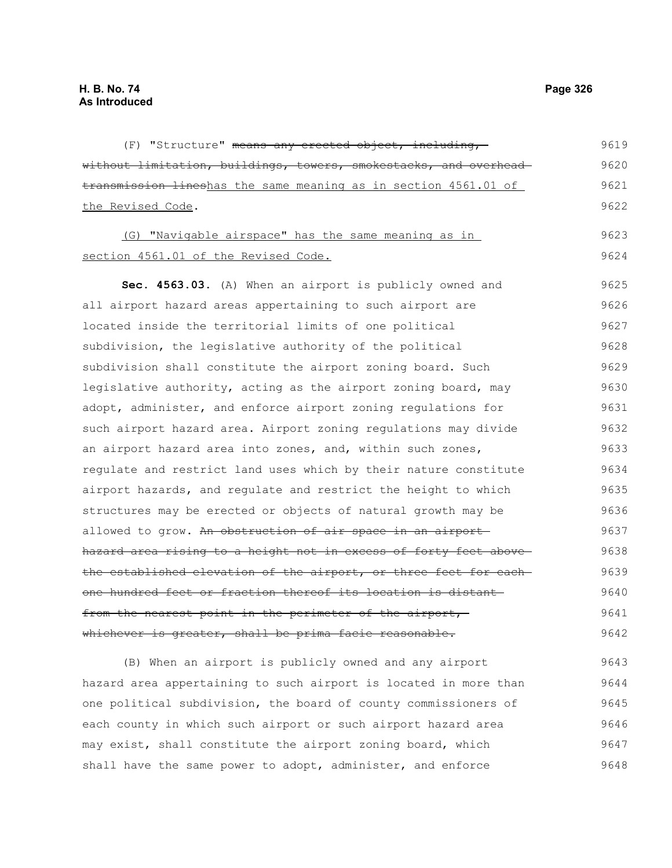(F) "Structure" means any erected object, including,without limitation, buildings, towers, smokestacks, and overheadtransmission lineshas the same meaning as in section 4561.01 of the Revised Code. (G) "Navigable airspace" has the same meaning as in section 4561.01 of the Revised Code. **Sec. 4563.03.** (A) When an airport is publicly owned and all airport hazard areas appertaining to such airport are located inside the territorial limits of one political subdivision, the legislative authority of the political subdivision shall constitute the airport zoning board. Such legislative authority, acting as the airport zoning board, may adopt, administer, and enforce airport zoning regulations for such airport hazard area. Airport zoning regulations may divide an airport hazard area into zones, and, within such zones, regulate and restrict land uses which by their nature constitute airport hazards, and regulate and restrict the height to which structures may be erected or objects of natural growth may be allowed to grow. An obstruction of air space in an airporthazard area rising to a height not in excess of forty feet above the established elevation of the airport, or three feet for each one hundred feet or fraction thereof its location is distant from the nearest point in the perimeter of the airport, whichever is greater, shall be prima facie reasonable. 9620 9621 9622 9623 9624 9625 9626 9627 9628 9629 9630 9631 9632 9633 9634 9635 9636 9637 9638 9639 9640 9641 9642

(B) When an airport is publicly owned and any airport hazard area appertaining to such airport is located in more than one political subdivision, the board of county commissioners of each county in which such airport or such airport hazard area may exist, shall constitute the airport zoning board, which shall have the same power to adopt, administer, and enforce 9643 9644 9645 9646 9647 9648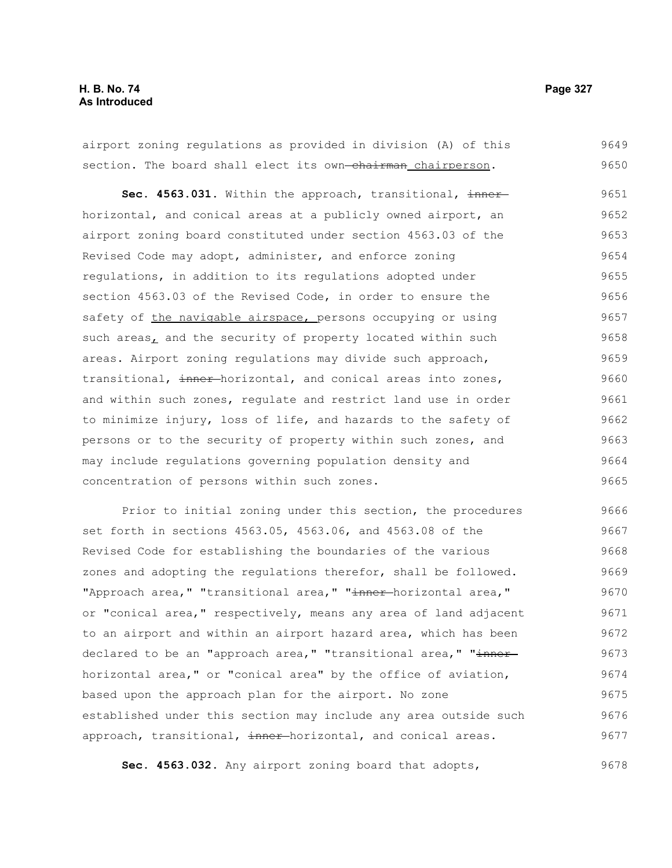9678

airport zoning regulations as provided in division (A) of this section. The board shall elect its own-chairman chairperson. Sec. 4563.031. Within the approach, transitional, inner horizontal, and conical areas at a publicly owned airport, an airport zoning board constituted under section 4563.03 of the Revised Code may adopt, administer, and enforce zoning regulations, in addition to its regulations adopted under section 4563.03 of the Revised Code, in order to ensure the safety of the navigable airspace, persons occupying or using such areas, and the security of property located within such areas. Airport zoning regulations may divide such approach, transitional, inner horizontal, and conical areas into zones, and within such zones, regulate and restrict land use in order to minimize injury, loss of life, and hazards to the safety of persons or to the security of property within such zones, and may include regulations governing population density and concentration of persons within such zones. Prior to initial zoning under this section, the procedures 9649 9650 9651 9652 9653 9654 9655 9656 9657 9658 9659 9660 9661 9662 9663 9664 9665 9666

set forth in sections 4563.05, 4563.06, and 4563.08 of the Revised Code for establishing the boundaries of the various zones and adopting the regulations therefor, shall be followed. "Approach area," "transitional area," "inner-horizontal area," or "conical area," respectively, means any area of land adjacent to an airport and within an airport hazard area, which has been declared to be an "approach area," "transitional area," "inner horizontal area," or "conical area" by the office of aviation, based upon the approach plan for the airport. No zone established under this section may include any area outside such approach, transitional, inner-horizontal, and conical areas. 9667 9668 9669 9670 9671 9672 9673 9674 9675 9676 9677

**Sec. 4563.032.** Any airport zoning board that adopts,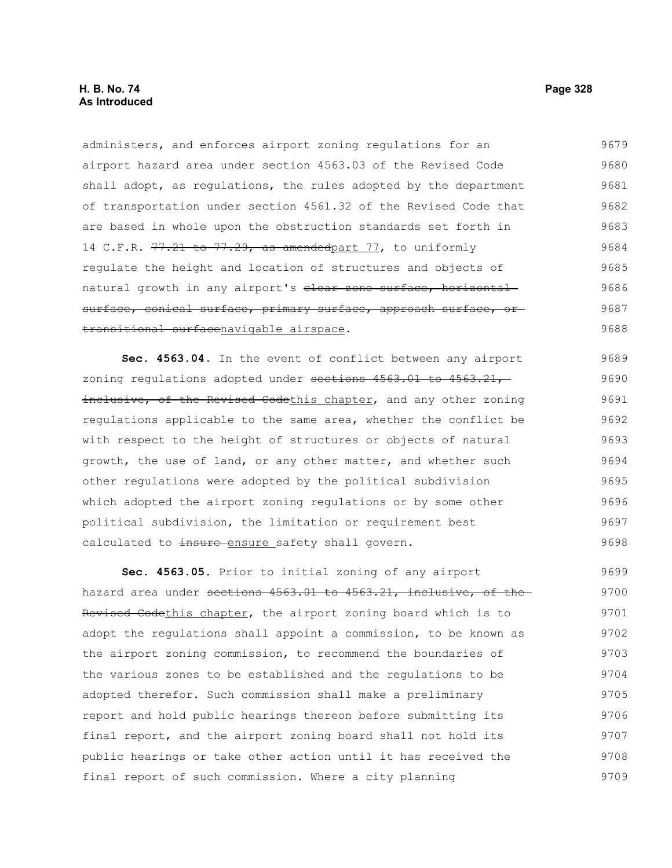administers, and enforces airport zoning regulations for an airport hazard area under section 4563.03 of the Revised Code shall adopt, as regulations, the rules adopted by the department of transportation under section 4561.32 of the Revised Code that are based in whole upon the obstruction standards set forth in 14 C.F.R. 77.21 to 77.29, as amendedpart 77, to uniformly regulate the height and location of structures and objects of natural growth in any airport's clear zone surface, horizontal surface, conical surface, primary surface, approach surface, ortransitional surfacenavigable airspace. 9679 9680 9681 9682 9683 9684 9685 9686 9687 9688

**Sec. 4563.04.** In the event of conflict between any airport zoning regulations adopted under sections 4563.01 to 4563.21, inclusive, of the Revised Codethis chapter, and any other zoning regulations applicable to the same area, whether the conflict be with respect to the height of structures or objects of natural growth, the use of land, or any other matter, and whether such other regulations were adopted by the political subdivision which adopted the airport zoning regulations or by some other political subdivision, the limitation or requirement best calculated to insure-ensure safety shall govern. 9689 9690 9691 9692 9693 9694 9695 9696 9697 9698

**Sec. 4563.05.** Prior to initial zoning of any airport hazard area under sections 4563.01 to 4563.21, inclusive, of the Revised Codethis chapter, the airport zoning board which is to adopt the regulations shall appoint a commission, to be known as the airport zoning commission, to recommend the boundaries of the various zones to be established and the regulations to be adopted therefor. Such commission shall make a preliminary report and hold public hearings thereon before submitting its final report, and the airport zoning board shall not hold its public hearings or take other action until it has received the final report of such commission. Where a city planning 9699 9700 9701 9702 9703 9704 9705 9706 9707 9708 9709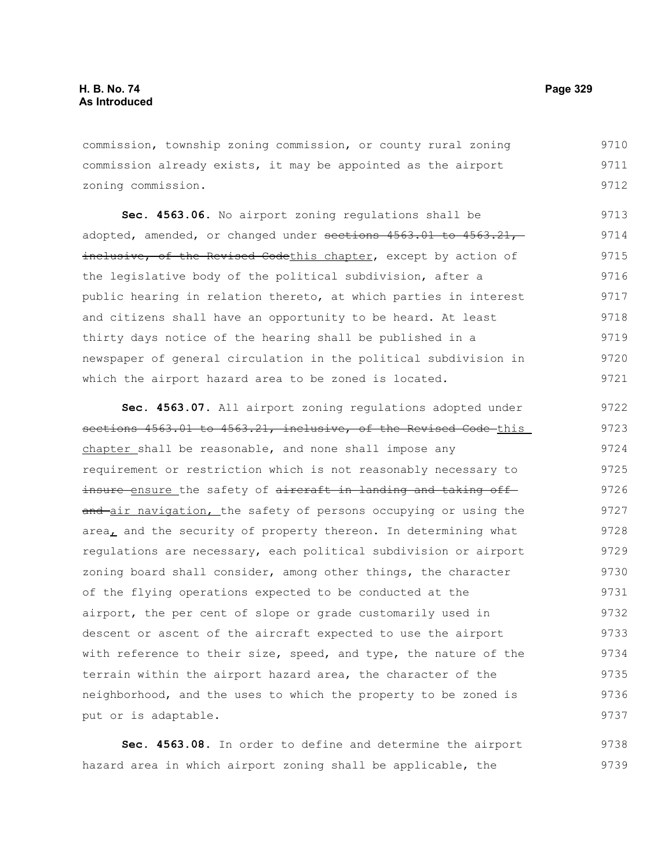commission, township zoning commission, or county rural zoning commission already exists, it may be appointed as the airport zoning commission. 9710 9711 9712

**Sec. 4563.06.** No airport zoning regulations shall be adopted, amended, or changed under sections 4563.01 to 4563.21, inclusive, of the Revised Codethis chapter, except by action of the legislative body of the political subdivision, after a public hearing in relation thereto, at which parties in interest and citizens shall have an opportunity to be heard. At least thirty days notice of the hearing shall be published in a newspaper of general circulation in the political subdivision in which the airport hazard area to be zoned is located. 9713 9714 9715 9716 9717 9718 9719 9720 9721

**Sec. 4563.07.** All airport zoning regulations adopted under sections 4563.01 to 4563.21, inclusive, of the Revised Code-this chapter\_shall be reasonable, and none shall impose any requirement or restriction which is not reasonably necessary to insure-ensure the safety of aircraft in landing and taking offand air navigation, the safety of persons occupying or using the area, and the security of property thereon. In determining what regulations are necessary, each political subdivision or airport zoning board shall consider, among other things, the character of the flying operations expected to be conducted at the airport, the per cent of slope or grade customarily used in descent or ascent of the aircraft expected to use the airport with reference to their size, speed, and type, the nature of the terrain within the airport hazard area, the character of the neighborhood, and the uses to which the property to be zoned is put or is adaptable. 9722 9723 9724 9725 9726 9727 9728 9729 9730 9731 9732 9733 9734 9735 9736 9737

**Sec. 4563.08.** In order to define and determine the airport hazard area in which airport zoning shall be applicable, the 9738 9739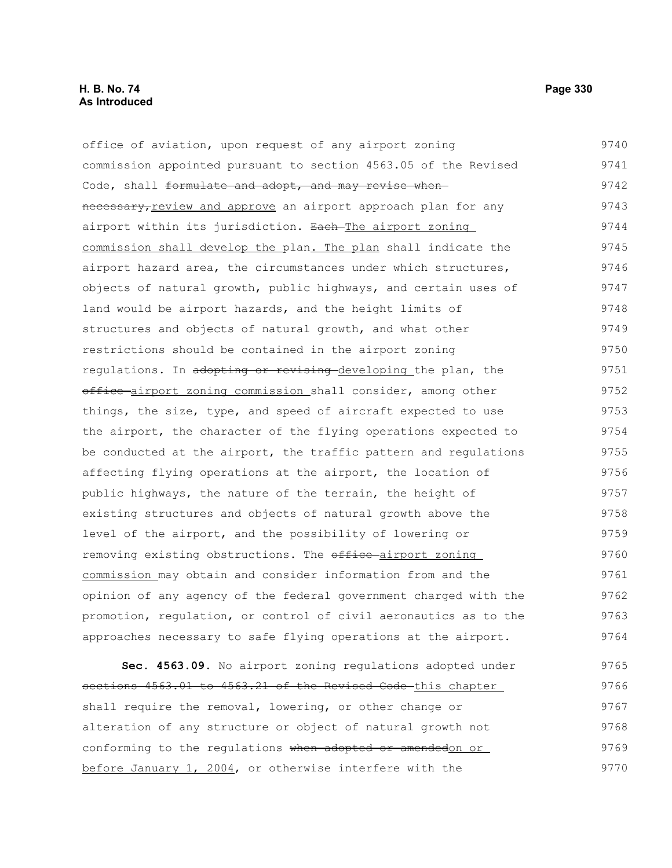# **H. B. No. 74 Page 330 As Introduced**

| office of aviation, upon request of any airport zoning           | 9740 |
|------------------------------------------------------------------|------|
| commission appointed pursuant to section 4563.05 of the Revised  | 9741 |
| Code, shall formulate and adopt, and may revise when             | 9742 |
| necessary, review and approve an airport approach plan for any   | 9743 |
| airport within its jurisdiction. Each-The airport zoning         | 9744 |
| commission shall develop the plan. The plan shall indicate the   | 9745 |
| airport hazard area, the circumstances under which structures,   | 9746 |
| objects of natural growth, public highways, and certain uses of  | 9747 |
| land would be airport hazards, and the height limits of          | 9748 |
| structures and objects of natural growth, and what other         | 9749 |
| restrictions should be contained in the airport zoning           | 9750 |
| regulations. In adopting or revising developing the plan, the    | 9751 |
| office airport zoning commission shall consider, among other     | 9752 |
| things, the size, type, and speed of aircraft expected to use    | 9753 |
| the airport, the character of the flying operations expected to  | 9754 |
| be conducted at the airport, the traffic pattern and requlations | 9755 |
| affecting flying operations at the airport, the location of      | 9756 |
| public highways, the nature of the terrain, the height of        | 9757 |
| existing structures and objects of natural growth above the      | 9758 |
| level of the airport, and the possibility of lowering or         | 9759 |
| removing existing obstructions. The office airport zoning        | 9760 |
| commission may obtain and consider information from and the      | 9761 |
| opinion of any agency of the federal government charged with the | 9762 |
| promotion, regulation, or control of civil aeronautics as to the | 9763 |
| approaches necessary to safe flying operations at the airport.   | 9764 |
|                                                                  |      |

**Sec. 4563.09.** No airport zoning regulations adopted under sections 4563.01 to 4563.21 of the Revised Code-this chapter shall require the removal, lowering, or other change or alteration of any structure or object of natural growth not conforming to the regulations when adopted or amendedon or before January 1, 2004, or otherwise interfere with the 9765 9766 9767 9768 9769 9770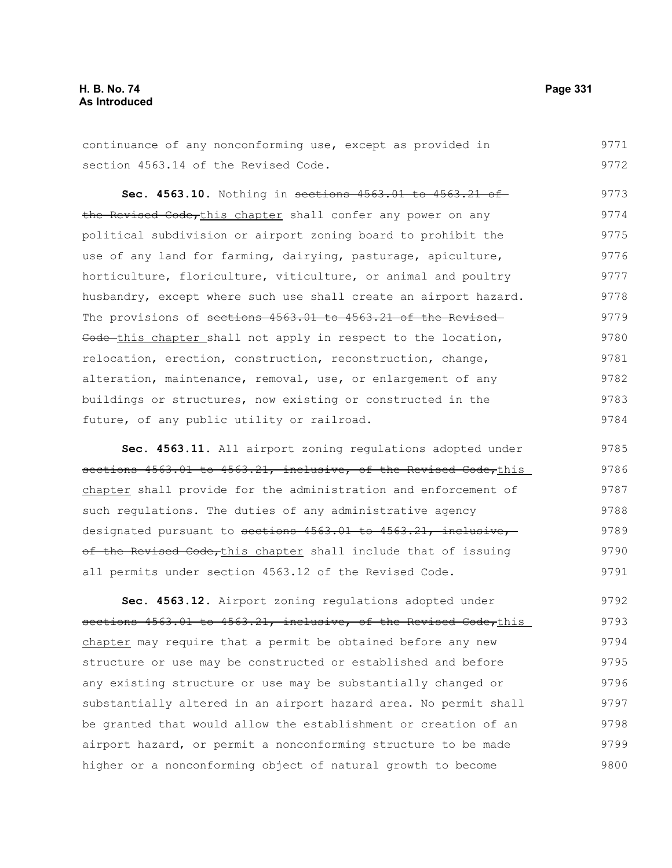# **H. B. No. 74 Page 331 As Introduced**

continuance of any nonconforming use, except as provided in section 4563.14 of the Revised Code. 9771 9772

**Sec. 4563.10.** Nothing in sections 4563.01 to 4563.21 of the Revised Code, this chapter shall confer any power on any political subdivision or airport zoning board to prohibit the use of any land for farming, dairying, pasturage, apiculture, horticulture, floriculture, viticulture, or animal and poultry husbandry, except where such use shall create an airport hazard. The provisions of sections 4563.01 to 4563.21 of the Revised Gode-this chapter shall not apply in respect to the location, relocation, erection, construction, reconstruction, change, alteration, maintenance, removal, use, or enlargement of any buildings or structures, now existing or constructed in the future, of any public utility or railroad. 9773 9774 9775 9776 9777 9778 9779 9780 9781 9782 9783 9784

**Sec. 4563.11.** All airport zoning regulations adopted under sections 4563.01 to 4563.21, inclusive, of the Revised Code, this chapter shall provide for the administration and enforcement of such regulations. The duties of any administrative agency designated pursuant to sections 4563.01 to 4563.21, inclusive, of the Revised Code, this chapter shall include that of issuing all permits under section 4563.12 of the Revised Code. 9785 9786 9787 9788 9789 9790 9791

**Sec. 4563.12.** Airport zoning regulations adopted under sections 4563.01 to 4563.21, inclusive, of the Revised Code, this chapter may require that a permit be obtained before any new structure or use may be constructed or established and before any existing structure or use may be substantially changed or substantially altered in an airport hazard area. No permit shall be granted that would allow the establishment or creation of an airport hazard, or permit a nonconforming structure to be made higher or a nonconforming object of natural growth to become 9792 9793 9794 9795 9796 9797 9798 9799 9800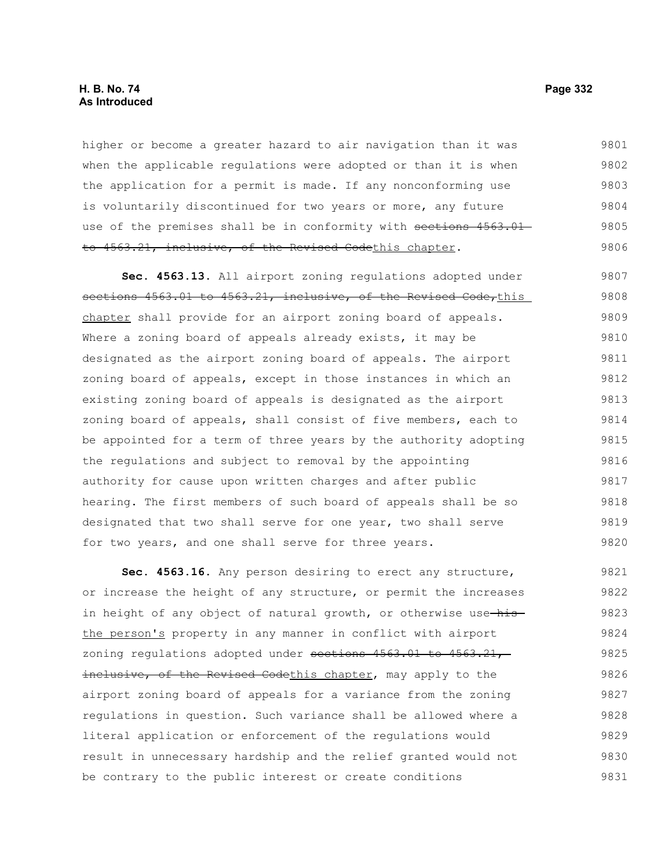### **H. B. No. 74 Page 332 As Introduced**

higher or become a greater hazard to air navigation than it was when the applicable regulations were adopted or than it is when the application for a permit is made. If any nonconforming use is voluntarily discontinued for two years or more, any future use of the premises shall be in conformity with sections 4563.01 to 4563.21, inclusive, of the Revised Codethis chapter. 9801 9802 9803 9804 9805 9806

**Sec. 4563.13.** All airport zoning regulations adopted under sections 4563.01 to 4563.21, inclusive, of the Revised Code, this chapter shall provide for an airport zoning board of appeals. Where a zoning board of appeals already exists, it may be designated as the airport zoning board of appeals. The airport zoning board of appeals, except in those instances in which an existing zoning board of appeals is designated as the airport zoning board of appeals, shall consist of five members, each to be appointed for a term of three years by the authority adopting the regulations and subject to removal by the appointing authority for cause upon written charges and after public hearing. The first members of such board of appeals shall be so designated that two shall serve for one year, two shall serve for two years, and one shall serve for three years. 9807 9808 9809 9810 9811 9812 9813 9814 9815 9816 9817 9818 9819 9820

**Sec. 4563.16.** Any person desiring to erect any structure, or increase the height of any structure, or permit the increases in height of any object of natural growth, or otherwise use-histhe person's property in any manner in conflict with airport zoning regulations adopted under sections  $4563.01$  to  $4563.21$ , inclusive, of the Revised Codethis chapter, may apply to the airport zoning board of appeals for a variance from the zoning regulations in question. Such variance shall be allowed where a literal application or enforcement of the regulations would result in unnecessary hardship and the relief granted would not be contrary to the public interest or create conditions 9821 9822 9823 9824 9825 9826 9827 9828 9829 9830 9831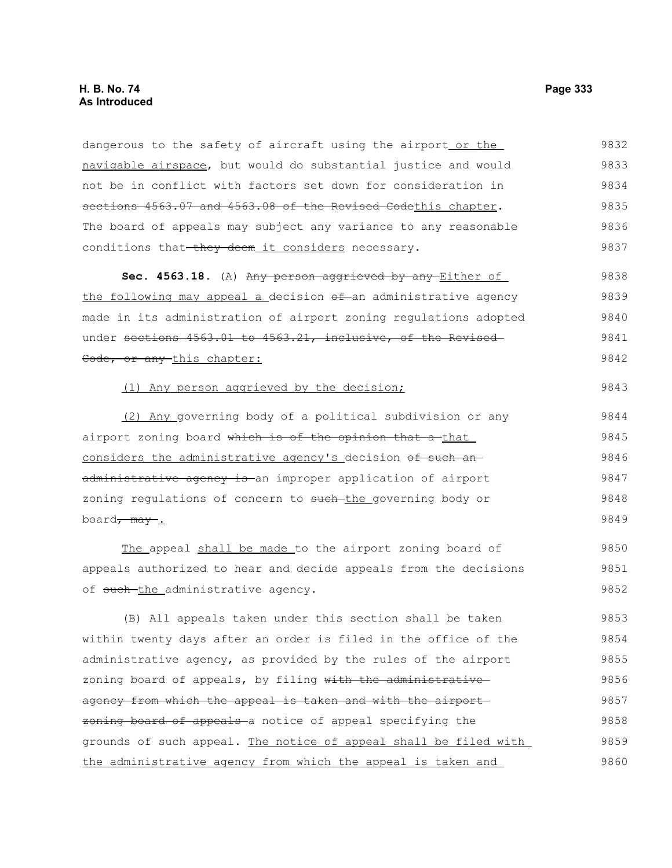dangerous to the safety of aircraft using the airport or the navigable airspace, but would do substantial justice and would not be in conflict with factors set down for consideration in sections 4563.07 and 4563.08 of the Revised Codethis chapter. The board of appeals may subject any variance to any reasonable conditions that-they deem it considers necessary. Sec. 4563.18. (A) Any person aggrieved by any Either of the following may appeal a decision  $\theta$  an administrative agency made in its administration of airport zoning regulations adopted under sections 4563.01 to 4563.21, inclusive, of the Revised Code, or any this chapter: (1) Any person aggrieved by the decision; (2) Any governing body of a political subdivision or any airport zoning board which is of the opinion that a that considers the administrative agency's decision of such anadministrative agency is an improper application of airport zoning regulations of concern to such the governing body or board, may. The appeal shall be made to the airport zoning board of appeals authorized to hear and decide appeals from the decisions of such-the administrative agency. (B) All appeals taken under this section shall be taken within twenty days after an order is filed in the office of the administrative agency, as provided by the rules of the airport zoning board of appeals, by filing with the administrative agency from which the appeal is taken and with the airport zoning board of appeals a notice of appeal specifying the grounds of such appeal. The notice of appeal shall be filed with 9832 9833 9834 9835 9836 9837 9838 9839 9840 9841 9842 9843 9844 9845 9846 9847 9848 9849 9850 9851 9852 9853 9854 9855 9856 9857 9858 9859

the administrative agency from which the appeal is taken and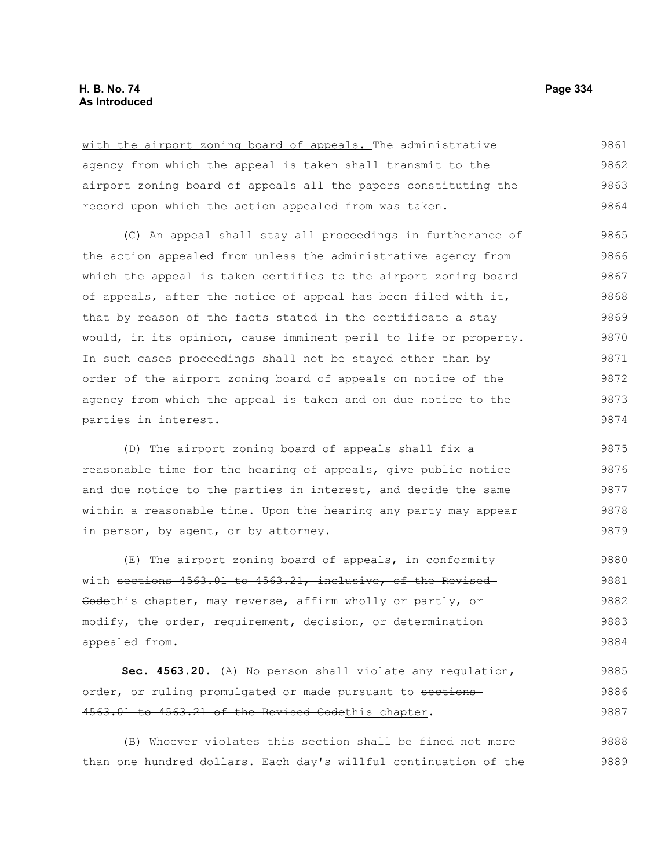| with the airport zoning board of appeals. The administrative    | 9861 |
|-----------------------------------------------------------------|------|
| agency from which the appeal is taken shall transmit to the     | 9862 |
| airport zoning board of appeals all the papers constituting the | 9863 |
| record upon which the action appealed from was taken.           | 9864 |

(C) An appeal shall stay all proceedings in furtherance of the action appealed from unless the administrative agency from which the appeal is taken certifies to the airport zoning board of appeals, after the notice of appeal has been filed with it, that by reason of the facts stated in the certificate a stay would, in its opinion, cause imminent peril to life or property. In such cases proceedings shall not be stayed other than by order of the airport zoning board of appeals on notice of the agency from which the appeal is taken and on due notice to the parties in interest. 9865 9866 9867 9868 9869 9870 9871 9872 9873 9874

(D) The airport zoning board of appeals shall fix a reasonable time for the hearing of appeals, give public notice and due notice to the parties in interest, and decide the same within a reasonable time. Upon the hearing any party may appear in person, by agent, or by attorney. 9875 9876 9877 9878 9879

(E) The airport zoning board of appeals, in conformity with sections 4563.01 to 4563.21, inclusive, of the Revised Codethis chapter, may reverse, affirm wholly or partly, or modify, the order, requirement, decision, or determination appealed from. 9880 9881 9882 9883 9884

**Sec. 4563.20.** (A) No person shall violate any regulation, order, or ruling promulgated or made pursuant to sections 4563.01 to 4563.21 of the Revised Codethis chapter. 9885 9886 9887

(B) Whoever violates this section shall be fined not more than one hundred dollars. Each day's willful continuation of the 9888 9889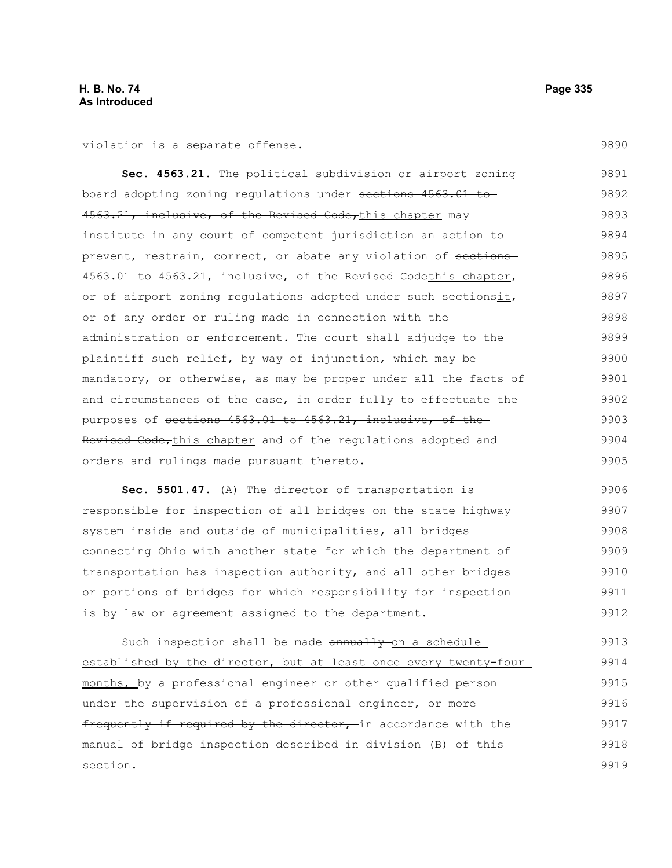violation is a separate offense.

**Sec. 4563.21.** The political subdivision or airport zoning board adopting zoning regulations under sections 4563.01 to 4563.21, inclusive, of the Revised Code, this chapter may institute in any court of competent jurisdiction an action to prevent, restrain, correct, or abate any violation of sections 4563.01 to 4563.21, inclusive, of the Revised Codethis chapter, or of airport zoning regulations adopted under such sectionsit, or of any order or ruling made in connection with the administration or enforcement. The court shall adjudge to the plaintiff such relief, by way of injunction, which may be mandatory, or otherwise, as may be proper under all the facts of and circumstances of the case, in order fully to effectuate the purposes of sections 4563.01 to 4563.21, inclusive, of the-Revised Code, this chapter and of the regulations adopted and orders and rulings made pursuant thereto. 9891 9892 9893 9894 9895 9896 9897 9898 9899 9900 9901 9902 9903 9904 9905

**Sec. 5501.47.** (A) The director of transportation is responsible for inspection of all bridges on the state highway system inside and outside of municipalities, all bridges connecting Ohio with another state for which the department of transportation has inspection authority, and all other bridges or portions of bridges for which responsibility for inspection is by law or agreement assigned to the department. 9906 9907 9908 9909 9910 9911 9912

Such inspection shall be made annually on a schedule established by the director, but at least once every twenty-four months, by a professional engineer or other qualified person under the supervision of a professional engineer, or more frequently if required by the director, in accordance with the manual of bridge inspection described in division (B) of this section. 9913 9914 9915 9916 9917 9918 9919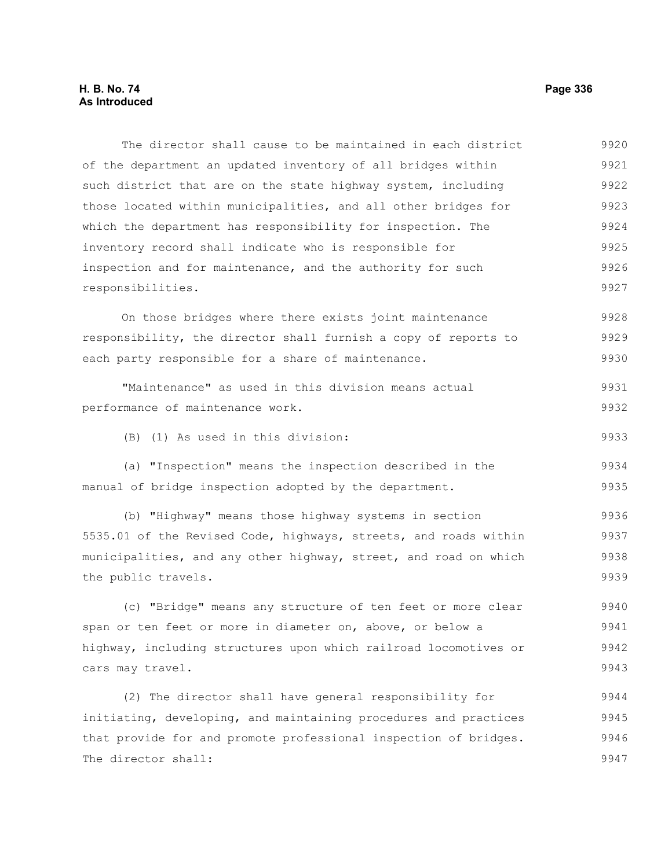# **H. B. No. 74 Page 336 As Introduced**

The director shall cause to be maintained in each district of the department an updated inventory of all bridges within such district that are on the state highway system, including those located within municipalities, and all other bridges for which the department has responsibility for inspection. The inventory record shall indicate who is responsible for inspection and for maintenance, and the authority for such responsibilities. On those bridges where there exists joint maintenance responsibility, the director shall furnish a copy of reports to each party responsible for a share of maintenance. "Maintenance" as used in this division means actual performance of maintenance work. (B) (1) As used in this division: (a) "Inspection" means the inspection described in the manual of bridge inspection adopted by the department. (b) "Highway" means those highway systems in section 5535.01 of the Revised Code, highways, streets, and roads within municipalities, and any other highway, street, and road on which the public travels. (c) "Bridge" means any structure of ten feet or more clear 9920 9921 9922 9923 9924 9925 9926 9927 9928 9929 9930 9931 9932 9933 9934 9935 9936 9937 9938 9939 9940

span or ten feet or more in diameter on, above, or below a highway, including structures upon which railroad locomotives or cars may travel. 9941 9942 9943

(2) The director shall have general responsibility for initiating, developing, and maintaining procedures and practices that provide for and promote professional inspection of bridges. The director shall: 9944 9945 9946 9947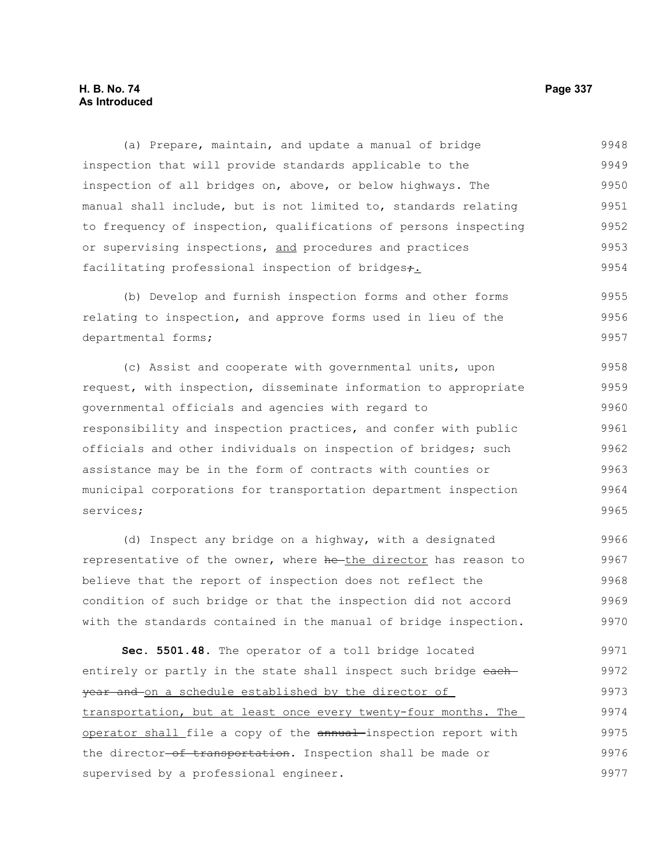# **H. B. No. 74 Page 337 As Introduced**

(a) Prepare, maintain, and update a manual of bridge inspection that will provide standards applicable to the inspection of all bridges on, above, or below highways. The manual shall include, but is not limited to, standards relating to frequency of inspection, qualifications of persons inspecting or supervising inspections, and procedures and practices facilitating professional inspection of bridges<sub>t.</sub> 9948 9949 9950 9951 9952 9953 9954

(b) Develop and furnish inspection forms and other forms relating to inspection, and approve forms used in lieu of the departmental forms; 9955 9956 9957

(c) Assist and cooperate with governmental units, upon request, with inspection, disseminate information to appropriate governmental officials and agencies with regard to responsibility and inspection practices, and confer with public officials and other individuals on inspection of bridges; such assistance may be in the form of contracts with counties or municipal corporations for transportation department inspection services; 9958 9959 9960 9961 9962 9963 9964 9965

(d) Inspect any bridge on a highway, with a designated representative of the owner, where he-the director has reason to believe that the report of inspection does not reflect the condition of such bridge or that the inspection did not accord with the standards contained in the manual of bridge inspection. 9966 9967 9968 9969 9970

**Sec. 5501.48.** The operator of a toll bridge located entirely or partly in the state shall inspect such bridge eachyear and on a schedule established by the director of transportation, but at least once every twenty-four months. The operator shall file a copy of the annual inspection report with the director-of transportation. Inspection shall be made or supervised by a professional engineer. 9971 9972 9973 9974 9975 9976 9977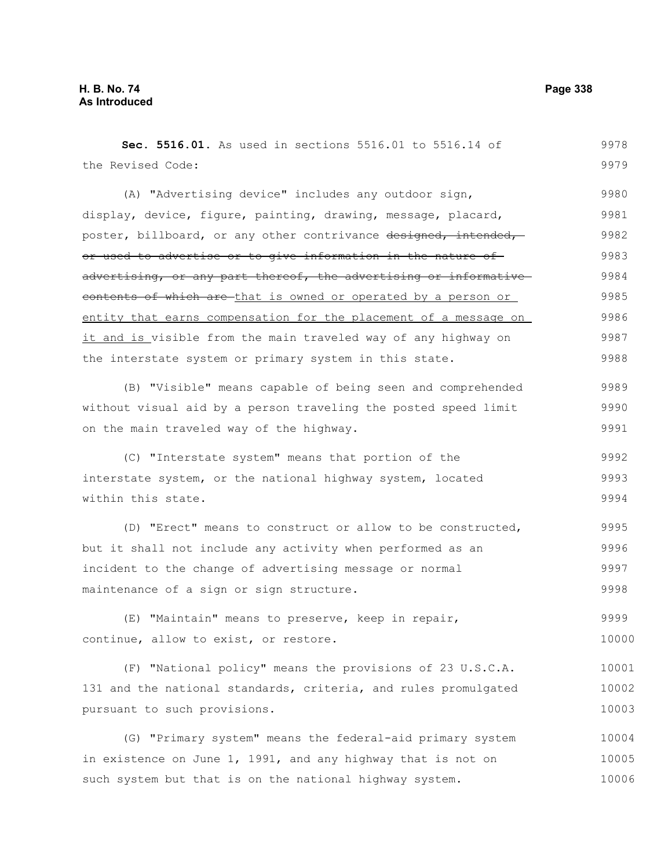| Sec. 5516.01. As used in sections 5516.01 to 5516.14 of          | 9978  |
|------------------------------------------------------------------|-------|
| the Revised Code:                                                | 9979  |
| (A) "Advertising device" includes any outdoor sign,              | 9980  |
| display, device, figure, painting, drawing, message, placard,    | 9981  |
| poster, billboard, or any other contrivance designed, intended,  | 9982  |
| or used to advertise or to give information in the nature of     | 9983  |
| advertising, or any part thereof, the advertising or informative | 9984  |
| contents of which are that is owned or operated by a person or   | 9985  |
| entity that earns compensation for the placement of a message on | 9986  |
| it and is visible from the main traveled way of any highway on   | 9987  |
| the interstate system or primary system in this state.           | 9988  |
| (B) "Visible" means capable of being seen and comprehended       | 9989  |
| without visual aid by a person traveling the posted speed limit  | 9990  |
| on the main traveled way of the highway.                         | 9991  |
| (C) "Interstate system" means that portion of the                | 9992  |
| interstate system, or the national highway system, located       | 9993  |
| within this state.                                               | 9994  |
| (D) "Erect" means to construct or allow to be constructed,       | 9995  |
| but it shall not include any activity when performed as an       | 9996  |
| incident to the change of advertising message or normal          | 9997  |
| maintenance of a sign or sign structure.                         | 9998  |
| (E) "Maintain" means to preserve, keep in repair,                | 9999  |
| continue, allow to exist, or restore.                            | 10000 |
| (F) "National policy" means the provisions of 23 U.S.C.A.        | 10001 |
| 131 and the national standards, criteria, and rules promulgated  | 10002 |
| pursuant to such provisions.                                     | 10003 |
| (G) "Primary system" means the federal-aid primary system        | 10004 |
| in existence on June 1, 1991, and any highway that is not on     | 10005 |
| such system but that is on the national highway system.          | 10006 |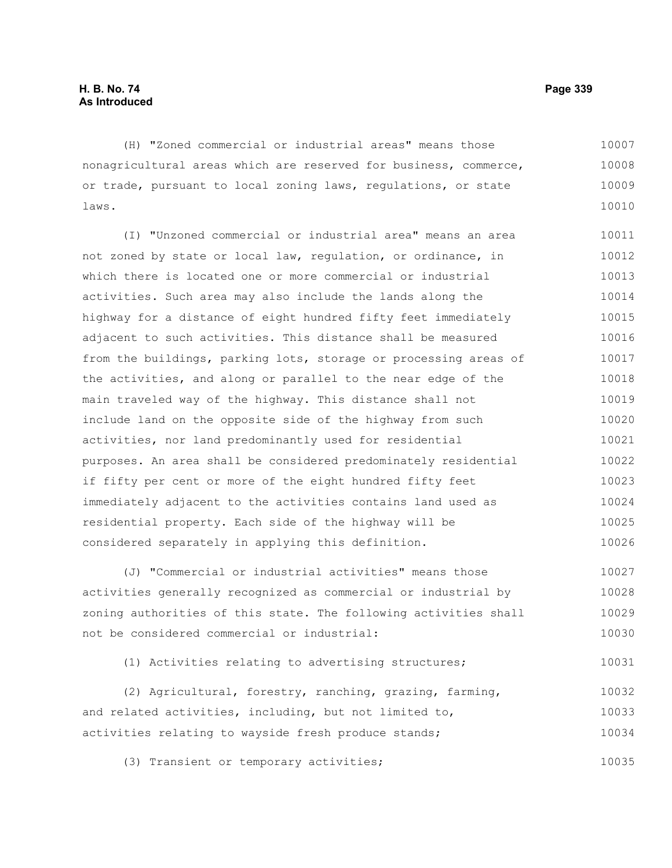(H) "Zoned commercial or industrial areas" means those nonagricultural areas which are reserved for business, commerce, or trade, pursuant to local zoning laws, regulations, or state laws. 10007 10008 10009 10010

(I) "Unzoned commercial or industrial area" means an area not zoned by state or local law, regulation, or ordinance, in which there is located one or more commercial or industrial activities. Such area may also include the lands along the highway for a distance of eight hundred fifty feet immediately adjacent to such activities. This distance shall be measured from the buildings, parking lots, storage or processing areas of the activities, and along or parallel to the near edge of the main traveled way of the highway. This distance shall not include land on the opposite side of the highway from such activities, nor land predominantly used for residential purposes. An area shall be considered predominately residential if fifty per cent or more of the eight hundred fifty feet immediately adjacent to the activities contains land used as residential property. Each side of the highway will be considered separately in applying this definition. 10011 10012 10013 10014 10015 10016 10017 10018 10019 10020 10021 10022 10023 10024 10025 10026

(J) "Commercial or industrial activities" means those activities generally recognized as commercial or industrial by zoning authorities of this state. The following activities shall not be considered commercial or industrial: 10027 10028 10029 10030

(1) Activities relating to advertising structures;

(2) Agricultural, forestry, ranching, grazing, farming, and related activities, including, but not limited to, activities relating to wayside fresh produce stands; 10032 10033 10034

(3) Transient or temporary activities;

10031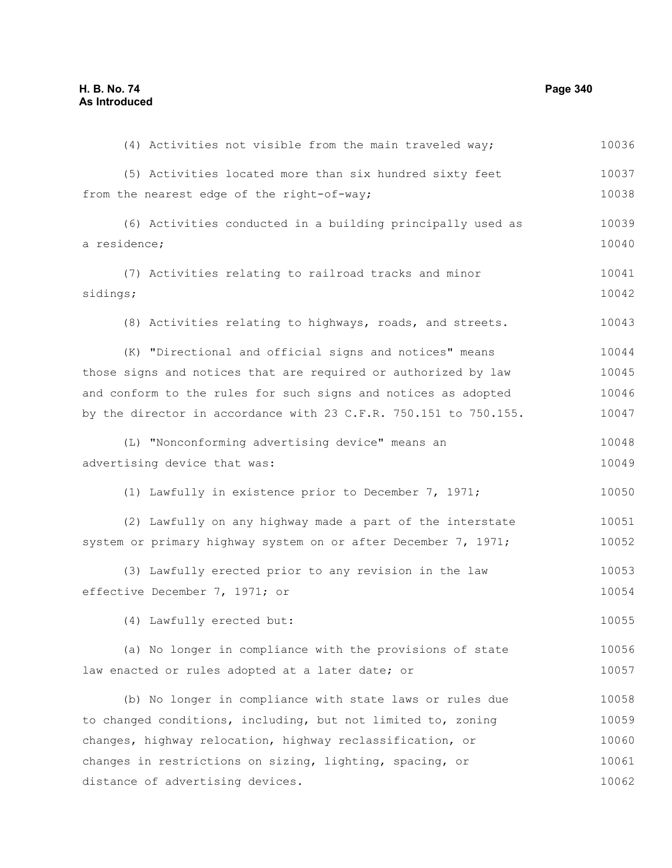(4) Activities not visible from the main traveled way; (5) Activities located more than six hundred sixty feet from the nearest edge of the right-of-way; (6) Activities conducted in a building principally used as a residence; (7) Activities relating to railroad tracks and minor sidings; (8) Activities relating to highways, roads, and streets. (K) "Directional and official signs and notices" means those signs and notices that are required or authorized by law and conform to the rules for such signs and notices as adopted by the director in accordance with 23 C.F.R. 750.151 to 750.155. (L) "Nonconforming advertising device" means an advertising device that was: (1) Lawfully in existence prior to December 7, 1971; (2) Lawfully on any highway made a part of the interstate system or primary highway system on or after December 7, 1971; (3) Lawfully erected prior to any revision in the law effective December 7, 1971; or (4) Lawfully erected but: (a) No longer in compliance with the provisions of state law enacted or rules adopted at a later date; or (b) No longer in compliance with state laws or rules due to changed conditions, including, but not limited to, zoning changes, highway relocation, highway reclassification, or changes in restrictions on sizing, lighting, spacing, or distance of advertising devices. 10036 10037 10038 10039 10040 10041 10042 10043 10044 10045 10046 10047 10048 10049 10050 10051 10052 10053 10054 10055 10056 10057 10058 10059 10060 10061 10062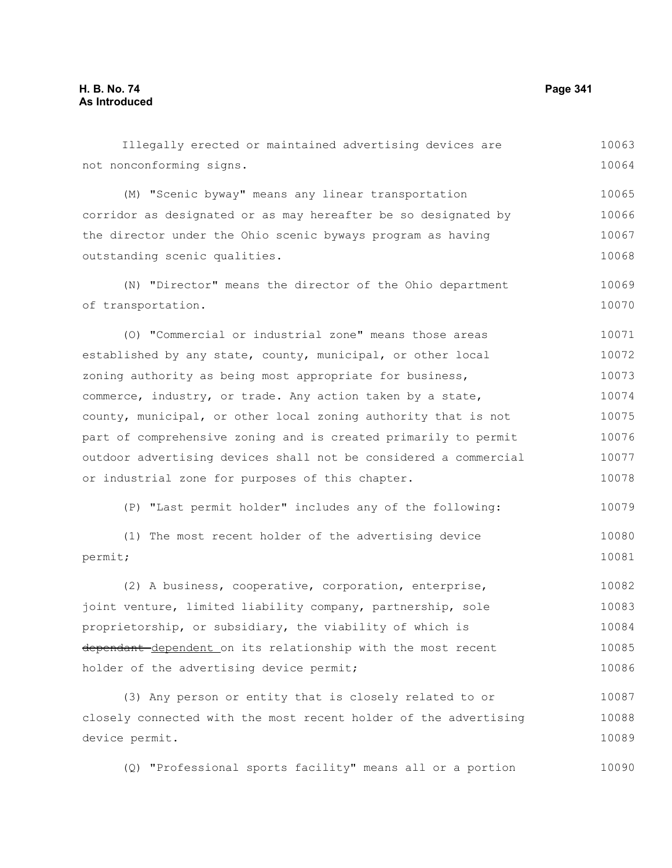| Illegally erected or maintained advertising devices are          | 10063 |
|------------------------------------------------------------------|-------|
| not nonconforming signs.                                         | 10064 |
| (M) "Scenic byway" means any linear transportation               | 10065 |
| corridor as designated or as may hereafter be so designated by   | 10066 |
| the director under the Ohio scenic byways program as having      | 10067 |
| outstanding scenic qualities.                                    | 10068 |
| (N) "Director" means the director of the Ohio department         | 10069 |
| of transportation.                                               | 10070 |
| (0) "Commercial or industrial zone" means those areas            | 10071 |
| established by any state, county, municipal, or other local      | 10072 |
| zoning authority as being most appropriate for business,         | 10073 |
| commerce, industry, or trade. Any action taken by a state,       | 10074 |
| county, municipal, or other local zoning authority that is not   | 10075 |
| part of comprehensive zoning and is created primarily to permit  | 10076 |
| outdoor advertising devices shall not be considered a commercial | 10077 |
| or industrial zone for purposes of this chapter.                 | 10078 |
| (P) "Last permit holder" includes any of the following:          | 10079 |
| (1) The most recent holder of the advertising device             | 10080 |
| permit;                                                          | 10081 |
| (2) A business, cooperative, corporation, enterprise,            | 10082 |
| joint venture, limited liability company, partnership, sole      | 10083 |
| proprietorship, or subsidiary, the viability of which is         | 10084 |
| dependant dependent on its relationship with the most recent     | 10085 |
| holder of the advertising device permit;                         | 10086 |
| (3) Any person or entity that is closely related to or           | 10087 |
| closely connected with the most recent holder of the advertising | 10088 |
| device permit.                                                   | 10089 |

(Q) "Professional sports facility" means all or a portion 10090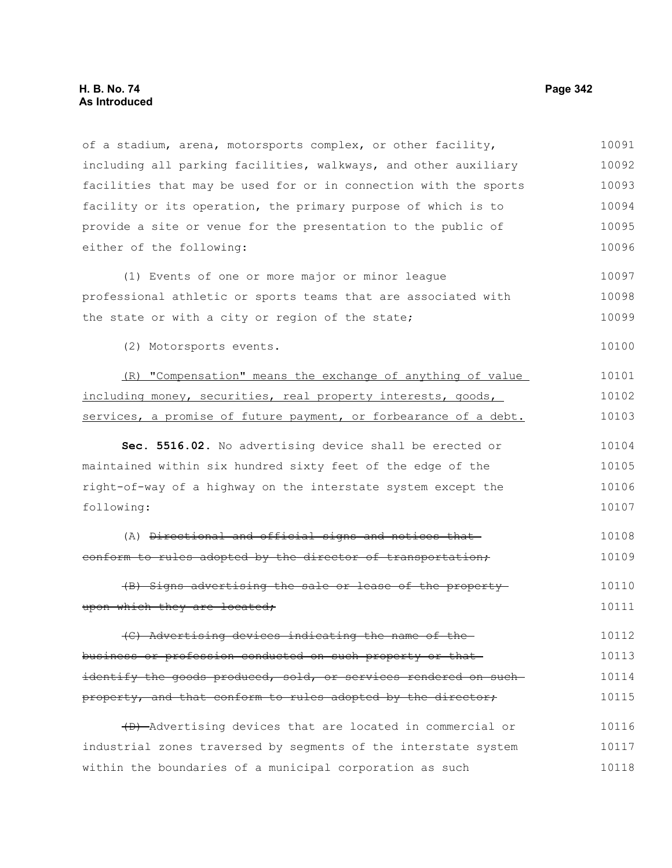### **H. B. No. 74 Page 342 As Introduced**

of a stadium, arena, motorsports complex, or other facility, including all parking facilities, walkways, and other auxiliary facilities that may be used for or in connection with the sports facility or its operation, the primary purpose of which is to provide a site or venue for the presentation to the public of either of the following: (1) Events of one or more major or minor league professional athletic or sports teams that are associated with the state or with a city or region of the state; (2) Motorsports events. (R) "Compensation" means the exchange of anything of value including money, securities, real property interests, goods, services, a promise of future payment, or forbearance of a debt. **Sec. 5516.02.** No advertising device shall be erected or maintained within six hundred sixty feet of the edge of the right-of-way of a highway on the interstate system except the following: (A) Directional and official signs and notices thatconform to rules adopted by the director of transportation; (B) Signs advertising the sale or lease of the property upon which they are located; (C) Advertising devices indicating the name of the business or profession conducted on such property or that identify the goods produced, sold, or services rendered on suchproperty, and that conform to rules adopted by the director; 10091 10092 10093 10094 10095 10096 10097 10098 10099 10100 10101 10102 10103 10104 10105 10106 10107 10108 10109 10110 10111 10112 10113 10114 10115

(D) Advertising devices that are located in commercial or industrial zones traversed by segments of the interstate system within the boundaries of a municipal corporation as such 10116 10117 10118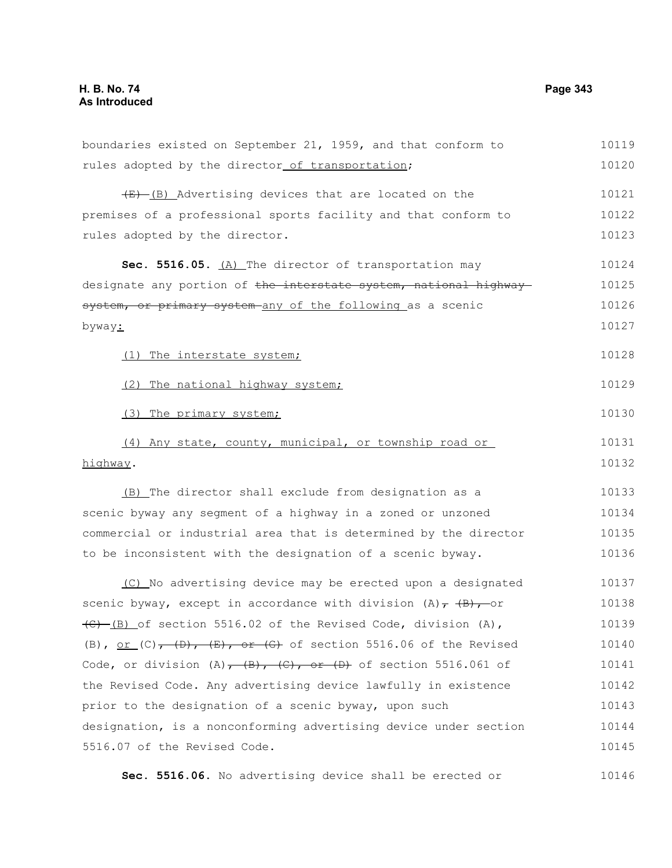boundaries existed on September 21, 1959, and that conform to rules adopted by the director of transportation;  $(E)$  (B) Advertising devices that are located on the premises of a professional sports facility and that conform to rules adopted by the director. Sec. 5516.05. (A) The director of transportation may designate any portion of the interstate system, national highwaysystem, or primary system any of the following as a scenic byway: (1) The interstate system; (2) The national highway system; (3) The primary system; (4) Any state, county, municipal, or township road or highway. (B) The director shall exclude from designation as a scenic byway any segment of a highway in a zoned or unzoned commercial or industrial area that is determined by the director to be inconsistent with the designation of a scenic byway. (C) No advertising device may be erected upon a designated scenic byway, except in accordance with division  $(A)$ ,  $(B)$ , or  $\overline{(C) - (B)}$  of section 5516.02 of the Revised Code, division (A), (B),  $or (C)$ ,  $(D)$ ,  $(E)$ ,  $oF$   $(G)$  of section 5516.06 of the Revised</u> Code, or division  $(A)$ ,  $(B)$ ,  $(C)$ , or  $(D)$  of section 5516.061 of the Revised Code. Any advertising device lawfully in existence prior to the designation of a scenic byway, upon such 10119 10120 10121 10122 10123 10124 10125 10126 10127 10128 10129 10130 10131 10132 10133 10134 10135 10136 10137 10138 10139 10140 10141 10142 10143

designation, is a nonconforming advertising device under section 5516.07 of the Revised Code. 10144 10145

**Sec. 5516.06.** No advertising device shall be erected or 10146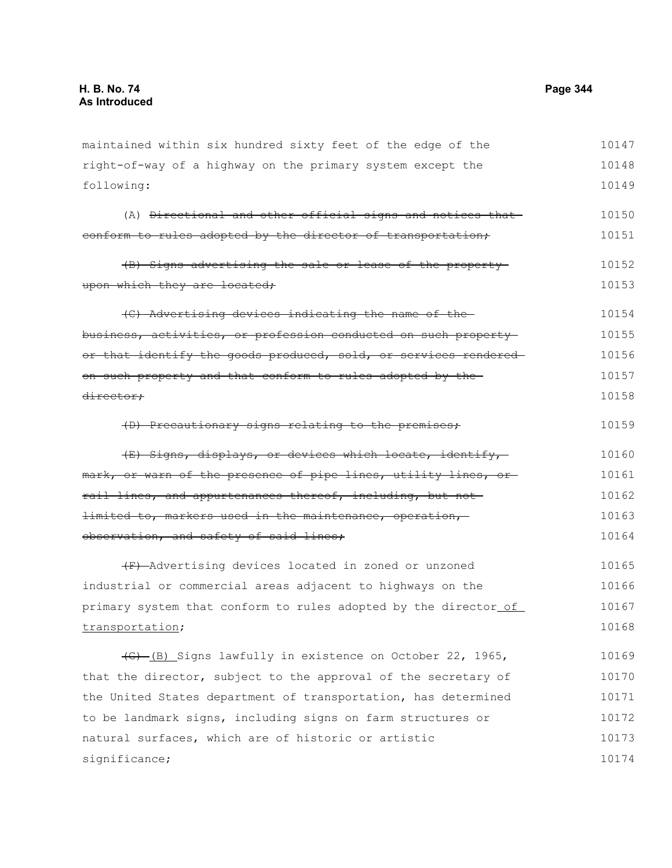right-of-way of a highway on the primary system except the following: (A) <del>Directional and other official signs and notices that</del> conform to rules adopted by the director of transportation; (B) Signs advertising the sale or lease of the property upon which they are located; (C) Advertising devices indicating the name of the business, activities, or profession conducted on such property or that identify the goods produced, sold, or services renderedon such property and that conform to rules adopted by the director; (D) Precautionary signs relating to the premises; (E) Signs, displays, or devices which locate, identify, mark, or warn of the presence of pipe lines, utility lines, rail lines, and appurtenances thereof, including, but not limited to, markers used in the maintenance, operation, observation, and safety of said lines; (F) Advertising devices located in zoned or unzoned industrial or commercial areas adjacent to highways on the primary system that conform to rules adopted by the director of transportation; (G) (B) Signs lawfully in existence on October 22, 1965, that the director, subject to the approval of the secretary of the United States department of transportation, has determined to be landmark signs, including signs on farm structures or natural surfaces, which are of historic or artistic significance; 10148 10149 10150 10151 10152 10153 10154 10155 10156 10157 10158 10159 10160 10161 10162 10163 10164 10165 10166 10167 10168 10169 10170 10171 10172 10173 10174

maintained within six hundred sixty feet of the edge of the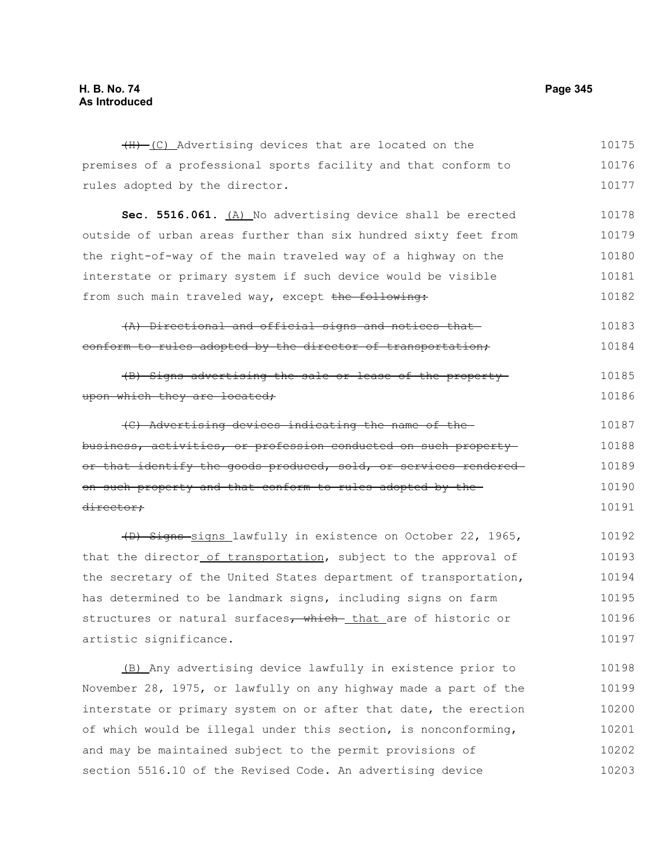(H) (C) Advertising devices that are located on the premises of a professional sports facility and that conform to rules adopted by the director. Sec. 5516.061. (A) No advertising device shall be erected outside of urban areas further than six hundred sixty feet from the right-of-way of the main traveled way of a highway on the interstate or primary system if such device would be visible from such main traveled way, except the following: (A) Directional and official signs and notices that conform to rules adopted by the director of transportation; (B) Signs advertising the sale or lease of the property upon which they are located; (C) Advertising devices indicating the name of the business, activities, or profession conducted on such property or that identify the goods produced, sold, or services rendered on such property and that conform to rules adopted by the director: (D) Signs-signs lawfully in existence on October 22, 1965, that the director of transportation, subject to the approval of the secretary of the United States department of transportation, has determined to be landmark signs, including signs on farm structures or natural surfaces, which that are of historic or artistic significance. (B) Any advertising device lawfully in existence prior to November 28, 1975, or lawfully on any highway made a part of the interstate or primary system on or after that date, the erection of which would be illegal under this section, is nonconforming, 10175 10176 10177 10178 10179 10180 10181 10182 10183 10184 10185 10186 10187 10188 10189 10190 10191 10192 10193 10194 10195 10196 10197 10198 10199 10200 10201

and may be maintained subject to the permit provisions of section 5516.10 of the Revised Code. An advertising device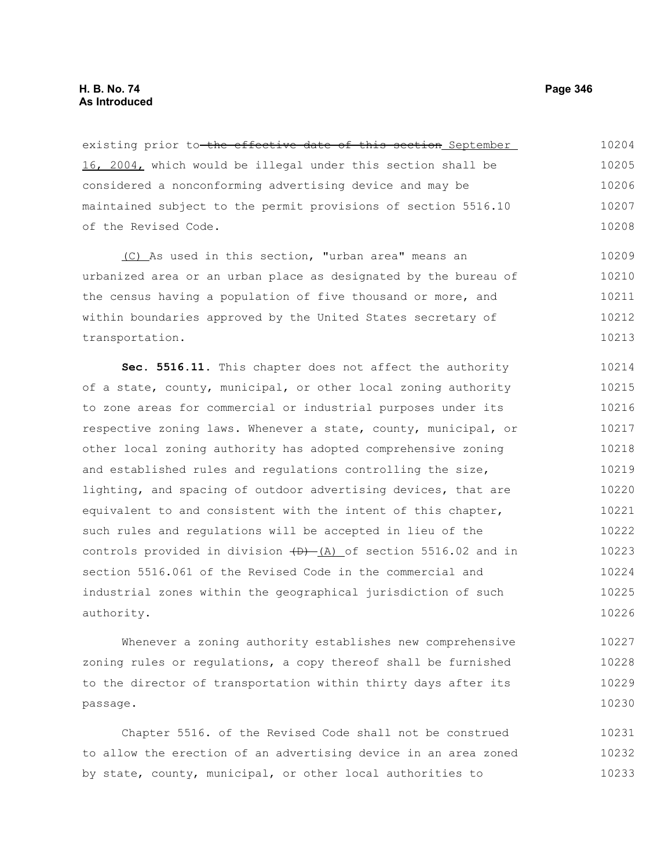existing prior to-the effective date of this section September 16, 2004, which would be illegal under this section shall be considered a nonconforming advertising device and may be maintained subject to the permit provisions of section 5516.10 of the Revised Code. 10204 10205 10206 10207 10208

(C) As used in this section, "urban area" means an urbanized area or an urban place as designated by the bureau of the census having a population of five thousand or more, and within boundaries approved by the United States secretary of transportation. 10209 10210 10211 10212 10213

**Sec. 5516.11.** This chapter does not affect the authority of a state, county, municipal, or other local zoning authority to zone areas for commercial or industrial purposes under its respective zoning laws. Whenever a state, county, municipal, or other local zoning authority has adopted comprehensive zoning and established rules and regulations controlling the size, lighting, and spacing of outdoor advertising devices, that are equivalent to and consistent with the intent of this chapter, such rules and regulations will be accepted in lieu of the controls provided in division  $(D)$   $(A)$  of section 5516.02 and in section 5516.061 of the Revised Code in the commercial and industrial zones within the geographical jurisdiction of such authority. 10214 10215 10216 10217 10218 10219 10220 10221 10222 10223 10224 10225 10226

Whenever a zoning authority establishes new comprehensive zoning rules or regulations, a copy thereof shall be furnished to the director of transportation within thirty days after its passage. 10227 10228 10229 10230

Chapter 5516. of the Revised Code shall not be construed to allow the erection of an advertising device in an area zoned by state, county, municipal, or other local authorities to 10231 10232 10233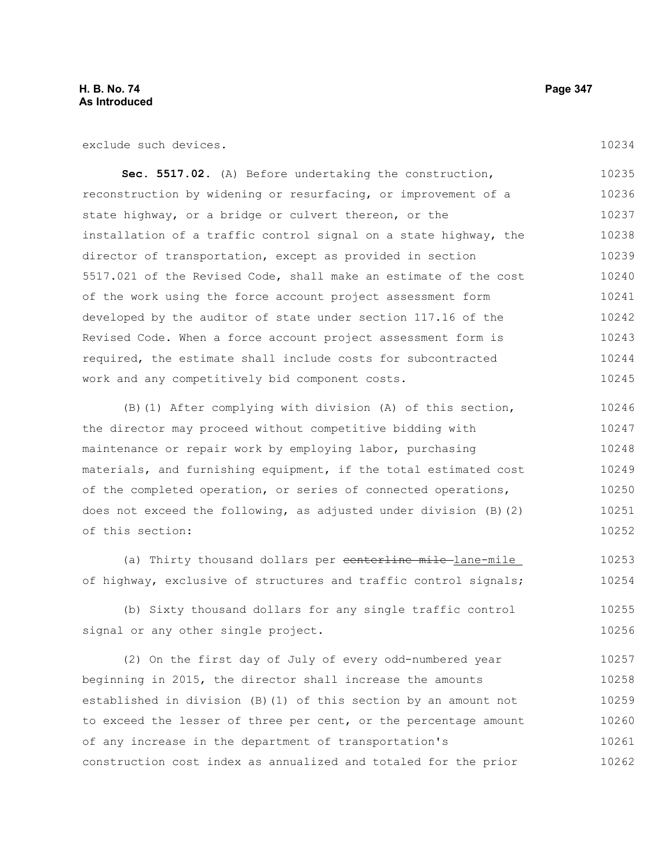exclude such devices.

**Sec. 5517.02.** (A) Before undertaking the construction, reconstruction by widening or resurfacing, or improvement of a state highway, or a bridge or culvert thereon, or the installation of a traffic control signal on a state highway, the director of transportation, except as provided in section 5517.021 of the Revised Code, shall make an estimate of the cost of the work using the force account project assessment form developed by the auditor of state under section 117.16 of the Revised Code. When a force account project assessment form is required, the estimate shall include costs for subcontracted work and any competitively bid component costs. 10235 10236 10237 10238 10239 10240 10241 10242 10243 10244 10245

(B)(1) After complying with division (A) of this section, the director may proceed without competitive bidding with maintenance or repair work by employing labor, purchasing materials, and furnishing equipment, if the total estimated cost of the completed operation, or series of connected operations, does not exceed the following, as adjusted under division (B)(2) of this section: 10246 10247 10248 10249 10250 10251 10252

(a) Thirty thousand dollars per centerline mile-lane-mile of highway, exclusive of structures and traffic control signals; 10253 10254

(b) Sixty thousand dollars for any single traffic control signal or any other single project. 10255 10256

(2) On the first day of July of every odd-numbered year beginning in 2015, the director shall increase the amounts established in division (B)(1) of this section by an amount not to exceed the lesser of three per cent, or the percentage amount of any increase in the department of transportation's construction cost index as annualized and totaled for the prior 10257 10258 10259 10260 10261 10262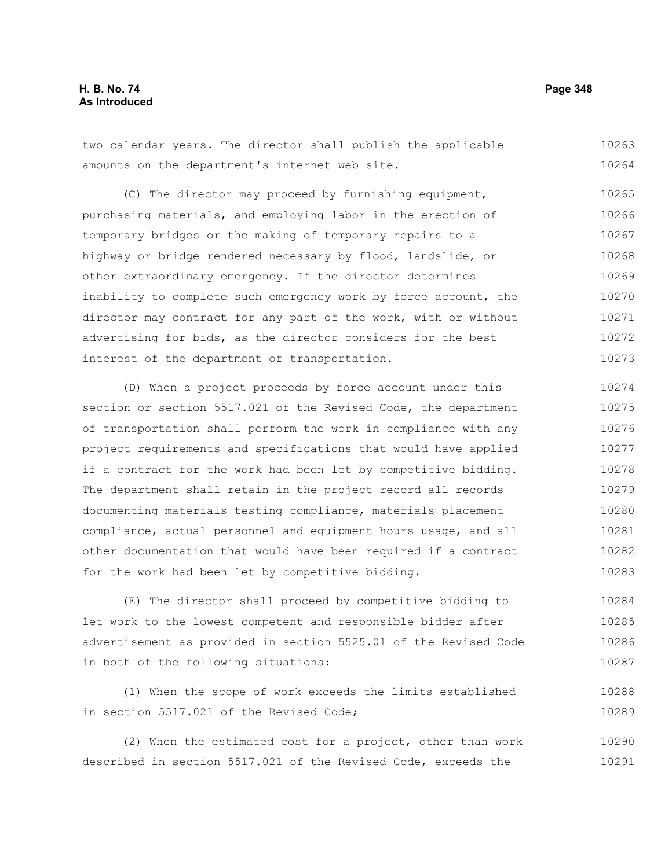two calendar years. The director shall publish the applicable amounts on the department's internet web site. 10263 10264

(C) The director may proceed by furnishing equipment, purchasing materials, and employing labor in the erection of temporary bridges or the making of temporary repairs to a highway or bridge rendered necessary by flood, landslide, or other extraordinary emergency. If the director determines inability to complete such emergency work by force account, the director may contract for any part of the work, with or without advertising for bids, as the director considers for the best interest of the department of transportation. 10265 10266 10267 10268 10269 10270 10271 10272 10273

(D) When a project proceeds by force account under this section or section 5517.021 of the Revised Code, the department of transportation shall perform the work in compliance with any project requirements and specifications that would have applied if a contract for the work had been let by competitive bidding. The department shall retain in the project record all records documenting materials testing compliance, materials placement compliance, actual personnel and equipment hours usage, and all other documentation that would have been required if a contract for the work had been let by competitive bidding. 10274 10275 10276 10277 10278 10279 10280 10281 10282 10283

(E) The director shall proceed by competitive bidding to let work to the lowest competent and responsible bidder after advertisement as provided in section 5525.01 of the Revised Code in both of the following situations: 10284 10285 10286 10287

(1) When the scope of work exceeds the limits established in section 5517.021 of the Revised Code; 10288 10289

(2) When the estimated cost for a project, other than work described in section 5517.021 of the Revised Code, exceeds the 10290 10291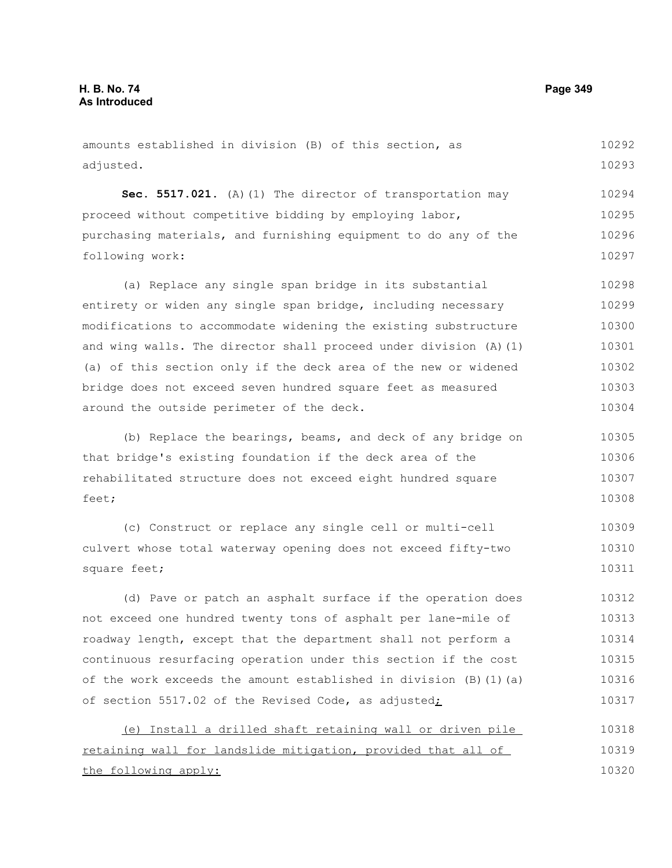| amounts established in division (B) of this section, as            | 10292 |
|--------------------------------------------------------------------|-------|
| adjusted.                                                          | 10293 |
| Sec. 5517.021. (A) (1) The director of transportation may          | 10294 |
| proceed without competitive bidding by employing labor,            | 10295 |
| purchasing materials, and furnishing equipment to do any of the    | 10296 |
| following work:                                                    | 10297 |
| (a) Replace any single span bridge in its substantial              | 10298 |
| entirety or widen any single span bridge, including necessary      | 10299 |
| modifications to accommodate widening the existing substructure    | 10300 |
| and wing walls. The director shall proceed under division (A) (1)  | 10301 |
| (a) of this section only if the deck area of the new or widened    | 10302 |
| bridge does not exceed seven hundred square feet as measured       | 10303 |
| around the outside perimeter of the deck.                          | 10304 |
| (b) Replace the bearings, beams, and deck of any bridge on         | 10305 |
| that bridge's existing foundation if the deck area of the          | 10306 |
| rehabilitated structure does not exceed eight hundred square       | 10307 |
| feet;                                                              | 10308 |
| (c) Construct or replace any single cell or multi-cell             | 10309 |
| culvert whose total waterway opening does not exceed fifty-two     | 10310 |
| square feet;                                                       | 10311 |
| (d) Pave or patch an asphalt surface if the operation does         | 10312 |
| not exceed one hundred twenty tons of asphalt per lane-mile of     | 10313 |
| roadway length, except that the department shall not perform a     | 10314 |
| continuous resurfacing operation under this section if the cost    | 10315 |
| of the work exceeds the amount established in division (B) (1) (a) | 10316 |
| of section 5517.02 of the Revised Code, as adjusted:               | 10317 |
| Install a drilled shaft retaining wall or driven pile<br>(e)       | 10318 |
| retaining wall for landslide mitigation, provided that all of      | 10319 |
| the following apply:                                               | 10320 |

the following apply: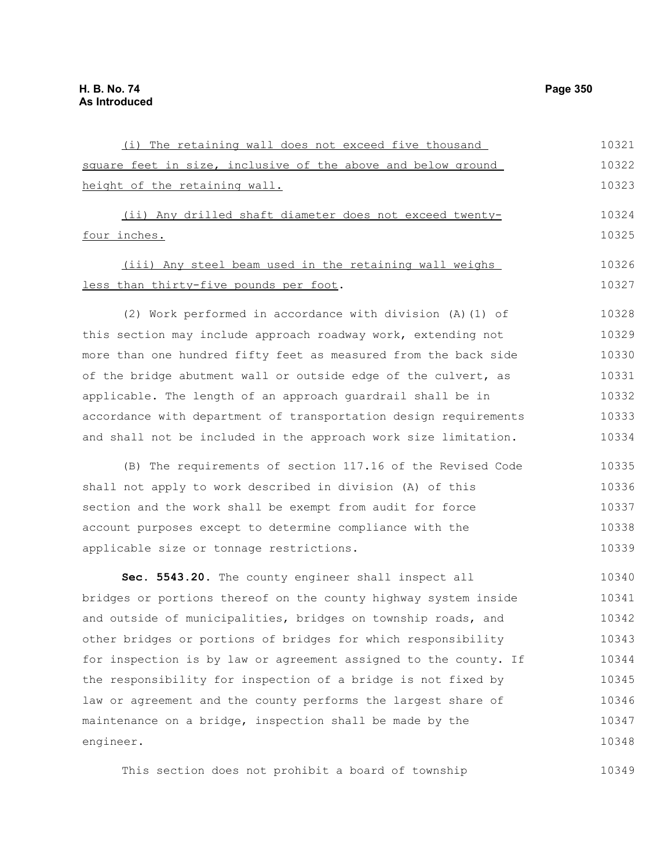engineer.

square feet in size, inclusive of the above and below ground height of the retaining wall. (ii) Any drilled shaft diameter does not exceed twentyfour inches. (iii) Any steel beam used in the retaining wall weighs less than thirty-five pounds per foot. (2) Work performed in accordance with division (A)(1) of this section may include approach roadway work, extending not more than one hundred fifty feet as measured from the back side of the bridge abutment wall or outside edge of the culvert, as applicable. The length of an approach guardrail shall be in accordance with department of transportation design requirements and shall not be included in the approach work size limitation. (B) The requirements of section 117.16 of the Revised Code shall not apply to work described in division (A) of this section and the work shall be exempt from audit for force account purposes except to determine compliance with the applicable size or tonnage restrictions. **Sec. 5543.20.** The county engineer shall inspect all bridges or portions thereof on the county highway system inside and outside of municipalities, bridges on township roads, and other bridges or portions of bridges for which responsibility for inspection is by law or agreement assigned to the county. If the responsibility for inspection of a bridge is not fixed by law or agreement and the county performs the largest share of maintenance on a bridge, inspection shall be made by the 10322 10323 10324 10325 10326 10327 10328 10329 10330 10331 10332 10333 10334 10335 10336 10337 10338 10339 10340 10341 10342 10343 10344 10345 10346 10347

(i) The retaining wall does not exceed five thousand

This section does not prohibit a board of township 10349

10348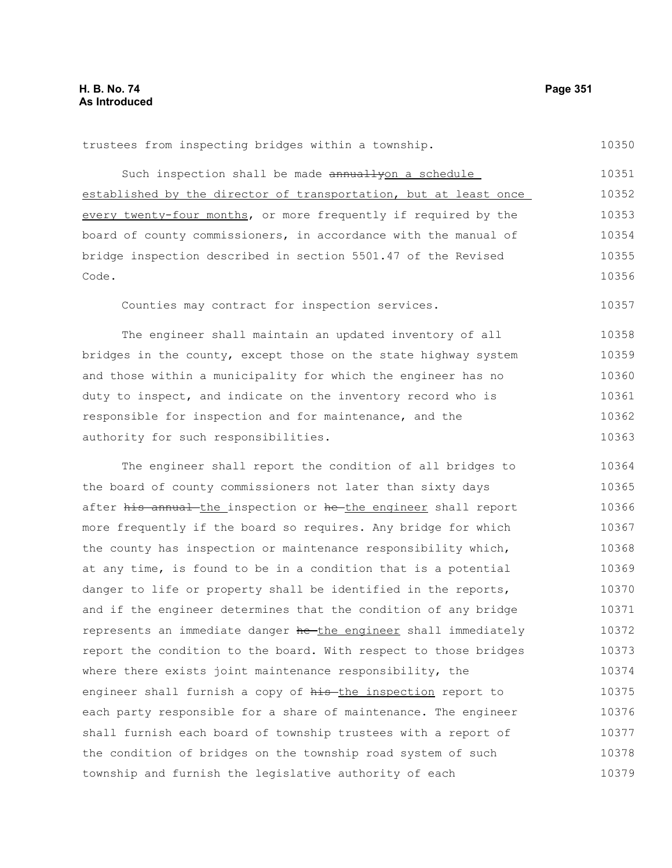trustees from inspecting bridges within a township.

Such inspection shall be made annuallyon a schedule established by the director of transportation, but at least once every twenty-four months, or more frequently if required by the board of county commissioners, in accordance with the manual of bridge inspection described in section 5501.47 of the Revised Code. 10351 10352 10353 10354 10355 10356

Counties may contract for inspection services. 10357

The engineer shall maintain an updated inventory of all bridges in the county, except those on the state highway system and those within a municipality for which the engineer has no duty to inspect, and indicate on the inventory record who is responsible for inspection and for maintenance, and the authority for such responsibilities. 10358 10359 10360 10361 10362 10363

The engineer shall report the condition of all bridges to the board of county commissioners not later than sixty days after his annual the inspection or he the engineer shall report more frequently if the board so requires. Any bridge for which the county has inspection or maintenance responsibility which, at any time, is found to be in a condition that is a potential danger to life or property shall be identified in the reports, and if the engineer determines that the condition of any bridge represents an immediate danger he-the engineer shall immediately report the condition to the board. With respect to those bridges where there exists joint maintenance responsibility, the engineer shall furnish a copy of his-the inspection report to each party responsible for a share of maintenance. The engineer shall furnish each board of township trustees with a report of the condition of bridges on the township road system of such township and furnish the legislative authority of each 10364 10365 10366 10367 10368 10369 10370 10371 10372 10373 10374 10375 10376 10377 10378 10379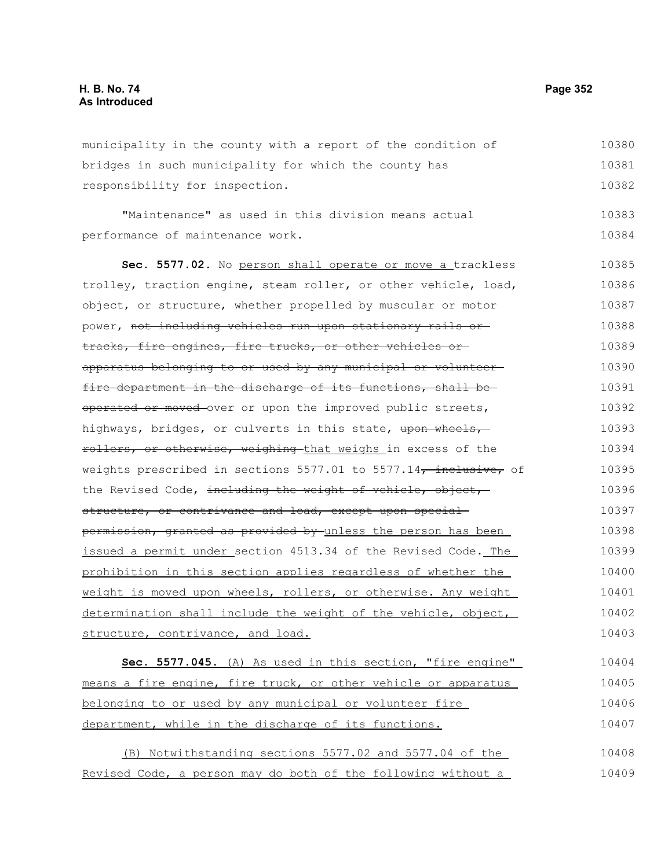municipality in the county with a report of the condition of bridges in such municipality for which the county has responsibility for inspection. 10380 10381 10382

"Maintenance" as used in this division means actual performance of maintenance work. 10383 10384

**Sec. 5577.02.** No person shall operate or move a trackless trolley, traction engine, steam roller, or other vehicle, load, object, or structure, whether propelled by muscular or motor power, not including vehicles run upon stationary rails or tracks, fire engines, fire trucks, or other vehicles or apparatus belonging to or used by any municipal or volunteer fire department in the discharge of its functions, shall be operated or moved over or upon the improved public streets, highways, bridges, or culverts in this state, upon wheels, rollers, or otherwise, weighing that weighs in excess of the weights prescribed in sections  $5577.01$  to  $5577.14$ , inclusive, of the Revised Code, including the weight of vehicle, object, structure, or contrivance and load, except upon specialpermission, granted as provided by unless the person has been issued a permit under section 4513.34 of the Revised Code. The prohibition in this section applies regardless of whether the weight is moved upon wheels, rollers, or otherwise. Any weight determination shall include the weight of the vehicle, object, structure, contrivance, and load. 10385 10386 10387 10388 10389 10390 10391 10392 10393 10394 10395 10396 10397 10398 10399 10400 10401 10402 10403

 **Sec. 5577.045.** (A) As used in this section, "fire engine" means a fire engine, fire truck, or other vehicle or apparatus belonging to or used by any municipal or volunteer fire department, while in the discharge of its functions. 10404 10405 10406 10407

(B) Notwithstanding sections 5577.02 and 5577.04 of the Revised Code, a person may do both of the following without a 10408 10409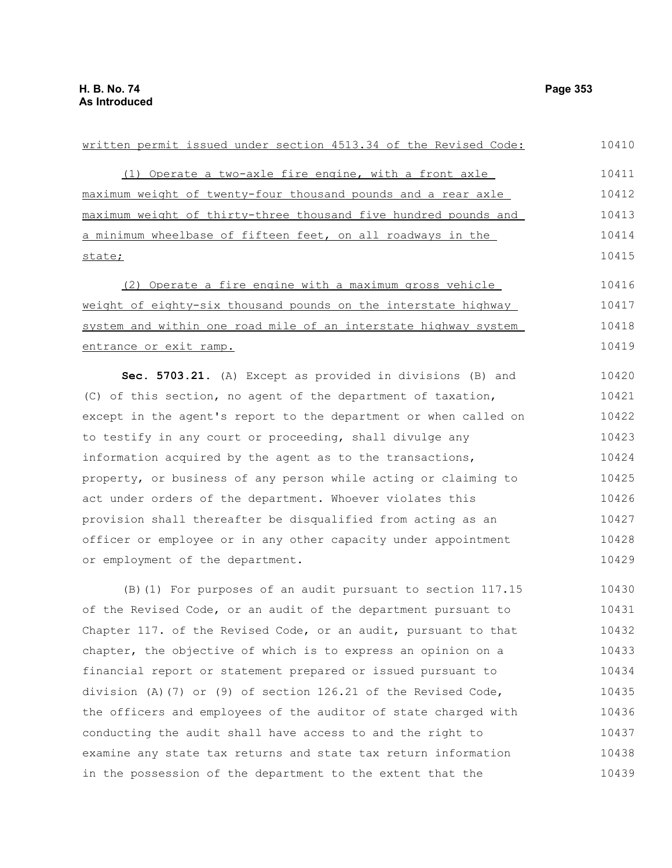| (1) Operate a two-axle fire engine, with a front axle            | 10411 |
|------------------------------------------------------------------|-------|
| maximum weight of twenty-four thousand pounds and a rear axle    | 10412 |
| maximum weight of thirty-three thousand five hundred pounds and  | 10413 |
| a minimum wheelbase of fifteen feet, on all roadways in the      | 10414 |
| state;                                                           | 10415 |
|                                                                  |       |
| (2) Operate a fire engine with a maximum gross vehicle           | 10416 |
| weight of eighty-six thousand pounds on the interstate highway   | 10417 |
| system and within one road mile of an interstate highway system  | 10418 |
| entrance or exit ramp.                                           | 10419 |
| Sec. 5703.21. (A) Except as provided in divisions (B) and        | 10420 |
| (C) of this section, no agent of the department of taxation,     | 10421 |
| except in the agent's report to the department or when called on | 10422 |
| to testify in any court or proceeding, shall divulge any         | 10423 |
| information acquired by the agent as to the transactions,        | 10424 |
| property, or business of any person while acting or claiming to  | 10425 |
| act under orders of the department. Whoever violates this        | 10426 |
| provision shall thereafter be disqualified from acting as an     | 10427 |
| officer or employee or in any other capacity under appointment   | 10428 |
| or employment of the department.                                 | 10429 |
| (B) (1) For purposes of an audit pursuant to section 117.15      | 10430 |
| of the Revised Code, or an audit of the department pursuant to   | 10431 |
| Chapter 117. of the Revised Code, or an audit, pursuant to that  | 10432 |
| chapter, the objective of which is to express an opinion on a    | 10433 |
| financial report or statement prepared or issued pursuant to     | 10434 |
| division (A) (7) or (9) of section 126.21 of the Revised Code,   | 10435 |
| the officers and employees of the auditor of state charged with  | 10436 |
| conducting the audit shall have access to and the right to       | 10437 |
| examine any state tax returns and state tax return information   | 10438 |

in the possession of the department to the extent that the

written permit issued under section 4513.34 of the Revised Code:

10410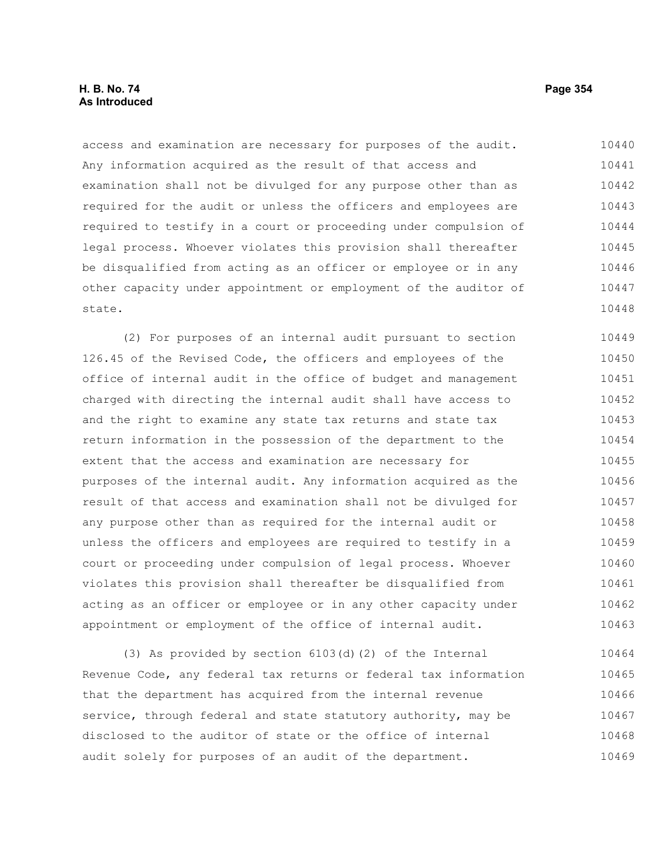# **H. B. No. 74 Page 354 As Introduced**

access and examination are necessary for purposes of the audit. Any information acquired as the result of that access and examination shall not be divulged for any purpose other than as required for the audit or unless the officers and employees are required to testify in a court or proceeding under compulsion of legal process. Whoever violates this provision shall thereafter be disqualified from acting as an officer or employee or in any other capacity under appointment or employment of the auditor of state. 10440 10441 10442 10443 10444 10445 10446 10447 10448

(2) For purposes of an internal audit pursuant to section 126.45 of the Revised Code, the officers and employees of the office of internal audit in the office of budget and management charged with directing the internal audit shall have access to and the right to examine any state tax returns and state tax return information in the possession of the department to the extent that the access and examination are necessary for purposes of the internal audit. Any information acquired as the result of that access and examination shall not be divulged for any purpose other than as required for the internal audit or unless the officers and employees are required to testify in a court or proceeding under compulsion of legal process. Whoever violates this provision shall thereafter be disqualified from acting as an officer or employee or in any other capacity under appointment or employment of the office of internal audit. 10449 10450 10451 10452 10453 10454 10455 10456 10457 10458 10459 10460 10461 10462 10463

(3) As provided by section 6103(d)(2) of the Internal Revenue Code, any federal tax returns or federal tax information that the department has acquired from the internal revenue service, through federal and state statutory authority, may be disclosed to the auditor of state or the office of internal audit solely for purposes of an audit of the department. 10464 10465 10466 10467 10468 10469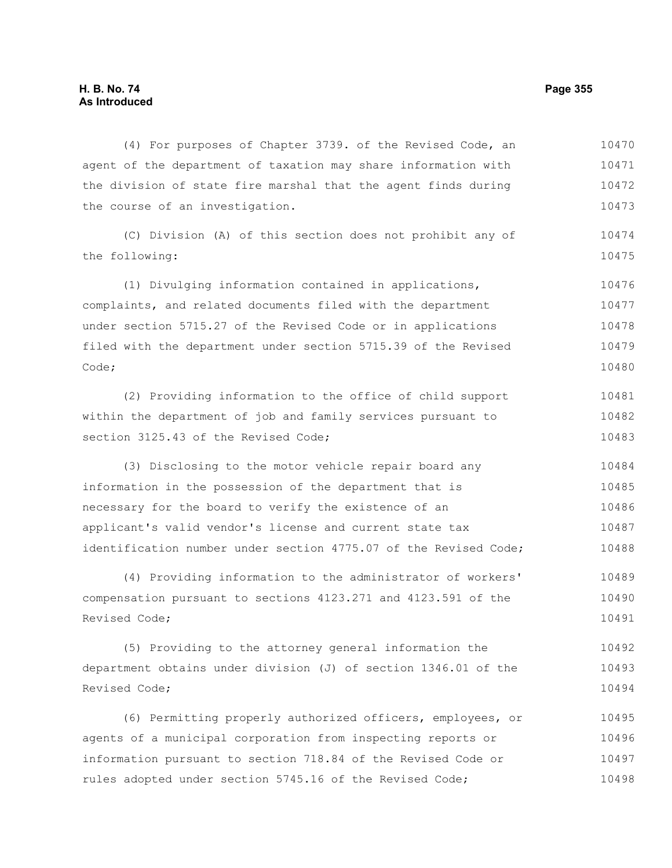agent of the department of taxation may share information with the division of state fire marshal that the agent finds during the course of an investigation. (C) Division (A) of this section does not prohibit any of the following: (1) Divulging information contained in applications, complaints, and related documents filed with the department under section 5715.27 of the Revised Code or in applications filed with the department under section 5715.39 of the Revised Code; (2) Providing information to the office of child support within the department of job and family services pursuant to section 3125.43 of the Revised Code; (3) Disclosing to the motor vehicle repair board any information in the possession of the department that is necessary for the board to verify the existence of an applicant's valid vendor's license and current state tax identification number under section 4775.07 of the Revised Code; (4) Providing information to the administrator of workers' 10471 10472 10473 10474 10475 10476 10477 10478 10479 10480 10481 10482 10483 10484 10485 10486 10487 10488 10489

(4) For purposes of Chapter 3739. of the Revised Code, an

compensation pursuant to sections 4123.271 and 4123.591 of the Revised Code; 10490 10491

(5) Providing to the attorney general information the department obtains under division (J) of section 1346.01 of the Revised Code; 10492 10493 10494

(6) Permitting properly authorized officers, employees, or agents of a municipal corporation from inspecting reports or information pursuant to section 718.84 of the Revised Code or rules adopted under section 5745.16 of the Revised Code; 10495 10496 10497 10498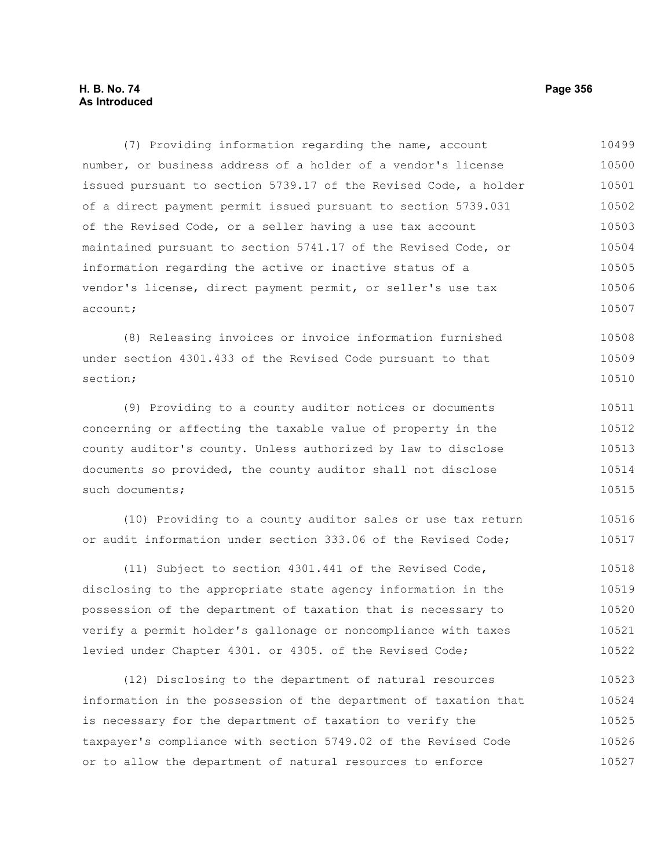# **H. B. No. 74 Page 356 As Introduced**

(7) Providing information regarding the name, account number, or business address of a holder of a vendor's license issued pursuant to section 5739.17 of the Revised Code, a holder of a direct payment permit issued pursuant to section 5739.031 of the Revised Code, or a seller having a use tax account maintained pursuant to section 5741.17 of the Revised Code, or information regarding the active or inactive status of a vendor's license, direct payment permit, or seller's use tax account; 10499 10500 10501 10502 10503 10504 10505 10506 10507

(8) Releasing invoices or invoice information furnished under section 4301.433 of the Revised Code pursuant to that section; 10508 10509 10510

(9) Providing to a county auditor notices or documents concerning or affecting the taxable value of property in the county auditor's county. Unless authorized by law to disclose documents so provided, the county auditor shall not disclose such documents; 10511 10512 10513 10514 10515

(10) Providing to a county auditor sales or use tax return or audit information under section 333.06 of the Revised Code; 10516 10517

(11) Subject to section 4301.441 of the Revised Code, disclosing to the appropriate state agency information in the possession of the department of taxation that is necessary to verify a permit holder's gallonage or noncompliance with taxes levied under Chapter 4301. or 4305. of the Revised Code; 10518 10519 10520 10521 10522

(12) Disclosing to the department of natural resources information in the possession of the department of taxation that is necessary for the department of taxation to verify the taxpayer's compliance with section 5749.02 of the Revised Code or to allow the department of natural resources to enforce 10523 10524 10525 10526 10527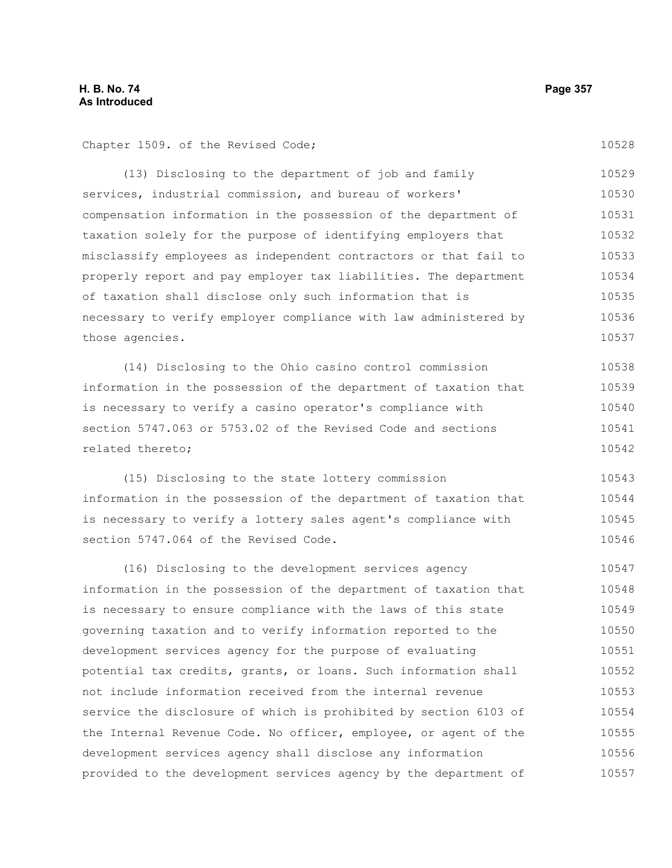Chapter 1509. of the Revised Code;

(13) Disclosing to the department of job and family services, industrial commission, and bureau of workers' compensation information in the possession of the department of taxation solely for the purpose of identifying employers that misclassify employees as independent contractors or that fail to properly report and pay employer tax liabilities. The department of taxation shall disclose only such information that is necessary to verify employer compliance with law administered by those agencies. 10529 10530 10531 10532 10533 10534 10535 10536 10537

(14) Disclosing to the Ohio casino control commission information in the possession of the department of taxation that is necessary to verify a casino operator's compliance with section 5747.063 or 5753.02 of the Revised Code and sections related thereto; 10538 10539 10540 10541 10542

(15) Disclosing to the state lottery commission information in the possession of the department of taxation that is necessary to verify a lottery sales agent's compliance with section 5747.064 of the Revised Code. 10543 10544 10545 10546

(16) Disclosing to the development services agency information in the possession of the department of taxation that is necessary to ensure compliance with the laws of this state governing taxation and to verify information reported to the development services agency for the purpose of evaluating potential tax credits, grants, or loans. Such information shall not include information received from the internal revenue service the disclosure of which is prohibited by section 6103 of the Internal Revenue Code. No officer, employee, or agent of the development services agency shall disclose any information provided to the development services agency by the department of 10547 10548 10549 10550 10551 10552 10553 10554 10555 10556 10557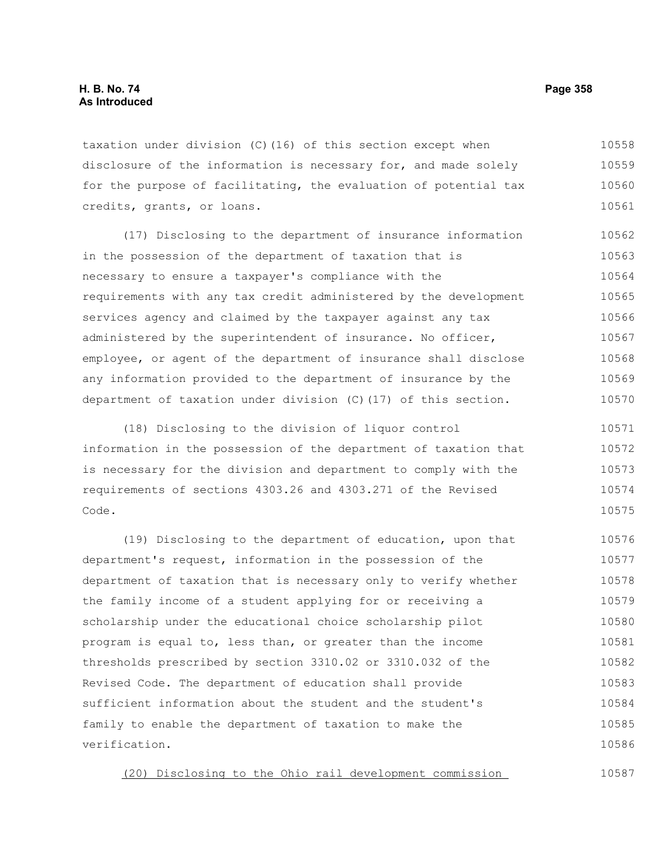taxation under division (C)(16) of this section except when disclosure of the information is necessary for, and made solely for the purpose of facilitating, the evaluation of potential tax credits, grants, or loans. 10558 10559 10560 10561

(17) Disclosing to the department of insurance information in the possession of the department of taxation that is necessary to ensure a taxpayer's compliance with the requirements with any tax credit administered by the development services agency and claimed by the taxpayer against any tax administered by the superintendent of insurance. No officer, employee, or agent of the department of insurance shall disclose any information provided to the department of insurance by the department of taxation under division (C)(17) of this section. 10562 10563 10564 10565 10566 10567 10568 10569 10570

(18) Disclosing to the division of liquor control information in the possession of the department of taxation that is necessary for the division and department to comply with the requirements of sections 4303.26 and 4303.271 of the Revised Code. 10571 10572 10573 10574 10575

(19) Disclosing to the department of education, upon that department's request, information in the possession of the department of taxation that is necessary only to verify whether the family income of a student applying for or receiving a scholarship under the educational choice scholarship pilot program is equal to, less than, or greater than the income thresholds prescribed by section 3310.02 or 3310.032 of the Revised Code. The department of education shall provide sufficient information about the student and the student's family to enable the department of taxation to make the verification. 10576 10577 10578 10579 10580 10581 10582 10583 10584 10585 10586

(20) Disclosing to the Ohio rail development commission 10587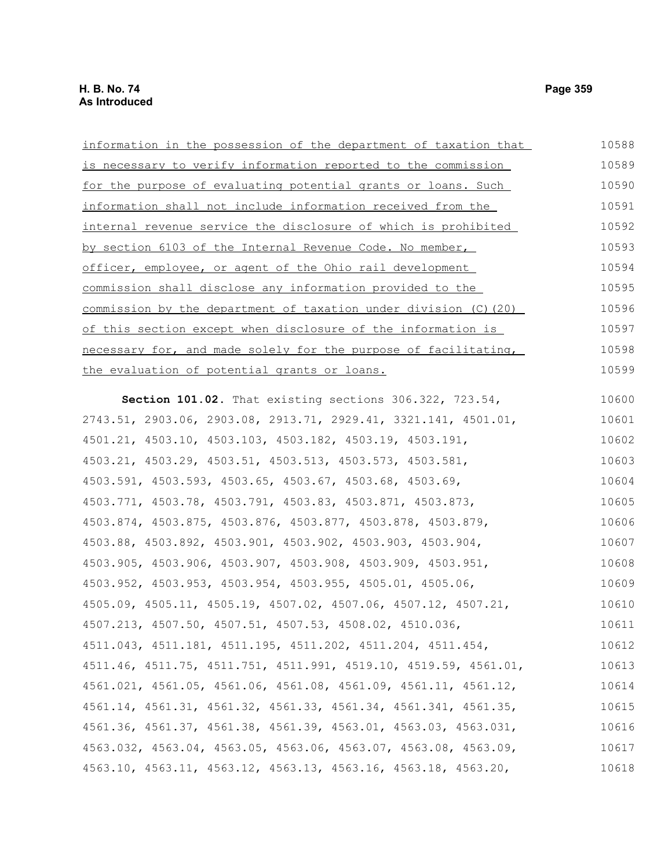| information in the possession of the department of taxation that | 10588 |
|------------------------------------------------------------------|-------|
| is necessary to verify information reported to the commission    | 10589 |
| for the purpose of evaluating potential grants or loans. Such    | 10590 |
| information shall not include information received from the      | 10591 |
| internal revenue service the disclosure of which is prohibited   | 10592 |
| by section 6103 of the Internal Revenue Code. No member,         | 10593 |
| officer, employee, or agent of the Ohio rail development         | 10594 |
| commission shall disclose any information provided to the        | 10595 |
| commission by the department of taxation under division (C) (20) | 10596 |
| of this section except when disclosure of the information is     | 10597 |
| necessary for, and made solely for the purpose of facilitating,  | 10598 |
| the evaluation of potential grants or loans.                     | 10599 |
| Section 101.02. That existing sections 306.322, 723.54,          | 10600 |
| 2743.51, 2903.06, 2903.08, 2913.71, 2929.41, 3321.141, 4501.01,  | 10601 |
| 4501.21, 4503.10, 4503.103, 4503.182, 4503.19, 4503.191,         | 10602 |
| 4503.21, 4503.29, 4503.51, 4503.513, 4503.573, 4503.581,         | 10603 |
| 4503.591, 4503.593, 4503.65, 4503.67, 4503.68, 4503.69,          | 10604 |
| 4503.771, 4503.78, 4503.791, 4503.83, 4503.871, 4503.873,        | 10605 |
| 4503.874, 4503.875, 4503.876, 4503.877, 4503.878, 4503.879,      | 10606 |
| 4503.88, 4503.892, 4503.901, 4503.902, 4503.903, 4503.904,       | 10607 |
| 4503.905, 4503.906, 4503.907, 4503.908, 4503.909, 4503.951,      | 10608 |
| 4503.952, 4503.953, 4503.954, 4503.955, 4505.01, 4505.06,        | 10609 |
| 4505.09, 4505.11, 4505.19, 4507.02, 4507.06, 4507.12, 4507.21,   | 10610 |
| 4507.213, 4507.50, 4507.51, 4507.53, 4508.02, 4510.036,          | 10611 |
| 4511.043, 4511.181, 4511.195, 4511.202, 4511.204, 4511.454,      | 10612 |
| 4511.46, 4511.75, 4511.751, 4511.991, 4519.10, 4519.59, 4561.01, | 10613 |
| 4561.021, 4561.05, 4561.06, 4561.08, 4561.09, 4561.11, 4561.12,  | 10614 |
| 4561.14, 4561.31, 4561.32, 4561.33, 4561.34, 4561.341, 4561.35,  | 10615 |
| 4561.36, 4561.37, 4561.38, 4561.39, 4563.01, 4563.03, 4563.031,  | 10616 |
| 4563.032, 4563.04, 4563.05, 4563.06, 4563.07, 4563.08, 4563.09,  | 10617 |
| 4563.10, 4563.11, 4563.12, 4563.13, 4563.16, 4563.18, 4563.20,   | 10618 |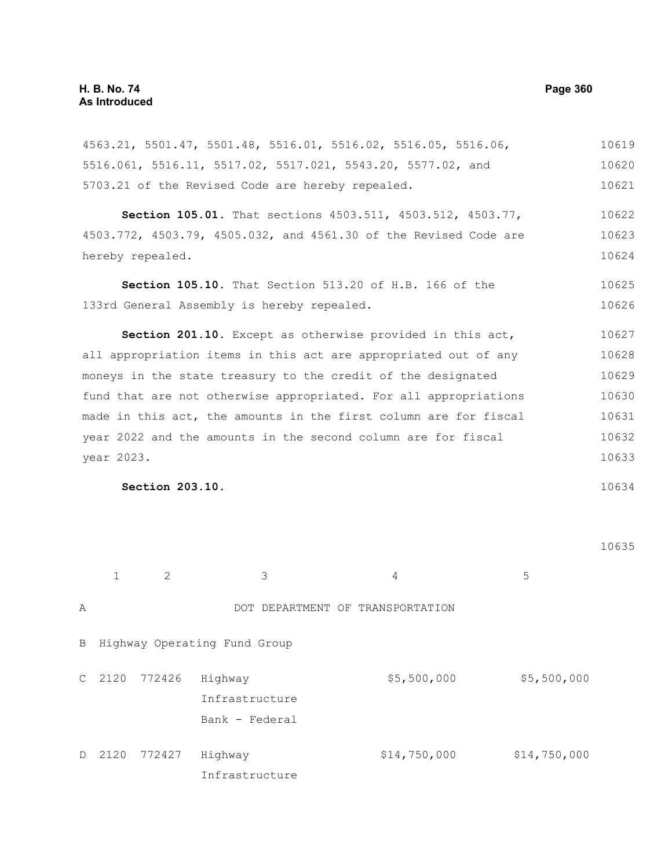| 4563.21, 5501.47, 5501.48, 5516.01, 5516.02, 5516.05, 5516.06,   | 10619 |
|------------------------------------------------------------------|-------|
| 5516.061, 5516.11, 5517.02, 5517.021, 5543.20, 5577.02, and      | 10620 |
| 5703.21 of the Revised Code are hereby repealed.                 | 10621 |
| Section 105.01. That sections 4503.511, 4503.512, 4503.77,       | 10622 |
| 4503.772, 4503.79, 4505.032, and 4561.30 of the Revised Code are | 10623 |
| hereby repealed.                                                 | 10624 |
| Section 105.10. That Section 513.20 of H.B. 166 of the           | 10625 |
| 133rd General Assembly is hereby repealed.                       | 10626 |
| Section 201.10. Except as otherwise provided in this act,        | 10627 |
| all appropriation items in this act are appropriated out of any  | 10628 |
| moneys in the state treasury to the credit of the designated     | 10629 |
| fund that are not otherwise appropriated. For all appropriations | 10630 |
| made in this act, the amounts in the first column are for fiscal | 10631 |
| year 2022 and the amounts in the second column are for fiscal    | 10632 |
| year 2023.                                                       | 10633 |
| Section 203.10.                                                  | 10634 |
|                                                                  |       |
|                                                                  | 10635 |
|                                                                  |       |

A DOT DEPARTMENT OF TRANSPORTATION

 $1 \qquad 2 \qquad 3 \qquad 4 \qquad 5$ 

B Highway Operating Fund Group

- C 2120 772426 Highway Infrastructure Bank - Federal \$5,500,000 \$5,500,000
- D 2120 772427 Highway Infrastructure \$14,750,000 \$14,750,000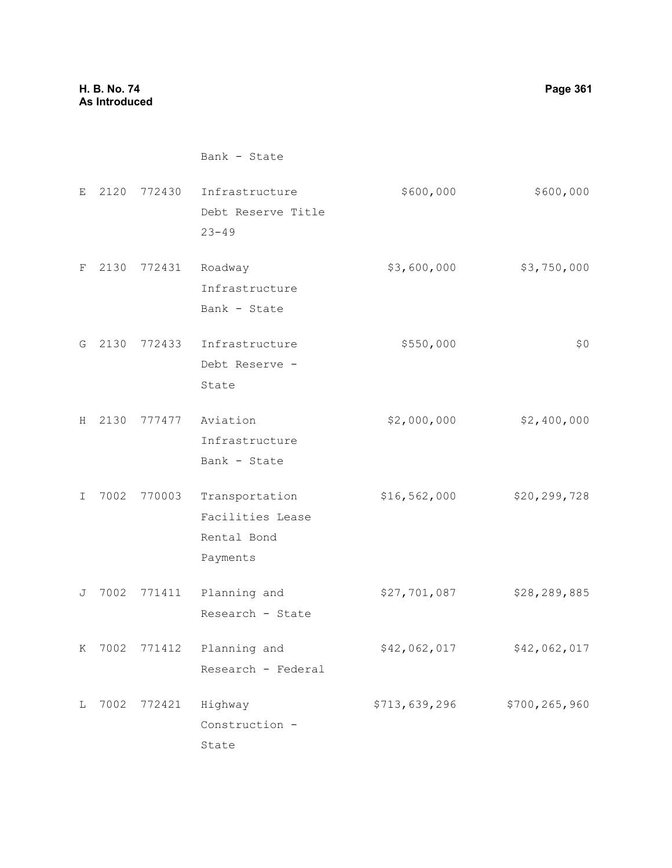Bank - State

- E 2120 772430 Infrastructure Debt Reserve Title  $23 - 49$ \$600,000 \$600,000
- F 2130 772431 Roadway Infrastructure Bank - State \$3,600,000 \$3,750,000
- G 2130 772433 Infrastructure Debt Reserve - State \$550,000 \$0
- H 2130 777477 Aviation Infrastructure Bank - State \$2,000,000 \$2,400,000
- I 7002 770003 Transportation Facilities Lease Rental Bond Payments \$16,562,000 \$20,299,728
- J 7002 771411 Planning and Research - State \$27,701,087 \$28,289,885
- K 7002 771412 Planning and Research - Federal \$42,062,017 \$42,062,017
- L 7002 772421 Highway Construction - State \$713,639,296 \$700,265,960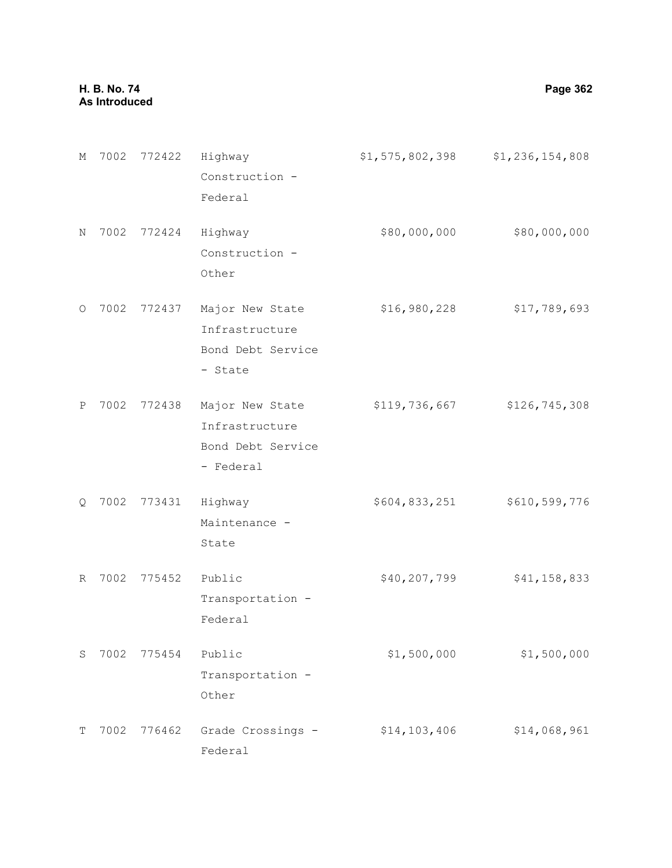| Μ       |      | 7002 772422 | Highway<br>Construction -<br>Federal                                |                | \$1,575,802,398 \$1,236,154,808 |
|---------|------|-------------|---------------------------------------------------------------------|----------------|---------------------------------|
| Ν       |      | 7002 772424 | Highway<br>Construction -<br>Other                                  | \$80,000,000   | \$80,000,000                    |
| $\circ$ |      | 7002 772437 | Major New State<br>Infrastructure<br>Bond Debt Service<br>- State   | \$16,980,228   | \$17,789,693                    |
| Ρ       |      | 7002 772438 | Major New State<br>Infrastructure<br>Bond Debt Service<br>- Federal | \$119,736,667  | \$126,745,308                   |
| Q       |      | 7002 773431 | Highway<br>Maintenance -<br>State                                   | \$604,833,251  | \$610,599,776                   |
| R       |      | 7002 775452 | Public<br>Transportation -<br>Federal                               | \$40,207,799   | \$41,158,833                    |
| S       | 7002 | 775454      | Public<br>Transportation -<br>Other                                 | \$1,500,000    | \$1,500,000                     |
| Т       | 7002 | 776462      | Grade Crossings -<br>Federal                                        | \$14, 103, 406 | \$14,068,961                    |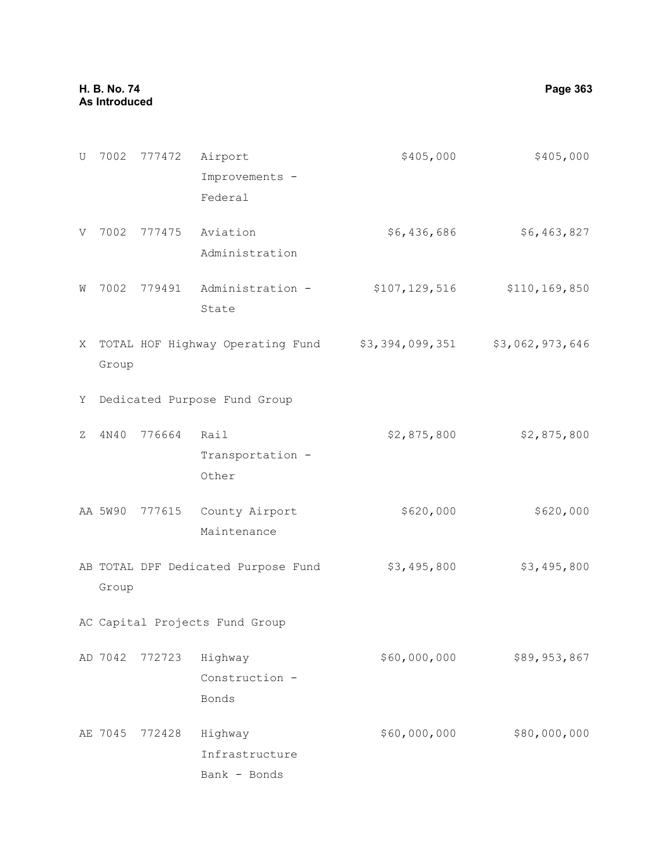# U 7002 777472 Airport Improvements - Federal \$405,000 \$405,000 V 7002 777475 Aviation Administration \$6,436,686 \$6,463,827 W 7002 779491 Administration - \$107,129,516 \$110,169,850 State X TOTAL HOF Highway Operating Fund \$3,394,099,351 \$3,062,973,646 Group Y Dedicated Purpose Fund Group Z 4N40 776664 Rail Transportation - Other \$2,875,800 \$2,875,800 AA 5W90 777615 County Airport Maintenance \$620,000 \$620,000 AB TOTAL DPF Dedicated Purpose Fund Group \$3,495,800 \$3,495,800 AC Capital Projects Fund Group AD 7042 772723 Highway Construction - Bonds \$60,000,000 \$89,953,867 AE 7045 772428 Highway Infrastructure Bank - Bonds \$60,000,000 \$80,000,000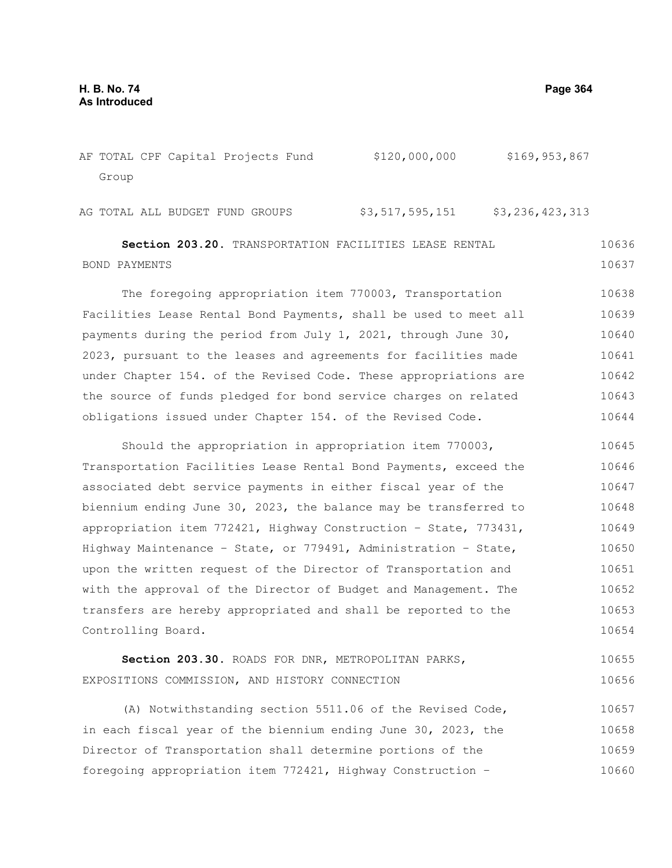AF TOTAL CPF Capital Projects Fund \$120,000,000 \$169,953,867 Group

AG TOTAL ALL BUDGET FUND GROUPS \$3,517,595,151 \$3,236,423,313

**Section 203.20.** TRANSPORTATION FACILITIES LEASE RENTAL BOND PAYMENTS 10636 10637

The foregoing appropriation item 770003, Transportation Facilities Lease Rental Bond Payments, shall be used to meet all payments during the period from July 1, 2021, through June 30, 2023, pursuant to the leases and agreements for facilities made under Chapter 154. of the Revised Code. These appropriations are the source of funds pledged for bond service charges on related obligations issued under Chapter 154. of the Revised Code. 10638 10639 10640 10641 10642 10643 10644

Should the appropriation in appropriation item 770003, Transportation Facilities Lease Rental Bond Payments, exceed the associated debt service payments in either fiscal year of the biennium ending June 30, 2023, the balance may be transferred to appropriation item 772421, Highway Construction – State, 773431, Highway Maintenance – State, or 779491, Administration – State, upon the written request of the Director of Transportation and with the approval of the Director of Budget and Management. The transfers are hereby appropriated and shall be reported to the Controlling Board. 10645 10646 10647 10648 10649 10650 10651 10652 10653 10654

|                                                |  | Section 203.30. ROADS FOR DNR, METROPOLITAN PARKS, |  | 10655 |
|------------------------------------------------|--|----------------------------------------------------|--|-------|
| EXPOSITIONS COMMISSION, AND HISTORY CONNECTION |  |                                                    |  | 10656 |

(A) Notwithstanding section 5511.06 of the Revised Code, in each fiscal year of the biennium ending June 30, 2023, the Director of Transportation shall determine portions of the foregoing appropriation item 772421, Highway Construction – 10657 10658 10659 10660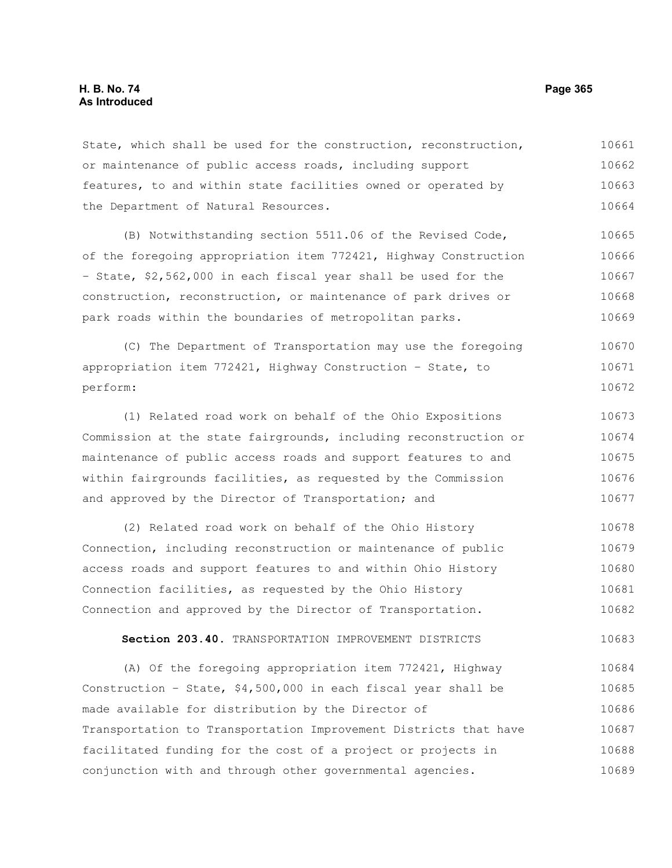#### **H. B. No. 74 Page 365 As Introduced**

State, which shall be used for the construction, reconstruction, or maintenance of public access roads, including support features, to and within state facilities owned or operated by the Department of Natural Resources. 10661 10662 10663 10664

(B) Notwithstanding section 5511.06 of the Revised Code, of the foregoing appropriation item 772421, Highway Construction – State, \$2,562,000 in each fiscal year shall be used for the construction, reconstruction, or maintenance of park drives or park roads within the boundaries of metropolitan parks. 10665 10666 10667 10668 10669

(C) The Department of Transportation may use the foregoing appropriation item 772421, Highway Construction – State, to perform: 10670 10671 10672

(1) Related road work on behalf of the Ohio Expositions Commission at the state fairgrounds, including reconstruction or maintenance of public access roads and support features to and within fairgrounds facilities, as requested by the Commission and approved by the Director of Transportation; and 10673 10674 10675 10676 10677

(2) Related road work on behalf of the Ohio History Connection, including reconstruction or maintenance of public access roads and support features to and within Ohio History Connection facilities, as requested by the Ohio History Connection and approved by the Director of Transportation. 10678 10679 10680 10681 10682

#### **Section 203.40.** TRANSPORTATION IMPROVEMENT DISTRICTS 10683

(A) Of the foregoing appropriation item 772421, Highway Construction – State, \$4,500,000 in each fiscal year shall be made available for distribution by the Director of Transportation to Transportation Improvement Districts that have facilitated funding for the cost of a project or projects in conjunction with and through other governmental agencies. 10684 10685 10686 10687 10688 10689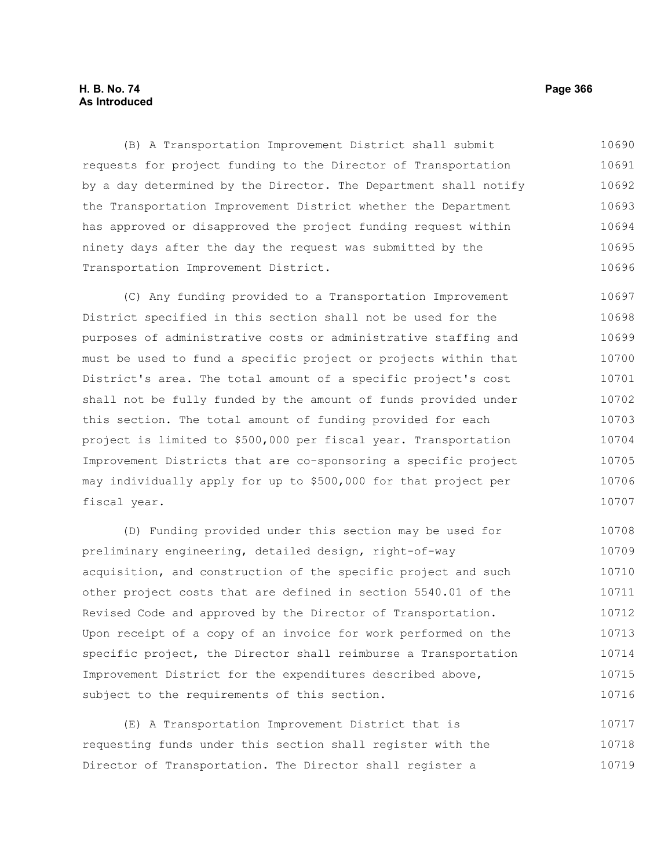#### **H. B. No. 74 Page 366 As Introduced**

(B) A Transportation Improvement District shall submit requests for project funding to the Director of Transportation by a day determined by the Director. The Department shall notify the Transportation Improvement District whether the Department has approved or disapproved the project funding request within ninety days after the day the request was submitted by the Transportation Improvement District. 10690 10691 10692 10693 10694 10695 10696

(C) Any funding provided to a Transportation Improvement District specified in this section shall not be used for the purposes of administrative costs or administrative staffing and must be used to fund a specific project or projects within that District's area. The total amount of a specific project's cost shall not be fully funded by the amount of funds provided under this section. The total amount of funding provided for each project is limited to \$500,000 per fiscal year. Transportation Improvement Districts that are co-sponsoring a specific project may individually apply for up to \$500,000 for that project per fiscal year. 10697 10698 10699 10700 10701 10702 10703 10704 10705 10706 10707

(D) Funding provided under this section may be used for preliminary engineering, detailed design, right-of-way acquisition, and construction of the specific project and such other project costs that are defined in section 5540.01 of the Revised Code and approved by the Director of Transportation. Upon receipt of a copy of an invoice for work performed on the specific project, the Director shall reimburse a Transportation Improvement District for the expenditures described above, subject to the requirements of this section. 10708 10709 10710 10711 10712 10713 10714 10715 10716

(E) A Transportation Improvement District that is requesting funds under this section shall register with the Director of Transportation. The Director shall register a 10717 10718 10719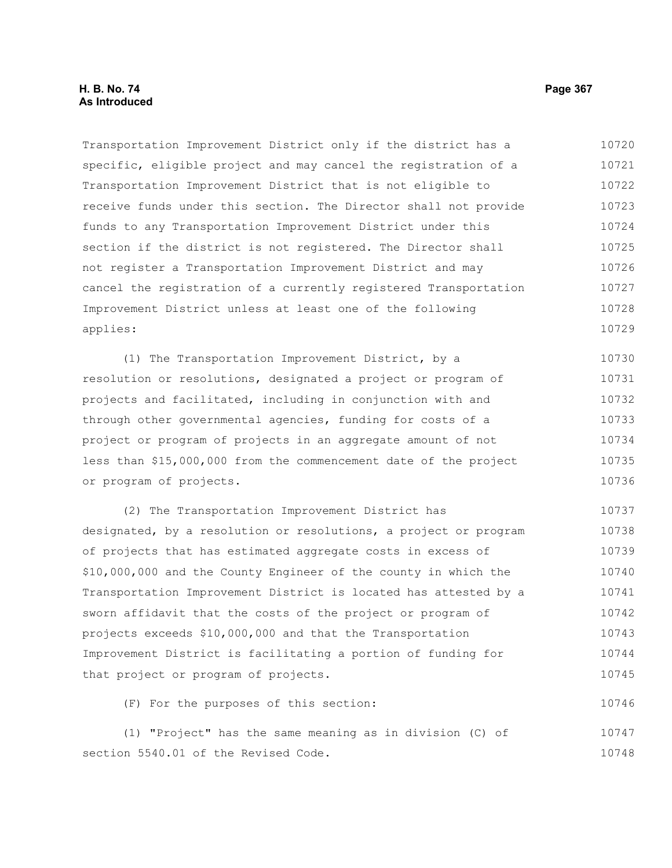#### **H. B. No. 74 Page 367 As Introduced**

Transportation Improvement District only if the district has a specific, eligible project and may cancel the registration of a Transportation Improvement District that is not eligible to receive funds under this section. The Director shall not provide funds to any Transportation Improvement District under this section if the district is not registered. The Director shall not register a Transportation Improvement District and may cancel the registration of a currently registered Transportation Improvement District unless at least one of the following applies: 10720 10721 10722 10723 10724 10725 10726 10727 10728 10729

(1) The Transportation Improvement District, by a resolution or resolutions, designated a project or program of projects and facilitated, including in conjunction with and through other governmental agencies, funding for costs of a project or program of projects in an aggregate amount of not less than \$15,000,000 from the commencement date of the project or program of projects. 10730 10731 10732 10733 10734 10735 10736

(2) The Transportation Improvement District has designated, by a resolution or resolutions, a project or program of projects that has estimated aggregate costs in excess of \$10,000,000 and the County Engineer of the county in which the Transportation Improvement District is located has attested by a sworn affidavit that the costs of the project or program of projects exceeds \$10,000,000 and that the Transportation Improvement District is facilitating a portion of funding for that project or program of projects. 10737 10738 10739 10740 10741 10742 10743 10744 10745

(F) For the purposes of this section:

(1) "Project" has the same meaning as in division (C) of section 5540.01 of the Revised Code. 10747 10748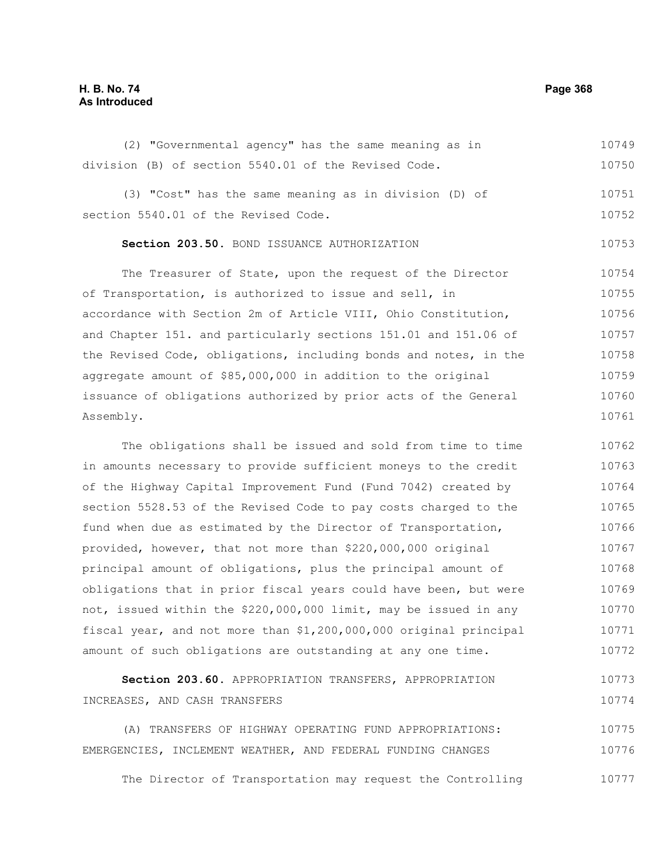#### **H. B. No. 74 Page 368 As Introduced**

(2) "Governmental agency" has the same meaning as in division (B) of section 5540.01 of the Revised Code. 10749 10750

(3) "Cost" has the same meaning as in division (D) of section 5540.01 of the Revised Code. 10751 10752

#### **Section 203.50.** BOND ISSUANCE AUTHORIZATION

The Treasurer of State, upon the request of the Director of Transportation, is authorized to issue and sell, in accordance with Section 2m of Article VIII, Ohio Constitution, and Chapter 151. and particularly sections 151.01 and 151.06 of the Revised Code, obligations, including bonds and notes, in the aggregate amount of \$85,000,000 in addition to the original issuance of obligations authorized by prior acts of the General Assembly. 10754 10755 10756 10757 10758 10759 10760 10761

The obligations shall be issued and sold from time to time in amounts necessary to provide sufficient moneys to the credit of the Highway Capital Improvement Fund (Fund 7042) created by section 5528.53 of the Revised Code to pay costs charged to the fund when due as estimated by the Director of Transportation, provided, however, that not more than \$220,000,000 original principal amount of obligations, plus the principal amount of obligations that in prior fiscal years could have been, but were not, issued within the \$220,000,000 limit, may be issued in any fiscal year, and not more than \$1,200,000,000 original principal amount of such obligations are outstanding at any one time. 10762 10763 10764 10765 10766 10767 10768 10769 10770 10771 10772

**Section 203.60.** APPROPRIATION TRANSFERS, APPROPRIATION INCREASES, AND CASH TRANSFERS 10773 10774

(A) TRANSFERS OF HIGHWAY OPERATING FUND APPROPRIATIONS: EMERGENCIES, INCLEMENT WEATHER, AND FEDERAL FUNDING CHANGES 10775 10776

The Director of Transportation may request the Controlling 10777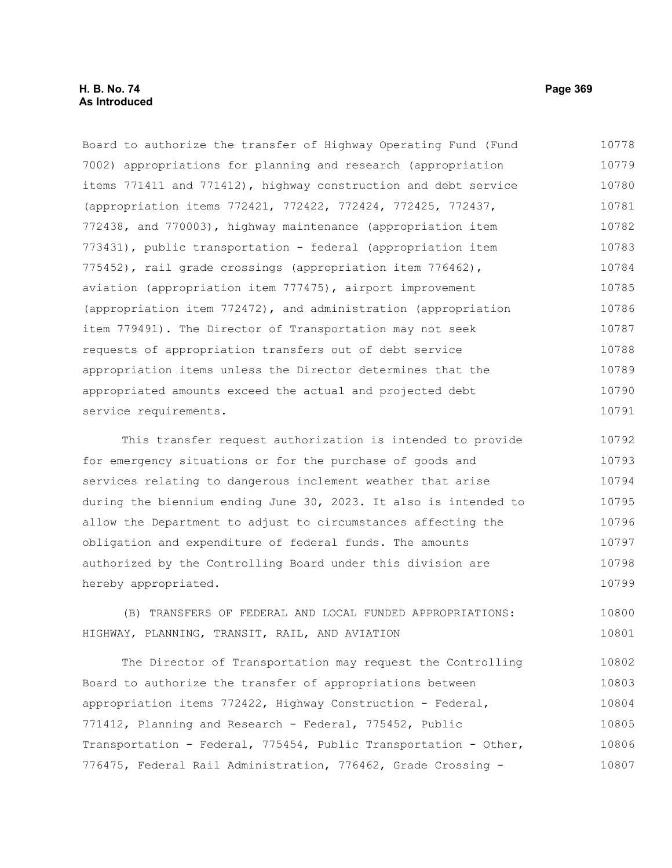Board to authorize the transfer of Highway Operating Fund (Fund 7002) appropriations for planning and research (appropriation items 771411 and 771412), highway construction and debt service (appropriation items 772421, 772422, 772424, 772425, 772437, 772438, and 770003), highway maintenance (appropriation item 773431), public transportation - federal (appropriation item 775452), rail grade crossings (appropriation item 776462), aviation (appropriation item 777475), airport improvement (appropriation item 772472), and administration (appropriation item 779491). The Director of Transportation may not seek requests of appropriation transfers out of debt service appropriation items unless the Director determines that the appropriated amounts exceed the actual and projected debt service requirements. 10778 10779 10780 10781 10782 10783 10784 10785 10786 10787 10788 10789 10790 10791

This transfer request authorization is intended to provide for emergency situations or for the purchase of goods and services relating to dangerous inclement weather that arise during the biennium ending June 30, 2023. It also is intended to allow the Department to adjust to circumstances affecting the obligation and expenditure of federal funds. The amounts authorized by the Controlling Board under this division are hereby appropriated. 10792 10793 10794 10795 10796 10797 10798 10799

(B) TRANSFERS OF FEDERAL AND LOCAL FUNDED APPROPRIATIONS: HIGHWAY, PLANNING, TRANSIT, RAIL, AND AVIATION 10800 10801

The Director of Transportation may request the Controlling Board to authorize the transfer of appropriations between appropriation items 772422, Highway Construction - Federal, 771412, Planning and Research - Federal, 775452, Public Transportation - Federal, 775454, Public Transportation - Other, 776475, Federal Rail Administration, 776462, Grade Crossing - 10802 10803 10804 10805 10806 10807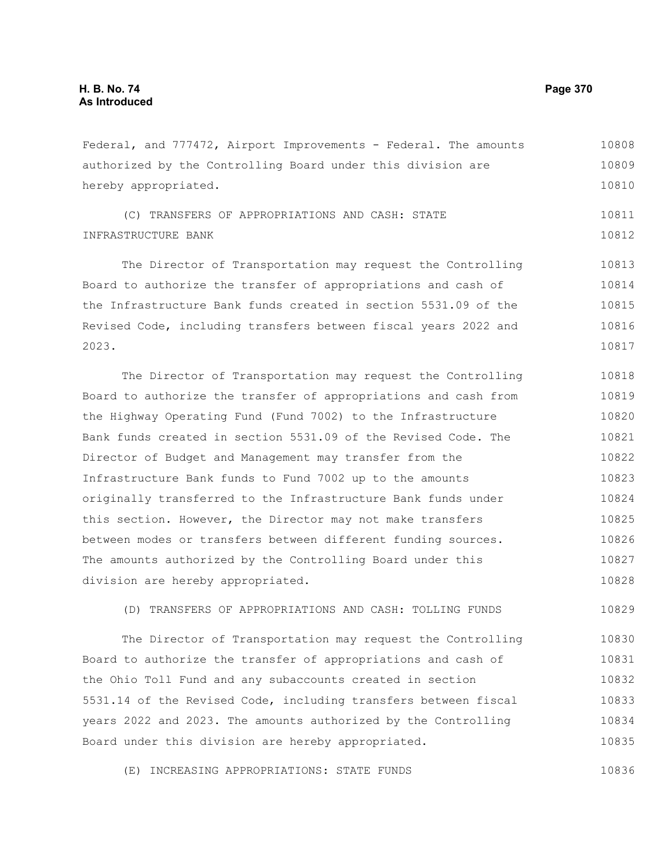Federal, and 777472, Airport Improvements - Federal. The amounts authorized by the Controlling Board under this division are hereby appropriated. (C) TRANSFERS OF APPROPRIATIONS AND CASH: STATE INFRASTRUCTURE BANK The Director of Transportation may request the Controlling Board to authorize the transfer of appropriations and cash of the Infrastructure Bank funds created in section 5531.09 of the Revised Code, including transfers between fiscal years 2022 and 2023. The Director of Transportation may request the Controlling Board to authorize the transfer of appropriations and cash from the Highway Operating Fund (Fund 7002) to the Infrastructure Bank funds created in section 5531.09 of the Revised Code. The Director of Budget and Management may transfer from the 10808 10809 10810 10811 10812 10813 10814 10815 10816 10817 10818 10819 10820 10821 10822

Infrastructure Bank funds to Fund 7002 up to the amounts originally transferred to the Infrastructure Bank funds under this section. However, the Director may not make transfers between modes or transfers between different funding sources. The amounts authorized by the Controlling Board under this division are hereby appropriated. 10823 10824 10825 10826 10827 10828

(D) TRANSFERS OF APPROPRIATIONS AND CASH: TOLLING FUNDS 10829

The Director of Transportation may request the Controlling Board to authorize the transfer of appropriations and cash of the Ohio Toll Fund and any subaccounts created in section 5531.14 of the Revised Code, including transfers between fiscal years 2022 and 2023. The amounts authorized by the Controlling Board under this division are hereby appropriated. 10830 10831 10832 10833 10834 10835

(E) INCREASING APPROPRIATIONS: STATE FUNDS 10836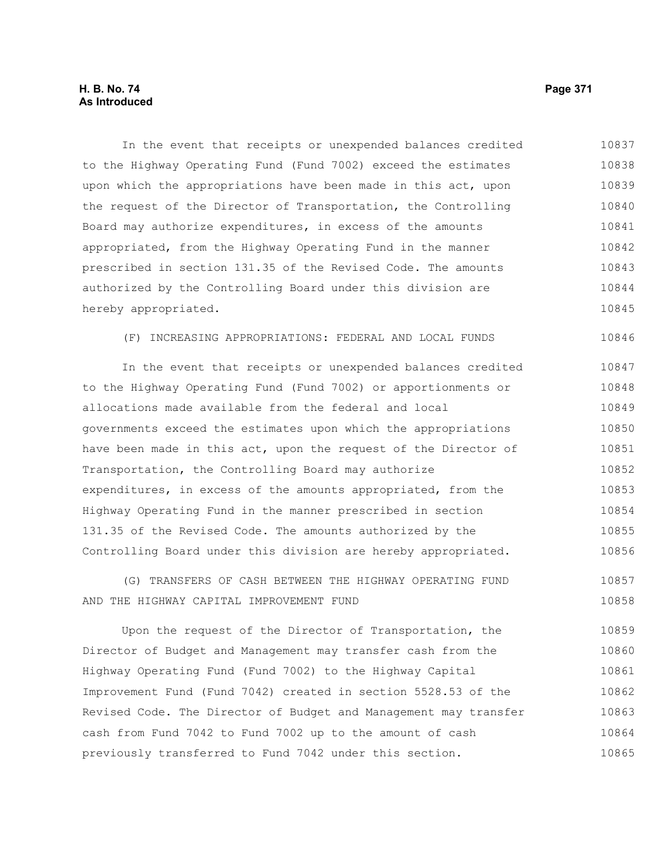#### **H. B. No. 74 Page 371 As Introduced**

In the event that receipts or unexpended balances credited to the Highway Operating Fund (Fund 7002) exceed the estimates upon which the appropriations have been made in this act, upon the request of the Director of Transportation, the Controlling Board may authorize expenditures, in excess of the amounts appropriated, from the Highway Operating Fund in the manner prescribed in section 131.35 of the Revised Code. The amounts authorized by the Controlling Board under this division are hereby appropriated. 10837 10838 10839 10840 10841 10842 10843 10844 10845

### (F) INCREASING APPROPRIATIONS: FEDERAL AND LOCAL FUNDS

In the event that receipts or unexpended balances credited to the Highway Operating Fund (Fund 7002) or apportionments or allocations made available from the federal and local governments exceed the estimates upon which the appropriations have been made in this act, upon the request of the Director of Transportation, the Controlling Board may authorize expenditures, in excess of the amounts appropriated, from the Highway Operating Fund in the manner prescribed in section 131.35 of the Revised Code. The amounts authorized by the Controlling Board under this division are hereby appropriated. 10847 10848 10849 10850 10851 10852 10853 10854 10855 10856

(G) TRANSFERS OF CASH BETWEEN THE HIGHWAY OPERATING FUND AND THE HIGHWAY CAPITAL IMPROVEMENT FUND 10857 10858

Upon the request of the Director of Transportation, the Director of Budget and Management may transfer cash from the Highway Operating Fund (Fund 7002) to the Highway Capital Improvement Fund (Fund 7042) created in section 5528.53 of the Revised Code. The Director of Budget and Management may transfer cash from Fund 7042 to Fund 7002 up to the amount of cash previously transferred to Fund 7042 under this section. 10859 10860 10861 10862 10863 10864 10865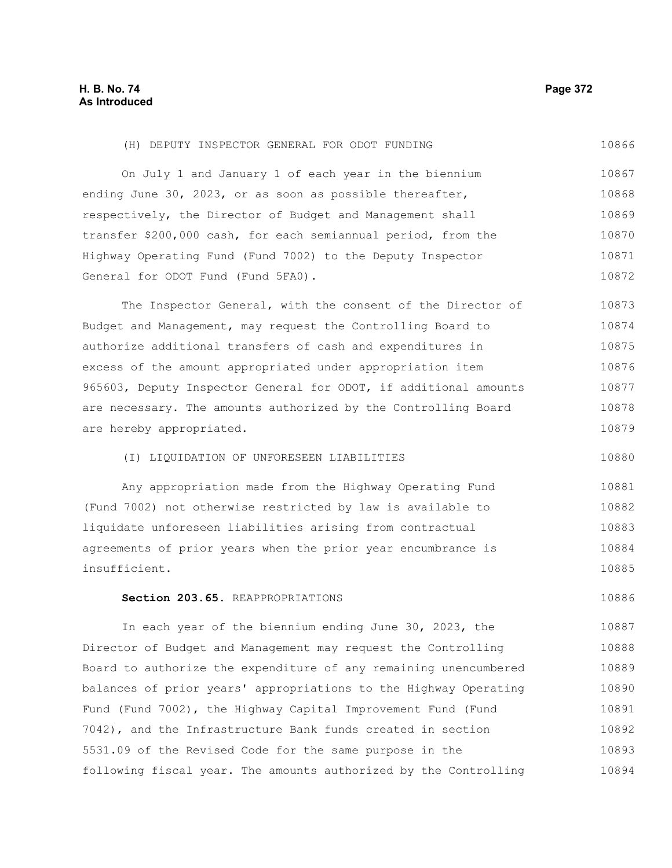| (H) DEPUTY INSPECTOR GENERAL FOR ODOT FUNDING                    | 10866 |
|------------------------------------------------------------------|-------|
| On July 1 and January 1 of each year in the biennium             | 10867 |
| ending June 30, 2023, or as soon as possible thereafter,         | 10868 |
| respectively, the Director of Budget and Management shall        | 10869 |
| transfer \$200,000 cash, for each semiannual period, from the    | 10870 |
| Highway Operating Fund (Fund 7002) to the Deputy Inspector       | 10871 |
| General for ODOT Fund (Fund 5FA0).                               | 10872 |
| The Inspector General, with the consent of the Director of       | 10873 |
| Budget and Management, may request the Controlling Board to      | 10874 |
| authorize additional transfers of cash and expenditures in       | 10875 |
| excess of the amount appropriated under appropriation item       | 10876 |
| 965603, Deputy Inspector General for ODOT, if additional amounts | 10877 |
| are necessary. The amounts authorized by the Controlling Board   | 10878 |
| are hereby appropriated.                                         | 10879 |
| (I) LIQUIDATION OF UNFORESEEN LIABILITIES                        | 10880 |
| Any appropriation made from the Highway Operating Fund           | 10881 |
| (Fund 7002) not otherwise restricted by law is available to      | 10882 |
| liquidate unforeseen liabilities arising from contractual        | 10883 |
| agreements of prior years when the prior year encumbrance is     | 10884 |
| insufficient.                                                    | 10885 |
| Section 203.65. REAPPROPRIATIONS                                 | 10886 |
| In each year of the biennium ending June 30, 2023, the           | 10887 |
| Director of Budget and Management may request the Controlling    | 10888 |
| Board to authorize the expenditure of any remaining unencumbered | 10889 |
| balances of prior years' appropriations to the Highway Operating | 10890 |
| Fund (Fund 7002), the Highway Capital Improvement Fund (Fund     | 10891 |
| 7042), and the Infrastructure Bank funds created in section      | 10892 |
| 5531.09 of the Revised Code for the same purpose in the          | 10893 |
| following fiscal year. The amounts authorized by the Controlling | 10894 |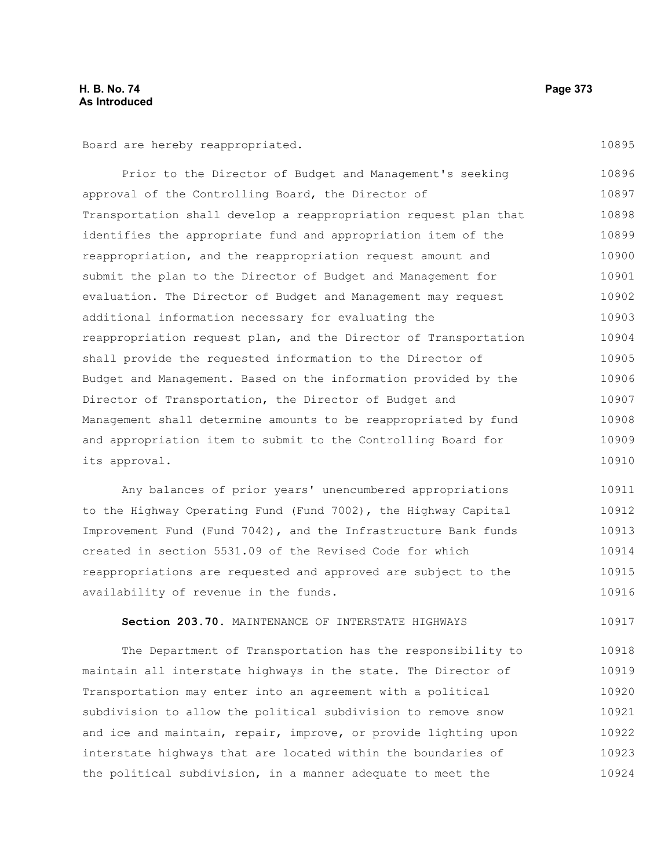Board are hereby reappropriated.

Prior to the Director of Budget and Management's seeking approval of the Controlling Board, the Director of Transportation shall develop a reappropriation request plan that identifies the appropriate fund and appropriation item of the reappropriation, and the reappropriation request amount and submit the plan to the Director of Budget and Management for evaluation. The Director of Budget and Management may request additional information necessary for evaluating the reappropriation request plan, and the Director of Transportation shall provide the requested information to the Director of Budget and Management. Based on the information provided by the Director of Transportation, the Director of Budget and Management shall determine amounts to be reappropriated by fund and appropriation item to submit to the Controlling Board for its approval. 10896 10897 10898 10899 10900 10901 10902 10903 10904 10905 10906 10907 10908 10909 10910

Any balances of prior years' unencumbered appropriations to the Highway Operating Fund (Fund 7002), the Highway Capital Improvement Fund (Fund 7042), and the Infrastructure Bank funds created in section 5531.09 of the Revised Code for which reappropriations are requested and approved are subject to the availability of revenue in the funds. 10911 10912 10913 10914 10915 10916

#### **Section 203.70.** MAINTENANCE OF INTERSTATE HIGHWAYS

The Department of Transportation has the responsibility to maintain all interstate highways in the state. The Director of Transportation may enter into an agreement with a political subdivision to allow the political subdivision to remove snow and ice and maintain, repair, improve, or provide lighting upon interstate highways that are located within the boundaries of the political subdivision, in a manner adequate to meet the 10918 10919 10920 10921 10922 10923 10924

10895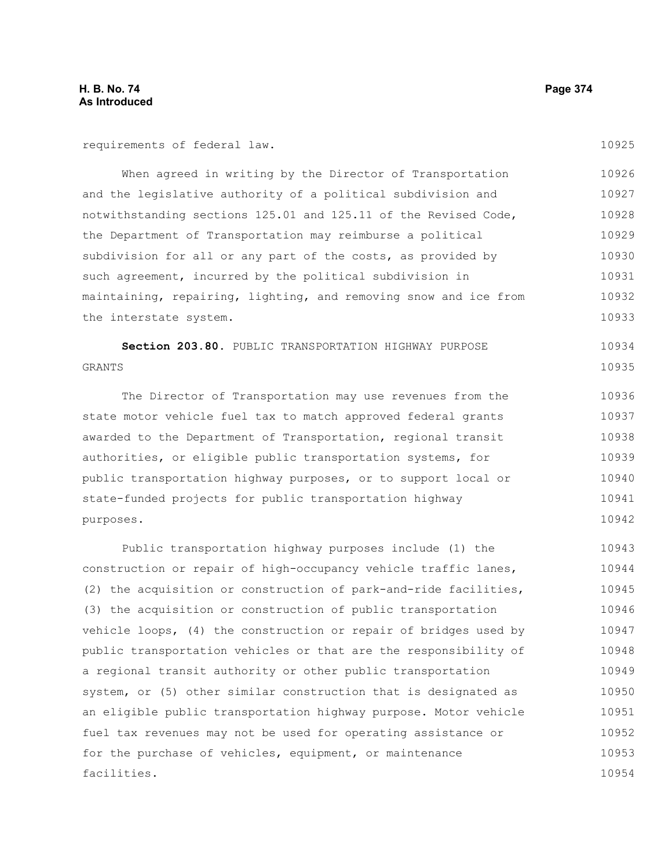#### **H. B. No. 74 Page 374 As Introduced**

requirements of federal law.

When agreed in writing by the Director of Transportation and the legislative authority of a political subdivision and notwithstanding sections 125.01 and 125.11 of the Revised Code, the Department of Transportation may reimburse a political subdivision for all or any part of the costs, as provided by such agreement, incurred by the political subdivision in maintaining, repairing, lighting, and removing snow and ice from the interstate system. 10926 10927 10928 10929 10930 10931 10932 10933

**Section 203.80.** PUBLIC TRANSPORTATION HIGHWAY PURPOSE GRANTS 10934 10935

The Director of Transportation may use revenues from the state motor vehicle fuel tax to match approved federal grants awarded to the Department of Transportation, regional transit authorities, or eligible public transportation systems, for public transportation highway purposes, or to support local or state-funded projects for public transportation highway purposes. 10936 10937 10938 10939 10940 10941 10942

Public transportation highway purposes include (1) the construction or repair of high-occupancy vehicle traffic lanes, (2) the acquisition or construction of park-and-ride facilities, (3) the acquisition or construction of public transportation vehicle loops, (4) the construction or repair of bridges used by public transportation vehicles or that are the responsibility of a regional transit authority or other public transportation system, or (5) other similar construction that is designated as an eligible public transportation highway purpose. Motor vehicle fuel tax revenues may not be used for operating assistance or for the purchase of vehicles, equipment, or maintenance facilities. 10943 10944 10945 10946 10947 10948 10949 10950 10951 10952 10953 10954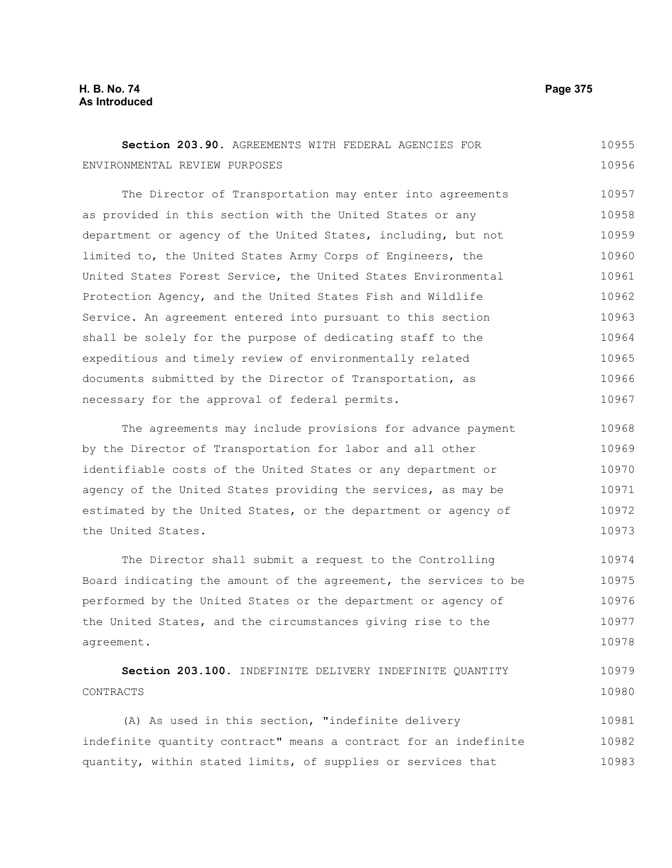#### **H. B. No. 74 Page 375 As Introduced**

**Section 203.90.** AGREEMENTS WITH FEDERAL AGENCIES FOR ENVIRONMENTAL REVIEW PURPOSES 10955 10956

The Director of Transportation may enter into agreements as provided in this section with the United States or any department or agency of the United States, including, but not limited to, the United States Army Corps of Engineers, the United States Forest Service, the United States Environmental Protection Agency, and the United States Fish and Wildlife Service. An agreement entered into pursuant to this section shall be solely for the purpose of dedicating staff to the expeditious and timely review of environmentally related documents submitted by the Director of Transportation, as necessary for the approval of federal permits. 10957 10958 10959 10960 10961 10962 10963 10964 10965 10966 10967

The agreements may include provisions for advance payment by the Director of Transportation for labor and all other identifiable costs of the United States or any department or agency of the United States providing the services, as may be estimated by the United States, or the department or agency of the United States. 10968 10969 10970 10971 10972 10973

The Director shall submit a request to the Controlling Board indicating the amount of the agreement, the services to be performed by the United States or the department or agency of the United States, and the circumstances giving rise to the agreement. 10974 10975 10976 10977 10978

```
Section 203.100. INDEFINITE DELIVERY INDEFINITE QUANTITY
CONTRACTS 
                                                                             10979
                                                                             10980
```
(A) As used in this section, "indefinite delivery indefinite quantity contract" means a contract for an indefinite quantity, within stated limits, of supplies or services that 10981 10982 10983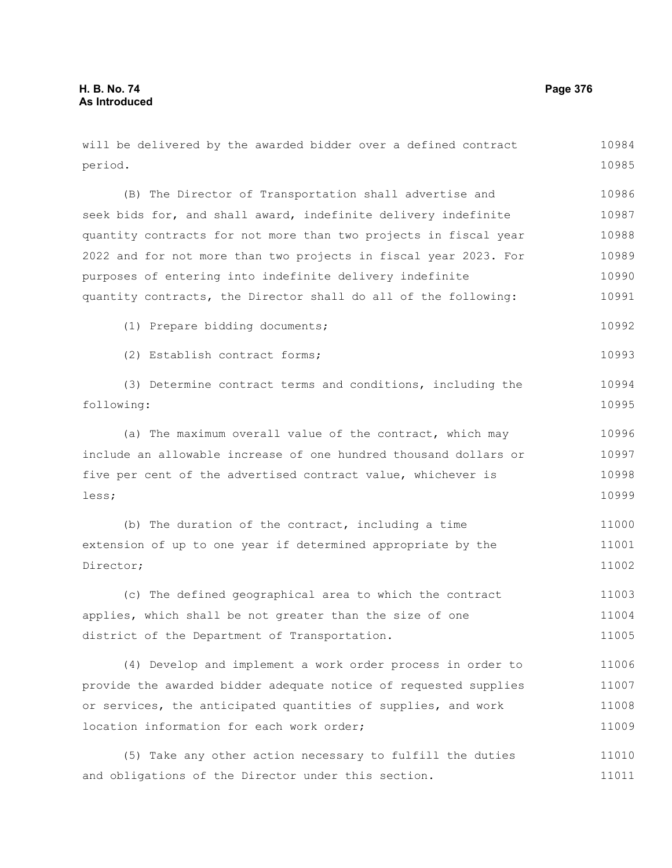| will be delivered by the awarded bidder over a defined contract  | 10984 |
|------------------------------------------------------------------|-------|
| period.                                                          | 10985 |
| (B) The Director of Transportation shall advertise and           | 10986 |
| seek bids for, and shall award, indefinite delivery indefinite   | 10987 |
| quantity contracts for not more than two projects in fiscal year | 10988 |
| 2022 and for not more than two projects in fiscal year 2023. For | 10989 |
| purposes of entering into indefinite delivery indefinite         | 10990 |
| quantity contracts, the Director shall do all of the following:  | 10991 |
| (1) Prepare bidding documents;                                   | 10992 |
| (2) Establish contract forms;                                    | 10993 |
| (3) Determine contract terms and conditions, including the       | 10994 |
| following:                                                       | 10995 |
| (a) The maximum overall value of the contract, which may         | 10996 |
| include an allowable increase of one hundred thousand dollars or | 10997 |
| five per cent of the advertised contract value, whichever is     | 10998 |
| less;                                                            | 10999 |
| (b) The duration of the contract, including a time               | 11000 |
| extension of up to one year if determined appropriate by the     | 11001 |
| Director;                                                        | 11002 |
| (c) The defined geographical area to which the contract          | 11003 |
| applies, which shall be not greater than the size of one         | 11004 |
| district of the Department of Transportation.                    | 11005 |
| (4) Develop and implement a work order process in order to       | 11006 |
| provide the awarded bidder adequate notice of requested supplies | 11007 |
| or services, the anticipated quantities of supplies, and work    | 11008 |
| location information for each work order;                        | 11009 |
| (5) Take any other action necessary to fulfill the duties        | 11010 |
| and obligations of the Director under this section.              | 11011 |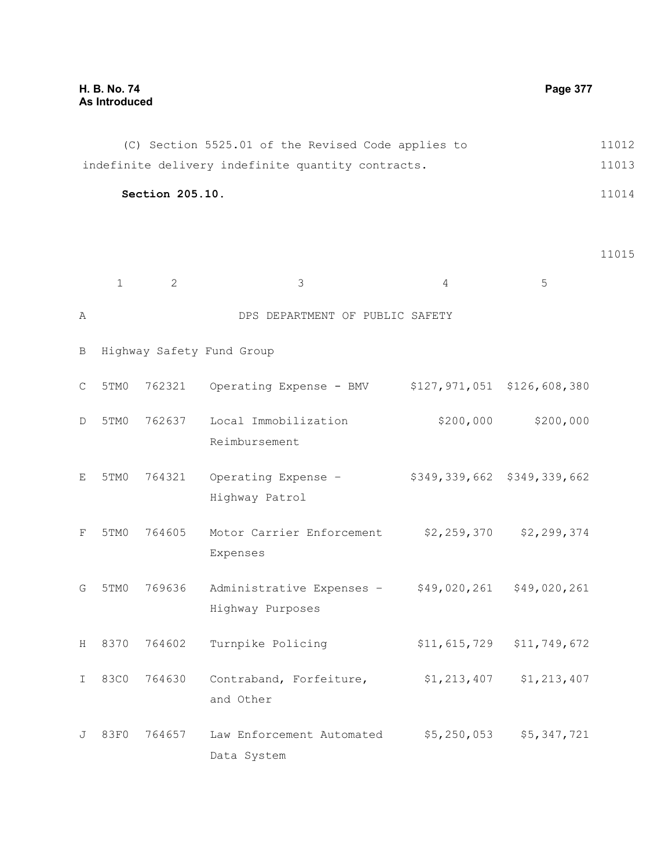| (C) Section 5525.01 of the Revised Code applies to |                          |                |                                                                         |                             |              |       |  |  |  |
|----------------------------------------------------|--------------------------|----------------|-------------------------------------------------------------------------|-----------------------------|--------------|-------|--|--|--|
| indefinite delivery indefinite quantity contracts. |                          |                |                                                                         |                             |              |       |  |  |  |
|                                                    | Section 205.10.<br>11014 |                |                                                                         |                             |              |       |  |  |  |
|                                                    |                          |                |                                                                         |                             |              | 11015 |  |  |  |
|                                                    | $\mathbf{1}$             | $\overline{2}$ | 3                                                                       | 4                           | 5            |       |  |  |  |
| Α                                                  |                          |                | DPS DEPARTMENT OF PUBLIC SAFETY                                         |                             |              |       |  |  |  |
| B                                                  |                          |                | Highway Safety Fund Group                                               |                             |              |       |  |  |  |
| $\mathsf C$                                        | 5TM0                     | 762321         |                                                                         |                             |              |       |  |  |  |
| D                                                  | 5TM0                     | 762637         | Local Immobilization<br>Reimbursement                                   | \$200,000                   | \$200,000    |       |  |  |  |
| E                                                  | 5TM0                     | 764321         | Operating Expense -<br>Highway Patrol                                   | \$349,339,662 \$349,339,662 |              |       |  |  |  |
| $\mathbf F$                                        | 5TM0                     | 764605         | Motor Carrier Enforcement \$2,259,370<br>Expenses                       |                             | \$2,299,374  |       |  |  |  |
| G                                                  | 5TM0                     | 769636         | Administrative Expenses - \$49,020,261 \$49,020,261<br>Highway Purposes |                             |              |       |  |  |  |
| Η                                                  | 8370                     | 764602         | Turnpike Policing                                                       | \$11,615,729                | \$11,749,672 |       |  |  |  |
| I                                                  | 83C0                     | 764630         | Contraband, Forfeiture,<br>and Other                                    | \$1, 213, 407               | \$1,213,407  |       |  |  |  |
| J                                                  | 83F0                     | 764657         | Law Enforcement Automated                                               | \$5,250,053                 | \$5,347,721  |       |  |  |  |

Data System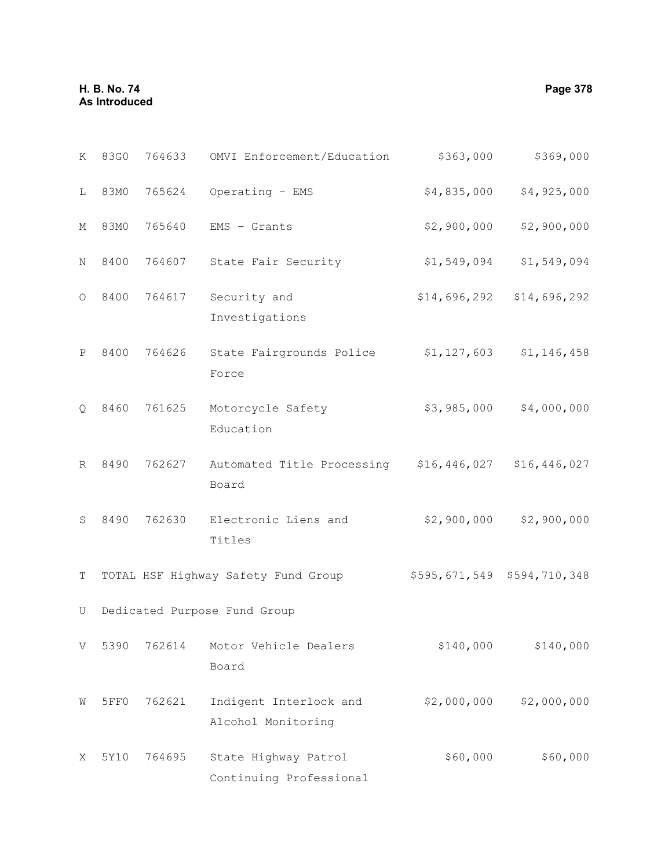## **H. B. No. 74 Page 378 As Introduced**

| Κ           | 83G0 | 764633 | OMVI Enforcement/Education                                    | \$363,000                   | \$369,000                 |
|-------------|------|--------|---------------------------------------------------------------|-----------------------------|---------------------------|
| L           | 83M0 | 765624 | Operating - EMS                                               | \$4,835,000                 | \$4,925,000               |
| М           | 83M0 | 765640 | $EMS - Grants$                                                | \$2,900,000                 | \$2,900,000               |
| N           | 8400 | 764607 | State Fair Security                                           |                             | $$1,549,094$ $$1,549,094$ |
| $\circ$     | 8400 | 764617 | Security and<br>Investigations                                | \$14,696,292                | \$14,696,292              |
| $\mathbf P$ | 8400 | 764626 | State Fairgrounds Police \$1,127,603 \$1,146,458<br>Force     |                             |                           |
| Q.          | 8460 | 761625 | Motorcycle Safety<br>Education                                |                             | \$3,985,000 \$4,000,000   |
| R           | 8490 | 762627 | Automated Title Processing \$16,446,027 \$16,446,027<br>Board |                             |                           |
| S           | 8490 | 762630 | Electronic Liens and<br>Titles                                |                             | $$2,900,000$ $$2,900,000$ |
| Τ           |      |        | TOTAL HSF Highway Safety Fund Group                           | \$595,671,549 \$594,710,348 |                           |
| U           |      |        | Dedicated Purpose Fund Group                                  |                             |                           |
|             | 5390 | 762614 | Motor Vehicle Dealers<br>Board                                | \$140,000                   | \$140,000                 |
| W           | 5FF0 | 762621 | Indigent Interlock and<br>Alcohol Monitoring                  | \$2,000,000                 | \$2,000,000               |
| Χ           | 5Y10 | 764695 | State Highway Patrol<br>Continuing Professional               | \$60,000                    | \$60,000                  |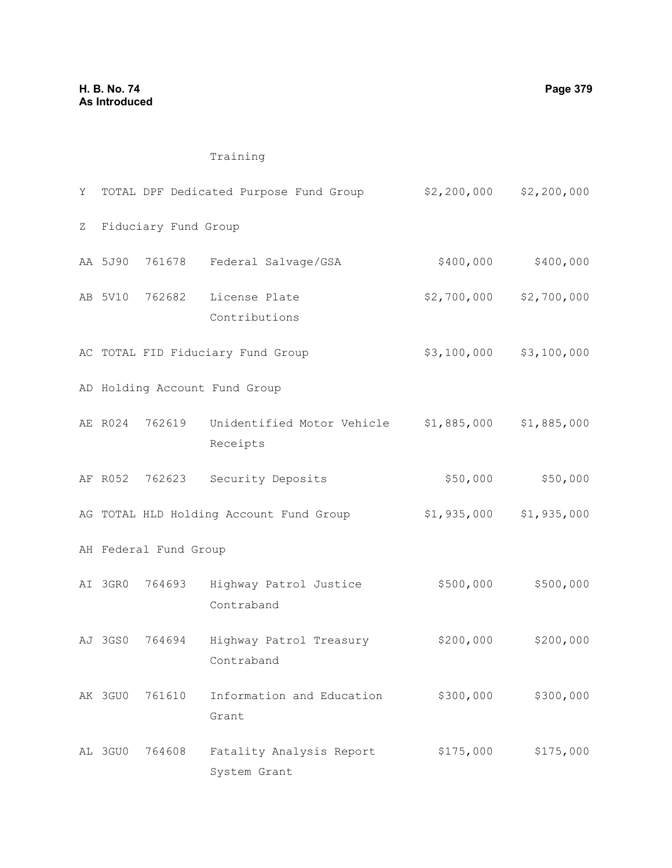| Υ |         |                       | TOTAL DPF Dedicated Purpose Fund Group                                        |             | $$2,200,000$ $$2,200,000$ |
|---|---------|-----------------------|-------------------------------------------------------------------------------|-------------|---------------------------|
| Ζ |         | Fiduciary Fund Group  |                                                                               |             |                           |
|   |         | AA 5J90 761678        | Federal Salvage/GSA                                                           | \$400,000   | \$400,000                 |
|   |         |                       | AB 5V10 762682 License Plate<br>Contributions                                 | \$2,700,000 | \$2,700,000               |
|   |         |                       | AC TOTAL FID Fiduciary Fund Group                                             |             | \$3,100,000 \$3,100,000   |
|   |         |                       | AD Holding Account Fund Group                                                 |             |                           |
|   |         |                       | AE R024 762619 Unidentified Motor Vehicle \$1,885,000 \$1,885,000<br>Receipts |             |                           |
|   |         | AF R052 762623        | Security Deposits                                                             | \$50,000    | \$50,000                  |
|   |         |                       | AG TOTAL HLD Holding Account Fund Group                                       |             | $$1,935,000$ $$1,935,000$ |
|   |         | AH Federal Fund Group |                                                                               |             |                           |
|   |         | AI 3GR0 764693        | Highway Patrol Justice<br>Contraband                                          | \$500,000   | \$500,000                 |
|   |         | AJ 3GS0 764694        | Highway Patrol Treasury<br>Contraband                                         | \$200,000   | \$200,000                 |
|   | AK 3GU0 | 761610                | Information and Education<br>Grant                                            | \$300,000   | \$300,000                 |
|   | AL 3GU0 | 764608                | Fatality Analysis Report<br>System Grant                                      | \$175,000   | \$175,000                 |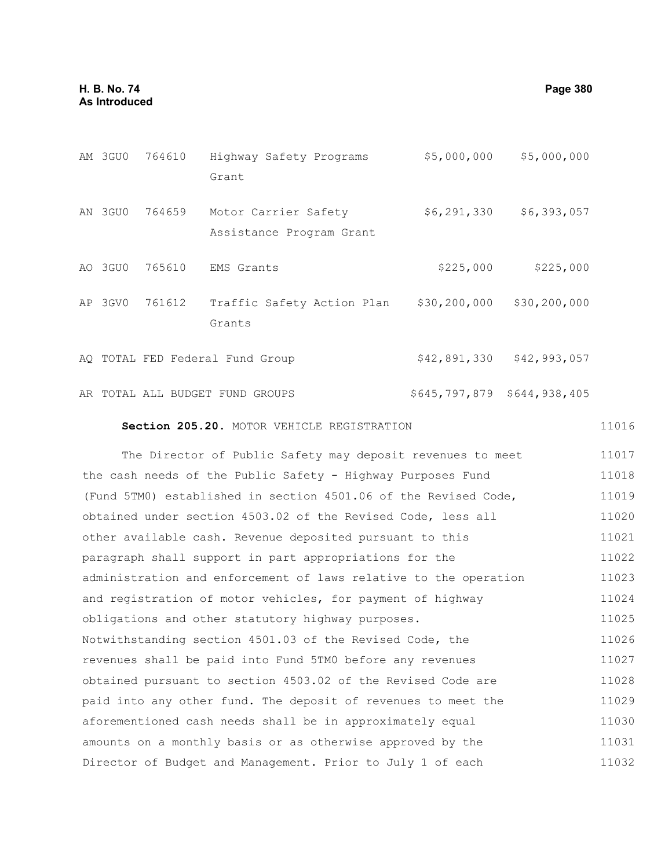AM 3GU0 764610 Highway Safety Programs \$5,000,000 \$5,000,000 Grant AN 3GU0 764659 Motor Carrier Safety Assistance Program Grant \$6,291,330 \$6,393,057 AO 3GU0 765610 EMS Grants \$225,000 \$225,000 AP 3GV0 761612 Traffic Safety Action Plan \$30,200,000 \$30,200,000

Grants

AQ TOTAL FED Federal Fund Group  $$42,891,330$   $$42,993,057$ AR TOTAL ALL BUDGET FUND GROUPS  $$645,797,879$  \$644,938,405

**Section 205.20.** MOTOR VEHICLE REGISTRATION

11016

The Director of Public Safety may deposit revenues to meet the cash needs of the Public Safety - Highway Purposes Fund (Fund 5TM0) established in section 4501.06 of the Revised Code, obtained under section 4503.02 of the Revised Code, less all other available cash. Revenue deposited pursuant to this paragraph shall support in part appropriations for the administration and enforcement of laws relative to the operation and registration of motor vehicles, for payment of highway obligations and other statutory highway purposes. Notwithstanding section 4501.03 of the Revised Code, the revenues shall be paid into Fund 5TM0 before any revenues obtained pursuant to section 4503.02 of the Revised Code are paid into any other fund. The deposit of revenues to meet the aforementioned cash needs shall be in approximately equal amounts on a monthly basis or as otherwise approved by the Director of Budget and Management. Prior to July 1 of each 11017 11018 11019 11020 11021 11022 11023 11024 11025 11026 11027 11028 11029 11030 11031 11032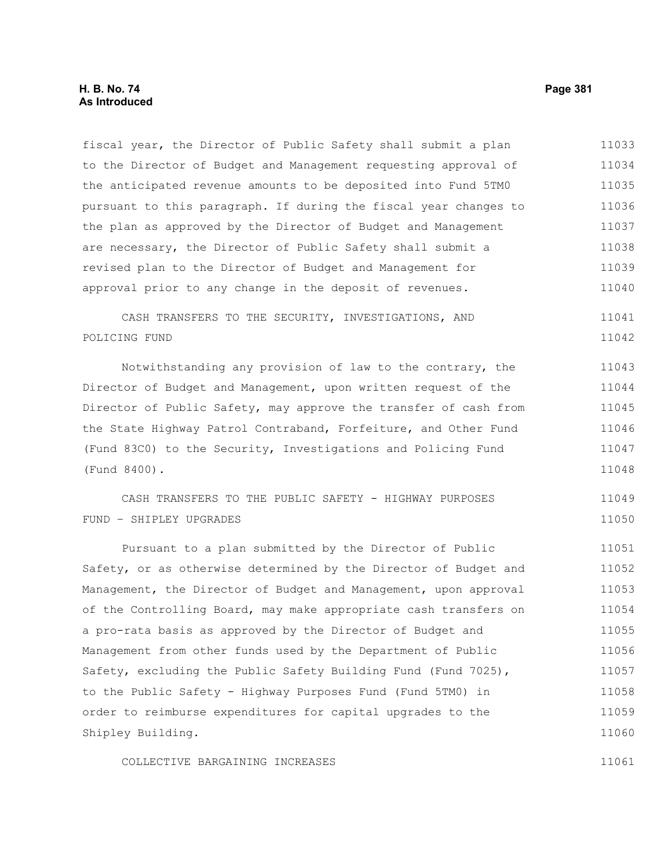fiscal year, the Director of Public Safety shall submit a plan to the Director of Budget and Management requesting approval of the anticipated revenue amounts to be deposited into Fund 5TM0 pursuant to this paragraph. If during the fiscal year changes to the plan as approved by the Director of Budget and Management are necessary, the Director of Public Safety shall submit a revised plan to the Director of Budget and Management for approval prior to any change in the deposit of revenues. 11033 11034 11035 11036 11037 11038 11039 11040

CASH TRANSFERS TO THE SECURITY, INVESTIGATIONS, AND POLICING FUND 11041 11042

Notwithstanding any provision of law to the contrary, the Director of Budget and Management, upon written request of the Director of Public Safety, may approve the transfer of cash from the State Highway Patrol Contraband, Forfeiture, and Other Fund (Fund 83C0) to the Security, Investigations and Policing Fund (Fund 8400). 11043 11044 11045 11046 11047 11048

CASH TRANSFERS TO THE PUBLIC SAFETY - HIGHWAY PURPOSES FUND – SHIPLEY UPGRADES 11049 11050

Pursuant to a plan submitted by the Director of Public Safety, or as otherwise determined by the Director of Budget and Management, the Director of Budget and Management, upon approval of the Controlling Board, may make appropriate cash transfers on a pro-rata basis as approved by the Director of Budget and Management from other funds used by the Department of Public Safety, excluding the Public Safety Building Fund (Fund 7025), to the Public Safety - Highway Purposes Fund (Fund 5TM0) in order to reimburse expenditures for capital upgrades to the Shipley Building. 11051 11052 11053 11054 11055 11056 11057 11058 11059 11060

COLLECTIVE BARGAINING INCREASES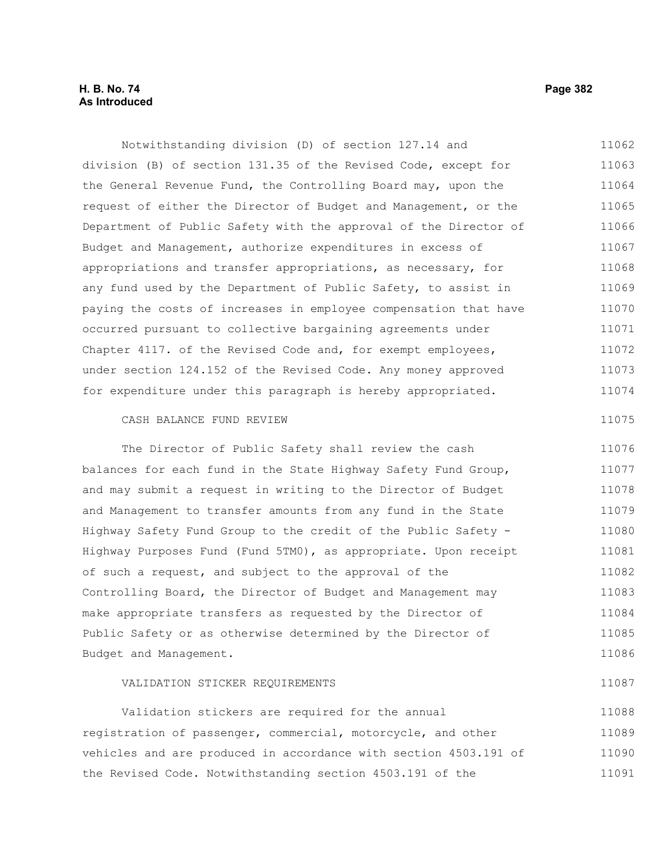#### **H. B. No. 74 Page 382 As Introduced**

Notwithstanding division (D) of section 127.14 and division (B) of section 131.35 of the Revised Code, except for the General Revenue Fund, the Controlling Board may, upon the request of either the Director of Budget and Management, or the Department of Public Safety with the approval of the Director of Budget and Management, authorize expenditures in excess of appropriations and transfer appropriations, as necessary, for any fund used by the Department of Public Safety, to assist in paying the costs of increases in employee compensation that have occurred pursuant to collective bargaining agreements under Chapter 4117. of the Revised Code and, for exempt employees, under section 124.152 of the Revised Code. Any money approved for expenditure under this paragraph is hereby appropriated. CASH BALANCE FUND REVIEW 11062 11063 11064 11065 11066 11067 11068 11069 11070 11071 11072 11073 11074 11075

The Director of Public Safety shall review the cash balances for each fund in the State Highway Safety Fund Group, and may submit a request in writing to the Director of Budget and Management to transfer amounts from any fund in the State Highway Safety Fund Group to the credit of the Public Safety - Highway Purposes Fund (Fund 5TM0), as appropriate. Upon receipt of such a request, and subject to the approval of the Controlling Board, the Director of Budget and Management may make appropriate transfers as requested by the Director of Public Safety or as otherwise determined by the Director of Budget and Management. 11076 11077 11078 11079 11080 11081 11082 11083 11084 11085 11086

#### VALIDATION STICKER REQUIREMENTS

Validation stickers are required for the annual registration of passenger, commercial, motorcycle, and other vehicles and are produced in accordance with section 4503.191 of the Revised Code. Notwithstanding section 4503.191 of the 11088 11089 11090 11091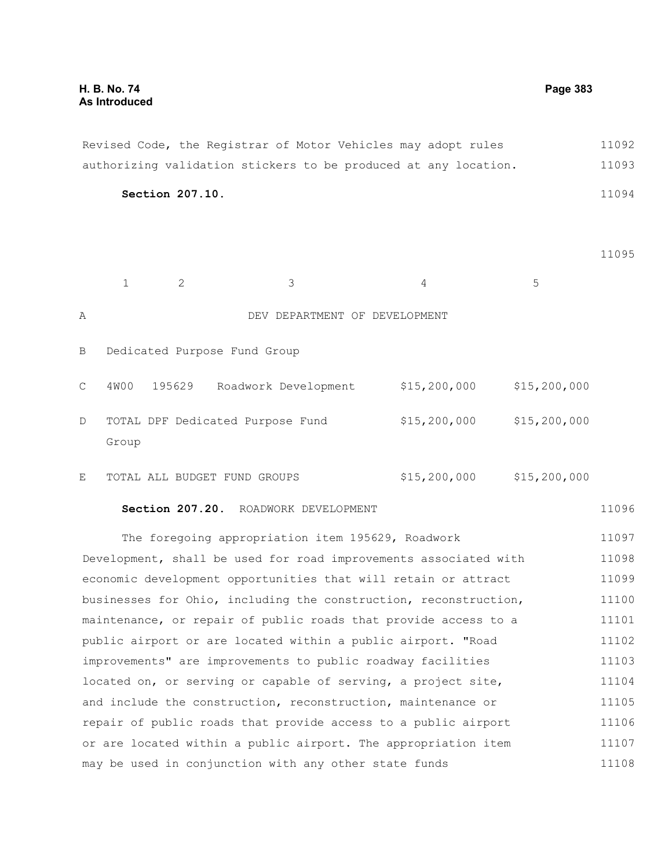Revised Code, the Registrar of Motor Vehicles may adopt rules authorizing validation stickers to be produced at any location. **Section 207.10.**   $1 \t 2 \t 3 \t 4 \t 5$ A DEV DEPARTMENT OF DEVELOPMENT B Dedicated Purpose Fund Group C 4W00 195629 Roadwork Development \$15,200,000 \$15,200,000 D TOTAL DPF Dedicated Purpose Fund Group \$15,200,000 \$15,200,000 E TOTAL ALL BUDGET FUND GROUPS  $$15,200,000$   $$15,200,000$ **Section 207.20.** ROADWORK DEVELOPMENT The foregoing appropriation item 195629, Roadwork Development, shall be used for road improvements associated with economic development opportunities that will retain or attract businesses for Ohio, including the construction, reconstruction, 11092 11093 11094 11095 11096 11097 11098 11099 11100

maintenance, or repair of public roads that provide access to a public airport or are located within a public airport. "Road improvements" are improvements to public roadway facilities located on, or serving or capable of serving, a project site, and include the construction, reconstruction, maintenance or repair of public roads that provide access to a public airport or are located within a public airport. The appropriation item may be used in conjunction with any other state funds 11101 11102 11103 11104 11105 11106 11107 11108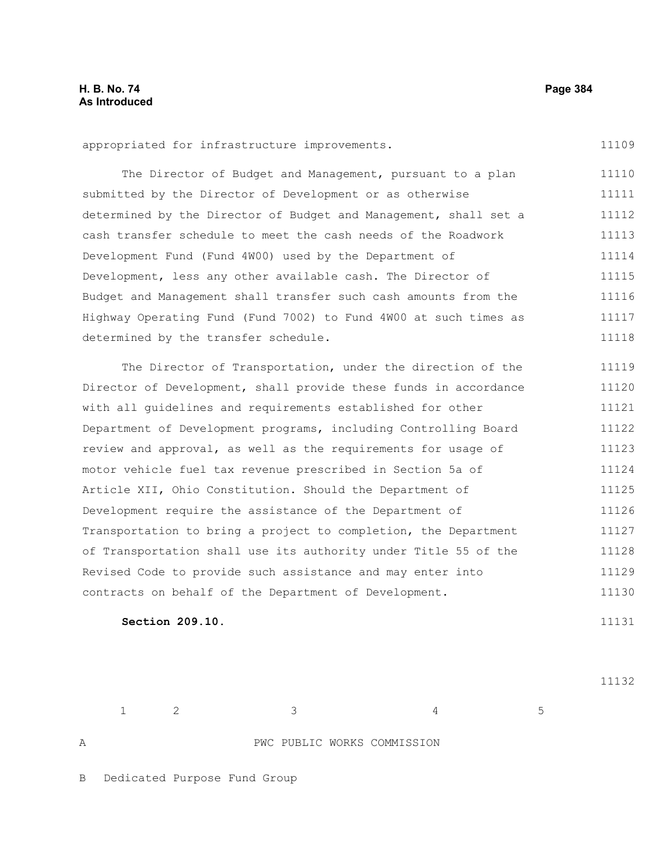11109

appropriated for infrastructure improvements.

The Director of Budget and Management, pursuant to a plan submitted by the Director of Development or as otherwise determined by the Director of Budget and Management, shall set a cash transfer schedule to meet the cash needs of the Roadwork Development Fund (Fund 4W00) used by the Department of Development, less any other available cash. The Director of Budget and Management shall transfer such cash amounts from the Highway Operating Fund (Fund 7002) to Fund 4W00 at such times as determined by the transfer schedule. 11110 11111 11112 11113 11114 11115 11116 11117 11118

The Director of Transportation, under the direction of the Director of Development, shall provide these funds in accordance with all guidelines and requirements established for other Department of Development programs, including Controlling Board review and approval, as well as the requirements for usage of motor vehicle fuel tax revenue prescribed in Section 5a of Article XII, Ohio Constitution. Should the Department of Development require the assistance of the Department of Transportation to bring a project to completion, the Department of Transportation shall use its authority under Title 55 of the Revised Code to provide such assistance and may enter into contracts on behalf of the Department of Development. 11119 11120 11121 11122 11123 11124 11125 11126 11127 11128 11129 11130

**Section 209.10.** 

11131

11132

 $1 \t 2 \t 3 \t 4 \t 5$ 

A PWC PUBLIC WORKS COMMISSION

B Dedicated Purpose Fund Group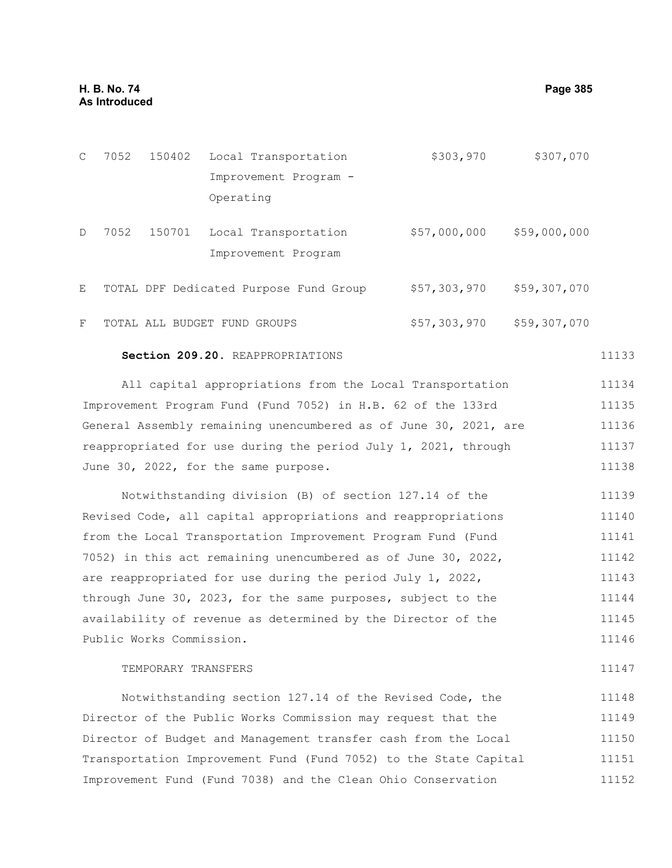## C 7052 150402 Local Transportation Improvement Program - Operating \$303,970 \$307,070 D 7052 150701 Local Transportation Improvement Program \$57,000,000 \$59,000,000 E TOTAL DPF Dedicated Purpose Fund Group \$57,303,970 \$59,307,070 F TOTAL ALL BUDGET FUND GROUPS \$57,303,970 \$59,307,070

#### **Section 209.20.** REAPPROPRIATIONS

11133

11147

| All capital appropriations from the Local Transportation         | 11134 |
|------------------------------------------------------------------|-------|
| Improvement Program Fund (Fund 7052) in H.B. 62 of the 133rd     | 11135 |
| General Assembly remaining unencumbered as of June 30, 2021, are | 11136 |
| reappropriated for use during the period July 1, 2021, through   | 11137 |
| June 30, 2022, for the same purpose.                             | 11138 |

Notwithstanding division (B) of section 127.14 of the Revised Code, all capital appropriations and reappropriations from the Local Transportation Improvement Program Fund (Fund 7052) in this act remaining unencumbered as of June 30, 2022, are reappropriated for use during the period July 1, 2022, through June 30, 2023, for the same purposes, subject to the availability of revenue as determined by the Director of the Public Works Commission. 11139 11140 11141 11142 11143 11144 11145 11146

#### TEMPORARY TRANSFERS

Notwithstanding section 127.14 of the Revised Code, the Director of the Public Works Commission may request that the Director of Budget and Management transfer cash from the Local Transportation Improvement Fund (Fund 7052) to the State Capital Improvement Fund (Fund 7038) and the Clean Ohio Conservation 11148 11149 11150 11151 11152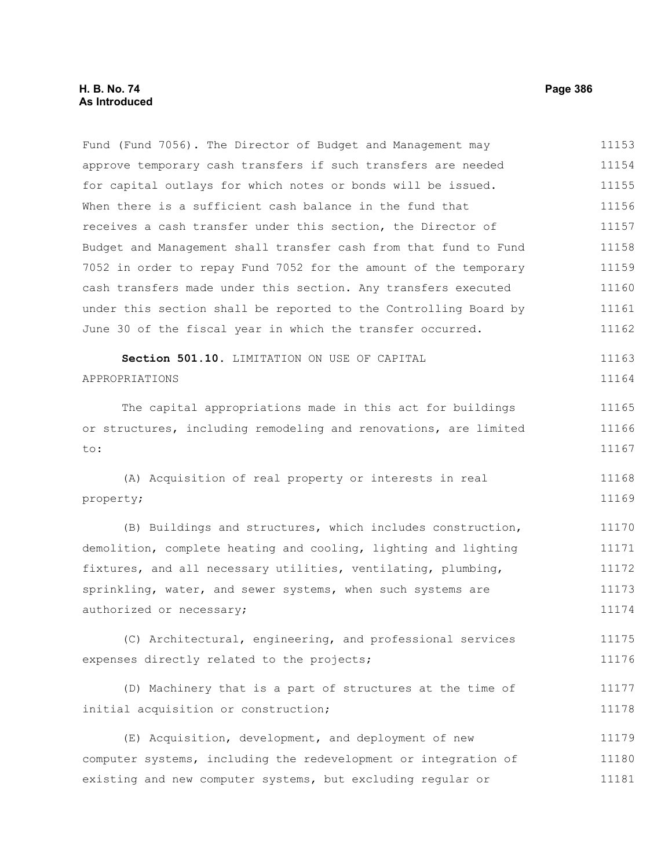Fund (Fund 7056). The Director of Budget and Management may approve temporary cash transfers if such transfers are needed for capital outlays for which notes or bonds will be issued. When there is a sufficient cash balance in the fund that receives a cash transfer under this section, the Director of Budget and Management shall transfer cash from that fund to Fund 7052 in order to repay Fund 7052 for the amount of the temporary cash transfers made under this section. Any transfers executed under this section shall be reported to the Controlling Board by June 30 of the fiscal year in which the transfer occurred. **Section 501.10.** LIMITATION ON USE OF CAPITAL APPROPRIATIONS The capital appropriations made in this act for buildings or structures, including remodeling and renovations, are limited to: (A) Acquisition of real property or interests in real property; (B) Buildings and structures, which includes construction, demolition, complete heating and cooling, lighting and lighting fixtures, and all necessary utilities, ventilating, plumbing, sprinkling, water, and sewer systems, when such systems are authorized or necessary; (C) Architectural, engineering, and professional services expenses directly related to the projects; (D) Machinery that is a part of structures at the time of initial acquisition or construction; (E) Acquisition, development, and deployment of new computer systems, including the redevelopment or integration of 11153 11154 11155 11156 11157 11158 11159 11160 11161 11162 11163 11164 11165 11166 11167 11168 11169 11170 11171 11172 11173 11174 11175 11176 11177 11178 11179 11180

existing and new computer systems, but excluding regular or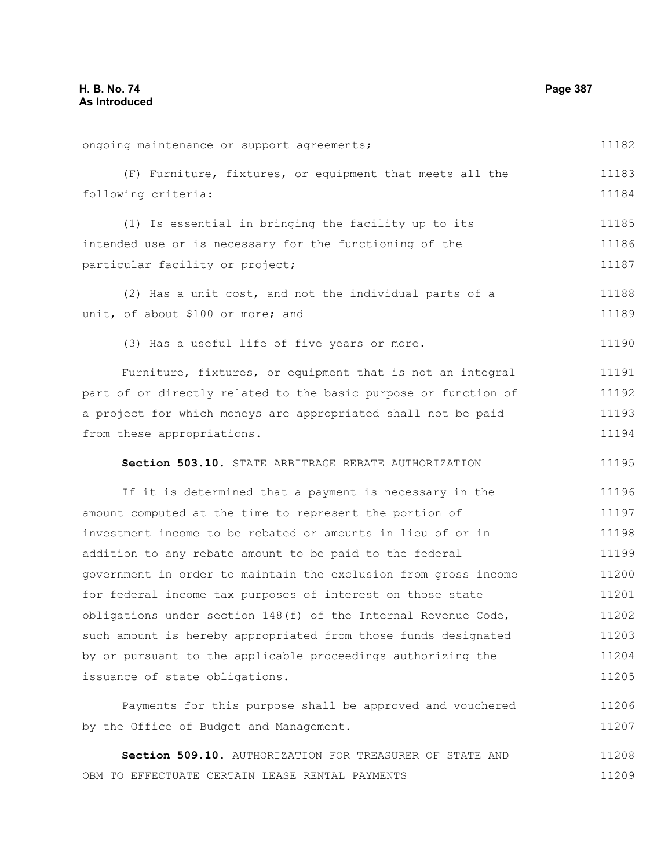| ongoing maintenance or support agreements;                      | 11182 |
|-----------------------------------------------------------------|-------|
| (F) Furniture, fixtures, or equipment that meets all the        | 11183 |
| following criteria:                                             | 11184 |
| (1) Is essential in bringing the facility up to its             | 11185 |
| intended use or is necessary for the functioning of the         | 11186 |
| particular facility or project;                                 | 11187 |
| (2) Has a unit cost, and not the individual parts of a          | 11188 |
| unit, of about \$100 or more; and                               | 11189 |
| (3) Has a useful life of five years or more.                    | 11190 |
| Furniture, fixtures, or equipment that is not an integral       | 11191 |
| part of or directly related to the basic purpose or function of | 11192 |
| a project for which moneys are appropriated shall not be paid   | 11193 |
| from these appropriations.                                      | 11194 |
| Section 503.10. STATE ARBITRAGE REBATE AUTHORIZATION            | 11195 |
| If it is determined that a payment is necessary in the          | 11196 |
| amount computed at the time to represent the portion of         | 11197 |
| investment income to be rebated or amounts in lieu of or in     | 11198 |
| addition to any rebate amount to be paid to the federal         | 11199 |
| government in order to maintain the exclusion from gross income | 11200 |
| for federal income tax purposes of interest on those state      | 11201 |
| obligations under section 148(f) of the Internal Revenue Code,  | 11202 |
| such amount is hereby appropriated from those funds designated  | 11203 |
| by or pursuant to the applicable proceedings authorizing the    | 11204 |
| issuance of state obligations.                                  | 11205 |
| Payments for this purpose shall be approved and vouchered       | 11206 |
| by the Office of Budget and Management.                         | 11207 |
| Section 509.10. AUTHORIZATION FOR TREASURER OF STATE AND        | 11208 |
|                                                                 |       |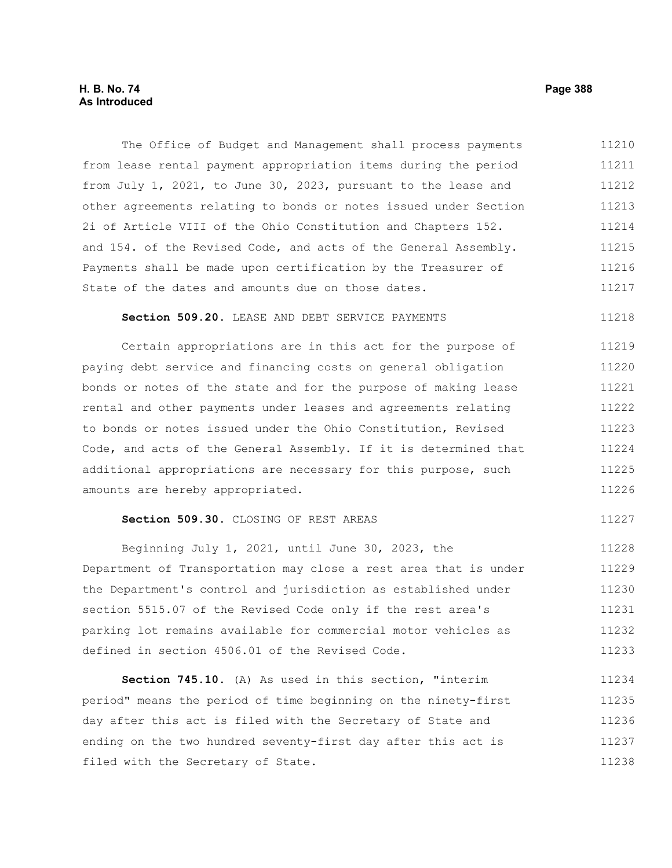#### **H. B. No. 74 Page 388 As Introduced**

The Office of Budget and Management shall process payments from lease rental payment appropriation items during the period from July 1, 2021, to June 30, 2023, pursuant to the lease and other agreements relating to bonds or notes issued under Section 2i of Article VIII of the Ohio Constitution and Chapters 152. and 154. of the Revised Code, and acts of the General Assembly. Payments shall be made upon certification by the Treasurer of State of the dates and amounts due on those dates. 11210 11211 11212 11213 11214 11215 11216 11217

#### **Section 509.20.** LEASE AND DEBT SERVICE PAYMENTS

Certain appropriations are in this act for the purpose of paying debt service and financing costs on general obligation bonds or notes of the state and for the purpose of making lease rental and other payments under leases and agreements relating to bonds or notes issued under the Ohio Constitution, Revised Code, and acts of the General Assembly. If it is determined that additional appropriations are necessary for this purpose, such amounts are hereby appropriated. 11219 11220 11221 11222 11223 11224 11225 11226

### **Section 509.30.** CLOSING OF REST AREAS

Beginning July 1, 2021, until June 30, 2023, the Department of Transportation may close a rest area that is under the Department's control and jurisdiction as established under section 5515.07 of the Revised Code only if the rest area's parking lot remains available for commercial motor vehicles as defined in section 4506.01 of the Revised Code. 11228 11229 11230 11231 11232 11233

**Section 745.10.** (A) As used in this section, "interim period" means the period of time beginning on the ninety-first day after this act is filed with the Secretary of State and ending on the two hundred seventy-first day after this act is filed with the Secretary of State. 11234 11235 11236 11237 11238

11218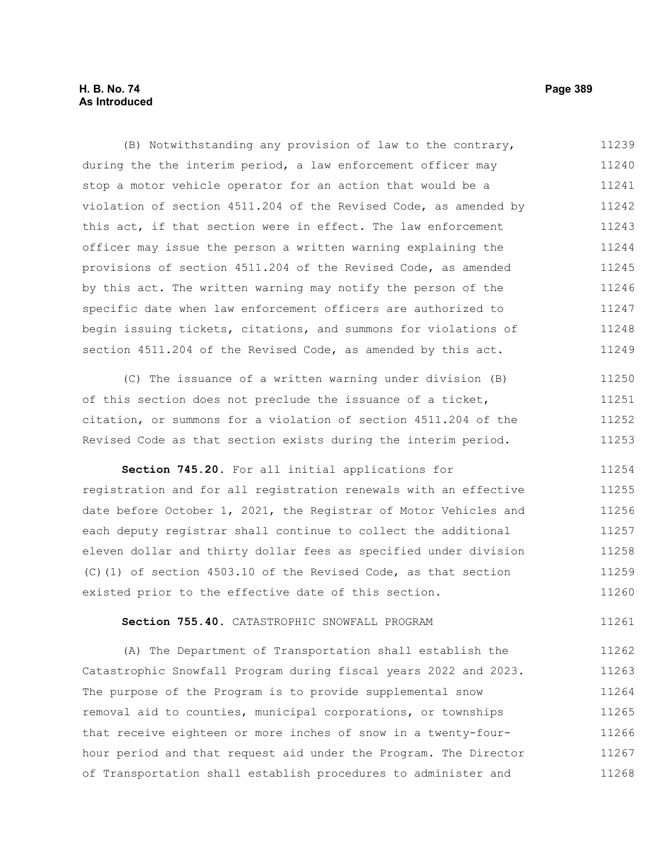#### **H. B. No. 74 Page 389 As Introduced**

during the the interim period, a law enforcement officer may stop a motor vehicle operator for an action that would be a violation of section 4511.204 of the Revised Code, as amended by this act, if that section were in effect. The law enforcement officer may issue the person a written warning explaining the provisions of section 4511.204 of the Revised Code, as amended by this act. The written warning may notify the person of the specific date when law enforcement officers are authorized to begin issuing tickets, citations, and summons for violations of section 4511.204 of the Revised Code, as amended by this act. (C) The issuance of a written warning under division (B) of this section does not preclude the issuance of a ticket, citation, or summons for a violation of section 4511.204 of the Revised Code as that section exists during the interim period. **Section 745.20.** For all initial applications for registration and for all registration renewals with an effective date before October 1, 2021, the Registrar of Motor Vehicles and each deputy registrar shall continue to collect the additional eleven dollar and thirty dollar fees as specified under division (C)(1) of section 4503.10 of the Revised Code, as that section existed prior to the effective date of this section. **Section 755.40.** CATASTROPHIC SNOWFALL PROGRAM (A) The Department of Transportation shall establish the Catastrophic Snowfall Program during fiscal years 2022 and 2023. The purpose of the Program is to provide supplemental snow removal aid to counties, municipal corporations, or townships that receive eighteen or more inches of snow in a twenty-four-11240 11241 11242 11243 11244 11245 11246 11247 11248 11249 11250 11251 11252 11253 11254 11255 11256 11257 11258 11259 11260 11261 11262 11263 11264 11265 11266

(B) Notwithstanding any provision of law to the contrary,

hour period and that request aid under the Program. The Director of Transportation shall establish procedures to administer and 11267 11268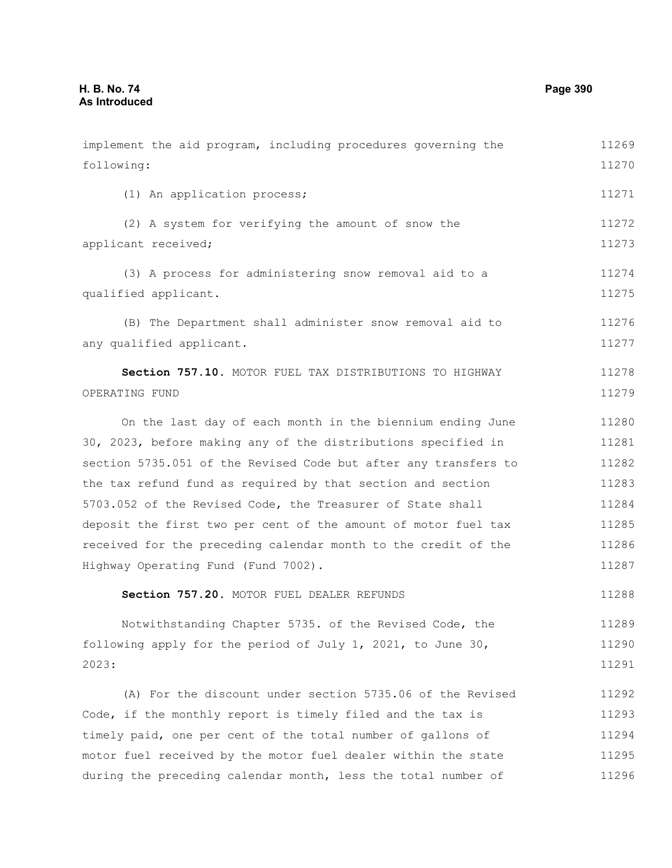implement the aid program, including procedures governing the following: (1) An application process; (2) A system for verifying the amount of snow the applicant received; (3) A process for administering snow removal aid to a qualified applicant. (B) The Department shall administer snow removal aid to any qualified applicant. **Section 757.10.** MOTOR FUEL TAX DISTRIBUTIONS TO HIGHWAY OPERATING FUND On the last day of each month in the biennium ending June 30, 2023, before making any of the distributions specified in section 5735.051 of the Revised Code but after any transfers to the tax refund fund as required by that section and section 5703.052 of the Revised Code, the Treasurer of State shall deposit the first two per cent of the amount of motor fuel tax received for the preceding calendar month to the credit of the Highway Operating Fund (Fund 7002). **Section 757.20.** MOTOR FUEL DEALER REFUNDS Notwithstanding Chapter 5735. of the Revised Code, the following apply for the period of July 1, 2021, to June 30, 2023: (A) For the discount under section 5735.06 of the Revised Code, if the monthly report is timely filed and the tax is timely paid, one per cent of the total number of gallons of motor fuel received by the motor fuel dealer within the state during the preceding calendar month, less the total number of 11269 11270 11271 11272 11273 11274 11275 11276 11277 11278 11279 11280 11281 11282 11283 11284 11285 11286 11287 11288 11289 11290 11291 11292 11293 11294 11295 11296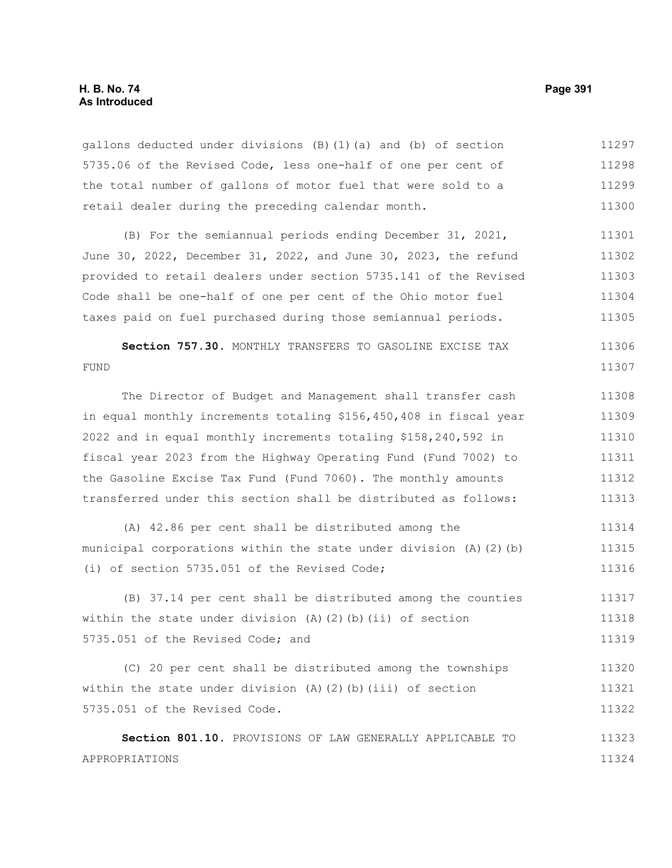#### **H. B. No. 74 Page 391 As Introduced**

gallons deducted under divisions (B)(1)(a) and (b) of section 5735.06 of the Revised Code, less one-half of one per cent of the total number of gallons of motor fuel that were sold to a retail dealer during the preceding calendar month. 11297 11298 11299 11300

(B) For the semiannual periods ending December 31, 2021, June 30, 2022, December 31, 2022, and June 30, 2023, the refund provided to retail dealers under section 5735.141 of the Revised Code shall be one-half of one per cent of the Ohio motor fuel taxes paid on fuel purchased during those semiannual periods. 11301 11302 11303 11304 11305

**Section 757.30.** MONTHLY TRANSFERS TO GASOLINE EXCISE TAX FUND 11306 11307

The Director of Budget and Management shall transfer cash in equal monthly increments totaling \$156,450,408 in fiscal year 2022 and in equal monthly increments totaling \$158,240,592 in fiscal year 2023 from the Highway Operating Fund (Fund 7002) to the Gasoline Excise Tax Fund (Fund 7060). The monthly amounts transferred under this section shall be distributed as follows: 11308 11309 11310 11311 11312 11313

(A) 42.86 per cent shall be distributed among the municipal corporations within the state under division (A)(2)(b) (i) of section 5735.051 of the Revised Code; 11314 11315 11316

(B) 37.14 per cent shall be distributed among the counties within the state under division  $(A)$   $(2)$   $(b)$   $(ii)$  of section 5735.051 of the Revised Code; and 11317 11318 11319

(C) 20 per cent shall be distributed among the townships within the state under division  $(A)$   $(2)$   $(b)$   $(iii)$  of section 5735.051 of the Revised Code. 11320 11321 11322

**Section 801.10.** PROVISIONS OF LAW GENERALLY APPLICABLE TO APPROPRIATIONS 11323 11324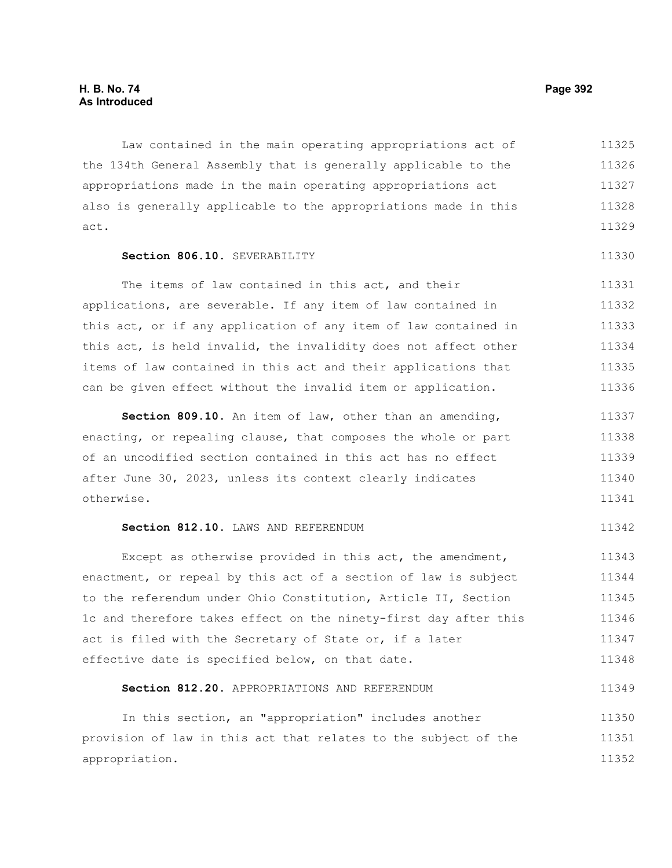Law contained in the main operating appropriations act of the 134th General Assembly that is generally applicable to the appropriations made in the main operating appropriations act also is generally applicable to the appropriations made in this act. 11325 11326 11327 11328 11329

#### **Section 806.10.** SEVERABILITY

The items of law contained in this act, and their applications, are severable. If any item of law contained in this act, or if any application of any item of law contained in this act, is held invalid, the invalidity does not affect other items of law contained in this act and their applications that can be given effect without the invalid item or application. 11331 11332 11333 11334 11335 11336

**Section 809.10.** An item of law, other than an amending, enacting, or repealing clause, that composes the whole or part of an uncodified section contained in this act has no effect after June 30, 2023, unless its context clearly indicates otherwise. 11337 11338 11339 11340 11341

#### **Section 812.10.** LAWS AND REFERENDUM

Except as otherwise provided in this act, the amendment, enactment, or repeal by this act of a section of law is subject to the referendum under Ohio Constitution, Article II, Section 1c and therefore takes effect on the ninety-first day after this act is filed with the Secretary of State or, if a later effective date is specified below, on that date. 11343 11344 11345 11346 11347 11348

#### **Section 812.20.** APPROPRIATIONS AND REFERENDUM

In this section, an "appropriation" includes another provision of law in this act that relates to the subject of the appropriation. 11350 11351 11352

11330

11342